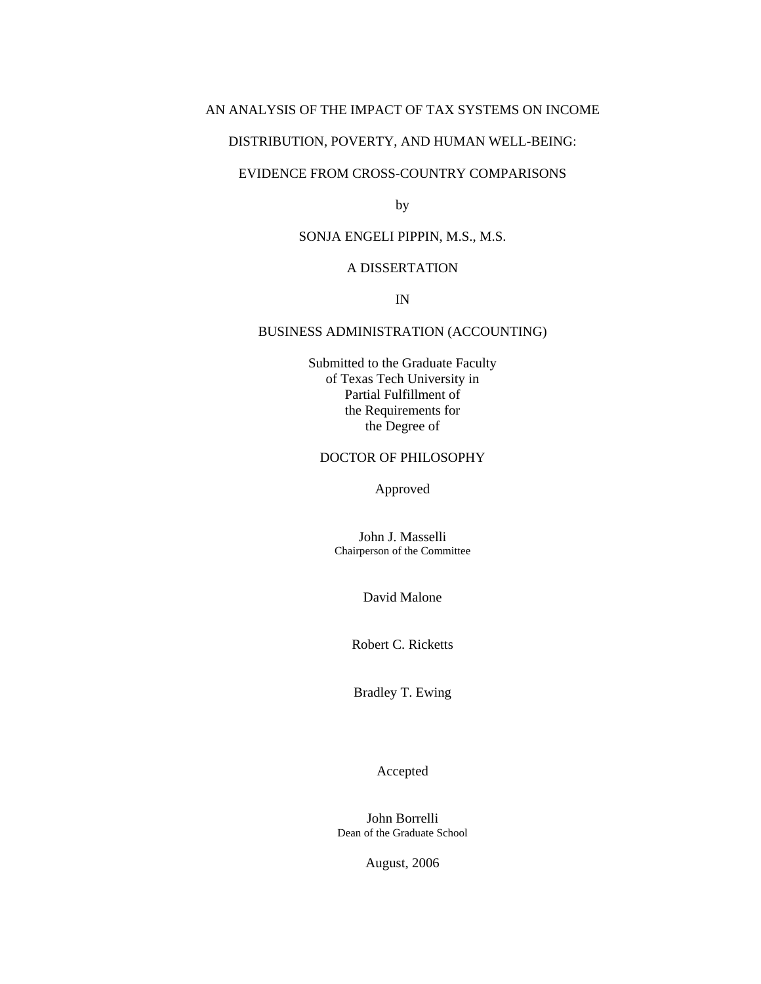## AN ANALYSIS OF THE IMPACT OF TAX SYSTEMS ON INCOME

## DISTRIBUTION, POVERTY, AND HUMAN WELL-BEING:

## EVIDENCE FROM CROSS-COUNTRY COMPARISONS

by

## SONJA ENGELI PIPPIN, M.S., M.S.

## A DISSERTATION

IN

### BUSINESS ADMINISTRATION (ACCOUNTING)

Submitted to the Graduate Faculty of Texas Tech University in Partial Fulfillment of the Requirements for the Degree of

## DOCTOR OF PHILOSOPHY

Approved

John J. Masselli Chairperson of the Committee

David Malone

Robert C. Ricketts

Bradley T. Ewing

Accepted

John Borrelli Dean of the Graduate School

August, 2006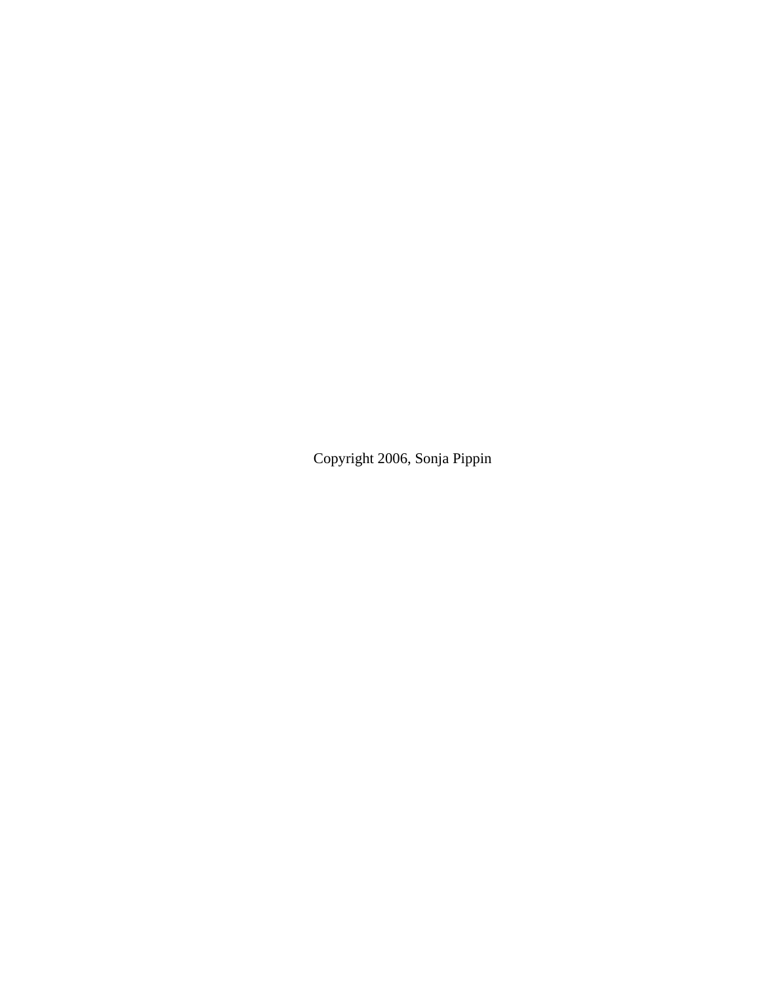Copyright 2006, Sonja Pippin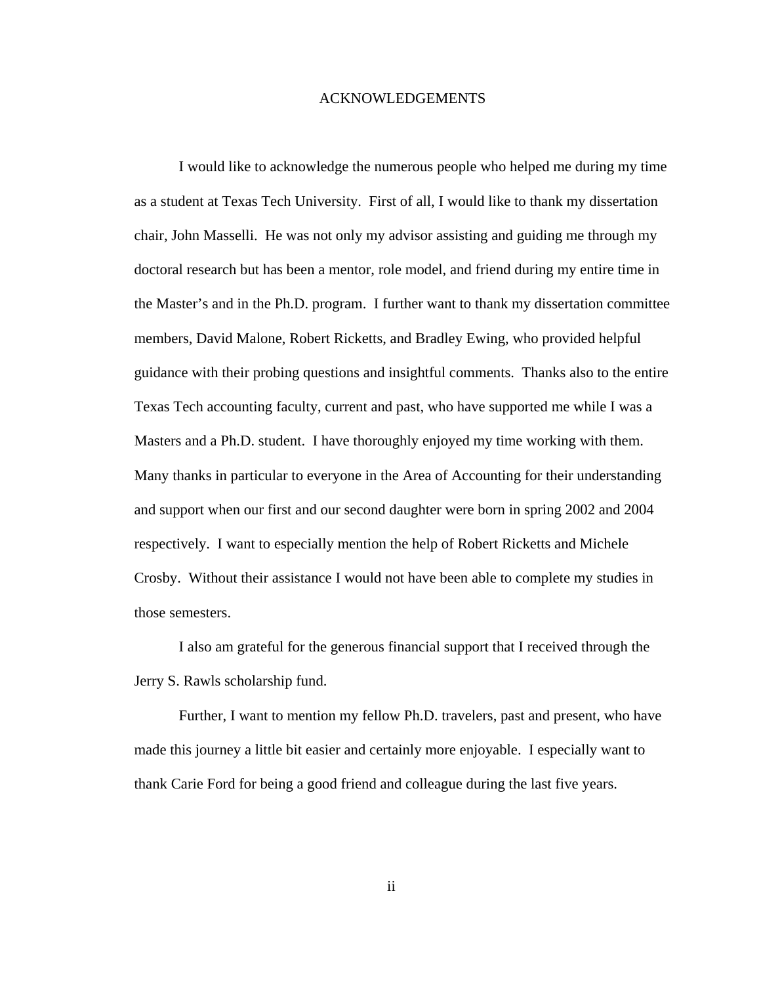## ACKNOWLEDGEMENTS

I would like to acknowledge the numerous people who helped me during my time as a student at Texas Tech University. First of all, I would like to thank my dissertation chair, John Masselli. He was not only my advisor assisting and guiding me through my doctoral research but has been a mentor, role model, and friend during my entire time in the Master's and in the Ph.D. program. I further want to thank my dissertation committee members, David Malone, Robert Ricketts, and Bradley Ewing, who provided helpful guidance with their probing questions and insightful comments. Thanks also to the entire Texas Tech accounting faculty, current and past, who have supported me while I was a Masters and a Ph.D. student. I have thoroughly enjoyed my time working with them. Many thanks in particular to everyone in the Area of Accounting for their understanding and support when our first and our second daughter were born in spring 2002 and 2004 respectively. I want to especially mention the help of Robert Ricketts and Michele Crosby. Without their assistance I would not have been able to complete my studies in those semesters.

I also am grateful for the generous financial support that I received through the Jerry S. Rawls scholarship fund.

Further, I want to mention my fellow Ph.D. travelers, past and present, who have made this journey a little bit easier and certainly more enjoyable. I especially want to thank Carie Ford for being a good friend and colleague during the last five years.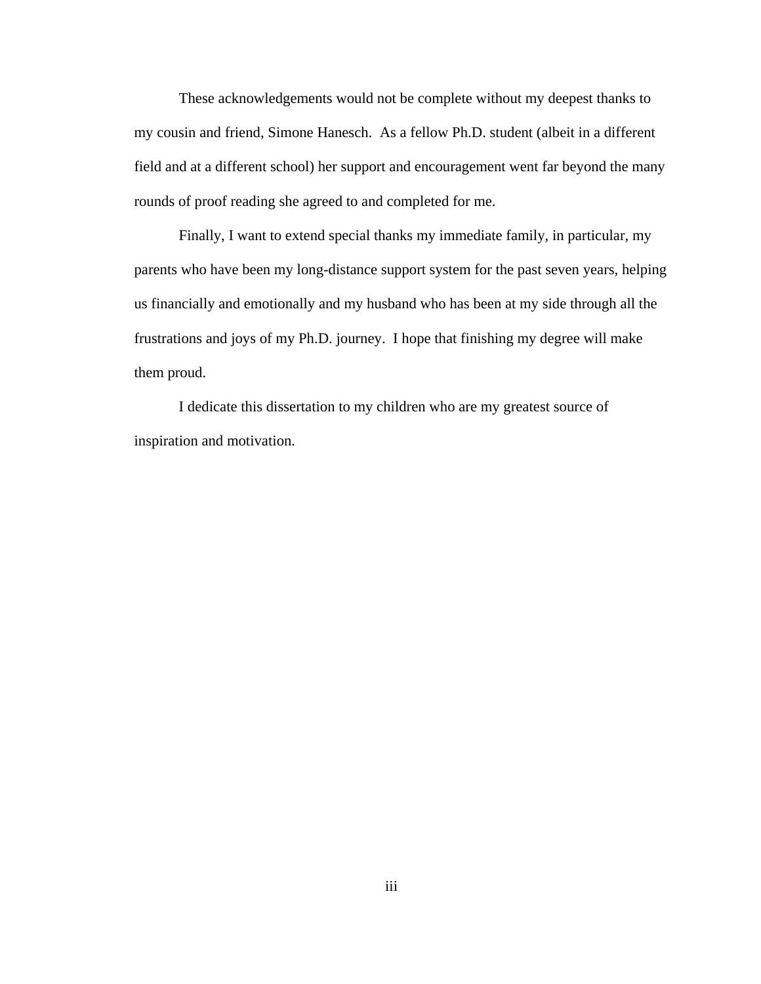These acknowledgements would not be complete without my deepest thanks to my cousin and friend, Simone Hanesch. As a fellow Ph.D. student (albeit in a different field and at a different school) her support and encouragement went far beyond the many rounds of proof reading she agreed to and completed for me.

Finally, I want to extend special thanks my immediate family, in particular, my parents who have been my long-distance support system for the past seven years, helping us financially and emotionally and my husband who has been at my side through all the frustrations and joys of my Ph.D. journey. I hope that finishing my degree will make them proud.

I dedicate this dissertation to my children who are my greatest source of inspiration and motivation.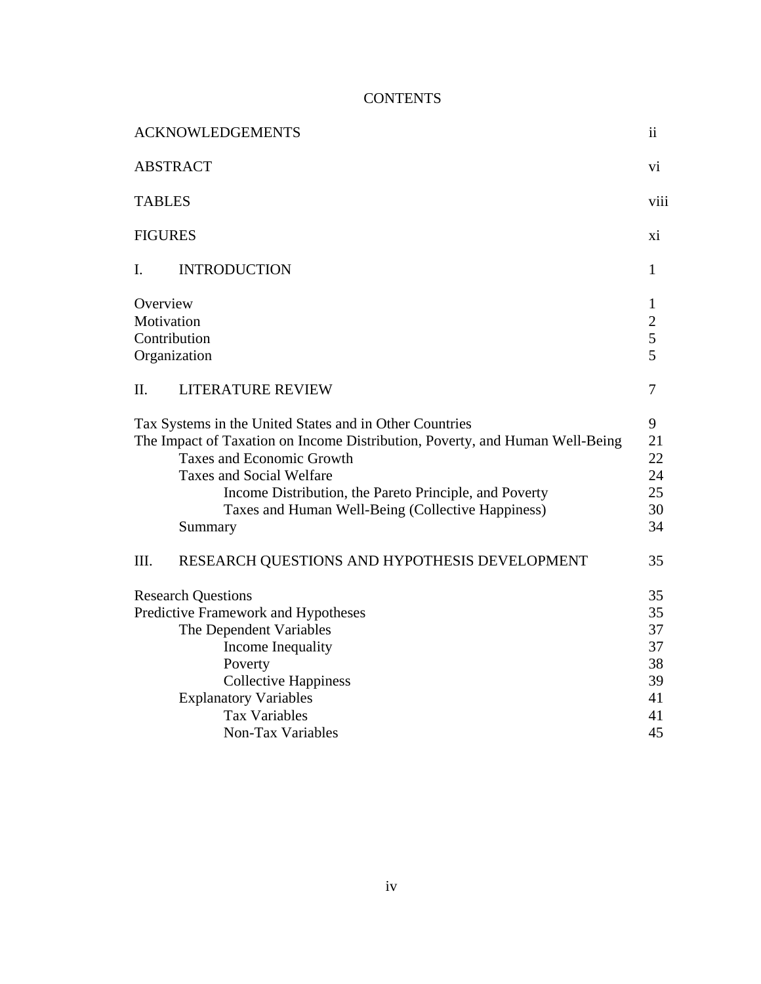# **CONTENTS**

| <b>ACKNOWLEDGEMENTS</b>                                                                                                                                                                                                                                                                                                                  | $\overline{\mathbf{u}}$                                            |
|------------------------------------------------------------------------------------------------------------------------------------------------------------------------------------------------------------------------------------------------------------------------------------------------------------------------------------------|--------------------------------------------------------------------|
| <b>ABSTRACT</b>                                                                                                                                                                                                                                                                                                                          | Vİ.                                                                |
| <b>TABLES</b>                                                                                                                                                                                                                                                                                                                            | viii                                                               |
| <b>FIGURES</b>                                                                                                                                                                                                                                                                                                                           |                                                                    |
| <b>INTRODUCTION</b><br>L                                                                                                                                                                                                                                                                                                                 | 1                                                                  |
| Overview<br>Motivation<br>Contribution<br>Organization                                                                                                                                                                                                                                                                                   | $\mathbf{1}$<br>$\overline{c}$<br>$\overline{5}$<br>$\overline{5}$ |
| <b>LITERATURE REVIEW</b><br>II.                                                                                                                                                                                                                                                                                                          | 7                                                                  |
| Tax Systems in the United States and in Other Countries<br>The Impact of Taxation on Income Distribution, Poverty, and Human Well-Being<br><b>Taxes and Economic Growth</b><br><b>Taxes and Social Welfare</b><br>Income Distribution, the Pareto Principle, and Poverty<br>Taxes and Human Well-Being (Collective Happiness)<br>Summary |                                                                    |
| III.<br>RESEARCH QUESTIONS AND HYPOTHESIS DEVELOPMENT                                                                                                                                                                                                                                                                                    | 35                                                                 |
| <b>Research Questions</b><br>Predictive Framework and Hypotheses<br>The Dependent Variables<br>Income Inequality<br>Poverty<br><b>Collective Happiness</b><br><b>Explanatory Variables</b><br><b>Tax Variables</b>                                                                                                                       | 35<br>35<br>37<br>37<br>38<br>39<br>41<br>41                       |
| <b>Non-Tax Variables</b>                                                                                                                                                                                                                                                                                                                 | 45                                                                 |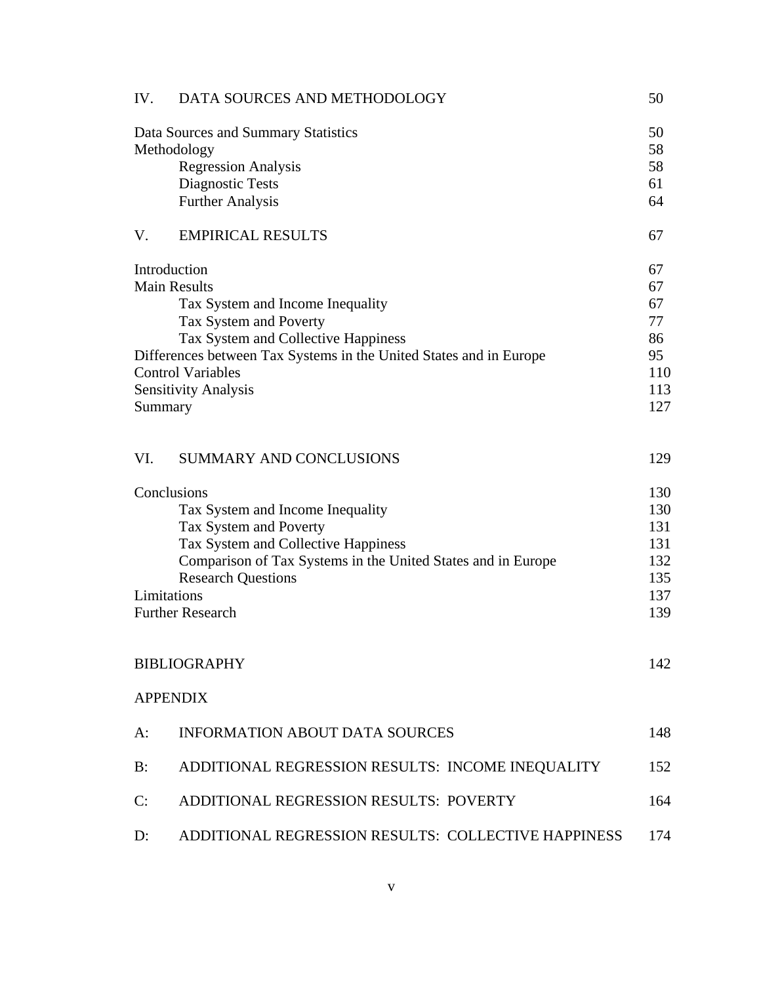| IV. | DATA SOURCES AND METHODOLOGY                                                                                                                                                                                                                                                         | 50                                                    |
|-----|--------------------------------------------------------------------------------------------------------------------------------------------------------------------------------------------------------------------------------------------------------------------------------------|-------------------------------------------------------|
|     | Data Sources and Summary Statistics<br>Methodology<br><b>Regression Analysis</b><br><b>Diagnostic Tests</b><br><b>Further Analysis</b>                                                                                                                                               | 50<br>58<br>58<br>61<br>64                            |
| V.  | <b>EMPIRICAL RESULTS</b>                                                                                                                                                                                                                                                             | 67                                                    |
|     | Introduction<br><b>Main Results</b><br>Tax System and Income Inequality<br>Tax System and Poverty<br>Tax System and Collective Happiness<br>Differences between Tax Systems in the United States and in Europe<br><b>Control Variables</b><br><b>Sensitivity Analysis</b><br>Summary | 67<br>67<br>67<br>77<br>86<br>95<br>110<br>113<br>127 |
| VI. | <b>SUMMARY AND CONCLUSIONS</b>                                                                                                                                                                                                                                                       | 129                                                   |
|     | Conclusions<br>Tax System and Income Inequality<br>Tax System and Poverty<br>Tax System and Collective Happiness<br>Comparison of Tax Systems in the United States and in Europe<br><b>Research Questions</b><br>Limitations<br><b>Further Research</b>                              | 130<br>130<br>131<br>131<br>132<br>135<br>137<br>139  |
|     | <b>BIBLIOGRAPHY</b>                                                                                                                                                                                                                                                                  | 142                                                   |
|     | <b>APPENDIX</b>                                                                                                                                                                                                                                                                      |                                                       |
| A:  | <b>INFORMATION ABOUT DATA SOURCES</b>                                                                                                                                                                                                                                                | 148                                                   |
| B:  | ADDITIONAL REGRESSION RESULTS: INCOME INEQUALITY                                                                                                                                                                                                                                     | 152                                                   |
| C:  | ADDITIONAL REGRESSION RESULTS: POVERTY                                                                                                                                                                                                                                               | 164                                                   |
| D:  | ADDITIONAL REGRESSION RESULTS: COLLECTIVE HAPPINESS                                                                                                                                                                                                                                  | 174                                                   |
|     |                                                                                                                                                                                                                                                                                      |                                                       |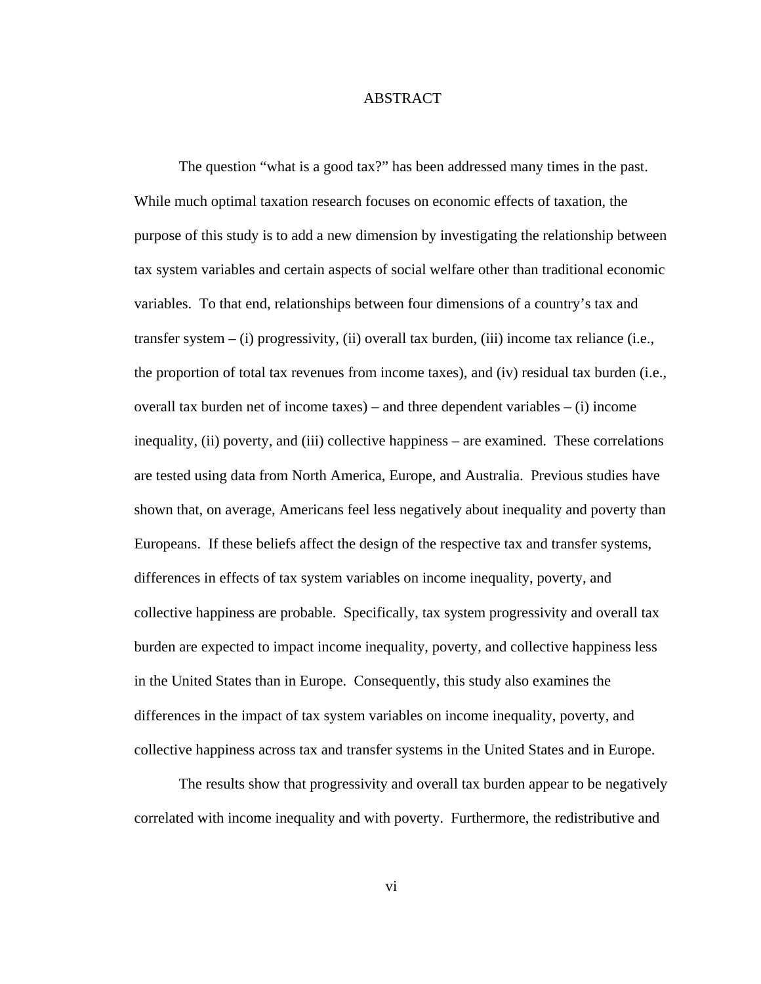## ABSTRACT

The question "what is a good tax?" has been addressed many times in the past. While much optimal taxation research focuses on economic effects of taxation, the purpose of this study is to add a new dimension by investigating the relationship between tax system variables and certain aspects of social welfare other than traditional economic variables. To that end, relationships between four dimensions of a country's tax and transfer system – (i) progressivity, (ii) overall tax burden, (iii) income tax reliance (i.e., the proportion of total tax revenues from income taxes), and (iv) residual tax burden (i.e., overall tax burden net of income taxes) – and three dependent variables  $-$  (i) income inequality, (ii) poverty, and (iii) collective happiness – are examined. These correlations are tested using data from North America, Europe, and Australia. Previous studies have shown that, on average, Americans feel less negatively about inequality and poverty than Europeans. If these beliefs affect the design of the respective tax and transfer systems, differences in effects of tax system variables on income inequality, poverty, and collective happiness are probable. Specifically, tax system progressivity and overall tax burden are expected to impact income inequality, poverty, and collective happiness less in the United States than in Europe. Consequently, this study also examines the differences in the impact of tax system variables on income inequality, poverty, and collective happiness across tax and transfer systems in the United States and in Europe.

The results show that progressivity and overall tax burden appear to be negatively correlated with income inequality and with poverty. Furthermore, the redistributive and

vi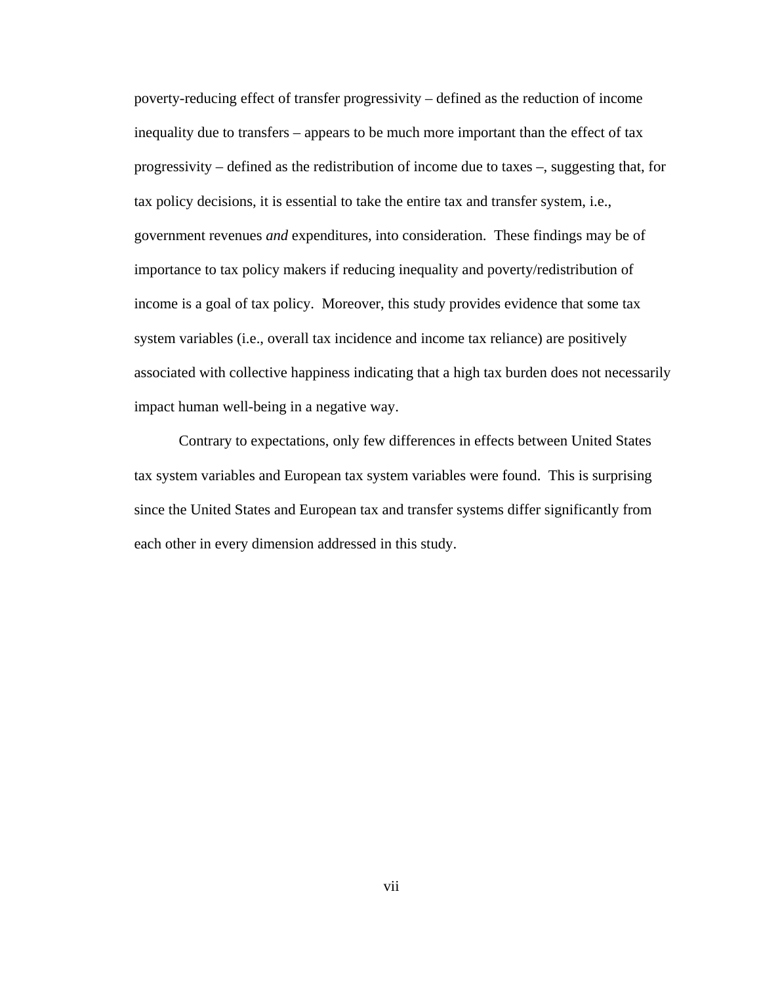poverty-reducing effect of transfer progressivity – defined as the reduction of income inequality due to transfers – appears to be much more important than the effect of tax progressivity – defined as the redistribution of income due to taxes –, suggesting that, for tax policy decisions, it is essential to take the entire tax and transfer system, i.e., government revenues *and* expenditures, into consideration. These findings may be of importance to tax policy makers if reducing inequality and poverty/redistribution of income is a goal of tax policy. Moreover, this study provides evidence that some tax system variables (i.e., overall tax incidence and income tax reliance) are positively associated with collective happiness indicating that a high tax burden does not necessarily impact human well-being in a negative way.

Contrary to expectations, only few differences in effects between United States tax system variables and European tax system variables were found. This is surprising since the United States and European tax and transfer systems differ significantly from each other in every dimension addressed in this study.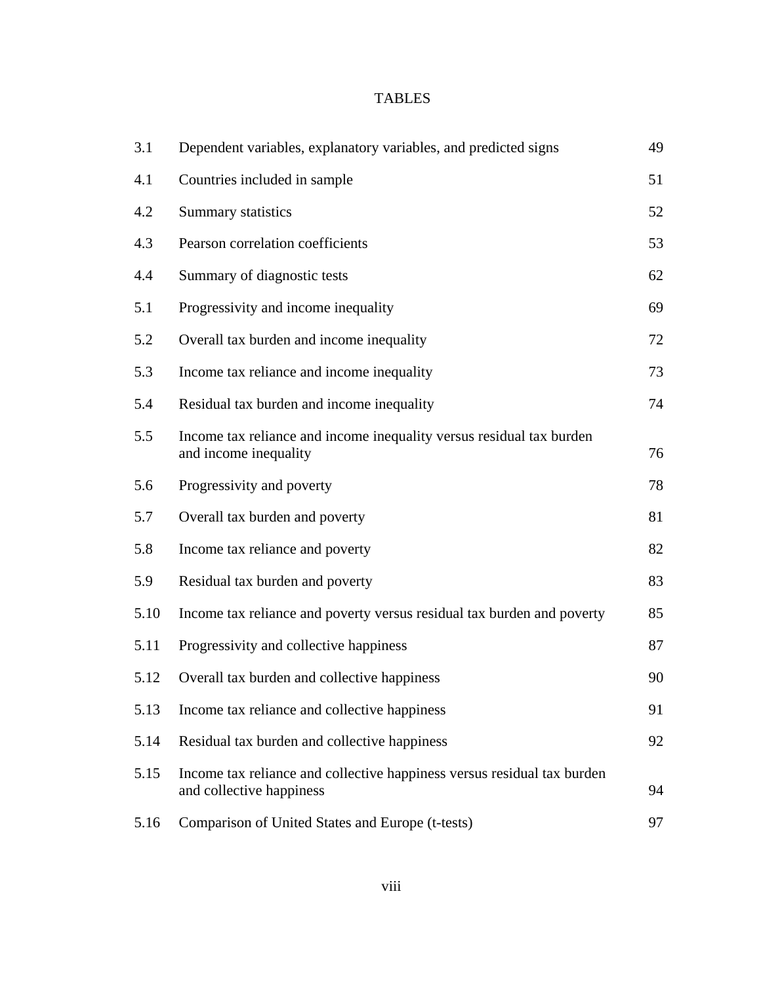# TABLES

| 3.1  | Dependent variables, explanatory variables, and predicted signs                                     | 49 |
|------|-----------------------------------------------------------------------------------------------------|----|
| 4.1  | Countries included in sample                                                                        | 51 |
| 4.2  | Summary statistics                                                                                  | 52 |
| 4.3  | Pearson correlation coefficients                                                                    | 53 |
| 4.4  | Summary of diagnostic tests                                                                         | 62 |
| 5.1  | Progressivity and income inequality                                                                 | 69 |
| 5.2  | Overall tax burden and income inequality                                                            | 72 |
| 5.3  | Income tax reliance and income inequality                                                           | 73 |
| 5.4  | Residual tax burden and income inequality                                                           | 74 |
| 5.5  | Income tax reliance and income inequality versus residual tax burden<br>and income inequality       | 76 |
| 5.6  | Progressivity and poverty                                                                           | 78 |
| 5.7  | Overall tax burden and poverty                                                                      | 81 |
| 5.8  | Income tax reliance and poverty                                                                     | 82 |
| 5.9  | Residual tax burden and poverty                                                                     | 83 |
| 5.10 | Income tax reliance and poverty versus residual tax burden and poverty                              | 85 |
| 5.11 | Progressivity and collective happiness                                                              | 87 |
| 5.12 | Overall tax burden and collective happiness                                                         | 90 |
| 5.13 | Income tax reliance and collective happiness                                                        | 91 |
| 5.14 | Residual tax burden and collective happiness                                                        | 92 |
| 5.15 | Income tax reliance and collective happiness versus residual tax burden<br>and collective happiness | 94 |
| 5.16 | Comparison of United States and Europe (t-tests)                                                    | 97 |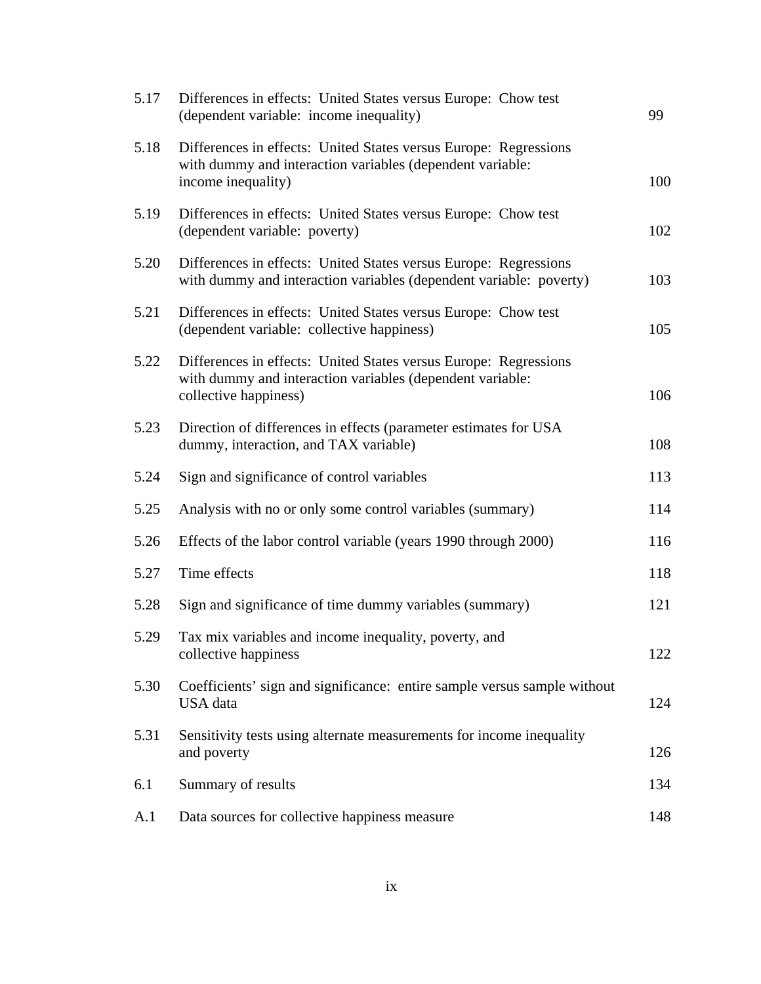| 5.17 | Differences in effects: United States versus Europe: Chow test<br>(dependent variable: income inequality)                                              | 99  |
|------|--------------------------------------------------------------------------------------------------------------------------------------------------------|-----|
| 5.18 | Differences in effects: United States versus Europe: Regressions<br>with dummy and interaction variables (dependent variable:<br>income inequality)    | 100 |
| 5.19 | Differences in effects: United States versus Europe: Chow test<br>(dependent variable: poverty)                                                        | 102 |
| 5.20 | Differences in effects: United States versus Europe: Regressions<br>with dummy and interaction variables (dependent variable: poverty)                 | 103 |
| 5.21 | Differences in effects: United States versus Europe: Chow test<br>(dependent variable: collective happiness)                                           | 105 |
| 5.22 | Differences in effects: United States versus Europe: Regressions<br>with dummy and interaction variables (dependent variable:<br>collective happiness) | 106 |
| 5.23 | Direction of differences in effects (parameter estimates for USA<br>dummy, interaction, and TAX variable)                                              | 108 |
| 5.24 | Sign and significance of control variables                                                                                                             | 113 |
| 5.25 | Analysis with no or only some control variables (summary)                                                                                              | 114 |
| 5.26 | Effects of the labor control variable (years 1990 through 2000)                                                                                        | 116 |
| 5.27 | Time effects                                                                                                                                           | 118 |
| 5.28 | Sign and significance of time dummy variables (summary)                                                                                                | 121 |
| 5.29 | Tax mix variables and income inequality, poverty, and<br>collective happiness                                                                          | 122 |
| 5.30 | Coefficients' sign and significance: entire sample versus sample without<br><b>USA</b> data                                                            | 124 |
| 5.31 | Sensitivity tests using alternate measurements for income inequality<br>and poverty                                                                    | 126 |
| 6.1  | Summary of results                                                                                                                                     | 134 |
| A.1  | Data sources for collective happiness measure                                                                                                          | 148 |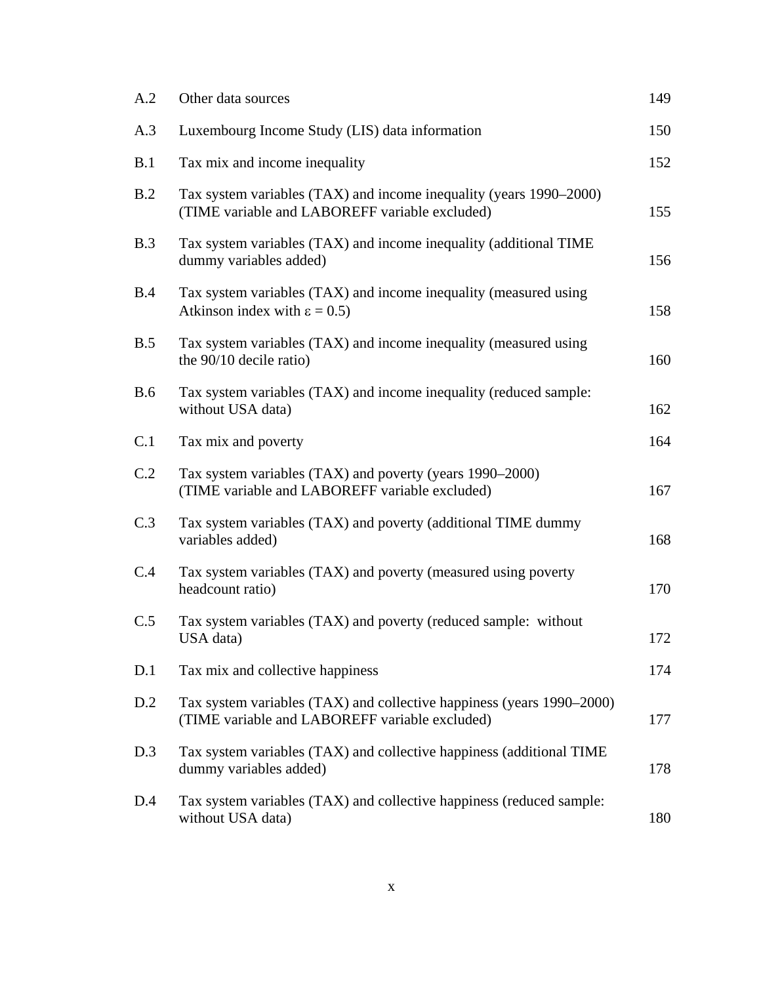| A.2        | Other data sources                                                                                                      | 149 |
|------------|-------------------------------------------------------------------------------------------------------------------------|-----|
| A.3        | Luxembourg Income Study (LIS) data information                                                                          | 150 |
| B.1        | Tax mix and income inequality                                                                                           | 152 |
| B.2        | Tax system variables (TAX) and income inequality (years 1990–2000)<br>(TIME variable and LABOREFF variable excluded)    | 155 |
| B.3        | Tax system variables (TAX) and income inequality (additional TIME<br>dummy variables added)                             | 156 |
| B.4        | Tax system variables (TAX) and income inequality (measured using<br>Atkinson index with $\epsilon = 0.5$ )              | 158 |
| B.5        | Tax system variables (TAX) and income inequality (measured using<br>the 90/10 decile ratio)                             | 160 |
| <b>B.6</b> | Tax system variables (TAX) and income inequality (reduced sample:<br>without USA data)                                  | 162 |
| C.1        | Tax mix and poverty                                                                                                     | 164 |
| C.2        | Tax system variables (TAX) and poverty (years 1990–2000)<br>(TIME variable and LABOREFF variable excluded)              | 167 |
| C.3        | Tax system variables (TAX) and poverty (additional TIME dummy<br>variables added)                                       | 168 |
| C.4        | Tax system variables (TAX) and poverty (measured using poverty<br>headcount ratio)                                      | 170 |
| C.5        | Tax system variables (TAX) and poverty (reduced sample: without<br>USA data)                                            | 172 |
| D.1        | Tax mix and collective happiness                                                                                        | 174 |
| D.2        | Tax system variables (TAX) and collective happiness (years 1990–2000)<br>(TIME variable and LABOREFF variable excluded) | 177 |
| D.3        | Tax system variables (TAX) and collective happiness (additional TIME<br>dummy variables added)                          | 178 |
| D.4        | Tax system variables (TAX) and collective happiness (reduced sample:<br>without USA data)                               | 180 |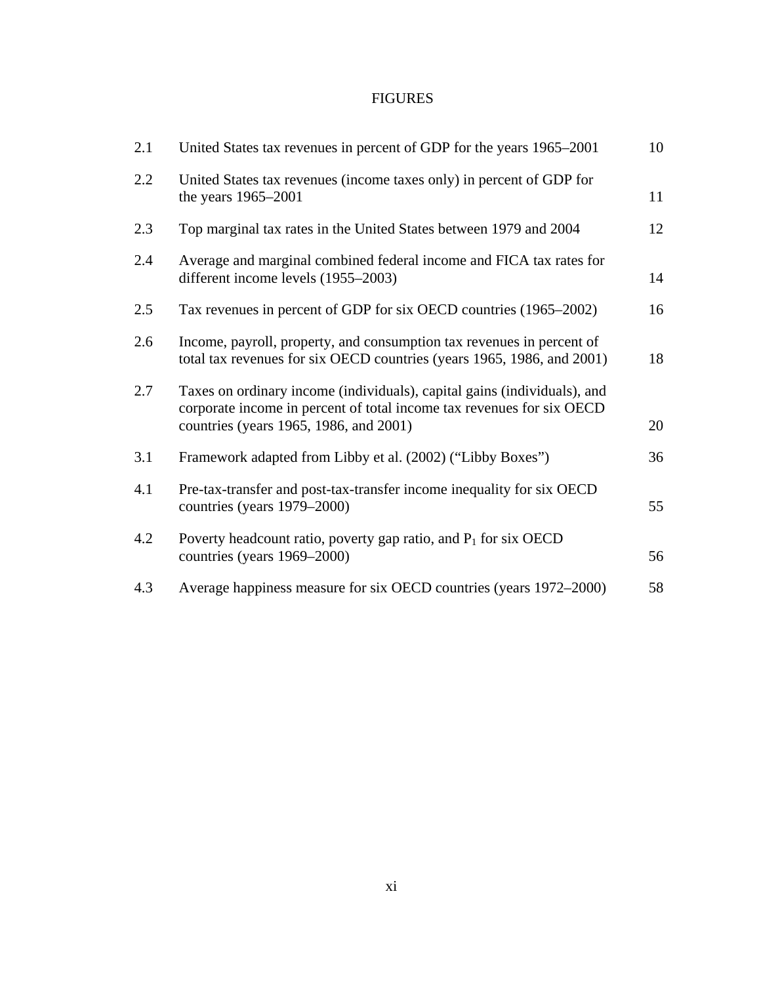# FIGURES

| 2.1 | United States tax revenues in percent of GDP for the years 1965-2001                                                                                                                        | 10 |
|-----|---------------------------------------------------------------------------------------------------------------------------------------------------------------------------------------------|----|
| 2.2 | United States tax revenues (income taxes only) in percent of GDP for<br>the years 1965–2001                                                                                                 | 11 |
| 2.3 | Top marginal tax rates in the United States between 1979 and 2004                                                                                                                           | 12 |
| 2.4 | Average and marginal combined federal income and FICA tax rates for<br>different income levels (1955–2003)                                                                                  | 14 |
| 2.5 | Tax revenues in percent of GDP for six OECD countries (1965–2002)                                                                                                                           | 16 |
| 2.6 | Income, payroll, property, and consumption tax revenues in percent of<br>total tax revenues for six OECD countries (years 1965, 1986, and 2001)                                             | 18 |
| 2.7 | Taxes on ordinary income (individuals), capital gains (individuals), and<br>corporate income in percent of total income tax revenues for six OECD<br>countries (years 1965, 1986, and 2001) | 20 |
| 3.1 | Framework adapted from Libby et al. (2002) ("Libby Boxes")                                                                                                                                  | 36 |
| 4.1 | Pre-tax-transfer and post-tax-transfer income inequality for six OECD<br>countries (years 1979–2000)                                                                                        | 55 |
| 4.2 | Poverty headcount ratio, poverty gap ratio, and $P_1$ for six OECD<br>countries (years 1969–2000)                                                                                           | 56 |
| 4.3 | Average happiness measure for six OECD countries (years 1972–2000)                                                                                                                          | 58 |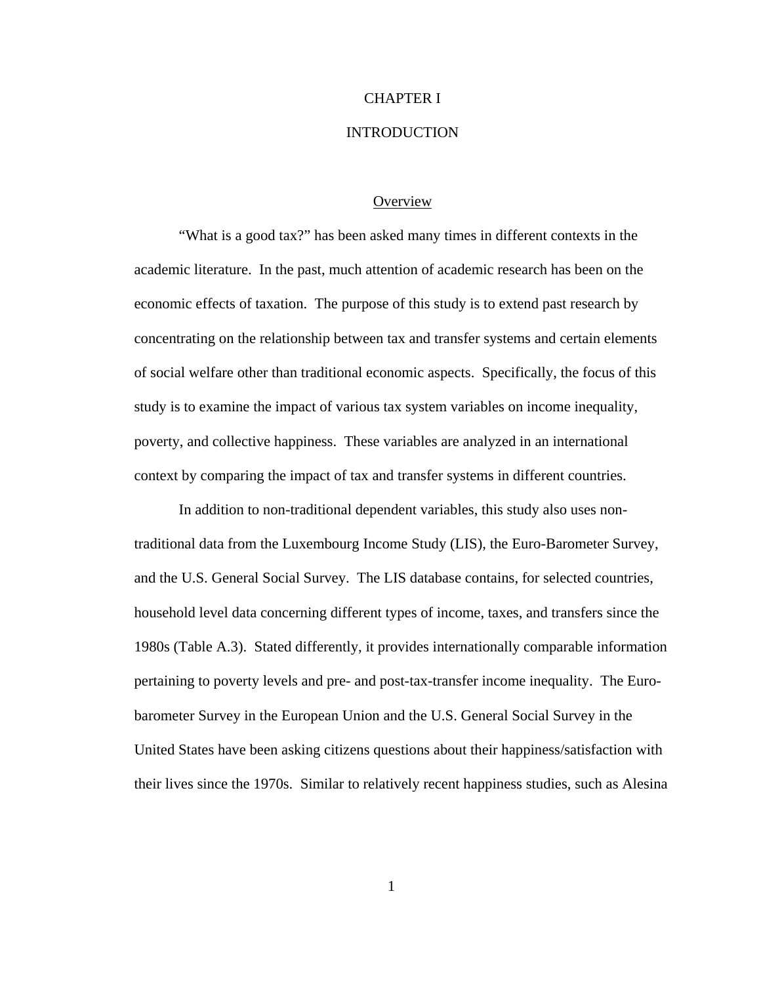## CHAPTER I

## INTRODUCTION

#### **Overview**

"What is a good tax?" has been asked many times in different contexts in the academic literature. In the past, much attention of academic research has been on the economic effects of taxation. The purpose of this study is to extend past research by concentrating on the relationship between tax and transfer systems and certain elements of social welfare other than traditional economic aspects. Specifically, the focus of this study is to examine the impact of various tax system variables on income inequality, poverty, and collective happiness. These variables are analyzed in an international context by comparing the impact of tax and transfer systems in different countries.

In addition to non-traditional dependent variables, this study also uses nontraditional data from the Luxembourg Income Study (LIS), the Euro-Barometer Survey, and the U.S. General Social Survey. The LIS database contains, for selected countries, household level data concerning different types of income, taxes, and transfers since the 1980s (Table A.3). Stated differently, it provides internationally comparable information pertaining to poverty levels and pre- and post-tax-transfer income inequality. The Eurobarometer Survey in the European Union and the U.S. General Social Survey in the United States have been asking citizens questions about their happiness/satisfaction with their lives since the 1970s. Similar to relatively recent happiness studies, such as Alesina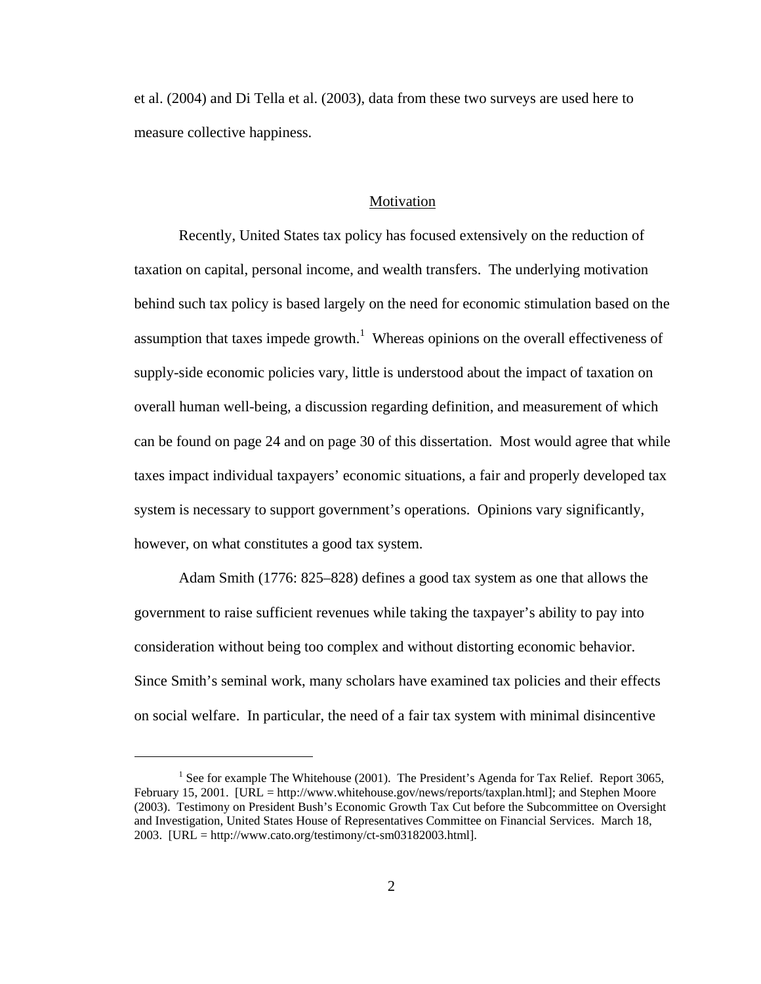et al. (2004) and Di Tella et al. (2003), data from these two surveys are used here to measure collective happiness.

#### Motivation

Recently, United States tax policy has focused extensively on the reduction of taxation on capital, personal income, and wealth transfers. The underlying motivation behind such tax policy is based largely on the need for economic stimulation based on the assumption that taxes impede growth.<sup>1</sup> Whereas opinions on the overall effectiveness of supply-side economic policies vary, little is understood about the impact of taxation on overall human well-being, a discussion regarding definition, and measurement of which can be found on page 24 and on page 30 of this dissertation. Most would agree that while taxes impact individual taxpayers' economic situations, a fair and properly developed tax system is necessary to support government's operations. Opinions vary significantly, however, on what constitutes a good tax system.

Adam Smith (1776: 825–828) defines a good tax system as one that allows the government to raise sufficient revenues while taking the taxpayer's ability to pay into consideration without being too complex and without distorting economic behavior. Since Smith's seminal work, many scholars have examined tax policies and their effects on social welfare. In particular, the need of a fair tax system with minimal disincentive

 $\overline{a}$ 

<sup>&</sup>lt;sup>1</sup> See for example The Whitehouse (2001). The President's Agenda for Tax Relief. Report 3065, February 15, 2001. [URL = http://www.whitehouse.gov/news/reports/taxplan.html]; and Stephen Moore (2003). Testimony on President Bush's Economic Growth Tax Cut before the Subcommittee on Oversight and Investigation, United States House of Representatives Committee on Financial Services. March 18, 2003. [URL = http://www.cato.org/testimony/ct-sm03182003.html].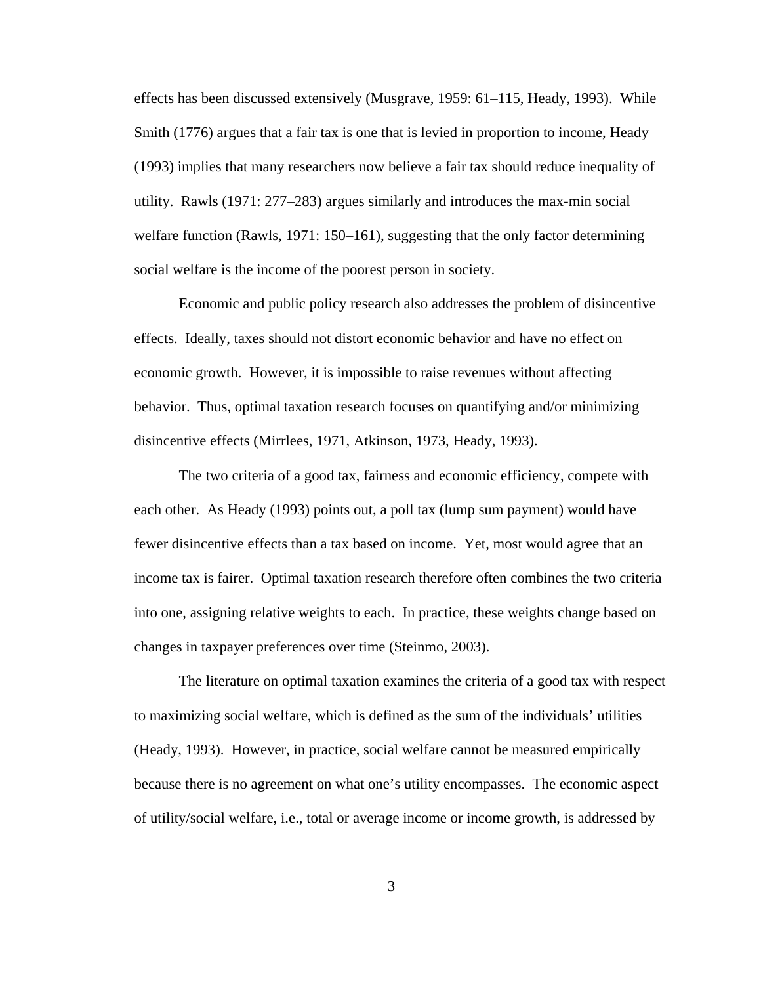effects has been discussed extensively (Musgrave, 1959: 61–115, Heady, 1993). While Smith (1776) argues that a fair tax is one that is levied in proportion to income, Heady (1993) implies that many researchers now believe a fair tax should reduce inequality of utility. Rawls (1971: 277–283) argues similarly and introduces the max-min social welfare function (Rawls, 1971: 150–161), suggesting that the only factor determining social welfare is the income of the poorest person in society.

Economic and public policy research also addresses the problem of disincentive effects. Ideally, taxes should not distort economic behavior and have no effect on economic growth. However, it is impossible to raise revenues without affecting behavior. Thus, optimal taxation research focuses on quantifying and/or minimizing disincentive effects (Mirrlees, 1971, Atkinson, 1973, Heady, 1993).

The two criteria of a good tax, fairness and economic efficiency, compete with each other. As Heady (1993) points out, a poll tax (lump sum payment) would have fewer disincentive effects than a tax based on income. Yet, most would agree that an income tax is fairer. Optimal taxation research therefore often combines the two criteria into one, assigning relative weights to each. In practice, these weights change based on changes in taxpayer preferences over time (Steinmo, 2003).

The literature on optimal taxation examines the criteria of a good tax with respect to maximizing social welfare, which is defined as the sum of the individuals' utilities (Heady, 1993). However, in practice, social welfare cannot be measured empirically because there is no agreement on what one's utility encompasses. The economic aspect of utility/social welfare, i.e., total or average income or income growth, is addressed by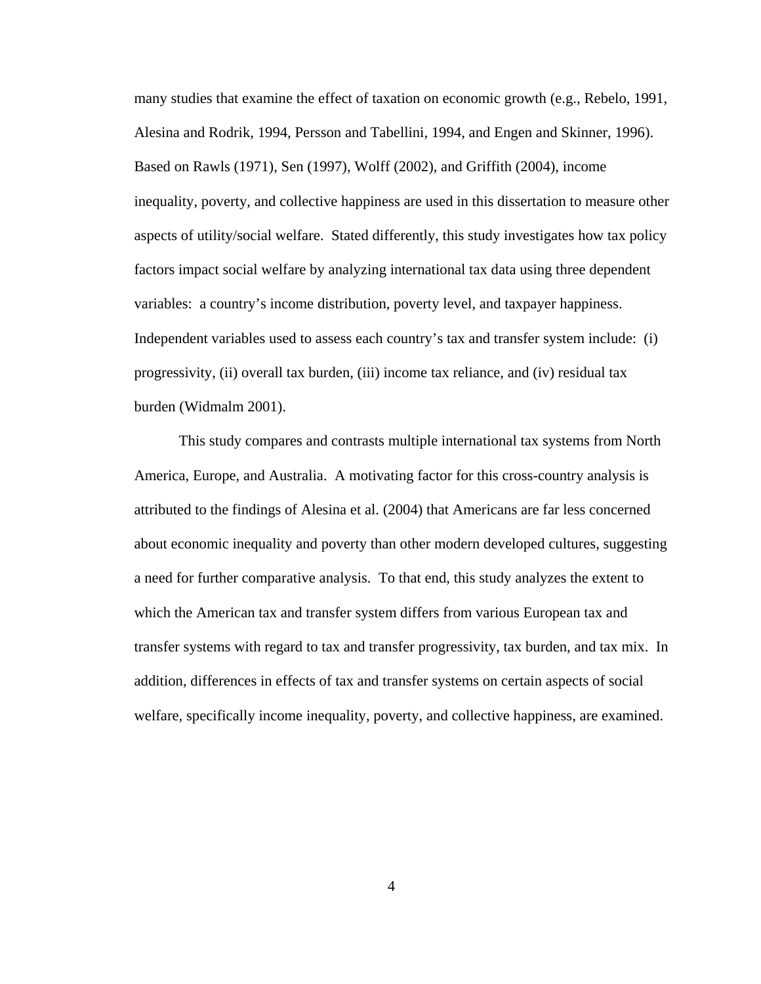many studies that examine the effect of taxation on economic growth (e.g., Rebelo, 1991, Alesina and Rodrik, 1994, Persson and Tabellini, 1994, and Engen and Skinner, 1996). Based on Rawls (1971), Sen (1997), Wolff (2002), and Griffith (2004), income inequality, poverty, and collective happiness are used in this dissertation to measure other aspects of utility/social welfare. Stated differently, this study investigates how tax policy factors impact social welfare by analyzing international tax data using three dependent variables: a country's income distribution, poverty level, and taxpayer happiness. Independent variables used to assess each country's tax and transfer system include: (i) progressivity, (ii) overall tax burden, (iii) income tax reliance, and (iv) residual tax burden (Widmalm 2001).

This study compares and contrasts multiple international tax systems from North America, Europe, and Australia. A motivating factor for this cross-country analysis is attributed to the findings of Alesina et al. (2004) that Americans are far less concerned about economic inequality and poverty than other modern developed cultures, suggesting a need for further comparative analysis. To that end, this study analyzes the extent to which the American tax and transfer system differs from various European tax and transfer systems with regard to tax and transfer progressivity, tax burden, and tax mix. In addition, differences in effects of tax and transfer systems on certain aspects of social welfare, specifically income inequality, poverty, and collective happiness, are examined.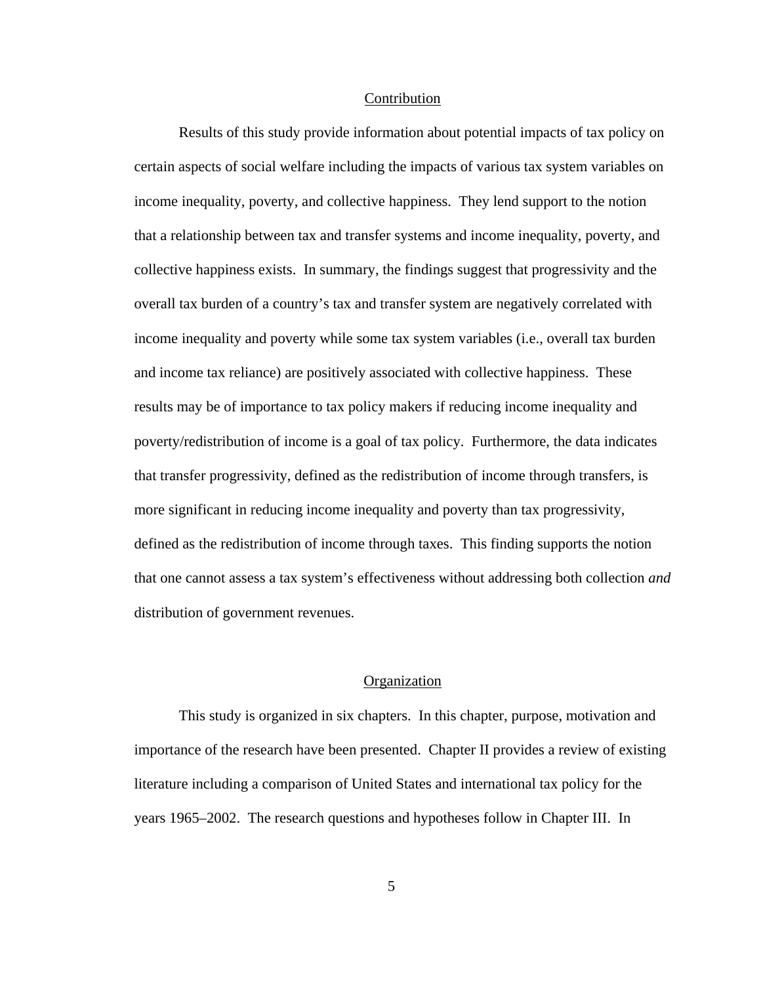#### Contribution

Results of this study provide information about potential impacts of tax policy on certain aspects of social welfare including the impacts of various tax system variables on income inequality, poverty, and collective happiness. They lend support to the notion that a relationship between tax and transfer systems and income inequality, poverty, and collective happiness exists. In summary, the findings suggest that progressivity and the overall tax burden of a country's tax and transfer system are negatively correlated with income inequality and poverty while some tax system variables (i.e., overall tax burden and income tax reliance) are positively associated with collective happiness. These results may be of importance to tax policy makers if reducing income inequality and poverty/redistribution of income is a goal of tax policy. Furthermore, the data indicates that transfer progressivity, defined as the redistribution of income through transfers, is more significant in reducing income inequality and poverty than tax progressivity, defined as the redistribution of income through taxes. This finding supports the notion that one cannot assess a tax system's effectiveness without addressing both collection *and* distribution of government revenues.

## **Organization**

This study is organized in six chapters. In this chapter, purpose, motivation and importance of the research have been presented. Chapter II provides a review of existing literature including a comparison of United States and international tax policy for the years 1965–2002. The research questions and hypotheses follow in Chapter III. In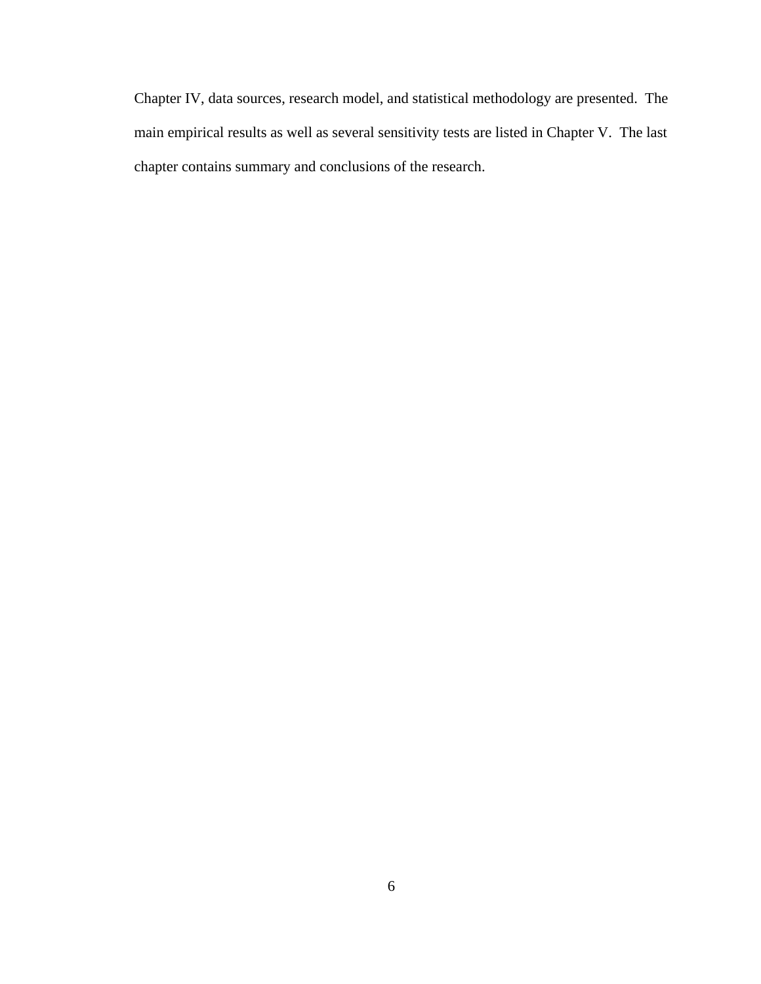Chapter IV, data sources, research model, and statistical methodology are presented. The main empirical results as well as several sensitivity tests are listed in Chapter V. The last chapter contains summary and conclusions of the research.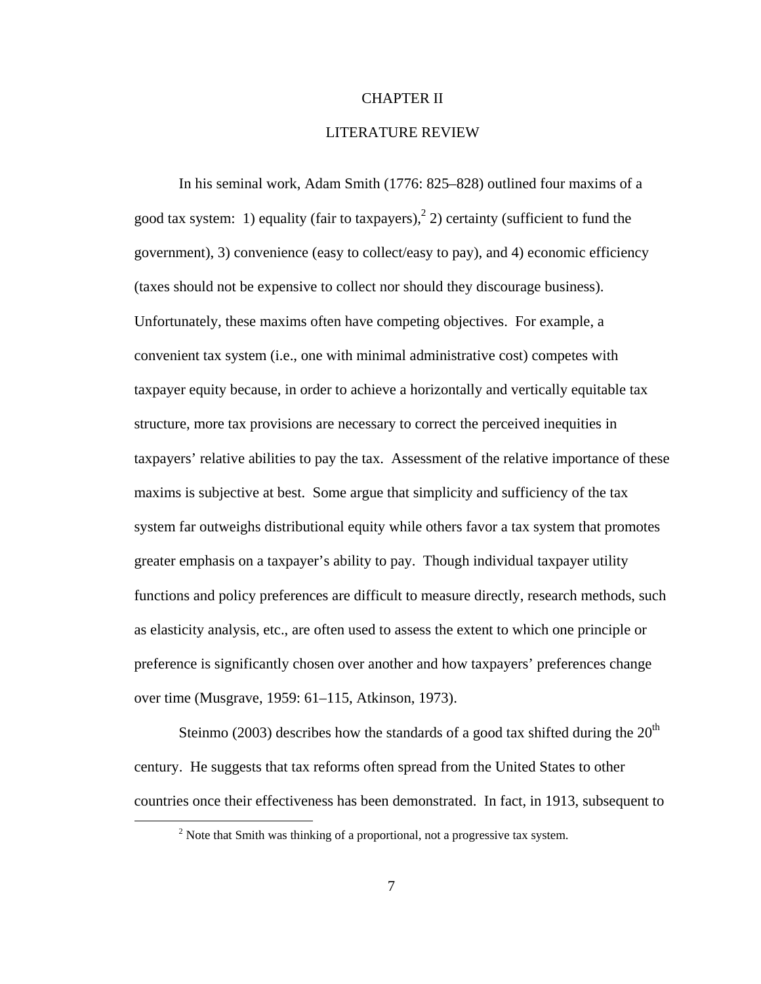## CHAPTER II

## LITERATURE REVIEW

In his seminal work, Adam Smith (1776: 825–828) outlined four maxims of a good tax system: 1) equality (fair to taxpayers),  $2$ ) certainty (sufficient to fund the government), 3) convenience (easy to collect/easy to pay), and 4) economic efficiency (taxes should not be expensive to collect nor should they discourage business). Unfortunately, these maxims often have competing objectives. For example, a convenient tax system (i.e., one with minimal administrative cost) competes with taxpayer equity because, in order to achieve a horizontally and vertically equitable tax structure, more tax provisions are necessary to correct the perceived inequities in taxpayers' relative abilities to pay the tax. Assessment of the relative importance of these maxims is subjective at best. Some argue that simplicity and sufficiency of the tax system far outweighs distributional equity while others favor a tax system that promotes greater emphasis on a taxpayer's ability to pay. Though individual taxpayer utility functions and policy preferences are difficult to measure directly, research methods, such as elasticity analysis, etc., are often used to assess the extent to which one principle or preference is significantly chosen over another and how taxpayers' preferences change over time (Musgrave, 1959: 61–115, Atkinson, 1973).

Steinmo (2003) describes how the standards of a good tax shifted during the  $20<sup>th</sup>$ century. He suggests that tax reforms often spread from the United States to other countries once their effectiveness has been demonstrated. In fact, in 1913, subsequent to

 $\frac{1}{2}$  $\frac{1}{2}$  Note that Smith was thinking of a proportional, not a progressive tax system.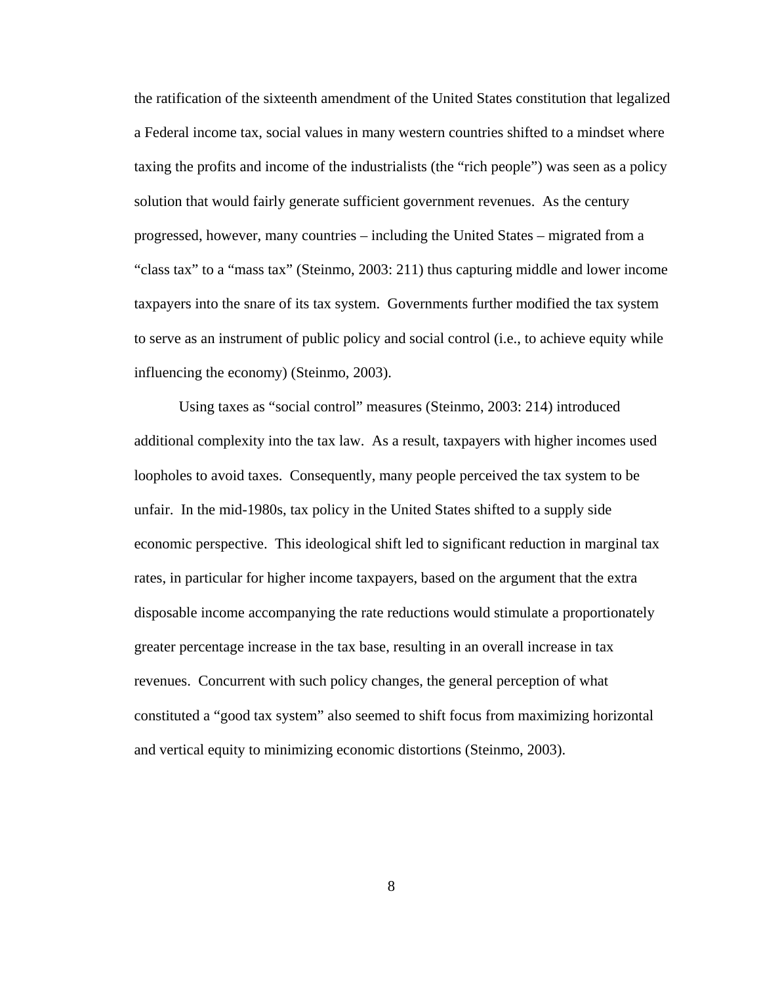the ratification of the sixteenth amendment of the United States constitution that legalized a Federal income tax, social values in many western countries shifted to a mindset where taxing the profits and income of the industrialists (the "rich people") was seen as a policy solution that would fairly generate sufficient government revenues. As the century progressed, however, many countries – including the United States – migrated from a "class tax" to a "mass tax" (Steinmo, 2003: 211) thus capturing middle and lower income taxpayers into the snare of its tax system. Governments further modified the tax system to serve as an instrument of public policy and social control (i.e., to achieve equity while influencing the economy) (Steinmo, 2003).

Using taxes as "social control" measures (Steinmo, 2003: 214) introduced additional complexity into the tax law. As a result, taxpayers with higher incomes used loopholes to avoid taxes. Consequently, many people perceived the tax system to be unfair. In the mid-1980s, tax policy in the United States shifted to a supply side economic perspective. This ideological shift led to significant reduction in marginal tax rates, in particular for higher income taxpayers, based on the argument that the extra disposable income accompanying the rate reductions would stimulate a proportionately greater percentage increase in the tax base, resulting in an overall increase in tax revenues. Concurrent with such policy changes, the general perception of what constituted a "good tax system" also seemed to shift focus from maximizing horizontal and vertical equity to minimizing economic distortions (Steinmo, 2003).

8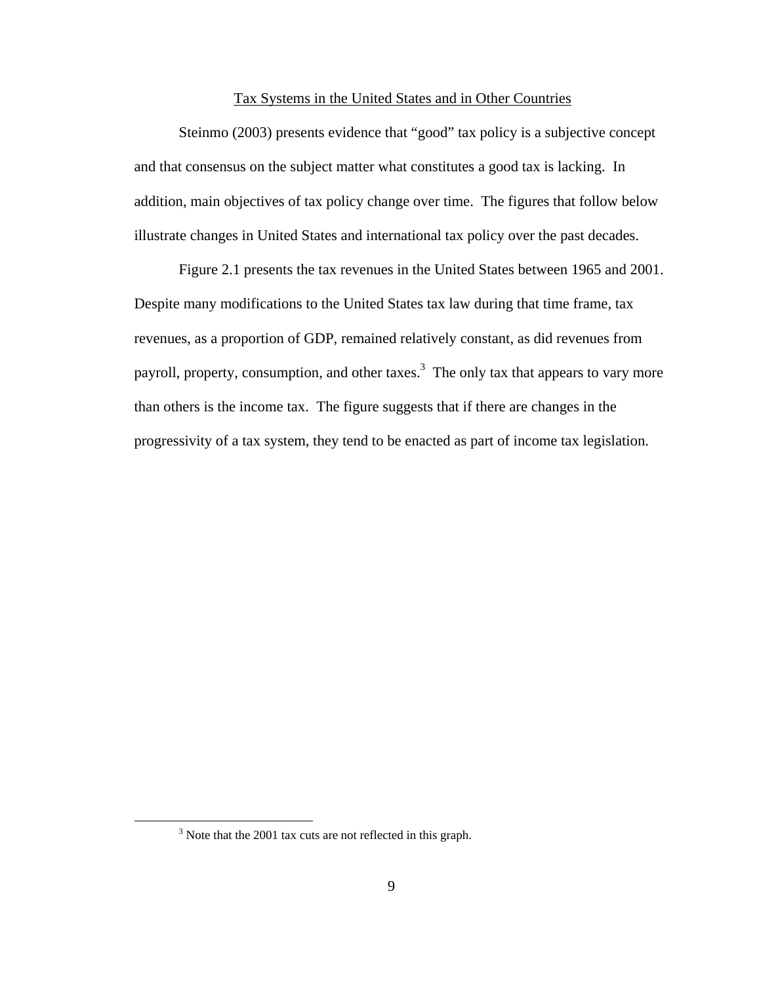## Tax Systems in the United States and in Other Countries

Steinmo (2003) presents evidence that "good" tax policy is a subjective concept and that consensus on the subject matter what constitutes a good tax is lacking. In addition, main objectives of tax policy change over time. The figures that follow below illustrate changes in United States and international tax policy over the past decades.

Figure 2.1 presents the tax revenues in the United States between 1965 and 2001. Despite many modifications to the United States tax law during that time frame, tax revenues, as a proportion of GDP, remained relatively constant, as did revenues from payroll, property, consumption, and other taxes.<sup>3</sup> The only tax that appears to vary more than others is the income tax. The figure suggests that if there are changes in the progressivity of a tax system, they tend to be enacted as part of income tax legislation.

 <sup>3</sup>  $3$  Note that the 2001 tax cuts are not reflected in this graph.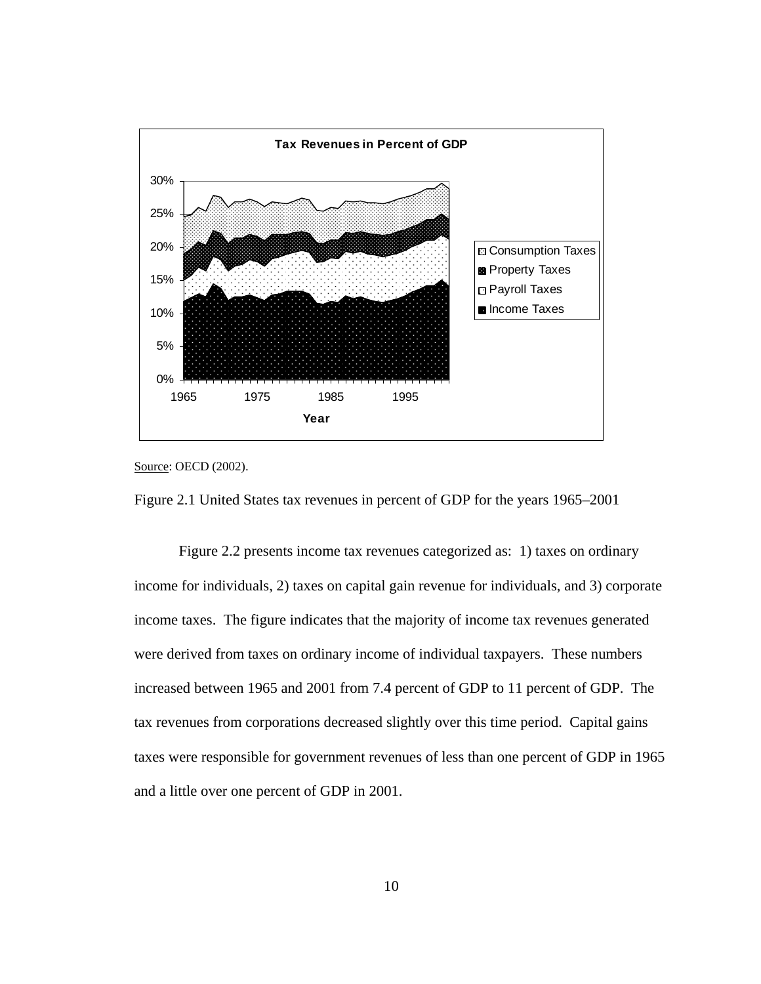





Figure 2.2 presents income tax revenues categorized as: 1) taxes on ordinary income for individuals, 2) taxes on capital gain revenue for individuals, and 3) corporate income taxes. The figure indicates that the majority of income tax revenues generated were derived from taxes on ordinary income of individual taxpayers. These numbers increased between 1965 and 2001 from 7.4 percent of GDP to 11 percent of GDP. The tax revenues from corporations decreased slightly over this time period. Capital gains taxes were responsible for government revenues of less than one percent of GDP in 1965 and a little over one percent of GDP in 2001.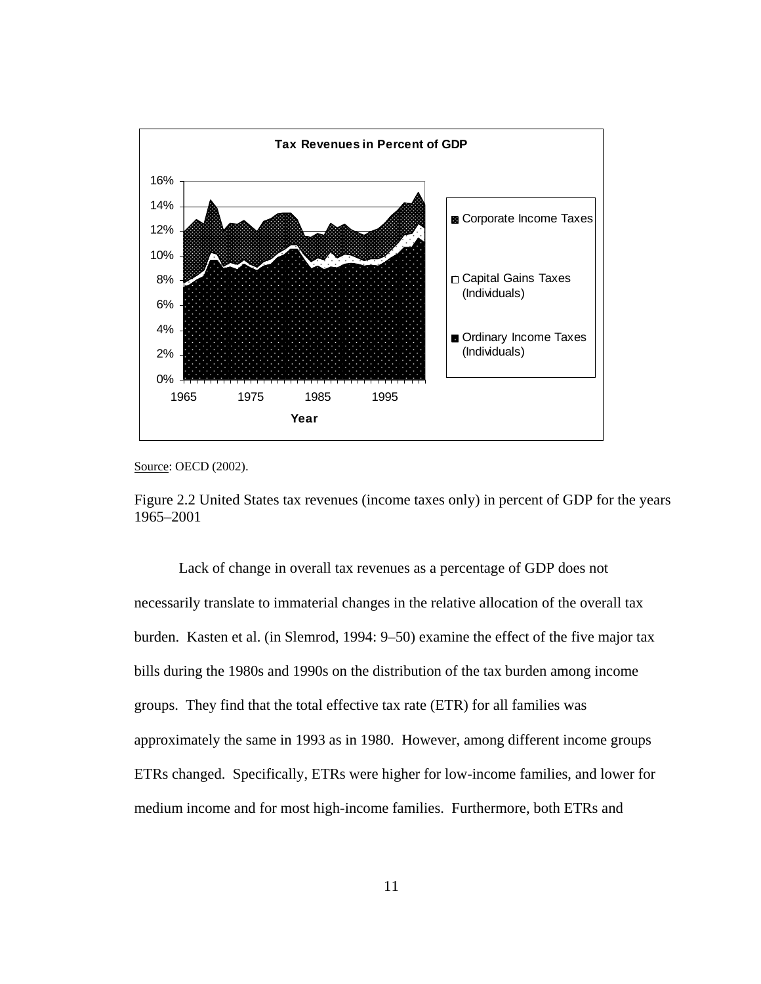

Source: OECD (2002).

Figure 2.2 United States tax revenues (income taxes only) in percent of GDP for the years 1965–2001

Lack of change in overall tax revenues as a percentage of GDP does not necessarily translate to immaterial changes in the relative allocation of the overall tax burden. Kasten et al. (in Slemrod, 1994: 9–50) examine the effect of the five major tax bills during the 1980s and 1990s on the distribution of the tax burden among income groups. They find that the total effective tax rate (ETR) for all families was approximately the same in 1993 as in 1980. However, among different income groups ETRs changed. Specifically, ETRs were higher for low-income families, and lower for medium income and for most high-income families. Furthermore, both ETRs and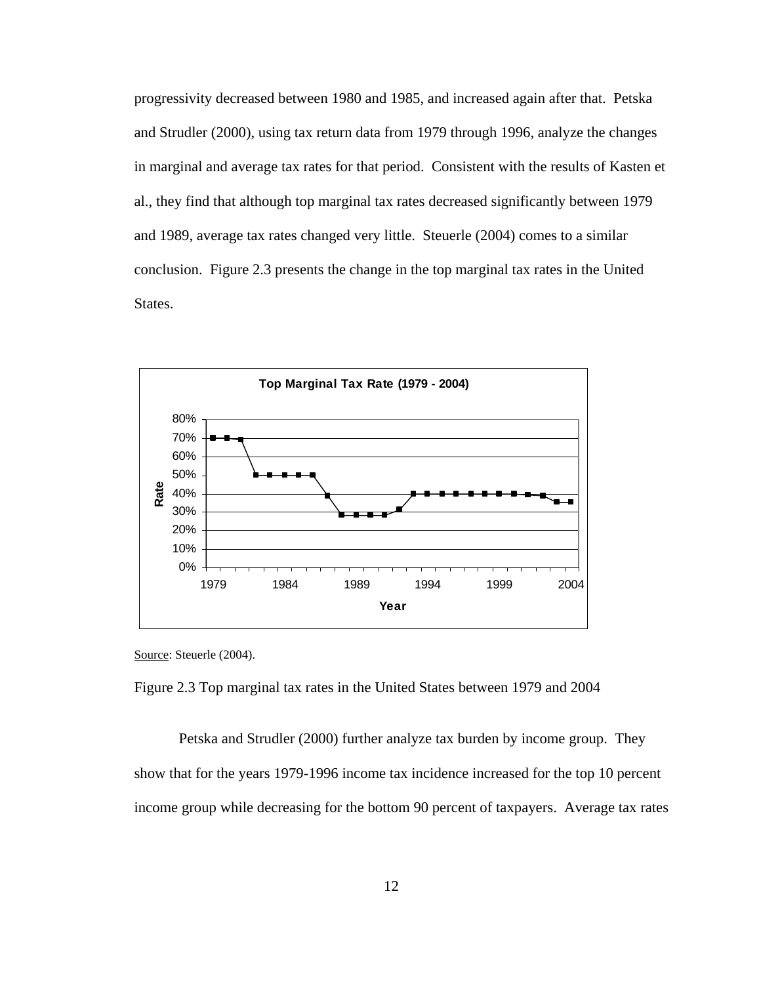progressivity decreased between 1980 and 1985, and increased again after that. Petska and Strudler (2000), using tax return data from 1979 through 1996, analyze the changes in marginal and average tax rates for that period. Consistent with the results of Kasten et al., they find that although top marginal tax rates decreased significantly between 1979 and 1989, average tax rates changed very little. Steuerle (2004) comes to a similar conclusion. Figure 2.3 presents the change in the top marginal tax rates in the United States.



Source: Steuerle (2004).

Figure 2.3 Top marginal tax rates in the United States between 1979 and 2004

Petska and Strudler (2000) further analyze tax burden by income group. They show that for the years 1979-1996 income tax incidence increased for the top 10 percent income group while decreasing for the bottom 90 percent of taxpayers. Average tax rates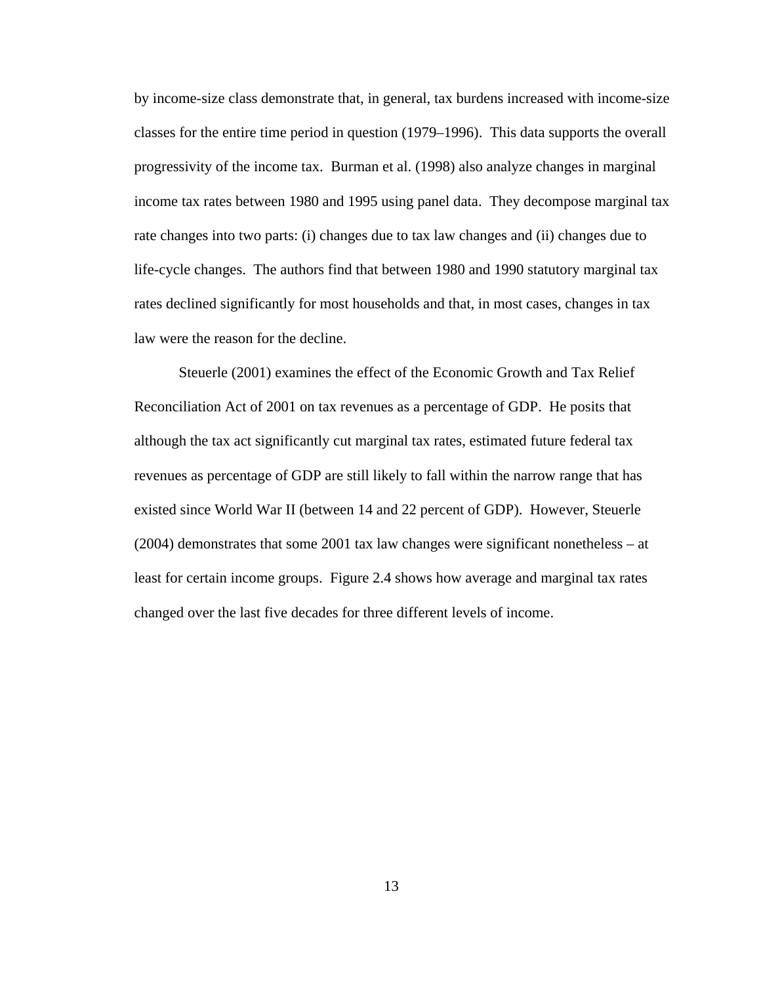by income-size class demonstrate that, in general, tax burdens increased with income-size classes for the entire time period in question (1979–1996). This data supports the overall progressivity of the income tax. Burman et al. (1998) also analyze changes in marginal income tax rates between 1980 and 1995 using panel data. They decompose marginal tax rate changes into two parts: (i) changes due to tax law changes and (ii) changes due to life-cycle changes. The authors find that between 1980 and 1990 statutory marginal tax rates declined significantly for most households and that, in most cases, changes in tax law were the reason for the decline.

Steuerle (2001) examines the effect of the Economic Growth and Tax Relief Reconciliation Act of 2001 on tax revenues as a percentage of GDP. He posits that although the tax act significantly cut marginal tax rates, estimated future federal tax revenues as percentage of GDP are still likely to fall within the narrow range that has existed since World War II (between 14 and 22 percent of GDP). However, Steuerle (2004) demonstrates that some 2001 tax law changes were significant nonetheless – at least for certain income groups. Figure 2.4 shows how average and marginal tax rates changed over the last five decades for three different levels of income.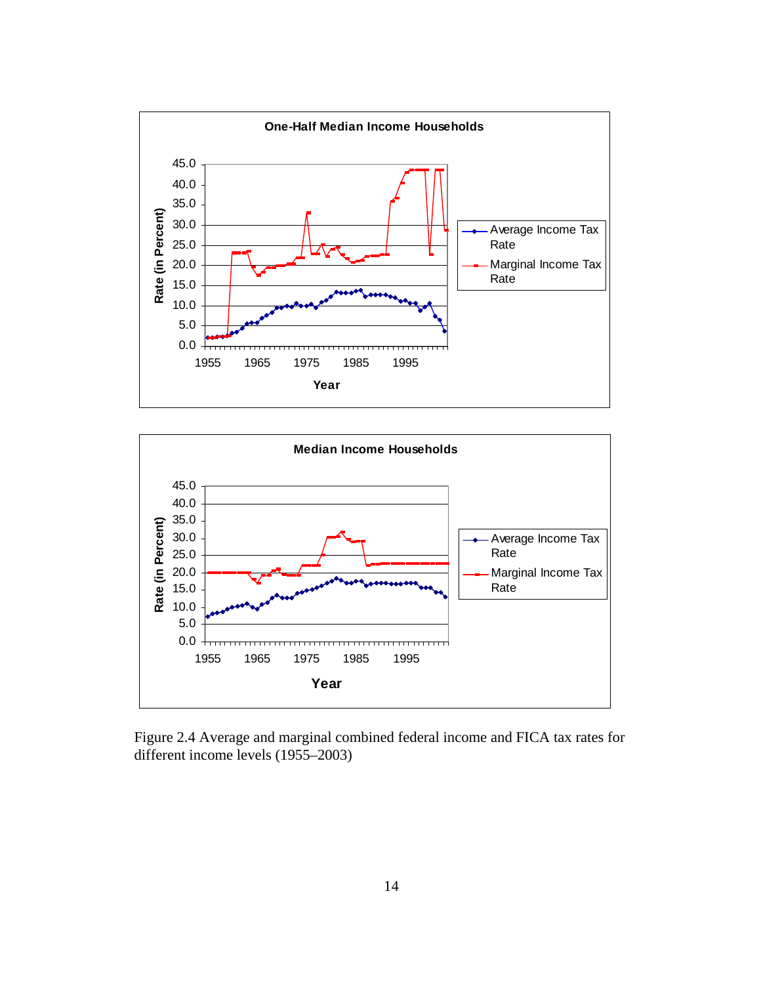



Figure 2.4 Average and marginal combined federal income and FICA tax rates for different income levels (1955–2003)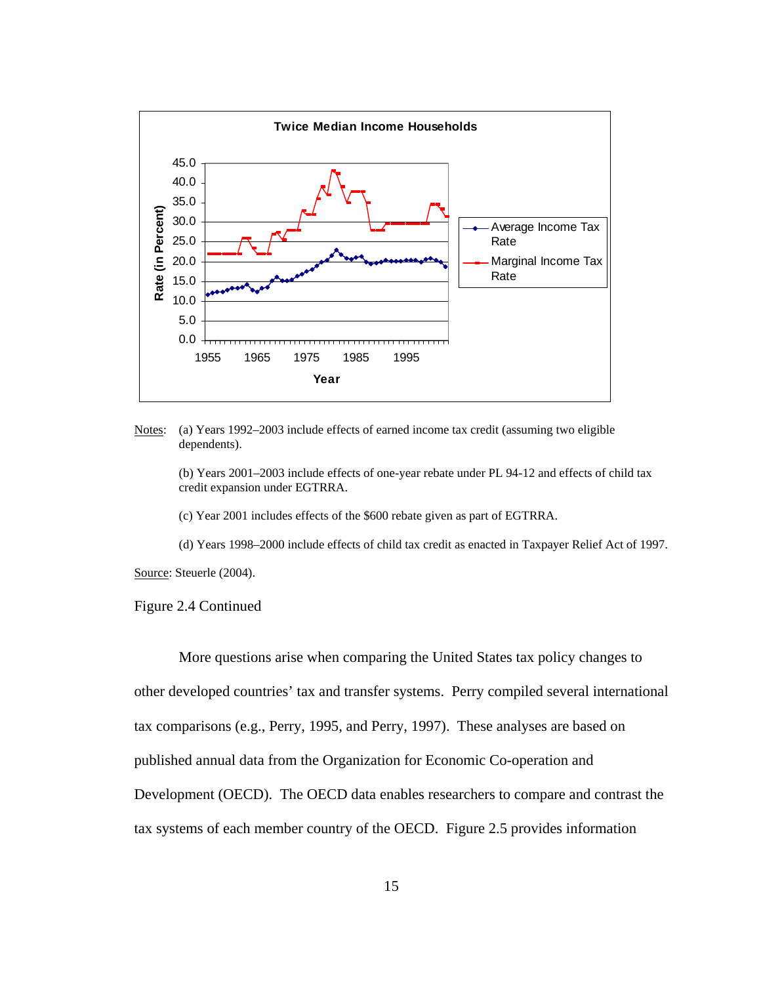

Notes: (a) Years 1992–2003 include effects of earned income tax credit (assuming two eligible dependents).

(b) Years 2001–2003 include effects of one-year rebate under PL 94-12 and effects of child tax credit expansion under EGTRRA.

(c) Year 2001 includes effects of the \$600 rebate given as part of EGTRRA.

(d) Years 1998–2000 include effects of child tax credit as enacted in Taxpayer Relief Act of 1997.

Source: Steuerle (2004).

#### Figure 2.4 Continued

More questions arise when comparing the United States tax policy changes to other developed countries' tax and transfer systems. Perry compiled several international tax comparisons (e.g., Perry, 1995, and Perry, 1997). These analyses are based on published annual data from the Organization for Economic Co-operation and Development (OECD). The OECD data enables researchers to compare and contrast the tax systems of each member country of the OECD. Figure 2.5 provides information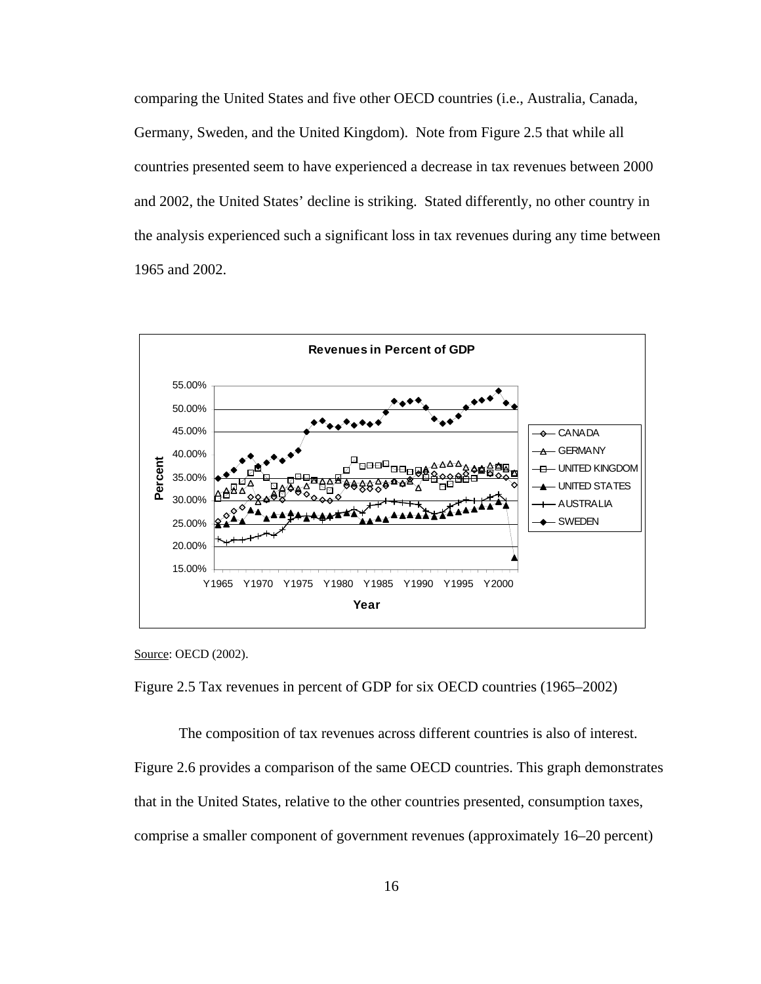comparing the United States and five other OECD countries (i.e., Australia, Canada, Germany, Sweden, and the United Kingdom). Note from Figure 2.5 that while all countries presented seem to have experienced a decrease in tax revenues between 2000 and 2002, the United States' decline is striking. Stated differently, no other country in the analysis experienced such a significant loss in tax revenues during any time between 1965 and 2002.



Source: OECD (2002).

Figure 2.5 Tax revenues in percent of GDP for six OECD countries (1965–2002)

The composition of tax revenues across different countries is also of interest.

Figure 2.6 provides a comparison of the same OECD countries. This graph demonstrates that in the United States, relative to the other countries presented, consumption taxes, comprise a smaller component of government revenues (approximately 16–20 percent)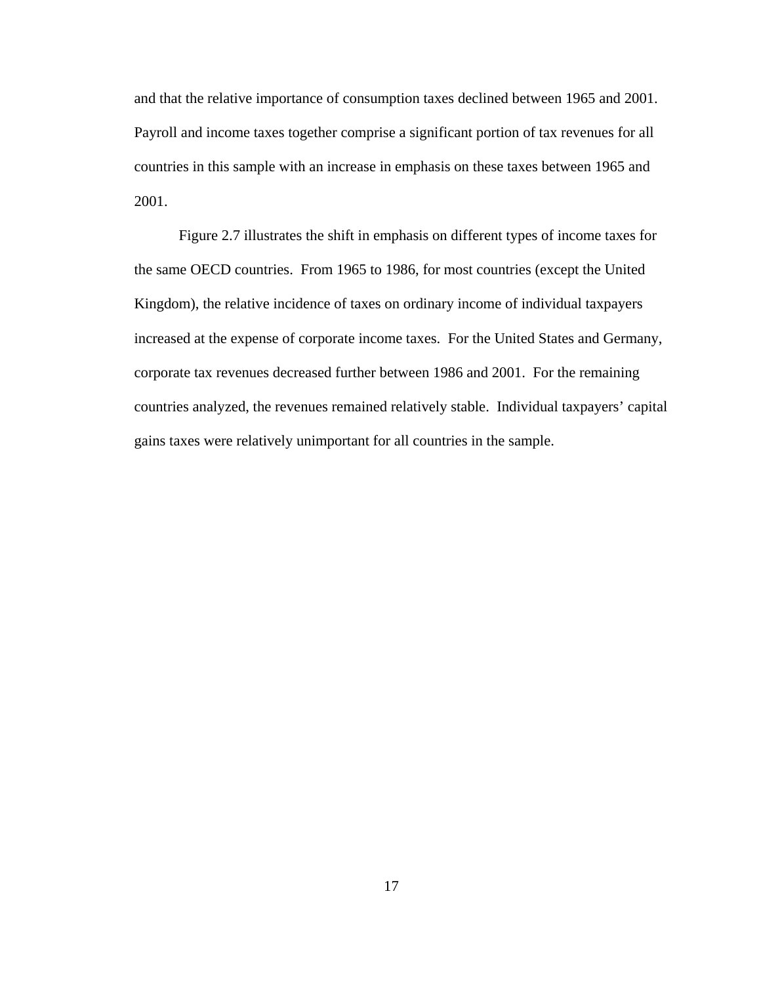and that the relative importance of consumption taxes declined between 1965 and 2001. Payroll and income taxes together comprise a significant portion of tax revenues for all countries in this sample with an increase in emphasis on these taxes between 1965 and 2001.

Figure 2.7 illustrates the shift in emphasis on different types of income taxes for the same OECD countries. From 1965 to 1986, for most countries (except the United Kingdom), the relative incidence of taxes on ordinary income of individual taxpayers increased at the expense of corporate income taxes. For the United States and Germany, corporate tax revenues decreased further between 1986 and 2001. For the remaining countries analyzed, the revenues remained relatively stable. Individual taxpayers' capital gains taxes were relatively unimportant for all countries in the sample.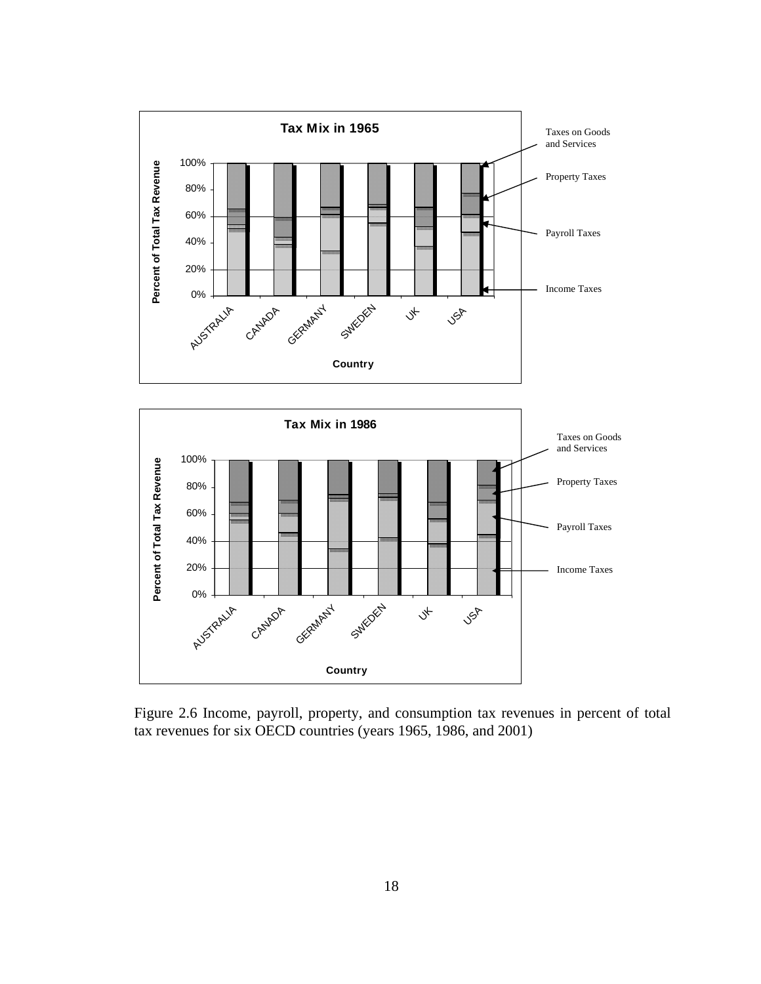



Figure 2.6 Income, payroll, property, and consumption tax revenues in percent of total tax revenues for six OECD countries (years 1965, 1986, and 2001)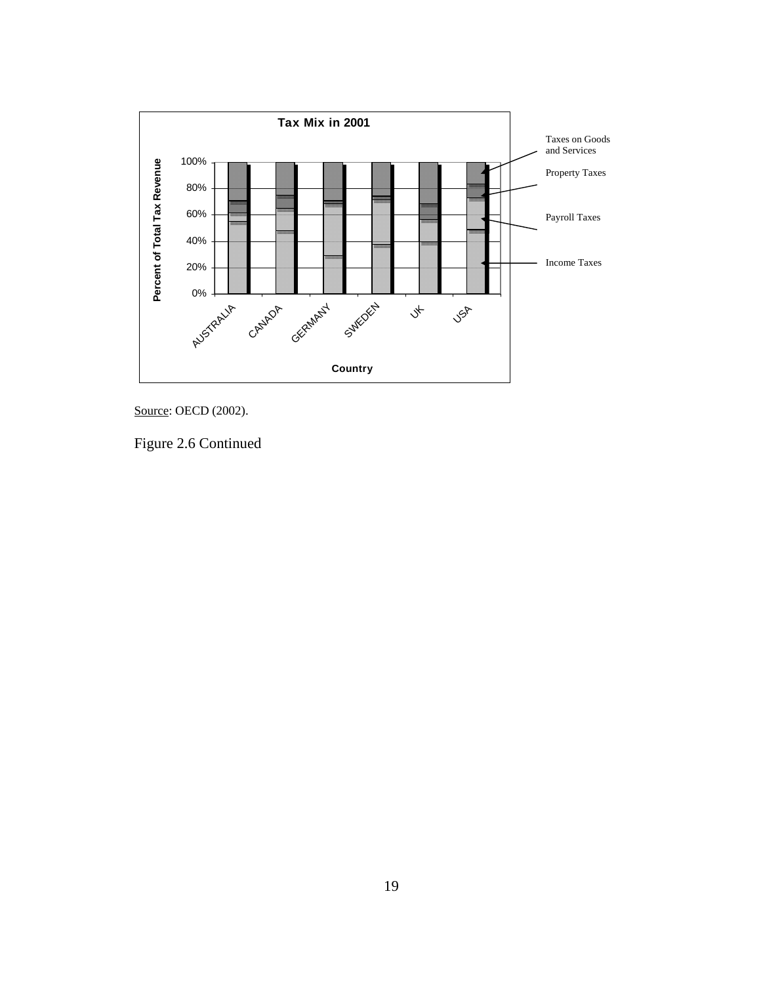

Source: OECD (2002).

Figure 2.6 Continued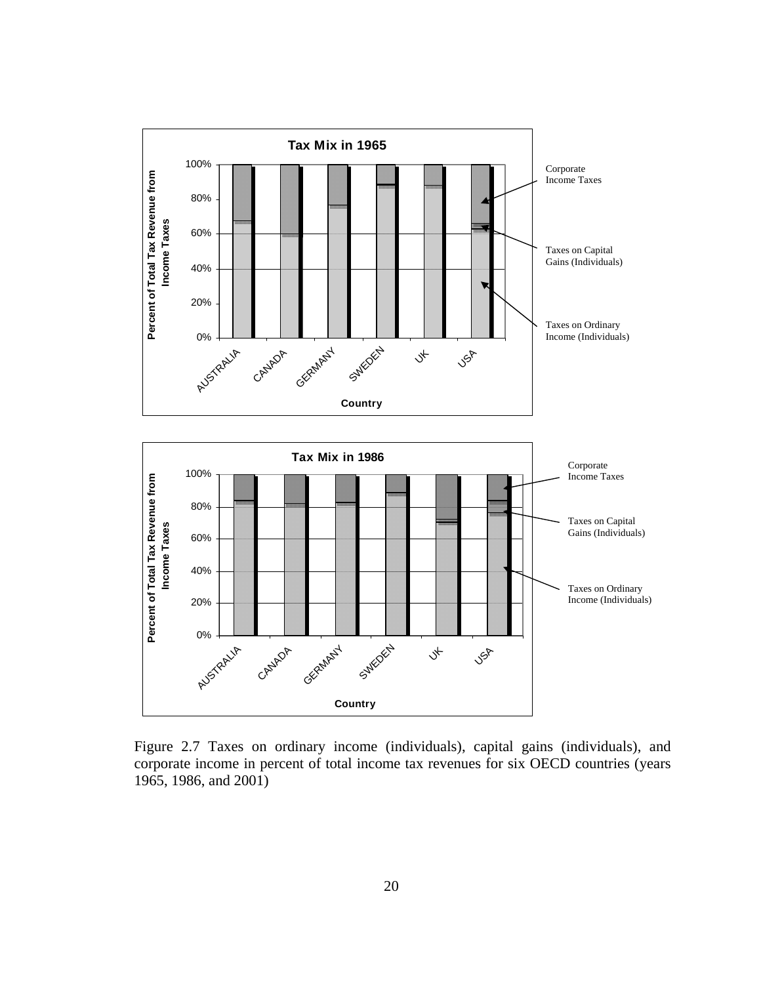

Figure 2.7 Taxes on ordinary income (individuals), capital gains (individuals), and corporate income in percent of total income tax revenues for six OECD countries (years 1965, 1986, and 2001)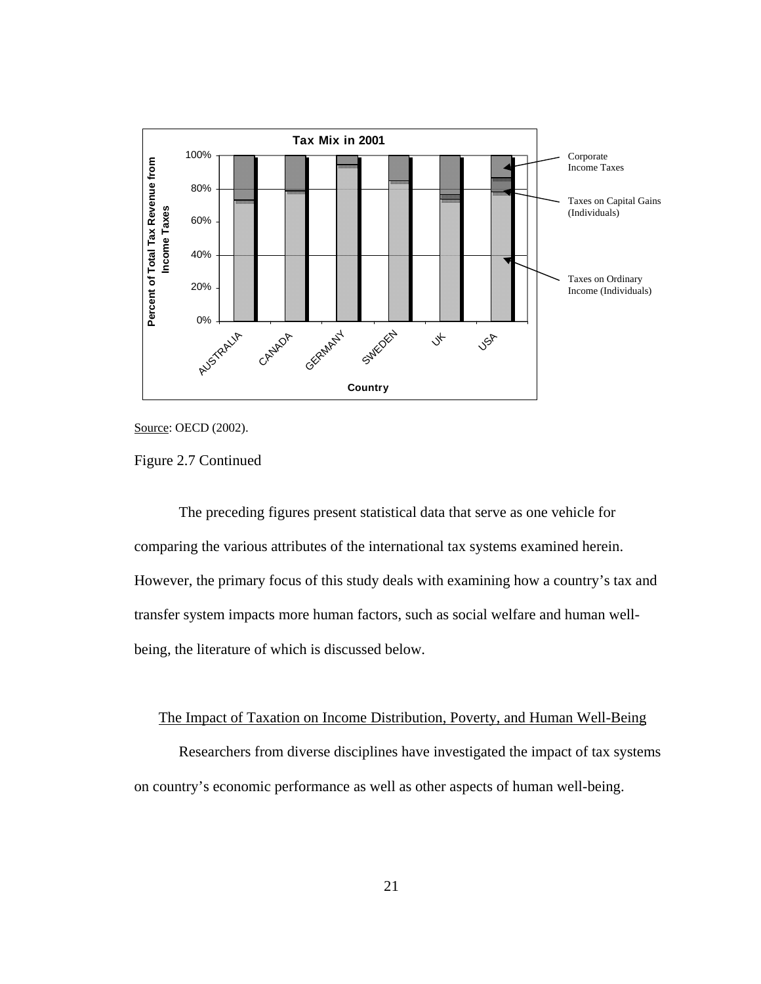

Source: OECD (2002).

Figure 2.7 Continued

The preceding figures present statistical data that serve as one vehicle for comparing the various attributes of the international tax systems examined herein. However, the primary focus of this study deals with examining how a country's tax and transfer system impacts more human factors, such as social welfare and human wellbeing, the literature of which is discussed below.

## The Impact of Taxation on Income Distribution, Poverty, and Human Well-Being

Researchers from diverse disciplines have investigated the impact of tax systems on country's economic performance as well as other aspects of human well-being.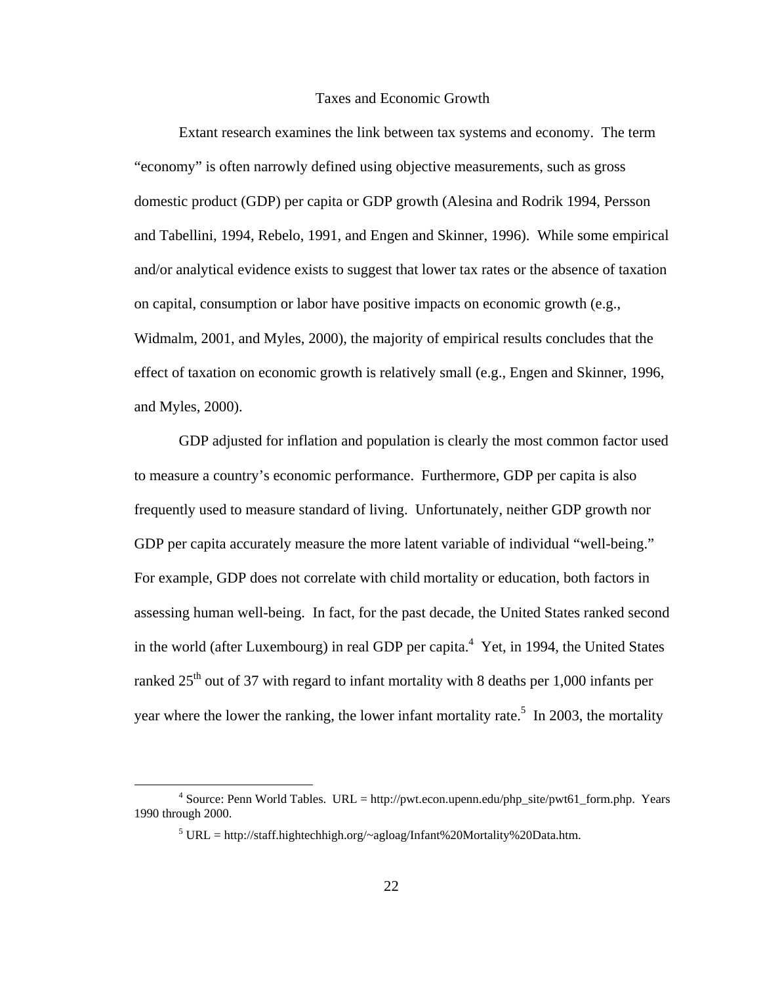## Taxes and Economic Growth

Extant research examines the link between tax systems and economy. The term "economy" is often narrowly defined using objective measurements, such as gross domestic product (GDP) per capita or GDP growth (Alesina and Rodrik 1994, Persson and Tabellini, 1994, Rebelo, 1991, and Engen and Skinner, 1996). While some empirical and/or analytical evidence exists to suggest that lower tax rates or the absence of taxation on capital, consumption or labor have positive impacts on economic growth (e.g., Widmalm, 2001, and Myles, 2000), the majority of empirical results concludes that the effect of taxation on economic growth is relatively small (e.g., Engen and Skinner, 1996, and Myles, 2000).

GDP adjusted for inflation and population is clearly the most common factor used to measure a country's economic performance. Furthermore, GDP per capita is also frequently used to measure standard of living. Unfortunately, neither GDP growth nor GDP per capita accurately measure the more latent variable of individual "well-being." For example, GDP does not correlate with child mortality or education, both factors in assessing human well-being. In fact, for the past decade, the United States ranked second in the world (after Luxembourg) in real GDP per capita. $4$  Yet, in 1994, the United States ranked  $25<sup>th</sup>$  out of 37 with regard to infant mortality with 8 deaths per 1,000 infants per year where the lower the ranking, the lower infant mortality rate.<sup>5</sup> In 2003, the mortality

 $\frac{1}{4}$ <sup>4</sup> Source: Penn World Tables. URL = http://pwt.econ.upenn.edu/php\_site/pwt61\_form.php. Years 1990 through 2000.

 $5$  URL = http://staff.hightechhigh.org/~agloag/Infant%20Mortality%20Data.htm.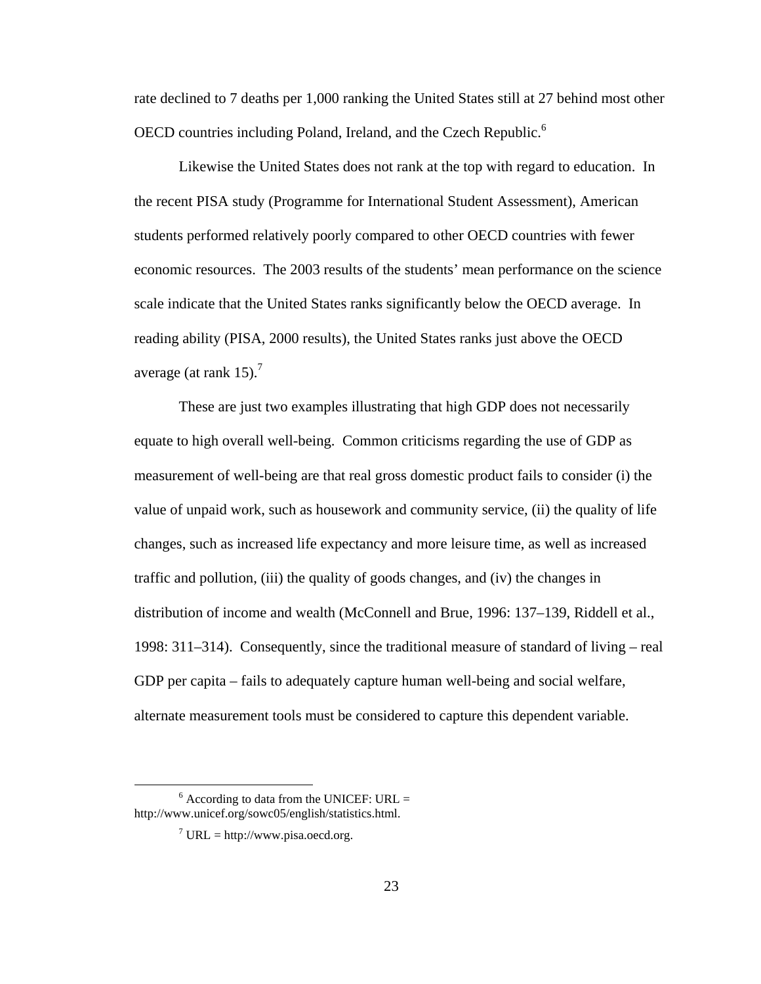rate declined to 7 deaths per 1,000 ranking the United States still at 27 behind most other OECD countries including Poland, Ireland, and the Czech Republic.<sup>6</sup>

Likewise the United States does not rank at the top with regard to education. In the recent PISA study (Programme for International Student Assessment), American students performed relatively poorly compared to other OECD countries with fewer economic resources. The 2003 results of the students' mean performance on the science scale indicate that the United States ranks significantly below the OECD average. In reading ability (PISA, 2000 results), the United States ranks just above the OECD average (at rank  $15$ ).<sup>7</sup>

These are just two examples illustrating that high GDP does not necessarily equate to high overall well-being. Common criticisms regarding the use of GDP as measurement of well-being are that real gross domestic product fails to consider (i) the value of unpaid work, such as housework and community service, (ii) the quality of life changes, such as increased life expectancy and more leisure time, as well as increased traffic and pollution, (iii) the quality of goods changes, and (iv) the changes in distribution of income and wealth (McConnell and Brue, 1996: 137–139, Riddell et al., 1998: 311–314). Consequently, since the traditional measure of standard of living – real GDP per capita – fails to adequately capture human well-being and social welfare, alternate measurement tools must be considered to capture this dependent variable.

 <sup>6</sup>  $6$  According to data from the UNICEF: URL = http://www.unicef.org/sowc05/english/statistics.html.

 $^7$  URL = http://www.pisa.oecd.org.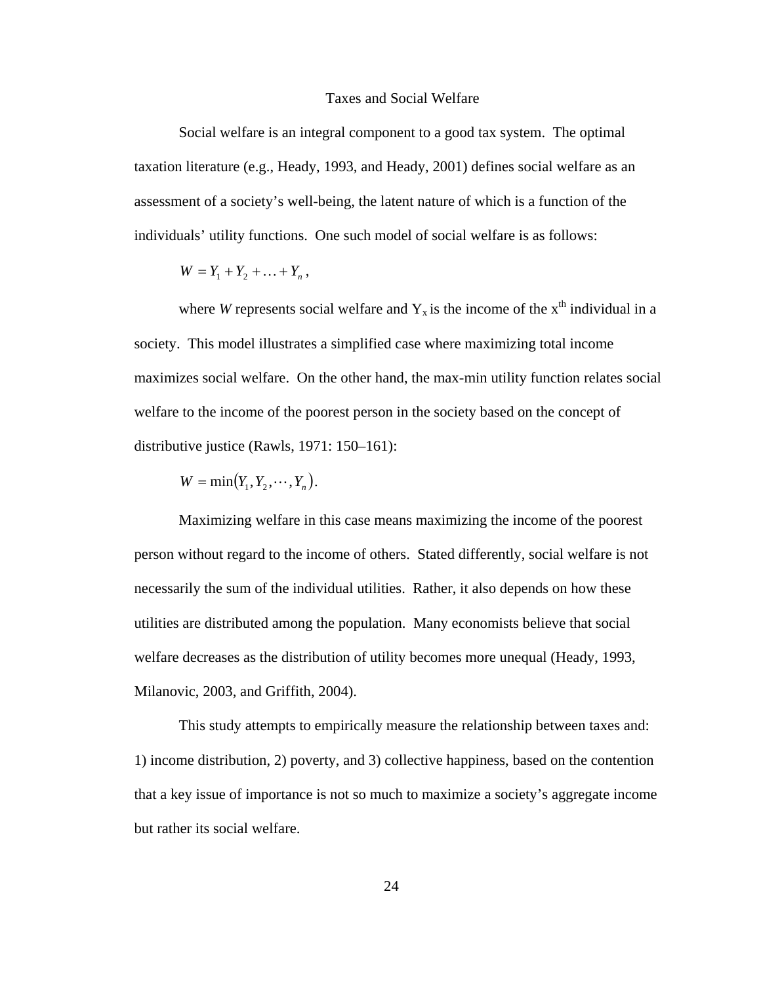#### Taxes and Social Welfare

Social welfare is an integral component to a good tax system. The optimal taxation literature (e.g., Heady, 1993, and Heady, 2001) defines social welfare as an assessment of a society's well-being, the latent nature of which is a function of the individuals' utility functions. One such model of social welfare is as follows:

$$
W=Y_1+Y_2+\ldots+Y_n,
$$

where *W* represents social welfare and  $Y_x$  is the income of the  $x<sup>th</sup>$  individual in a society. This model illustrates a simplified case where maximizing total income maximizes social welfare. On the other hand, the max-min utility function relates social welfare to the income of the poorest person in the society based on the concept of distributive justice (Rawls, 1971: 150–161):

$$
W=\min(Y_1,Y_2,\cdots,Y_n).
$$

Maximizing welfare in this case means maximizing the income of the poorest person without regard to the income of others. Stated differently, social welfare is not necessarily the sum of the individual utilities. Rather, it also depends on how these utilities are distributed among the population. Many economists believe that social welfare decreases as the distribution of utility becomes more unequal (Heady, 1993, Milanovic, 2003, and Griffith, 2004).

This study attempts to empirically measure the relationship between taxes and: 1) income distribution, 2) poverty, and 3) collective happiness, based on the contention that a key issue of importance is not so much to maximize a society's aggregate income but rather its social welfare.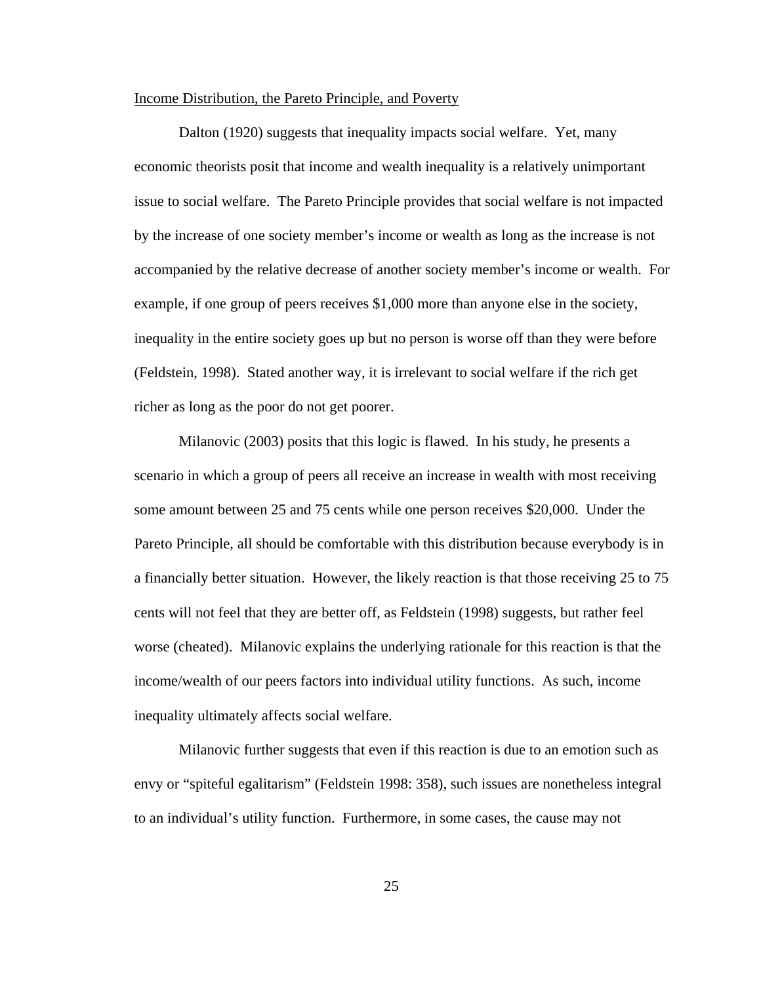#### Income Distribution, the Pareto Principle, and Poverty

Dalton (1920) suggests that inequality impacts social welfare. Yet, many economic theorists posit that income and wealth inequality is a relatively unimportant issue to social welfare. The Pareto Principle provides that social welfare is not impacted by the increase of one society member's income or wealth as long as the increase is not accompanied by the relative decrease of another society member's income or wealth. For example, if one group of peers receives \$1,000 more than anyone else in the society, inequality in the entire society goes up but no person is worse off than they were before (Feldstein, 1998). Stated another way, it is irrelevant to social welfare if the rich get richer as long as the poor do not get poorer.

Milanovic (2003) posits that this logic is flawed. In his study, he presents a scenario in which a group of peers all receive an increase in wealth with most receiving some amount between 25 and 75 cents while one person receives \$20,000. Under the Pareto Principle, all should be comfortable with this distribution because everybody is in a financially better situation. However, the likely reaction is that those receiving 25 to 75 cents will not feel that they are better off, as Feldstein (1998) suggests, but rather feel worse (cheated). Milanovic explains the underlying rationale for this reaction is that the income/wealth of our peers factors into individual utility functions. As such, income inequality ultimately affects social welfare.

Milanovic further suggests that even if this reaction is due to an emotion such as envy or "spiteful egalitarism" (Feldstein 1998: 358), such issues are nonetheless integral to an individual's utility function. Furthermore, in some cases, the cause may not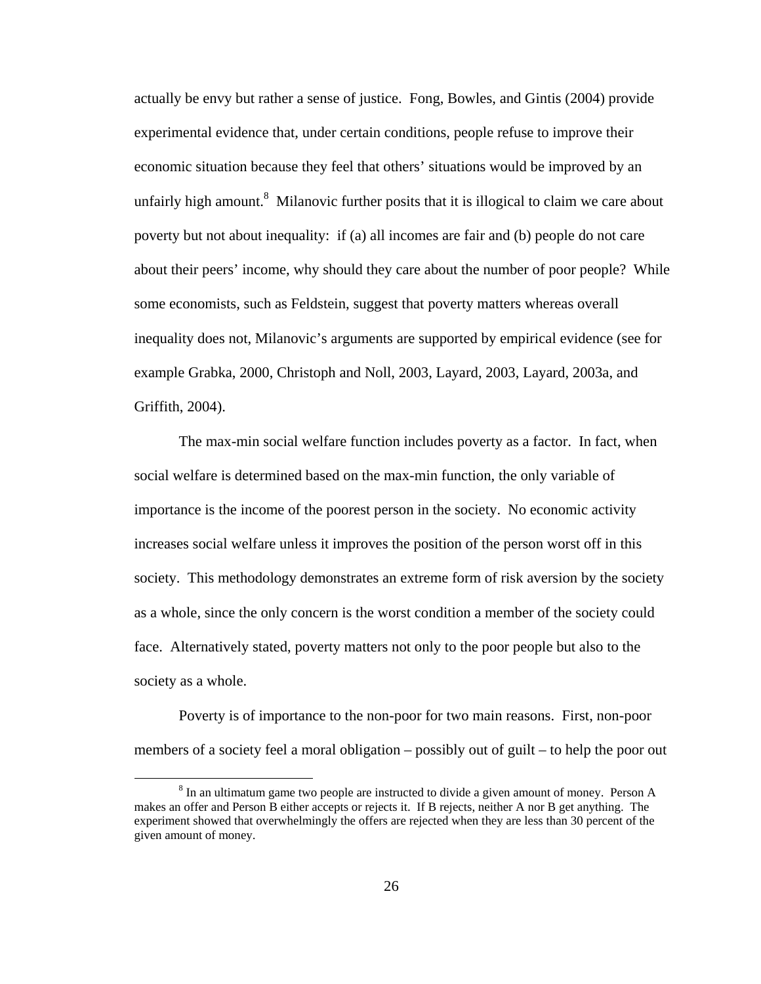actually be envy but rather a sense of justice. Fong, Bowles, and Gintis (2004) provide experimental evidence that, under certain conditions, people refuse to improve their economic situation because they feel that others' situations would be improved by an unfairly high amount.<sup>8</sup> Milanovic further posits that it is illogical to claim we care about poverty but not about inequality: if (a) all incomes are fair and (b) people do not care about their peers' income, why should they care about the number of poor people? While some economists, such as Feldstein, suggest that poverty matters whereas overall inequality does not, Milanovic's arguments are supported by empirical evidence (see for example Grabka, 2000, Christoph and Noll, 2003, Layard, 2003, Layard, 2003a, and Griffith, 2004).

The max-min social welfare function includes poverty as a factor. In fact, when social welfare is determined based on the max-min function, the only variable of importance is the income of the poorest person in the society. No economic activity increases social welfare unless it improves the position of the person worst off in this society. This methodology demonstrates an extreme form of risk aversion by the society as a whole, since the only concern is the worst condition a member of the society could face. Alternatively stated, poverty matters not only to the poor people but also to the society as a whole.

Poverty is of importance to the non-poor for two main reasons. First, non-poor members of a society feel a moral obligation – possibly out of guilt – to help the poor out

 $\frac{1}{\sqrt{8}}$ <sup>8</sup> In an ultimatum game two people are instructed to divide a given amount of money. Person A makes an offer and Person B either accepts or rejects it. If B rejects, neither A nor B get anything. The experiment showed that overwhelmingly the offers are rejected when they are less than 30 percent of the given amount of money.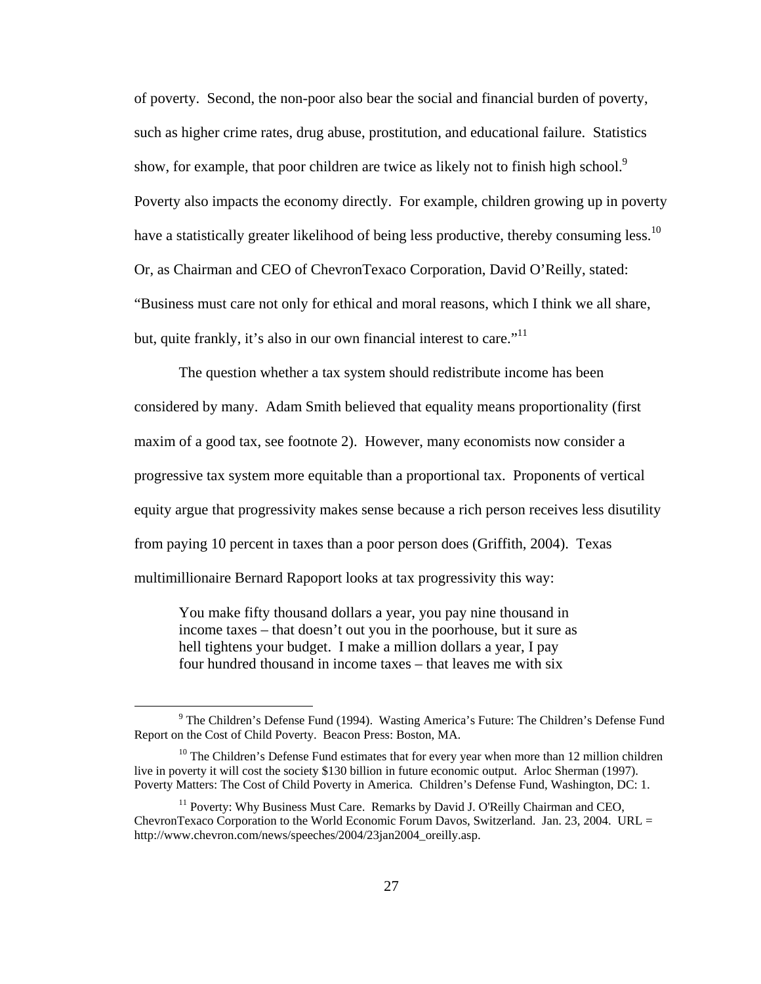of poverty. Second, the non-poor also bear the social and financial burden of poverty, such as higher crime rates, drug abuse, prostitution, and educational failure. Statistics show, for example, that poor children are twice as likely not to finish high school.<sup>9</sup> Poverty also impacts the economy directly. For example, children growing up in poverty have a statistically greater likelihood of being less productive, thereby consuming less.<sup>10</sup> Or, as Chairman and CEO of ChevronTexaco Corporation, David O'Reilly, stated: "Business must care not only for ethical and moral reasons, which I think we all share, but, quite frankly, it's also in our own financial interest to care."<sup>11</sup>

The question whether a tax system should redistribute income has been considered by many. Adam Smith believed that equality means proportionality (first maxim of a good tax, see footnote 2). However, many economists now consider a progressive tax system more equitable than a proportional tax. Proponents of vertical equity argue that progressivity makes sense because a rich person receives less disutility from paying 10 percent in taxes than a poor person does (Griffith, 2004). Texas multimillionaire Bernard Rapoport looks at tax progressivity this way:

You make fifty thousand dollars a year, you pay nine thousand in income taxes – that doesn't out you in the poorhouse, but it sure as hell tightens your budget. I make a million dollars a year, I pay four hundred thousand in income taxes – that leaves me with six

 $\frac{1}{9}$  The Children's Defense Fund (1994). Wasting America's Future: The Children's Defense Fund Report on the Cost of Child Poverty. Beacon Press: Boston, MA.

 $10$  The Children's Defense Fund estimates that for every year when more than 12 million children live in poverty it will cost the society \$130 billion in future economic output. Arloc Sherman (1997). Poverty Matters: The Cost of Child Poverty in America*.* Children's Defense Fund, Washington, DC: 1.

<sup>&</sup>lt;sup>11</sup> Poverty: Why Business Must Care. Remarks by David J. O'Reilly Chairman and CEO, ChevronTexaco Corporation to the World Economic Forum Davos, Switzerland. Jan. 23, 2004. URL = http://www.chevron.com/news/speeches/2004/23jan2004\_oreilly.asp.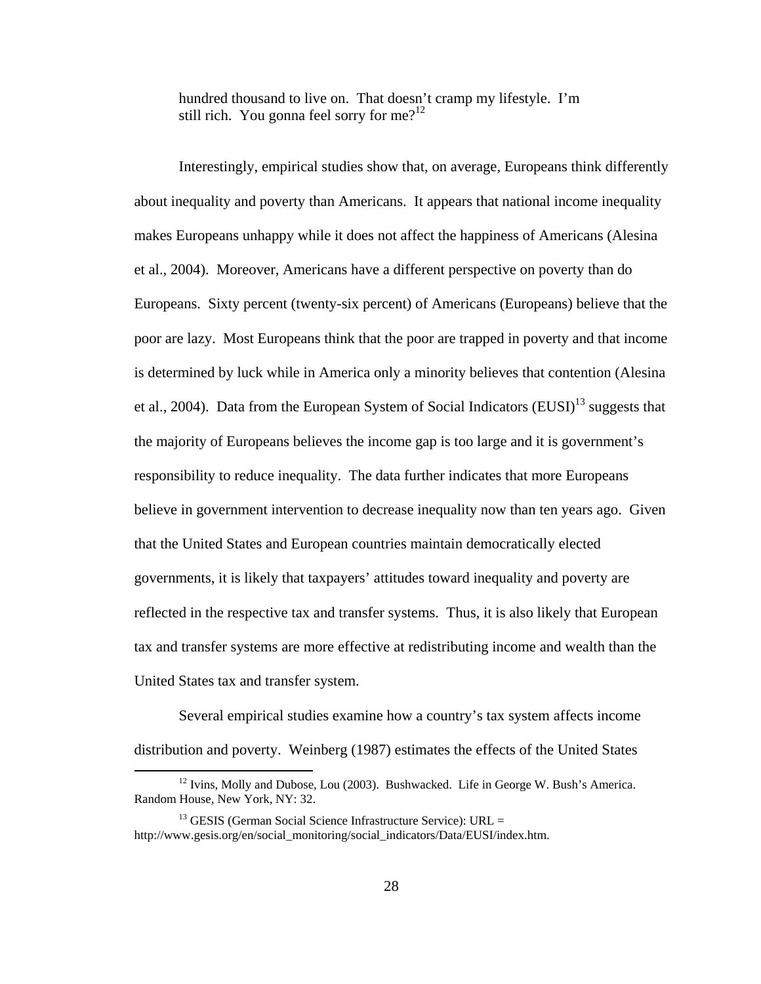hundred thousand to live on. That doesn't cramp my lifestyle. I'm still rich. You gonna feel sorry for me?<sup>12</sup>

Interestingly, empirical studies show that, on average, Europeans think differently about inequality and poverty than Americans. It appears that national income inequality makes Europeans unhappy while it does not affect the happiness of Americans (Alesina et al., 2004). Moreover, Americans have a different perspective on poverty than do Europeans. Sixty percent (twenty-six percent) of Americans (Europeans) believe that the poor are lazy. Most Europeans think that the poor are trapped in poverty and that income is determined by luck while in America only a minority believes that contention (Alesina et al., 2004). Data from the European System of Social Indicators  $(EUSI)^{13}$  suggests that the majority of Europeans believes the income gap is too large and it is government's responsibility to reduce inequality. The data further indicates that more Europeans believe in government intervention to decrease inequality now than ten years ago. Given that the United States and European countries maintain democratically elected governments, it is likely that taxpayers' attitudes toward inequality and poverty are reflected in the respective tax and transfer systems. Thus, it is also likely that European tax and transfer systems are more effective at redistributing income and wealth than the United States tax and transfer system.

Several empirical studies examine how a country's tax system affects income distribution and poverty. Weinberg (1987) estimates the effects of the United States

<sup>&</sup>lt;sup>12</sup> Ivins, Molly and Dubose, Lou (2003). Bushwacked. Life in George W. Bush's America. Random House, New York, NY: 32.

 $13$  GESIS (German Social Science Infrastructure Service): URL = http://www.gesis.org/en/social\_monitoring/social\_indicators/Data/EUSI/index.htm.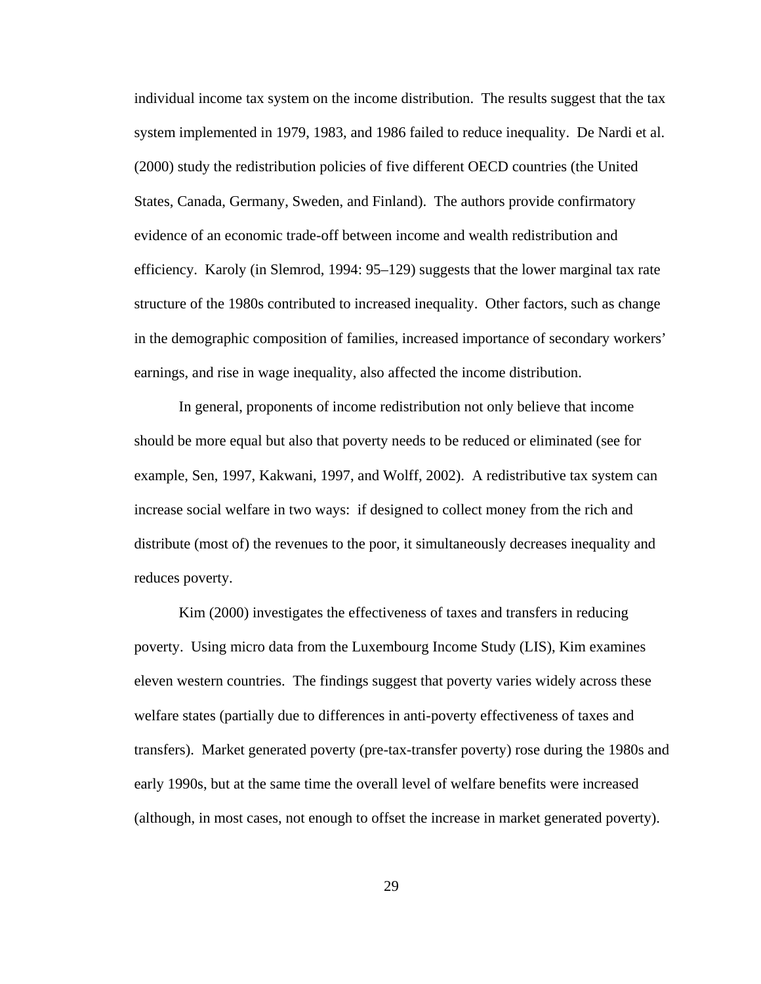individual income tax system on the income distribution. The results suggest that the tax system implemented in 1979, 1983, and 1986 failed to reduce inequality. De Nardi et al. (2000) study the redistribution policies of five different OECD countries (the United States, Canada, Germany, Sweden, and Finland). The authors provide confirmatory evidence of an economic trade-off between income and wealth redistribution and efficiency. Karoly (in Slemrod, 1994: 95–129) suggests that the lower marginal tax rate structure of the 1980s contributed to increased inequality. Other factors, such as change in the demographic composition of families, increased importance of secondary workers' earnings, and rise in wage inequality, also affected the income distribution.

In general, proponents of income redistribution not only believe that income should be more equal but also that poverty needs to be reduced or eliminated (see for example, Sen, 1997, Kakwani, 1997, and Wolff, 2002). A redistributive tax system can increase social welfare in two ways: if designed to collect money from the rich and distribute (most of) the revenues to the poor, it simultaneously decreases inequality and reduces poverty.

Kim (2000) investigates the effectiveness of taxes and transfers in reducing poverty. Using micro data from the Luxembourg Income Study (LIS), Kim examines eleven western countries. The findings suggest that poverty varies widely across these welfare states (partially due to differences in anti-poverty effectiveness of taxes and transfers). Market generated poverty (pre-tax-transfer poverty) rose during the 1980s and early 1990s, but at the same time the overall level of welfare benefits were increased (although, in most cases, not enough to offset the increase in market generated poverty).

29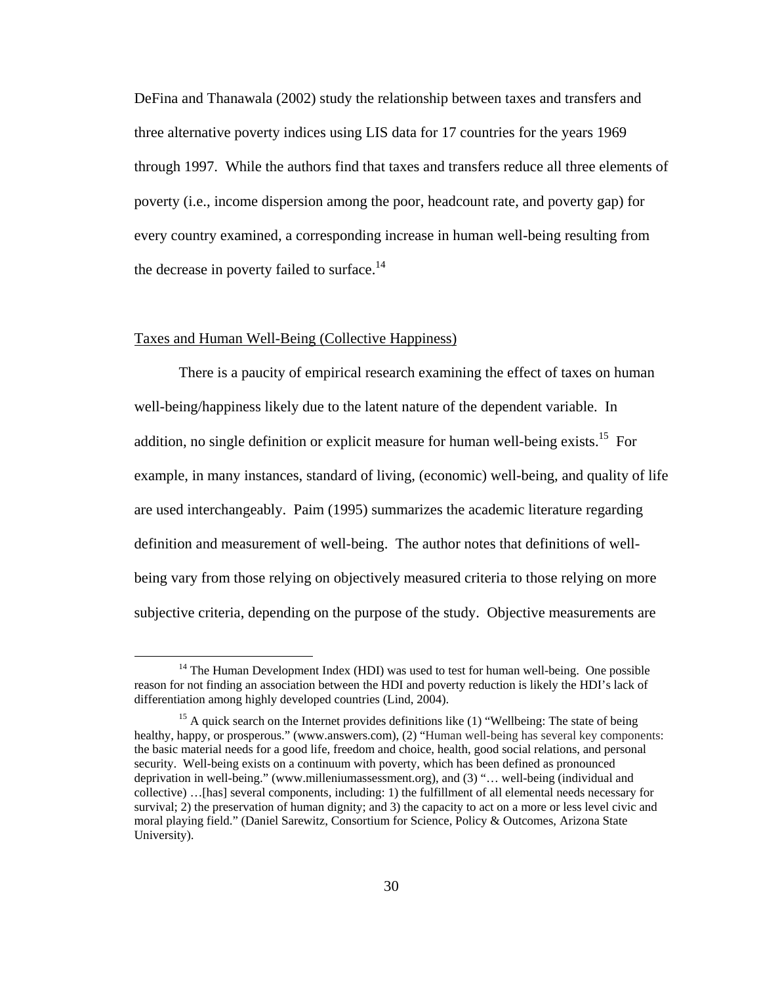DeFina and Thanawala (2002) study the relationship between taxes and transfers and three alternative poverty indices using LIS data for 17 countries for the years 1969 through 1997. While the authors find that taxes and transfers reduce all three elements of poverty (i.e., income dispersion among the poor, headcount rate, and poverty gap) for every country examined, a corresponding increase in human well-being resulting from the decrease in poverty failed to surface.<sup>14</sup>

# Taxes and Human Well-Being (Collective Happiness)

There is a paucity of empirical research examining the effect of taxes on human well-being/happiness likely due to the latent nature of the dependent variable. In addition, no single definition or explicit measure for human well-being exists.<sup>15</sup> For example, in many instances, standard of living, (economic) well-being, and quality of life are used interchangeably. Paim (1995) summarizes the academic literature regarding definition and measurement of well-being. The author notes that definitions of wellbeing vary from those relying on objectively measured criteria to those relying on more subjective criteria, depending on the purpose of the study. Objective measurements are

 $14$  The Human Development Index (HDI) was used to test for human well-being. One possible reason for not finding an association between the HDI and poverty reduction is likely the HDI's lack of differentiation among highly developed countries (Lind, 2004).

<sup>&</sup>lt;sup>15</sup> A quick search on the Internet provides definitions like  $(1)$  "Wellbeing: The state of being healthy, happy, or prosperous." (www.answers.com), (2) "Human well-being has several key components: the basic material needs for a good life, freedom and choice, health, good social relations, and personal security. Well-being exists on a continuum with poverty, which has been defined as pronounced deprivation in well-being." (www.milleniumassessment.org), and (3) "… well-being (individual and collective) …[has] several components, including: 1) the fulfillment of all elemental needs necessary for survival; 2) the preservation of human dignity; and 3) the capacity to act on a more or less level civic and moral playing field." (Daniel Sarewitz, Consortium for Science, Policy & Outcomes, Arizona State University).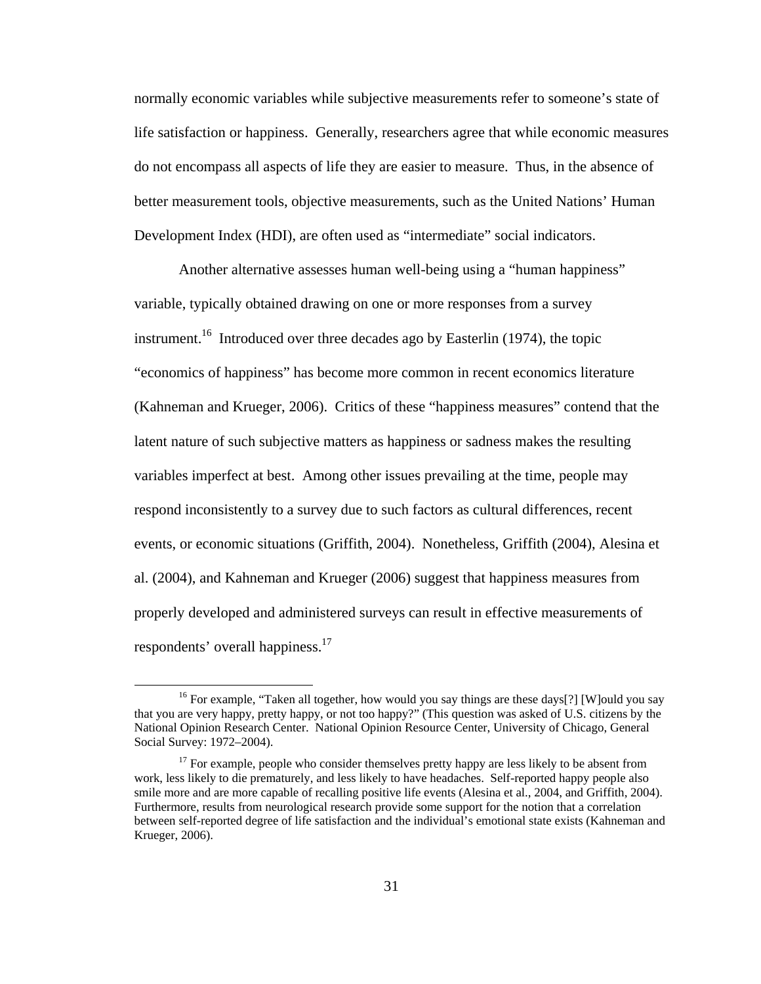normally economic variables while subjective measurements refer to someone's state of life satisfaction or happiness. Generally, researchers agree that while economic measures do not encompass all aspects of life they are easier to measure. Thus, in the absence of better measurement tools, objective measurements, such as the United Nations' Human Development Index (HDI), are often used as "intermediate" social indicators.

Another alternative assesses human well-being using a "human happiness" variable, typically obtained drawing on one or more responses from a survey instrument.<sup>16</sup> Introduced over three decades ago by Easterlin (1974), the topic "economics of happiness" has become more common in recent economics literature (Kahneman and Krueger, 2006). Critics of these "happiness measures" contend that the latent nature of such subjective matters as happiness or sadness makes the resulting variables imperfect at best. Among other issues prevailing at the time, people may respond inconsistently to a survey due to such factors as cultural differences, recent events, or economic situations (Griffith, 2004). Nonetheless, Griffith (2004), Alesina et al. (2004), and Kahneman and Krueger (2006) suggest that happiness measures from properly developed and administered surveys can result in effective measurements of respondents' overall happiness.<sup>17</sup>

<sup>&</sup>lt;sup>16</sup> For example, "Taken all together, how would you say things are these days[?] [W]ould you say that you are very happy, pretty happy, or not too happy?" (This question was asked of U.S. citizens by the National Opinion Research Center. National Opinion Resource Center, University of Chicago, General Social Survey: 1972–2004).

 $17$  For example, people who consider themselves pretty happy are less likely to be absent from work, less likely to die prematurely, and less likely to have headaches. Self-reported happy people also smile more and are more capable of recalling positive life events (Alesina et al., 2004, and Griffith, 2004). Furthermore, results from neurological research provide some support for the notion that a correlation between self-reported degree of life satisfaction and the individual's emotional state exists (Kahneman and Krueger, 2006).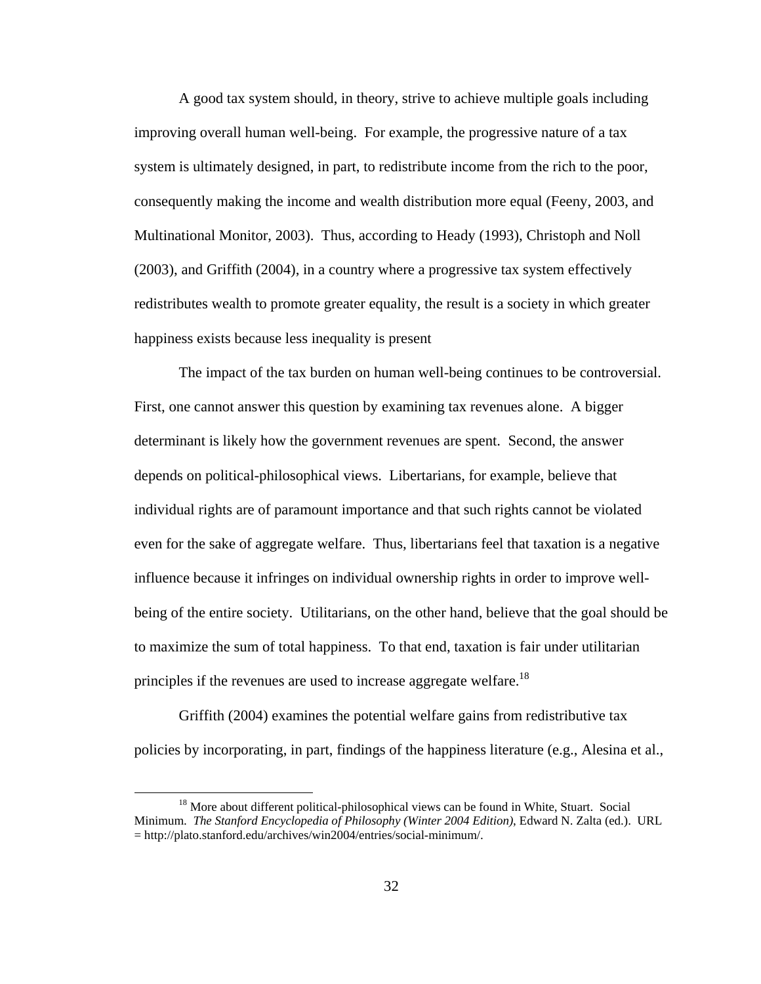A good tax system should, in theory, strive to achieve multiple goals including improving overall human well-being. For example, the progressive nature of a tax system is ultimately designed, in part, to redistribute income from the rich to the poor, consequently making the income and wealth distribution more equal (Feeny, 2003, and Multinational Monitor, 2003). Thus, according to Heady (1993), Christoph and Noll (2003), and Griffith (2004), in a country where a progressive tax system effectively redistributes wealth to promote greater equality, the result is a society in which greater happiness exists because less inequality is present

The impact of the tax burden on human well-being continues to be controversial. First, one cannot answer this question by examining tax revenues alone. A bigger determinant is likely how the government revenues are spent. Second, the answer depends on political-philosophical views. Libertarians, for example, believe that individual rights are of paramount importance and that such rights cannot be violated even for the sake of aggregate welfare. Thus, libertarians feel that taxation is a negative influence because it infringes on individual ownership rights in order to improve wellbeing of the entire society. Utilitarians, on the other hand, believe that the goal should be to maximize the sum of total happiness. To that end, taxation is fair under utilitarian principles if the revenues are used to increase aggregate welfare.<sup>18</sup>

Griffith (2004) examines the potential welfare gains from redistributive tax policies by incorporating, in part, findings of the happiness literature (e.g., Alesina et al.,

<sup>&</sup>lt;sup>18</sup> More about different political-philosophical views can be found in White, Stuart. Social Minimum. *The Stanford Encyclopedia of Philosophy (Winter 2004 Edition)*, Edward N. Zalta (ed.). URL = http://plato.stanford.edu/archives/win2004/entries/social-minimum/.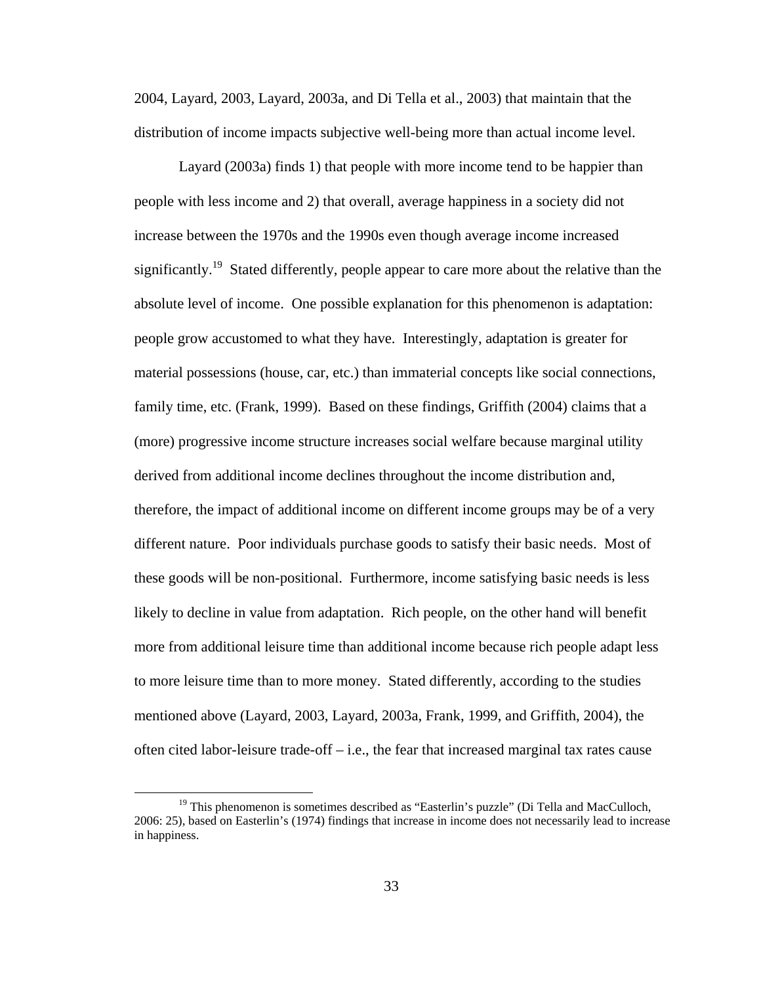2004, Layard, 2003, Layard, 2003a, and Di Tella et al., 2003) that maintain that the distribution of income impacts subjective well-being more than actual income level.

Layard (2003a) finds 1) that people with more income tend to be happier than people with less income and 2) that overall, average happiness in a society did not increase between the 1970s and the 1990s even though average income increased significantly.<sup>19</sup> Stated differently, people appear to care more about the relative than the absolute level of income. One possible explanation for this phenomenon is adaptation: people grow accustomed to what they have. Interestingly, adaptation is greater for material possessions (house, car, etc.) than immaterial concepts like social connections, family time, etc. (Frank, 1999). Based on these findings, Griffith (2004) claims that a (more) progressive income structure increases social welfare because marginal utility derived from additional income declines throughout the income distribution and, therefore, the impact of additional income on different income groups may be of a very different nature. Poor individuals purchase goods to satisfy their basic needs. Most of these goods will be non-positional. Furthermore, income satisfying basic needs is less likely to decline in value from adaptation. Rich people, on the other hand will benefit more from additional leisure time than additional income because rich people adapt less to more leisure time than to more money. Stated differently, according to the studies mentioned above (Layard, 2003, Layard, 2003a, Frank, 1999, and Griffith, 2004), the often cited labor-leisure trade-off – i.e., the fear that increased marginal tax rates cause

 $19$  This phenomenon is sometimes described as "Easterlin's puzzle" (Di Tella and MacCulloch, 2006: 25), based on Easterlin's (1974) findings that increase in income does not necessarily lead to increase in happiness.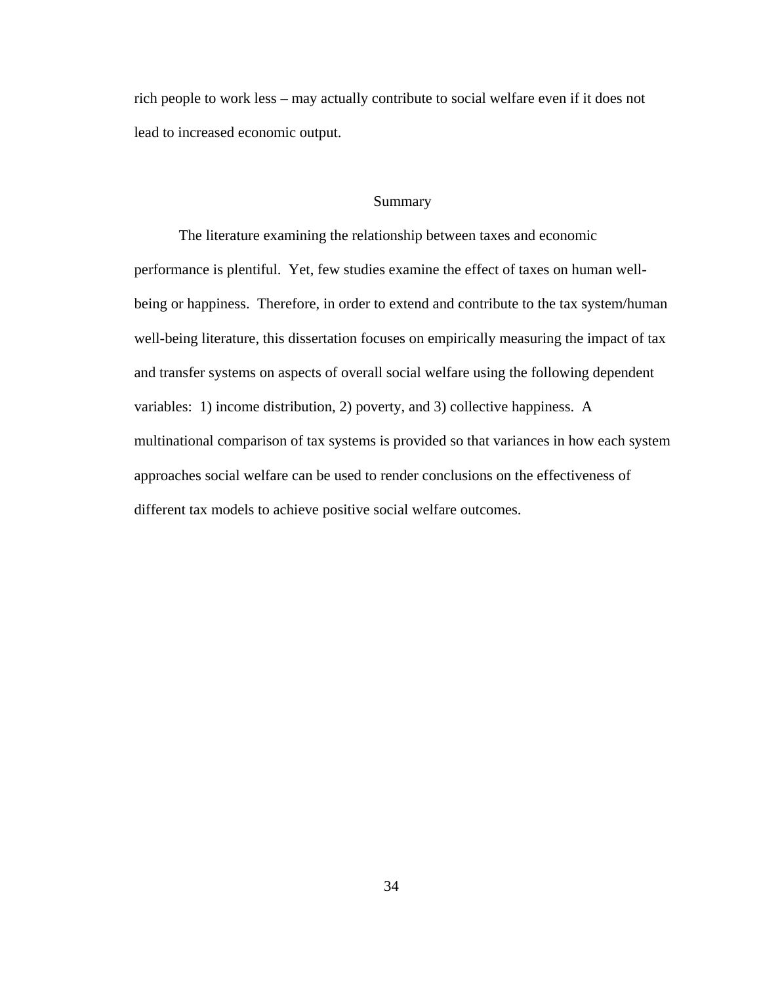rich people to work less – may actually contribute to social welfare even if it does not lead to increased economic output.

## Summary

The literature examining the relationship between taxes and economic performance is plentiful. Yet, few studies examine the effect of taxes on human wellbeing or happiness. Therefore, in order to extend and contribute to the tax system/human well-being literature, this dissertation focuses on empirically measuring the impact of tax and transfer systems on aspects of overall social welfare using the following dependent variables: 1) income distribution, 2) poverty, and 3) collective happiness. A multinational comparison of tax systems is provided so that variances in how each system approaches social welfare can be used to render conclusions on the effectiveness of different tax models to achieve positive social welfare outcomes.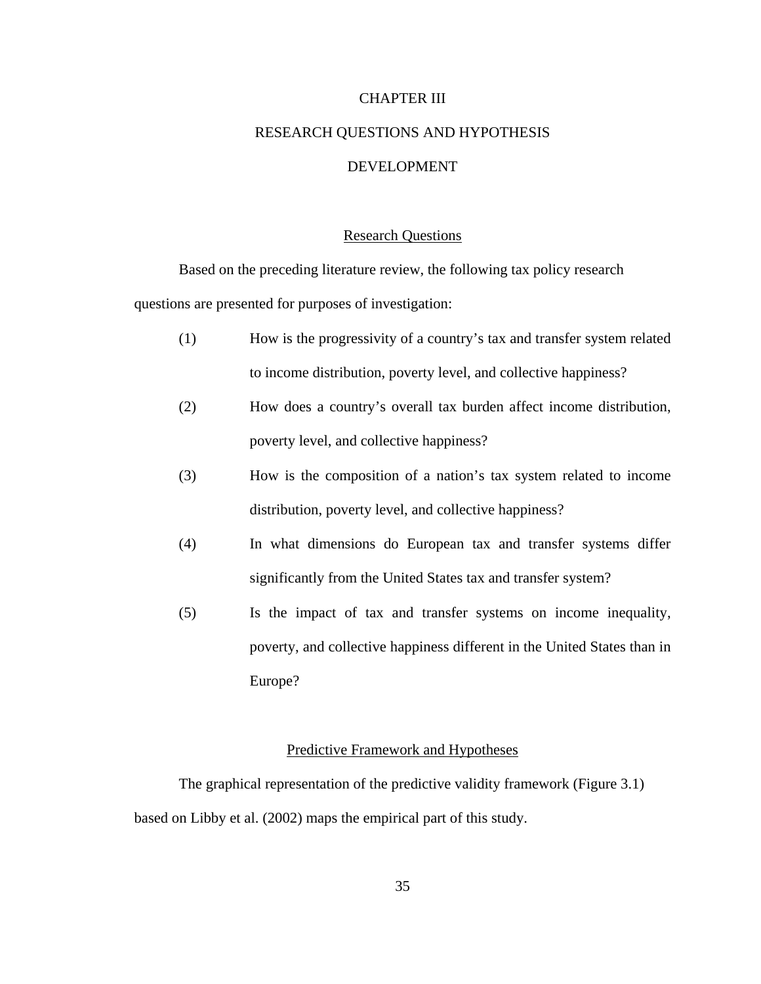#### CHAPTER III

# RESEARCH QUESTIONS AND HYPOTHESIS DEVELOPMENT

#### Research Questions

Based on the preceding literature review, the following tax policy research questions are presented for purposes of investigation:

- (1) How is the progressivity of a country's tax and transfer system related to income distribution, poverty level, and collective happiness?
- (2) How does a country's overall tax burden affect income distribution, poverty level, and collective happiness?
- (3) How is the composition of a nation's tax system related to income distribution, poverty level, and collective happiness?
- (4) In what dimensions do European tax and transfer systems differ significantly from the United States tax and transfer system?
- (5) Is the impact of tax and transfer systems on income inequality, poverty, and collective happiness different in the United States than in Europe?

# Predictive Framework and Hypotheses

The graphical representation of the predictive validity framework (Figure 3.1) based on Libby et al. (2002) maps the empirical part of this study.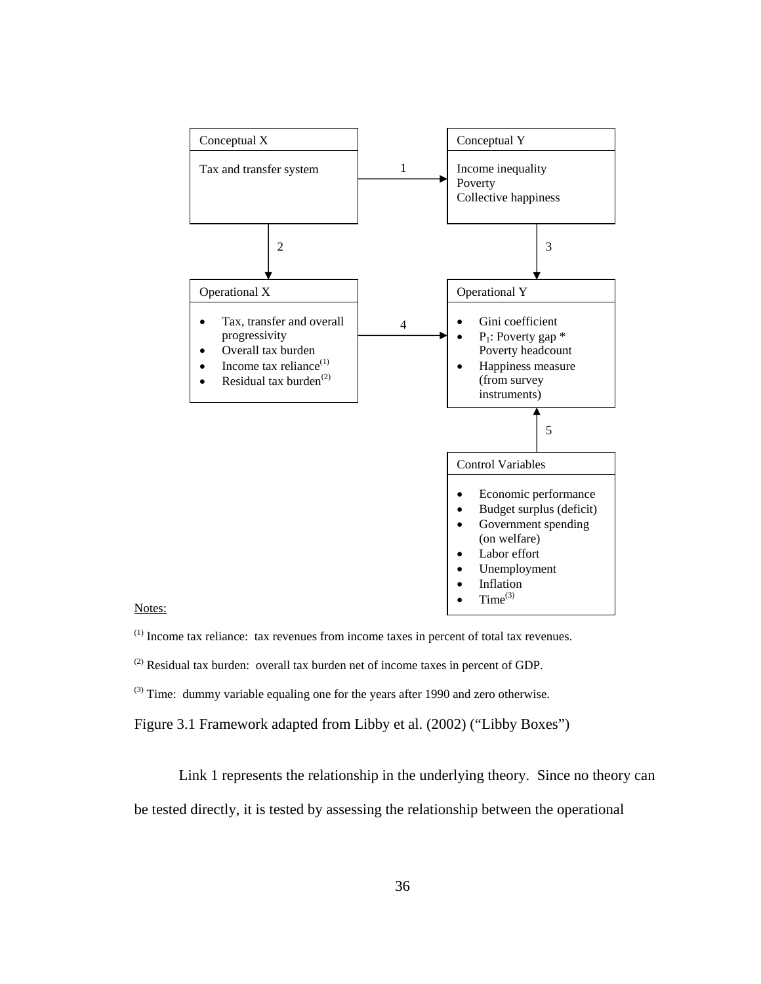

Notes:

- (1) Income tax reliance: tax revenues from income taxes in percent of total tax revenues.
- $^{(2)}$  Residual tax burden: overall tax burden net of income taxes in percent of GDP.
- $^{(3)}$  Time: dummy variable equaling one for the years after 1990 and zero otherwise.
- Figure 3.1 Framework adapted from Libby et al. (2002) ("Libby Boxes")

Link 1 represents the relationship in the underlying theory. Since no theory can

be tested directly, it is tested by assessing the relationship between the operational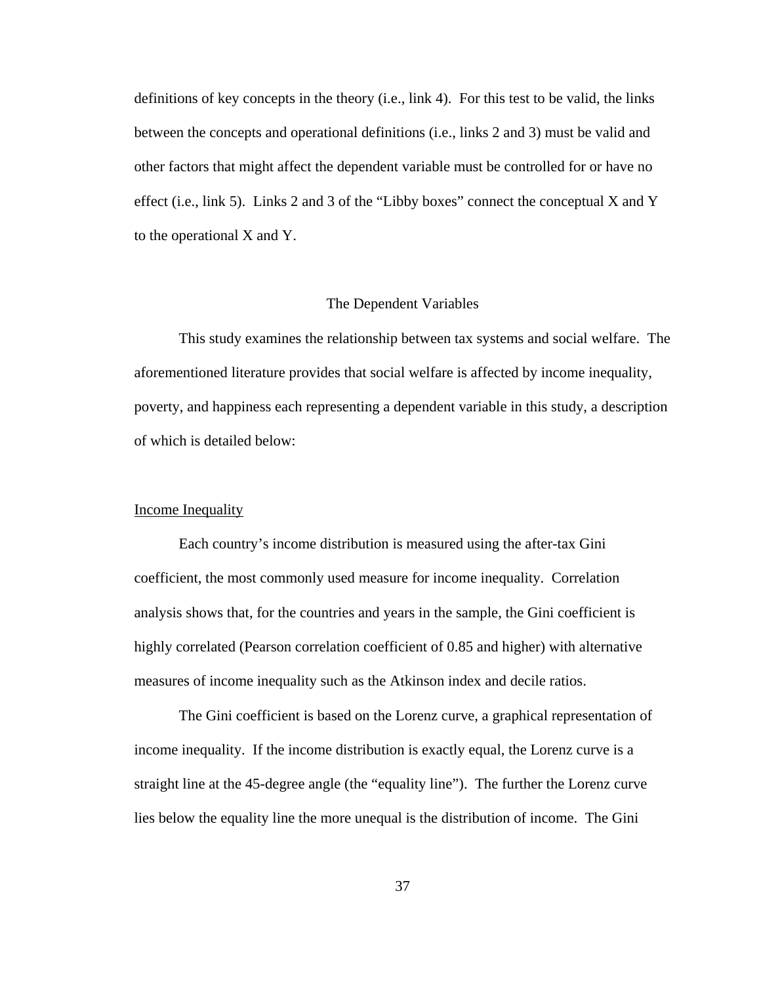definitions of key concepts in the theory (i.e., link 4). For this test to be valid, the links between the concepts and operational definitions (i.e., links 2 and 3) must be valid and other factors that might affect the dependent variable must be controlled for or have no effect (i.e., link 5). Links 2 and 3 of the "Libby boxes" connect the conceptual X and Y to the operational X and Y.

#### The Dependent Variables

This study examines the relationship between tax systems and social welfare. The aforementioned literature provides that social welfare is affected by income inequality, poverty, and happiness each representing a dependent variable in this study, a description of which is detailed below:

# Income Inequality

Each country's income distribution is measured using the after-tax Gini coefficient, the most commonly used measure for income inequality. Correlation analysis shows that, for the countries and years in the sample, the Gini coefficient is highly correlated (Pearson correlation coefficient of 0.85 and higher) with alternative measures of income inequality such as the Atkinson index and decile ratios.

The Gini coefficient is based on the Lorenz curve, a graphical representation of income inequality. If the income distribution is exactly equal, the Lorenz curve is a straight line at the 45-degree angle (the "equality line"). The further the Lorenz curve lies below the equality line the more unequal is the distribution of income. The Gini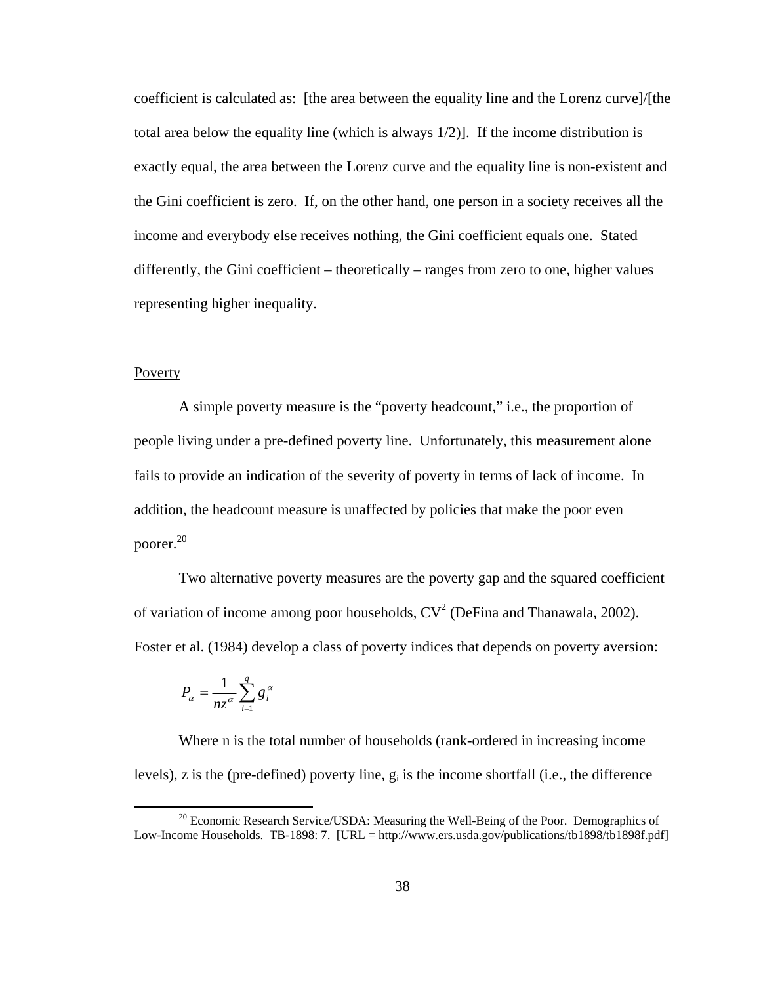coefficient is calculated as: [the area between the equality line and the Lorenz curve]/[the total area below the equality line (which is always 1/2)]. If the income distribution is exactly equal, the area between the Lorenz curve and the equality line is non-existent and the Gini coefficient is zero. If, on the other hand, one person in a society receives all the income and everybody else receives nothing, the Gini coefficient equals one. Stated differently, the Gini coefficient – theoretically – ranges from zero to one, higher values representing higher inequality.

## Poverty

A simple poverty measure is the "poverty headcount," i.e., the proportion of people living under a pre-defined poverty line. Unfortunately, this measurement alone fails to provide an indication of the severity of poverty in terms of lack of income. In addition, the headcount measure is unaffected by policies that make the poor even poorer.20

Two alternative poverty measures are the poverty gap and the squared coefficient of variation of income among poor households,  $CV^2$  (DeFina and Thanawala, 2002). Foster et al. (1984) develop a class of poverty indices that depends on poverty aversion:

$$
P_{\alpha} = \frac{1}{nz^{\alpha}} \sum_{i=1}^{q} g_i^{\alpha}
$$

Where n is the total number of households (rank-ordered in increasing income levels), z is the (pre-defined) poverty line,  $g_i$  is the income shortfall (i.e., the difference

 $20$  Economic Research Service/USDA: Measuring the Well-Being of the Poor. Demographics of Low-Income Households. TB-1898: 7. [URL = http://www.ers.usda.gov/publications/tb1898/tb1898f.pdf]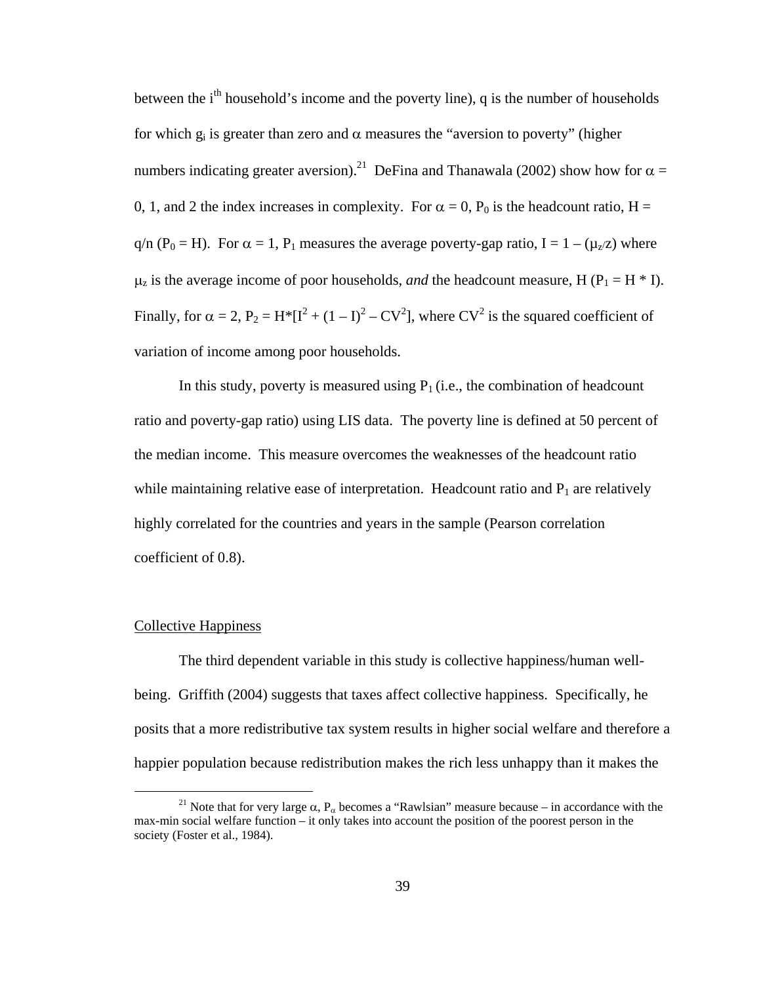between the i<sup>th</sup> household's income and the poverty line), q is the number of households for which  $g_i$  is greater than zero and  $\alpha$  measures the "aversion to poverty" (higher numbers indicating greater aversion).<sup>21</sup> DeFina and Thanawala (2002) show how for  $\alpha$  = 0, 1, and 2 the index increases in complexity. For  $\alpha = 0$ ,  $P_0$  is the headcount ratio, H = q/n (P<sub>0</sub> = H). For  $\alpha = 1$ , P<sub>1</sub> measures the average poverty-gap ratio, I = 1 – ( $\mu$ <sub>z</sub>/z) where  $\mu_z$  is the average income of poor households, *and* the headcount measure, H (P<sub>1</sub> = H  $*$  I). Finally, for  $\alpha = 2$ ,  $P_2 = H^* [I^2 + (1 - I)^2 - CV^2]$ , where  $CV^2$  is the squared coefficient of variation of income among poor households.

In this study, poverty is measured using  $P_1$  (i.e., the combination of headcount ratio and poverty-gap ratio) using LIS data. The poverty line is defined at 50 percent of the median income. This measure overcomes the weaknesses of the headcount ratio while maintaining relative ease of interpretation. Headcount ratio and  $P_1$  are relatively highly correlated for the countries and years in the sample (Pearson correlation coefficient of 0.8).

#### Collective Happiness

The third dependent variable in this study is collective happiness/human wellbeing. Griffith (2004) suggests that taxes affect collective happiness. Specifically, he posits that a more redistributive tax system results in higher social welfare and therefore a happier population because redistribution makes the rich less unhappy than it makes the

<sup>&</sup>lt;sup>21</sup> Note that for very large  $\alpha$ ,  $P_\alpha$  becomes a "Rawlsian" measure because – in accordance with the max-min social welfare function – it only takes into account the position of the poorest person in the society (Foster et al., 1984).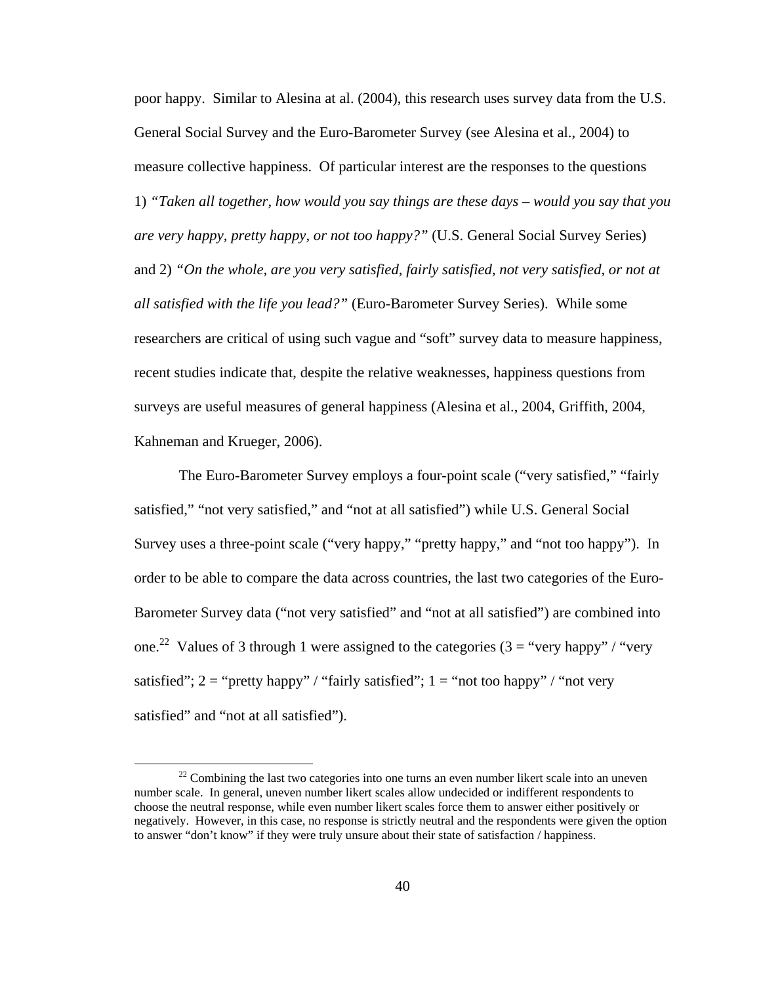poor happy. Similar to Alesina at al. (2004), this research uses survey data from the U.S. General Social Survey and the Euro-Barometer Survey (see Alesina et al., 2004) to measure collective happiness. Of particular interest are the responses to the questions 1) *"Taken all together, how would you say things are these days – would you say that you are very happy, pretty happy, or not too happy?"* (U.S. General Social Survey Series) and 2) *"On the whole, are you very satisfied, fairly satisfied, not very satisfied, or not at all satisfied with the life you lead?"* (Euro-Barometer Survey Series). While some researchers are critical of using such vague and "soft" survey data to measure happiness, recent studies indicate that, despite the relative weaknesses, happiness questions from surveys are useful measures of general happiness (Alesina et al., 2004, Griffith, 2004, Kahneman and Krueger, 2006).

The Euro-Barometer Survey employs a four-point scale ("very satisfied," "fairly satisfied," "not very satisfied," and "not at all satisfied") while U.S. General Social Survey uses a three-point scale ("very happy," "pretty happy," and "not too happy"). In order to be able to compare the data across countries, the last two categories of the Euro-Barometer Survey data ("not very satisfied" and "not at all satisfied") are combined into one.<sup>22</sup> Values of 3 through 1 were assigned to the categories  $(3 = "very happy" / "very$ satisfied";  $2 =$  "pretty happy" / "fairly satisfied";  $1 =$  "not too happy" / "not very satisfied" and "not at all satisfied").

 $22$  Combining the last two categories into one turns an even number likert scale into an uneven number scale. In general, uneven number likert scales allow undecided or indifferent respondents to choose the neutral response, while even number likert scales force them to answer either positively or negatively. However, in this case, no response is strictly neutral and the respondents were given the option to answer "don't know" if they were truly unsure about their state of satisfaction / happiness.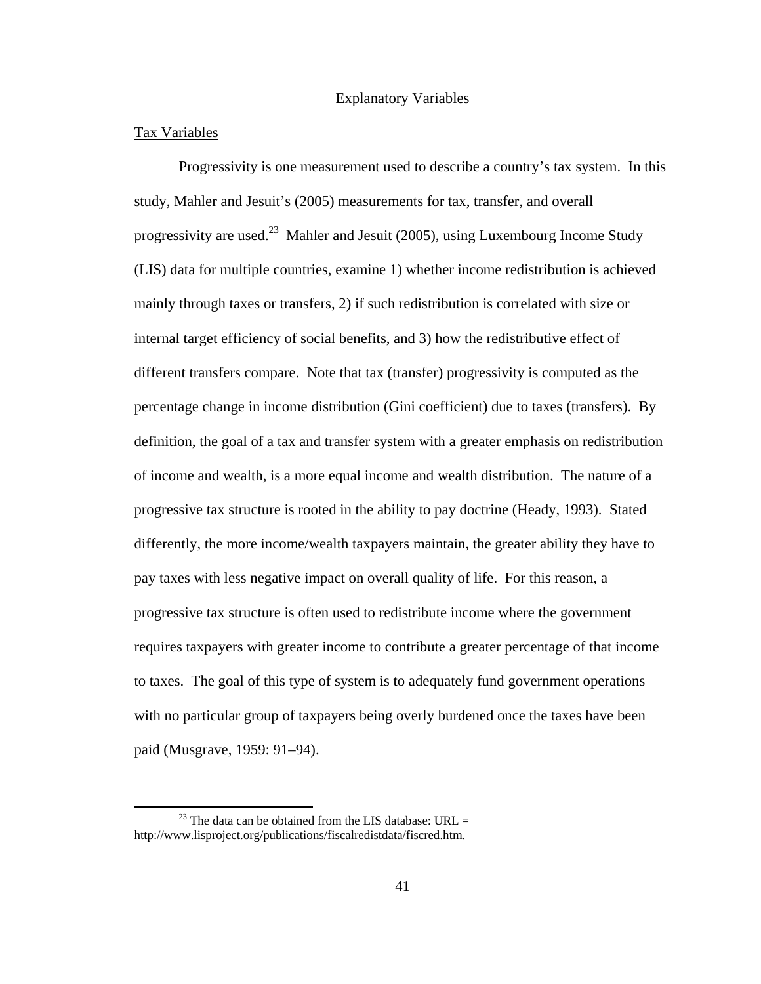# Explanatory Variables

# Tax Variables

Progressivity is one measurement used to describe a country's tax system. In this study, Mahler and Jesuit's (2005) measurements for tax, transfer, and overall progressivity are used.<sup>23</sup> Mahler and Jesuit (2005), using Luxembourg Income Study (LIS) data for multiple countries, examine 1) whether income redistribution is achieved mainly through taxes or transfers, 2) if such redistribution is correlated with size or internal target efficiency of social benefits, and 3) how the redistributive effect of different transfers compare. Note that tax (transfer) progressivity is computed as the percentage change in income distribution (Gini coefficient) due to taxes (transfers). By definition, the goal of a tax and transfer system with a greater emphasis on redistribution of income and wealth, is a more equal income and wealth distribution. The nature of a progressive tax structure is rooted in the ability to pay doctrine (Heady, 1993). Stated differently, the more income/wealth taxpayers maintain, the greater ability they have to pay taxes with less negative impact on overall quality of life. For this reason, a progressive tax structure is often used to redistribute income where the government requires taxpayers with greater income to contribute a greater percentage of that income to taxes. The goal of this type of system is to adequately fund government operations with no particular group of taxpayers being overly burdened once the taxes have been paid (Musgrave, 1959: 91–94).

<sup>&</sup>lt;sup>23</sup> The data can be obtained from the LIS database: URL = http://www.lisproject.org/publications/fiscalredistdata/fiscred.htm.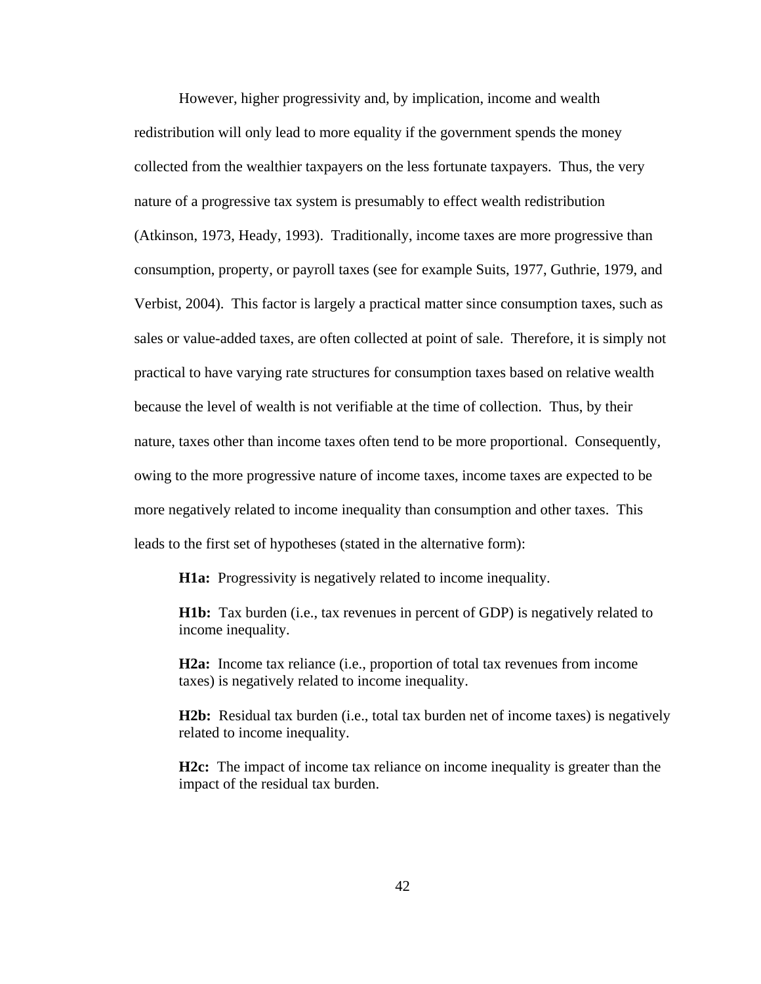However, higher progressivity and, by implication, income and wealth redistribution will only lead to more equality if the government spends the money collected from the wealthier taxpayers on the less fortunate taxpayers. Thus, the very nature of a progressive tax system is presumably to effect wealth redistribution (Atkinson, 1973, Heady, 1993). Traditionally, income taxes are more progressive than consumption, property, or payroll taxes (see for example Suits, 1977, Guthrie, 1979, and Verbist, 2004). This factor is largely a practical matter since consumption taxes, such as sales or value-added taxes, are often collected at point of sale. Therefore, it is simply not practical to have varying rate structures for consumption taxes based on relative wealth because the level of wealth is not verifiable at the time of collection. Thus, by their nature, taxes other than income taxes often tend to be more proportional. Consequently, owing to the more progressive nature of income taxes, income taxes are expected to be more negatively related to income inequality than consumption and other taxes. This leads to the first set of hypotheses (stated in the alternative form):

**H1a:** Progressivity is negatively related to income inequality.

**H1b:** Tax burden (i.e., tax revenues in percent of GDP) is negatively related to income inequality.

**H2a:** Income tax reliance (i.e., proportion of total tax revenues from income taxes) is negatively related to income inequality.

**H2b:** Residual tax burden (i.e., total tax burden net of income taxes) is negatively related to income inequality.

**H2c:** The impact of income tax reliance on income inequality is greater than the impact of the residual tax burden.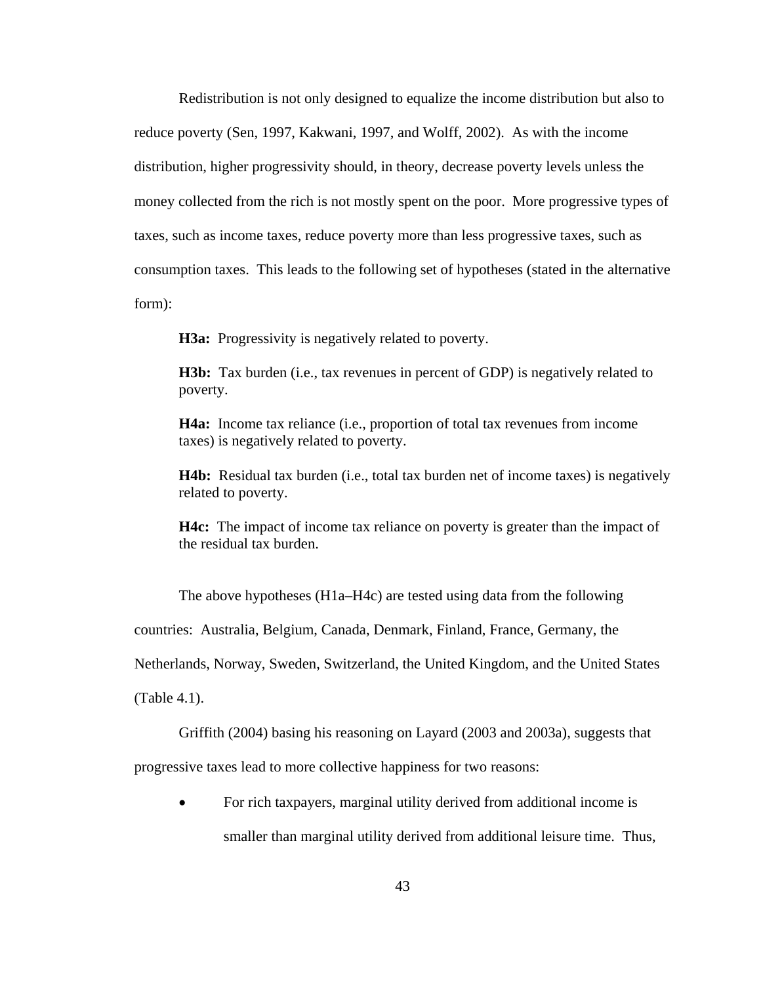Redistribution is not only designed to equalize the income distribution but also to reduce poverty (Sen, 1997, Kakwani, 1997, and Wolff, 2002). As with the income distribution, higher progressivity should, in theory, decrease poverty levels unless the money collected from the rich is not mostly spent on the poor. More progressive types of taxes, such as income taxes, reduce poverty more than less progressive taxes, such as consumption taxes. This leads to the following set of hypotheses (stated in the alternative form):

**H3a:** Progressivity is negatively related to poverty.

**H3b:** Tax burden (i.e., tax revenues in percent of GDP) is negatively related to poverty.

**H4a:** Income tax reliance (i.e., proportion of total tax revenues from income taxes) is negatively related to poverty.

**H4b:** Residual tax burden (i.e., total tax burden net of income taxes) is negatively related to poverty.

**H4c:** The impact of income tax reliance on poverty is greater than the impact of the residual tax burden.

The above hypotheses (H1a–H4c) are tested using data from the following

countries: Australia, Belgium, Canada, Denmark, Finland, France, Germany, the

Netherlands, Norway, Sweden, Switzerland, the United Kingdom, and the United States

(Table 4.1).

Griffith (2004) basing his reasoning on Layard (2003 and 2003a), suggests that

progressive taxes lead to more collective happiness for two reasons:

• For rich taxpayers, marginal utility derived from additional income is smaller than marginal utility derived from additional leisure time. Thus,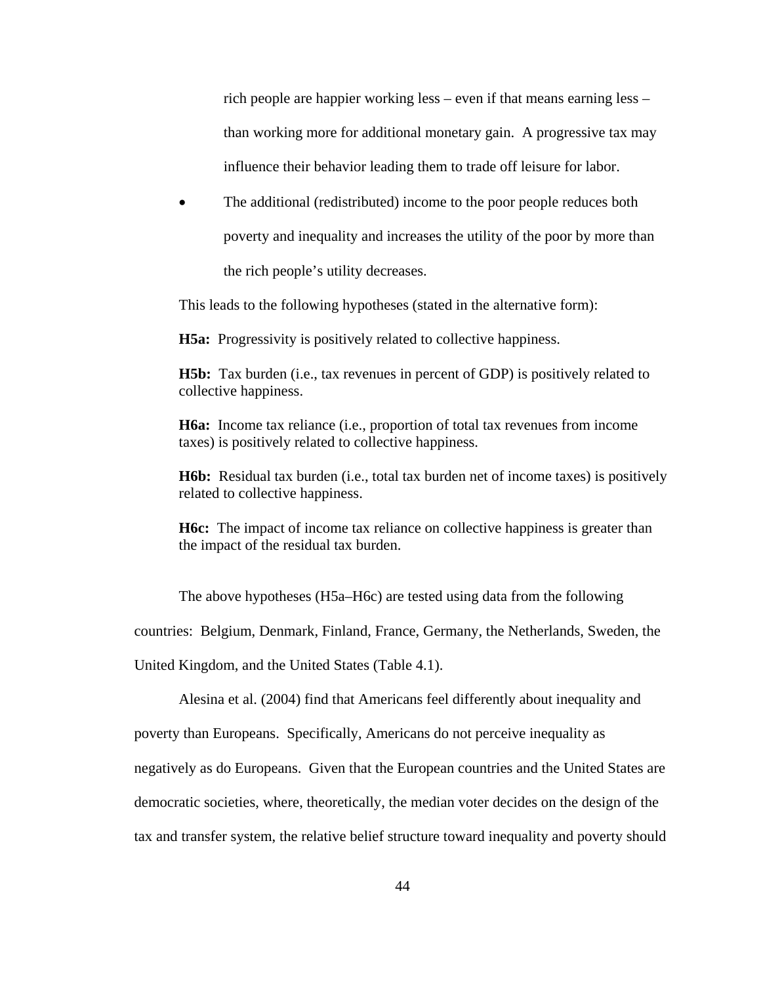rich people are happier working less – even if that means earning less – than working more for additional monetary gain. A progressive tax may influence their behavior leading them to trade off leisure for labor.

The additional (redistributed) income to the poor people reduces both poverty and inequality and increases the utility of the poor by more than the rich people's utility decreases.

This leads to the following hypotheses (stated in the alternative form):

**H5a:** Progressivity is positively related to collective happiness.

**H5b:** Tax burden (i.e., tax revenues in percent of GDP) is positively related to collective happiness.

**H6a:** Income tax reliance (i.e., proportion of total tax revenues from income taxes) is positively related to collective happiness.

**H6b:** Residual tax burden (i.e., total tax burden net of income taxes) is positively related to collective happiness.

**H6c:** The impact of income tax reliance on collective happiness is greater than the impact of the residual tax burden.

The above hypotheses (H5a–H6c) are tested using data from the following

countries: Belgium, Denmark, Finland, France, Germany, the Netherlands, Sweden, the

United Kingdom, and the United States (Table 4.1).

Alesina et al. (2004) find that Americans feel differently about inequality and

poverty than Europeans. Specifically, Americans do not perceive inequality as

negatively as do Europeans. Given that the European countries and the United States are

democratic societies, where, theoretically, the median voter decides on the design of the

tax and transfer system, the relative belief structure toward inequality and poverty should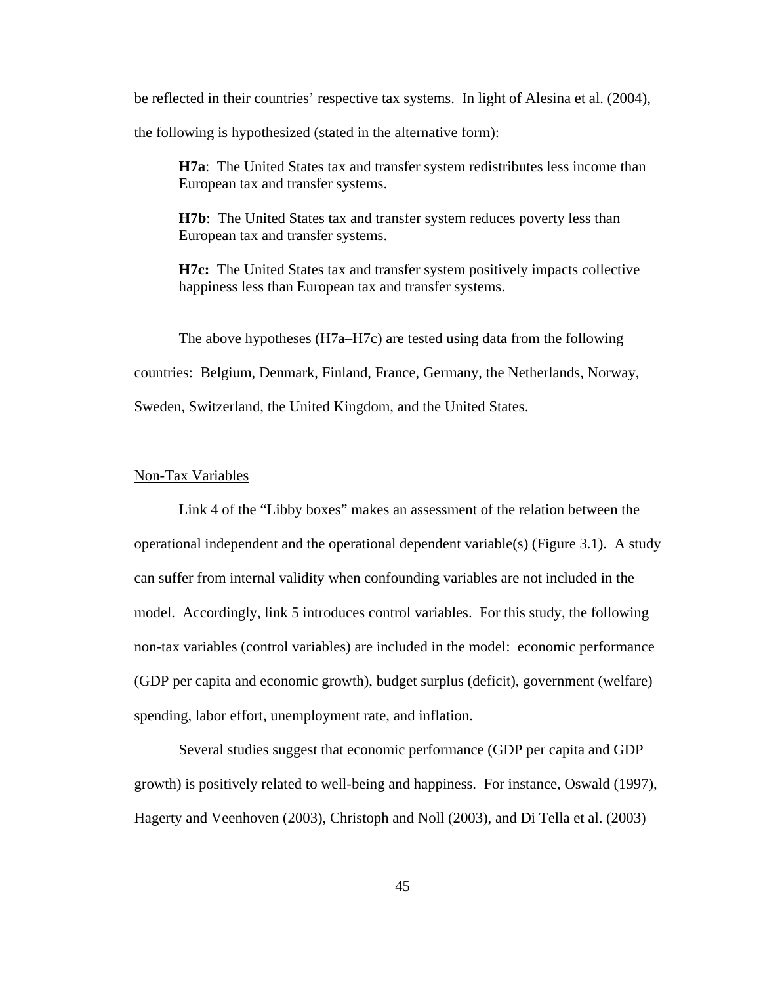be reflected in their countries' respective tax systems. In light of Alesina et al. (2004),

the following is hypothesized (stated in the alternative form):

**H7a**: The United States tax and transfer system redistributes less income than European tax and transfer systems.

**H7b**: The United States tax and transfer system reduces poverty less than European tax and transfer systems.

**H7c:** The United States tax and transfer system positively impacts collective happiness less than European tax and transfer systems.

The above hypotheses (H7a–H7c) are tested using data from the following countries: Belgium, Denmark, Finland, France, Germany, the Netherlands, Norway, Sweden, Switzerland, the United Kingdom, and the United States.

#### Non-Tax Variables

Link 4 of the "Libby boxes" makes an assessment of the relation between the operational independent and the operational dependent variable(s) (Figure 3.1). A study can suffer from internal validity when confounding variables are not included in the model. Accordingly, link 5 introduces control variables. For this study, the following non-tax variables (control variables) are included in the model: economic performance (GDP per capita and economic growth), budget surplus (deficit), government (welfare) spending, labor effort, unemployment rate, and inflation.

Several studies suggest that economic performance (GDP per capita and GDP growth) is positively related to well-being and happiness. For instance, Oswald (1997), Hagerty and Veenhoven (2003), Christoph and Noll (2003), and Di Tella et al. (2003)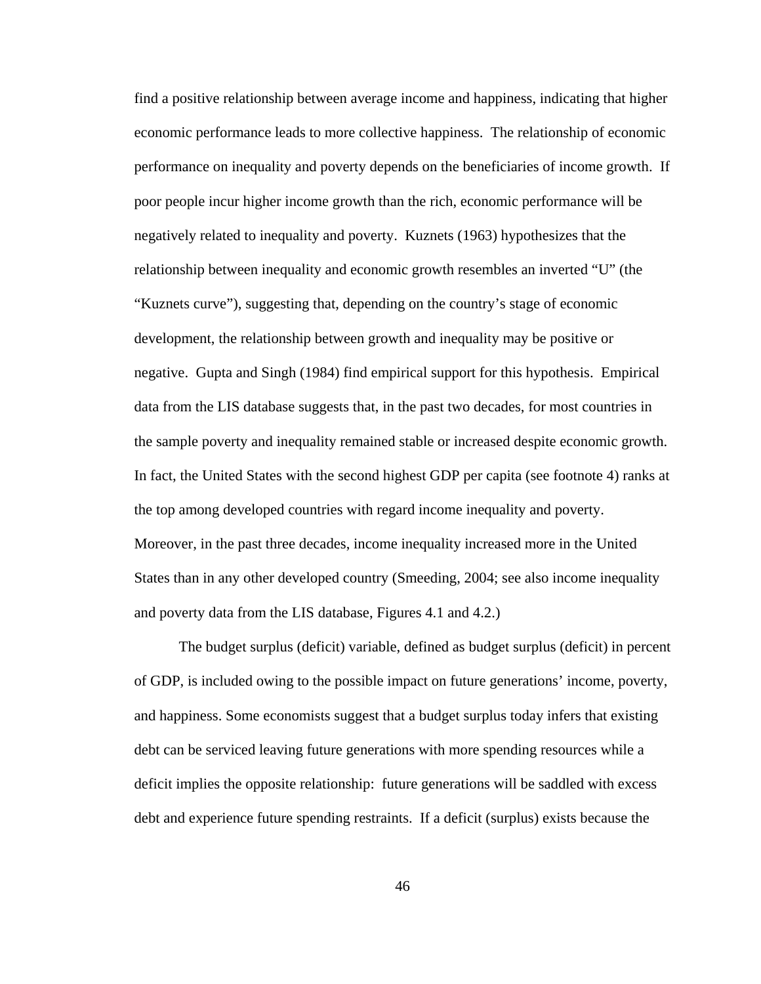find a positive relationship between average income and happiness, indicating that higher economic performance leads to more collective happiness. The relationship of economic performance on inequality and poverty depends on the beneficiaries of income growth. If poor people incur higher income growth than the rich, economic performance will be negatively related to inequality and poverty. Kuznets (1963) hypothesizes that the relationship between inequality and economic growth resembles an inverted "U" (the "Kuznets curve"), suggesting that, depending on the country's stage of economic development, the relationship between growth and inequality may be positive or negative. Gupta and Singh (1984) find empirical support for this hypothesis. Empirical data from the LIS database suggests that, in the past two decades, for most countries in the sample poverty and inequality remained stable or increased despite economic growth. In fact, the United States with the second highest GDP per capita (see footnote 4) ranks at the top among developed countries with regard income inequality and poverty. Moreover, in the past three decades, income inequality increased more in the United States than in any other developed country (Smeeding, 2004; see also income inequality and poverty data from the LIS database, Figures 4.1 and 4.2.)

The budget surplus (deficit) variable, defined as budget surplus (deficit) in percent of GDP, is included owing to the possible impact on future generations' income, poverty, and happiness. Some economists suggest that a budget surplus today infers that existing debt can be serviced leaving future generations with more spending resources while a deficit implies the opposite relationship: future generations will be saddled with excess debt and experience future spending restraints. If a deficit (surplus) exists because the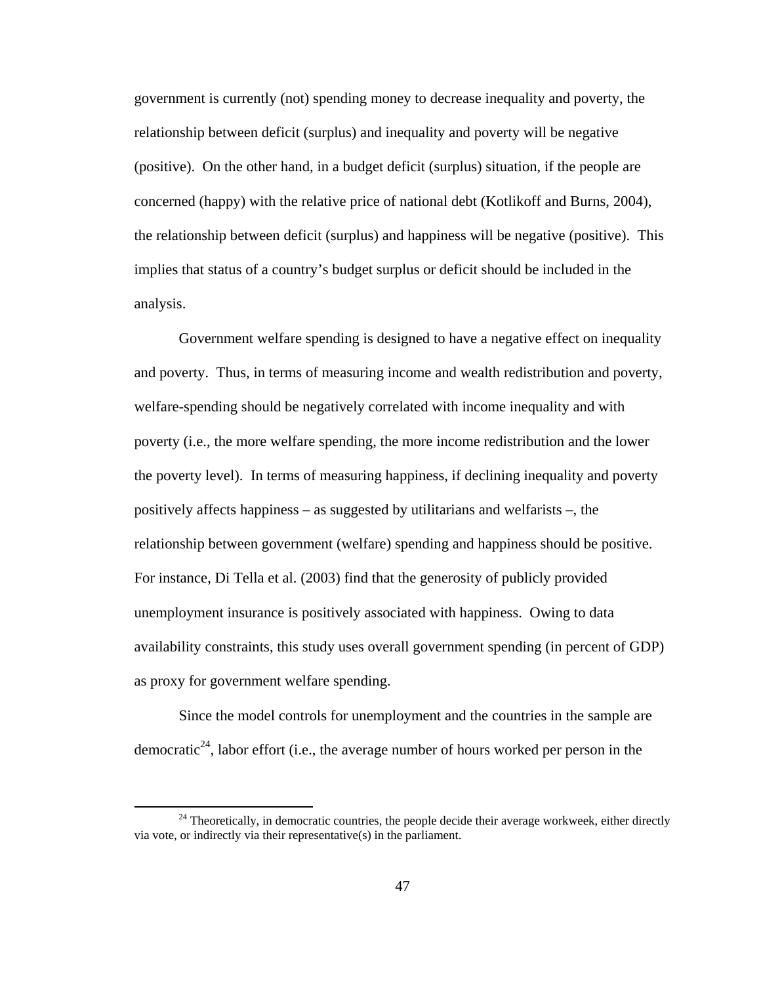government is currently (not) spending money to decrease inequality and poverty, the relationship between deficit (surplus) and inequality and poverty will be negative (positive). On the other hand, in a budget deficit (surplus) situation, if the people are concerned (happy) with the relative price of national debt (Kotlikoff and Burns, 2004), the relationship between deficit (surplus) and happiness will be negative (positive). This implies that status of a country's budget surplus or deficit should be included in the analysis.

Government welfare spending is designed to have a negative effect on inequality and poverty. Thus, in terms of measuring income and wealth redistribution and poverty, welfare-spending should be negatively correlated with income inequality and with poverty (i.e., the more welfare spending, the more income redistribution and the lower the poverty level). In terms of measuring happiness, if declining inequality and poverty positively affects happiness – as suggested by utilitarians and welfarists –, the relationship between government (welfare) spending and happiness should be positive. For instance, Di Tella et al. (2003) find that the generosity of publicly provided unemployment insurance is positively associated with happiness. Owing to data availability constraints, this study uses overall government spending (in percent of GDP) as proxy for government welfare spending.

Since the model controls for unemployment and the countries in the sample are democratic<sup>24</sup>, labor effort (i.e., the average number of hours worked per person in the

 $24$  Theoretically, in democratic countries, the people decide their average workweek, either directly via vote, or indirectly via their representative(s) in the parliament.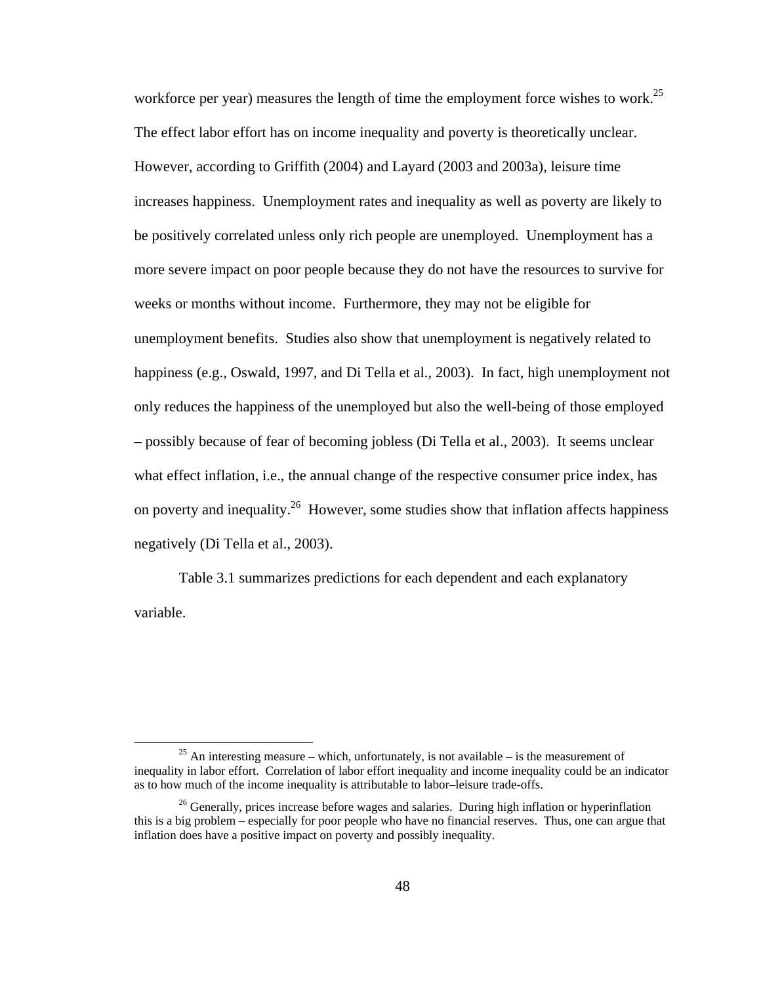workforce per year) measures the length of time the employment force wishes to work.<sup>25</sup> The effect labor effort has on income inequality and poverty is theoretically unclear. However, according to Griffith (2004) and Layard (2003 and 2003a), leisure time increases happiness. Unemployment rates and inequality as well as poverty are likely to be positively correlated unless only rich people are unemployed. Unemployment has a more severe impact on poor people because they do not have the resources to survive for weeks or months without income. Furthermore, they may not be eligible for unemployment benefits. Studies also show that unemployment is negatively related to happiness (e.g., Oswald, 1997, and Di Tella et al., 2003). In fact, high unemployment not only reduces the happiness of the unemployed but also the well-being of those employed – possibly because of fear of becoming jobless (Di Tella et al., 2003). It seems unclear what effect inflation, i.e., the annual change of the respective consumer price index, has on poverty and inequality.<sup>26</sup> However, some studies show that inflation affects happiness negatively (Di Tella et al., 2003).

Table 3.1 summarizes predictions for each dependent and each explanatory variable.

<sup>&</sup>lt;sup>25</sup> An interesting measure – which, unfortunately, is not available – is the measurement of inequality in labor effort. Correlation of labor effort inequality and income inequality could be an indicator as to how much of the income inequality is attributable to labor–leisure trade-offs.

<sup>&</sup>lt;sup>26</sup> Generally, prices increase before wages and salaries. During high inflation or hyperinflation this is a big problem – especially for poor people who have no financial reserves. Thus, one can argue that inflation does have a positive impact on poverty and possibly inequality.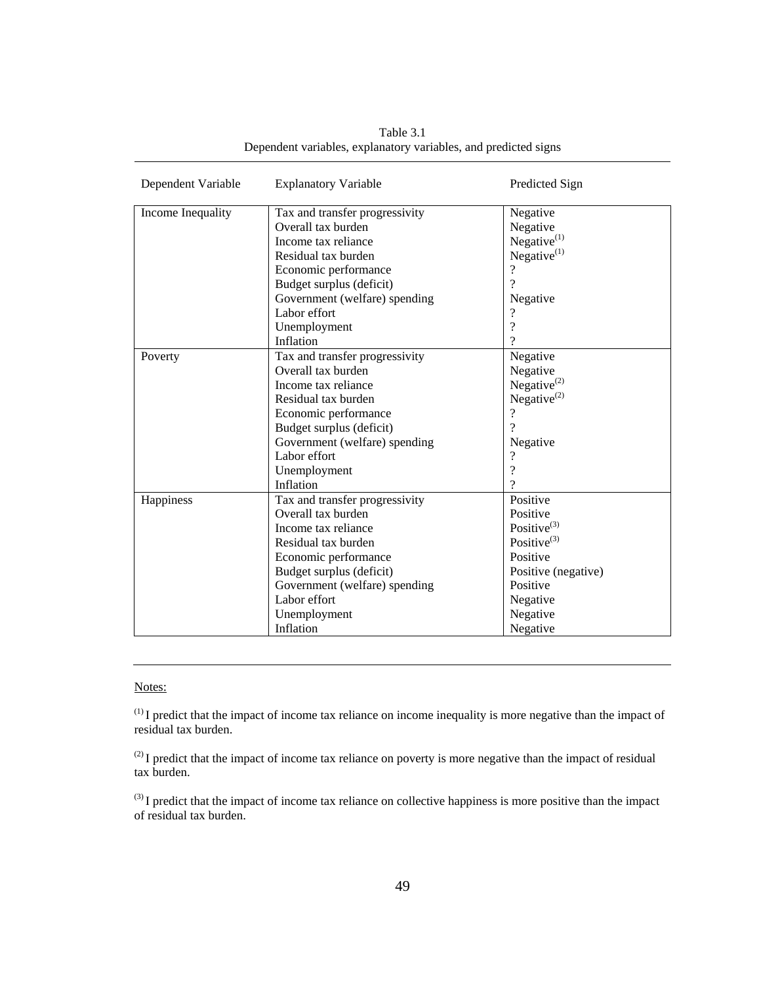| Dependent Variable | <b>Explanatory Variable</b>    | Predicted Sign      |
|--------------------|--------------------------------|---------------------|
| Income Inequality  | Tax and transfer progressivity | Negative            |
|                    | Overall tax burden             | Negative            |
|                    | Income tax reliance            | Negative $(1)$      |
|                    | Residual tax burden            | Negative $(1)$      |
|                    | Economic performance           | $\gamma$            |
|                    | Budget surplus (deficit)       | $\gamma$            |
|                    | Government (welfare) spending  | Negative            |
|                    | Labor effort                   | ?                   |
|                    | Unemployment                   | $\gamma$            |
|                    | Inflation                      | 9                   |
| Poverty            | Tax and transfer progressivity | Negative            |
|                    | Overall tax burden             | Negative            |
|                    | Income tax reliance            | Negative $^{(2)}$   |
|                    | Residual tax burden            | Negative $^{(2)}$   |
|                    | Economic performance           | $\gamma$            |
|                    | Budget surplus (deficit)       | 9                   |
|                    | Government (welfare) spending  | Negative            |
|                    | Labor effort                   | $\gamma$            |
|                    | Unemployment                   | $\gamma$            |
|                    | Inflation                      | 9                   |
| Happiness          | Tax and transfer progressivity | Positive            |
|                    | Overall tax burden             | Positive            |
|                    | Income tax reliance            | Positive $^{(3)}$   |
|                    | Residual tax burden            | Positive $^{(3)}$   |
|                    | Economic performance           | Positive            |
|                    | Budget surplus (deficit)       | Positive (negative) |
|                    | Government (welfare) spending  | Positive            |
|                    | Labor effort                   | Negative            |
|                    | Unemployment                   | Negative            |
|                    | Inflation                      | Negative            |

Table 3.1 Dependent variables, explanatory variables, and predicted signs

#### Notes:

(1) I predict that the impact of income tax reliance on income inequality is more negative than the impact of residual tax burden.

<sup>(2)</sup> I predict that the impact of income tax reliance on poverty is more negative than the impact of residual tax burden.

<sup>(3)</sup> I predict that the impact of income tax reliance on collective happiness is more positive than the impact of residual tax burden.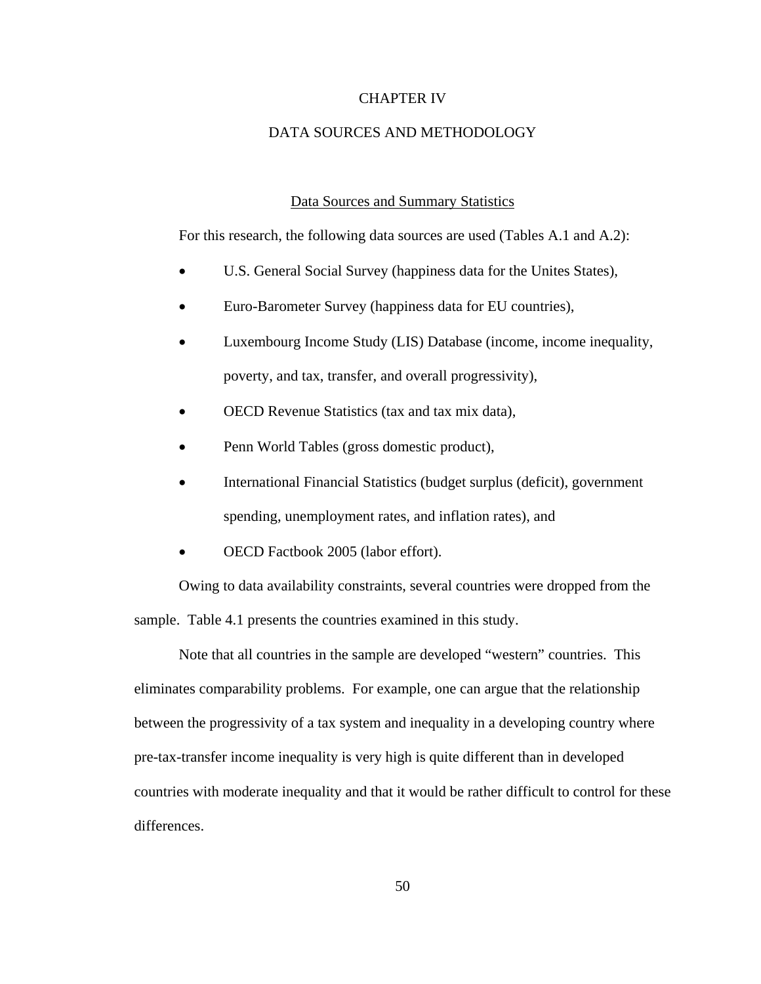## CHAPTER IV

# DATA SOURCES AND METHODOLOGY

# Data Sources and Summary Statistics

For this research, the following data sources are used (Tables A.1 and A.2):

- U.S. General Social Survey (happiness data for the Unites States),
- Euro-Barometer Survey (happiness data for EU countries),
- Luxembourg Income Study (LIS) Database (income, income inequality, poverty, and tax, transfer, and overall progressivity),
- OECD Revenue Statistics (tax and tax mix data),
- Penn World Tables (gross domestic product),
- International Financial Statistics (budget surplus (deficit), government spending, unemployment rates, and inflation rates), and
- OECD Factbook 2005 (labor effort).

Owing to data availability constraints, several countries were dropped from the sample. Table 4.1 presents the countries examined in this study.

Note that all countries in the sample are developed "western" countries. This eliminates comparability problems. For example, one can argue that the relationship between the progressivity of a tax system and inequality in a developing country where pre-tax-transfer income inequality is very high is quite different than in developed countries with moderate inequality and that it would be rather difficult to control for these differences.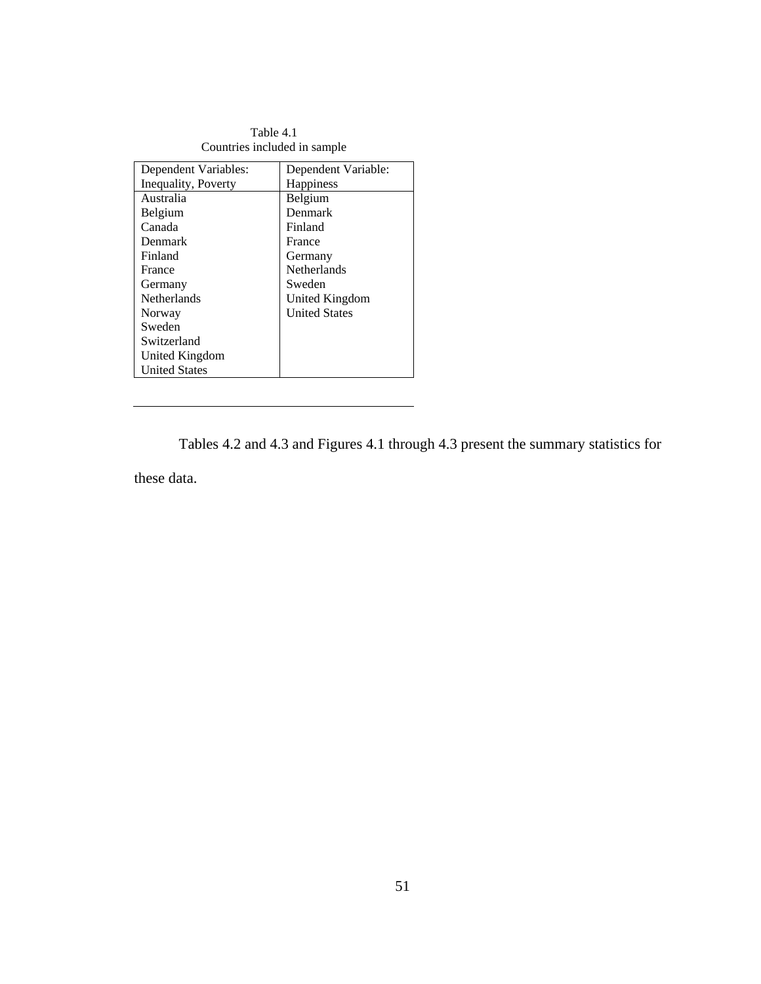| Table 4.1                    |
|------------------------------|
| Countries included in sample |

| Dependent Variables: | Dependent Variable:  |
|----------------------|----------------------|
| Inequality, Poverty  | <b>Happiness</b>     |
| Australia            | Belgium              |
| Belgium              | Denmark              |
| Canada               | Finland              |
| Denmark              | France               |
| Finland              | Germany              |
| France               | <b>Netherlands</b>   |
| Germany              | Sweden               |
| <b>Netherlands</b>   | United Kingdom       |
| Norway               | <b>United States</b> |
| Sweden               |                      |
| Switzerland          |                      |
| United Kingdom       |                      |
| <b>United States</b> |                      |

Tables 4.2 and 4.3 and Figures 4.1 through 4.3 present the summary statistics for

these data.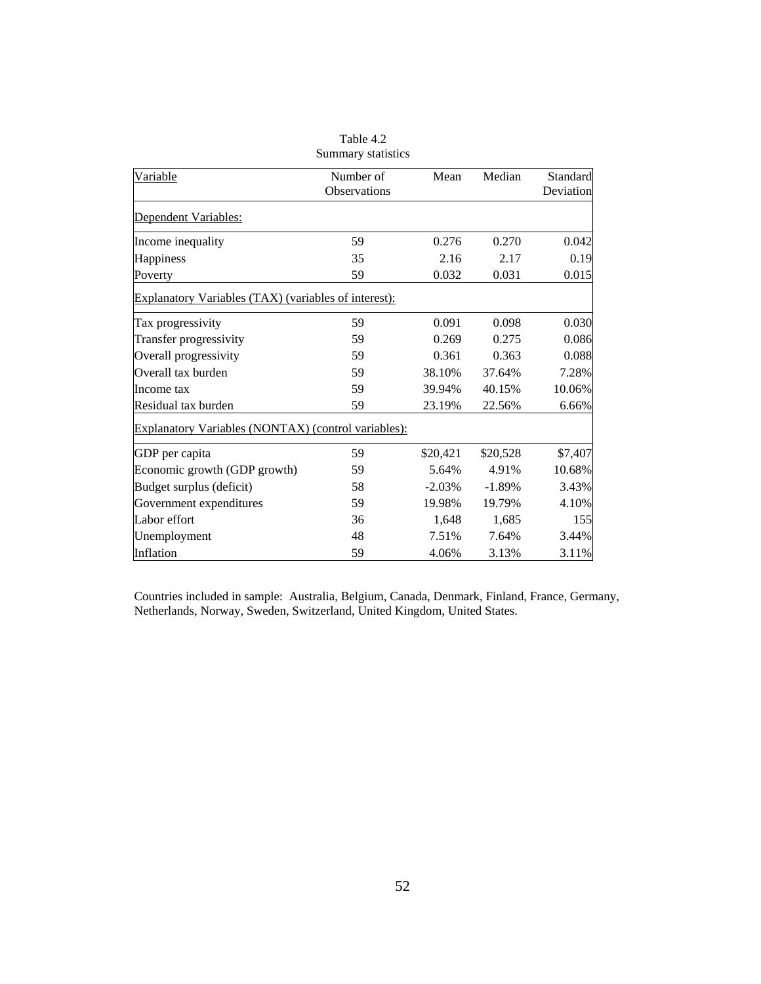| Variable                                             | Number of<br>Observations | Mean     | Median   | Standard<br>Deviation |
|------------------------------------------------------|---------------------------|----------|----------|-----------------------|
| Dependent Variables:                                 |                           |          |          |                       |
| Income inequality                                    | 59                        | 0.276    | 0.270    | 0.042                 |
| Happiness                                            | 35                        | 2.16     | 2.17     | 0.19                  |
| Poverty                                              | 59                        | 0.032    | 0.031    | 0.015                 |
| Explanatory Variables (TAX) (variables of interest): |                           |          |          |                       |
| Tax progressivity                                    | 59                        | 0.091    | 0.098    | 0.030                 |
| Transfer progressivity                               | 59                        | 0.269    | 0.275    | 0.086                 |
| Overall progressivity                                | 59                        | 0.361    | 0.363    | 0.088                 |
| Overall tax burden                                   | 59                        | 38.10%   | 37.64%   | 7.28%                 |
| Income tax                                           | 59                        | 39.94%   | 40.15%   | 10.06%                |
| Residual tax burden                                  | 59                        | 23.19%   | 22.56%   | 6.66%                 |
| Explanatory Variables (NONTAX) (control variables):  |                           |          |          |                       |
| GDP per capita                                       | 59                        | \$20,421 | \$20,528 | \$7,407               |
| Economic growth (GDP growth)                         | 59                        | 5.64%    | 4.91%    | 10.68%                |
| Budget surplus (deficit)                             | 58                        | $-2.03%$ | $-1.89%$ | 3.43%                 |
| Government expenditures                              | 59                        | 19.98%   | 19.79%   | 4.10%                 |
| Labor effort                                         | 36                        | 1,648    | 1,685    | 155                   |
| Unemployment                                         | 48                        | 7.51%    | 7.64%    | 3.44%                 |
| Inflation                                            | 59                        | 4.06%    | 3.13%    | 3.11%                 |

Table 4.2 Summary statistics

Countries included in sample: Australia, Belgium, Canada, Denmark, Finland, France, Germany, Netherlands, Norway, Sweden, Switzerland, United Kingdom, United States.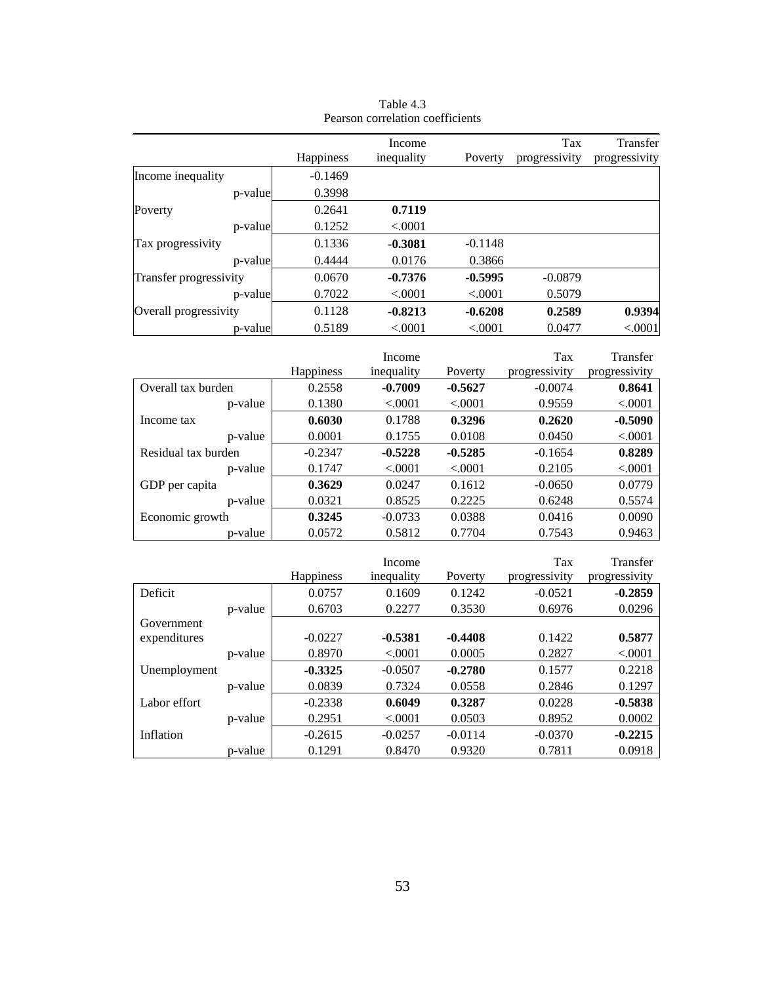|                        |           | Income     |           | Tax           | Transfer      |
|------------------------|-----------|------------|-----------|---------------|---------------|
|                        | Happiness | inequality | Poverty   | progressivity | progressivity |
| Income inequality      | $-0.1469$ |            |           |               |               |
| p-value                | 0.3998    |            |           |               |               |
| Poverty                | 0.2641    | 0.7119     |           |               |               |
| p-value                | 0.1252    | < .0001    |           |               |               |
| Tax progressivity      | 0.1336    | $-0.3081$  | $-0.1148$ |               |               |
| p-value                | 0.4444    | 0.0176     | 0.3866    |               |               |
| Transfer progressivity | 0.0670    | $-0.7376$  | $-0.5995$ | $-0.0879$     |               |
| p-value                | 0.7022    | < .0001    | < .0001   | 0.5079        |               |
| Overall progressivity  | 0.1128    | $-0.8213$  | $-0.6208$ | 0.2589        | 0.9394        |
| p-value                | 0.5189    | < .0001    | < .0001   | 0.0477        | < .0001       |

Table 4.3 Pearson correlation coefficients

|                     |                  | Income     |           | Tax           | Transfer      |
|---------------------|------------------|------------|-----------|---------------|---------------|
|                     | <b>Happiness</b> | inequality | Poverty   | progressivity | progressivity |
| Overall tax burden  | 0.2558           | $-0.7009$  | $-0.5627$ | $-0.0074$     | 0.8641        |
| p-value             | 0.1380           | < .0001    | < 0.0001  | 0.9559        | < .0001       |
| Income tax          | 0.6030           | 0.1788     | 0.3296    | 0.2620        | $-0.5090$     |
| p-value             | 0.0001           | 0.1755     | 0.0108    | 0.0450        | < .0001       |
| Residual tax burden | $-0.2347$        | $-0.5228$  | $-0.5285$ | $-0.1654$     | 0.8289        |
| p-value             | 0.1747           | < .0001    | < .0001   | 0.2105        | < .0001       |
| GDP per capita      | 0.3629           | 0.0247     | 0.1612    | $-0.0650$     | 0.0779        |
| p-value             | 0.0321           | 0.8525     | 0.2225    | 0.6248        | 0.5574        |
| Economic growth     | 0.3245           | $-0.0733$  | 0.0388    | 0.0416        | 0.0090        |
| p-value             | 0.0572           | 0.5812     | 0.7704    | 0.7543        | 0.9463        |

|              |         |                  | Income     |           | Tax           | Transfer      |
|--------------|---------|------------------|------------|-----------|---------------|---------------|
|              |         | <b>Happiness</b> | inequality | Poverty   | progressivity | progressivity |
| Deficit      |         | 0.0757           | 0.1609     | 0.1242    | $-0.0521$     | $-0.2859$     |
|              | p-value | 0.6703           | 0.2277     | 0.3530    | 0.6976        | 0.0296        |
| Government   |         |                  |            |           |               |               |
| expenditures |         | $-0.0227$        | $-0.5381$  | $-0.4408$ | 0.1422        | 0.5877        |
|              | p-value | 0.8970           | < .0001    | 0.0005    | 0.2827        | < .0001       |
| Unemployment |         | $-0.3325$        | $-0.0507$  | $-0.2780$ | 0.1577        | 0.2218        |
|              | p-value | 0.0839           | 0.7324     | 0.0558    | 0.2846        | 0.1297        |
| Labor effort |         | $-0.2338$        | 0.6049     | 0.3287    | 0.0228        | $-0.5838$     |
|              | p-value | 0.2951           | < .0001    | 0.0503    | 0.8952        | 0.0002        |
| Inflation    |         | $-0.2615$        | $-0.0257$  | $-0.0114$ | $-0.0370$     | $-0.2215$     |
|              | p-value | 0.1291           | 0.8470     | 0.9320    | 0.7811        | 0.0918        |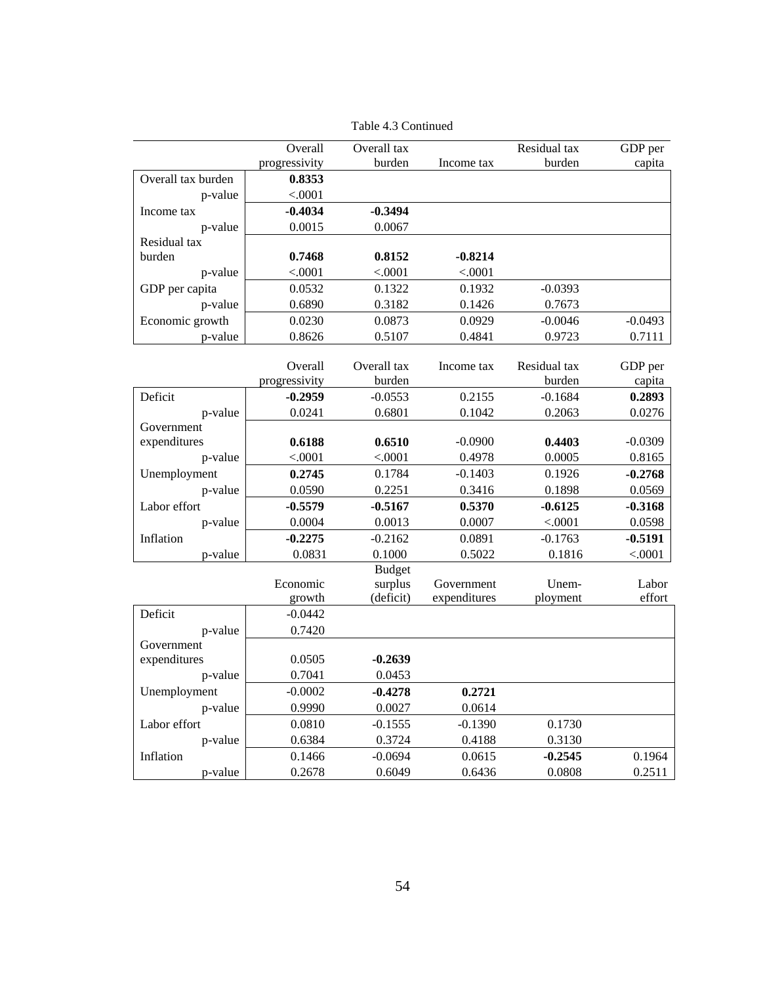|                            | Overall       | Overall tax              |                            | Residual tax | GDP per         |
|----------------------------|---------------|--------------------------|----------------------------|--------------|-----------------|
|                            | progressivity | burden                   | Income tax                 | burden       | capita          |
| Overall tax burden         | 0.8353        |                          |                            |              |                 |
| p-value                    | < .0001       |                          |                            |              |                 |
| Income tax                 | $-0.4034$     | $-0.3494$                |                            |              |                 |
| p-value                    | 0.0015        | 0.0067                   |                            |              |                 |
| Residual tax               |               |                          |                            |              |                 |
| burden                     | 0.7468        | 0.8152                   | $-0.8214$                  |              |                 |
| p-value                    | < .0001       | < .0001                  | < .0001                    |              |                 |
| GDP per capita             | 0.0532        | 0.1322                   | 0.1932                     | $-0.0393$    |                 |
| p-value                    | 0.6890        | 0.3182                   | 0.1426                     | 0.7673       |                 |
| Economic growth            | 0.0230        | 0.0873                   | 0.0929                     | $-0.0046$    | $-0.0493$       |
| p-value                    | 0.8626        | 0.5107                   | 0.4841                     | 0.9723       | 0.7111          |
|                            |               |                          |                            |              |                 |
|                            | Overall       | Overall tax              | Income tax                 | Residual tax | GDP per         |
|                            | progressivity | burden                   |                            | burden       | capita          |
| Deficit                    | $-0.2959$     | $-0.0553$                | 0.2155                     | $-0.1684$    | 0.2893          |
| p-value                    | 0.0241        | 0.6801                   | 0.1042                     | 0.2063       | 0.0276          |
| Government<br>expenditures | 0.6188        | 0.6510                   | $-0.0900$                  | 0.4403       | $-0.0309$       |
| p-value                    | < .0001       | < .0001                  | 0.4978                     | 0.0005       | 0.8165          |
| Unemployment               | 0.2745        | 0.1784                   | $-0.1403$                  | 0.1926       | $-0.2768$       |
|                            | 0.0590        | 0.2251                   | 0.3416                     | 0.1898       | 0.0569          |
| p-value                    |               |                          |                            |              |                 |
| Labor effort               | $-0.5579$     | $-0.5167$                | 0.5370                     | $-0.6125$    | $-0.3168$       |
| p-value                    | 0.0004        | 0.0013                   | 0.0007                     | < .0001      | 0.0598          |
| Inflation                  | $-0.2275$     | $-0.2162$                | 0.0891                     | $-0.1763$    | $-0.5191$       |
| p-value                    | 0.0831        | 0.1000                   | 0.5022                     | 0.1816       | < .0001         |
|                            | Economic      | <b>Budget</b><br>surplus |                            | Unem-        |                 |
|                            | growth        | (deficit)                | Government<br>expenditures | ployment     | Labor<br>effort |
| Deficit                    | $-0.0442$     |                          |                            |              |                 |
| p-value                    | 0.7420        |                          |                            |              |                 |
| Government                 |               |                          |                            |              |                 |
| expenditures               | 0.0505        | $-0.2639$                |                            |              |                 |
| p-value                    | 0.7041        | 0.0453                   |                            |              |                 |
| Unemployment               | $-0.0002$     | $-0.4278$                | 0.2721                     |              |                 |
| p-value                    | 0.9990        | 0.0027                   | 0.0614                     |              |                 |
| Labor effort               | 0.0810        | $-0.1555$                | $-0.1390$                  | 0.1730       |                 |
| p-value                    | 0.6384        | 0.3724                   | 0.4188                     | 0.3130       |                 |
| Inflation                  | 0.1466        | $-0.0694$                | 0.0615                     | $-0.2545$    | 0.1964          |
| p-value                    | 0.2678        | 0.6049                   | 0.6436                     | 0.0808       | 0.2511          |
|                            |               |                          |                            |              |                 |

Table 4.3 Continued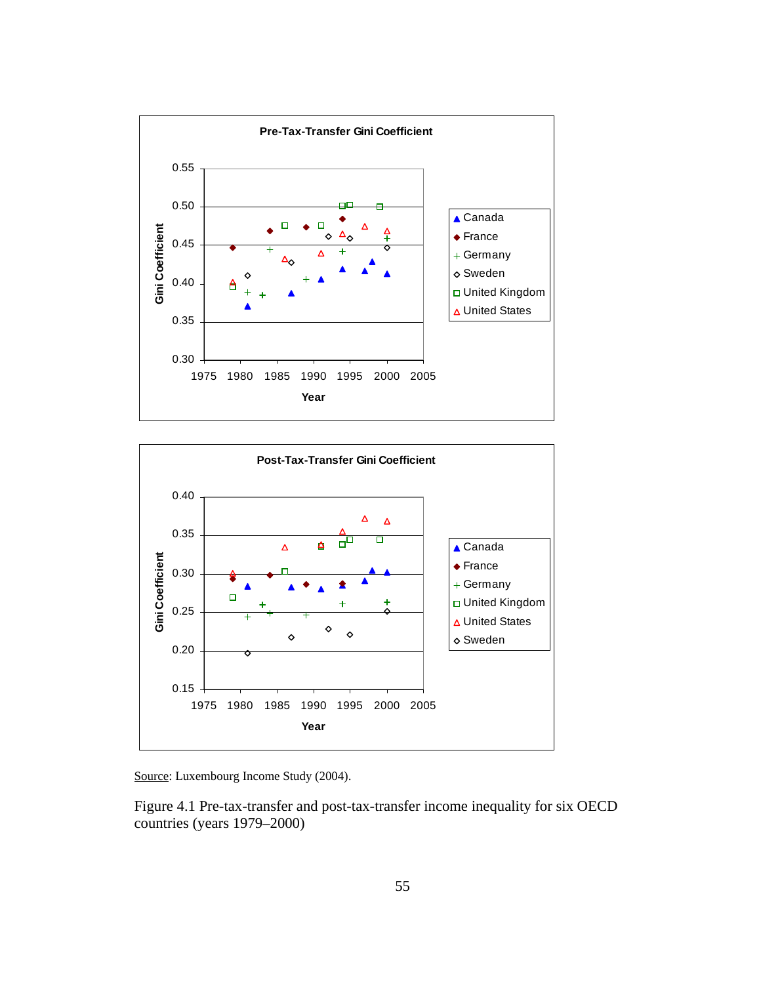



Source: Luxembourg Income Study (2004).

Figure 4.1 Pre-tax-transfer and post-tax-transfer income inequality for six OECD countries (years 1979–2000)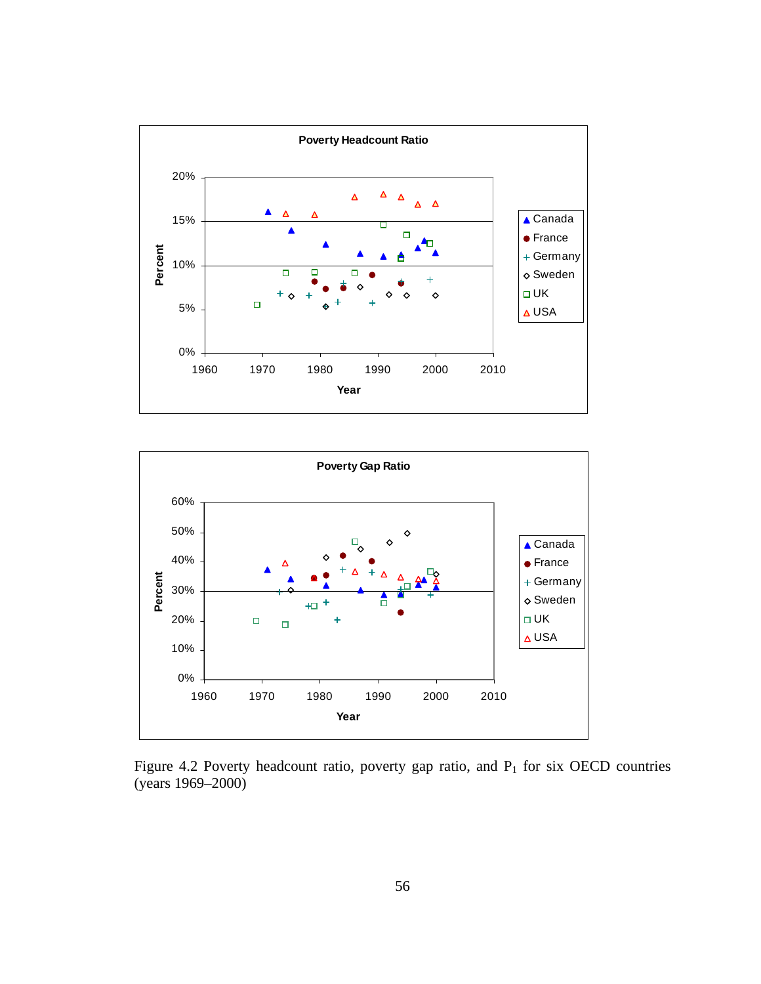



Figure 4.2 Poverty headcount ratio, poverty gap ratio, and  $P_1$  for six OECD countries (years 1969–2000)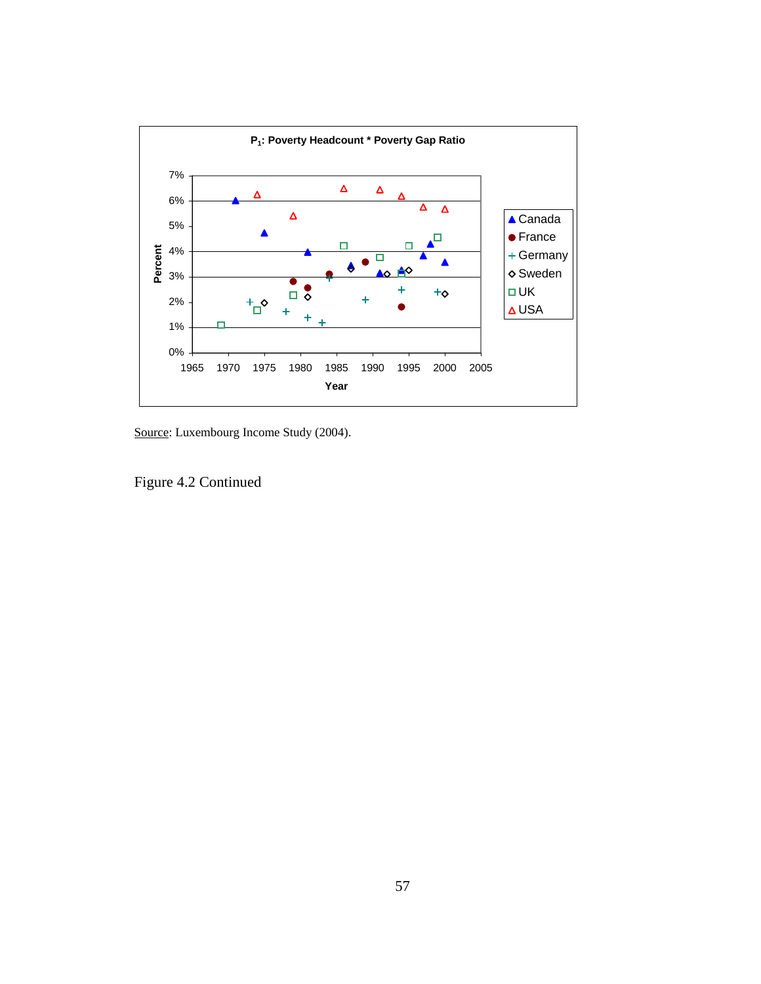

Source: Luxembourg Income Study (2004).

Figure 4.2 Continued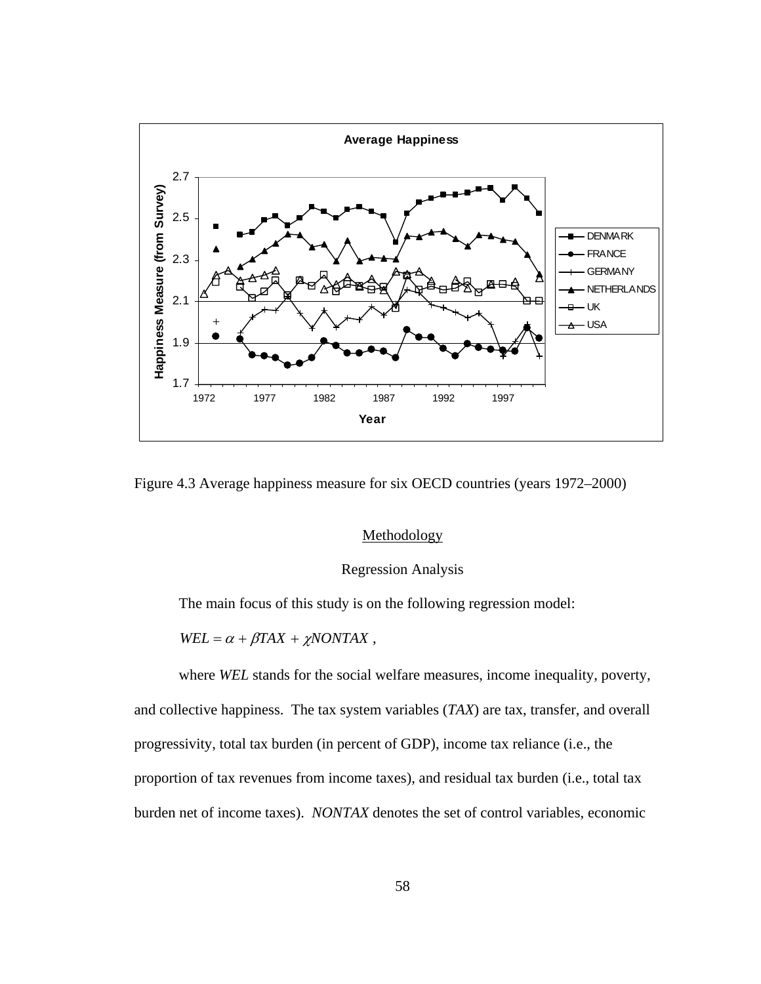

Figure 4.3 Average happiness measure for six OECD countries (years 1972–2000)

# Methodology

## Regression Analysis

The main focus of this study is on the following regression model:

 $WEL = \alpha + \beta TAX + \chi NONTAX$ ,

where *WEL* stands for the social welfare measures, income inequality, poverty, and collective happiness. The tax system variables (*TAX*) are tax, transfer, and overall progressivity, total tax burden (in percent of GDP), income tax reliance (i.e., the proportion of tax revenues from income taxes), and residual tax burden (i.e., total tax burden net of income taxes). *NONTAX* denotes the set of control variables, economic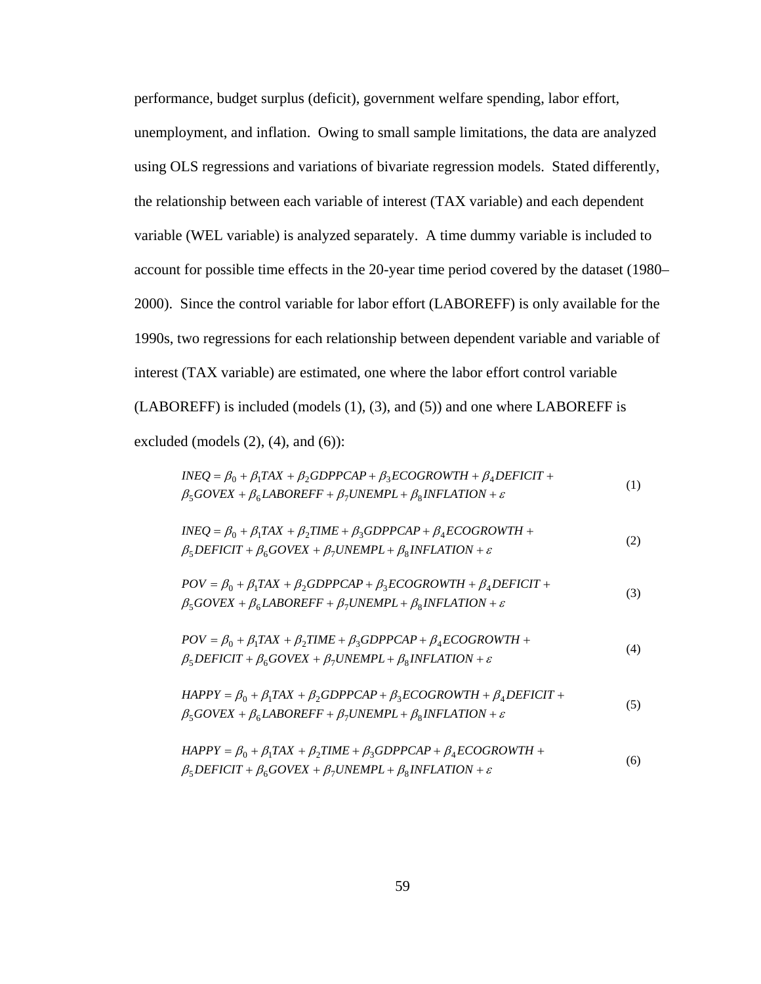performance, budget surplus (deficit), government welfare spending, labor effort, unemployment, and inflation. Owing to small sample limitations, the data are analyzed using OLS regressions and variations of bivariate regression models. Stated differently, the relationship between each variable of interest (TAX variable) and each dependent variable (WEL variable) is analyzed separately. A time dummy variable is included to account for possible time effects in the 20-year time period covered by the dataset (1980– 2000). Since the control variable for labor effort (LABOREFF) is only available for the 1990s, two regressions for each relationship between dependent variable and variable of interest (TAX variable) are estimated, one where the labor effort control variable (LABOREFF) is included (models (1), (3), and (5)) and one where LABOREFF is excluded (models  $(2)$ ,  $(4)$ , and  $(6)$ ):

| $INEQ = \beta_0 + \beta_1 TAX + \beta_2 GDPPCAP + \beta_3 ECOGROWTH + \beta_4 DEFICIT +$<br>$\beta_5 GOVEX + \beta_6 LABOREFF + \beta_7 UNEMPL + \beta_8 INFLATION + \varepsilon$      | (1) |
|----------------------------------------------------------------------------------------------------------------------------------------------------------------------------------------|-----|
| $INEQ = \beta_0 + \beta_1 TAX + \beta_2 TIME + \beta_3 GDPPCAP + \beta_4 ECOGROWTH +$<br>$\beta_5$ DEFICIT + $\beta_6$ GOVEX + $\beta_7$ UNEMPL + $\beta_8$ INFLATION + $\varepsilon$  | (2) |
| $POV = \beta_0 + \beta_1 TAX + \beta_2 GDPPCAP + \beta_3 ECOGROWTH + \beta_4 DEFICIT +$<br>$\beta_5 GOVEX + \beta_6 LABOREFF + \beta_7 UNEMPL + \beta_8 INFLATION + \varepsilon$       | (3) |
| $POV = \beta_0 + \beta_1 TAX + \beta_2 TIME + \beta_3 GDPPCAP + \beta_4 ECOGROWTH +$<br>$\beta_5$ DEFICIT + $\beta_6$ GOVEX + $\beta_7$ UNEMPL + $\beta_8$ INFLATION + $\varepsilon$   | (4) |
| $HAPPY = \beta_0 + \beta_1 TAX + \beta_2 GDPPCAP + \beta_3 ECOGROWTH + \beta_4 DEFICIT +$<br>$\beta_5 GOVEX + \beta_6 LABOREFF + \beta_7 UNEMPL + \beta_8 INFLATION + \varepsilon$     | (5) |
| $HAPPY = \beta_0 + \beta_1 TAX + \beta_2 TIME + \beta_3 GDPPCAP + \beta_4 ECOGROWTH +$<br>$\beta_5$ DEFICIT + $\beta_6$ GOVEX + $\beta_7$ UNEMPL + $\beta_8$ INFLATION + $\varepsilon$ | (6) |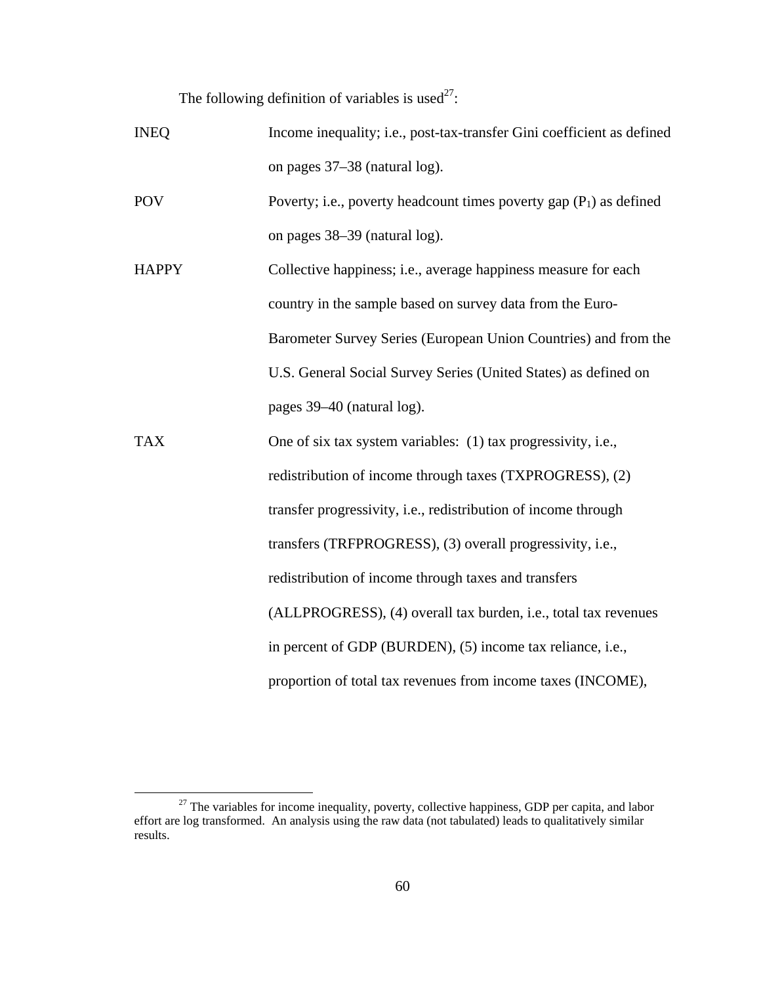The following definition of variables is used<sup>27</sup>:

| <b>INEQ</b>  | Income inequality; i.e., post-tax-transfer Gini coefficient as defined |
|--------------|------------------------------------------------------------------------|
|              | on pages 37–38 (natural log).                                          |
| <b>POV</b>   | Poverty; i.e., poverty headcount times poverty gap $(P_1)$ as defined  |
|              | on pages 38–39 (natural log).                                          |
| <b>HAPPY</b> | Collective happiness; i.e., average happiness measure for each         |
|              | country in the sample based on survey data from the Euro-              |
|              | Barometer Survey Series (European Union Countries) and from the        |
|              | U.S. General Social Survey Series (United States) as defined on        |
|              | pages 39–40 (natural log).                                             |
| <b>TAX</b>   | One of six tax system variables: (1) tax progressivity, i.e.,          |
|              | redistribution of income through taxes (TXPROGRESS), (2)               |
|              | transfer progressivity, i.e., redistribution of income through         |
|              | transfers (TRFPROGRESS), (3) overall progressivity, i.e.,              |
|              | redistribution of income through taxes and transfers                   |
|              | (ALLPROGRESS), (4) overall tax burden, i.e., total tax revenues        |
|              | in percent of GDP (BURDEN), (5) income tax reliance, i.e.,             |
|              | proportion of total tax revenues from income taxes (INCOME),           |

<sup>&</sup>lt;sup>27</sup> The variables for income inequality, poverty, collective happiness, GDP per capita, and labor effort are log transformed. An analysis using the raw data (not tabulated) leads to qualitatively similar results.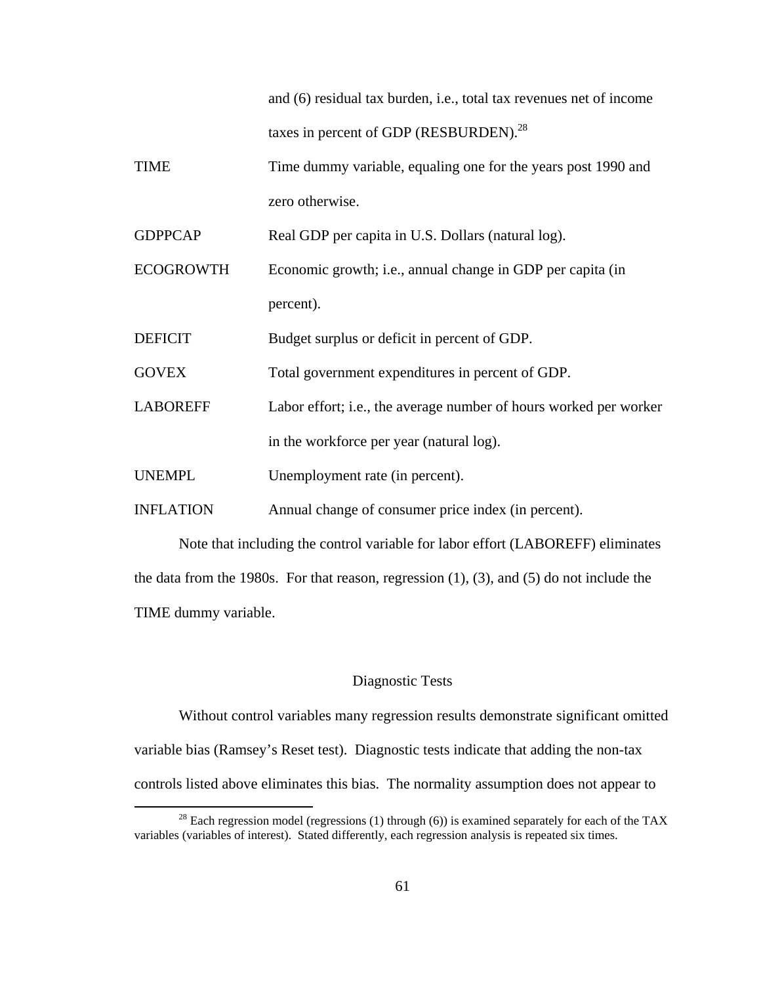and (6) residual tax burden, i.e., total tax revenues net of income taxes in percent of GDP (RESBURDEN).<sup>28</sup>

TIME Time dummy variable, equaling one for the years post 1990 and zero otherwise.

GDPPCAP Real GDP per capita in U.S. Dollars (natural log).

ECOGROWTH Economic growth; i.e., annual change in GDP per capita (in percent).

DEFICIT Budget surplus or deficit in percent of GDP.

- GOVEX Total government expenditures in percent of GDP.
- LABOREFF Labor effort; i.e., the average number of hours worked per worker in the workforce per year (natural log).

UNEMPL Unemployment rate (in percent).

INFLATION Annual change of consumer price index (in percent).

Note that including the control variable for labor effort (LABOREFF) eliminates the data from the 1980s. For that reason, regression (1), (3), and (5) do not include the TIME dummy variable.

#### Diagnostic Tests

Without control variables many regression results demonstrate significant omitted variable bias (Ramsey's Reset test). Diagnostic tests indicate that adding the non-tax controls listed above eliminates this bias. The normality assumption does not appear to

<sup>&</sup>lt;sup>28</sup> Each regression model (regressions (1) through (6)) is examined separately for each of the TAX variables (variables of interest). Stated differently, each regression analysis is repeated six times.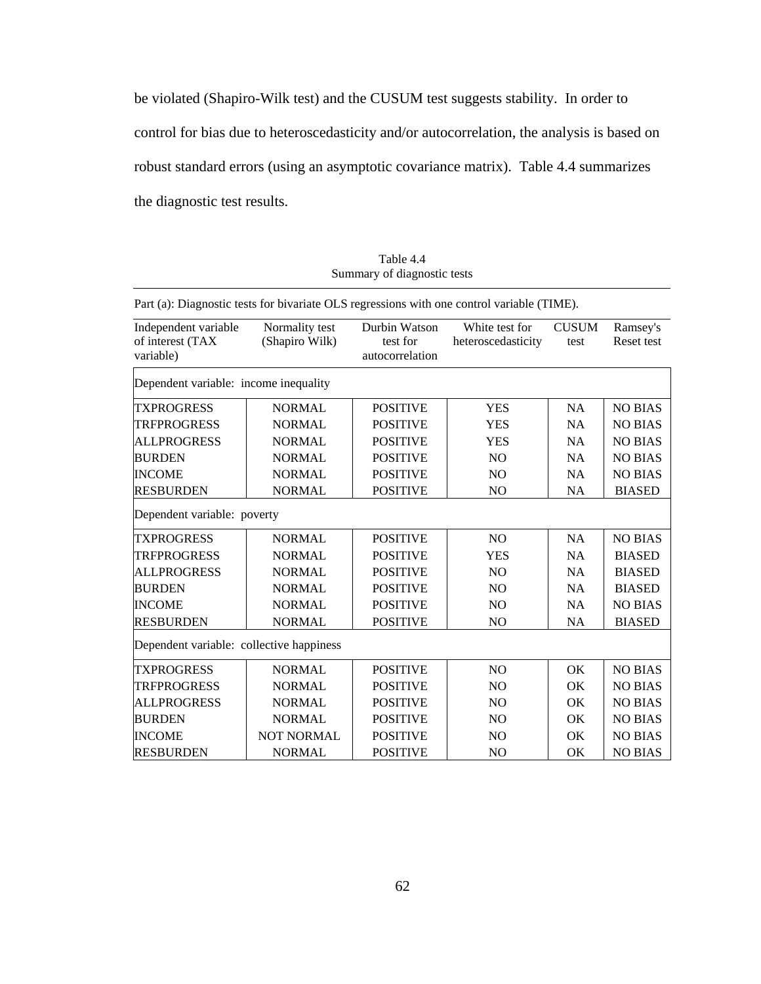be violated (Shapiro-Wilk test) and the CUSUM test suggests stability. In order to

control for bias due to heteroscedasticity and/or autocorrelation, the analysis is based on

robust standard errors (using an asymptotic covariance matrix). Table 4.4 summarizes

the diagnostic test results.

Table 4.4 Summary of diagnostic tests

| Part (a): Diagnostic tests for bivariate OLS regressions with one control variable (TIME). |                                  |                                              |                                      |                      |                        |
|--------------------------------------------------------------------------------------------|----------------------------------|----------------------------------------------|--------------------------------------|----------------------|------------------------|
| Independent variable<br>of interest (TAX<br>variable)                                      | Normality test<br>(Shapiro Wilk) | Durbin Watson<br>test for<br>autocorrelation | White test for<br>heteroscedasticity | <b>CUSUM</b><br>test | Ramsey's<br>Reset test |
| Dependent variable: income inequality                                                      |                                  |                                              |                                      |                      |                        |
| <b>TXPROGRESS</b>                                                                          | <b>NORMAL</b>                    | <b>POSITIVE</b>                              | <b>YES</b>                           | <b>NA</b>            | <b>NO BIAS</b>         |
| <b>TRFPROGRESS</b>                                                                         | <b>NORMAL</b>                    | <b>POSITIVE</b>                              | <b>YES</b>                           | <b>NA</b>            | <b>NO BIAS</b>         |
| <b>ALLPROGRESS</b>                                                                         | <b>NORMAL</b>                    | <b>POSITIVE</b>                              | <b>YES</b>                           | NA                   | <b>NO BIAS</b>         |
| <b>BURDEN</b>                                                                              | <b>NORMAL</b>                    | <b>POSITIVE</b>                              | N <sub>O</sub>                       | <b>NA</b>            | <b>NO BIAS</b>         |
| <b>INCOME</b>                                                                              | <b>NORMAL</b>                    | <b>POSITIVE</b>                              | N <sub>O</sub>                       | <b>NA</b>            | <b>NO BIAS</b>         |
| <b>RESBURDEN</b>                                                                           | <b>NORMAL</b>                    | <b>POSITIVE</b>                              | N <sub>O</sub>                       | <b>NA</b>            | <b>BIASED</b>          |
| Dependent variable: poverty                                                                |                                  |                                              |                                      |                      |                        |
| <b>TXPROGRESS</b>                                                                          | <b>NORMAL</b>                    | <b>POSITIVE</b>                              | N <sub>O</sub>                       | <b>NA</b>            | <b>NO BIAS</b>         |
| <b>TRFPROGRESS</b>                                                                         | <b>NORMAL</b>                    | <b>POSITIVE</b>                              | <b>YES</b>                           | <b>NA</b>            | <b>BIASED</b>          |
| <b>ALLPROGRESS</b>                                                                         | <b>NORMAL</b>                    | <b>POSITIVE</b>                              | N <sub>O</sub>                       | <b>NA</b>            | <b>BIASED</b>          |
| <b>BURDEN</b>                                                                              | <b>NORMAL</b>                    | <b>POSITIVE</b>                              | N <sub>O</sub>                       | <b>NA</b>            | <b>BIASED</b>          |
| <b>INCOME</b>                                                                              | <b>NORMAL</b>                    | <b>POSITIVE</b>                              | N <sub>O</sub>                       | <b>NA</b>            | <b>NO BIAS</b>         |
| <b>RESBURDEN</b>                                                                           | <b>NORMAL</b>                    | <b>POSITIVE</b>                              | N <sub>O</sub>                       | <b>NA</b>            | <b>BIASED</b>          |
| Dependent variable: collective happiness                                                   |                                  |                                              |                                      |                      |                        |
| <b>TXPROGRESS</b>                                                                          | <b>NORMAL</b>                    | <b>POSITIVE</b>                              | N <sub>O</sub>                       | OK                   | <b>NO BIAS</b>         |
| <b>TRFPROGRESS</b>                                                                         | <b>NORMAL</b>                    | <b>POSITIVE</b>                              | N <sub>O</sub>                       | OK.                  | <b>NO BIAS</b>         |
| <b>ALLPROGRESS</b>                                                                         | <b>NORMAL</b>                    | <b>POSITIVE</b>                              | N <sub>O</sub>                       | OK                   | <b>NO BIAS</b>         |
| <b>BURDEN</b>                                                                              | <b>NORMAL</b>                    | <b>POSITIVE</b>                              | N <sub>O</sub>                       | <b>OK</b>            | <b>NO BIAS</b>         |
| <b>INCOME</b>                                                                              | <b>NOT NORMAL</b>                | <b>POSITIVE</b>                              | N <sub>O</sub>                       | OK.                  | <b>NO BIAS</b>         |
| <b>RESBURDEN</b>                                                                           | <b>NORMAL</b>                    | <b>POSITIVE</b>                              | N <sub>O</sub>                       | OK                   | <b>NO BIAS</b>         |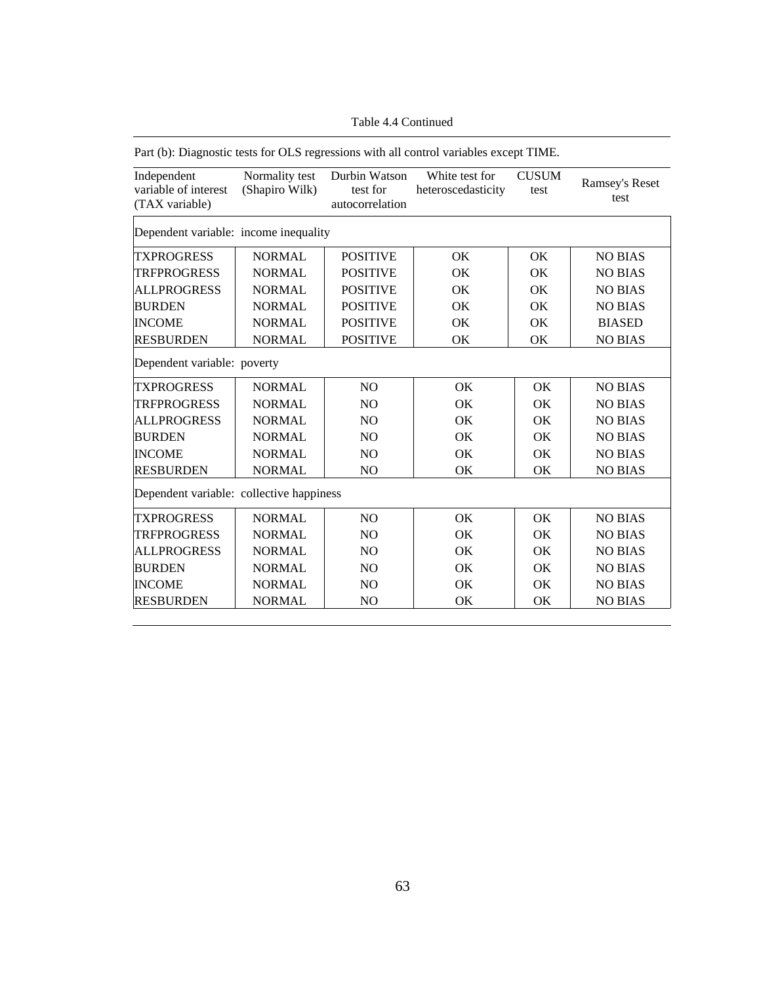| Part (b): Diagnostic tests for OLS regressions with all control variables except TIME. |                                  |                                              |                                      |                      |                        |
|----------------------------------------------------------------------------------------|----------------------------------|----------------------------------------------|--------------------------------------|----------------------|------------------------|
| Independent<br>variable of interest<br>(TAX variable)                                  | Normality test<br>(Shapiro Wilk) | Durbin Watson<br>test for<br>autocorrelation | White test for<br>heteroscedasticity | <b>CUSUM</b><br>test | Ramsey's Reset<br>test |
| Dependent variable: income inequality                                                  |                                  |                                              |                                      |                      |                        |
| <b>TXPROGRESS</b>                                                                      | <b>NORMAL</b>                    | <b>POSITIVE</b>                              | OK                                   | OK                   | <b>NO BIAS</b>         |
| <b>TRFPROGRESS</b>                                                                     | <b>NORMAL</b>                    | <b>POSITIVE</b>                              | OK                                   | OK                   | <b>NO BIAS</b>         |
| <b>ALLPROGRESS</b>                                                                     | <b>NORMAL</b>                    | <b>POSITIVE</b>                              | OK                                   | OK                   | <b>NO BIAS</b>         |
| <b>BURDEN</b>                                                                          | <b>NORMAL</b>                    | <b>POSITIVE</b>                              | <b>OK</b>                            | OK                   | <b>NO BIAS</b>         |
| <b>INCOME</b>                                                                          | <b>NORMAL</b>                    | <b>POSITIVE</b>                              | OK                                   | OK                   | <b>BIASED</b>          |
| <b>RESBURDEN</b>                                                                       | <b>NORMAL</b>                    | <b>POSITIVE</b>                              | OK                                   | OK                   | <b>NO BIAS</b>         |
| Dependent variable: poverty                                                            |                                  |                                              |                                      |                      |                        |
| <b>TXPROGRESS</b>                                                                      | <b>NORMAL</b>                    | N <sub>O</sub>                               | OK                                   | OK.                  | <b>NO BIAS</b>         |
| <b>TRFPROGRESS</b>                                                                     | <b>NORMAL</b>                    | N <sub>O</sub>                               | OK                                   | OK                   | <b>NO BIAS</b>         |
| <b>ALLPROGRESS</b>                                                                     | <b>NORMAL</b>                    | NO                                           | OK                                   | OK                   | <b>NO BIAS</b>         |
| <b>BURDEN</b>                                                                          | <b>NORMAL</b>                    | N <sub>O</sub>                               | <b>OK</b>                            | OK                   | <b>NO BIAS</b>         |
| <b>INCOME</b>                                                                          | <b>NORMAL</b>                    | N <sub>O</sub>                               | OK                                   | OK.                  | <b>NO BIAS</b>         |
| <b>RESBURDEN</b>                                                                       | <b>NORMAL</b>                    | NO                                           | OK                                   | OK                   | <b>NO BIAS</b>         |
| Dependent variable: collective happiness                                               |                                  |                                              |                                      |                      |                        |
| <b>TXPROGRESS</b>                                                                      | <b>NORMAL</b>                    | N <sub>O</sub>                               | OK.                                  | OK.                  | <b>NO BIAS</b>         |
| <b>TRFPROGRESS</b>                                                                     | <b>NORMAL</b>                    | NO                                           | OK                                   | OK                   | <b>NO BIAS</b>         |
| <b>ALLPROGRESS</b>                                                                     | <b>NORMAL</b>                    | N <sub>O</sub>                               | OK                                   | OK                   | <b>NO BIAS</b>         |
| <b>BURDEN</b>                                                                          | <b>NORMAL</b>                    | NO                                           | OK                                   | OK                   | <b>NO BIAS</b>         |
| <b>INCOME</b>                                                                          | <b>NORMAL</b>                    | N <sub>O</sub>                               | OK                                   | OK                   | <b>NO BIAS</b>         |
| <b>RESBURDEN</b>                                                                       | <b>NORMAL</b>                    | N <sub>O</sub>                               | OK                                   | OK                   | <b>NO BIAS</b>         |

Table 4.4 Continued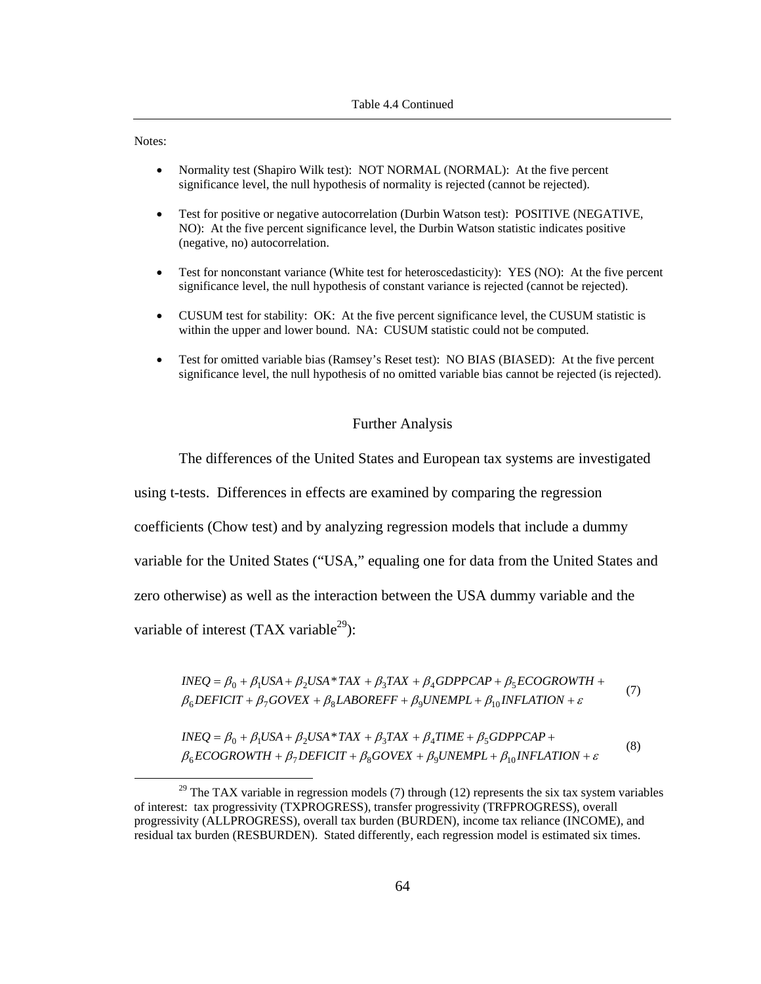Notes:

- Normality test (Shapiro Wilk test): NOT NORMAL (NORMAL): At the five percent significance level, the null hypothesis of normality is rejected (cannot be rejected).
- Test for positive or negative autocorrelation (Durbin Watson test): POSITIVE (NEGATIVE, NO): At the five percent significance level, the Durbin Watson statistic indicates positive (negative, no) autocorrelation.
- Test for nonconstant variance (White test for heteroscedasticity): YES (NO): At the five percent significance level, the null hypothesis of constant variance is rejected (cannot be rejected).
- CUSUM test for stability: OK: At the five percent significance level, the CUSUM statistic is within the upper and lower bound. NA: CUSUM statistic could not be computed.
- Test for omitted variable bias (Ramsey's Reset test): NO BIAS (BIASED): At the five percent significance level, the null hypothesis of no omitted variable bias cannot be rejected (is rejected).

## Further Analysis

The differences of the United States and European tax systems are investigated

using t-tests. Differences in effects are examined by comparing the regression

coefficients (Chow test) and by analyzing regression models that include a dummy

variable for the United States ("USA," equaling one for data from the United States and

zero otherwise) as well as the interaction between the USA dummy variable and the

variable of interest  $(TAX \ variable^{29})$ :

 $\beta_6$ DEFICIT +  $\beta_7$ GOVEX +  $\beta_8$ LABOREFF +  $\beta_9$ UNEMPL +  $\beta_{10}$ INFLATION +  $\varepsilon$  $INEQ = \beta_0 + \beta_1 USA + \beta_2USA * TAX + \beta_3 TAX + \beta_4 GDPPCAP + \beta_5 ECOGROWTH +$ 

 $\beta_6$ ECOGROWTH +  $\beta_7$ DEFICIT +  $\beta_8$ GOVEX +  $\beta_9$ UNEMPL +  $\beta_{10}$ INFLATION +  $\varepsilon$ β β β β β β = + + + + + + *INEQ USA USA TAX TAX TIME GDPPCAP* <sup>0</sup> <sup>1</sup> <sup>2</sup> \* <sup>3</sup> <sup>4</sup> 5 (8)

 $29$  The TAX variable in regression models (7) through (12) represents the six tax system variables of interest: tax progressivity (TXPROGRESS), transfer progressivity (TRFPROGRESS), overall progressivity (ALLPROGRESS), overall tax burden (BURDEN), income tax reliance (INCOME), and residual tax burden (RESBURDEN). Stated differently, each regression model is estimated six times.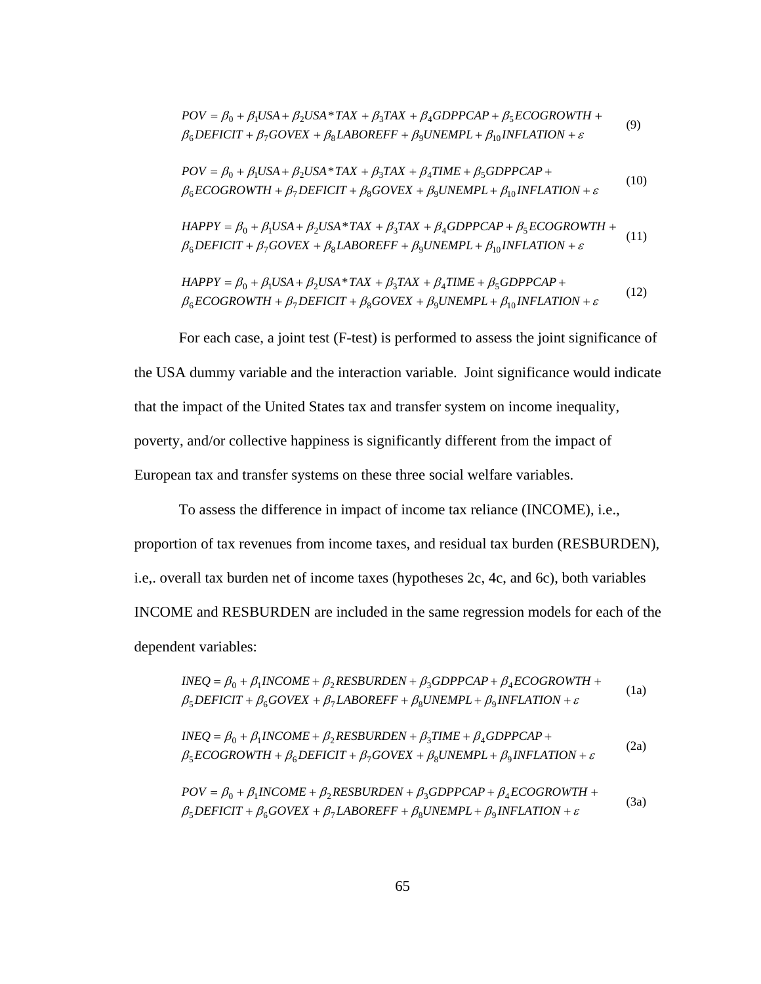$$
POV = \beta_0 + \beta_1 USA + \beta_2USA * TAX + \beta_3 TAX + \beta_4 GDPPCAP + \beta_5 ECOGROWTH + \n\beta_6 DEFICIT + \beta_7 GOVEX + \beta_8 LABOREFF + \beta_9 UNEMPL + \beta_{10} INFLATION + \varepsilon
$$
\n(9)

$$
POV = \beta_0 + \beta_1 USA + \beta_2USA * TAX + \beta_3 TAX + \beta_4 TIME + \beta_5 GDPPCAP + \n\beta_6 ECOGROWTH + \beta_7 DEFICT + \beta_8 GOVEX + \beta_9 UNEMPL + \beta_{10} INFLATION + \varepsilon
$$
\n(10)

$$
HAPPY = \beta_0 + \beta_1 USA + \beta_2USA * TAX + \beta_3 TAX + \beta_4 GDPPCAP + \beta_5 ECOGROWTH + \n\beta_6 DEFICIT + \beta_7 GOVEX + \beta_8 LABOREFF + \beta_9 UNEMPL + \beta_{10} INFLATION + \varepsilon
$$
\n(11)

$$
HAPPY = \beta_0 + \beta_1 USA + \beta_2USA * TAX + \beta_3 TAX + \beta_4 TIME + \beta_5 GDPPCAP + \n\beta_6 ECOGROWTH + \beta_7 DEFICT + \beta_8 GOVEX + \beta_9 UNEMPL + \beta_{10} INFLATION + \varepsilon
$$
\n(12)

For each case, a joint test (F-test) is performed to assess the joint significance of the USA dummy variable and the interaction variable. Joint significance would indicate that the impact of the United States tax and transfer system on income inequality, poverty, and/or collective happiness is significantly different from the impact of European tax and transfer systems on these three social welfare variables.

To assess the difference in impact of income tax reliance (INCOME), i.e., proportion of tax revenues from income taxes, and residual tax burden (RESBURDEN), i.e,. overall tax burden net of income taxes (hypotheses 2c, 4c, and 6c), both variables INCOME and RESBURDEN are included in the same regression models for each of the dependent variables:

$$
INEQ = \beta_0 + \beta_1 INCOME + \beta_2 RESBURDEN + \beta_3 GDPPCAP + \beta_4 ECOGROWTH + \n\beta_5 DEFIGIT + \beta_6 GOVEX + \beta_7 LABOREFF + \beta_8 UNEMPL + \beta_9 INFLATION + \varepsilon
$$
\n(1a)

$$
INEQ = \beta_0 + \beta_1 INCOME + \beta_2 RESBURDEN + \beta_3 TIME + \beta_4 GDPPCAP + \n\beta_5 ECOGROWTH + \beta_6 DEFINCT + \beta_7 GOVEX + \beta_8 UNEMPL + \beta_9 INFLATION + \varepsilon
$$
\n(2a)

$$
POV = \beta_0 + \beta_1 INCOME + \beta_2 RESBURDEN + \beta_3 GDPPCAP + \beta_4 ECOGROWTH + \n\beta_5 DEFICT + \beta_6 GOVEX + \beta_7 LABOREFF + \beta_8 UNEMPL + \beta_9 INFLATION + \varepsilon
$$
\n(3a)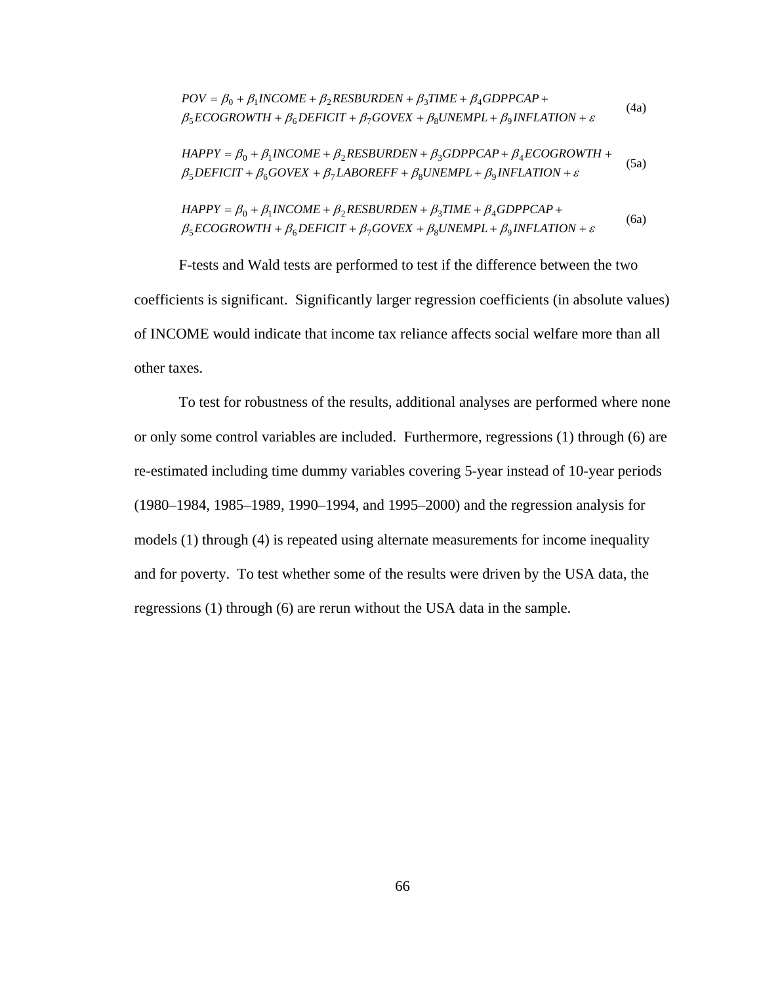$$
POV = \beta_0 + \beta_1 INCOME + \beta_2 RESBURDEN + \beta_3 TIME + \beta_4 GDPPCAP + \n\beta_5 ECOGROWTH + \beta_6 DEFINETCIT + \beta_7 GOVEX + \beta_8 UNEMPL + \beta_9 INFLATION + \varepsilon
$$
\n(4a)

$$
HAPPY = \beta_0 + \beta_1 INCOME + \beta_2 RESBURDEN + \beta_3 GDPPCAP + \beta_4 ECOGROWTH + \n\beta_5 DEFINCTT + \beta_6 GOVEX + \beta_7 LABOREFF + \beta_8 UNEMPL + \beta_9 INFLATION + \varepsilon
$$
\n(5a)

$$
HAPPY = \beta_0 + \beta_1 INCOME + \beta_2 RESBURDEN + \beta_3 TIME + \beta_4 GDPPCAP + \n\beta_5 ECOGROWTH + \beta_6 DEFINIT + \beta_7 GOVEX + \beta_8 UNEMPL + \beta_9 INFLATION + \varepsilon
$$
\n(6a)

F-tests and Wald tests are performed to test if the difference between the two coefficients is significant. Significantly larger regression coefficients (in absolute values) of INCOME would indicate that income tax reliance affects social welfare more than all other taxes.

To test for robustness of the results, additional analyses are performed where none or only some control variables are included. Furthermore, regressions (1) through (6) are re-estimated including time dummy variables covering 5-year instead of 10-year periods (1980–1984, 1985–1989, 1990–1994, and 1995–2000) and the regression analysis for models (1) through (4) is repeated using alternate measurements for income inequality and for poverty. To test whether some of the results were driven by the USA data, the regressions (1) through (6) are rerun without the USA data in the sample.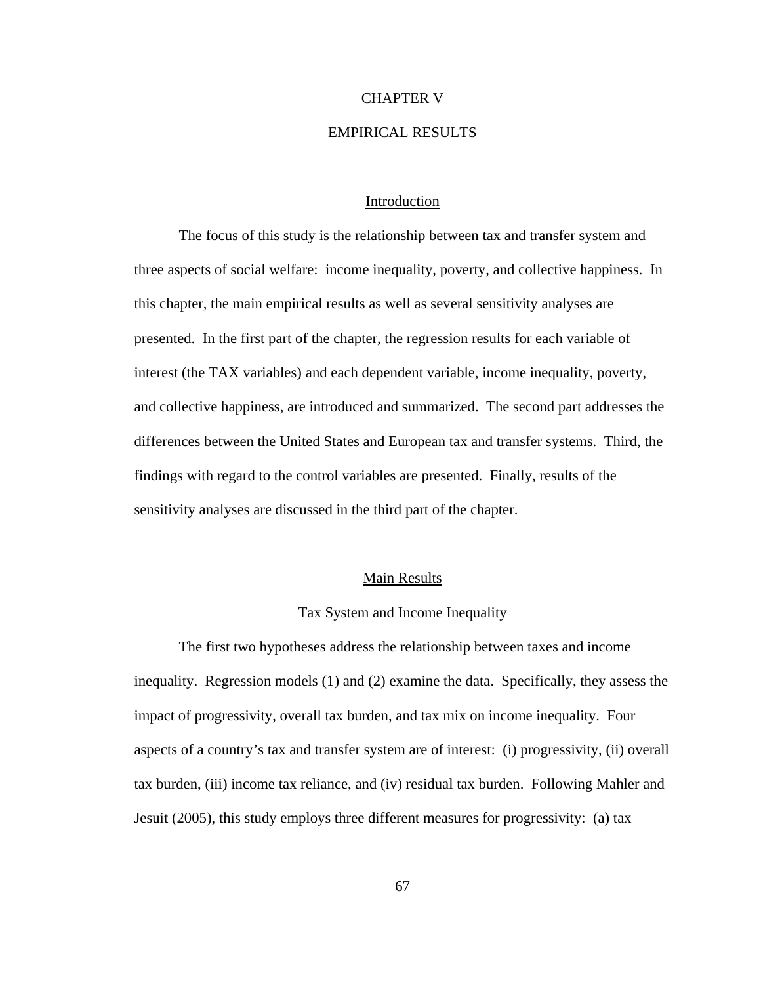#### CHAPTER V

## EMPIRICAL RESULTS

## Introduction

The focus of this study is the relationship between tax and transfer system and three aspects of social welfare: income inequality, poverty, and collective happiness. In this chapter, the main empirical results as well as several sensitivity analyses are presented. In the first part of the chapter, the regression results for each variable of interest (the TAX variables) and each dependent variable, income inequality, poverty, and collective happiness, are introduced and summarized. The second part addresses the differences between the United States and European tax and transfer systems. Third, the findings with regard to the control variables are presented. Finally, results of the sensitivity analyses are discussed in the third part of the chapter.

## Main Results

#### Tax System and Income Inequality

The first two hypotheses address the relationship between taxes and income inequality. Regression models (1) and (2) examine the data. Specifically, they assess the impact of progressivity, overall tax burden, and tax mix on income inequality. Four aspects of a country's tax and transfer system are of interest: (i) progressivity, (ii) overall tax burden, (iii) income tax reliance, and (iv) residual tax burden. Following Mahler and Jesuit (2005), this study employs three different measures for progressivity: (a) tax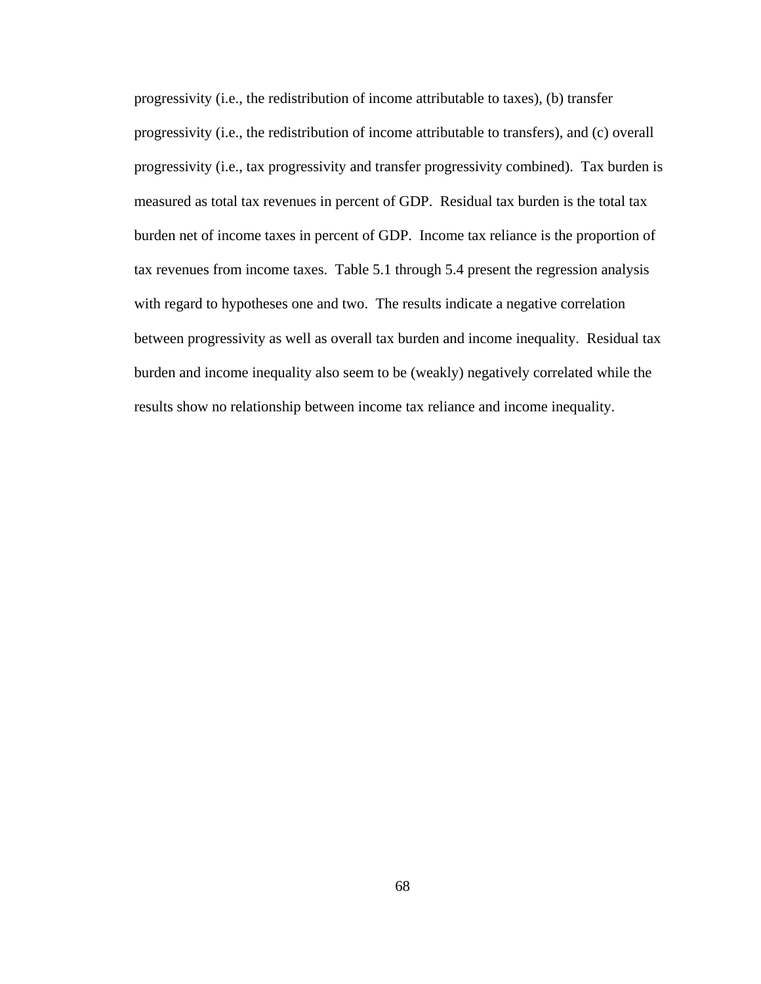progressivity (i.e., the redistribution of income attributable to taxes), (b) transfer progressivity (i.e., the redistribution of income attributable to transfers), and (c) overall progressivity (i.e., tax progressivity and transfer progressivity combined). Tax burden is measured as total tax revenues in percent of GDP. Residual tax burden is the total tax burden net of income taxes in percent of GDP. Income tax reliance is the proportion of tax revenues from income taxes. Table 5.1 through 5.4 present the regression analysis with regard to hypotheses one and two. The results indicate a negative correlation between progressivity as well as overall tax burden and income inequality. Residual tax burden and income inequality also seem to be (weakly) negatively correlated while the results show no relationship between income tax reliance and income inequality.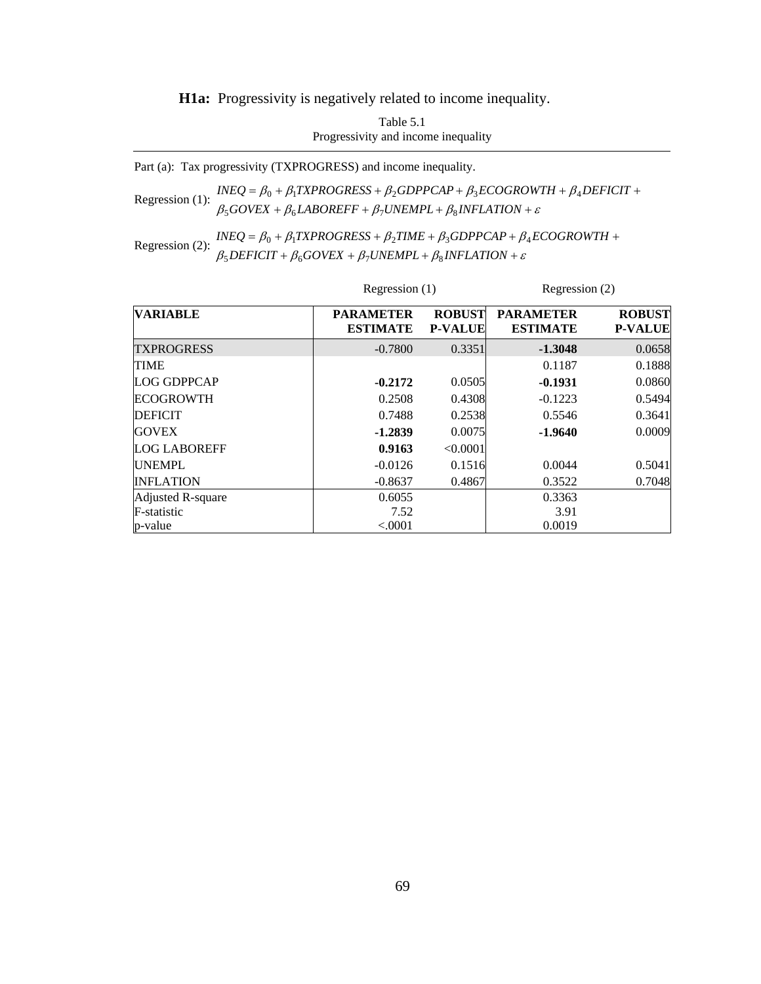**H1a:** Progressivity is negatively related to income inequality.

Table 5.1 Progressivity and income inequality

Part (a): Tax progressivity (TXPROGRESS) and income inequality.

Regression (1):  $\frac{n \leq \epsilon}{\beta_5 GoveX + \beta_6 LABOREFF + \beta_7 UNEMPL + \beta_8 INFLATION + \epsilon}$  $INEQ = \beta_0 + \beta_1 TXPROGRESS + \beta_2 GDPPCAP + \beta_3 ECOGROWTH + \beta_4 DEFICIT +$  $\beta_0$  +  $p_1$  (at no one s +  $p_2$  oder car +  $p_3$  economial +  $p_4$ 

Regression (2):  $INEQ = \beta_0 + \beta_1 TXPROGRESS + \beta_2 TIME + \beta_3 GDPPCAP + \beta_1 B_2$ <br> $\beta_5 DEFICT + \beta_6 GOVEX + \beta_7 UNEMPL + \beta_8 INFLATION + \varepsilon$ +  $\beta_6 GOVEX + \beta_7 UNEMPL + \beta_8 INFLATION +$  $= \beta_0 + \beta_1 TXPROGRESS + \beta_2 TIME + \beta_3 GDPPCAP + \beta_4 ECOGROWTH +$  $DEFICIT + \beta_6 GOVEX + \beta_7 UNEMPL + \beta_8 INFLATION$  $INEQ = \beta_0 + \beta_1 TXPROGRESS + \beta_2 TIME + \beta_3 GDPPCAP + \beta_4 ECOGROWTH$  $5$ *DEFICII* +  $p_6$ GOVEA +  $p_7$ ONEMFL+  $p_8$  $0 + p_1 I \Lambda T N$ UUNESS +  $p_2 I I M E + p_3 U D T T C A T + p_4$ 

|                     |                                     | Regression $(1)$                |                                     | Regression (2)                  |  |
|---------------------|-------------------------------------|---------------------------------|-------------------------------------|---------------------------------|--|
| <b>VARIABLE</b>     | <b>PARAMETER</b><br><b>ESTIMATE</b> | <b>ROBUST</b><br><b>P-VALUE</b> | <b>PARAMETER</b><br><b>ESTIMATE</b> | <b>ROBUST</b><br><b>P-VALUE</b> |  |
| <b>TXPROGRESS</b>   | $-0.7800$                           | 0.3351                          | $-1.3048$                           | 0.0658                          |  |
| <b>TIME</b>         |                                     |                                 | 0.1187                              | 0.1888                          |  |
| <b>LOG GDPPCAP</b>  | $-0.2172$                           | 0.0505                          | $-0.1931$                           | 0.0860                          |  |
| <b>ECOGROWTH</b>    | 0.2508                              | 0.4308                          | $-0.1223$                           | 0.5494                          |  |
| <b>DEFICIT</b>      | 0.7488                              | 0.2538                          | 0.5546                              | 0.3641                          |  |
| <b>GOVEX</b>        | $-1.2839$                           | 0.0075                          | $-1.9640$                           | 0.0009                          |  |
| <b>LOG LABOREFF</b> | 0.9163                              | < 0.0001                        |                                     |                                 |  |
| <b>UNEMPL</b>       | $-0.0126$                           | 0.1516                          | 0.0044                              | 0.5041                          |  |
| <b>INFLATION</b>    | $-0.8637$                           | 0.4867                          | 0.3522                              | 0.7048                          |  |
| Adjusted R-square   | 0.6055                              |                                 | 0.3363                              |                                 |  |
| F-statistic         | 7.52                                |                                 | 3.91                                |                                 |  |
| p-value             | < 0.0001                            |                                 | 0.0019                              |                                 |  |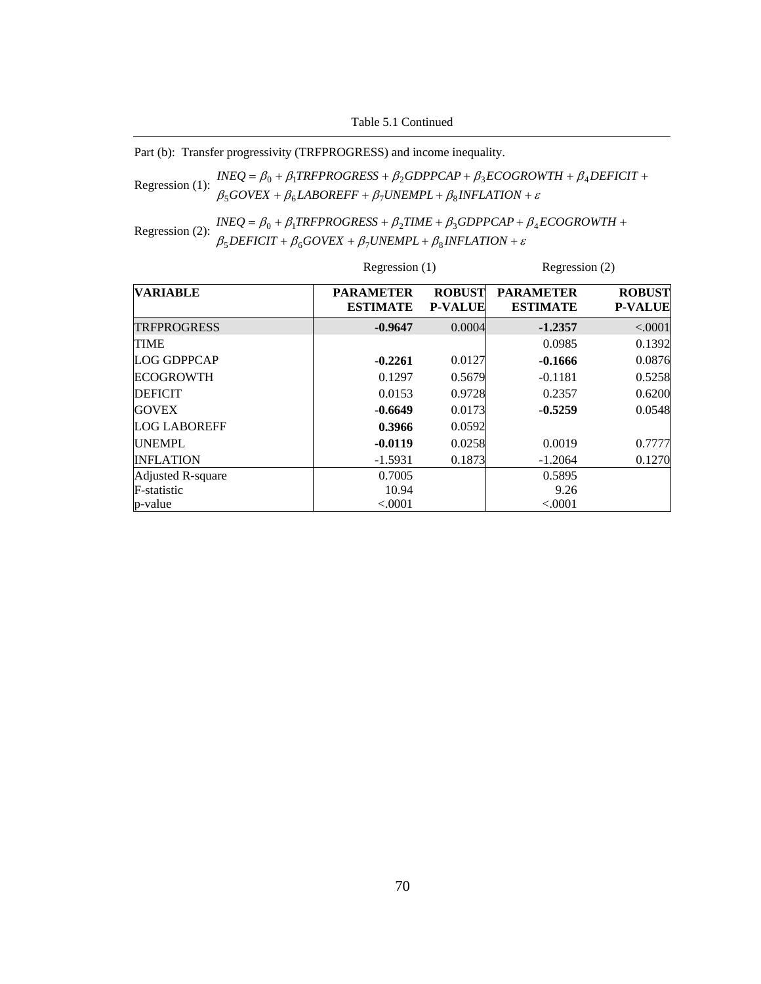Table 5.1 Continued

Part (b): Transfer progressivity (TRFPROGRESS) and income inequality.

Regression (1):  $INEQ = \beta_0 + \beta_1 TRFPROGRESS + \beta_2 GDPPCAP + \beta_3 ECOGROWTH + \beta_4$ <br> $\beta_5 GOVEX + \beta_6 LABOREFF + \beta_7 UNEMPL + \beta_8 INFLATION + \varepsilon$  $+ \beta_6 LABOREFF + \beta_7 UNEMPL + \beta_8 INFLATION +$  $=\beta_0 + \beta_1 TRFPROGRESS + \beta_2 GDPPCAP + \beta_3 ECOGROWTH + \beta_4 DEFICIT +$  $GOVEX + \beta_6 LABOREFF + \beta_7 UNEMPL + \beta_8 INFLATION$  $INEQ = \beta_0 + \beta_1 TRFPROGRESS + \beta_2 GDPPCAP + \beta_3 ECOGROWTH + \beta_4 DEFICIT$  $500$ VEA +  $\mu_6$ LADOKETT +  $\mu_7$ OIVEMITL+  $\mu_8$  $\mu_0 + \mu_1$ i Kr FROGRESS +  $\mu_2$ GDFFCAF +  $\mu_3$ ECOGROWITH +  $\mu_4$ 

Regression (2):  $\frac{INEQ = \beta_0 + \beta_1 TRFPROGRESS + \beta_2 TIME + \beta_3 GDPPCAP + \beta_1}{\beta_5 DEFICT + \beta_6 GOVEX + \beta_7 UNEMPL + \beta_8 INFLATION + \varepsilon}$ +  $\beta_6 GOVEX + \beta_7 UNEMPL + \beta_8 INFLATION +$  $= \beta_0 + \beta_1 TRFPROGRESS + \beta_2 TIME + \beta_3 GDPPCAP + \beta_4 ECOGROWTH +$  $DEFICIT + \beta_6 GOVEX + \beta_7 UNEMPL + \beta_8 INFLATION$  $INEQ = \beta_0 + \beta_1 TRFPROGRESS + \beta_2 TIME + \beta_3 GDPPCAP + \beta_4 ECOGROWTH$  $5$ *DEFICII* +  $p_6$ GOVEA +  $p_7$ ONEMFL+  $p_8$  $0 + p_1$ i NTTNOONESS +  $p_2$ i IME +  $p_3$ ODTTCAT +  $p_4$ 

|                     |                                     | Regression (1)                  |                                     | Regression (2)                  |  |
|---------------------|-------------------------------------|---------------------------------|-------------------------------------|---------------------------------|--|
| <b>VARIABLE</b>     | <b>PARAMETER</b><br><b>ESTIMATE</b> | <b>ROBUST</b><br><b>P-VALUE</b> | <b>PARAMETER</b><br><b>ESTIMATE</b> | <b>ROBUST</b><br><b>P-VALUE</b> |  |
| <b>TRFPROGRESS</b>  | $-0.9647$                           | 0.0004                          | $-1.2357$                           | < .0001                         |  |
| <b>TIME</b>         |                                     |                                 | 0.0985                              | 0.1392                          |  |
| LOG GDPPCAP         | $-0.2261$                           | 0.0127                          | -0.1666                             | 0.0876                          |  |
| <b>ECOGROWTH</b>    | 0.1297                              | 0.5679                          | $-0.1181$                           | 0.5258                          |  |
| <b>DEFICIT</b>      | 0.0153                              | 0.9728                          | 0.2357                              | 0.6200                          |  |
| <b>GOVEX</b>        | $-0.6649$                           | 0.0173                          | $-0.5259$                           | 0.0548                          |  |
| <b>LOG LABOREFF</b> | 0.3966                              | 0.0592                          |                                     |                                 |  |
| <b>UNEMPL</b>       | $-0.0119$                           | 0.0258                          | 0.0019                              | 0.7777                          |  |
| <b>INFLATION</b>    | $-1.5931$                           | 0.1873                          | $-1.2064$                           | 0.1270                          |  |
| Adjusted R-square   | 0.7005                              |                                 | 0.5895                              |                                 |  |
| F-statistic         | 10.94                               |                                 | 9.26                                |                                 |  |
| p-value             | < 0.0001                            |                                 | < .0001                             |                                 |  |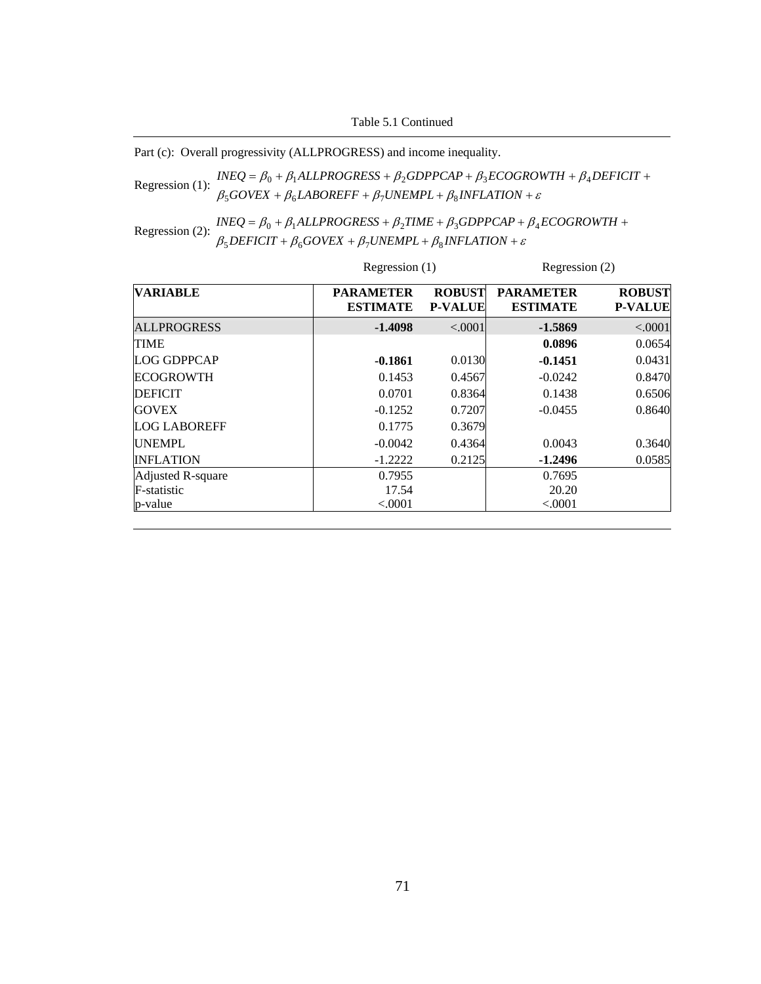Table 5.1 Continued

Part (c): Overall progressivity (ALLPROGRESS) and income inequality.

Regression (1):  $INEQ = \beta_0 + \beta_1 ALLPROGRESS + \beta_2 GDPPCAP + \beta_3 ECOGROWTH + \beta_4$ <br> $\beta_5 GOVEX + \beta_6 LABOREFF + \beta_7 UNEMPL + \beta_8 INFLATION + \varepsilon$ +  $\beta_6$ *LABOREFF* +  $\beta_7$ *UNEMPL* +  $\beta_8$ *INFLATION* +  $= \beta_0 + \beta_1 ALLPROGRESS + \beta_2 GDPPCAP + \beta_3 ECOGROWTH + \beta_4 DEFICIT +$  $GOVEX + \beta_6 LABOREFF + \beta_7 UNEMPL + \beta_8 INFLATION$  $INEQ = \beta_0 + \beta_1 ALLPROGRESS + \beta_2 GDPPCAP + \beta_3 ECOGROWTH + \beta_4 DEFICIT$  $500$ VEA +  $\mu_6$ LADOKEFF +  $\mu_7$ OIVEMFL+  $\mu_8$  $\mu_0 + \mu_1$ ALLENOORESS +  $\mu_2$ ODEFCAF +  $\mu_3$ ECOOROWIH +  $\mu_4$ 

Regression (2):  $\frac{INEQ = \beta_0 + \beta_1 ALLPROGRESS + \beta_2 TIME + \beta_3 GDPPCAP + \beta_1}{\beta_5 DEFICIT + \beta_6 GOVEX + \beta_7 UNEMPL + \beta_8 INFLATION + \varepsilon}$ +  $\beta_6 GOVEX + \beta_7 UNEMPL + \beta_8 INFLATION +$  $= \beta_0 + \beta_1 ALLPROGRESS + \beta_2 TIME + \beta_3 GDPPCAP + \beta_4 ECOGROWTH +$  $DEFICIT + \beta_6 GOVEX + \beta_7 UNEMPL + \beta_8 INFLATION$  $INEQ = \beta_0 + \beta_1 ALLPROGRESS + \beta_2 TIME + \beta_3 GDPPCAP + \beta_4 ECOGROWTH$  $5$ *DEFICII* +  $p_6$ GOVEA +  $p_7$ ONEMFL+  $p_8$  $0 + P_1$ ALLENOONESS +  $P_2$ TIME +  $P_3$ ODEECAE +  $P_4$ 

|                     |                                     | Regression (1)                  |                                     | Regression (2)                  |  |
|---------------------|-------------------------------------|---------------------------------|-------------------------------------|---------------------------------|--|
| <b>VARIABLE</b>     | <b>PARAMETER</b><br><b>ESTIMATE</b> | <b>ROBUST</b><br><b>P-VALUE</b> | <b>PARAMETER</b><br><b>ESTIMATE</b> | <b>ROBUST</b><br><b>P-VALUE</b> |  |
| <b>ALLPROGRESS</b>  | $-1.4098$                           | < .0001                         | $-1.5869$                           | < .0001                         |  |
| <b>TIME</b>         |                                     |                                 | 0.0896                              | 0.0654                          |  |
| LOG GDPPCAP         | $-0.1861$                           | 0.0130                          | $-0.1451$                           | 0.0431                          |  |
| <b>ECOGROWTH</b>    | 0.1453                              | 0.4567                          | $-0.0242$                           | 0.8470                          |  |
| <b>DEFICIT</b>      | 0.0701                              | 0.8364                          | 0.1438                              | 0.6506                          |  |
| <b>GOVEX</b>        | $-0.1252$                           | 0.7207                          | $-0.0455$                           | 0.8640                          |  |
| <b>LOG LABOREFF</b> | 0.1775                              | 0.3679                          |                                     |                                 |  |
| <b>UNEMPL</b>       | $-0.0042$                           | 0.4364                          | 0.0043                              | 0.3640                          |  |
| <b>INFLATION</b>    | $-1.2222$                           | 0.2125                          | $-1.2496$                           | 0.0585                          |  |
| Adjusted R-square   | 0.7955                              |                                 | 0.7695                              |                                 |  |
| F-statistic         | 17.54                               |                                 | 20.20                               |                                 |  |
| p-value             | < .0001                             |                                 | < .0001                             |                                 |  |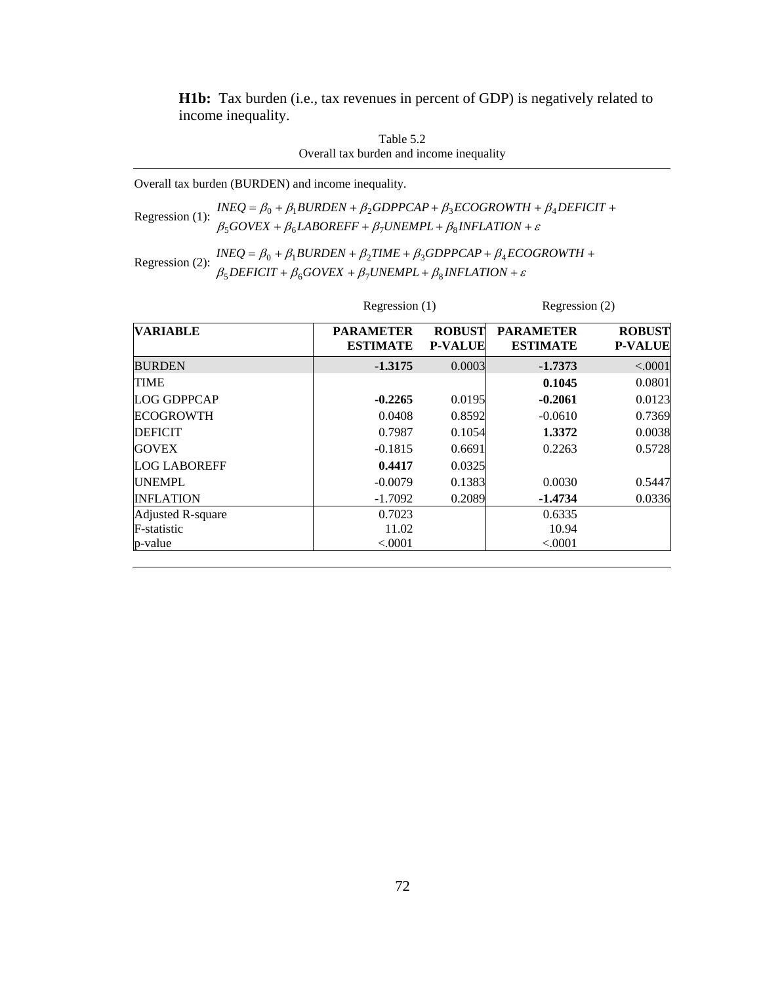**H1b:** Tax burden (i.e., tax revenues in percent of GDP) is negatively related to income inequality.

| Table 5.2                                |
|------------------------------------------|
| Overall tax burden and income inequality |

Overall tax burden (BURDEN) and income inequality.

Regression (1): 
$$
INEQ = β₀ + β₁BURDEN + β₂GDPPCAP + β₃ECOGROWTH + β₄DEFICIT + β₅DEFICIT + β₅OVEX + β₅LABOREFF + β₁UNEMPL + β₃INFLATION + ε
$$

Regression (2):  $INEQ = \beta_0 + \beta_1 BURDEN + \beta_2 TIME + \beta_3 GDPPCAP + \beta_4 ECQ$ <br> $\beta_5 DEFICT + \beta_6 GOVEX + \beta_7 UNEMPL + \beta_8 INFLATION + \varepsilon$  $+\beta_6 GOVEX + \beta_7 UNEMPL + \beta_8 INFLATION +$  $=\beta_0 + \beta_1 BURDEN + \beta_2 TIME + \beta_3 GDPPCAP + \beta_4 ECOGROWTH +$  $DEFICIT + \beta_6 GOVEX + \beta_7 UNEMPL + \beta_8 INFLATION$  $INEQ = \beta_0 + \beta_1 BURDEN + \beta_2 TIME + \beta_3 GDPPCAP + \beta_4 ECOGROWTH$  $5$ *DEFICII* +  $p_6$ GOVEA +  $p_7$ ONEMFL+  $p_8$  $0 + p_1$ DUNDEN +  $p_2$ HNE +  $p_3$ UDFFCAF +  $p_4$ 

|                     |                                     | Regression $(1)$                |                                     | Regression (2)                  |  |
|---------------------|-------------------------------------|---------------------------------|-------------------------------------|---------------------------------|--|
| <b>VARIABLE</b>     | <b>PARAMETER</b><br><b>ESTIMATE</b> | <b>ROBUST</b><br><b>P-VALUE</b> | <b>PARAMETER</b><br><b>ESTIMATE</b> | <b>ROBUST</b><br><b>P-VALUE</b> |  |
| <b>BURDEN</b>       | $-1.3175$                           | 0.0003                          | $-1.7373$                           | < .0001                         |  |
| <b>TIME</b>         |                                     |                                 | 0.1045                              | 0.0801                          |  |
| <b>LOG GDPPCAP</b>  | $-0.2265$                           | 0.0195                          | $-0.2061$                           | 0.0123                          |  |
| <b>ECOGROWTH</b>    | 0.0408                              | 0.8592                          | $-0.0610$                           | 0.7369                          |  |
| <b>DEFICIT</b>      | 0.7987                              | 0.1054                          | 1.3372                              | 0.0038                          |  |
| <b>GOVEX</b>        | $-0.1815$                           | 0.6691                          | 0.2263                              | 0.5728                          |  |
| <b>LOG LABOREFF</b> | 0.4417                              | 0.0325                          |                                     |                                 |  |
| <b>UNEMPL</b>       | $-0.0079$                           | 0.1383                          | 0.0030                              | 0.5447                          |  |
| <b>INFLATION</b>    | $-1.7092$                           | 0.2089                          | $-1.4734$                           | 0.0336                          |  |
| Adjusted R-square   | 0.7023                              |                                 | 0.6335                              |                                 |  |
| F-statistic         | 11.02                               |                                 | 10.94                               |                                 |  |
| p-value             | < 0.0001                            |                                 | < .0001                             |                                 |  |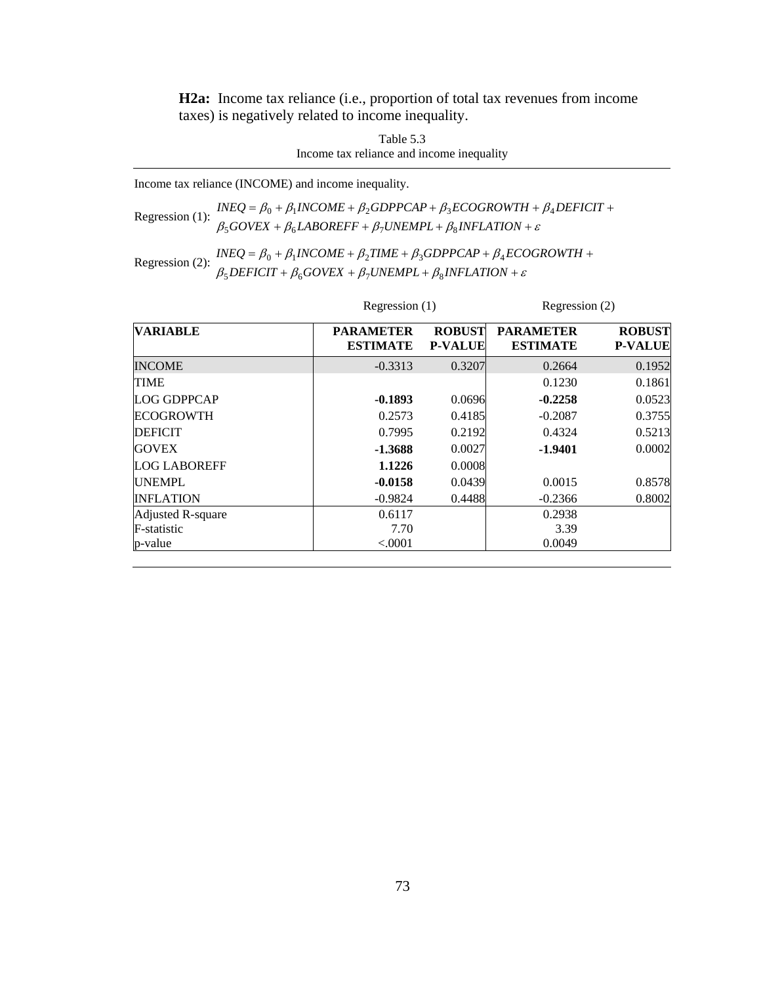**H2a:** Income tax reliance (i.e., proportion of total tax revenues from income taxes) is negatively related to income inequality.

> Table 5.3 Income tax reliance and income inequality

Income tax reliance (INCOME) and income inequality.

Regression (1):  $\frac{INEQ = \beta_0 + \beta_1 INCOME + \beta_2 GDPPCAP + \beta_3 ECOGROWTH + \beta_1}{\beta_5 GOVEX + \beta_6 LABOREFF + \beta_7 UNEMPL + \beta_8 INFLATION + \varepsilon}$ +  $\beta_6$ *LABOREFF* +  $\beta_7$ *UNEMPL* +  $\beta_8$ *INFLATION* +  $= \beta_0 + \beta_1 INCOME + \beta_2 GDPPCAP + \beta_3 ECOGROWTH + \beta_4 DEFICIT +$  $GOVEX + \beta_6 LABOREFF + \beta_7 UNEMPL + \beta_8 INFLATION$  $INEQ = \beta_0 + \beta_1 INCOME + \beta_2 GDPPCAP + \beta_3 ECOGROWTH + \beta_4 DEFICIT$  $500$ VEA +  $p_6$ LADORETT +  $p_7$ ONEMI L +  $p_8$  $0 + p_1$ INCOME +  $p_2$ ODFFCAF +  $p_3$ ECOONOWI $H + p_4$ 

Regression (2):  $INEQ = \beta_0 + \beta_1 INCOME + \beta_2 TIME + \beta_3 GDPPCAP + \beta_4 ECC$ <br> $\beta_5 DEFICT + \beta_6 GOVEX + \beta_7 UNEMPL + \beta_8 INFLATION + \varepsilon$  $+ \beta_6 GOVEX + \beta_7 UNEMPL + \beta_8 INFLATION +$  $= \beta_0 + \beta_1 INCOME + \beta_2 TIME + \beta_3 GDPPCAP + \beta_4 ECOGROWTH +$  $DEFICIT + \beta_6 GOVEX + \beta_7 UNEMPL + \beta_8 INFLATION$  $INEQ = \beta_0 + \beta_1 INCOME + \beta_2 TIME + \beta_3 GDPPCAP + \beta_4 ECOGROWTH$  $5$ *DEFICII* +  $p_6$ *GOVEA* +  $p_7$ *OINEMFL* +  $p_8$  $0 + P_1$ INCOME +  $P_2$ TIME +  $P_3$ ODFFCAF +  $P_4$ 

| <b>VARIABLE</b>     |                                     | Regression $(1)$                |                                     | Regression (2)                  |  |
|---------------------|-------------------------------------|---------------------------------|-------------------------------------|---------------------------------|--|
|                     | <b>PARAMETER</b><br><b>ESTIMATE</b> | <b>ROBUST</b><br><b>P-VALUE</b> | <b>PARAMETER</b><br><b>ESTIMATE</b> | <b>ROBUST</b><br><b>P-VALUE</b> |  |
| <b>INCOME</b>       | $-0.3313$                           | 0.3207                          | 0.2664                              | 0.1952                          |  |
| <b>TIME</b>         |                                     |                                 | 0.1230                              | 0.1861                          |  |
| <b>LOG GDPPCAP</b>  | $-0.1893$                           | 0.0696                          | $-0.2258$                           | 0.0523                          |  |
| <b>ECOGROWTH</b>    | 0.2573                              | 0.4185                          | $-0.2087$                           | 0.3755                          |  |
| <b>DEFICIT</b>      | 0.7995                              | 0.2192                          | 0.4324                              | 0.5213                          |  |
| <b>GOVEX</b>        | $-1.3688$                           | 0.0027                          | $-1.9401$                           | 0.0002                          |  |
| <b>LOG LABOREFF</b> | 1.1226                              | 0.0008                          |                                     |                                 |  |
| <b>UNEMPL</b>       | $-0.0158$                           | 0.0439                          | 0.0015                              | 0.8578                          |  |
| <b>INFLATION</b>    | $-0.9824$                           | 0.4488                          | $-0.2366$                           | 0.8002                          |  |
| Adjusted R-square   | 0.6117                              |                                 | 0.2938                              |                                 |  |
| F-statistic         | 7.70                                |                                 | 3.39                                |                                 |  |
| p-value             | < 0.0001                            |                                 | 0.0049                              |                                 |  |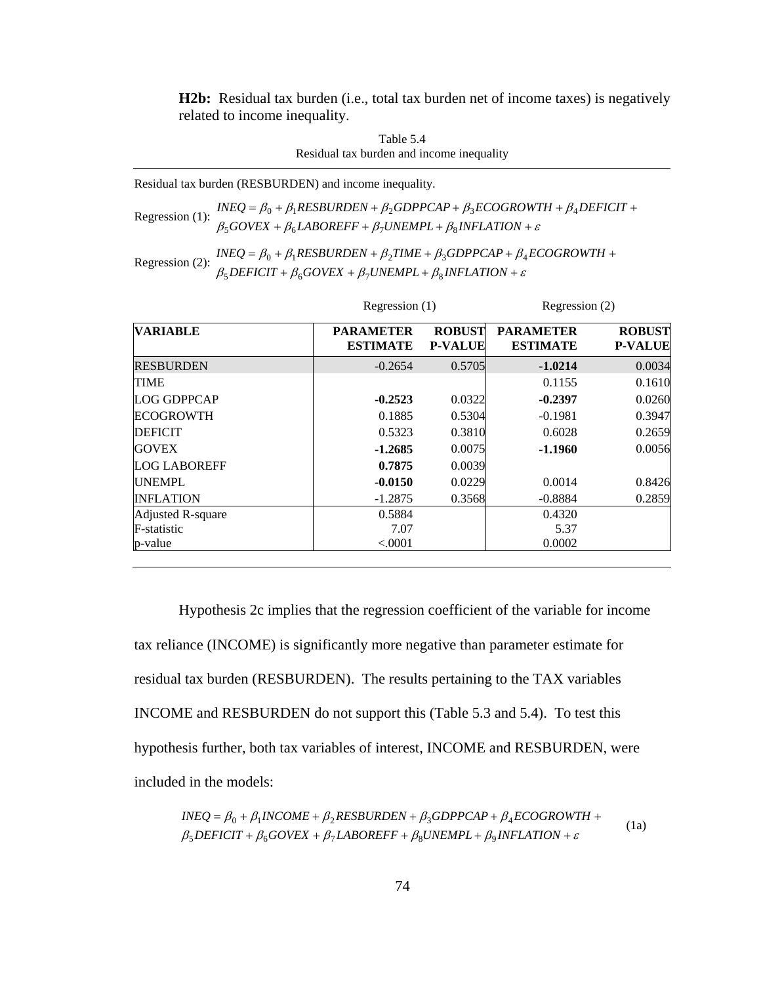**H2b:** Residual tax burden (i.e., total tax burden net of income taxes) is negatively related to income inequality.

Table 5.4 Residual tax burden and income inequality

Residual tax burden (RESBURDEN) and income inequality.

Regression (1):  $\frac{INEQ}{\beta_5 GOVEX} + \beta_1 RESBURDEN + \beta_2 GDPPCAP + \beta_3 ECOGROWTH + \beta_4 DEFICT + \beta_5 GOVEX + \beta_6 LABOREFF + \beta_7 UNEMPL + \beta_8 INFLATION + \varepsilon$  $\beta_5 GOVEX + \beta_6 LABOREFF + \beta_7 UNEMPL + \beta_8 INFLATION +$ 

Regression (2):  $\frac{INEQ = \beta_0 + \beta_1 RESBURDEN + \beta_2TIME + \beta_3 GDPPCAP + \beta_4 ECOGROWTH +}{\beta_5 DEFICT + \beta_6 GOVEX + \beta_7 UNEMPL + \beta_8 INFLATION + \varepsilon}$  $\beta_5$ DEFICIT +  $\beta_6$ GOVEX +  $\beta_7$ UNEMPL +  $\beta_8$ INFLATION +

| <b>VARIABLE</b>     |                                     | Regression $(1)$                |                                     | Regression (2)                  |  |
|---------------------|-------------------------------------|---------------------------------|-------------------------------------|---------------------------------|--|
|                     | <b>PARAMETER</b><br><b>ESTIMATE</b> | <b>ROBUST</b><br><b>P-VALUE</b> | <b>PARAMETER</b><br><b>ESTIMATE</b> | <b>ROBUST</b><br><b>P-VALUE</b> |  |
| <b>RESBURDEN</b>    | $-0.2654$                           | 0.5705                          | $-1.0214$                           | 0.0034                          |  |
| <b>TIME</b>         |                                     |                                 | 0.1155                              | 0.1610                          |  |
| <b>LOG GDPPCAP</b>  | $-0.2523$                           | 0.0322                          | $-0.2397$                           | 0.0260                          |  |
| <b>ECOGROWTH</b>    | 0.1885                              | 0.5304                          | $-0.1981$                           | 0.3947                          |  |
| <b>DEFICIT</b>      | 0.5323                              | 0.3810                          | 0.6028                              | 0.2659                          |  |
| <b>GOVEX</b>        | $-1.2685$                           | 0.0075                          | $-1.1960$                           | 0.0056                          |  |
| <b>LOG LABOREFF</b> | 0.7875                              | 0.0039                          |                                     |                                 |  |
| <b>UNEMPL</b>       | $-0.0150$                           | 0.0229                          | 0.0014                              | 0.8426                          |  |
| <b>INFLATION</b>    | $-1.2875$                           | 0.3568                          | $-0.8884$                           | 0.2859                          |  |
| Adjusted R-square   | 0.5884                              |                                 | 0.4320                              |                                 |  |
| F-statistic         | 7.07                                |                                 | 5.37                                |                                 |  |
| p-value             | < 0.0001                            |                                 | 0.0002                              |                                 |  |

Hypothesis 2c implies that the regression coefficient of the variable for income tax reliance (INCOME) is significantly more negative than parameter estimate for residual tax burden (RESBURDEN). The results pertaining to the TAX variables INCOME and RESBURDEN do not support this (Table 5.3 and 5.4). To test this hypothesis further, both tax variables of interest, INCOME and RESBURDEN, were included in the models:

$$
INEQ = \beta_0 + \beta_1 INCOME + \beta_2 RESBURDEN + \beta_3 GDPPCAP + \beta_4 ECOGROWTH + \n\beta_5 DEFICIT + \beta_6 GOVEX + \beta_7 LABOREFF + \beta_8 UNEMPL + \beta_9 INFLATION + \varepsilon
$$
\n(1a)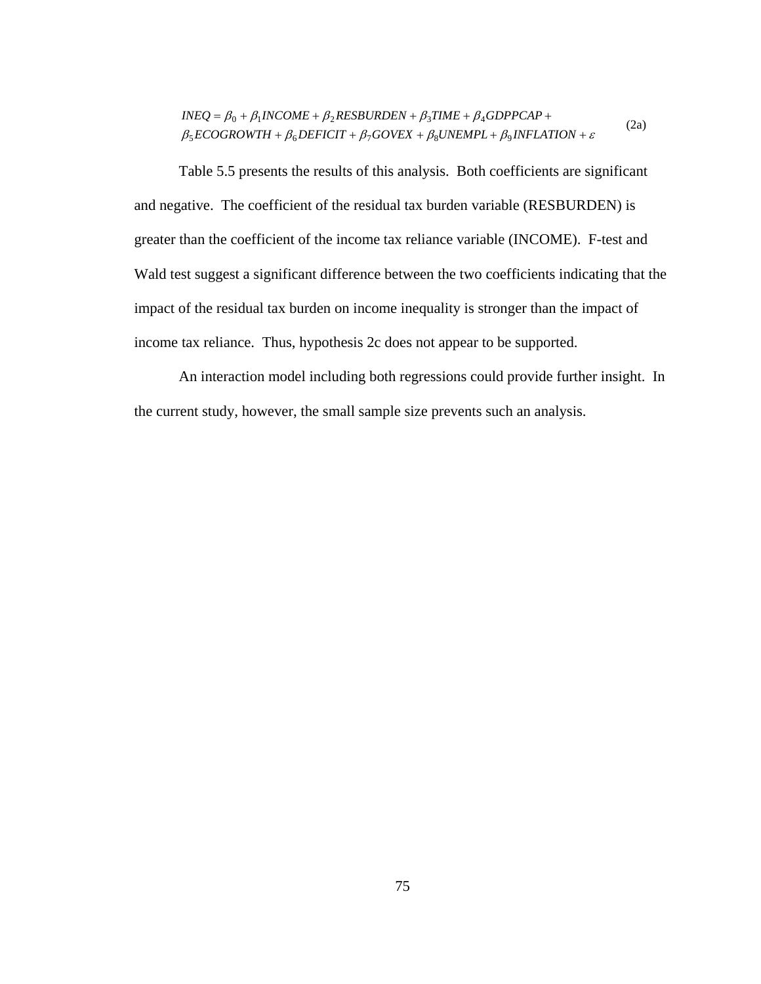$$
INEQ = \beta_0 + \beta_1 INCOME + \beta_2 RESBURDEN + \beta_3 TIME + \beta_4 GDPPCAP + \n\beta_5 ECOGROWTH + \beta_6 DEFICIT + \beta_7 GOVEX + \beta_8 UNEMPL + \beta_9 INFLATION + \varepsilon
$$
\n(2a)

Table 5.5 presents the results of this analysis. Both coefficients are significant and negative. The coefficient of the residual tax burden variable (RESBURDEN) is greater than the coefficient of the income tax reliance variable (INCOME). F-test and Wald test suggest a significant difference between the two coefficients indicating that the impact of the residual tax burden on income inequality is stronger than the impact of income tax reliance. Thus, hypothesis 2c does not appear to be supported.

An interaction model including both regressions could provide further insight. In the current study, however, the small sample size prevents such an analysis.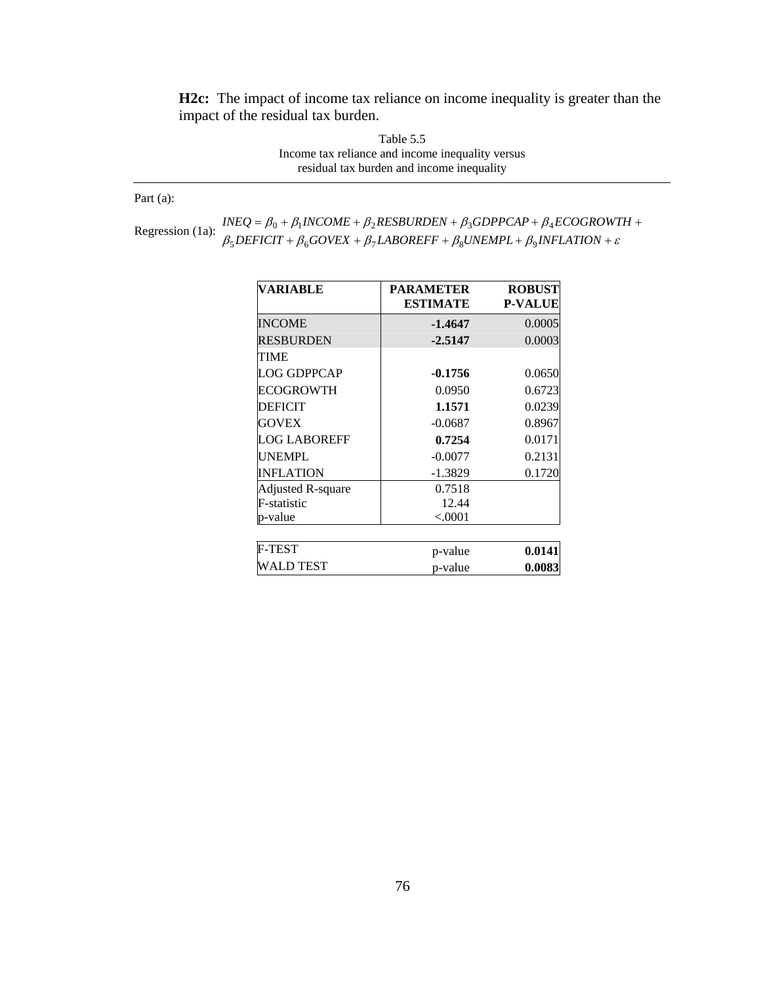**H2c:** The impact of income tax reliance on income inequality is greater than the impact of the residual tax burden.

> Table 5.5 Income tax reliance and income inequality versus residual tax burden and income inequality

Part (a):

Regression (1a):  $\frac{INEQ = \beta_0 + \beta_1 INCOME + \beta_2 RESBURDEN + \beta_3 GDPPCAP + \beta_4 ECOGROWI}{\beta_5 DEFICIT + \beta_6 GOVEX + \beta_7 LABOREFF + \beta_8 UNEMPL + \beta_9 INFLATION + \varepsilon}$  $+\beta_6 GOVEX + \beta_7 LABOREFF + \beta_8 UNEMPL + \beta_9 INFLATION +$  $=\beta_0 + \beta_1 INCOME + \beta_2 RESBURDEN + \beta_3 GDPPCAP + \beta_4 ECOGROWTH +$  $DEFICIT + \beta_6 GOVEX + \beta_7 LABOREFF + \beta_8 UNEMPL + \beta_9 INFLATION$  $INEQ = \beta_0 + \beta_1 INCOME + \beta_2 RESBURDEN + \beta_3 GDPPCAP + \beta_4 ECOGROWTH$  $5$ DEFICII +  $p_6$ OOVEA +  $p_7$ LADOKEFF +  $p_8$ ONEMFL +  $p_9$  $0 + P_1$ INCUME +  $P_2$ NESDUNDEN +  $P_3$ UDFFCAF +  $P_4$ 

| VARIABLE                 | <b>PARAMETER</b><br><b>ESTIMATE</b> | <b>ROBUST</b><br><b>P-VALUE</b> |
|--------------------------|-------------------------------------|---------------------------------|
| <b>INCOME</b>            | $-1.4647$                           | 0.0005                          |
| <b>RESBURDEN</b>         | $-2.5147$                           | 0.0003                          |
| TIME                     |                                     |                                 |
| <b>LOG GDPPCAP</b>       | $-0.1756$                           | 0.0650                          |
| ECOGROWTH                | 0.0950                              | 0.6723                          |
| <b>DEFICIT</b>           | 1.1571                              | 0.0239                          |
| <b>GOVEX</b>             | $-0.0687$                           | 0.8967                          |
| <b>LOG LABOREFF</b>      | 0.7254                              | 0.0171                          |
| <b>UNEMPL</b>            | $-0.0077$                           | 0.2131                          |
| <b>INFLATION</b>         | $-1.3829$                           | 0.1720                          |
| <b>Adjusted R-square</b> | 0.7518                              |                                 |
| F-statistic              | 12.44                               |                                 |
| p-value                  | ${<}0001$                           |                                 |
|                          |                                     |                                 |
| <b>F-TEST</b>            | p-value                             | 0.0141                          |
| WALD TEST                | p-value                             | 0.0083                          |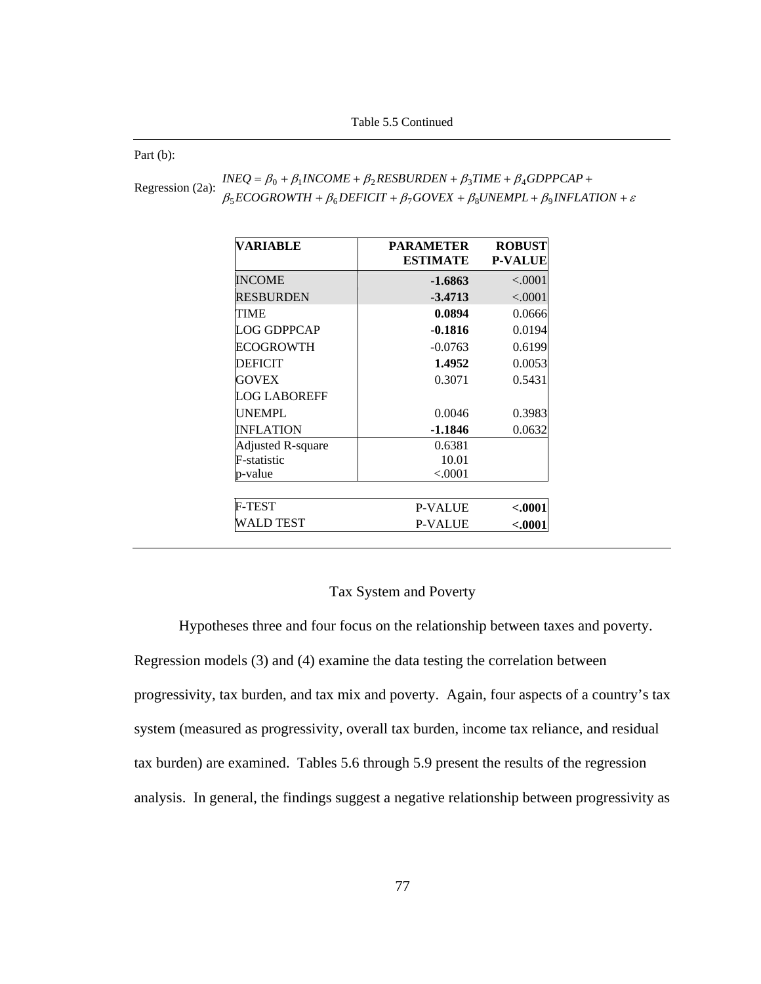Table 5.5 Continued

Part (b):

| Regression (2a): | $INEQ = \beta_0 + \beta_1 INCOME + \beta_2 RESBURDEN + \beta_3 TIME + \beta_4 GDPPCAP +$                 |
|------------------|----------------------------------------------------------------------------------------------------------|
|                  | $\beta_5 ECOGROWTH + \beta_6 DEFICIT + \beta_7 GOVEX + \beta_8 UNEMPL + \beta_9 INFLATION + \varepsilon$ |

| VARIABLE                 | <b>PARAMETER</b><br><b>ESTIMATE</b> | <b>ROBUST</b><br><b>P-VALUE</b> |
|--------------------------|-------------------------------------|---------------------------------|
| <b>INCOME</b>            | $-1.6863$                           | < .0001                         |
| <b>RESBURDEN</b>         | $-3.4713$                           | < .0001                         |
| TIME                     | 0.0894                              | 0.0666                          |
| <b>LOG GDPPCAP</b>       | $-0.1816$                           | 0.0194                          |
| ECOGROWTH                | $-0.0763$                           | 0.6199                          |
| <b>DEFICIT</b>           | 1.4952                              | 0.0053                          |
| <b>GOVEX</b>             | 0.3071                              | 0.5431                          |
| <b>LOG LABOREFF</b>      |                                     |                                 |
| <b>UNEMPL</b>            | 0.0046                              | 0.3983                          |
| <b>INFLATION</b>         | $-1.1846$                           | 0.0632                          |
| <b>Adjusted R-square</b> | 0.6381                              |                                 |
| F-statistic              | 10.01                               |                                 |
| p-value                  | ${<}0001$                           |                                 |
| <b>F-TEST</b>            | <b>P-VALUE</b>                      | $-.0001$                        |
| WALD TEST                | <b>P-VALUE</b>                      | $-.0001$                        |

## Tax System and Poverty

Hypotheses three and four focus on the relationship between taxes and poverty.

Regression models (3) and (4) examine the data testing the correlation between progressivity, tax burden, and tax mix and poverty. Again, four aspects of a country's tax system (measured as progressivity, overall tax burden, income tax reliance, and residual tax burden) are examined. Tables 5.6 through 5.9 present the results of the regression analysis. In general, the findings suggest a negative relationship between progressivity as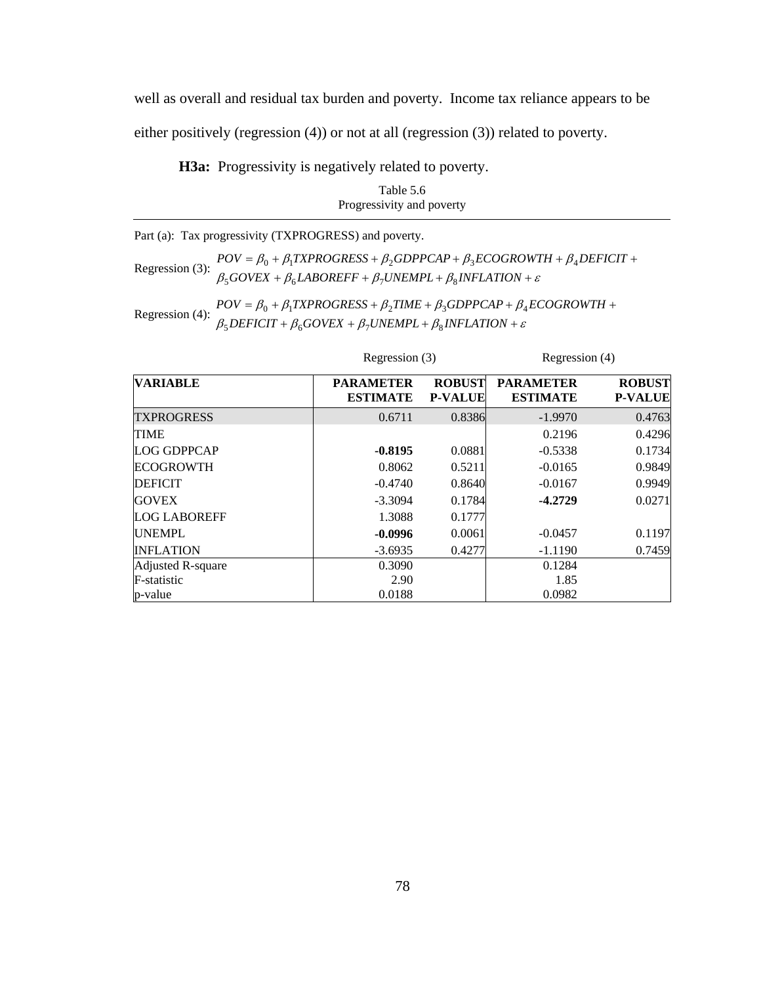well as overall and residual tax burden and poverty. Income tax reliance appears to be either positively (regression (4)) or not at all (regression (3)) related to poverty.

**H3a:** Progressivity is negatively related to poverty.

| Table 5.6                 |
|---------------------------|
| Progressivity and poverty |

Part (a): Tax progressivity (TXPROGRESS) and poverty.

Regression (3):  $\beta_5 GoveX + \beta_6 LABOREFF + \beta_7 UNEMPL + \beta_8 INFLATION + \varepsilon$  $POV = \beta_0 + \beta_1 TXPROGRESS + \beta_2 GDPPCAP + \beta_3 ECOGROWTH + \beta_4 DEFICT +$ 

Regression (4):  $POV = \beta_0 + \beta_1 TXPROGRESS + \beta_2 TIME + \beta_3 GDPPCAP+ \beta_4$ <br> $\beta_5 DEFICT + \beta_6 GOVEX + \beta_7 UNEMPL + \beta_8 INFLATION + \varepsilon$ +  $\beta_6 GOVEX + \beta_7 UNEMPL + \beta_8 INFLATION +$  $= \beta_0 + \beta_1 TXPROGRESS + \beta_2 TIME + \beta_3 GDPPCAP + \beta_4 ECOGROWTH +$  $DEFICIT + \beta_6 GOVEX + \beta_7 UNEMPL + \beta_8 INFLATION$  $POV = \beta_0 + \beta_1 TXPROGRESS + \beta_2 TIME + \beta_3 GDPPCAP + \beta_4 ECOGROWTH$  $5$ *DEFICII* +  $p_6$ *GOVEA* +  $p_7$ *UNEMFL* +  $p_8$  $0 + p_1$ *i* at NOONESS +  $p_2$ *i* ime +  $p_3$ ODFFCAF +  $p_4$ 

| <b>VARIABLE</b>     | <b>PARAMETER</b><br><b>ESTIMATE</b> | <b>ROBUST</b><br><b>P-VALUE</b> | <b>PARAMETER</b><br><b>ESTIMATE</b> | <b>ROBUST</b><br><b>P-VALUE</b> |  |
|---------------------|-------------------------------------|---------------------------------|-------------------------------------|---------------------------------|--|
| <b>TXPROGRESS</b>   | 0.6711                              | 0.8386                          | $-1.9970$                           | 0.4763                          |  |
| <b>TIME</b>         |                                     |                                 | 0.2196                              | 0.4296                          |  |
| <b>LOG GDPPCAP</b>  | $-0.8195$                           | 0.0881                          | $-0.5338$                           | 0.1734                          |  |
| <b>ECOGROWTH</b>    | 0.8062                              | 0.5211                          | $-0.0165$                           | 0.9849                          |  |
| <b>DEFICIT</b>      | $-0.4740$                           | 0.8640                          | $-0.0167$                           | 0.9949                          |  |
| <b>GOVEX</b>        | $-3.3094$                           | 0.1784                          | $-4.2729$                           | 0.0271                          |  |
| <b>LOG LABOREFF</b> | 1.3088                              | 0.1777                          |                                     |                                 |  |
| <b>UNEMPL</b>       | $-0.0996$                           | 0.0061                          | $-0.0457$                           | 0.1197                          |  |
| <b>INFLATION</b>    | $-3.6935$                           | 0.4277                          | $-1.1190$                           | 0.7459                          |  |
| Adjusted R-square   | 0.3090                              |                                 | 0.1284                              |                                 |  |
| F-statistic         | 2.90                                |                                 | 1.85                                |                                 |  |
| p-value             | 0.0188                              |                                 | 0.0982                              |                                 |  |

Regression (3) Regression (4)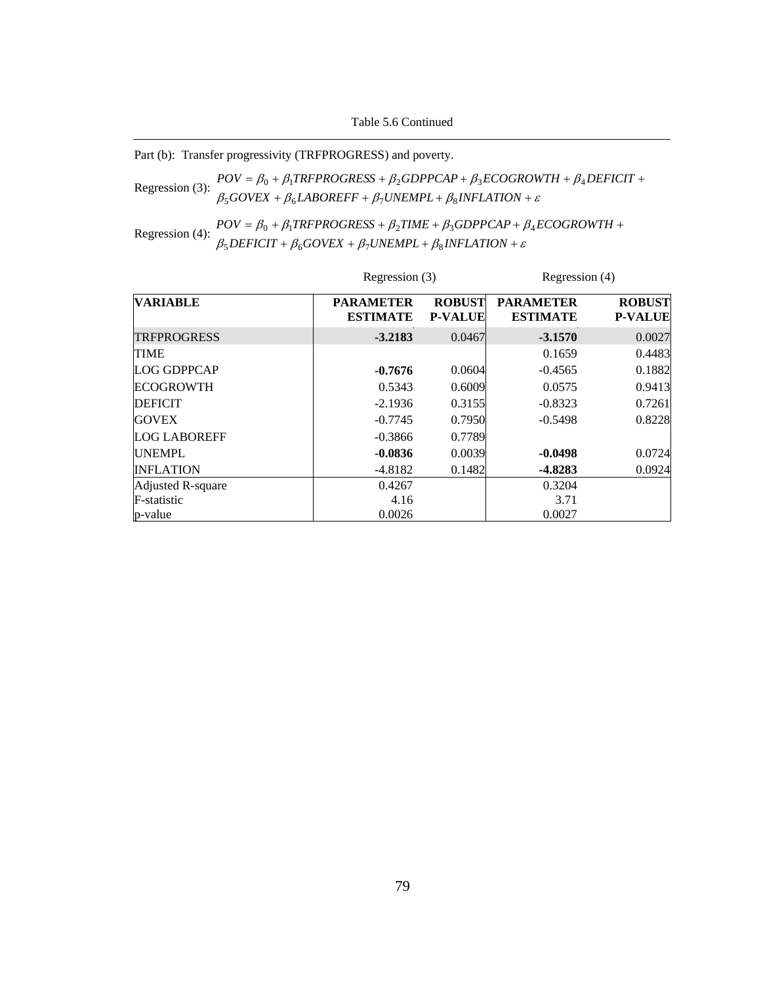Table 5.6 Continued

| Part (b): Transfer progressivity (TRFPROGRESS) and poverty. |
|-------------------------------------------------------------|
|-------------------------------------------------------------|

Regression (3):  $\beta_5 GoveX + \beta_6 LABOREFF + \beta_7 UNEMPL + \beta_8 INFLATION + \varepsilon$  $POV = \beta_0 + \beta_1 TRFPROGRESS + \beta_2 GDPPCAP + \beta_3 ECOGROWTH + \beta_4 DEFICT +$ 

Regression (4):  $POV = \beta_0 + \beta_1 TRFPROGRES + \beta_2 TIME + \beta_3 GDPPCAP + \beta_4 B_SDEFICIT + \beta_6 GOVEX + \beta_7 UNEMPL + \beta_8 INFLATION + \varepsilon$ +  $\beta_6 GOVEX + \beta_7 UNEMPL + \beta_8 INFLATION +$  $= \beta_0 + \beta_1 TRFPROGRESS + \beta_2 TIME + \beta_3 GDPPCAP + \beta_4 ECOGROWTH +$  $DEFICIT + \beta_6 GOVEX + \beta_7 UNEMPL + \beta_8 INFLATION$  $POV = \beta_0 + \beta_1 TRFPROGRESS + \beta_2 TIME + \beta_3 GDPPCAP + \beta_4 ECOGROWTH$  $5$ *DEFICII* +  $p_6$ GOVEA +  $p_7$ ONEMFL+  $p_8$  $0 + p_1$ int FNOONESS +  $p_2$ ilme +  $p_3$ ODFFCAF +  $p_4$ 

|                     |                                     | Regression (3)                  |                                     | Regression (4)                  |  |
|---------------------|-------------------------------------|---------------------------------|-------------------------------------|---------------------------------|--|
| <b>VARIABLE</b>     | <b>PARAMETER</b><br><b>ESTIMATE</b> | <b>ROBUST</b><br><b>P-VALUE</b> | <b>PARAMETER</b><br><b>ESTIMATE</b> | <b>ROBUST</b><br><b>P-VALUE</b> |  |
| <b>TRFPROGRESS</b>  | $-3.2183$                           | 0.0467                          | $-3.1570$                           | 0.0027                          |  |
| <b>TIME</b>         |                                     |                                 | 0.1659                              | 0.4483                          |  |
| <b>LOG GDPPCAP</b>  | $-0.7676$                           | 0.0604                          | $-0.4565$                           | 0.1882                          |  |
| <b>ECOGROWTH</b>    | 0.5343                              | 0.6009                          | 0.0575                              | 0.9413                          |  |
| <b>DEFICIT</b>      | $-2.1936$                           | 0.3155                          | $-0.8323$                           | 0.7261                          |  |
| <b>GOVEX</b>        | $-0.7745$                           | 0.7950                          | $-0.5498$                           | 0.8228                          |  |
| <b>LOG LABOREFF</b> | $-0.3866$                           | 0.7789                          |                                     |                                 |  |
| <b>UNEMPL</b>       | $-0.0836$                           | 0.0039                          | $-0.0498$                           | 0.0724                          |  |
| <b>INFLATION</b>    | $-4.8182$                           | 0.1482                          | $-4.8283$                           | 0.0924                          |  |
| Adjusted R-square   | 0.4267                              |                                 | 0.3204                              |                                 |  |
| F-statistic         | 4.16                                |                                 | 3.71                                |                                 |  |
| p-value             | 0.0026                              |                                 | 0.0027                              |                                 |  |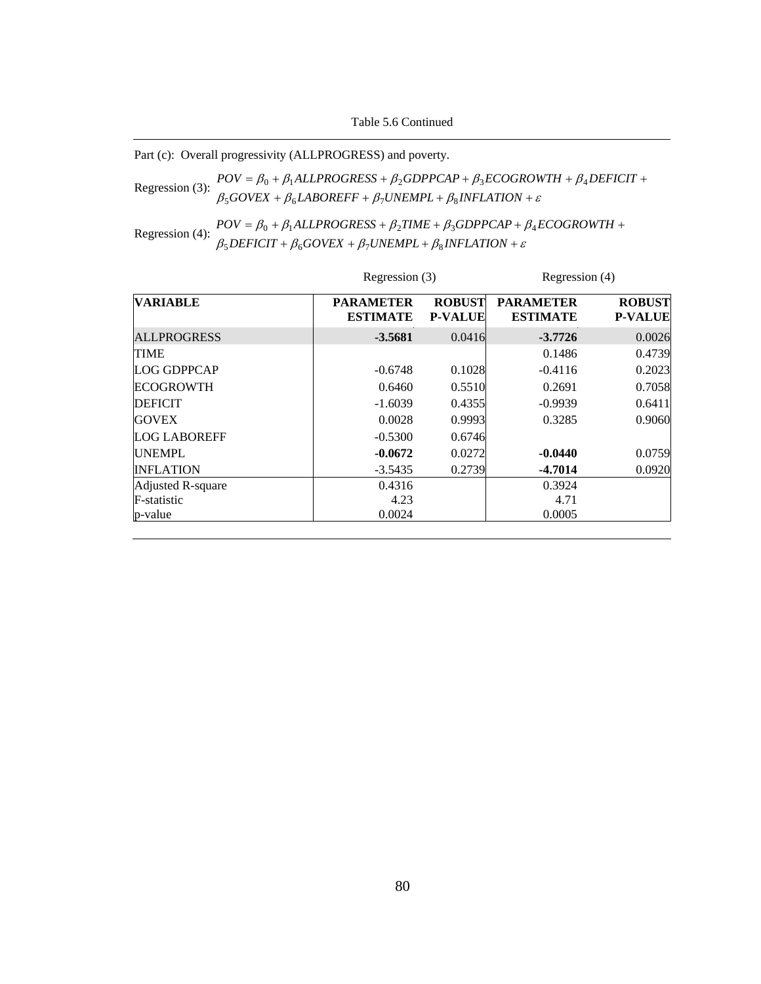Table 5.6 Continued

Part (c): Overall progressivity (ALLPROGRESS) and poverty.

Regression (3):  $POV = \beta_0 + \beta_1 ALLPROGRESS + \beta_2 GDPPCAP + \beta_3 ECOGROWTH + \beta_3 FCOVEX + \beta_4 LABOREFF + \beta_7 UNEMPL + \beta_8 INFLATION + \varepsilon$ +  $\beta_6$ *LABOREFF* +  $\beta_7$ *UNEMPL* +  $\beta_8$ *INFLATION* +  $= \beta_0 + \beta_1 ALLPROGRESS + \beta_2 GDPPCAP + \beta_3 ECOGROWTH + \beta_4 DEFICIT +$  $GOVEX + \beta_6 LABOREFF + \beta_7 UNEMPL + \beta_8 INFLATION$  $POV = \beta_0 + \beta_1 ALLPROGRESS + \beta_2 GDPPCAP + \beta_3 ECOGROWTH + \beta_4 DEFICIT$  $500$ VEA +  $\mu_6$ LADOKETT +  $\mu_7$ OIVEMEL +  $\mu_8$  $\eta_0 + \rho_1$ ALLFROORESS +  $\rho_2$ ODFFCAF +  $\rho_3$ ECOOROWIH +  $\rho_4$ 

Regression (4):  $POV = \beta_0 + \beta_1 ALLPROGRES + \beta_2 TIME + \beta_3 GDPPCAP + \beta_1 B_2 FICIT + \beta_6 GOVEX + \beta_7 UNEMPL + \beta_8 INFLATION + \varepsilon$ +  $\beta_6 GOVEX + \beta_7 UNEMPL + \beta_8 INFLATION +$  $= \beta_0 + \beta_1 ALLPROGRESS + \beta_2 TIME + \beta_3 GDPPCAP + \beta_4 ECOGROWTH +$  $DEFICIT + \beta_6 GOVEX + \beta_7 UNEMPL + \beta_8 INFLATION$  $POV = \beta_0 + \beta_1 ALLPROGRESS + \beta_2 TIME + \beta_3 GDPPCAP + \beta_4 ECOGROWTH$  $5$ *DEFICII* +  $p_6$ GOVEA +  $p_7$ ONEMFL+  $p_8$  $0 + P_1$ ALLENOONESS +  $P_2$ TIME +  $P_3$ ODEFCAF +  $P_4$ 

|                     |                                     | Regression (3)                  |                                     | Regression (4)                  |  |
|---------------------|-------------------------------------|---------------------------------|-------------------------------------|---------------------------------|--|
| <b>VARIABLE</b>     | <b>PARAMETER</b><br><b>ESTIMATE</b> | <b>ROBUST</b><br><b>P-VALUE</b> | <b>PARAMETER</b><br><b>ESTIMATE</b> | <b>ROBUST</b><br><b>P-VALUE</b> |  |
| <b>ALLPROGRESS</b>  | $-3.5681$                           | 0.0416                          | $-3.7726$                           | 0.0026                          |  |
| <b>TIME</b>         |                                     |                                 | 0.1486                              | 0.4739                          |  |
| LOG GDPPCAP         | $-0.6748$                           | 0.1028                          | $-0.4116$                           | 0.2023                          |  |
| <b>ECOGROWTH</b>    | 0.6460                              | 0.5510                          | 0.2691                              | 0.7058                          |  |
| <b>DEFICIT</b>      | $-1.6039$                           | 0.4355                          | $-0.9939$                           | 0.6411                          |  |
| <b>GOVEX</b>        | 0.0028                              | 0.9993                          | 0.3285                              | 0.9060                          |  |
| <b>LOG LABOREFF</b> | $-0.5300$                           | 0.6746                          |                                     |                                 |  |
| <b>UNEMPL</b>       | $-0.0672$                           | 0.0272                          | $-0.0440$                           | 0.0759                          |  |
| <b>INFLATION</b>    | $-3.5435$                           | 0.2739                          | $-4.7014$                           | 0.0920                          |  |
| Adjusted R-square   | 0.4316                              |                                 | 0.3924                              |                                 |  |
| F-statistic         | 4.23                                |                                 | 4.71                                |                                 |  |
| p-value             | 0.0024                              |                                 | 0.0005                              |                                 |  |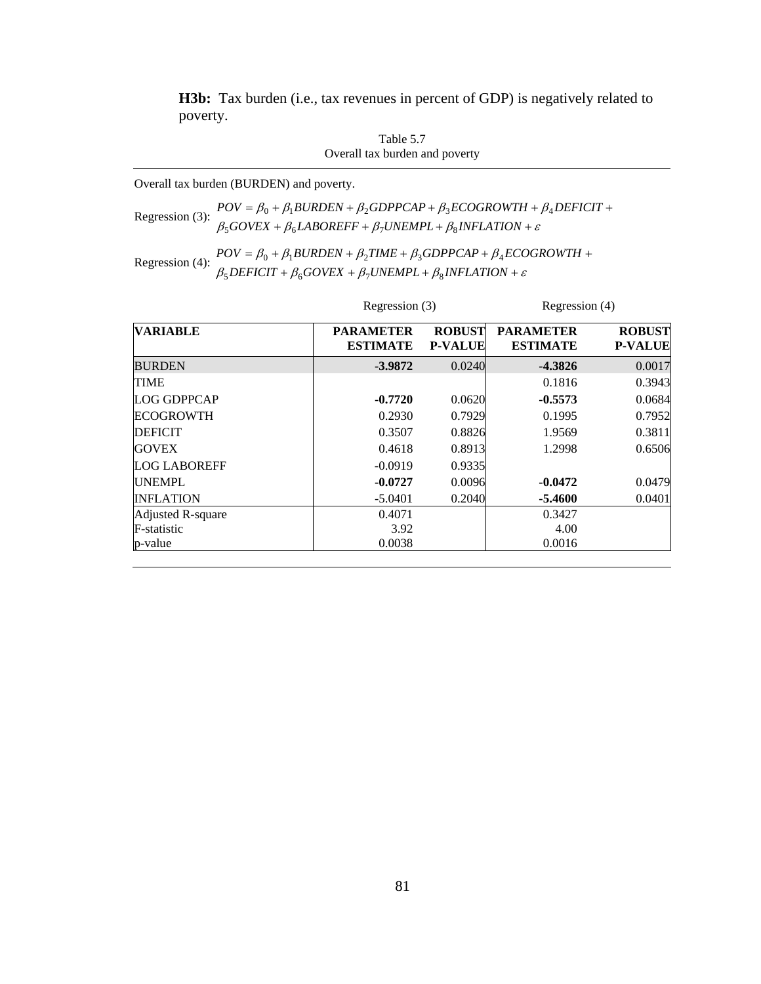**H3b:** Tax burden (i.e., tax revenues in percent of GDP) is negatively related to poverty.

| Table 5.7                      |
|--------------------------------|
| Overall tax burden and poverty |

Overall tax burden (BURDEN) and poverty.

Regression (3):  $POV = \beta_0 + \beta_1 BURDEN + \beta_2 GDPPCAP + \beta_3 ECOGROWTH + \beta_1 BGBOREFF + \beta_1 UNEMPL + \beta_8 INFLATION + \varepsilon$ +  $\beta_6$ *LABOREFF* +  $\beta_7$ *UNEMPL* +  $\beta_8$ *INFLATION* +  $= \beta_0 + \beta_1 BURDEN + \beta_2 GDPPCAP + \beta_3 ECOGROWTH + \beta_4 DEFICIT +$  $GOVEX + \beta_6 LABOREFF + \beta_7 UNEMPL + \beta_8 INFLATION$  $POV = \beta_0 + \beta_1 BURDEN + \beta_2 GDPPCAP + \beta_3 ECOGROWTH + \beta_4 DEFICIT$  $500$ VEA +  $p_6$ LADORETT +  $p_7$ ONEMI L +  $p_8$  $\mu_0 + \mu_1$ DUNDEN +  $\mu_2$ ODFFCAF +  $\mu_3$ ECOONOWI $\pi + \mu_4$ 

| $POV = \beta_0 + \beta_1 BURDEN + \beta_2 TIME + \beta_3 GDPPCAP + \beta_4 ECOGROWTH +$                      |
|--------------------------------------------------------------------------------------------------------------|
| Regression (4): $\beta_5$ DEFICIT + $\beta_6$ GOVEX + $\beta_7$ UNEMPL + $\beta_8$ INFLATION + $\varepsilon$ |

|                     |                                     | Regression (3)                  |                                     | Regression (4)                  |  |
|---------------------|-------------------------------------|---------------------------------|-------------------------------------|---------------------------------|--|
| <b>VARIABLE</b>     | <b>PARAMETER</b><br><b>ESTIMATE</b> | <b>ROBUST</b><br><b>P-VALUE</b> | <b>PARAMETER</b><br><b>ESTIMATE</b> | <b>ROBUST</b><br><b>P-VALUE</b> |  |
| <b>BURDEN</b>       | $-3.9872$                           | 0.0240                          | $-4.3826$                           | 0.0017                          |  |
| <b>TIME</b>         |                                     |                                 | 0.1816                              | 0.3943                          |  |
| <b>LOG GDPPCAP</b>  | $-0.7720$                           | 0.0620                          | $-0.5573$                           | 0.0684                          |  |
| <b>ECOGROWTH</b>    | 0.2930                              | 0.7929                          | 0.1995                              | 0.7952                          |  |
| <b>DEFICIT</b>      | 0.3507                              | 0.8826                          | 1.9569                              | 0.3811                          |  |
| <b>GOVEX</b>        | 0.4618                              | 0.8913                          | 1.2998                              | 0.6506                          |  |
| <b>LOG LABOREFF</b> | $-0.0919$                           | 0.9335                          |                                     |                                 |  |
| <b>UNEMPL</b>       | $-0.0727$                           | 0.0096                          | $-0.0472$                           | 0.0479                          |  |
| <b>INFLATION</b>    | $-5.0401$                           | 0.2040                          | $-5.4600$                           | 0.0401                          |  |
| Adjusted R-square   | 0.4071                              |                                 | 0.3427                              |                                 |  |
| F-statistic         | 3.92                                |                                 | 4.00                                |                                 |  |
| p-value             | 0.0038                              |                                 | 0.0016                              |                                 |  |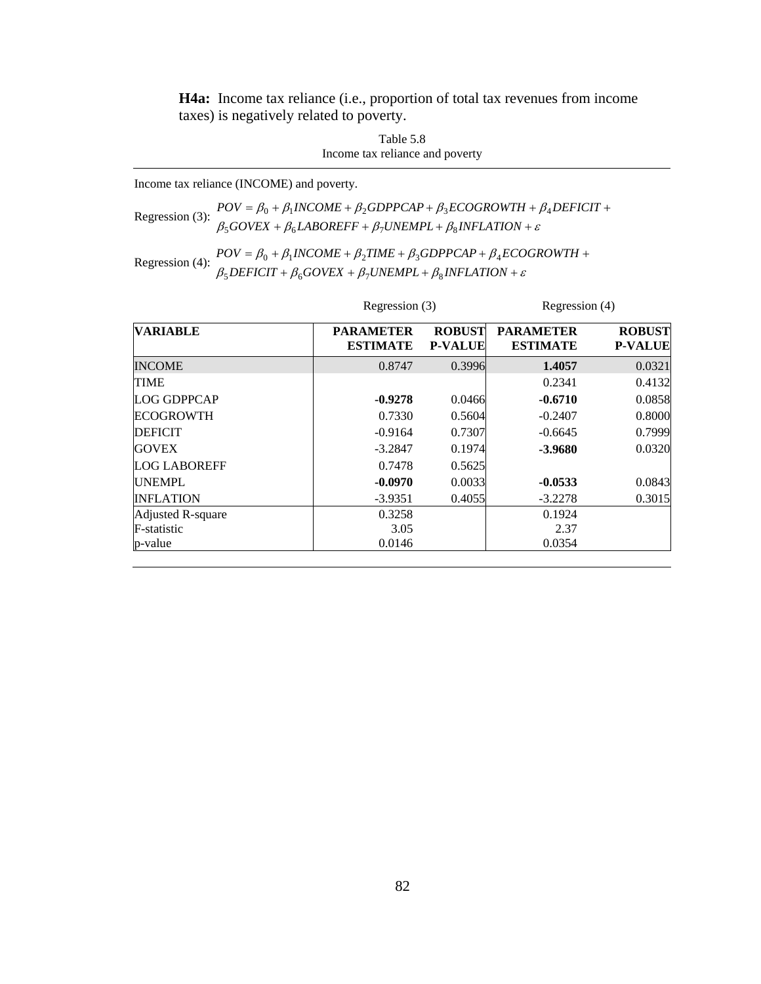**H4a:** Income tax reliance (i.e., proportion of total tax revenues from income taxes) is negatively related to poverty.

> Table 5.8 Income tax reliance and poverty

Income tax reliance (INCOME) and poverty.

Regression (3):  $POV = \beta_0 + \beta_1 INCOME + \beta_2 GDPPCAP + \beta_3 ECOGROWTH + \beta_4$ <br>  $\beta_5 GOVEX + \beta_6 LABOREFF + \beta_7 UNEMPL + \beta_8 INFLATION + \varepsilon$ +  $\beta_6$ *LABOREFF* +  $\beta_7$ *UNEMPL* +  $\beta_8$ *INFLATION* +  $= \beta_0 + \beta_1 INCOME + \beta_2 GDPPCAP + \beta_3 ECOGROWTH + \beta_4 DEFICIT +$  $GOVEX + \beta_6 LABOREFF + \beta_7 UNEMPL + \beta_8 INFLATION$  $POV = \beta_0 + \beta_1 INCOME + \beta_2 GDPPCAP + \beta_3 ECOGROWTH + \beta_4 DEFICIT$  $500$ VEA +  $p_6$ LADORETT +  $p_7$ ONEMI L +  $p_8$  $0 + p_1$ INCOME +  $p_2$ ODFFCAF +  $p_3$ ECOONOWI $H + p_4$ 

Regression (4):  $POV = \beta_0 + \beta_1 INCOME + \beta_2 TIME + \beta_3 GDPPCAP + \beta_4 ECO$ <br> $\beta_5 DEFICT + \beta_6 GOVEX + \beta_7 UNEMPL + \beta_8 INFLATION + \varepsilon$  $+\beta_6 GOVEX + \beta_7 UNEMPL + \beta_8 INFLATION +$  $= \beta_0 + \beta_1 INCOME + \beta_2 TIME + \beta_3 GDPPCAP + \beta_4 ECOGROWTH +$  $DEFICIT + \beta_6 GOVEX + \beta_7 UNEMPL + \beta_8 INFLATION$  $POV = \beta_0 + \beta_1 INCOME + \beta_2 TIME + \beta_3 GDPPCAP + \beta_4 ECOGROWTH$  $5$ *DEFICII* +  $p_6$ GOVEA +  $p_7$ ONEMFL+  $p_8$  $0 + p_1$ INCOME +  $p_2$ TIME +  $p_3$ ODFFCAF +  $p_4$ 

|                     |                                     | Regression (3)                  |                                     | Regression (4)                  |  |
|---------------------|-------------------------------------|---------------------------------|-------------------------------------|---------------------------------|--|
| <b>VARIABLE</b>     | <b>PARAMETER</b><br><b>ESTIMATE</b> | <b>ROBUST</b><br><b>P-VALUE</b> | <b>PARAMETER</b><br><b>ESTIMATE</b> | <b>ROBUST</b><br><b>P-VALUE</b> |  |
| <b>INCOME</b>       | 0.8747                              | 0.3996                          | 1.4057                              | 0.0321                          |  |
| <b>TIME</b>         |                                     |                                 | 0.2341                              | 0.4132                          |  |
| <b>LOG GDPPCAP</b>  | $-0.9278$                           | 0.0466                          | $-0.6710$                           | 0.0858                          |  |
| <b>ECOGROWTH</b>    | 0.7330                              | 0.5604                          | $-0.2407$                           | 0.8000                          |  |
| <b>DEFICIT</b>      | $-0.9164$                           | 0.7307                          | $-0.6645$                           | 0.7999                          |  |
| <b>GOVEX</b>        | $-3.2847$                           | 0.1974                          | $-3.9680$                           | 0.0320                          |  |
| <b>LOG LABOREFF</b> | 0.7478                              | 0.5625                          |                                     |                                 |  |
| <b>UNEMPL</b>       | $-0.0970$                           | 0.0033                          | $-0.0533$                           | 0.0843                          |  |
| <b>INFLATION</b>    | $-3.9351$                           | 0.4055                          | $-3.2278$                           | 0.3015                          |  |
| Adjusted R-square   | 0.3258                              |                                 | 0.1924                              |                                 |  |
| F-statistic         | 3.05                                |                                 | 2.37                                |                                 |  |
| p-value             | 0.0146                              |                                 | 0.0354                              |                                 |  |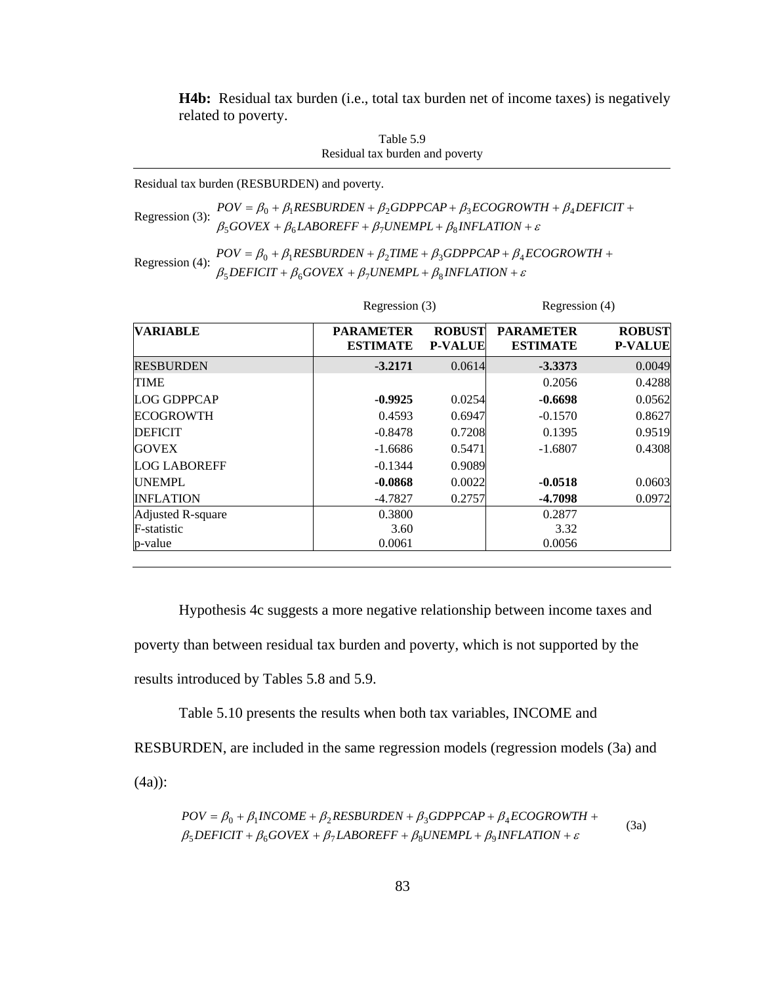**H4b:** Residual tax burden (i.e., total tax burden net of income taxes) is negatively related to poverty.

Table 5.9 Residual tax burden and poverty

Residual tax burden (RESBURDEN) and poverty.

\n
$$
\text{Regression (3):} \quad\n POV = \beta_0 + \beta_1 \text{RESBURDEN} + \beta_2 \text{GDPPCAP} + \beta_3 \text{ECOGROWTH} + \beta_4 \text{DEFICIT} + \beta_5 \text{GOVEX} + \beta_6 \text{LABOREFF} + \beta_7 \text{UNEMPL} + \beta_8 \text{INFLATION} + \varepsilon
$$
\n

```
Regression (4): POV = \beta_0 + \beta_1 RESBURDEN + \beta_2 TIME + \beta_3 GDPPCAP + \beta_4 ECOGROWTH +<br>\beta_5 DEFICT + \beta_6 GOVEX + \beta_7 UNEMPL + \beta_8 INFLATION + \varepsilon\beta_5DEFICIT + \beta_6GOVEX + \beta_7UNEMPL + \beta_8INFLATION +
```

|                     |                                     | Regression (3)                  |                                     | Regression (4)                  |  |
|---------------------|-------------------------------------|---------------------------------|-------------------------------------|---------------------------------|--|
| <b>VARIABLE</b>     | <b>PARAMETER</b><br><b>ESTIMATE</b> | <b>ROBUST</b><br><b>P-VALUE</b> | <b>PARAMETER</b><br><b>ESTIMATE</b> | <b>ROBUST</b><br><b>P-VALUE</b> |  |
| <b>RESBURDEN</b>    | $-3.2171$                           | 0.0614                          | $-3.3373$                           | 0.0049                          |  |
| <b>TIME</b>         |                                     |                                 | 0.2056                              | 0.4288                          |  |
| <b>LOG GDPPCAP</b>  | $-0.9925$                           | 0.0254                          | $-0.6698$                           | 0.0562                          |  |
| <b>ECOGROWTH</b>    | 0.4593                              | 0.6947                          | $-0.1570$                           | 0.8627                          |  |
| <b>DEFICIT</b>      | $-0.8478$                           | 0.7208                          | 0.1395                              | 0.9519                          |  |
| <b>GOVEX</b>        | $-1.6686$                           | 0.5471                          | $-1.6807$                           | 0.4308                          |  |
| <b>LOG LABOREFF</b> | $-0.1344$                           | 0.9089                          |                                     |                                 |  |
| <b>UNEMPL</b>       | $-0.0868$                           | 0.0022                          | $-0.0518$                           | 0.0603                          |  |
| <b>INFLATION</b>    | $-4.7827$                           | 0.2757                          | -4.7098                             | 0.0972                          |  |
| Adjusted R-square   | 0.3800                              |                                 | 0.2877                              |                                 |  |
| F-statistic         | 3.60                                |                                 | 3.32                                |                                 |  |
| p-value             | 0.0061                              |                                 | 0.0056                              |                                 |  |

Hypothesis 4c suggests a more negative relationship between income taxes and poverty than between residual tax burden and poverty, which is not supported by the results introduced by Tables 5.8 and 5.9.

Table 5.10 presents the results when both tax variables, INCOME and

RESBURDEN, are included in the same regression models (regression models (3a) and (4a)):

$$
POV = \beta_0 + \beta_1 INCOME + \beta_2 RESBURDEN + \beta_3 GDPPCAP + \beta_4 ECOGROWTH + \n\beta_5 DEFICIT + \beta_6 GOVEX + \beta_7 LABOREFF + \beta_8 UNEMPL + \beta_9 INFLATION + \varepsilon
$$
\n(3a)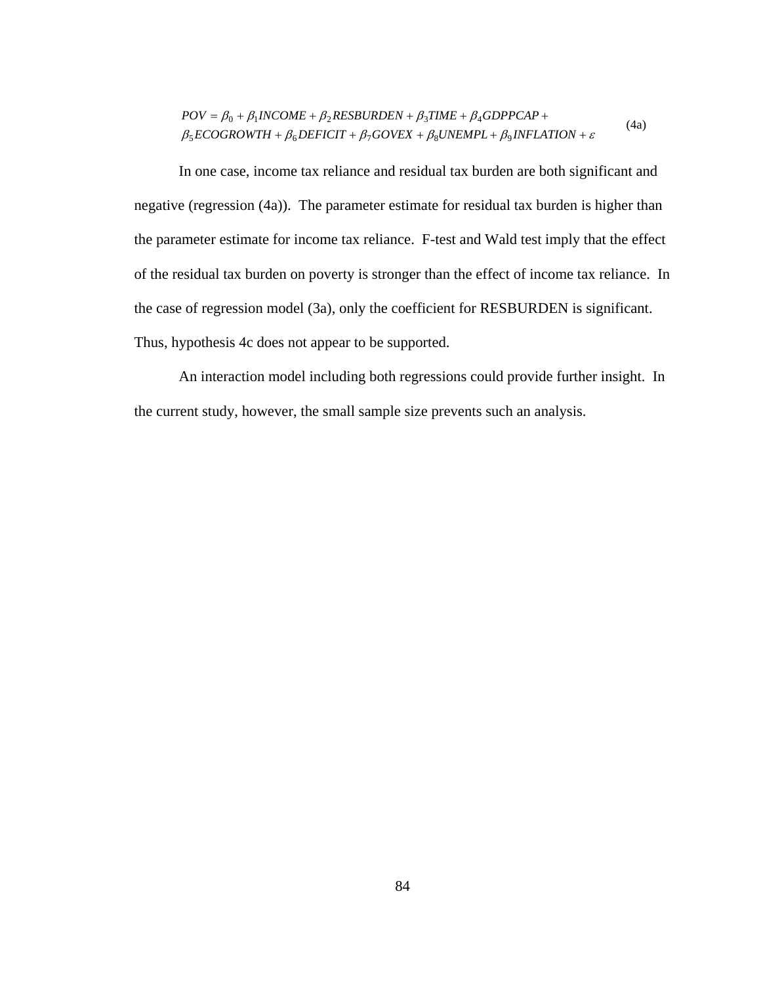$$
POV = \beta_0 + \beta_1 INCOME + \beta_2 RESBURDEN + \beta_3 TIME + \beta_4 GDPPCAP + \n\beta_5 ECOGROWTH + \beta_6 DEFINCTI + \beta_7 GOVEX + \beta_8 UNEMPL + \beta_9 INFLATION + \varepsilon
$$
\n(4a)

In one case, income tax reliance and residual tax burden are both significant and negative (regression (4a)). The parameter estimate for residual tax burden is higher than the parameter estimate for income tax reliance. F-test and Wald test imply that the effect of the residual tax burden on poverty is stronger than the effect of income tax reliance. In the case of regression model (3a), only the coefficient for RESBURDEN is significant. Thus, hypothesis 4c does not appear to be supported.

An interaction model including both regressions could provide further insight. In the current study, however, the small sample size prevents such an analysis.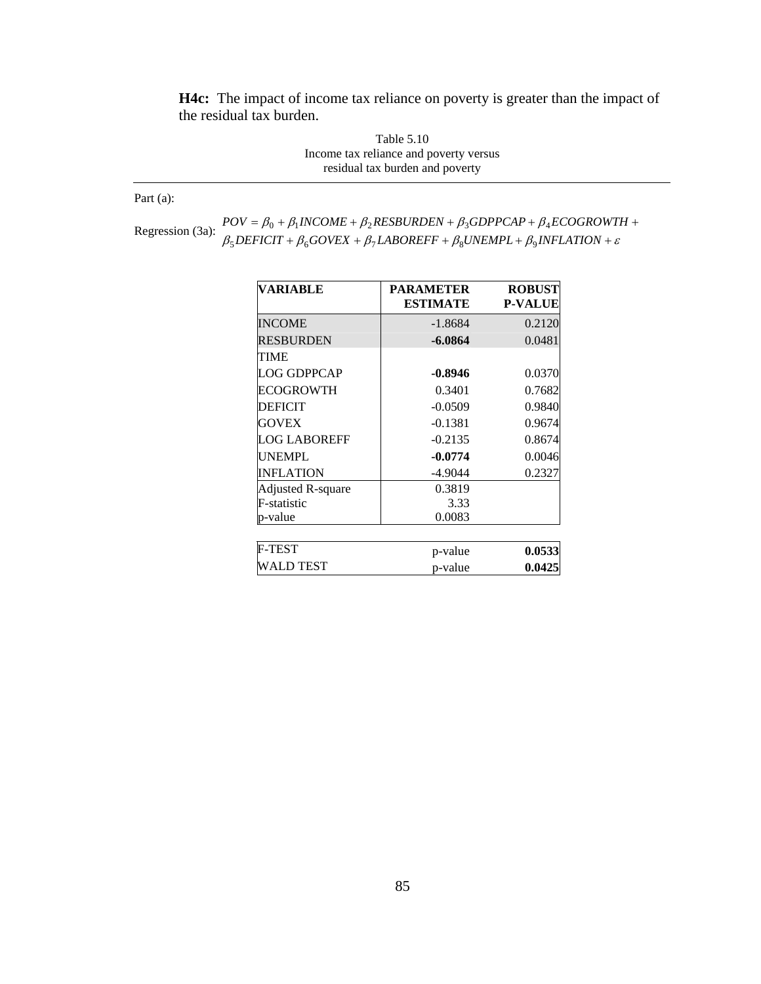**H4c:** The impact of income tax reliance on poverty is greater than the impact of the residual tax burden.

> Table 5.10 Income tax reliance and poverty versus residual tax burden and poverty

Part (a):

Regression (3a):  $POV = \beta_0 + \beta_1 INCOME + \beta_2 RESBURDEN + \beta_3 GDPPCAP + \beta_4 ECOGROWTSE$ <br>Regression (3a):  $\beta_5 DEFICT + \beta_6 GOVEX + \beta_7 LABOREFF + \beta_8 UNEMPL + \beta_9 INFLATION + \varepsilon$  $+\beta_6 GOVEX + \beta_7 LABOREFF + \beta_8 UNEMPL + \beta_9 INFLATION +$  $=\beta_0 + \beta_1 INCOME + \beta_2 RESBURDEN + \beta_3 GDPPCAP + \beta_4 ECOGROWTH +$  $DEFICIT + \beta_6 GOVEX + \beta_7 LABOREFF + \beta_8 UNEMPL + \beta_9 INFLATION$  $POV = \beta_0 + \beta_1 INCOME + \beta_2 RESBURDEN + \beta_3 GDPPCAP + \beta_4 ECOGROWTH$  $5$ DEFICII +  $p_6$ OOVEA +  $p_7$ LADOKEFF +  $p_8$ ONEMFL +  $p_9$  $0 + P_1$ INCOME +  $P_2$ NESDUNDEN +  $P_3$ ODFFCAF +  $P_4$ 

| VARIABLE                 | <b>PARAMETER</b><br><b>ESTIMATE</b> | <b>ROBUST</b><br><b>P-VALUE</b> |
|--------------------------|-------------------------------------|---------------------------------|
| <b>INCOME</b>            | $-1.8684$                           | 0.2120                          |
| <b>RESBURDEN</b>         | $-6.0864$                           | 0.0481                          |
| TIME                     |                                     |                                 |
| <b>LOG GDPPCAP</b>       | $-0.8946$                           | 0.0370                          |
| <b>ECOGROWTH</b>         | 0.3401                              | 0.7682                          |
| <b>DEFICIT</b>           | $-0.0509$                           | 0.9840                          |
| <b>GOVEX</b>             | $-0.1381$                           | 0.9674                          |
| <b>LOG LABOREFF</b>      | $-0.2135$                           | 0.8674                          |
| <b>UNEMPL</b>            | $-0.0774$                           | 0.0046                          |
| <b>INFLATION</b>         | $-4.9044$                           | 0.2327                          |
| <b>Adjusted R-square</b> | 0.3819                              |                                 |
| F-statistic              | 3.33                                |                                 |
| p-value                  | 0.0083                              |                                 |
|                          |                                     |                                 |
| F-TEST                   | p-value                             | 0.0533                          |
| WALD TEST                | p-value                             | 0.0425                          |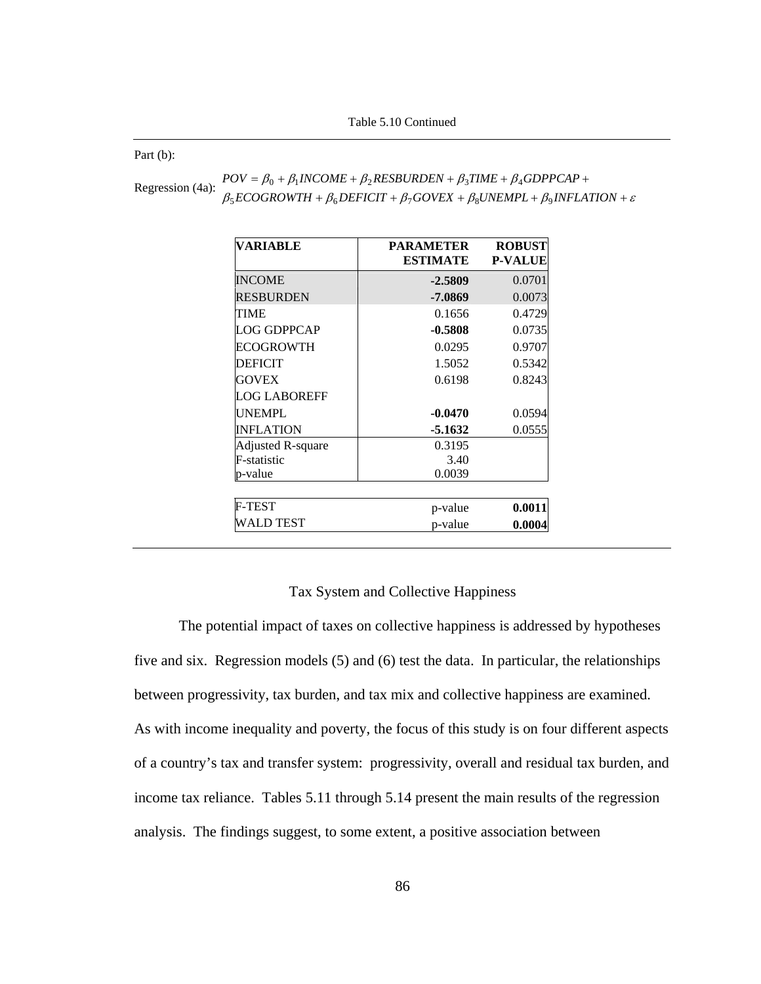Part (b):

|                  | $POV = \beta_0 + \beta_1 INCOME + \beta_2 RESBURDEN + \beta_3 TIME + \beta_4 GDPPCAP +$                  |
|------------------|----------------------------------------------------------------------------------------------------------|
| Regression (4a): | $\beta_5 ECOGROWTH + \beta_6 DEFIGIT + \beta_7 GOVEX + \beta_8 UNEMPL + \beta_9 INFLATION + \varepsilon$ |

| <b>VARIABLE</b>          | <b>PARAMETER</b><br><b>ESTIMATE</b> | <b>ROBUST</b><br><b>P-VALUE</b> |
|--------------------------|-------------------------------------|---------------------------------|
| <b>INCOME</b>            | $-2.5809$                           | 0.0701                          |
| <b>RESBURDEN</b>         | -7.0869                             | 0.0073                          |
| TIME                     | 0.1656                              | 0.4729                          |
| LOG GDPPCAP              | $-0.5808$                           | 0.0735                          |
| ECOGROWTH                | 0.0295                              | 0.9707                          |
| <b>DEFICIT</b>           | 1.5052                              | 0.5342                          |
| <b>GOVEX</b>             | 0.6198                              | 0.8243                          |
| <b>LOG LABOREFF</b>      |                                     |                                 |
| <b>UNEMPL</b>            | $-0.0470$                           | 0.0594                          |
| <b>INFLATION</b>         | $-5.1632$                           | 0.0555                          |
| <b>Adjusted R-square</b> | 0.3195                              |                                 |
| F-statistic              | 3.40                                |                                 |
| p-value                  | 0.0039                              |                                 |
| <b>F-TEST</b>            | p-value                             | 0.0011                          |
| WALD TEST                | p-value                             | 0.0004                          |

## Tax System and Collective Happiness

The potential impact of taxes on collective happiness is addressed by hypotheses five and six. Regression models (5) and (6) test the data. In particular, the relationships between progressivity, tax burden, and tax mix and collective happiness are examined. As with income inequality and poverty, the focus of this study is on four different aspects of a country's tax and transfer system: progressivity, overall and residual tax burden, and income tax reliance. Tables 5.11 through 5.14 present the main results of the regression analysis. The findings suggest, to some extent, a positive association between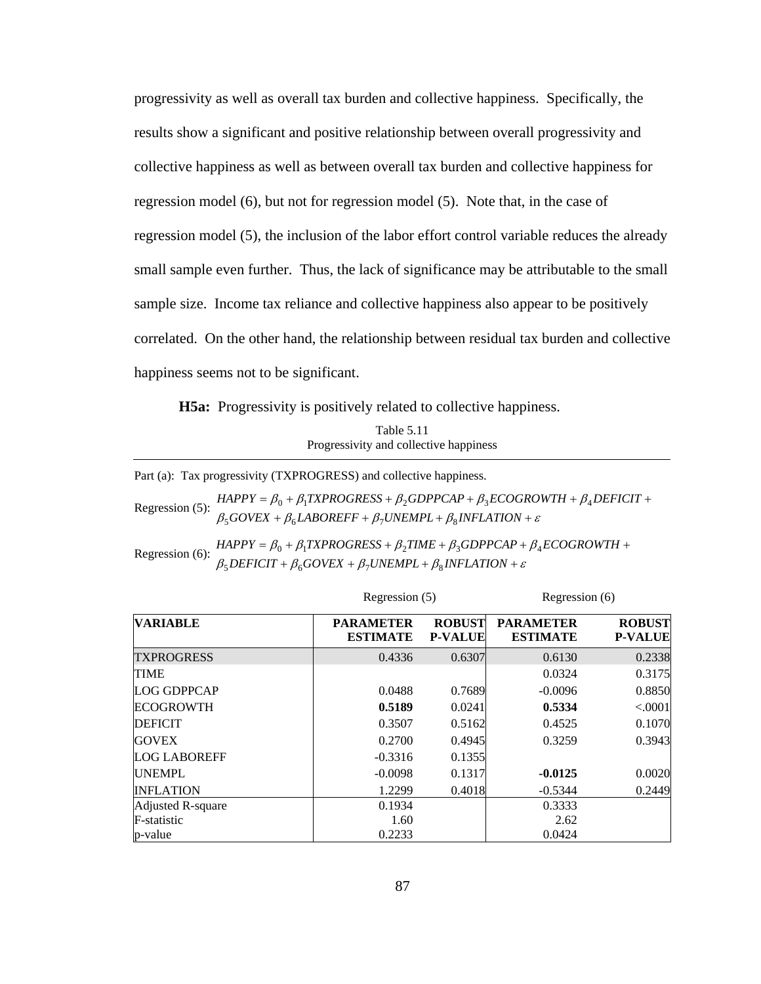progressivity as well as overall tax burden and collective happiness. Specifically, the results show a significant and positive relationship between overall progressivity and collective happiness as well as between overall tax burden and collective happiness for regression model (6), but not for regression model (5). Note that, in the case of regression model (5), the inclusion of the labor effort control variable reduces the already small sample even further. Thus, the lack of significance may be attributable to the small sample size. Income tax reliance and collective happiness also appear to be positively correlated. On the other hand, the relationship between residual tax burden and collective happiness seems not to be significant.

**H5a:** Progressivity is positively related to collective happiness.

| Table 5.11                             |
|----------------------------------------|
| Progressivity and collective happiness |

Part (a): Tax progressivity (TXPROGRESS) and collective happiness.

Regression (5):  $\beta_5 GOVEX + \beta_6 LABORES S + \beta_2 GDPPCAP + \beta_3 ECOGROWTH + \beta_4 DEFICT + \beta_5 GOVEX + \beta_6 LABOREFF + \beta_7 UNEMPL + \beta_8 INFLATION + \varepsilon$  $\beta_5 GOVEX + \beta_6 LABOREFF + \beta_7 UNEMPL + \beta_8 INFLATION +$ 

Regression (6):  $\beta_5$ DEFICIT +  $\beta_6$ GOVEX +  $\beta_7$ UNEMPL +  $\beta_8$ INFLATION +  $\varepsilon$  $HAPPY = \beta_0 + \beta_1 TXPROGRESS + \beta_2 TIME + \beta_3 GDPPCAP + \beta_4 ECOGROWTH +$ 

|                     |                                     | Regression (5)                  |                                     | Regression (6)                  |  |
|---------------------|-------------------------------------|---------------------------------|-------------------------------------|---------------------------------|--|
| <b>VARIABLE</b>     | <b>PARAMETER</b><br><b>ESTIMATE</b> | <b>ROBUST</b><br><b>P-VALUE</b> | <b>PARAMETER</b><br><b>ESTIMATE</b> | <b>ROBUST</b><br><b>P-VALUE</b> |  |
| <b>TXPROGRESS</b>   | 0.4336                              | 0.6307                          | 0.6130                              | 0.2338                          |  |
| <b>TIME</b>         |                                     |                                 | 0.0324                              | 0.3175                          |  |
| LOG GDPPCAP         | 0.0488                              | 0.7689                          | $-0.0096$                           | 0.8850                          |  |
| <b>ECOGROWTH</b>    | 0.5189                              | 0.0241                          | 0.5334                              | < .0001                         |  |
| <b>DEFICIT</b>      | 0.3507                              | 0.5162                          | 0.4525                              | 0.1070                          |  |
| <b>GOVEX</b>        | 0.2700                              | 0.4945                          | 0.3259                              | 0.3943                          |  |
| <b>LOG LABOREFF</b> | $-0.3316$                           | 0.1355                          |                                     |                                 |  |
| <b>UNEMPL</b>       | $-0.0098$                           | 0.1317                          | $-0.0125$                           | 0.0020                          |  |
| <b>INFLATION</b>    | 1.2299                              | 0.4018                          | $-0.5344$                           | 0.2449                          |  |
| Adjusted R-square   | 0.1934                              |                                 | 0.3333                              |                                 |  |
| F-statistic         | 1.60                                |                                 | 2.62                                |                                 |  |
| p-value             | 0.2233                              |                                 | 0.0424                              |                                 |  |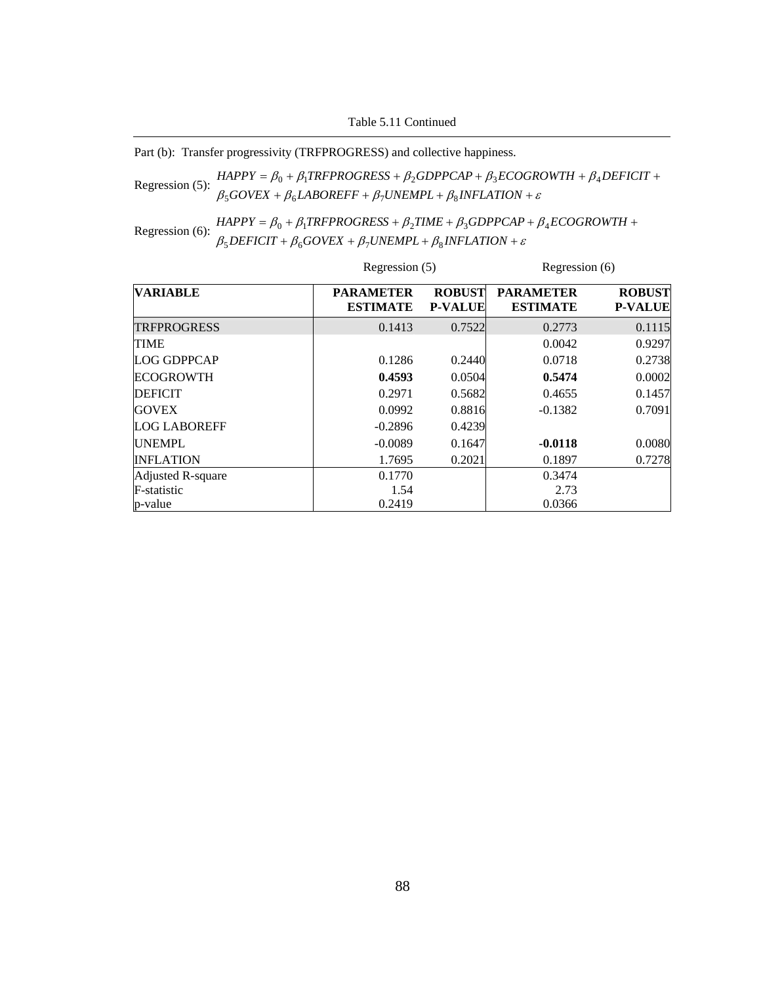Table 5.11 Continued

Part (b): Transfer progressivity (TRFPROGRESS) and collective happiness.

Regression (5):  $HAPPY = \beta_0 + \beta_1 TRFPROGRESS + \beta_2 GDPPCAP + \beta_3 ECOGROWTH + \beta_4$ <br> $\beta_5 GOVEX + \beta_6 LABOREFF + \beta_7 UNEMPL + \beta_8 INFLATION + \varepsilon$ +  $\beta_6$ *LABOREFF* +  $\beta_7$ *UNEMPL* +  $\beta_8$ *INFLATION* +  $= \beta_0 + \beta_1 TRFPROGRESS + \beta_2 GDPPCAP + \beta_3 ECOGROWTH + \beta_4 DEFICIT +$  $GOVEX + \beta_6 LABOREFF + \beta_7 UNEMPL + \beta_8 INFLATION$  $HAPPY = \beta_0 + \beta_1 TRFPROGRESS + \beta_2 GDPPCAP + \beta_3 ECOGROWTH + \beta_4 DEFICT$  $500$ VEA +  $\mu_6$ LADOKETT +  $\mu_7$ OIVEMEL +  $\mu_8$  $\mu_0 + \mu_1$ i Kr FROGRESS +  $\mu_2$ GDFFCAF +  $\mu_3$ ECOGROWI $\mu_1 + \mu_4$ 

Regression (6):  $HAPPY = \beta_0 + \beta_1 TRFPROGRES + \beta_2 TIME + \beta_3 GDPPCAP + \beta_1 BSEFICIT + \beta_6 GOVEX + \beta_7 UNEMPL + \beta_8 INFLATION + \varepsilon$ +  $\beta_6 GOVEX + \beta_7 UNEMPL + \beta_8 INFLATION +$  $= \beta_0 + \beta_1 TRFPROGRESS + \beta_2 TIME + \beta_3 GDPPCAP + \beta_4 ECOGROWTH +$  $DEFICIT + \beta_6 GOVEX + \beta_7 UNEMPL + \beta_8 INFLATION$  $HAPPY = \beta_0 + \beta_1 TRFPROGRESS + \beta_2 TIME + \beta_3 GDPPCAP + \beta_4 ECOGROWTH$  $5$ *DEFICII* +  $p_6$ GOVEA +  $p_7$ ONEMFL+  $p_8$  $0 + p_1$ int FNOONESS +  $p_2$ ilme +  $p_3$ ODFFCAF +  $p_4$ 

|                     |                                     | Regression (5)                  |                                     | Regression (6)                  |  |
|---------------------|-------------------------------------|---------------------------------|-------------------------------------|---------------------------------|--|
| <b>VARIABLE</b>     | <b>PARAMETER</b><br><b>ESTIMATE</b> | <b>ROBUST</b><br><b>P-VALUE</b> | <b>PARAMETER</b><br><b>ESTIMATE</b> | <b>ROBUST</b><br><b>P-VALUE</b> |  |
| <b>TRFPROGRESS</b>  | 0.1413                              | 0.7522                          | 0.2773                              | 0.1115                          |  |
| <b>TIME</b>         |                                     |                                 | 0.0042                              | 0.9297                          |  |
| <b>LOG GDPPCAP</b>  | 0.1286                              | 0.2440                          | 0.0718                              | 0.2738                          |  |
| <b>ECOGROWTH</b>    | 0.4593                              | 0.0504                          | 0.5474                              | 0.0002                          |  |
| <b>DEFICIT</b>      | 0.2971                              | 0.5682                          | 0.4655                              | 0.1457                          |  |
| <b>GOVEX</b>        | 0.0992                              | 0.8816                          | $-0.1382$                           | 0.7091                          |  |
| <b>LOG LABOREFF</b> | $-0.2896$                           | 0.4239                          |                                     |                                 |  |
| <b>UNEMPL</b>       | $-0.0089$                           | 0.1647                          | $-0.0118$                           | 0.0080                          |  |
| <b>INFLATION</b>    | 1.7695                              | 0.2021                          | 0.1897                              | 0.7278                          |  |
| Adjusted R-square   | 0.1770                              |                                 | 0.3474                              |                                 |  |
| F-statistic         | 1.54                                |                                 | 2.73                                |                                 |  |
| p-value             | 0.2419                              |                                 | 0.0366                              |                                 |  |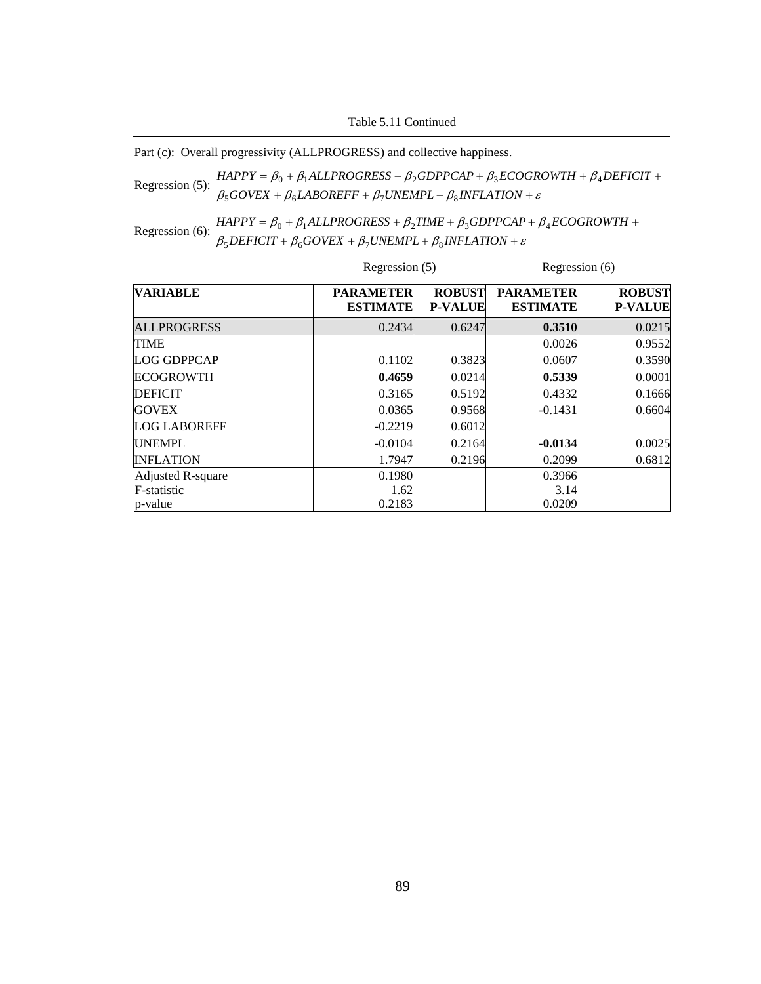Table 5.11 Continued

Part (c): Overall progressivity (ALLPROGRESS) and collective happiness.

Regression (5):  $HAPPY = \beta_0 + \beta_1 ALLPROGRESS + \beta_2 GDPPCAP + \beta_3 ECOGROWTH + \beta_4 BQREFF + \beta_4 UNEMPL + \beta_5 INFLATION + \varepsilon$ +  $\beta_6$ *LABOREFF* +  $\beta_7$ *UNEMPL* +  $\beta_8$ *INFLATION* +  $=\beta_0 + \beta_1 ALLPROGRESS + \beta_2 GDPPCAP + \beta_3 ECOGROWTH + \beta_4 DEFICIT +$  $GOVEX + \beta_6 LABOREFF + \beta_7 UNEMPL + \beta_8 INFLATION$  $HAPPY = \beta_0 + \beta_1 ALLPROGRESS + \beta_2 GDPPCAP + \beta_3 ECOGROWTH + \beta_4 DEFICIT$  $500$ VEA +  $\mu_6$ LADOKEFF +  $\mu_7$ OIVEMFL+  $\mu_8$  $\mu_0 + \mu_1$ ALLEROGRESS +  $\mu_2$ GDFFCAF +  $\mu_3$ ECOGROWITH +  $\mu_4$ 

Regression (6):  $HAPPY = \beta_0 + \beta_1 ALLPROGRESS + \beta_2 TIME + \beta_3 GDPPCAP + \beta_3 BEFICIT + \beta_6 GOVEX + \beta_7 UNEMPL + \beta_8 INFLATION + \varepsilon$ +  $\beta_6 GOVEX + \beta_7 UNEMPL + \beta_8 INFLATION +$  $= \beta_0 + \beta_1 ALLPROGRESS + \beta_2 TIME + \beta_3 GDPPCAP + \beta_4 ECOGROWTH +$  $DEFICIT + \beta_6 GOVEX + \beta_7 UNEMPL + \beta_8 INFLATION$  $HAPPY = \beta_0 + \beta_1 ALLPROGRESS + \beta_2 TIME + \beta_3 GDPPCAP + \beta_4 ECOGROWTH$  $5$ *DEFICII* +  $p_6$ GOVEA +  $p_7$ ONEMFL+  $p_8$  $0 + P_1$ ALLENOONESS +  $P_2$ TIME +  $P_3$ ODEFCAF +  $P_4$ 

|                     |                                     | Regression (5)                  |                                     | Regression (6)                  |  |
|---------------------|-------------------------------------|---------------------------------|-------------------------------------|---------------------------------|--|
| <b>VARIABLE</b>     | <b>PARAMETER</b><br><b>ESTIMATE</b> | <b>ROBUST</b><br><b>P-VALUE</b> | <b>PARAMETER</b><br><b>ESTIMATE</b> | <b>ROBUST</b><br><b>P-VALUE</b> |  |
| <b>ALLPROGRESS</b>  | 0.2434                              | 0.6247                          | 0.3510                              | 0.0215                          |  |
| <b>TIME</b>         |                                     |                                 | 0.0026                              | 0.9552                          |  |
| <b>LOG GDPPCAP</b>  | 0.1102                              | 0.3823                          | 0.0607                              | 0.3590                          |  |
| <b>ECOGROWTH</b>    | 0.4659                              | 0.0214                          | 0.5339                              | 0.0001                          |  |
| <b>DEFICIT</b>      | 0.3165                              | 0.5192                          | 0.4332                              | 0.1666                          |  |
| <b>GOVEX</b>        | 0.0365                              | 0.9568                          | $-0.1431$                           | 0.6604                          |  |
| <b>LOG LABOREFF</b> | $-0.2219$                           | 0.6012                          |                                     |                                 |  |
| <b>UNEMPL</b>       | $-0.0104$                           | 0.2164                          | $-0.0134$                           | 0.0025                          |  |
| <b>INFLATION</b>    | 1.7947                              | 0.2196                          | 0.2099                              | 0.6812                          |  |
| Adjusted R-square   | 0.1980                              |                                 | 0.3966                              |                                 |  |
| F-statistic         | 1.62                                |                                 | 3.14                                |                                 |  |
| p-value             | 0.2183                              |                                 | 0.0209                              |                                 |  |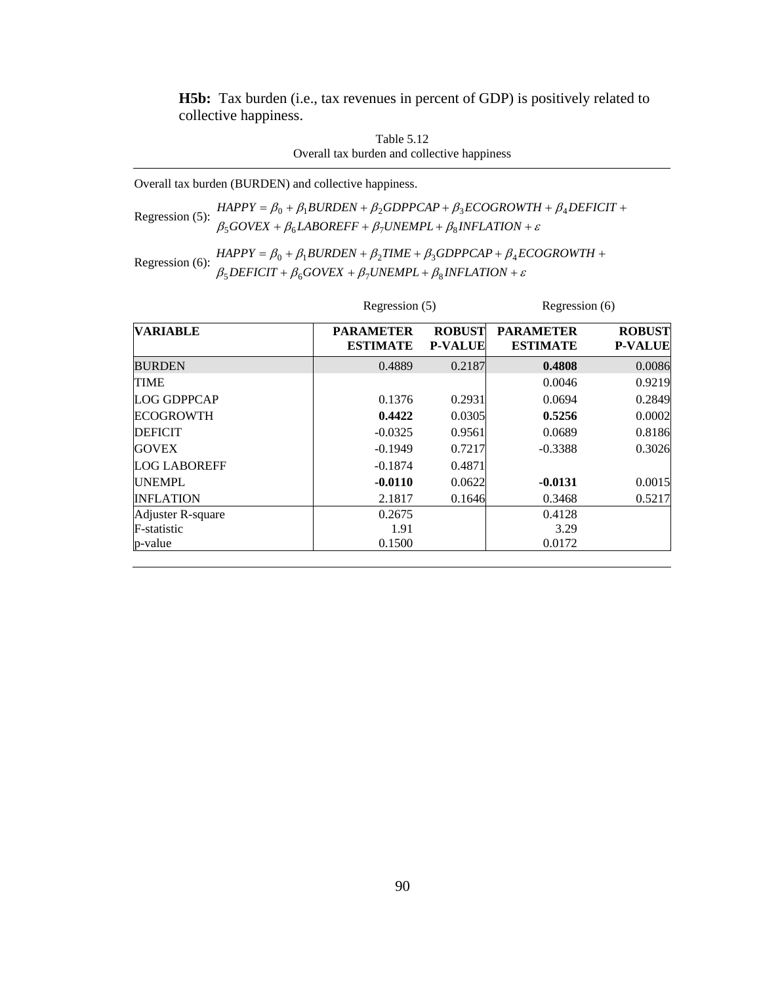**H5b:** Tax burden (i.e., tax revenues in percent of GDP) is positively related to collective happiness.

| Table 5.12                                  |
|---------------------------------------------|
| Overall tax burden and collective happiness |

Overall tax burden (BURDEN) and collective happiness.

Regression (5): <sup>β</sup> <sup>β</sup> <sup>β</sup> <sup>β</sup> <sup>ε</sup> + + + + *GOVEX LABOREFF UNEMPL INFLATION* 5 6 7 8  $HAPPY = \beta_0 + \beta_1 BURDEN + \beta_2 GDPPCAP + \beta_3 ECOGROWTH + \beta_4 DEFICT +$ 

# Regression (6):  $\beta_5$  *BURDEN* +  $\beta_2$ *TIME* +  $\beta_3$ *GDPPCAP* +  $\beta_4$ *ECOGROWTH* +  $\beta_5$ *DEFICIT* +  $\beta_6$ *GOVEX* +  $\beta_7$ *UNEMPL* +  $\beta_8$ *INFLATION* + *ε*  $\beta_5$ DEFICIT +  $\beta_6$ GOVEX +  $\beta_7$ UNEMPL +  $\beta_8$ INFLATION +

|                     |                                     | Regression (5)                  |                                     | Regression (6)                  |  |
|---------------------|-------------------------------------|---------------------------------|-------------------------------------|---------------------------------|--|
| <b>VARIABLE</b>     | <b>PARAMETER</b><br><b>ESTIMATE</b> | <b>ROBUST</b><br><b>P-VALUE</b> | <b>PARAMETER</b><br><b>ESTIMATE</b> | <b>ROBUST</b><br><b>P-VALUE</b> |  |
| <b>BURDEN</b>       | 0.4889                              | 0.2187                          | 0.4808                              | 0.0086                          |  |
| <b>TIME</b>         |                                     |                                 | 0.0046                              | 0.9219                          |  |
| <b>LOG GDPPCAP</b>  | 0.1376                              | 0.2931                          | 0.0694                              | 0.2849                          |  |
| <b>ECOGROWTH</b>    | 0.4422                              | 0.0305                          | 0.5256                              | 0.0002                          |  |
| <b>DEFICIT</b>      | $-0.0325$                           | 0.9561                          | 0.0689                              | 0.8186                          |  |
| <b>GOVEX</b>        | $-0.1949$                           | 0.7217                          | $-0.3388$                           | 0.3026                          |  |
| <b>LOG LABOREFF</b> | $-0.1874$                           | 0.4871                          |                                     |                                 |  |
| <b>UNEMPL</b>       | $-0.0110$                           | 0.0622                          | $-0.0131$                           | 0.0015                          |  |
| <b>INFLATION</b>    | 2.1817                              | 0.1646                          | 0.3468                              | 0.5217                          |  |
| Adjuster R-square   | 0.2675                              |                                 | 0.4128                              |                                 |  |
| F-statistic         | 1.91                                |                                 | 3.29                                |                                 |  |
| p-value             | 0.1500                              |                                 | 0.0172                              |                                 |  |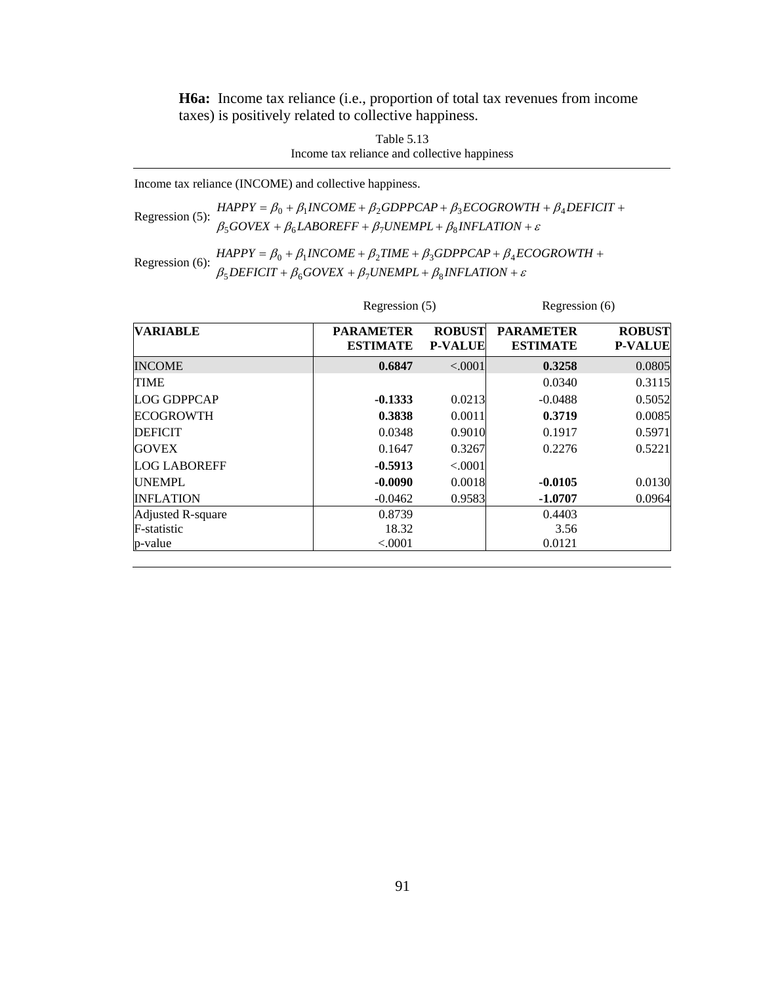**H6a:** Income tax reliance (i.e., proportion of total tax revenues from income taxes) is positively related to collective happiness.

> Table 5.13 Income tax reliance and collective happiness

Income tax reliance (INCOME) and collective happiness.

Regression (5):  $\beta_5 GOVEX + \beta_6 INCOME + \beta_2 GDPPCAP + \beta_3 ECOGROWTH + \beta_4 DEFICIT + \beta_5 GOVEX + \beta_6 LABOREFF + \beta_7 UNEMPL + \beta_8 INFLATION + \varepsilon$  $\beta_5 GOVEX + \beta_6 LABOREFF + \beta_7 UNEMPL + \beta_8 INFLATION +$ 

Regression (6):  $\beta_5$  *B*<sub>0</sub> +  $\beta_1$ *INCOME* +  $\beta_2$ *TIME* +  $\beta_3$ *GDPPCAP* +  $\beta_4$ *ECOGROWTH* +  $\beta_5$ *DEFICIT* +  $\beta_6$ *GOVEX* +  $\beta_7$ *UNEMPL* +  $\beta_8$ *INFLATION* +  $\varepsilon$  $\beta_5$ DEFICIT +  $\beta_6$ GOVEX +  $\beta_7$ UNEMPL +  $\beta_8$ INFLATION +

|                     |                                     | Regression (5)                  |                                     | Regression (6)                  |  |
|---------------------|-------------------------------------|---------------------------------|-------------------------------------|---------------------------------|--|
| <b>VARIABLE</b>     | <b>PARAMETER</b><br><b>ESTIMATE</b> | <b>ROBUST</b><br><b>P-VALUE</b> | <b>PARAMETER</b><br><b>ESTIMATE</b> | <b>ROBUST</b><br><b>P-VALUE</b> |  |
| <b>INCOME</b>       | 0.6847                              | < .0001                         | 0.3258                              | 0.0805                          |  |
| <b>TIME</b>         |                                     |                                 | 0.0340                              | 0.3115                          |  |
| <b>LOG GDPPCAP</b>  | $-0.1333$                           | 0.0213                          | $-0.0488$                           | 0.5052                          |  |
| <b>ECOGROWTH</b>    | 0.3838                              | 0.0011                          | 0.3719                              | 0.0085                          |  |
| <b>DEFICIT</b>      | 0.0348                              | 0.9010                          | 0.1917                              | 0.5971                          |  |
| <b>GOVEX</b>        | 0.1647                              | 0.3267                          | 0.2276                              | 0.5221                          |  |
| <b>LOG LABOREFF</b> | $-0.5913$                           | < .0001                         |                                     |                                 |  |
| <b>UNEMPL</b>       | $-0.0090$                           | 0.0018                          | $-0.0105$                           | 0.0130                          |  |
| <b>INFLATION</b>    | $-0.0462$                           | 0.9583                          | $-1.0707$                           | 0.0964                          |  |
| Adjusted R-square   | 0.8739                              |                                 | 0.4403                              |                                 |  |
| F-statistic         | 18.32                               |                                 | 3.56                                |                                 |  |
| p-value             | < .0001                             |                                 | 0.0121                              |                                 |  |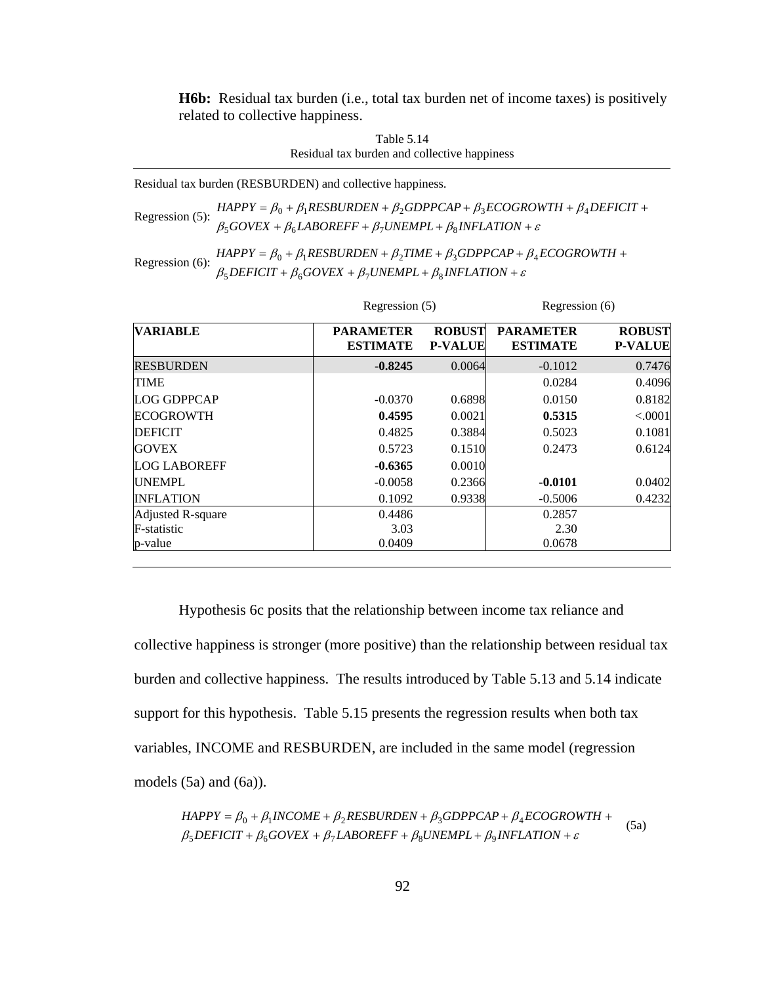**H6b:** Residual tax burden (i.e., total tax burden net of income taxes) is positively related to collective happiness.

| Table 5.14                                   |
|----------------------------------------------|
| Residual tax burden and collective happiness |

Residual tax burden (RESBURDEN) and collective happiness.

Regression (5):  $\beta_5 GoveX + \beta_6 LABOREFF + \beta_7 UNEMPL + \beta_8 INFLATION + \varepsilon$  $HAPPY = \beta_0 + \beta_1 RESBURDEN + \beta_2 GDPPCAP + \beta_3 ECOGROWTH + \beta_4 DEFICT +$ 

Regression (6):  $\beta_5$  *HAPPY* =  $\beta_0$  +  $\beta_1$ *RESBURDEN* +  $\beta_2$ *TIME* +  $\beta_3$ *GDPPCAP* +  $\beta_4$ *ECOGROWTH* +  $\beta_5$ *DEFICIT* +  $\beta_6$ *GOVEX* +  $\beta_7$ *UNEMPL* +  $\beta_8$ *INFLATION* +  $\varepsilon$  $\beta_5$ DEFICIT +  $\beta_6$ GOVEX +  $\beta_7$ UNEMPL +  $\beta_8$ INFLATION +

|                     |                                     | Regression (5)                  |                                     | Regression (6)                  |  |
|---------------------|-------------------------------------|---------------------------------|-------------------------------------|---------------------------------|--|
| <b>VARIABLE</b>     | <b>PARAMETER</b><br><b>ESTIMATE</b> | <b>ROBUST</b><br><b>P-VALUE</b> | <b>PARAMETER</b><br><b>ESTIMATE</b> | <b>ROBUST</b><br><b>P-VALUE</b> |  |
| <b>RESBURDEN</b>    | $-0.8245$                           | 0.0064                          | $-0.1012$                           | 0.7476                          |  |
| <b>TIME</b>         |                                     |                                 | 0.0284                              | 0.4096                          |  |
| <b>LOG GDPPCAP</b>  | $-0.0370$                           | 0.6898                          | 0.0150                              | 0.8182                          |  |
| <b>ECOGROWTH</b>    | 0.4595                              | 0.0021                          | 0.5315                              | < .0001                         |  |
| <b>DEFICIT</b>      | 0.4825                              | 0.3884                          | 0.5023                              | 0.1081                          |  |
| <b>GOVEX</b>        | 0.5723                              | 0.1510                          | 0.2473                              | 0.6124                          |  |
| <b>LOG LABOREFF</b> | $-0.6365$                           | 0.0010                          |                                     |                                 |  |
| <b>UNEMPL</b>       | $-0.0058$                           | 0.2366                          | $-0.0101$                           | 0.0402                          |  |
| <b>INFLATION</b>    | 0.1092                              | 0.9338                          | $-0.5006$                           | 0.4232                          |  |
| Adjusted R-square   | 0.4486                              |                                 | 0.2857                              |                                 |  |
| F-statistic         | 3.03                                |                                 | 2.30                                |                                 |  |
| p-value             | 0.0409                              |                                 | 0.0678                              |                                 |  |

Hypothesis 6c posits that the relationship between income tax reliance and collective happiness is stronger (more positive) than the relationship between residual tax burden and collective happiness. The results introduced by Table 5.13 and 5.14 indicate support for this hypothesis. Table 5.15 presents the regression results when both tax variables, INCOME and RESBURDEN, are included in the same model (regression models (5a) and (6a)).

*HAPPY* = 
$$
\beta_0 + \beta_1 INCOME + \beta_2 RESBURDEN + \beta_3 GDPPCAP + \beta_4 ECOGROWTH +
$$
  
 $\beta_5 DEFICT + \beta_6 GOVEX + \beta_7 LABOREFF + \beta_8 UNEMPL + \beta_9 INFLATION + \varepsilon$  (5a)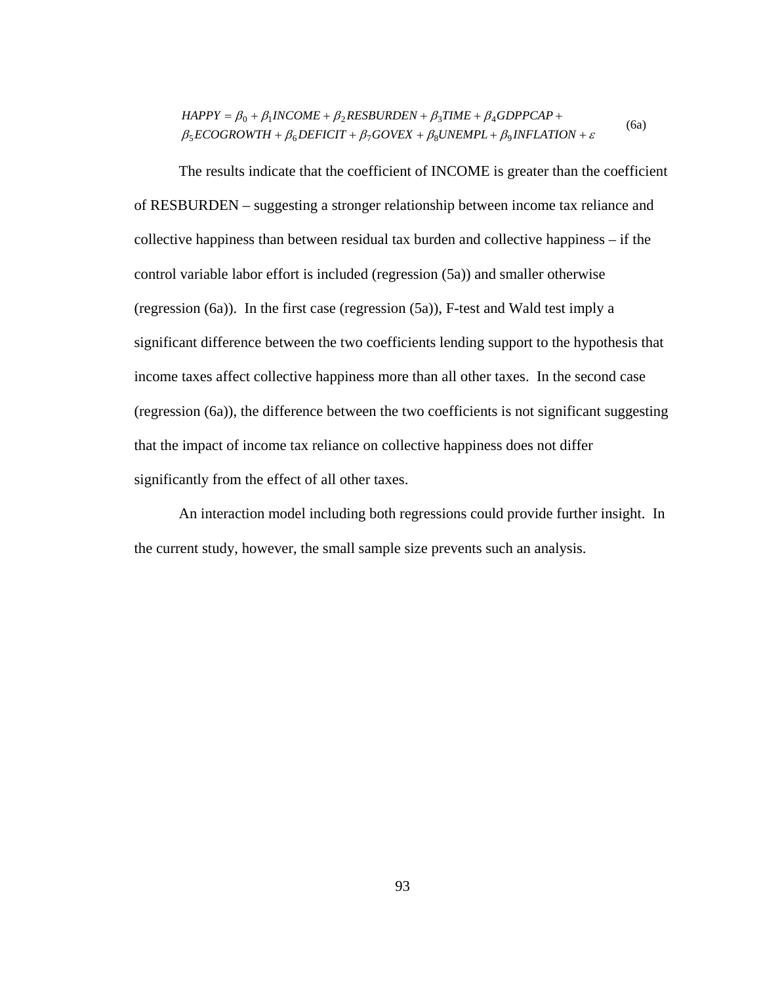$$
HAPPY = \beta_0 + \beta_1 INCOME + \beta_2 RESBURDEN + \beta_3 TIME + \beta_4 GDPPCAP + \n\beta_5 ECOGROWTH + \beta_6 DEFICT + \beta_7 GOVEX + \beta_8 UNEMPL + \beta_9 INFLATION + \varepsilon
$$
\n(6a)

The results indicate that the coefficient of INCOME is greater than the coefficient of RESBURDEN – suggesting a stronger relationship between income tax reliance and collective happiness than between residual tax burden and collective happiness – if the control variable labor effort is included (regression (5a)) and smaller otherwise (regression (6a)). In the first case (regression (5a)), F-test and Wald test imply a significant difference between the two coefficients lending support to the hypothesis that income taxes affect collective happiness more than all other taxes. In the second case (regression (6a)), the difference between the two coefficients is not significant suggesting that the impact of income tax reliance on collective happiness does not differ significantly from the effect of all other taxes.

An interaction model including both regressions could provide further insight. In the current study, however, the small sample size prevents such an analysis.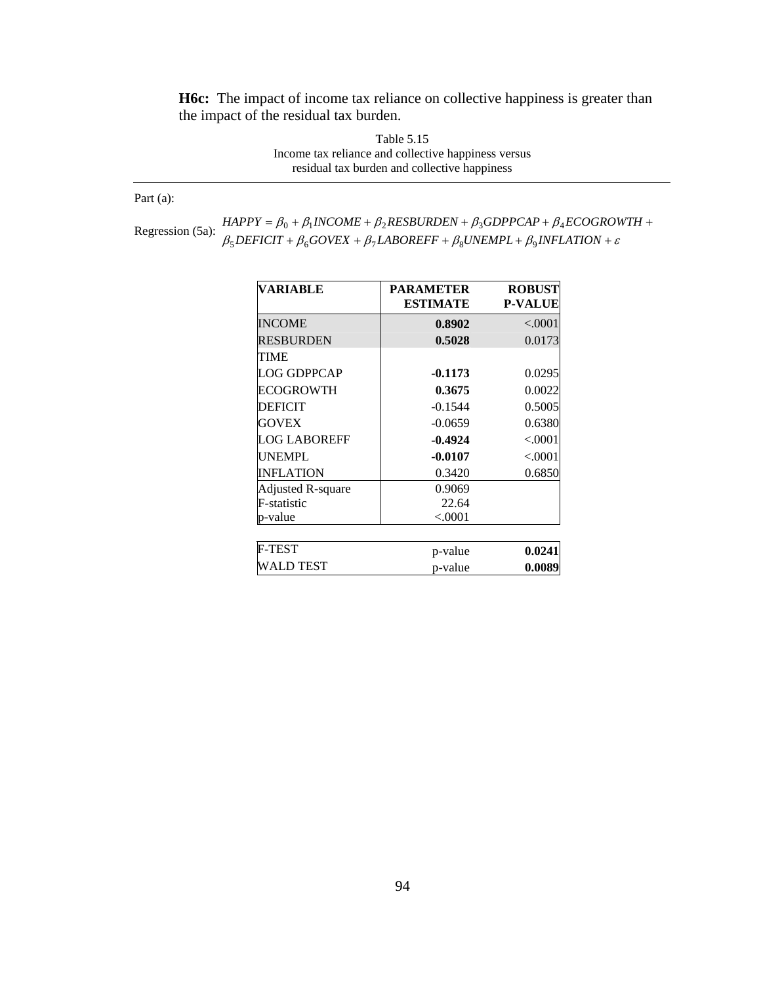**H6c:** The impact of income tax reliance on collective happiness is greater than the impact of the residual tax burden.

> Table 5.15 Income tax reliance and collective happiness versus residual tax burden and collective happiness

Part (a):

Regression (5a):  $\beta_5$  *BEFICIT* +  $\beta_6$  *GOVEX* +  $\beta_7$  *LABOREFF* +  $\beta_8$ *UNEMPL* +  $\beta_9$ *INFLATION* +  $\varepsilon$  $HAPPY = \beta_0 + \beta_1 INCOME + \beta_2 RESBURDEN + \beta_3 GDPPCAP + \beta_4 ECOGROWTH +$ 

| VARIABLE                 | <b>PARAMETER</b><br><b>ESTIMATE</b> | <b>ROBUST</b><br><b>P-VALUE</b> |
|--------------------------|-------------------------------------|---------------------------------|
| <b>INCOME</b>            | 0.8902                              | < .0001                         |
| <b>RESBURDEN</b>         | 0.5028                              | 0.0173                          |
| TIME                     |                                     |                                 |
| <b>LOG GDPPCAP</b>       | $-0.1173$                           | 0.0295                          |
| ECOGROWTH                | 0.3675                              | 0.0022                          |
| <b>DEFICIT</b>           | $-0.1544$                           | 0.5005                          |
| <b>GOVEX</b>             | $-0.0659$                           | 0.6380                          |
| <b>LOG LABOREFF</b>      | $-0.4924$                           | < .0001                         |
| <b>UNEMPL</b>            | $-0.0107$                           | < .0001                         |
| <b>INFLATION</b>         | 0.3420                              | 0.6850                          |
| <b>Adjusted R-square</b> | 0.9069                              |                                 |
| F-statistic              | 22.64                               |                                 |
| p-value                  | ${<}0001$                           |                                 |
|                          |                                     |                                 |
| <b>F-TEST</b>            | p-value                             | 0.0241                          |
| WALD TEST                | p-value                             | 0.0089                          |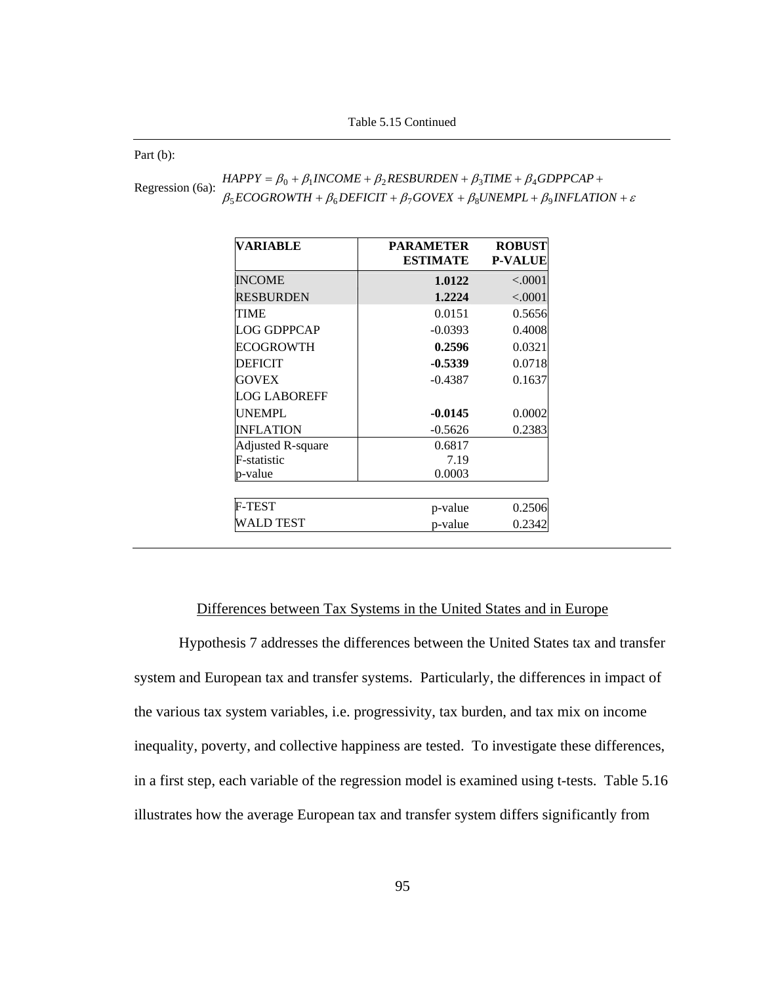Part (b):

| Regression (6a): | $HAPPY = \beta_0 + \beta_1 INCOME + \beta_2 RESBURDEN + \beta_3 TIME + \beta_4 GDPPCAP +$               |
|------------------|---------------------------------------------------------------------------------------------------------|
|                  | $\beta_5 ECOGROWTH + \beta_6DEFIGIT + \beta_7 GOVEX + \beta_8 UNEMPL + \beta_9 INFLATION + \varepsilon$ |

| <b>VARIABLE</b>          | <b>PARAMETER</b><br><b>ESTIMATE</b> | <b>ROBUST</b><br><b>P-VALUE</b> |
|--------------------------|-------------------------------------|---------------------------------|
| <b>INCOME</b>            | 1.0122                              | < .0001                         |
| <b>RESBURDEN</b>         | 1.2224                              | < .0001                         |
| TIME                     | 0.0151                              | 0.5656                          |
| LOG GDPPCAP              | $-0.0393$                           | 0.4008                          |
| ECOGROWTH                | 0.2596                              | 0.0321                          |
| <b>DEFICIT</b>           | $-0.5339$                           | 0.0718                          |
| <b>GOVEX</b>             | $-0.4387$                           | 0.1637                          |
| <b>LOG LABOREFF</b>      |                                     |                                 |
| <b>UNEMPL</b>            | $-0.0145$                           | 0.0002                          |
| <b>INFLATION</b>         | $-0.5626$                           | 0.2383                          |
| <b>Adjusted R-square</b> | 0.6817                              |                                 |
| F-statistic              | 7.19                                |                                 |
| p-value                  | 0.0003                              |                                 |
| <b>F-TEST</b>            | p-value                             | 0.2506                          |
| WALD TEST                | p-value                             | 0.2342                          |

## Differences between Tax Systems in the United States and in Europe

Hypothesis 7 addresses the differences between the United States tax and transfer system and European tax and transfer systems. Particularly, the differences in impact of the various tax system variables, i.e. progressivity, tax burden, and tax mix on income inequality, poverty, and collective happiness are tested. To investigate these differences, in a first step, each variable of the regression model is examined using t-tests. Table 5.16 illustrates how the average European tax and transfer system differs significantly from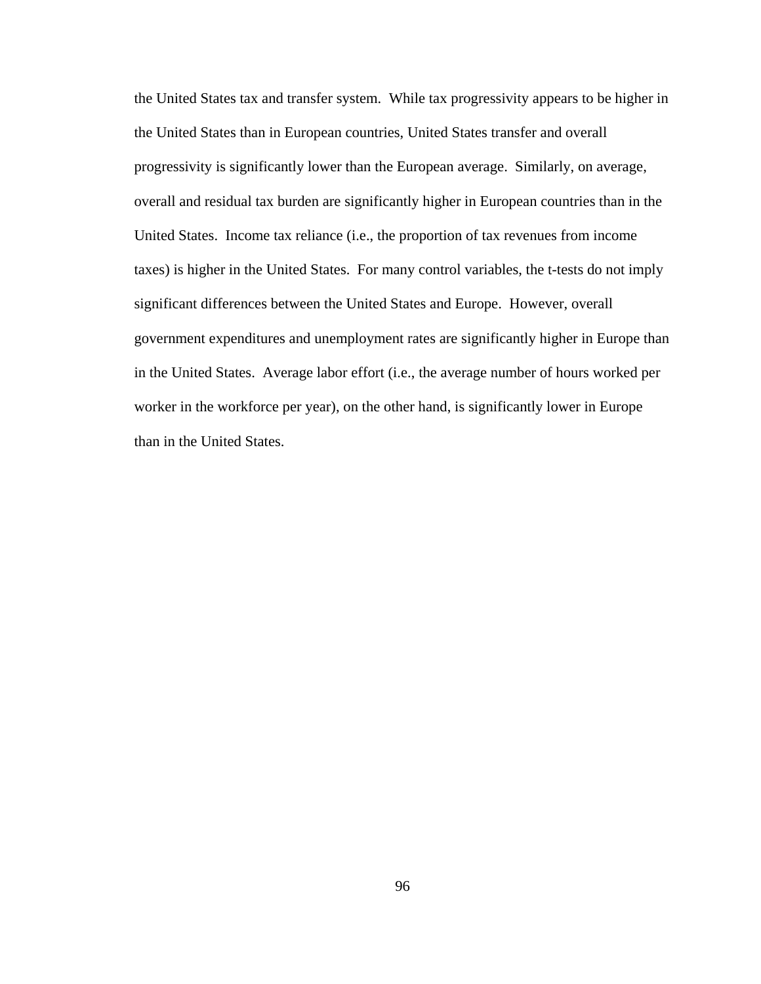the United States tax and transfer system. While tax progressivity appears to be higher in the United States than in European countries, United States transfer and overall progressivity is significantly lower than the European average. Similarly, on average, overall and residual tax burden are significantly higher in European countries than in the United States. Income tax reliance (i.e., the proportion of tax revenues from income taxes) is higher in the United States. For many control variables, the t-tests do not imply significant differences between the United States and Europe. However, overall government expenditures and unemployment rates are significantly higher in Europe than in the United States. Average labor effort (i.e., the average number of hours worked per worker in the workforce per year), on the other hand, is significantly lower in Europe than in the United States.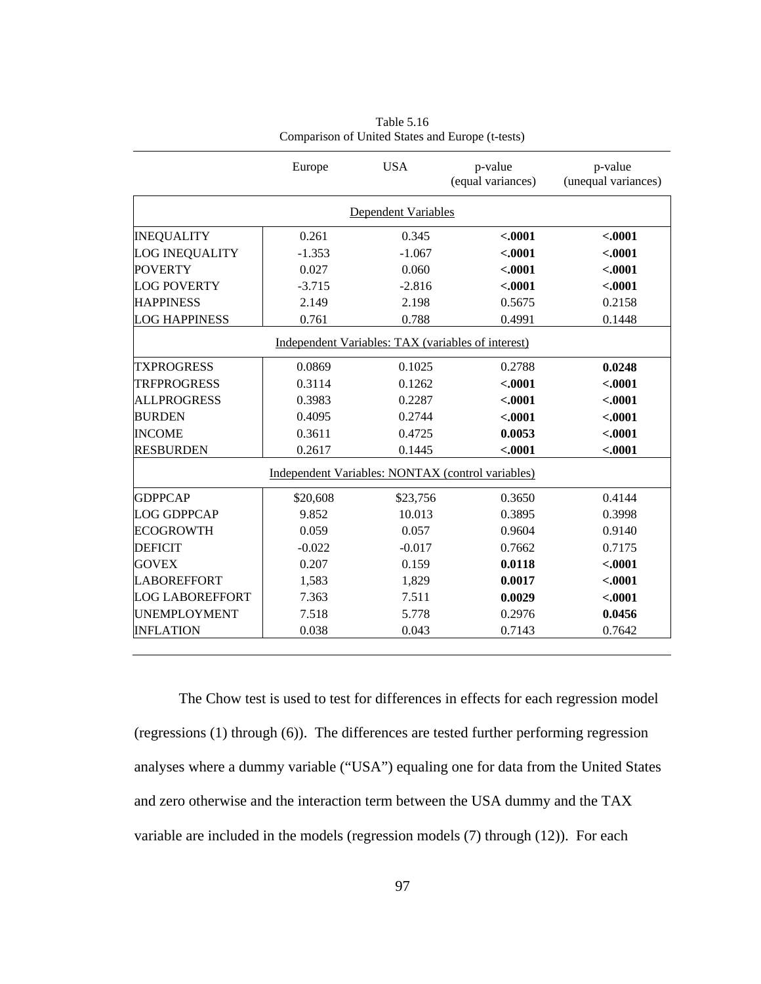|                        | Europe   | <b>USA</b>                 | p-value<br>(equal variances)                       | p-value<br>(unequal variances) |
|------------------------|----------|----------------------------|----------------------------------------------------|--------------------------------|
|                        |          | <b>Dependent Variables</b> |                                                    |                                |
| <b>INEQUALITY</b>      | 0.261    | 0.345                      | $-.0001$                                           | $-.0001$                       |
| LOG INEQUALITY         | $-1.353$ | $-1.067$                   | $-.0001$                                           | $-.0001$                       |
| <b>POVERTY</b>         | 0.027    | 0.060                      | $-.0001$                                           | $-.0001$                       |
| <b>LOG POVERTY</b>     | $-3.715$ | $-2.816$                   | $-.0001$                                           | $-.0001$                       |
| <b>HAPPINESS</b>       | 2.149    | 2.198                      | 0.5675                                             | 0.2158                         |
| <b>LOG HAPPINESS</b>   | 0.761    | 0.788                      | 0.4991                                             | 0.1448                         |
|                        |          |                            | Independent Variables: TAX (variables of interest) |                                |
| <b>TXPROGRESS</b>      | 0.0869   | 0.1025                     | 0.2788                                             | 0.0248                         |
| <b>TRFPROGRESS</b>     | 0.3114   | 0.1262                     | $-.0001$                                           | $-.0001$                       |
| <b>ALLPROGRESS</b>     | 0.3983   | 0.2287                     | $-.0001$                                           | $-.0001$                       |
| <b>BURDEN</b>          | 0.4095   | 0.2744                     | $-.0001$                                           | $-.0001$                       |
| <b>INCOME</b>          | 0.3611   | 0.4725                     | 0.0053                                             | $-.0001$                       |
| <b>RESBURDEN</b>       | 0.2617   | 0.1445                     | $-.0001$                                           | $-.0001$                       |
|                        |          |                            | Independent Variables: NONTAX (control variables)  |                                |
| <b>GDPPCAP</b>         | \$20,608 | \$23,756                   | 0.3650                                             | 0.4144                         |
| <b>LOG GDPPCAP</b>     | 9.852    | 10.013                     | 0.3895                                             | 0.3998                         |
| <b>ECOGROWTH</b>       | 0.059    | 0.057                      | 0.9604                                             | 0.9140                         |
| <b>DEFICIT</b>         | $-0.022$ | $-0.017$                   | 0.7662                                             | 0.7175                         |
| <b>GOVEX</b>           | 0.207    | 0.159                      | 0.0118                                             | $-.0001$                       |
| <b>LABOREFFORT</b>     | 1,583    | 1,829                      | 0.0017                                             | $-.0001$                       |
| <b>LOG LABOREFFORT</b> | 7.363    | 7.511                      | 0.0029                                             | $-.0001$                       |
| <b>UNEMPLOYMENT</b>    | 7.518    | 5.778                      | 0.2976                                             | 0.0456                         |
| <b>INFLATION</b>       | 0.038    | 0.043                      | 0.7143                                             | 0.7642                         |

Table 5.16 Comparison of United States and Europe (t-tests)

The Chow test is used to test for differences in effects for each regression model (regressions (1) through (6)). The differences are tested further performing regression analyses where a dummy variable ("USA") equaling one for data from the United States and zero otherwise and the interaction term between the USA dummy and the TAX variable are included in the models (regression models (7) through (12)). For each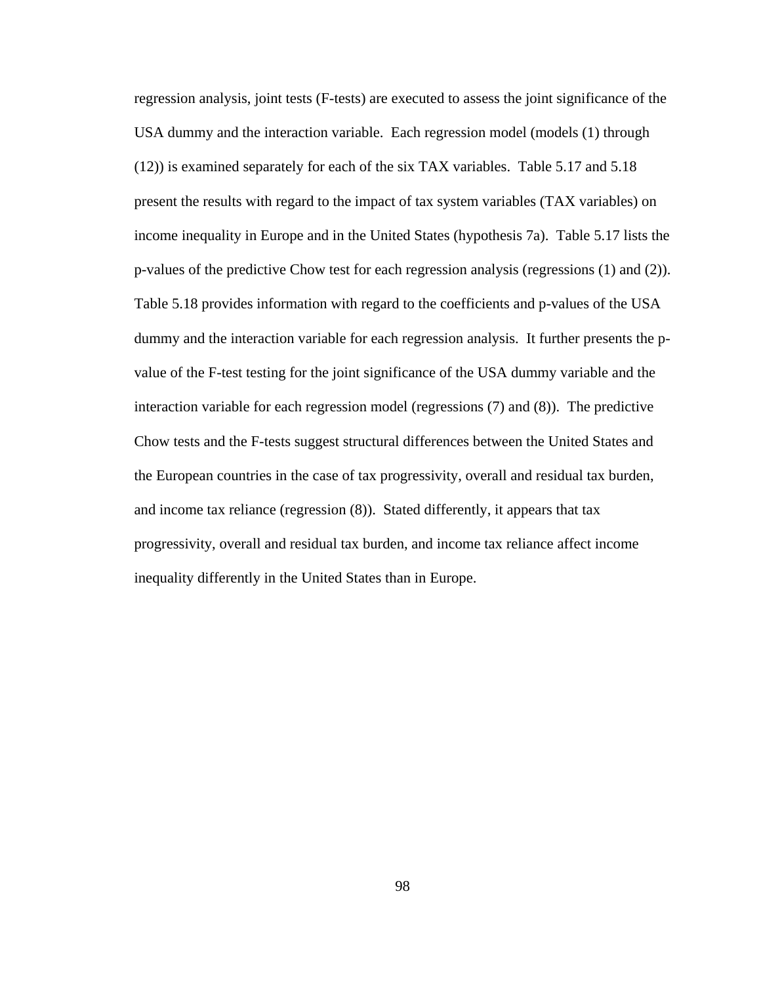regression analysis, joint tests (F-tests) are executed to assess the joint significance of the USA dummy and the interaction variable. Each regression model (models (1) through (12)) is examined separately for each of the six TAX variables. Table 5.17 and 5.18 present the results with regard to the impact of tax system variables (TAX variables) on income inequality in Europe and in the United States (hypothesis 7a). Table 5.17 lists the p-values of the predictive Chow test for each regression analysis (regressions (1) and (2)). Table 5.18 provides information with regard to the coefficients and p-values of the USA dummy and the interaction variable for each regression analysis. It further presents the pvalue of the F-test testing for the joint significance of the USA dummy variable and the interaction variable for each regression model (regressions (7) and (8)). The predictive Chow tests and the F-tests suggest structural differences between the United States and the European countries in the case of tax progressivity, overall and residual tax burden, and income tax reliance (regression (8)). Stated differently, it appears that tax progressivity, overall and residual tax burden, and income tax reliance affect income inequality differently in the United States than in Europe.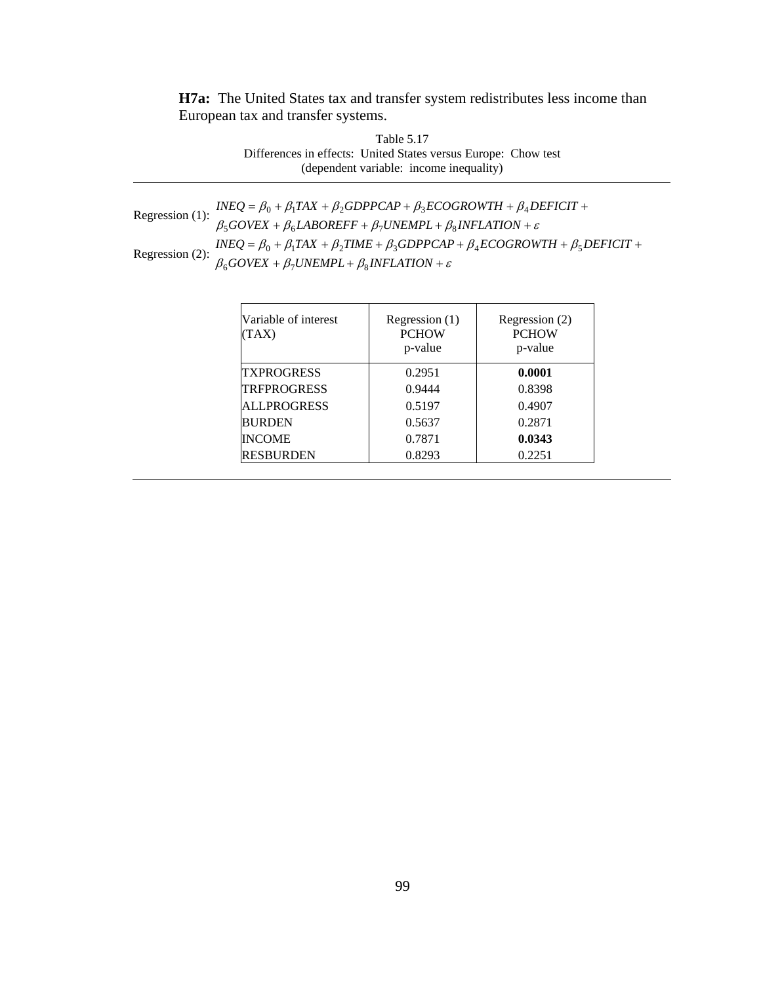**H7a:** The United States tax and transfer system redistributes less income than European tax and transfer systems.

> Table 5.17 Differences in effects: United States versus Europe: Chow test (dependent variable: income inequality)

| Regression (1): $\frac{INEQ}{\beta_5 GOVEX + \beta_6 LABOREFF + \beta_7 UNEMPL + \beta_8 INFLATION + \varepsilon}{\beta_5 GOVEX + \beta_6 LABOREFF + \beta_7 UNEMPL + \beta_8 INFLATION + \varepsilon}$ |
|---------------------------------------------------------------------------------------------------------------------------------------------------------------------------------------------------------|
|                                                                                                                                                                                                         |
| Regression (2): $\frac{INEQ}{\beta_6} = \beta_0 + \beta_1 TAX + \beta_2 TIME + \beta_3 GDPPCAP+ \beta_4 ECOGROWTH + \beta_5 DEFICT + \beta_6 GOVEX + \beta_7 UNEMPL + \beta_8 INFLATION + \varepsilon$  |

| Variable of interest<br>(TAX) | Regression $(1)$<br><b>PCHOW</b><br>p-value | Regression (2)<br><b>PCHOW</b><br>p-value |
|-------------------------------|---------------------------------------------|-------------------------------------------|
| <b>TXPROGRESS</b>             | 0.2951                                      | 0.0001                                    |
| <b>TRFPROGRESS</b>            | 0.9444                                      | 0.8398                                    |
| <b>ALLPROGRESS</b>            | 0.5197                                      | 0.4907                                    |
| <b>BURDEN</b>                 | 0.5637                                      | 0.2871                                    |
| <b>INCOME</b>                 | 0.7871                                      | 0.0343                                    |
| <b>RESBURDEN</b>              | 0.8293                                      | 0.2251                                    |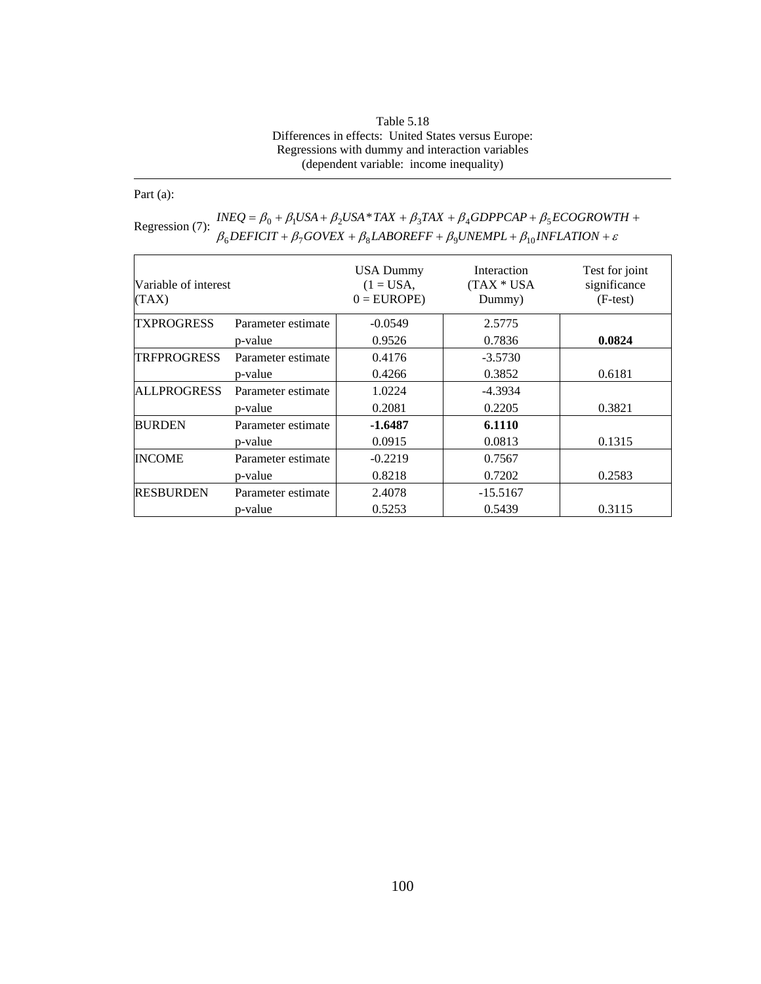| Table 5.18                                           |
|------------------------------------------------------|
| Differences in effects: United States versus Europe: |
| Regressions with dummy and interaction variables     |
| (dependent variable: income inequality)              |

Part (a):

| Variable of interest<br>(TAX) |                    | <b>USA Dummy</b><br>$(1 = USA,$<br>$0 = EUROPE$ | Interaction<br>(TAX * USA)<br>Dummy) | Test for joint<br>significance<br>$(F-test)$ |
|-------------------------------|--------------------|-------------------------------------------------|--------------------------------------|----------------------------------------------|
| <b>TXPROGRESS</b>             | Parameter estimate | $-0.0549$                                       | 2.5775                               |                                              |
|                               | p-value            | 0.9526                                          | 0.7836                               | 0.0824                                       |
| <b>TRFPROGRESS</b>            | Parameter estimate | 0.4176                                          | $-3.5730$                            |                                              |
|                               | p-value            | 0.4266                                          | 0.3852                               | 0.6181                                       |
| <b>ALLPROGRESS</b>            | Parameter estimate | 1.0224                                          | -4.3934                              |                                              |
|                               | p-value            | 0.2081                                          | 0.2205                               | 0.3821                                       |
| <b>BURDEN</b>                 | Parameter estimate | $-1.6487$                                       | 6.1110                               |                                              |
|                               | p-value            | 0.0915                                          | 0.0813                               | 0.1315                                       |
| <b>INCOME</b>                 | Parameter estimate | $-0.2219$                                       | 0.7567                               |                                              |
|                               | p-value            | 0.8218                                          | 0.7202                               | 0.2583                                       |
| <b>RESBURDEN</b>              | Parameter estimate | 2.4078                                          | $-15.5167$                           |                                              |
|                               | p-value            | 0.5253                                          | 0.5439                               | 0.3115                                       |

Regression (7):  $\frac{INEQ}{\beta_0} + \frac{\beta_1 USA + \beta_2USA * TAX + \beta_3TAX + \beta_4 GDPPCAP + \beta_5 ECOGROWTH +}{\beta_6DEFICIT + \beta_7GOVEX + \beta_8 LABOREFF + \beta_9 UNEMPL + \beta_{10} INFLATION + \varepsilon}$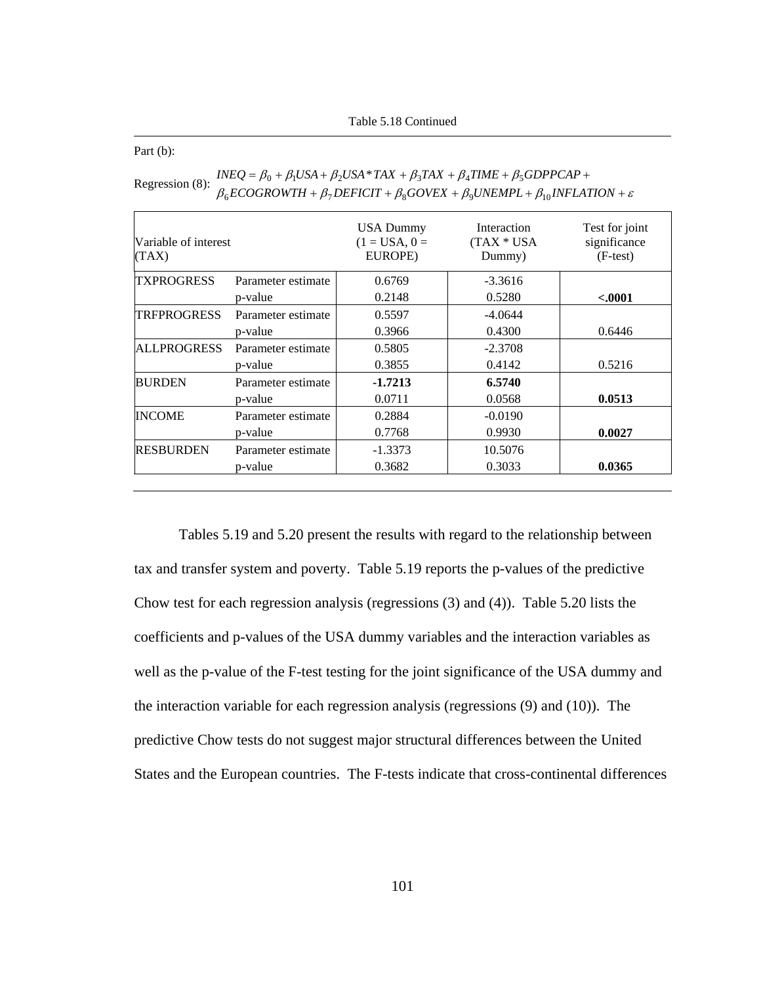Table 5.18 Continued

Part (b):

| Variable of interest<br>(TAX) |                    | <b>USA Dummy</b><br>$(1 = USA, 0 =$<br>EUROPE) | Interaction<br>$(TAX * USA)$<br>Dummy) | Test for joint<br>significance<br>$(F-test)$ |
|-------------------------------|--------------------|------------------------------------------------|----------------------------------------|----------------------------------------------|
| <b>TXPROGRESS</b>             | Parameter estimate | 0.6769                                         | $-3.3616$                              |                                              |
|                               | p-value            | 0.2148                                         | 0.5280                                 | $-.0001$                                     |
| <b>TRFPROGRESS</b>            | Parameter estimate | 0.5597                                         | $-4.0644$                              |                                              |
|                               | p-value            | 0.3966                                         | 0.4300                                 | 0.6446                                       |
| <b>ALLPROGRESS</b>            | Parameter estimate | 0.5805                                         | $-2.3708$                              |                                              |
|                               | p-value            | 0.3855                                         | 0.4142                                 | 0.5216                                       |
| <b>BURDEN</b>                 | Parameter estimate | $-1.7213$                                      | 6.5740                                 |                                              |
|                               | p-value            | 0.0711                                         | 0.0568                                 | 0.0513                                       |
| <b>INCOME</b>                 | Parameter estimate | 0.2884                                         | $-0.0190$                              |                                              |
|                               | p-value            | 0.7768                                         | 0.9930                                 | 0.0027                                       |
| <b>RESBURDEN</b>              | Parameter estimate | $-1.3373$                                      | 10.5076                                |                                              |
|                               | p-value            | 0.3682                                         | 0.3033                                 | 0.0365                                       |

| Regression (8): | $INEQ = \beta_0 + \beta_1 USA + \beta_2USA * TAX + \beta_3 TAX + \beta_4 TIME + \beta_5 GDPPCAP +$                    |
|-----------------|-----------------------------------------------------------------------------------------------------------------------|
|                 | $\beta_6$ ECOGROWTH + $\beta_7$ DEFICIT + $\beta_8$ GOVEX + $\beta_9$ UNEMPL + $\beta_{10}$ INFLATION + $\varepsilon$ |

Tables 5.19 and 5.20 present the results with regard to the relationship between tax and transfer system and poverty. Table 5.19 reports the p-values of the predictive Chow test for each regression analysis (regressions (3) and (4)). Table 5.20 lists the coefficients and p-values of the USA dummy variables and the interaction variables as well as the p-value of the F-test testing for the joint significance of the USA dummy and the interaction variable for each regression analysis (regressions (9) and (10)). The predictive Chow tests do not suggest major structural differences between the United States and the European countries. The F-tests indicate that cross-continental differences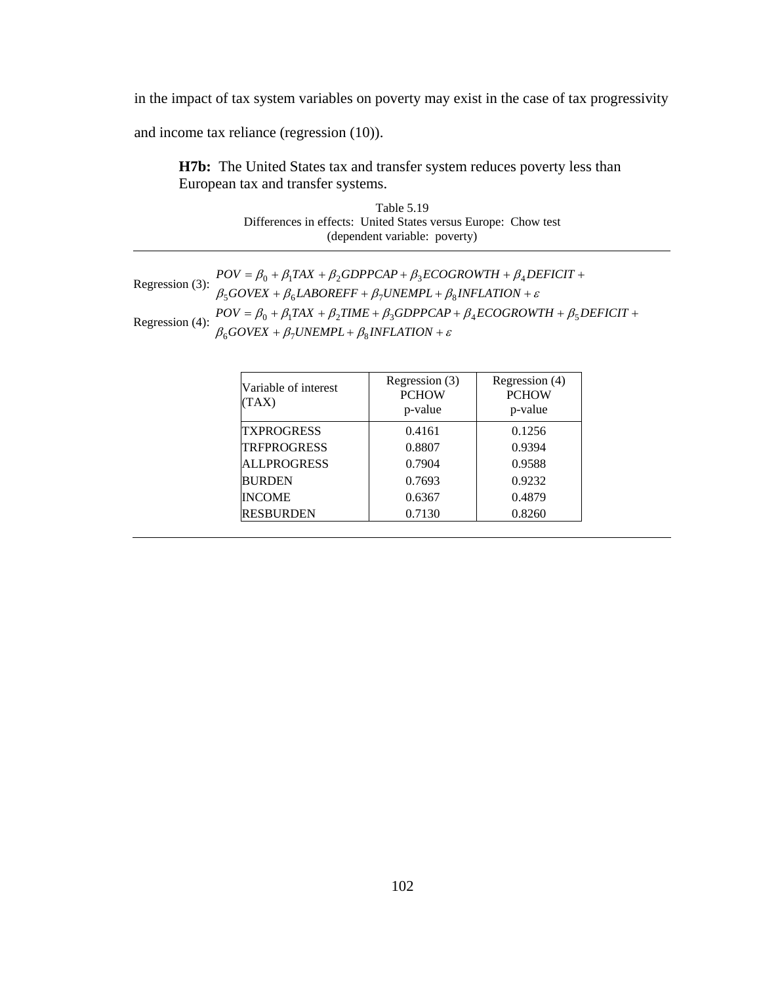in the impact of tax system variables on poverty may exist in the case of tax progressivity

and income tax reliance (regression (10)).

**H7b:** The United States tax and transfer system reduces poverty less than European tax and transfer systems.

|                                                                | Table 5.19                    |  |
|----------------------------------------------------------------|-------------------------------|--|
| Differences in effects: United States versus Europe: Chow test |                               |  |
|                                                                | (dependent variable: poverty) |  |

| Regression (3): $\frac{1}{2}$ | $POV = \beta_0 + \beta_1 TAX + \beta_2 GDPPCAP + \beta_3 ECOGROWTH + \beta_4 DEFICIT +$<br>$\beta_5 GOVEX + \beta_6 LABOREFF + \beta_7 UNEMPL + \beta_8 INFLATION + \varepsilon$ |
|-------------------------------|----------------------------------------------------------------------------------------------------------------------------------------------------------------------------------|
|                               | $\beta_0 POV = \beta_0 + \beta_1 TAX + \beta_2 TIME + \beta_3 GDPPCAP + \beta_4 ECOGROWTH + \beta_5 DEFIGIT +$                                                                   |
| Regression (4): $\frac{1}{2}$ | $\beta_6 GOVEX + \beta_7 UNEMPL + \beta_8 INFLATION + \varepsilon$                                                                                                               |

| Variable of interest<br>TAX) | Regression (3)<br><b>PCHOW</b><br>p-value | Regression (4)<br><b>PCHOW</b><br>p-value |
|------------------------------|-------------------------------------------|-------------------------------------------|
| <b>TXPROGRESS</b>            | 0.4161                                    | 0.1256                                    |
| <b>TRFPROGRESS</b>           | 0.8807                                    | 0.9394                                    |
| <b>ALLPROGRESS</b>           | 0.7904                                    | 0.9588                                    |
| <b>BURDEN</b>                | 0.7693                                    | 0.9232                                    |
| <b>INCOME</b>                | 0.6367                                    | 0.4879                                    |
| <b>RESBURDEN</b>             | 0.7130                                    | 0.8260                                    |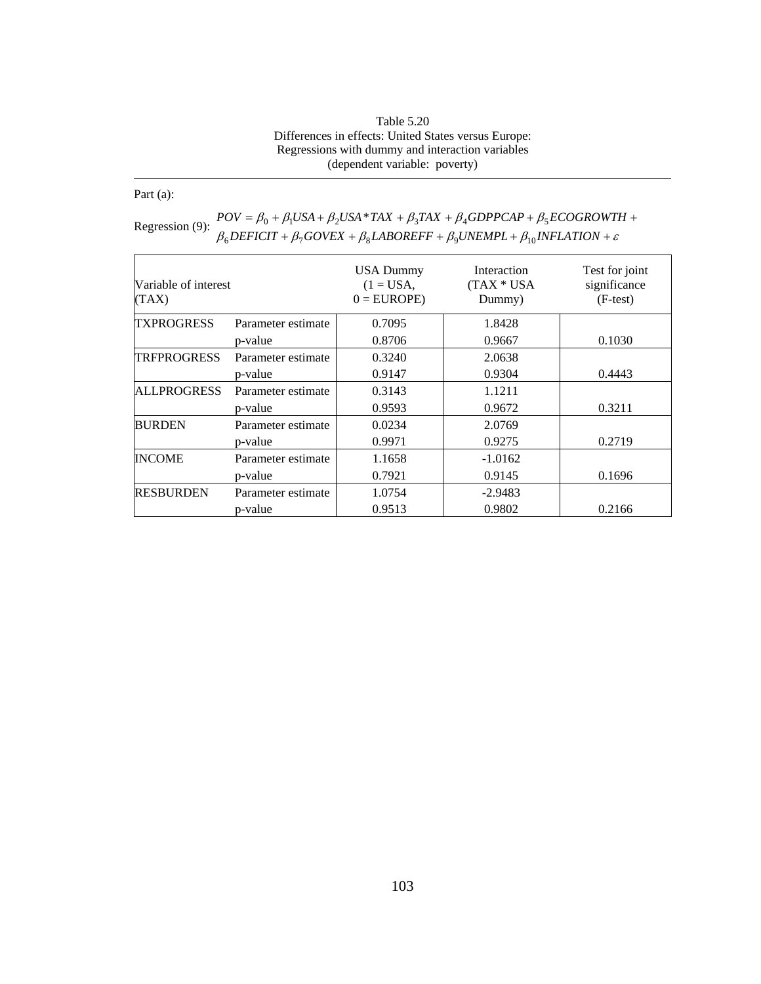| Table 5.20                                           |
|------------------------------------------------------|
| Differences in effects: United States versus Europe: |
| Regressions with dummy and interaction variables     |
| (dependent variable: poverty)                        |

Part (a):

| Variable of interest<br>(TAX) |                    | <b>USA Dummy</b><br>$(1 = USA,$<br>$0 = EUROPE$ | Interaction<br>(TAX * USA<br>Dummy) | Test for joint<br>significance<br>$(F-test)$ |
|-------------------------------|--------------------|-------------------------------------------------|-------------------------------------|----------------------------------------------|
| <b>TXPROGRESS</b>             | Parameter estimate | 0.7095                                          | 1.8428                              |                                              |
|                               | p-value            | 0.8706                                          | 0.9667                              | 0.1030                                       |
| <b>TRFPROGRESS</b>            | Parameter estimate | 0.3240                                          | 2.0638                              |                                              |
|                               | p-value            | 0.9147                                          | 0.9304                              | 0.4443                                       |
| <b>ALLPROGRESS</b>            | Parameter estimate | 0.3143                                          | 1.1211                              |                                              |
|                               | p-value            | 0.9593                                          | 0.9672                              | 0.3211                                       |
| <b>BURDEN</b>                 | Parameter estimate | 0.0234                                          | 2.0769                              |                                              |
|                               | p-value            | 0.9971                                          | 0.9275                              | 0.2719                                       |
| <b>INCOME</b>                 | Parameter estimate | 1.1658                                          | $-1.0162$                           |                                              |
|                               | p-value            | 0.7921                                          | 0.9145                              | 0.1696                                       |
| <b>RESBURDEN</b>              | Parameter estimate | 1.0754                                          | $-2.9483$                           |                                              |
|                               | p-value            | 0.9513                                          | 0.9802                              | 0.2166                                       |

Regression (9):  $POV = \beta_0 + \beta_1 USA + \beta_2USA * TAX + \beta_3 TAX + \beta_4 GDPPCAP + \beta_5 ECOGROWTIA$ <br>  $\beta_6 DEFICIT + \beta_7 GOVEX + \beta_8 LABOREFF + \beta_9 UNEMPL + \beta_{10} INFLATION + \varepsilon$  $= \beta_0 + \beta_1 USA + \beta_2 USA * TAX + \beta_3 TAX + \beta_4 GDPPCAP + \beta_5 ECOGROWTH +$  $POV = \beta_0 + \beta_1 USA + \beta_2USA * TAX + \beta_3 TAX + \beta_4 GDPPCAP + \beta_5 ECOGROWTH$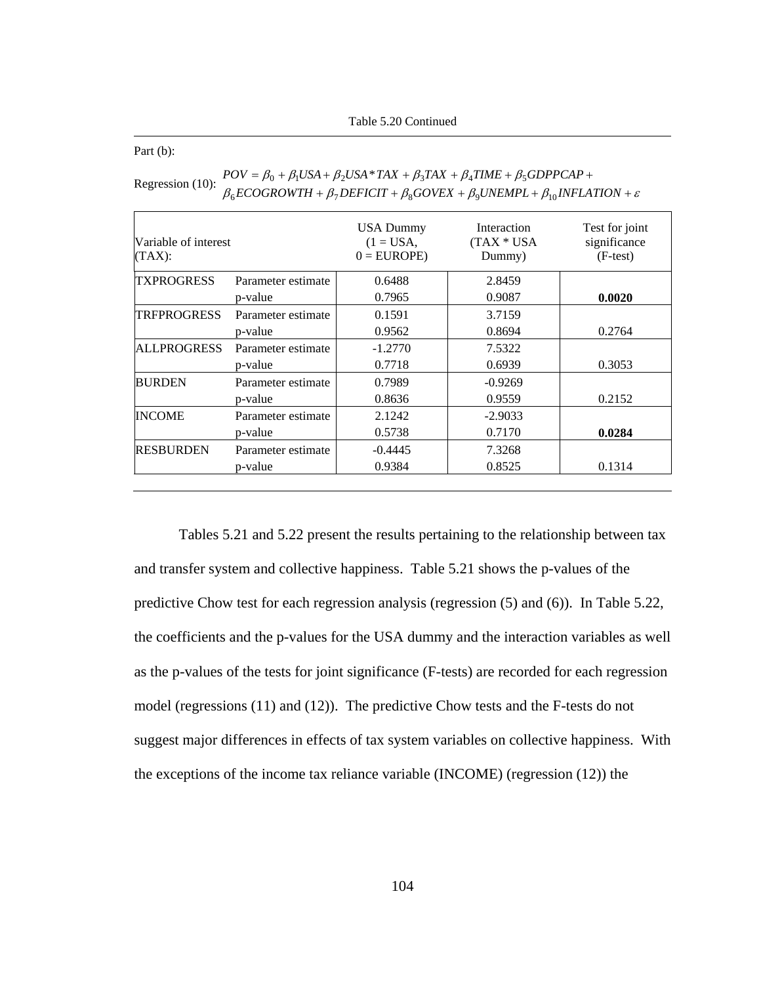Table 5.20 Continued

Part (b):

| Variable of interest<br>(TAX): |                    | <b>USA Dummy</b><br>$(1 = USA,$<br>$0 = EUROPE$ | Interaction<br>$(TAX * USA)$<br>Dummy) | Test for joint<br>significance<br>$(F-test)$ |
|--------------------------------|--------------------|-------------------------------------------------|----------------------------------------|----------------------------------------------|
| <b>TXPROGRESS</b>              | Parameter estimate | 0.6488                                          | 2.8459                                 |                                              |
|                                | p-value            | 0.7965                                          | 0.9087                                 | 0.0020                                       |
| <b>TRFPROGRESS</b>             | Parameter estimate | 0.1591                                          | 3.7159                                 |                                              |
|                                | p-value            | 0.9562                                          | 0.8694                                 | 0.2764                                       |
| <b>ALLPROGRESS</b>             | Parameter estimate | $-1.2770$                                       | 7.5322                                 |                                              |
|                                | p-value            | 0.7718                                          | 0.6939                                 | 0.3053                                       |
| <b>BURDEN</b>                  | Parameter estimate | 0.7989                                          | $-0.9269$                              |                                              |
|                                | p-value            | 0.8636                                          | 0.9559                                 | 0.2152                                       |
| <b>INCOME</b>                  | Parameter estimate | 2.1242                                          | $-2.9033$                              |                                              |
|                                | p-value            | 0.5738                                          | 0.7170                                 | 0.0284                                       |
| <b>RESBURDEN</b>               | Parameter estimate | $-0.4445$                                       | 7.3268                                 |                                              |
|                                | p-value            | 0.9384                                          | 0.8525                                 | 0.1314                                       |

| Regression (10): | $POV = \beta_0 + \beta_1 USA + \beta_2USA * TAX + \beta_3 TAX + \beta_4 TIME + \beta_5 GDPPCAP +$                     |
|------------------|-----------------------------------------------------------------------------------------------------------------------|
|                  | $\beta_6$ ECOGROWTH + $\beta_7$ DEFICIT + $\beta_8$ GOVEX + $\beta_9$ UNEMPL + $\beta_{10}$ INFLATION + $\varepsilon$ |

Tables 5.21 and 5.22 present the results pertaining to the relationship between tax and transfer system and collective happiness. Table 5.21 shows the p-values of the predictive Chow test for each regression analysis (regression (5) and (6)). In Table 5.22, the coefficients and the p-values for the USA dummy and the interaction variables as well as the p-values of the tests for joint significance (F-tests) are recorded for each regression model (regressions (11) and (12)). The predictive Chow tests and the F-tests do not suggest major differences in effects of tax system variables on collective happiness. With the exceptions of the income tax reliance variable (INCOME) (regression (12)) the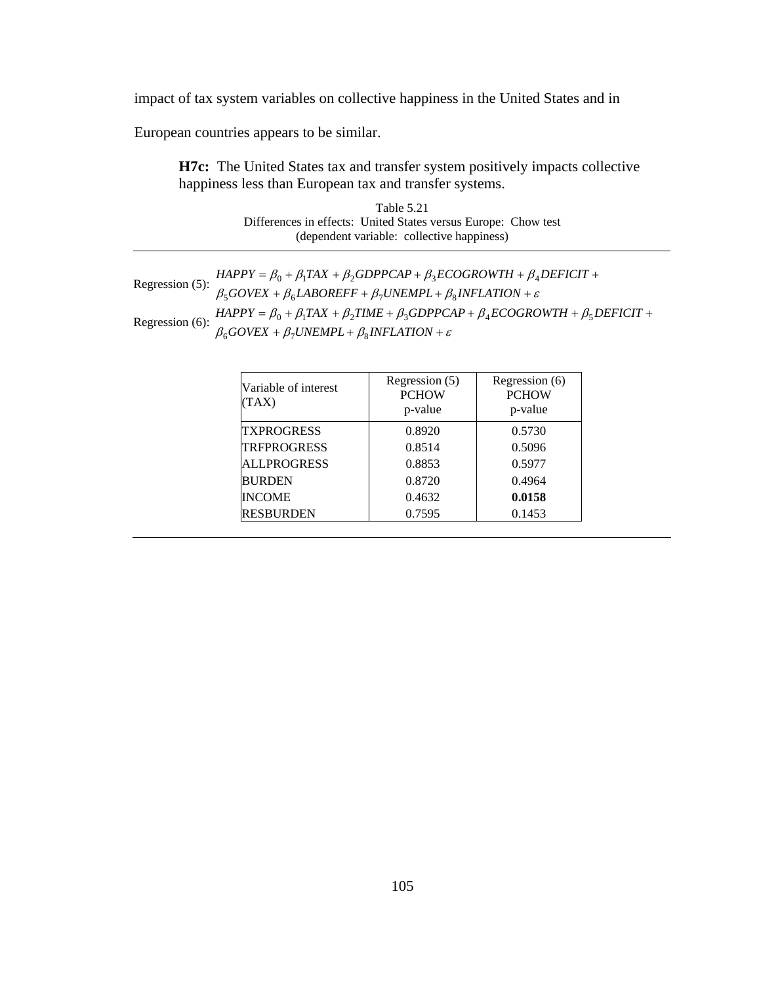impact of tax system variables on collective happiness in the United States and in

European countries appears to be similar.

**H7c:** The United States tax and transfer system positively impacts collective happiness less than European tax and transfer systems.

> Table 5.21 Differences in effects: United States versus Europe: Chow test (dependent variable: collective happiness)

|                    | $HAPPY = \beta_0 + \beta_1 TAX + \beta_2 GDPPCAP + \beta_3 ECOGROWTH + \beta_4 DEFICIT +$                |
|--------------------|----------------------------------------------------------------------------------------------------------|
| Regression $(5)$ : | $\beta_5 GOVEX + \beta_6 LABOREFF + \beta_7 UNEMPL + \beta_8 INFLATION + \varepsilon$                    |
|                    | $HAPPY = \beta_0 + \beta_1 TAX + \beta_2 TIME + \beta_3 GDPPCAP + \beta_4 ECOGROWTH + \beta_5 DEFICIT +$ |
| Regression $(6)$ : | $\beta_6 GOVEX + \beta_7 UNEMPL + \beta_8 INFLATION + \varepsilon$                                       |

| Variable of interest<br>(TAX) | Regression (5)<br><b>PCHOW</b><br>p-value | Regression (6)<br><b>PCHOW</b><br>p-value |
|-------------------------------|-------------------------------------------|-------------------------------------------|
| <b>TXPROGRESS</b>             | 0.8920                                    | 0.5730                                    |
| <b>TRFPROGRESS</b>            | 0.8514                                    | 0.5096                                    |
| <b>ALLPROGRESS</b>            | 0.8853                                    | 0.5977                                    |
| <b>BURDEN</b>                 | 0.8720                                    | 0.4964                                    |
| <b>INCOME</b>                 | 0.4632                                    | 0.0158                                    |
| <b>RESBURDEN</b>              | 0.7595                                    | 0.1453                                    |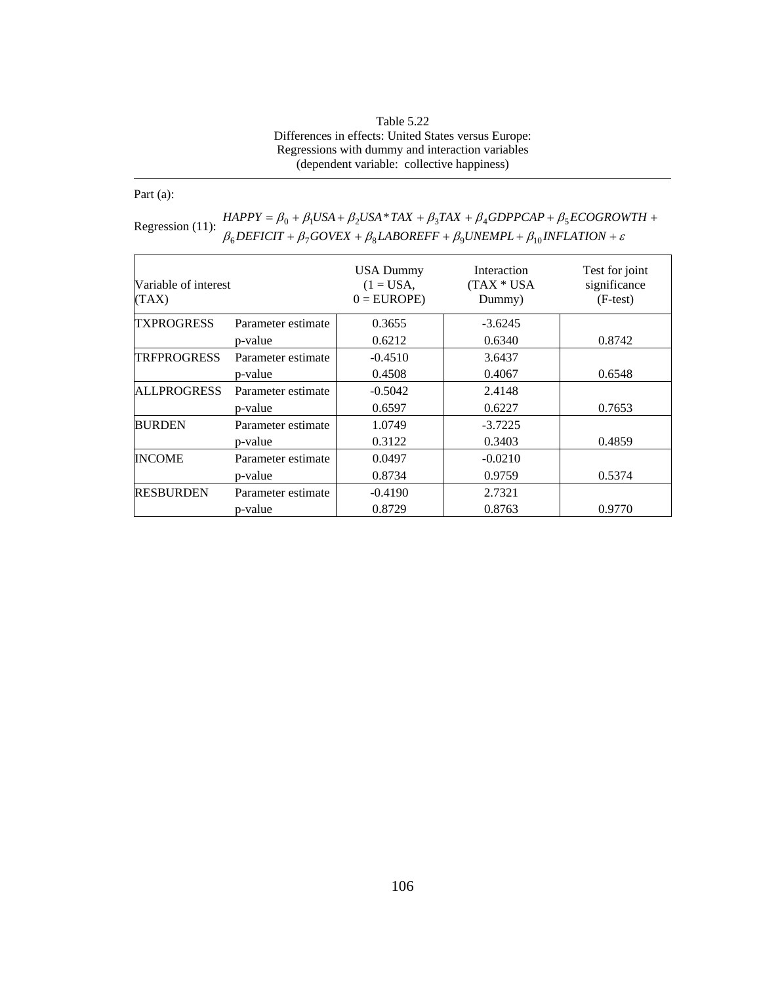## Table 5.22 Differences in effects: United States versus Europe: Regressions with dummy and interaction variables (dependent variable: collective happiness)

Part (a):

| Variable of interest<br>(TAX) |                    | <b>USA Dummy</b><br>$(1 = USA,$<br>$0 = EUROPE$ | Interaction<br>$(TAX * USA)$<br>Dummy) | Test for joint<br>significance<br>$(F-test)$ |
|-------------------------------|--------------------|-------------------------------------------------|----------------------------------------|----------------------------------------------|
| <b>TXPROGRESS</b>             | Parameter estimate | 0.3655                                          | $-3.6245$                              |                                              |
|                               | p-value            | 0.6212                                          | 0.6340                                 | 0.8742                                       |
| <b>TRFPROGRESS</b>            | Parameter estimate | $-0.4510$                                       | 3.6437                                 |                                              |
|                               | p-value            | 0.4508                                          | 0.4067                                 | 0.6548                                       |
| <b>ALLPROGRESS</b>            | Parameter estimate | $-0.5042$                                       | 2.4148                                 |                                              |
|                               | p-value            | 0.6597                                          | 0.6227                                 | 0.7653                                       |
| <b>BURDEN</b>                 | Parameter estimate | 1.0749                                          | $-3.7225$                              |                                              |
|                               | p-value            | 0.3122                                          | 0.3403                                 | 0.4859                                       |
| <b>INCOME</b>                 | Parameter estimate | 0.0497                                          | $-0.0210$                              |                                              |
|                               | p-value            | 0.8734                                          | 0.9759                                 | 0.5374                                       |
| <b>RESBURDEN</b>              | Parameter estimate | $-0.4190$                                       | 2.7321                                 |                                              |
|                               | p-value            | 0.8729                                          | 0.8763                                 | 0.9770                                       |

| Regression $(11)$ : | $HAPPY = \beta_0 + \beta_1 USA + \beta_2USA * TAX + \beta_3TAX + \beta_4 GDPPCAP + \beta_5 ECOGROWTH +$              |
|---------------------|----------------------------------------------------------------------------------------------------------------------|
|                     | $\beta_6$ DEFICIT + $\beta_7$ GOVEX + $\beta_8$ LABOREFF + $\beta_9$ UNEMPL + $\beta_{10}$ INFLATION + $\varepsilon$ |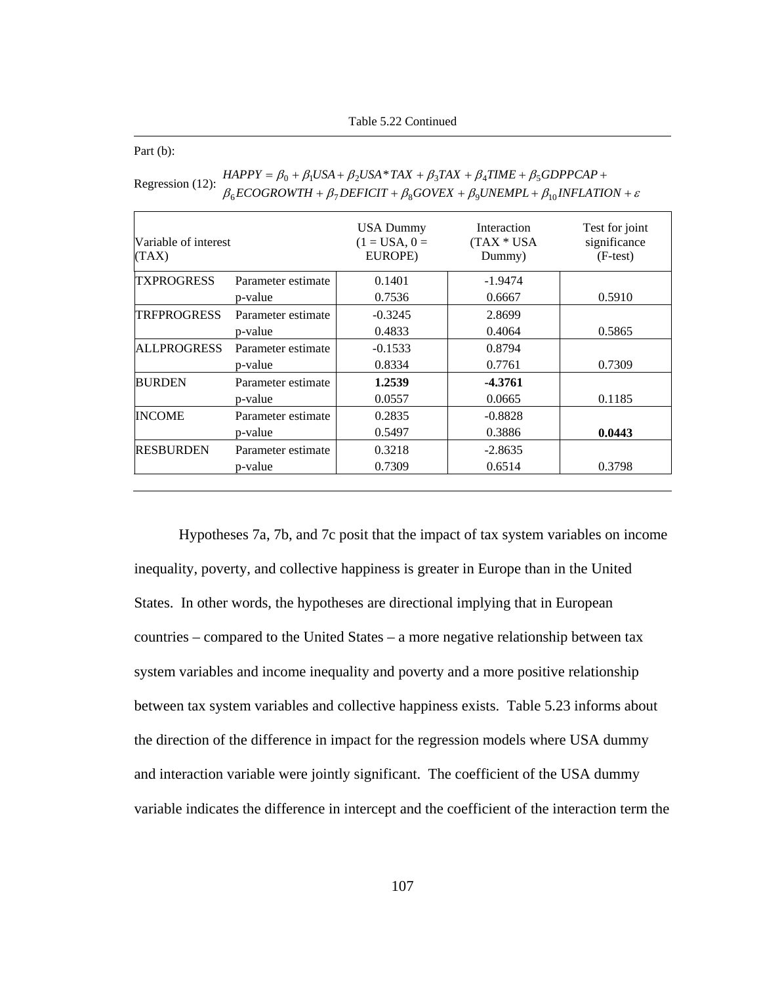Table 5.22 Continued

Part (b):

| Variable of interest<br>(TAX) |                    | <b>USA Dummy</b><br>$(1 = USA, 0 =$<br>EUROPE) | Interaction<br>$(TAX * USA)$<br>Dummy) | Test for joint<br>significance<br>$(F-test)$ |
|-------------------------------|--------------------|------------------------------------------------|----------------------------------------|----------------------------------------------|
| <b>TXPROGRESS</b>             | Parameter estimate | 0.1401                                         | $-1.9474$                              |                                              |
|                               | p-value            | 0.7536                                         | 0.6667                                 | 0.5910                                       |
| <b>TRFPROGRESS</b>            | Parameter estimate | $-0.3245$                                      | 2.8699                                 |                                              |
|                               | p-value            | 0.4833                                         | 0.4064                                 | 0.5865                                       |
| <b>ALLPROGRESS</b>            | Parameter estimate | $-0.1533$                                      | 0.8794                                 |                                              |
|                               | p-value            | 0.8334                                         | 0.7761                                 | 0.7309                                       |
| <b>BURDEN</b>                 | Parameter estimate | 1.2539                                         | $-4.3761$                              |                                              |
|                               | p-value            | 0.0557                                         | 0.0665                                 | 0.1185                                       |
| <b>INCOME</b>                 | Parameter estimate | 0.2835                                         | $-0.8828$                              |                                              |
|                               | p-value            | 0.5497                                         | 0.3886                                 | 0.0443                                       |
| <b>RESBURDEN</b>              | Parameter estimate | 0.3218                                         | $-2.8635$                              |                                              |
|                               | p-value            | 0.7309                                         | 0.6514                                 | 0.3798                                       |

Regression (12):  $B_6ECOGROWTH + \beta_7DEFCIT + \beta_8GOVEX + \beta_9UNEMPL + \beta_{10}INFLATION + \varepsilon$  $HAPPY = \beta_0 + \beta_1 USA + \beta_2USA * TAX + \beta_3 TAX + \beta_4 TIME + \beta_5 GDPPCAP +$ 

Hypotheses 7a, 7b, and 7c posit that the impact of tax system variables on income inequality, poverty, and collective happiness is greater in Europe than in the United States. In other words, the hypotheses are directional implying that in European countries – compared to the United States – a more negative relationship between tax system variables and income inequality and poverty and a more positive relationship between tax system variables and collective happiness exists. Table 5.23 informs about the direction of the difference in impact for the regression models where USA dummy and interaction variable were jointly significant. The coefficient of the USA dummy variable indicates the difference in intercept and the coefficient of the interaction term the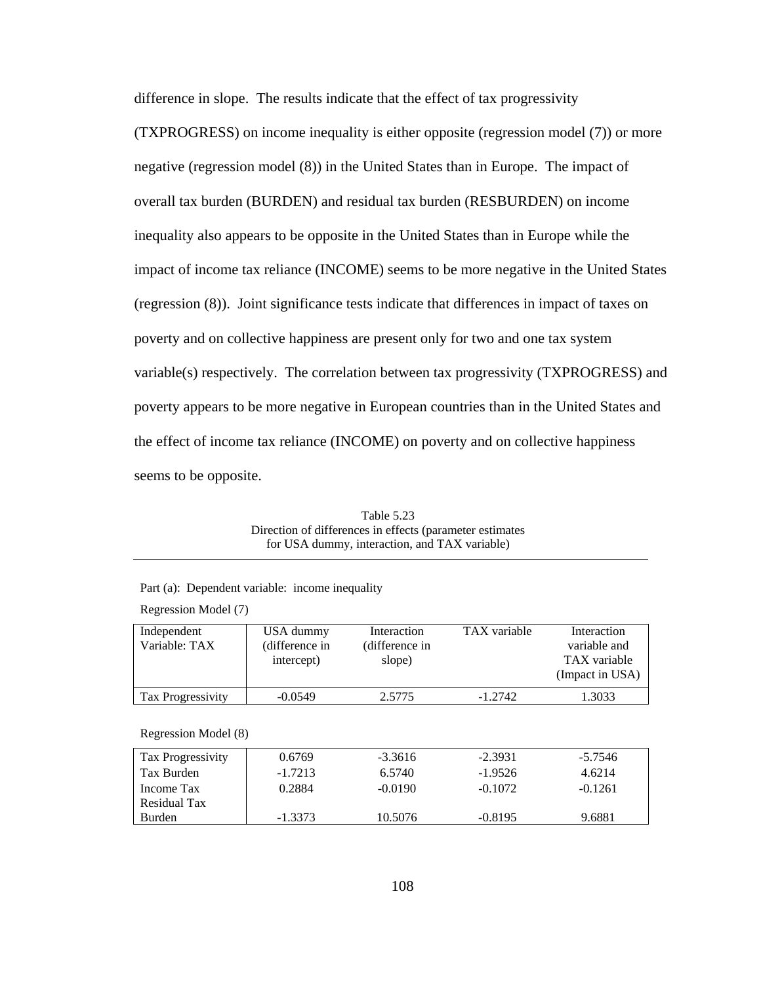difference in slope. The results indicate that the effect of tax progressivity (TXPROGRESS) on income inequality is either opposite (regression model (7)) or more negative (regression model (8)) in the United States than in Europe. The impact of overall tax burden (BURDEN) and residual tax burden (RESBURDEN) on income inequality also appears to be opposite in the United States than in Europe while the impact of income tax reliance (INCOME) seems to be more negative in the United States (regression (8)). Joint significance tests indicate that differences in impact of taxes on poverty and on collective happiness are present only for two and one tax system variable(s) respectively. The correlation between tax progressivity (TXPROGRESS) and poverty appears to be more negative in European countries than in the United States and the effect of income tax reliance (INCOME) on poverty and on collective happiness seems to be opposite.

| Table 5.23                                               |
|----------------------------------------------------------|
| Direction of differences in effects (parameter estimates |
| for USA dummy, interaction, and TAX variable)            |

| Independent          | USA dummy      | Interaction    | TAX variable | Interaction     |
|----------------------|----------------|----------------|--------------|-----------------|
| Variable: TAX        | (difference in | (difference in |              | variable and    |
|                      | intercept)     | slope)         |              | TAX variable    |
|                      |                |                |              | (Impact in USA) |
|                      |                |                |              |                 |
| Tax Progressivity    | $-0.0549$      | 2.5775         | $-1.2742$    | 1.3033          |
|                      |                |                |              |                 |
| Regression Model (8) |                |                |              |                 |
| Tax Progressivity    | 0.6769         | $-3.3616$      | $-2.3931$    | $-5.7546$       |
| Tax Burden           | $-1.7213$      | 6.5740         | $-1.9526$    | 4.6214          |
| Income Tax           | 0.2884         | $-0.0190$      | $-0.1072$    | $-0.1261$       |
| Residual Tax         |                |                |              |                 |
| <b>Burden</b>        | $-1.3373$      | 10.5076        | $-0.8195$    | 9.6881          |

Part (a): Dependent variable: income inequality

Regression Model (7)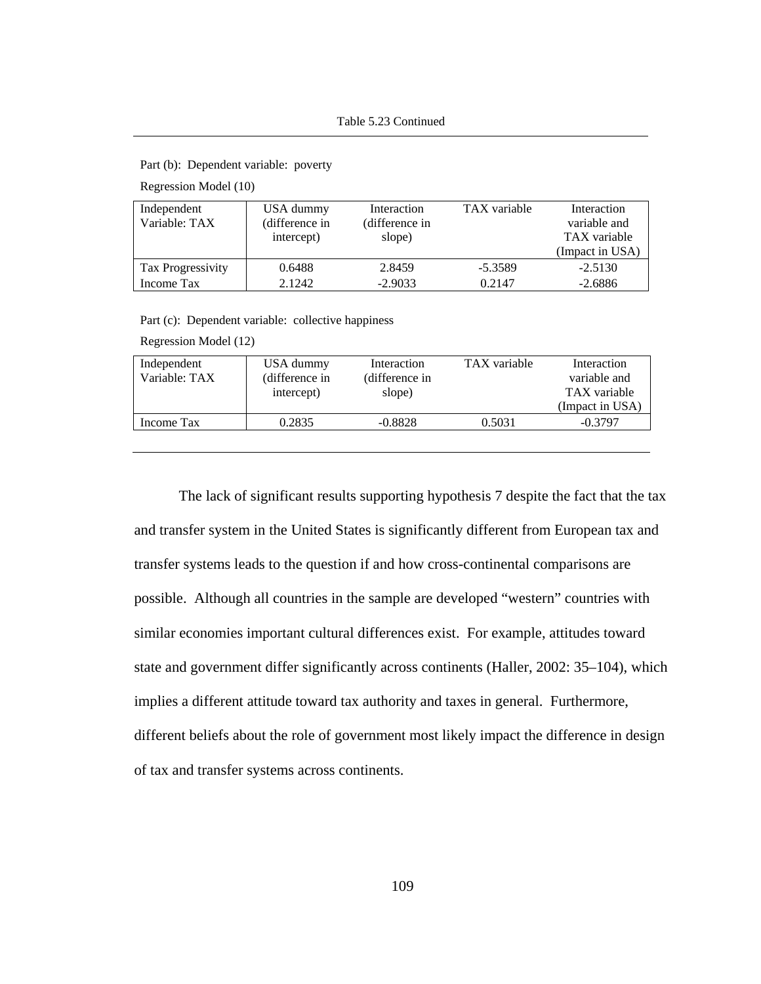Part (b): Dependent variable: poverty

Regression Model (10)

| Independent<br>Variable: TAX | USA dummy<br>(difference in<br>intercept) | Interaction<br>(difference in<br>slope) | TAX variable | Interaction<br>variable and<br>TAX variable<br>(Impact in USA) |
|------------------------------|-------------------------------------------|-----------------------------------------|--------------|----------------------------------------------------------------|
| Tax Progressivity            | 0.6488                                    | 2.8459                                  | $-5.3589$    | $-2.5130$                                                      |
| Income Tax                   | 2.1242                                    | $-2.9033$                               | 0.2147       | $-2.6886$                                                      |

Part (c): Dependent variable: collective happiness

Regression Model (12)

| Independent<br>Variable: TAX | USA dummy<br>(difference in | Interaction<br>(difference in | TAX variable | Interaction<br>variable and     |
|------------------------------|-----------------------------|-------------------------------|--------------|---------------------------------|
|                              | intercept)                  | slope)                        |              | TAX variable<br>(Impact in USA) |
| Income Tax                   | 0.2835                      | $-0.8828$                     | 0.5031       | $-0.3797$                       |
|                              |                             |                               |              |                                 |

The lack of significant results supporting hypothesis 7 despite the fact that the tax and transfer system in the United States is significantly different from European tax and transfer systems leads to the question if and how cross-continental comparisons are possible. Although all countries in the sample are developed "western" countries with similar economies important cultural differences exist. For example, attitudes toward state and government differ significantly across continents (Haller, 2002: 35–104), which implies a different attitude toward tax authority and taxes in general. Furthermore, different beliefs about the role of government most likely impact the difference in design of tax and transfer systems across continents.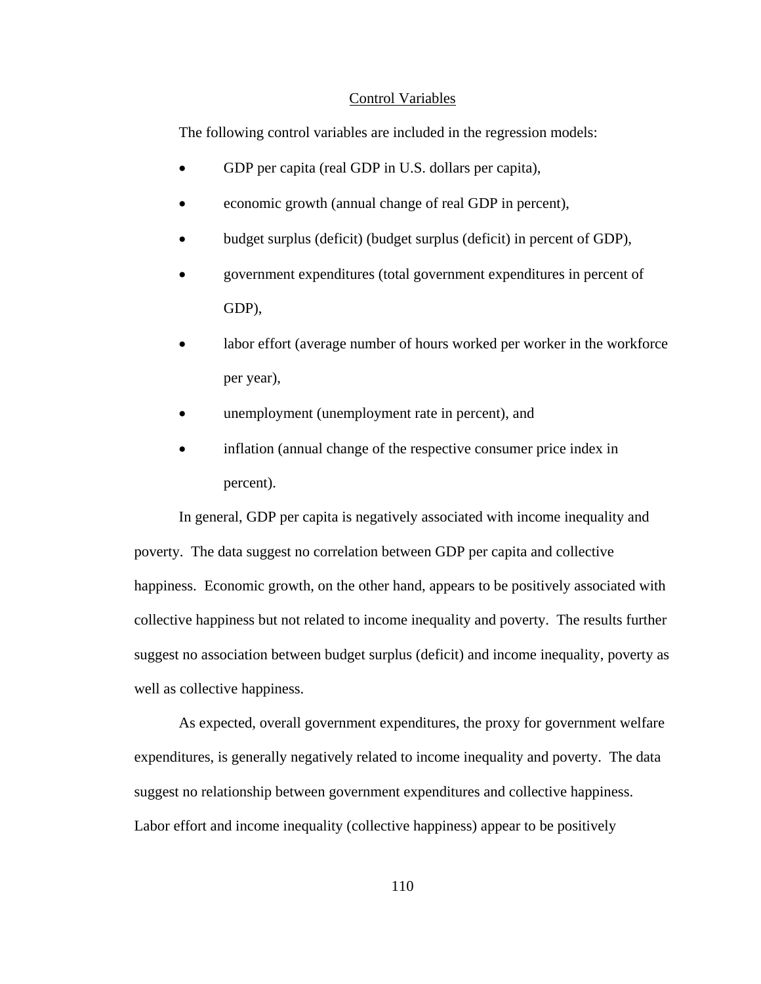## Control Variables

The following control variables are included in the regression models:

- GDP per capita (real GDP in U.S. dollars per capita),
- economic growth (annual change of real GDP in percent),
- budget surplus (deficit) (budget surplus (deficit) in percent of GDP),
- government expenditures (total government expenditures in percent of GDP),
- labor effort (average number of hours worked per worker in the workforce per year),
- unemployment (unemployment rate in percent), and
- inflation (annual change of the respective consumer price index in percent).

In general, GDP per capita is negatively associated with income inequality and poverty. The data suggest no correlation between GDP per capita and collective happiness. Economic growth, on the other hand, appears to be positively associated with collective happiness but not related to income inequality and poverty. The results further suggest no association between budget surplus (deficit) and income inequality, poverty as well as collective happiness.

As expected, overall government expenditures, the proxy for government welfare expenditures, is generally negatively related to income inequality and poverty. The data suggest no relationship between government expenditures and collective happiness. Labor effort and income inequality (collective happiness) appear to be positively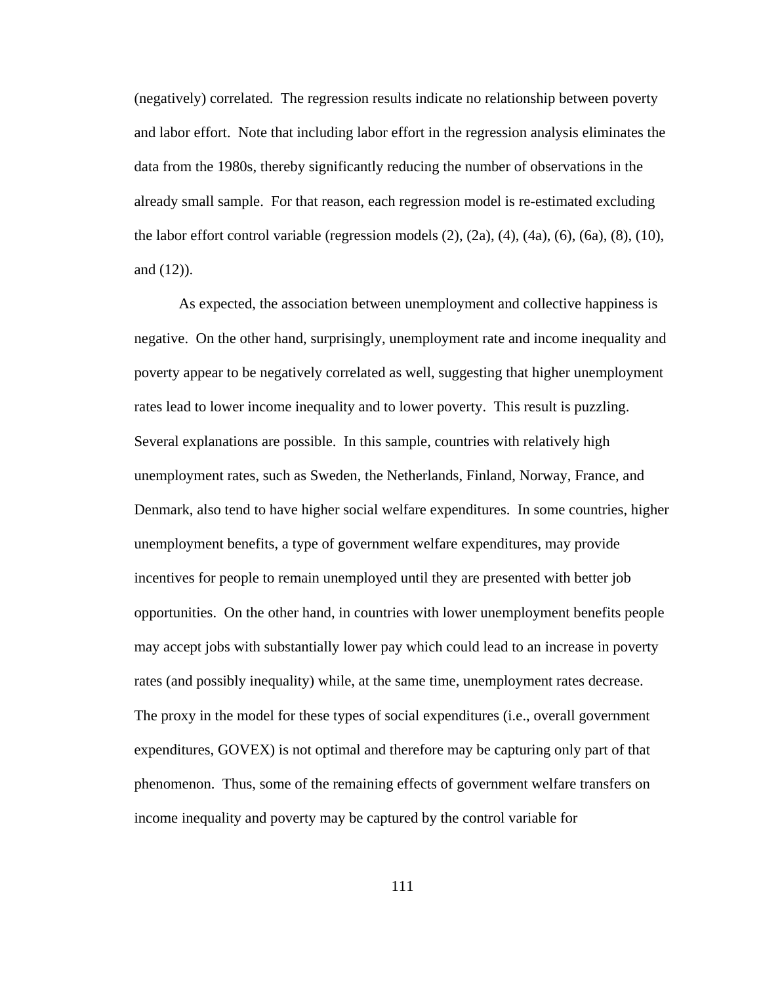(negatively) correlated. The regression results indicate no relationship between poverty and labor effort. Note that including labor effort in the regression analysis eliminates the data from the 1980s, thereby significantly reducing the number of observations in the already small sample. For that reason, each regression model is re-estimated excluding the labor effort control variable (regression models  $(2)$ ,  $(2a)$ ,  $(4)$ ,  $(4a)$ ,  $(6)$ ,  $(6a)$ ,  $(8)$ ,  $(10)$ , and (12)).

As expected, the association between unemployment and collective happiness is negative. On the other hand, surprisingly, unemployment rate and income inequality and poverty appear to be negatively correlated as well, suggesting that higher unemployment rates lead to lower income inequality and to lower poverty. This result is puzzling. Several explanations are possible. In this sample, countries with relatively high unemployment rates, such as Sweden, the Netherlands, Finland, Norway, France, and Denmark, also tend to have higher social welfare expenditures. In some countries, higher unemployment benefits, a type of government welfare expenditures, may provide incentives for people to remain unemployed until they are presented with better job opportunities. On the other hand, in countries with lower unemployment benefits people may accept jobs with substantially lower pay which could lead to an increase in poverty rates (and possibly inequality) while, at the same time, unemployment rates decrease. The proxy in the model for these types of social expenditures (i.e., overall government expenditures, GOVEX) is not optimal and therefore may be capturing only part of that phenomenon. Thus, some of the remaining effects of government welfare transfers on income inequality and poverty may be captured by the control variable for

111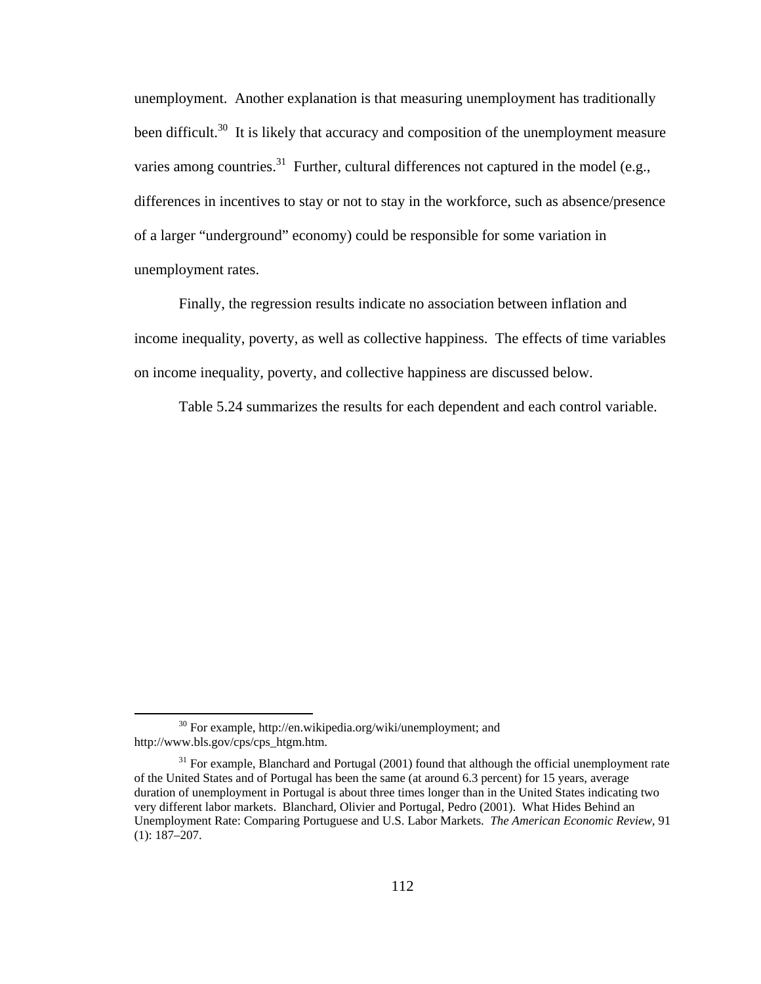unemployment. Another explanation is that measuring unemployment has traditionally been difficult.<sup>30</sup> It is likely that accuracy and composition of the unemployment measure varies among countries.<sup>31</sup> Further, cultural differences not captured in the model (e.g., differences in incentives to stay or not to stay in the workforce, such as absence/presence of a larger "underground" economy) could be responsible for some variation in unemployment rates.

Finally, the regression results indicate no association between inflation and income inequality, poverty, as well as collective happiness. The effects of time variables on income inequality, poverty, and collective happiness are discussed below.

Table 5.24 summarizes the results for each dependent and each control variable.

<sup>&</sup>lt;sup>30</sup> For example, http://en.wikipedia.org/wiki/unemployment; and http://www.bls.gov/cps/cps\_htgm.htm.

<sup>&</sup>lt;sup>31</sup> For example, Blanchard and Portugal (2001) found that although the official unemployment rate of the United States and of Portugal has been the same (at around 6.3 percent) for 15 years, average duration of unemployment in Portugal is about three times longer than in the United States indicating two very different labor markets. Blanchard, Olivier and Portugal, Pedro (2001). What Hides Behind an Unemployment Rate: Comparing Portuguese and U.S. Labor Markets. *The American Economic Review*, 91 (1): 187–207.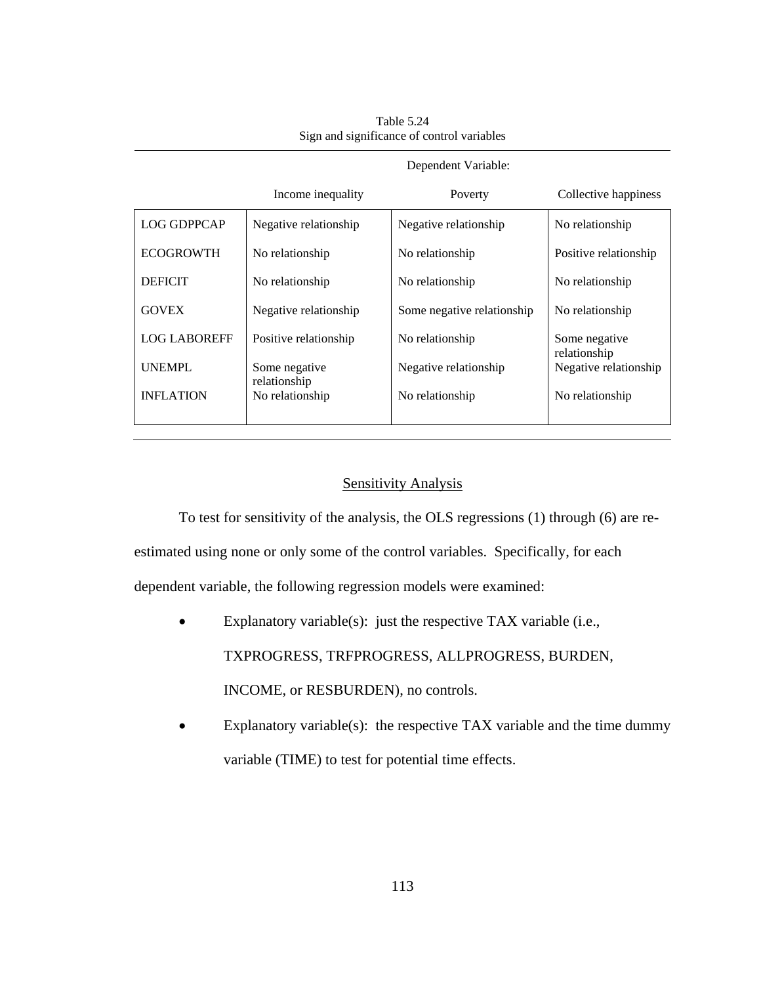|                     | Dependent Variable:             |                            |                               |  |  |
|---------------------|---------------------------------|----------------------------|-------------------------------|--|--|
|                     | Income inequality               | Poverty                    | Collective happiness          |  |  |
| LOG GDPPCAP         | Negative relationship           | Negative relationship      | No relationship               |  |  |
| <b>ECOGROWTH</b>    | No relationship                 | No relationship            | Positive relationship         |  |  |
| <b>DEFICIT</b>      | No relationship                 | No relationship            | No relationship               |  |  |
| <b>GOVEX</b>        | Negative relationship           | Some negative relationship | No relationship               |  |  |
| <b>LOG LABOREFF</b> | Positive relationship           | No relationship            | Some negative<br>relationship |  |  |
| UNEMPL              | Some negative                   | Negative relationship      | Negative relationship         |  |  |
| <b>INFLATION</b>    | relationship<br>No relationship | No relationship            | No relationship               |  |  |
|                     |                                 |                            |                               |  |  |

Table 5.24 Sign and significance of control variables

Sensitivity Analysis

To test for sensitivity of the analysis, the OLS regressions (1) through (6) are re-

estimated using none or only some of the control variables. Specifically, for each

dependent variable, the following regression models were examined:

- Explanatory variable(s): just the respective TAX variable (i.e., TXPROGRESS, TRFPROGRESS, ALLPROGRESS, BURDEN, INCOME, or RESBURDEN), no controls.
- Explanatory variable(s): the respective TAX variable and the time dummy variable (TIME) to test for potential time effects.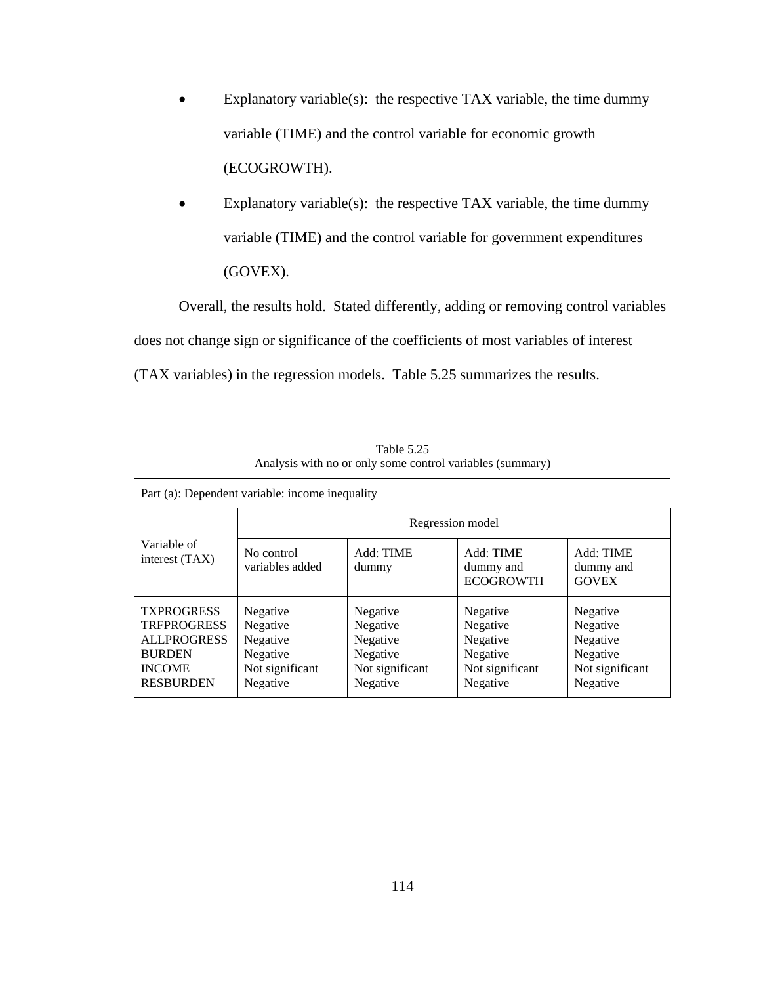- Explanatory variable(s): the respective TAX variable, the time dummy variable (TIME) and the control variable for economic growth (ECOGROWTH).
- Explanatory variable(s): the respective TAX variable, the time dummy variable (TIME) and the control variable for government expenditures (GOVEX).

Overall, the results hold. Stated differently, adding or removing control variables does not change sign or significance of the coefficients of most variables of interest (TAX variables) in the regression models. Table 5.25 summarizes the results.

| Table 5.25                                                |
|-----------------------------------------------------------|
| Analysis with no or only some control variables (summary) |

| r art (a). D'épéndem variable: médine méquant ;                                                                     |                                                                             |                                                                             |                                                                             |                                                                             |
|---------------------------------------------------------------------------------------------------------------------|-----------------------------------------------------------------------------|-----------------------------------------------------------------------------|-----------------------------------------------------------------------------|-----------------------------------------------------------------------------|
|                                                                                                                     |                                                                             | Regression model                                                            |                                                                             |                                                                             |
| Variable of<br>interest (TAX)                                                                                       | No control<br>variables added                                               | Add: TIME<br>dummy                                                          | Add: TIME<br>dummy and<br><b>ECOGROWTH</b>                                  | Add: TIME<br>dummy and<br><b>GOVEX</b>                                      |
| <b>TXPROGRESS</b><br><b>TRFPROGRESS</b><br><b>ALLPROGRESS</b><br><b>BURDEN</b><br><b>INCOME</b><br><b>RESBURDEN</b> | Negative<br>Negative<br>Negative<br>Negative<br>Not significant<br>Negative | Negative<br>Negative<br>Negative<br>Negative<br>Not significant<br>Negative | Negative<br>Negative<br>Negative<br>Negative<br>Not significant<br>Negative | Negative<br>Negative<br>Negative<br>Negative<br>Not significant<br>Negative |

Part (a): Dependent variable: income inequality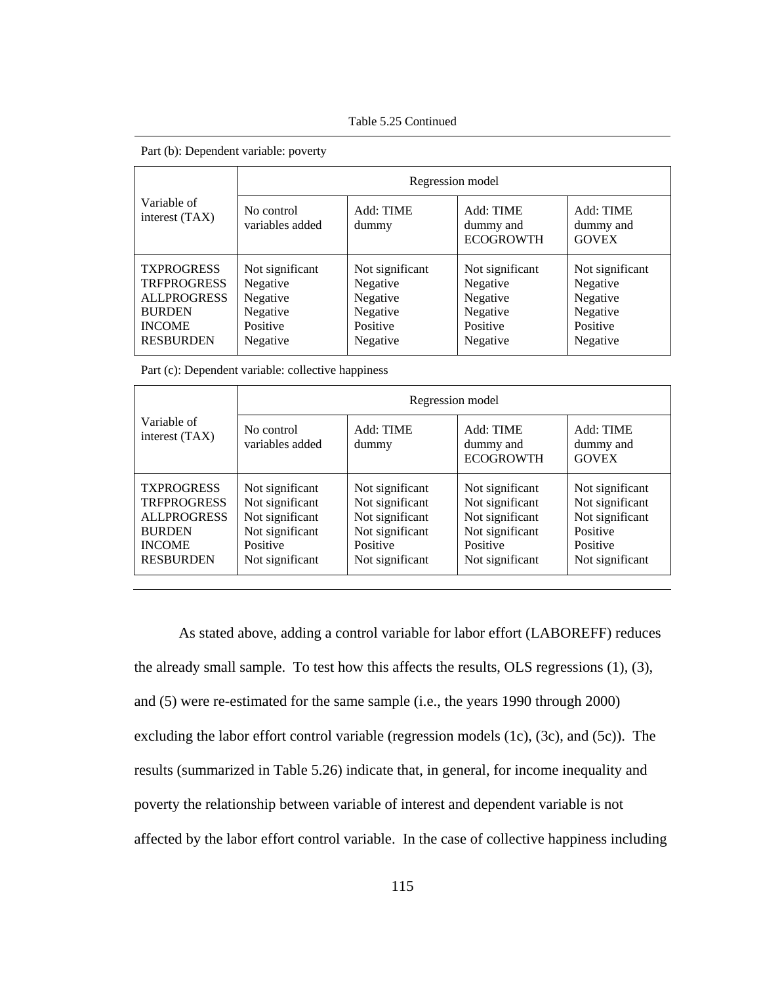Table 5.25 Continued

|                                                                                                                     |                                                                             | Regression model                                                            |                                                                             |                                                                             |
|---------------------------------------------------------------------------------------------------------------------|-----------------------------------------------------------------------------|-----------------------------------------------------------------------------|-----------------------------------------------------------------------------|-----------------------------------------------------------------------------|
| Variable of<br>interest (TAX)                                                                                       | No control<br>variables added                                               | Add: TIME<br>dummy                                                          | Add: TIME<br>dummy and<br><b>ECOGROWTH</b>                                  | Add: TIME<br>dummy and<br><b>GOVEX</b>                                      |
| <b>TXPROGRESS</b><br><b>TRFPROGRESS</b><br><b>ALLPROGRESS</b><br><b>BURDEN</b><br><b>INCOME</b><br><b>RESBURDEN</b> | Not significant<br>Negative<br>Negative<br>Negative<br>Positive<br>Negative | Not significant<br>Negative<br>Negative<br>Negative<br>Positive<br>Negative | Not significant<br>Negative<br>Negative<br>Negative<br>Positive<br>Negative | Not significant<br>Negative<br>Negative<br>Negative<br>Positive<br>Negative |

Part (b): Dependent variable: poverty

Part (c): Dependent variable: collective happiness

|                                                                                                                     | Regression model                                                                                        |                                                                                                         |                                                                                                         |                                                                                                  |
|---------------------------------------------------------------------------------------------------------------------|---------------------------------------------------------------------------------------------------------|---------------------------------------------------------------------------------------------------------|---------------------------------------------------------------------------------------------------------|--------------------------------------------------------------------------------------------------|
| Variable of<br>interest (TAX)                                                                                       | No control<br>variables added                                                                           | Add: TIME<br>dummy                                                                                      | Add: TIME<br>dummy and<br><b>ECOGROWTH</b>                                                              | Add: TIME<br>dummy and<br><b>GOVEX</b>                                                           |
| <b>TXPROGRESS</b><br><b>TRFPROGRESS</b><br><b>ALLPROGRESS</b><br><b>BURDEN</b><br><b>INCOME</b><br><b>RESBURDEN</b> | Not significant<br>Not significant<br>Not significant<br>Not significant<br>Positive<br>Not significant | Not significant<br>Not significant<br>Not significant<br>Not significant<br>Positive<br>Not significant | Not significant<br>Not significant<br>Not significant<br>Not significant<br>Positive<br>Not significant | Not significant<br>Not significant<br>Not significant<br>Positive<br>Positive<br>Not significant |

As stated above, adding a control variable for labor effort (LABOREFF) reduces the already small sample. To test how this affects the results, OLS regressions (1), (3), and (5) were re-estimated for the same sample (i.e., the years 1990 through 2000) excluding the labor effort control variable (regression models (1c), (3c), and (5c)). The results (summarized in Table 5.26) indicate that, in general, for income inequality and poverty the relationship between variable of interest and dependent variable is not affected by the labor effort control variable. In the case of collective happiness including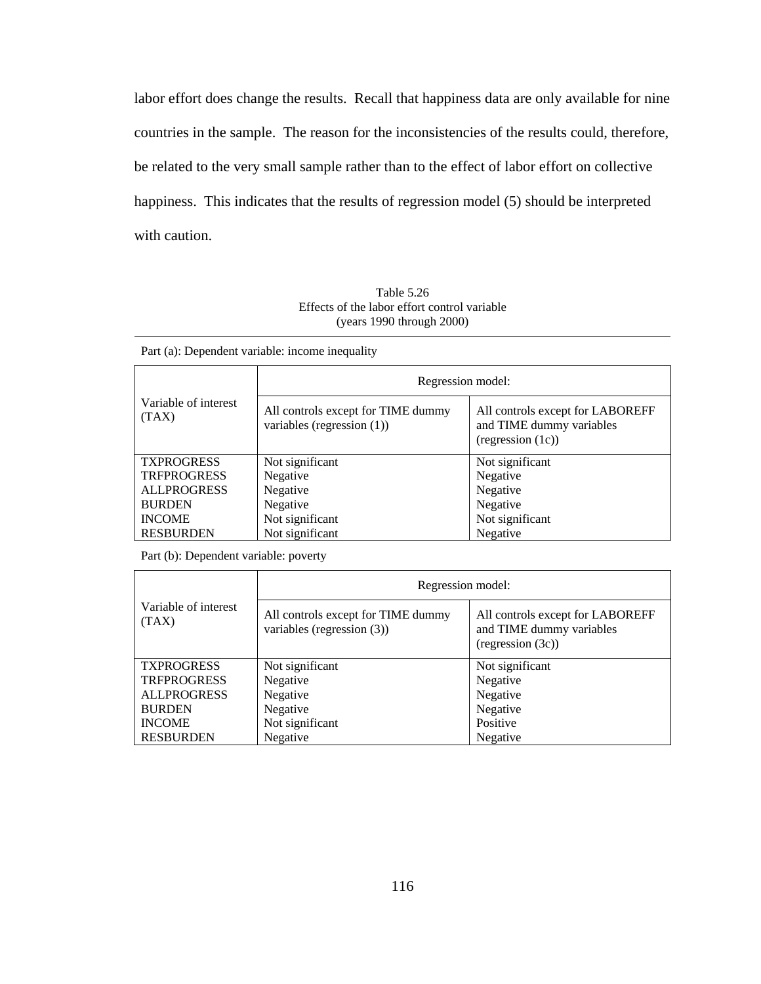labor effort does change the results. Recall that happiness data are only available for nine countries in the sample. The reason for the inconsistencies of the results could, therefore, be related to the very small sample rather than to the effect of labor effort on collective happiness. This indicates that the results of regression model (5) should be interpreted with caution.

Table 5.26 Effects of the labor effort control variable (years 1990 through 2000)

|  |  |  | Part (a): Dependent variable: income inequality |
|--|--|--|-------------------------------------------------|
|  |  |  |                                                 |

|                               | Regression model:                                                   |                                                                                   |
|-------------------------------|---------------------------------------------------------------------|-----------------------------------------------------------------------------------|
| Variable of interest<br>(TAX) | All controls except for TIME dummy<br>variables (regression $(1)$ ) | All controls except for LABOREFF<br>and TIME dummy variables<br>(regression (1c)) |
| <b>TXPROGRESS</b>             | Not significant                                                     | Not significant                                                                   |
| <b>TRFPROGRESS</b>            | Negative                                                            | Negative                                                                          |
| <b>ALLPROGRESS</b>            | Negative                                                            | Negative                                                                          |
| <b>BURDEN</b>                 | Negative                                                            | Negative                                                                          |
| <b>INCOME</b>                 | Not significant                                                     | Not significant                                                                   |
| <b>RESBURDEN</b>              | Not significant                                                     | Negative                                                                          |

Part (b): Dependent variable: poverty

|                               | Regression model:                                                   |                                                                                   |  |
|-------------------------------|---------------------------------------------------------------------|-----------------------------------------------------------------------------------|--|
| Variable of interest<br>(TAX) | All controls except for TIME dummy<br>variables (regression $(3)$ ) | All controls except for LABOREFF<br>and TIME dummy variables<br>(regression (3c)) |  |
| <b>TXPROGRESS</b>             | Not significant                                                     | Not significant                                                                   |  |
| <b>TRFPROGRESS</b>            | Negative                                                            | Negative                                                                          |  |
| <b>ALLPROGRESS</b>            | Negative                                                            | Negative                                                                          |  |
| <b>BURDEN</b>                 | Negative                                                            | Negative                                                                          |  |
| <b>INCOME</b>                 | Not significant                                                     | Positive                                                                          |  |
| <b>RESBURDEN</b>              | Negative                                                            | Negative                                                                          |  |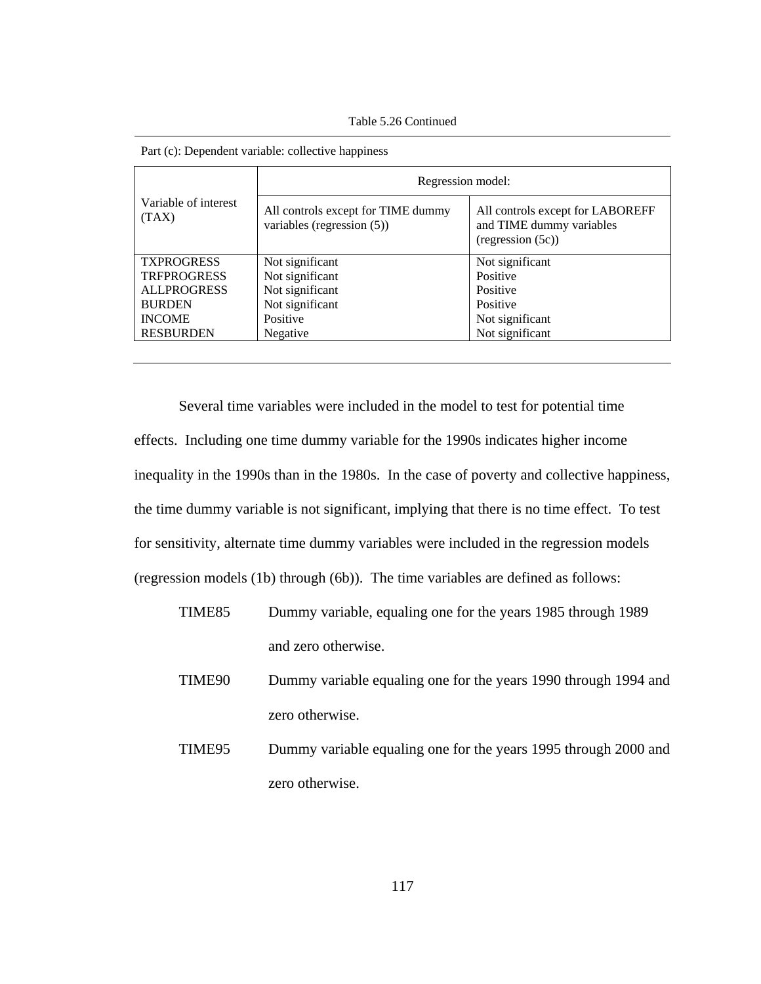Table 5.26 Continued

|                               | Regression model:                                                   |                                                                                   |  |
|-------------------------------|---------------------------------------------------------------------|-----------------------------------------------------------------------------------|--|
| Variable of interest<br>(TAX) | All controls except for TIME dummy<br>variables (regression $(5)$ ) | All controls except for LABOREFF<br>and TIME dummy variables<br>(regression (5c)) |  |
| <b>TXPROGRESS</b>             | Not significant                                                     | Not significant                                                                   |  |
| <b>TRFPROGRESS</b>            | Not significant                                                     | Positive                                                                          |  |
| <b>ALLPROGRESS</b>            | Not significant                                                     | Positive                                                                          |  |
| <b>BURDEN</b>                 | Not significant                                                     | Positive                                                                          |  |
| <b>INCOME</b>                 | Positive                                                            | Not significant                                                                   |  |
| <b>RESBURDEN</b>              | Negative                                                            | Not significant                                                                   |  |

| Part (c): Dependent variable: collective happiness |  |  |  |  |  |
|----------------------------------------------------|--|--|--|--|--|
|----------------------------------------------------|--|--|--|--|--|

Several time variables were included in the model to test for potential time effects. Including one time dummy variable for the 1990s indicates higher income inequality in the 1990s than in the 1980s. In the case of poverty and collective happiness, the time dummy variable is not significant, implying that there is no time effect. To test for sensitivity, alternate time dummy variables were included in the regression models (regression models (1b) through (6b)). The time variables are defined as follows:

- TIME85 Dummy variable, equaling one for the years 1985 through 1989 and zero otherwise.
- TIME90 Dummy variable equaling one for the years 1990 through 1994 and zero otherwise.
- TIME95 Dummy variable equaling one for the years 1995 through 2000 and zero otherwise.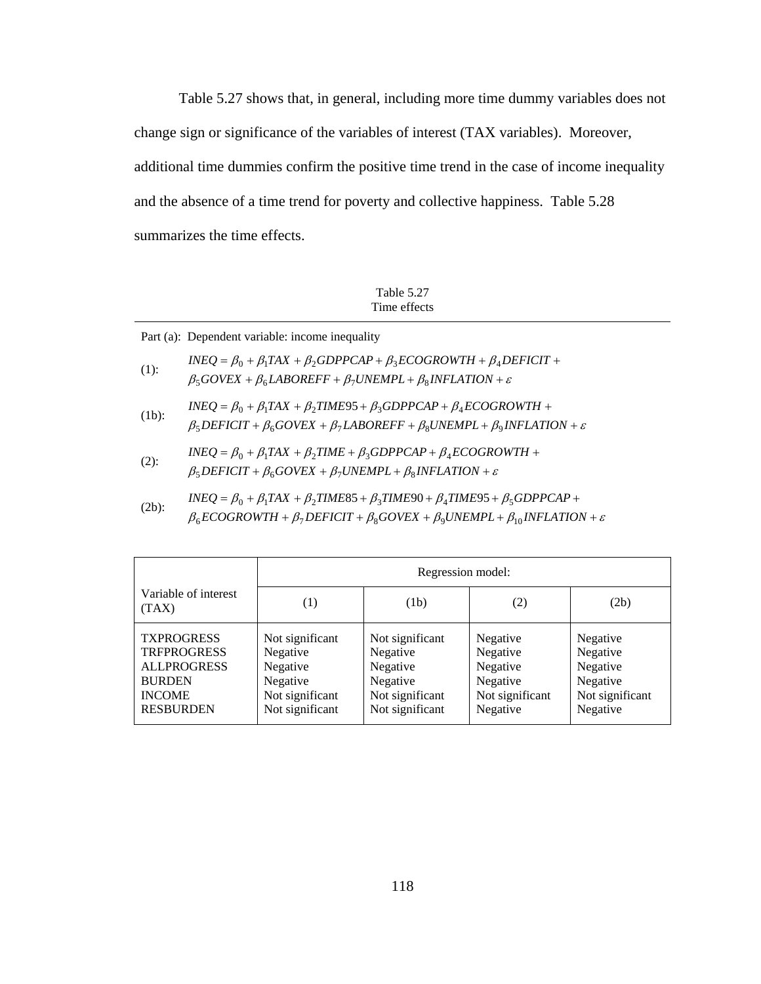Table 5.27 shows that, in general, including more time dummy variables does not change sign or significance of the variables of interest (TAX variables). Moreover, additional time dummies confirm the positive time trend in the case of income inequality and the absence of a time trend for poverty and collective happiness. Table 5.28 summarizes the time effects.

Table 5.27 Time effects

Part (a): Dependent variable: income inequality

| $(1)$ :  | $INEQ = \beta_0 + \beta_1 TAX + \beta_2 GDPPCAP + \beta_3 ECOGROWTH + \beta_4 DEFICIT +$<br>$\beta_5 GOVEX + \beta_6 LABOREFF + \beta_7 UNEMPL + \beta_8 INFLATION + \varepsilon$                            |
|----------|--------------------------------------------------------------------------------------------------------------------------------------------------------------------------------------------------------------|
| $(1b)$ : | $INEQ = \beta_0 + \beta_1 TAX + \beta_2 TIME95 + \beta_3 GDPPCAP + \beta_4 ECOGROWTH +$<br>$\beta_5$ DEFICIT + $\beta_6$ GOVEX + $\beta_7$ LABOREFF + $\beta_8$ UNEMPL + $\beta_9$ INFLATION + $\varepsilon$ |
|          | $\theta$ $\theta$ $TAV$ $\theta$ $TIMF$ $\theta$ $CDDDCAD$ $\theta$ $DCOCDOWTTU$                                                                                                                             |

- (2):  $\beta_5$  *DEFICIT* +  $\beta_6$  *GOVEX* +  $\beta_7$  *UNEMPL* +  $\beta_8$  *INFLATION* +  $\varepsilon$  $INEQ = \beta_0 + \beta_1 TAX + \beta_2 TIME + \beta_3 GDPPCAP + \beta_4 ECOGROWTH +$
- (2b):  $\beta_6 ECOGROWTH + \beta_7 DEFICIT + \beta_8 GOVEX + \beta_9 UNEMPL + \beta_{10} INFLATION + \varepsilon$  $INEQ = \beta_0 + \beta_1 TAX + \beta_2 TIME85 + \beta_3 TIME90 + \beta_4 TIME95 + \beta_5 GDPPCAP +$

|                                                                                                                     |                                                                                           | Regression model:                                                                         |                                                                             |                                                                             |
|---------------------------------------------------------------------------------------------------------------------|-------------------------------------------------------------------------------------------|-------------------------------------------------------------------------------------------|-----------------------------------------------------------------------------|-----------------------------------------------------------------------------|
| Variable of interest<br>(TAX)                                                                                       | (1)                                                                                       | (1b)                                                                                      | (2)                                                                         | (2b)                                                                        |
| <b>TXPROGRESS</b><br><b>TRFPROGRESS</b><br><b>ALLPROGRESS</b><br><b>BURDEN</b><br><b>INCOME</b><br><b>RESBURDEN</b> | Not significant<br>Negative<br>Negative<br>Negative<br>Not significant<br>Not significant | Not significant<br>Negative<br>Negative<br>Negative<br>Not significant<br>Not significant | Negative<br>Negative<br>Negative<br>Negative<br>Not significant<br>Negative | Negative<br>Negative<br>Negative<br>Negative<br>Not significant<br>Negative |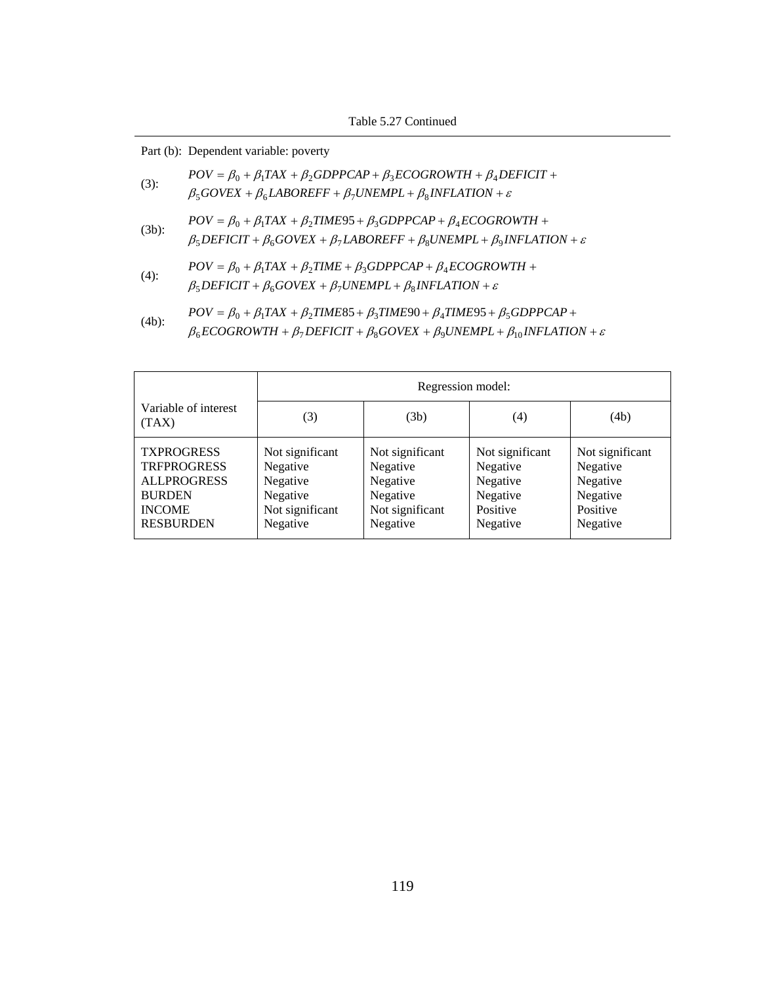|          | Part (b): Dependent variable: poverty                                                                                                                                                                             |
|----------|-------------------------------------------------------------------------------------------------------------------------------------------------------------------------------------------------------------------|
| $(3)$ :  | $POV = \beta_0 + \beta_1 TAX + \beta_2 GDPPCAP + \beta_3 ECOGROWTH + \beta_4 DEFICIT +$<br>$\beta_5 GOVEX + \beta_6 LABOREFF + \beta_7 UNEMPL + \beta_8 INFLATION + \varepsilon$                                  |
| $(3b)$ : | $POV = \beta_0 + \beta_1 TAX + \beta_2 TIME95 + \beta_3 GDPPCAP + \beta_4 ECOGROWTH +$<br>$\beta_5$ DEFICIT + $\beta_6$ GOVEX + $\beta_7$ LABOREFF + $\beta_8$ UNEMPL + $\beta_9$ INFLATION + $\varepsilon$       |
| $(4)$ :  | $POV = \beta_0 + \beta_1 TAX + \beta_2 TIME + \beta_3 GDPPCAP + \beta_4 ECOGROWTH +$<br>$\beta_5$ DEFICIT + $\beta_6$ GOVEX + $\beta_7$ UNEMPL + $\beta_8$ INFLATION + $\varepsilon$                              |
| $(4b)$ : | $POV = \beta_0 + \beta_1 TAX + \beta_2 TIME85 + \beta_3 TIME90 + \beta_4 TIME95 + \beta_5 GDPPCAP +$<br>$\beta_6ECOGROWTH + \beta_7DEFICIT + \beta_8 GOVEX + \beta_9 UNEMPL + \beta_{10} INFLATION + \varepsilon$ |

|                                                                                                                     | Regression model:                                                                  |                                                                                    |                                                                             |                                                                             |  |  |
|---------------------------------------------------------------------------------------------------------------------|------------------------------------------------------------------------------------|------------------------------------------------------------------------------------|-----------------------------------------------------------------------------|-----------------------------------------------------------------------------|--|--|
| Variable of interest<br>(TAX)                                                                                       | (3)                                                                                | (3b)                                                                               | (4)                                                                         | (4b)                                                                        |  |  |
| <b>TXPROGRESS</b><br><b>TRFPROGRESS</b><br><b>ALLPROGRESS</b><br><b>BURDEN</b><br><b>INCOME</b><br><b>RESBURDEN</b> | Not significant<br>Negative<br>Negative<br>Negative<br>Not significant<br>Negative | Not significant<br>Negative<br>Negative<br>Negative<br>Not significant<br>Negative | Not significant<br>Negative<br>Negative<br>Negative<br>Positive<br>Negative | Not significant<br>Negative<br>Negative<br>Negative<br>Positive<br>Negative |  |  |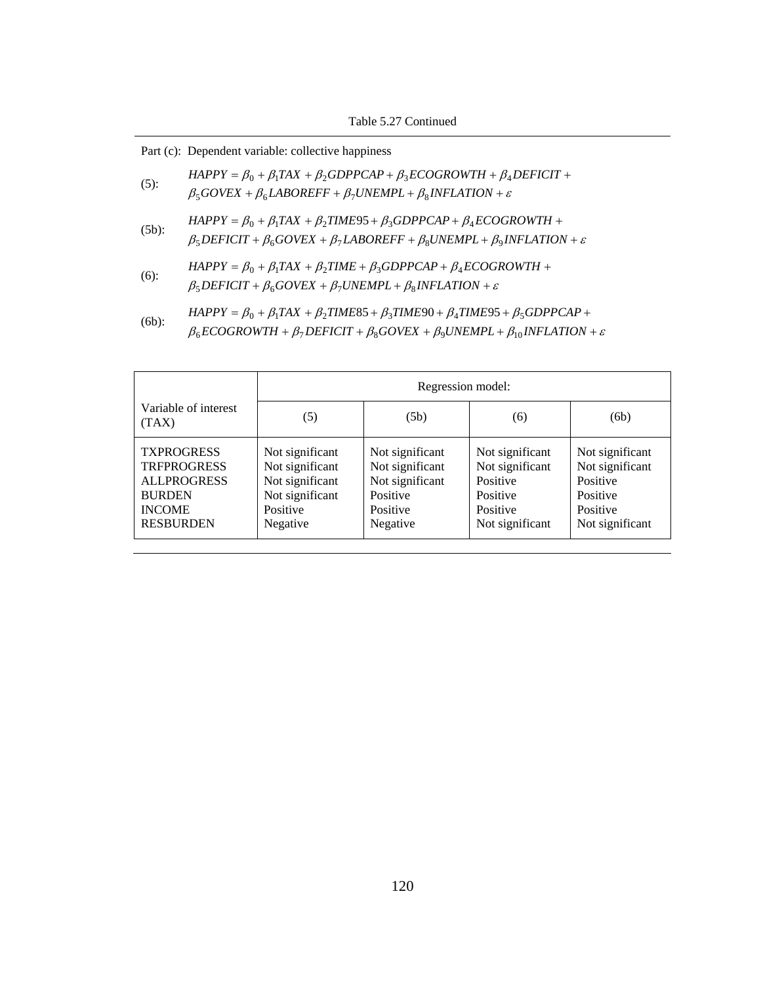|          | Part (c): Dependent variable: collective happiness                                                                                                                                                                  |
|----------|---------------------------------------------------------------------------------------------------------------------------------------------------------------------------------------------------------------------|
| $(5)$ :  | $HAPPY = \beta_0 + \beta_1 TAX + \beta_2 GDPPCAP + \beta_3 ECOGROWTH + \beta_4 DEFICIT +$<br>$\beta_5 GOVEX + \beta_6 LABOREFF + \beta_7 UNEMPL + \beta_8 INFLATION + \varepsilon$                                  |
| $(5b)$ : | $HAPPY = \beta_0 + \beta_1 TAX + \beta_2 TIME95 + \beta_3 GDPPCAP + \beta_4 ECOGROWTH +$<br>$\beta_5$ DEFICIT + $\beta_6$ GOVEX + $\beta_7$ LABOREFF + $\beta_8$ UNEMPL + $\beta_9$ INFLATION + $\varepsilon$       |
| $(6)$ :  | $HAPPY = \beta_0 + \beta_1 TAX + \beta_2 TIME + \beta_3 GDPPCAP + \beta_4 ECOGROWTH +$<br>$\beta_5$ DEFICIT + $\beta_6$ GOVEX + $\beta_7$ UNEMPL + $\beta_8$ INFLATION + $\varepsilon$                              |
| $(6b)$ : | $HAPPY = \beta_0 + \beta_1 TAX + \beta_2 TIME85 + \beta_3 TIME90 + \beta_4 TIME95 + \beta_5 GDPPCAP +$<br>$\beta_6ECOGROWTH + \beta_7DEFICIT + \beta_8 GOVEX + \beta_9 UNEMPL + \beta_{10} INFLATION + \varepsilon$ |

|                                                                                                                     | Regression model:                                                                                |                                                                                           |                                                                                           |                                                                                           |  |
|---------------------------------------------------------------------------------------------------------------------|--------------------------------------------------------------------------------------------------|-------------------------------------------------------------------------------------------|-------------------------------------------------------------------------------------------|-------------------------------------------------------------------------------------------|--|
| Variable of interest<br>(TAX)                                                                                       | (5)                                                                                              | (5b)                                                                                      | (6)                                                                                       | (6b)                                                                                      |  |
| <b>TXPROGRESS</b><br><b>TRFPROGRESS</b><br><b>ALLPROGRESS</b><br><b>BURDEN</b><br><b>INCOME</b><br><b>RESBURDEN</b> | Not significant<br>Not significant<br>Not significant<br>Not significant<br>Positive<br>Negative | Not significant<br>Not significant<br>Not significant<br>Positive<br>Positive<br>Negative | Not significant<br>Not significant<br>Positive<br>Positive<br>Positive<br>Not significant | Not significant<br>Not significant<br>Positive<br>Positive<br>Positive<br>Not significant |  |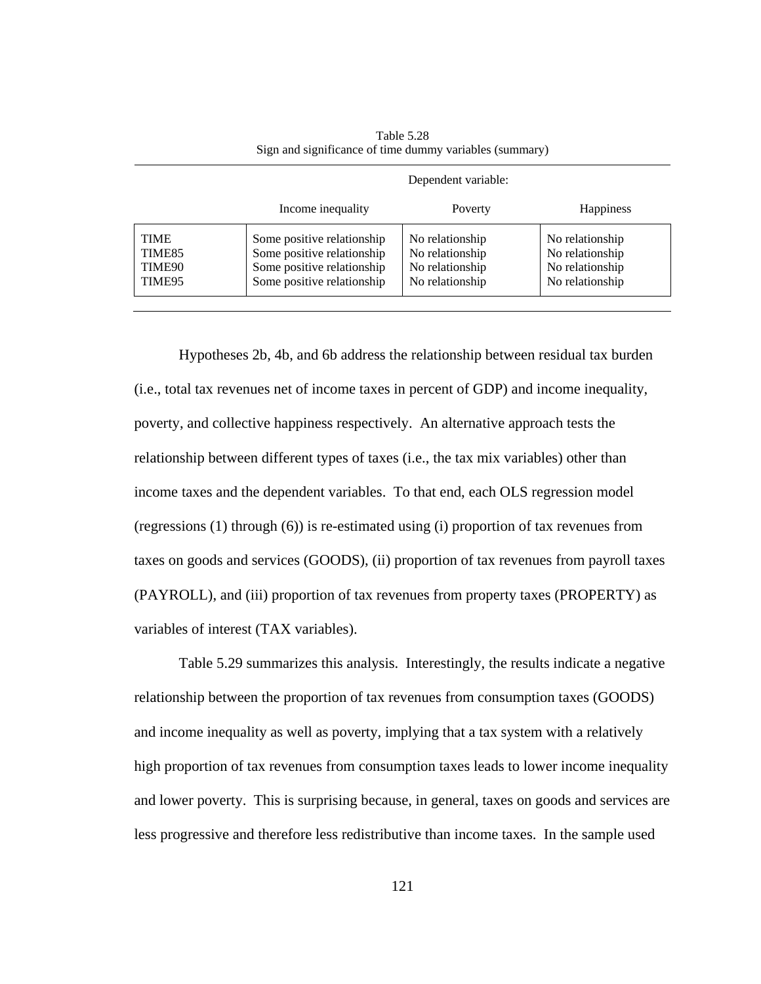|                                           | Dependent variable:                                                                                                  |                                                                          |                                                                          |  |  |
|-------------------------------------------|----------------------------------------------------------------------------------------------------------------------|--------------------------------------------------------------------------|--------------------------------------------------------------------------|--|--|
|                                           | Income inequality                                                                                                    | Poverty                                                                  | <b>Happiness</b>                                                         |  |  |
| <b>TIME</b><br>TIME85<br>TIME90<br>TIME95 | Some positive relationship<br>Some positive relationship<br>Some positive relationship<br>Some positive relationship | No relationship<br>No relationship<br>No relationship<br>No relationship | No relationship<br>No relationship<br>No relationship<br>No relationship |  |  |

Table 5.28 Sign and significance of time dummy variables (summary)

Hypotheses 2b, 4b, and 6b address the relationship between residual tax burden (i.e., total tax revenues net of income taxes in percent of GDP) and income inequality, poverty, and collective happiness respectively. An alternative approach tests the relationship between different types of taxes (i.e., the tax mix variables) other than income taxes and the dependent variables. To that end, each OLS regression model (regressions (1) through (6)) is re-estimated using (i) proportion of tax revenues from taxes on goods and services (GOODS), (ii) proportion of tax revenues from payroll taxes (PAYROLL), and (iii) proportion of tax revenues from property taxes (PROPERTY) as variables of interest (TAX variables).

Table 5.29 summarizes this analysis. Interestingly, the results indicate a negative relationship between the proportion of tax revenues from consumption taxes (GOODS) and income inequality as well as poverty, implying that a tax system with a relatively high proportion of tax revenues from consumption taxes leads to lower income inequality and lower poverty. This is surprising because, in general, taxes on goods and services are less progressive and therefore less redistributive than income taxes. In the sample used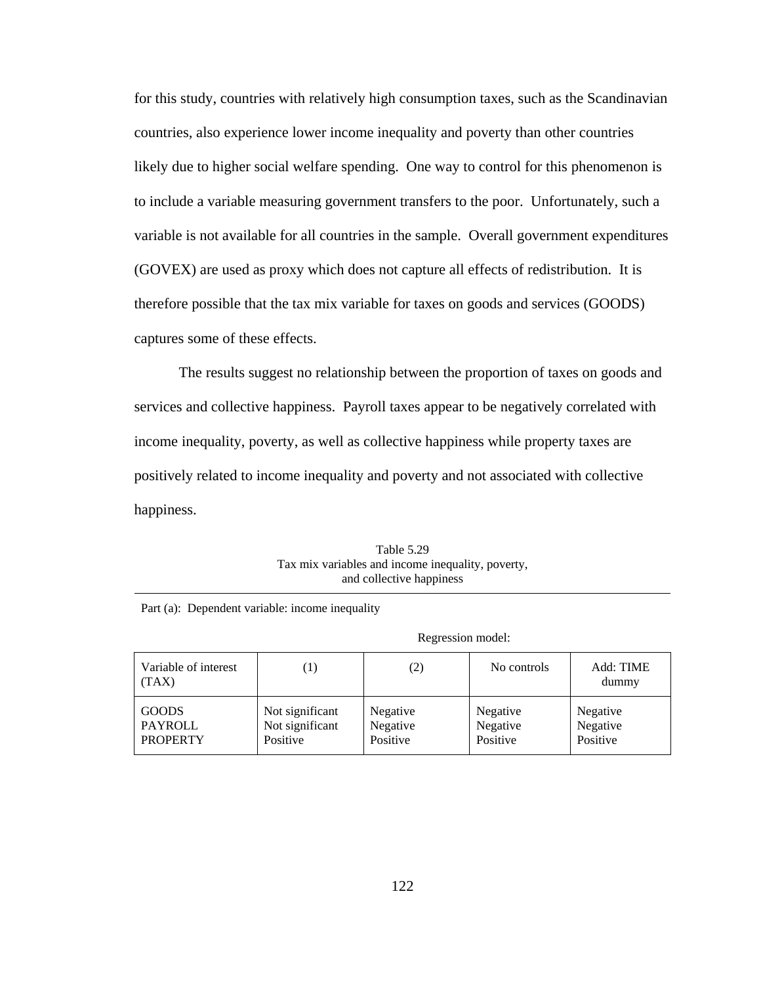for this study, countries with relatively high consumption taxes, such as the Scandinavian countries, also experience lower income inequality and poverty than other countries likely due to higher social welfare spending. One way to control for this phenomenon is to include a variable measuring government transfers to the poor. Unfortunately, such a variable is not available for all countries in the sample. Overall government expenditures (GOVEX) are used as proxy which does not capture all effects of redistribution. It is therefore possible that the tax mix variable for taxes on goods and services (GOODS) captures some of these effects.

The results suggest no relationship between the proportion of taxes on goods and services and collective happiness. Payroll taxes appear to be negatively correlated with income inequality, poverty, as well as collective happiness while property taxes are positively related to income inequality and poverty and not associated with collective happiness.

| Table 5.29                                        |
|---------------------------------------------------|
| Tax mix variables and income inequality, poverty, |
| and collective happiness                          |

|                                            | Regression model:                              |                                  |                                  |                                  |  |
|--------------------------------------------|------------------------------------------------|----------------------------------|----------------------------------|----------------------------------|--|
| Variable of interest<br>(TAX)              | $\left( 1\right)$                              | (2)                              | No controls                      | Add: TIME<br>dummy               |  |
| <b>GOODS</b><br>PAYROLL<br><b>PROPERTY</b> | Not significant<br>Not significant<br>Positive | Negative<br>Negative<br>Positive | Negative<br>Negative<br>Positive | Negative<br>Negative<br>Positive |  |

Part (a): Dependent variable: income inequality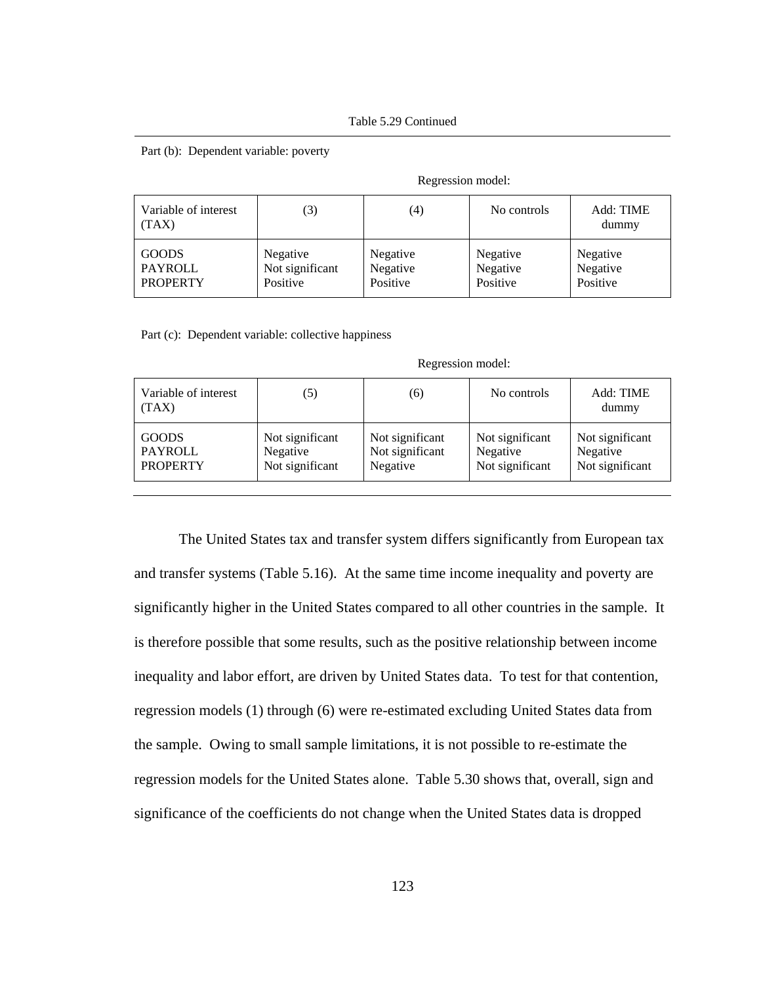Part (b): Dependent variable: poverty

| Variable of interest<br>(TAX) | (3)             | (4)      | No controls | Add: TIME<br>dummy |
|-------------------------------|-----------------|----------|-------------|--------------------|
| <b>GOODS</b>                  | Negative        | Negative | Negative    | Negative           |
| PAYROLL                       | Not significant | Negative | Negative    | Negative           |
| <b>PROPERTY</b>               | Positive        | Positive | Positive    | Positive           |

Regression model:

Part (c): Dependent variable: collective happiness

| Variable of interest<br>(TAX) | (5)             | (6)             | No controls     | Add: TIME<br>dummy |
|-------------------------------|-----------------|-----------------|-----------------|--------------------|
| <b>GOODS</b>                  | Not significant | Not significant | Not significant | Not significant    |
| PAYROLL                       | Negative        | Not significant | Negative        | Negative           |
| <b>PROPERTY</b>               | Not significant | Negative        | Not significant | Not significant    |

Regression model:

The United States tax and transfer system differs significantly from European tax and transfer systems (Table 5.16). At the same time income inequality and poverty are significantly higher in the United States compared to all other countries in the sample. It is therefore possible that some results, such as the positive relationship between income inequality and labor effort, are driven by United States data. To test for that contention, regression models (1) through (6) were re-estimated excluding United States data from the sample. Owing to small sample limitations, it is not possible to re-estimate the regression models for the United States alone. Table 5.30 shows that, overall, sign and significance of the coefficients do not change when the United States data is dropped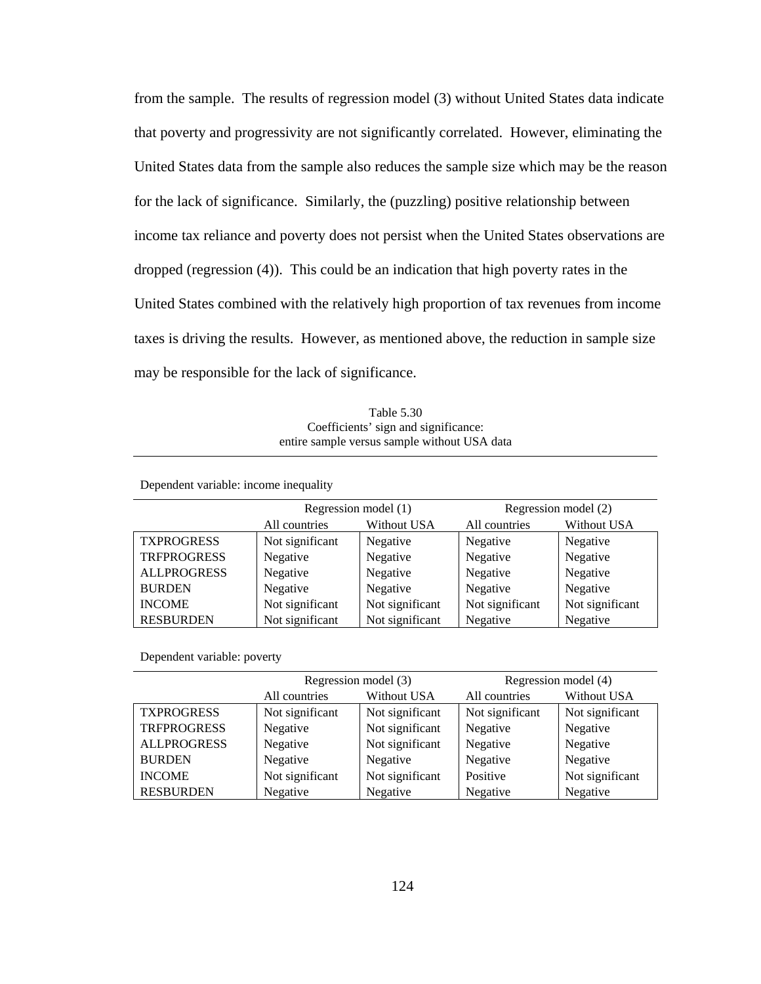from the sample. The results of regression model (3) without United States data indicate that poverty and progressivity are not significantly correlated. However, eliminating the United States data from the sample also reduces the sample size which may be the reason for the lack of significance. Similarly, the (puzzling) positive relationship between income tax reliance and poverty does not persist when the United States observations are dropped (regression (4)). This could be an indication that high poverty rates in the United States combined with the relatively high proportion of tax revenues from income taxes is driving the results. However, as mentioned above, the reduction in sample size may be responsible for the lack of significance.

Table 5.30 Coefficients' sign and significance: entire sample versus sample without USA data

Dependent variable: income inequality

|                    | Regression model (1)                |                 | Regression model (2)                |                 |  |
|--------------------|-------------------------------------|-----------------|-------------------------------------|-----------------|--|
|                    | <b>Without USA</b><br>All countries |                 | <b>Without USA</b><br>All countries |                 |  |
| <b>TXPROGRESS</b>  | Not significant                     | Negative        | Negative                            | Negative        |  |
| <b>TRFPROGRESS</b> | Negative<br>Negative                |                 | Negative<br>Negative                |                 |  |
| <b>ALLPROGRESS</b> | Negative<br>Negative                |                 | Negative<br>Negative                |                 |  |
| <b>BURDEN</b>      | Negative                            | Negative        | Negative                            | Negative        |  |
| <b>INCOME</b>      | Not significant                     | Not significant | Not significant                     | Not significant |  |
| <b>RESBURDEN</b>   | Not significant<br>Not significant  |                 | Negative<br>Negative                |                 |  |

Dependent variable: poverty

|                    | Regression model (3)<br>Without USA<br>All countries |                 | Regression model (4) |                 |
|--------------------|------------------------------------------------------|-----------------|----------------------|-----------------|
|                    |                                                      |                 | All countries        | Without USA     |
| <b>TXPROGRESS</b>  | Not significant                                      | Not significant | Not significant      | Not significant |
| <b>TRFPROGRESS</b> | Not significant<br>Negative                          |                 | Negative             | Negative        |
| <b>ALLPROGRESS</b> | Not significant<br>Negative                          |                 | Negative             | Negative        |
| <b>BURDEN</b>      | Negative                                             | Negative        | Negative             | Negative        |
| <b>INCOME</b>      | Not significant                                      | Not significant | Positive             | Not significant |
| <b>RESBURDEN</b>   | Negative                                             | Negative        | Negative             | Negative        |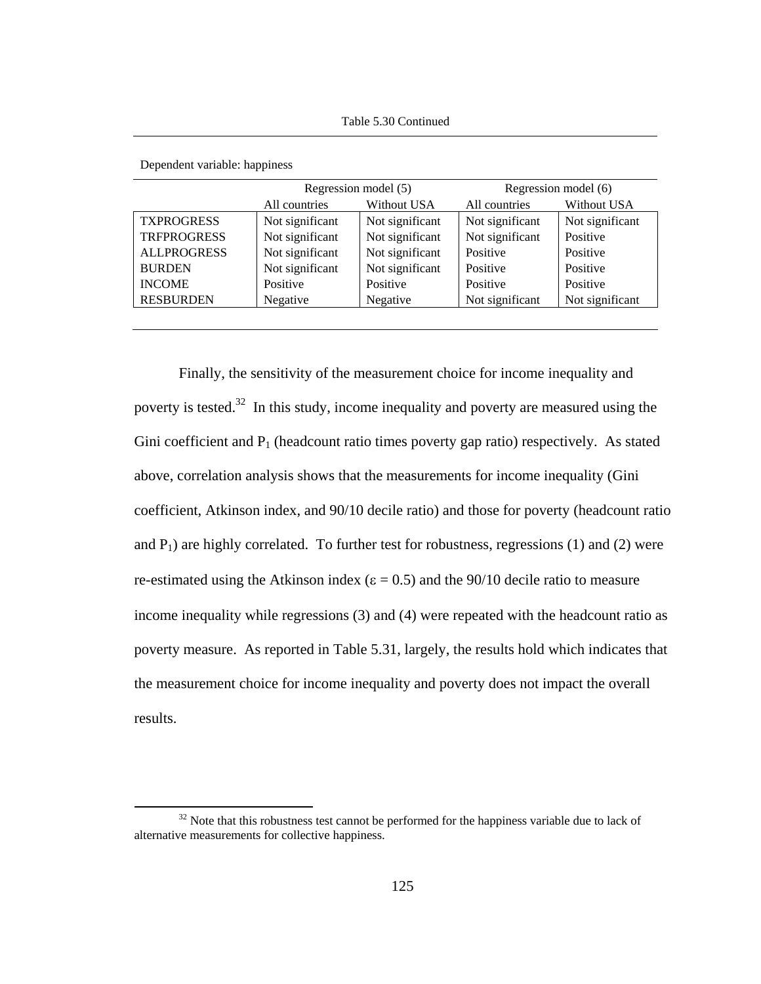|                    | Regression model (5)                |                                    |                                    | Regression model (6) |  |
|--------------------|-------------------------------------|------------------------------------|------------------------------------|----------------------|--|
|                    | All countries<br><b>Without USA</b> |                                    | All countries<br>Without USA       |                      |  |
| <b>TXPROGRESS</b>  | Not significant                     | Not significant<br>Not significant |                                    | Not significant      |  |
| <b>TRFPROGRESS</b> | Not significant<br>Not significant  |                                    | Not significant                    | Positive             |  |
| <b>ALLPROGRESS</b> | Not significant<br>Not significant  |                                    | Positive                           | Positive             |  |
| <b>BURDEN</b>      | Not significant<br>Not significant  |                                    | Positive                           | Positive             |  |
| <b>INCOME</b>      | Positive                            | Positive                           | Positive                           | Positive             |  |
| <b>RESBURDEN</b>   | Negative<br>Negative                |                                    | Not significant<br>Not significant |                      |  |
|                    |                                     |                                    |                                    |                      |  |

Dependent variable: happiness

Finally, the sensitivity of the measurement choice for income inequality and poverty is tested.<sup>32</sup> In this study, income inequality and poverty are measured using the Gini coefficient and  $P_1$  (headcount ratio times poverty gap ratio) respectively. As stated above, correlation analysis shows that the measurements for income inequality (Gini coefficient, Atkinson index, and 90/10 decile ratio) and those for poverty (headcount ratio and  $P_1$ ) are highly correlated. To further test for robustness, regressions (1) and (2) were re-estimated using the Atkinson index ( $\varepsilon = 0.5$ ) and the 90/10 decile ratio to measure income inequality while regressions (3) and (4) were repeated with the headcount ratio as poverty measure. As reported in Table 5.31, largely, the results hold which indicates that the measurement choice for income inequality and poverty does not impact the overall results.

 $32$  Note that this robustness test cannot be performed for the happiness variable due to lack of alternative measurements for collective happiness.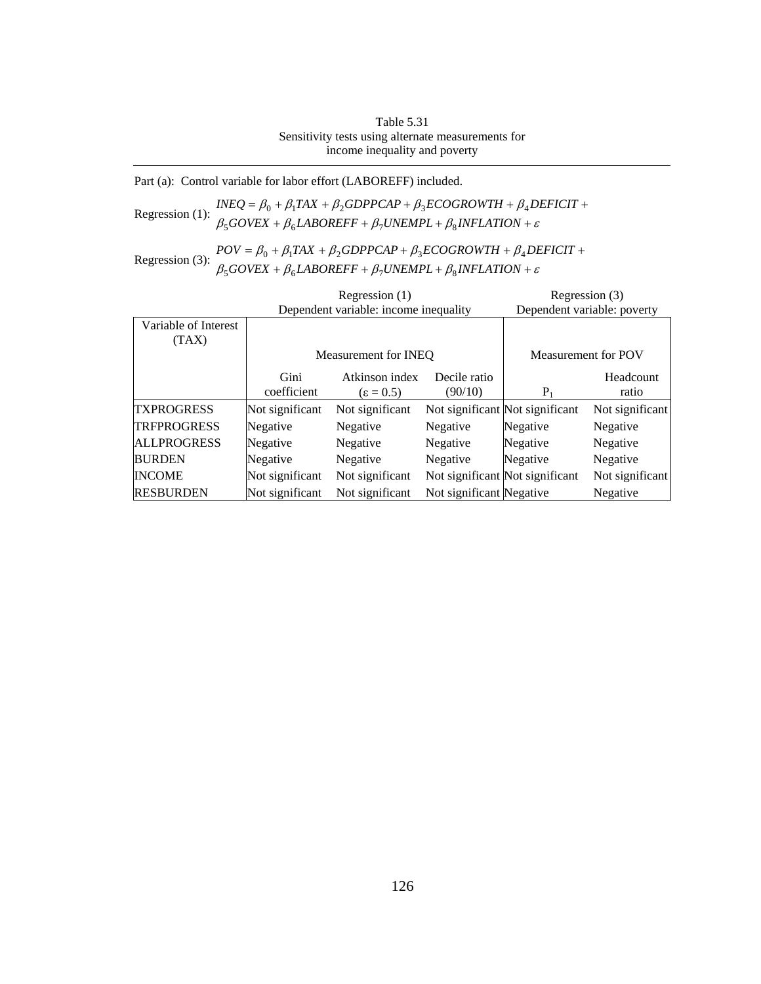Table 5.31 Sensitivity tests using alternate measurements for income inequality and poverty

Part (a): Control variable for labor effort (LABOREFF) included.

Regression (1):  $INEQ = \beta_0 + \beta_1 TAX + \beta_2 GDPPCAP + \beta_3 ECOGROWTH + \beta_4 D \beta_5 GOVEX + \beta_6 LABOREFF + \beta_7 UNEMPL + \beta_8 INFLATION + \varepsilon$ +  $\beta_6$ *LABOREFF* +  $\beta_7$ *UNEMPL* +  $\beta_8$ *INFLATION* +  $= \beta_0 + \beta_1 TAX + \beta_2 GDPPCAP + \beta_3 ECOGROWTH + \beta_4 DEFICIT +$  $GOVEX + \beta_6 LABOREFF + \beta_7 UNEMPL + \beta_8 INFLATION$  $INEQ = \beta_0 + \beta_1 TAX + \beta_2 GDPPCAP + \beta_3 ECOGROWTH + \beta_4 DEFICIT$  $500$ vea +  $\mu_6$ laduret +  $\mu_7$ uiveme l +  $\mu_8$  $0 + p_1 I A \Lambda + p_2 O D I I C A I + p_3 L C O O N O W I H + p_4$ 

Regression (3):  $POV = \beta_0 + \beta_1 TAX + \beta_2 GDPPCAP + \beta_3 ECOGROWTH + \beta_4 DE \beta_5 GOVEX + \beta_6 LABOREFF + \beta_7 UNEMPL + \beta_8 INFLATION + \varepsilon$  $+ \beta_6 LABOREFF + \beta_7 UNEMPL + \beta_8 INFLATION +$  $=\beta_0 + \beta_1 TAX + \beta_2 GDPPCAP + \beta_3 ECOGROWTH + \beta_4 DEFICIT +$  $GOVEX + \beta_6 LABOREFF + \beta_7 UNEMPL + \beta_8 INFLATION$  $POV = \beta_0 + \beta_1 TAX + \beta_2 GDPPCAP + \beta_3 ECOGROWTH + \beta_4 DEFICIT$  $500$ vea +  $\mu_6$ laduret +  $\mu_7$ uiveme l +  $\mu_8$  $0 + p_1 I A A + p_2 O D I T C A T + p_3 E C O O N O W I H + p_4$ 

|                      | Regression (1)                        |                                |                          | Regression (3)                  |                     |
|----------------------|---------------------------------------|--------------------------------|--------------------------|---------------------------------|---------------------|
|                      | Dependent variable: income inequality |                                |                          | Dependent variable: poverty     |                     |
| Variable of Interest |                                       |                                |                          |                                 |                     |
| (TAX)                |                                       |                                |                          |                                 |                     |
|                      |                                       | Measurement for INEO           |                          |                                 | Measurement for POV |
|                      | Gini                                  | Atkinson index<br>Decile ratio |                          |                                 | Headcount           |
|                      | coefficient                           | $\epsilon = 0.5$               | (90/10)                  | $P_1$                           | ratio               |
| <b>TXPROGRESS</b>    | Not significant                       | Not significant                |                          | Not significant Not significant | Not significant     |
| <b>TRFPROGRESS</b>   | Negative                              | Negative                       | Negative                 | Negative                        | Negative            |
| <b>ALLPROGRESS</b>   | Negative                              | Negative                       | Negative                 | Negative                        | Negative            |
| <b>BURDEN</b>        | Negative                              | Negative                       | Negative                 | Negative                        | Negative            |
| <b>INCOME</b>        | Not significant                       | Not significant                |                          | Not significant Not significant | Not significant     |
| <b>RESBURDEN</b>     | Not significant                       | Not significant                | Not significant Negative |                                 | Negative            |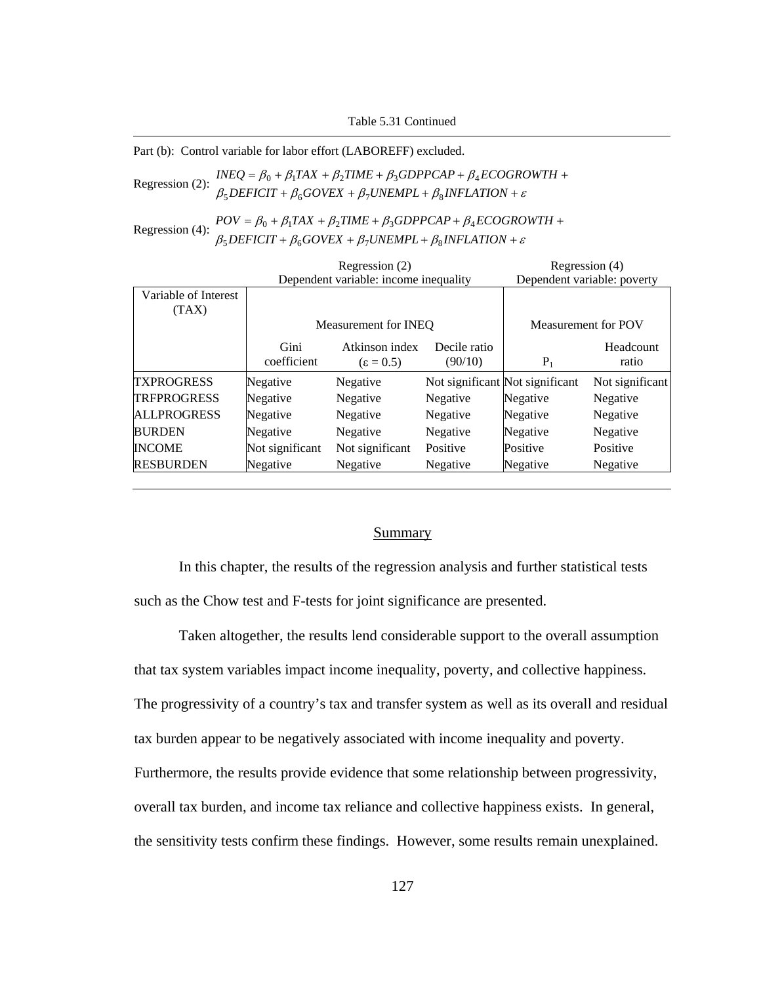Table 5.31 Continued

Part (b): Control variable for labor effort (LABOREFF) excluded.

Regression (2):  $\beta_5$ DEFICIT +  $\beta_6$ GOVEX +  $\beta_7$ UNEMPL +  $\beta_8$ INFLATION +  $\varepsilon$  $INEQ = \beta_0 + \beta_1 TAX + \beta_2 TIME + \beta_3 GDPPCAP + \beta_4 ECOGROWTH +$ 

Regression (4):  $POV = \beta_0 + \beta_1 TAX + \beta_2 TIME + \beta_3 GDPPCAP + \beta_4 ECOGROWTH +$ <br> $\beta_5 DEFICT + \beta_6 GOVEX + \beta_7 UNEMPL + \beta_8 INFLATION + \varepsilon$  $\beta_5$ DEFICIT +  $\beta_6$ GOVEX +  $\beta_7$ UNEMPL +  $\beta_8$ INFLATION +

|                      | Regression (2)                        |                  |              | Regression (4)                  |                 |
|----------------------|---------------------------------------|------------------|--------------|---------------------------------|-----------------|
|                      | Dependent variable: income inequality |                  |              | Dependent variable: poverty     |                 |
| Variable of Interest |                                       |                  |              |                                 |                 |
| (TAX)                |                                       |                  |              |                                 |                 |
|                      | Measurement for INEO                  |                  |              | Measurement for POV             |                 |
|                      | Gini                                  | Atkinson index   | Decile ratio |                                 | Headcount       |
|                      | coefficient                           | $\epsilon = 0.5$ | (90/10)      | $P_1$                           | ratio           |
| <b>TXPROGRESS</b>    | Negative                              | Negative         |              | Not significant Not significant | Not significant |
| <b>TRFPROGRESS</b>   | Negative                              | Negative         | Negative     | Negative                        | Negative        |
| <b>ALLPROGRESS</b>   | Negative                              | Negative         | Negative     | Negative                        | Negative        |
| <b>BURDEN</b>        | Negative                              | Negative         | Negative     | Negative                        | Negative        |
| <b>INCOME</b>        | Not significant                       | Not significant  | Positive     | Positive                        | Positive        |
| <b>RESBURDEN</b>     | Negative                              | Negative         | Negative     | Negative                        | Negative        |

## **Summary**

In this chapter, the results of the regression analysis and further statistical tests such as the Chow test and F-tests for joint significance are presented.

Taken altogether, the results lend considerable support to the overall assumption that tax system variables impact income inequality, poverty, and collective happiness. The progressivity of a country's tax and transfer system as well as its overall and residual tax burden appear to be negatively associated with income inequality and poverty. Furthermore, the results provide evidence that some relationship between progressivity, overall tax burden, and income tax reliance and collective happiness exists. In general, the sensitivity tests confirm these findings. However, some results remain unexplained.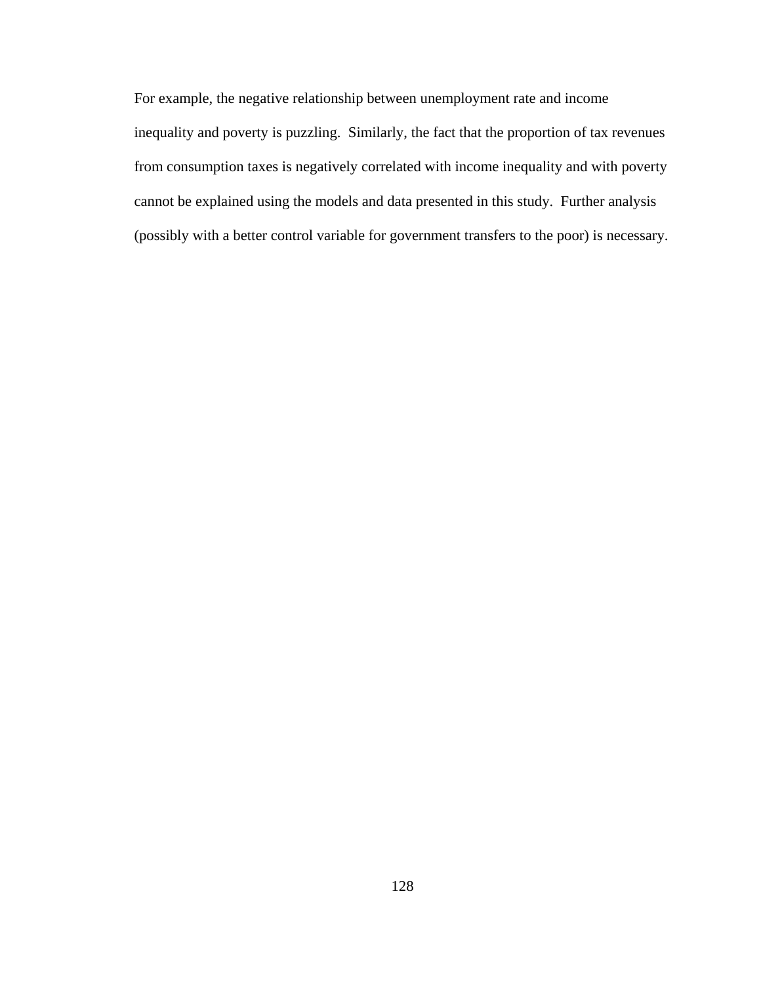For example, the negative relationship between unemployment rate and income inequality and poverty is puzzling. Similarly, the fact that the proportion of tax revenues from consumption taxes is negatively correlated with income inequality and with poverty cannot be explained using the models and data presented in this study. Further analysis (possibly with a better control variable for government transfers to the poor) is necessary.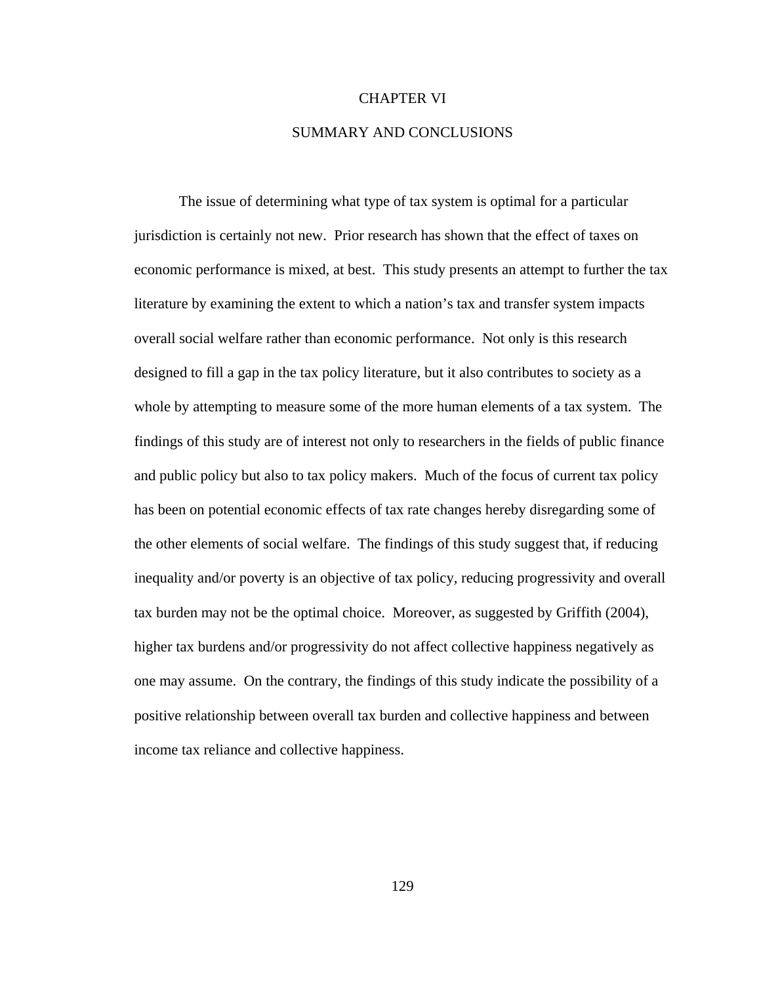## CHAPTER VI

# SUMMARY AND CONCLUSIONS

The issue of determining what type of tax system is optimal for a particular jurisdiction is certainly not new. Prior research has shown that the effect of taxes on economic performance is mixed, at best. This study presents an attempt to further the tax literature by examining the extent to which a nation's tax and transfer system impacts overall social welfare rather than economic performance. Not only is this research designed to fill a gap in the tax policy literature, but it also contributes to society as a whole by attempting to measure some of the more human elements of a tax system. The findings of this study are of interest not only to researchers in the fields of public finance and public policy but also to tax policy makers. Much of the focus of current tax policy has been on potential economic effects of tax rate changes hereby disregarding some of the other elements of social welfare. The findings of this study suggest that, if reducing inequality and/or poverty is an objective of tax policy, reducing progressivity and overall tax burden may not be the optimal choice. Moreover, as suggested by Griffith (2004), higher tax burdens and/or progressivity do not affect collective happiness negatively as one may assume. On the contrary, the findings of this study indicate the possibility of a positive relationship between overall tax burden and collective happiness and between income tax reliance and collective happiness.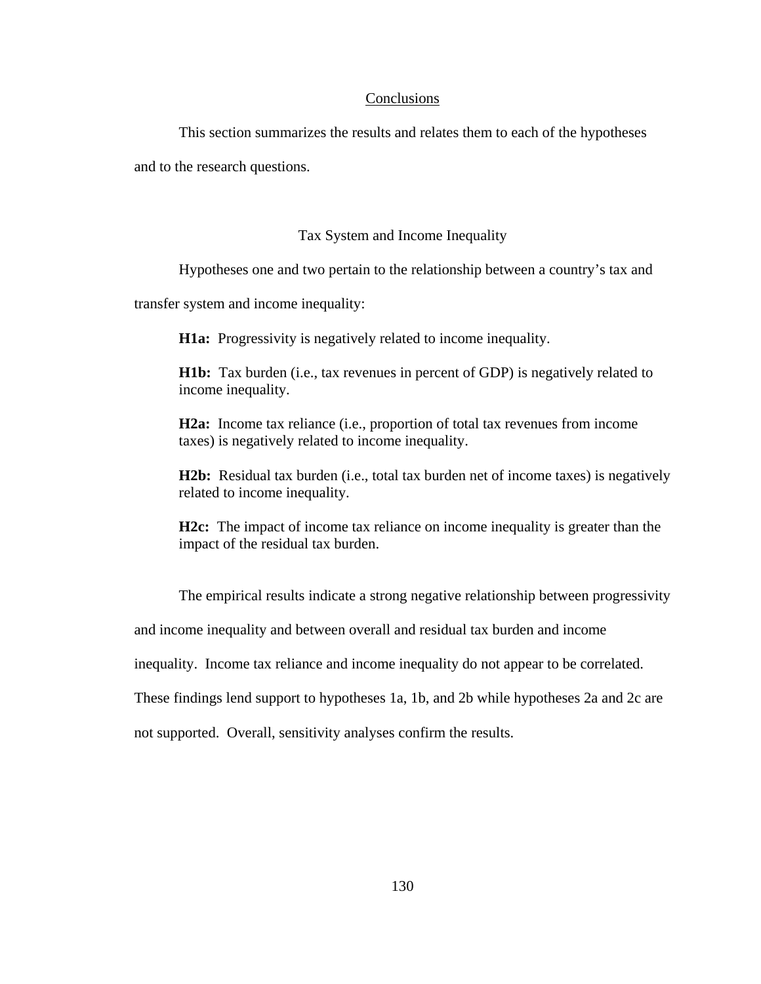# **Conclusions**

This section summarizes the results and relates them to each of the hypotheses

and to the research questions.

# Tax System and Income Inequality

Hypotheses one and two pertain to the relationship between a country's tax and

transfer system and income inequality:

**H1a:** Progressivity is negatively related to income inequality.

**H1b:** Tax burden (i.e., tax revenues in percent of GDP) is negatively related to income inequality.

**H2a:** Income tax reliance (i.e., proportion of total tax revenues from income taxes) is negatively related to income inequality.

**H2b:** Residual tax burden (i.e., total tax burden net of income taxes) is negatively related to income inequality.

**H2c:** The impact of income tax reliance on income inequality is greater than the impact of the residual tax burden.

The empirical results indicate a strong negative relationship between progressivity

and income inequality and between overall and residual tax burden and income

inequality. Income tax reliance and income inequality do not appear to be correlated.

These findings lend support to hypotheses 1a, 1b, and 2b while hypotheses 2a and 2c are

not supported. Overall, sensitivity analyses confirm the results.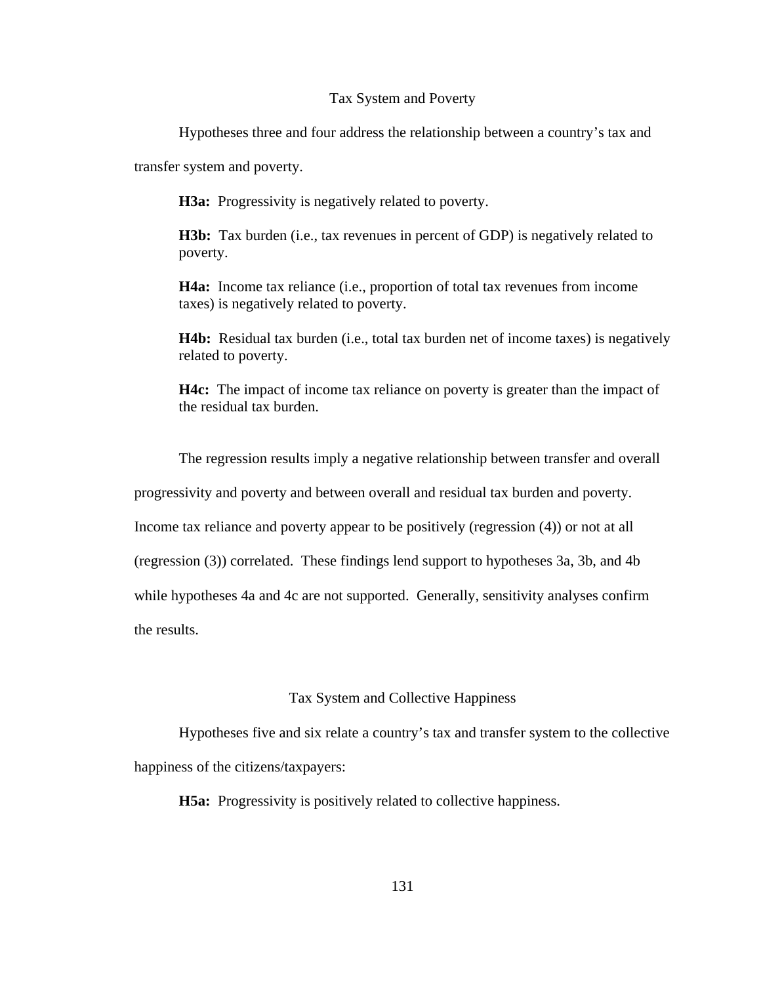## Tax System and Poverty

Hypotheses three and four address the relationship between a country's tax and

transfer system and poverty.

**H3a:** Progressivity is negatively related to poverty.

**H3b:** Tax burden (i.e., tax revenues in percent of GDP) is negatively related to poverty.

**H4a:** Income tax reliance (i.e., proportion of total tax revenues from income taxes) is negatively related to poverty.

**H4b:** Residual tax burden (i.e., total tax burden net of income taxes) is negatively related to poverty.

**H4c:** The impact of income tax reliance on poverty is greater than the impact of the residual tax burden.

The regression results imply a negative relationship between transfer and overall

progressivity and poverty and between overall and residual tax burden and poverty.

Income tax reliance and poverty appear to be positively (regression (4)) or not at all

(regression (3)) correlated. These findings lend support to hypotheses 3a, 3b, and 4b

while hypotheses 4a and 4c are not supported. Generally, sensitivity analyses confirm

the results.

## Tax System and Collective Happiness

Hypotheses five and six relate a country's tax and transfer system to the collective happiness of the citizens/taxpayers:

**H5a:** Progressivity is positively related to collective happiness.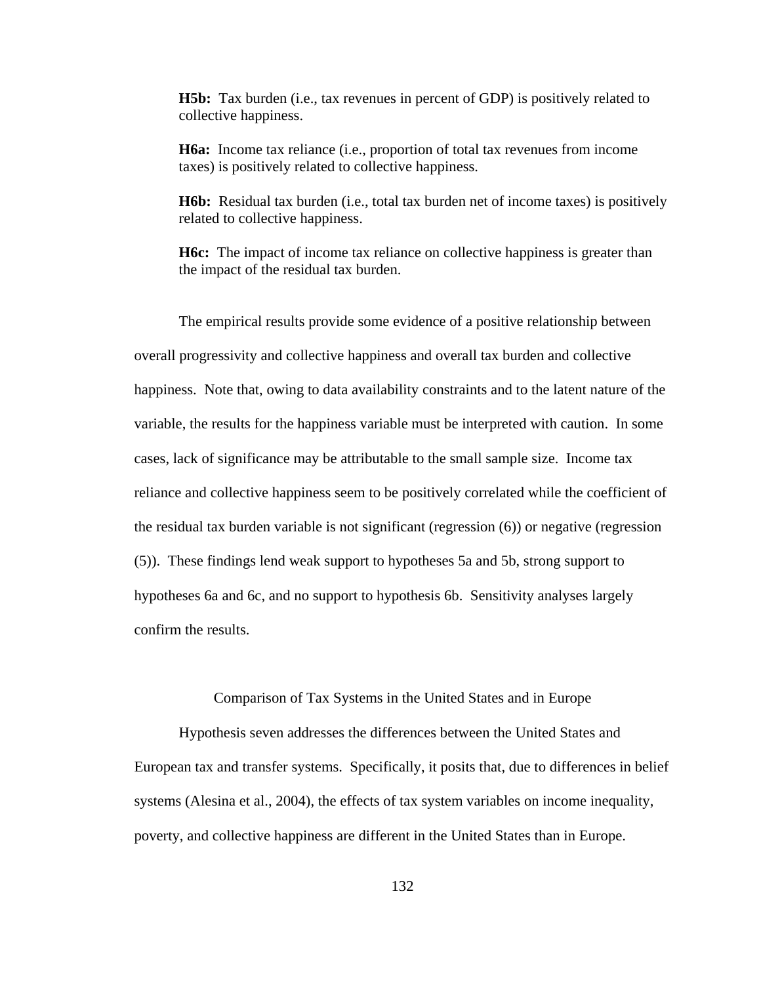**H5b:** Tax burden (i.e., tax revenues in percent of GDP) is positively related to collective happiness.

**H6a:** Income tax reliance (i.e., proportion of total tax revenues from income taxes) is positively related to collective happiness.

**H6b:** Residual tax burden (i.e., total tax burden net of income taxes) is positively related to collective happiness.

**H6c:** The impact of income tax reliance on collective happiness is greater than the impact of the residual tax burden.

The empirical results provide some evidence of a positive relationship between overall progressivity and collective happiness and overall tax burden and collective happiness. Note that, owing to data availability constraints and to the latent nature of the variable, the results for the happiness variable must be interpreted with caution. In some cases, lack of significance may be attributable to the small sample size. Income tax reliance and collective happiness seem to be positively correlated while the coefficient of the residual tax burden variable is not significant (regression (6)) or negative (regression (5)). These findings lend weak support to hypotheses 5a and 5b, strong support to hypotheses 6a and 6c, and no support to hypothesis 6b. Sensitivity analyses largely confirm the results.

Comparison of Tax Systems in the United States and in Europe

Hypothesis seven addresses the differences between the United States and European tax and transfer systems. Specifically, it posits that, due to differences in belief systems (Alesina et al., 2004), the effects of tax system variables on income inequality, poverty, and collective happiness are different in the United States than in Europe.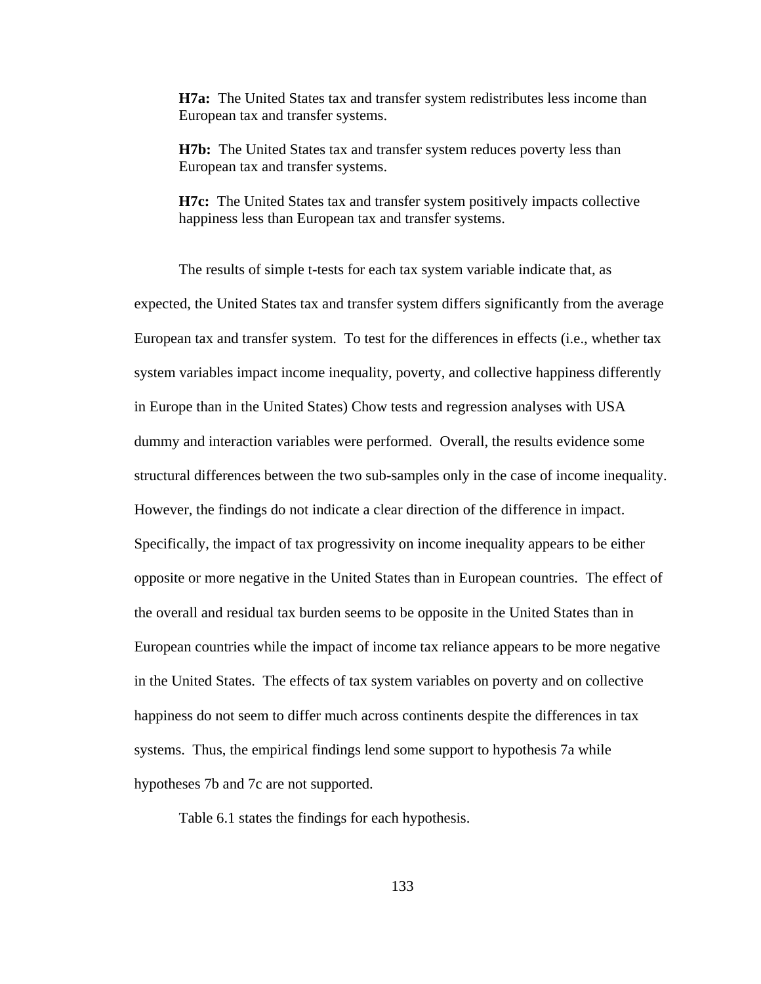**H7a:** The United States tax and transfer system redistributes less income than European tax and transfer systems.

**H7b:** The United States tax and transfer system reduces poverty less than European tax and transfer systems.

**H7c:** The United States tax and transfer system positively impacts collective happiness less than European tax and transfer systems.

The results of simple t-tests for each tax system variable indicate that, as expected, the United States tax and transfer system differs significantly from the average European tax and transfer system. To test for the differences in effects (i.e., whether tax system variables impact income inequality, poverty, and collective happiness differently in Europe than in the United States) Chow tests and regression analyses with USA dummy and interaction variables were performed. Overall, the results evidence some structural differences between the two sub-samples only in the case of income inequality. However, the findings do not indicate a clear direction of the difference in impact. Specifically, the impact of tax progressivity on income inequality appears to be either opposite or more negative in the United States than in European countries. The effect of the overall and residual tax burden seems to be opposite in the United States than in European countries while the impact of income tax reliance appears to be more negative in the United States. The effects of tax system variables on poverty and on collective happiness do not seem to differ much across continents despite the differences in tax systems. Thus, the empirical findings lend some support to hypothesis 7a while hypotheses 7b and 7c are not supported.

Table 6.1 states the findings for each hypothesis.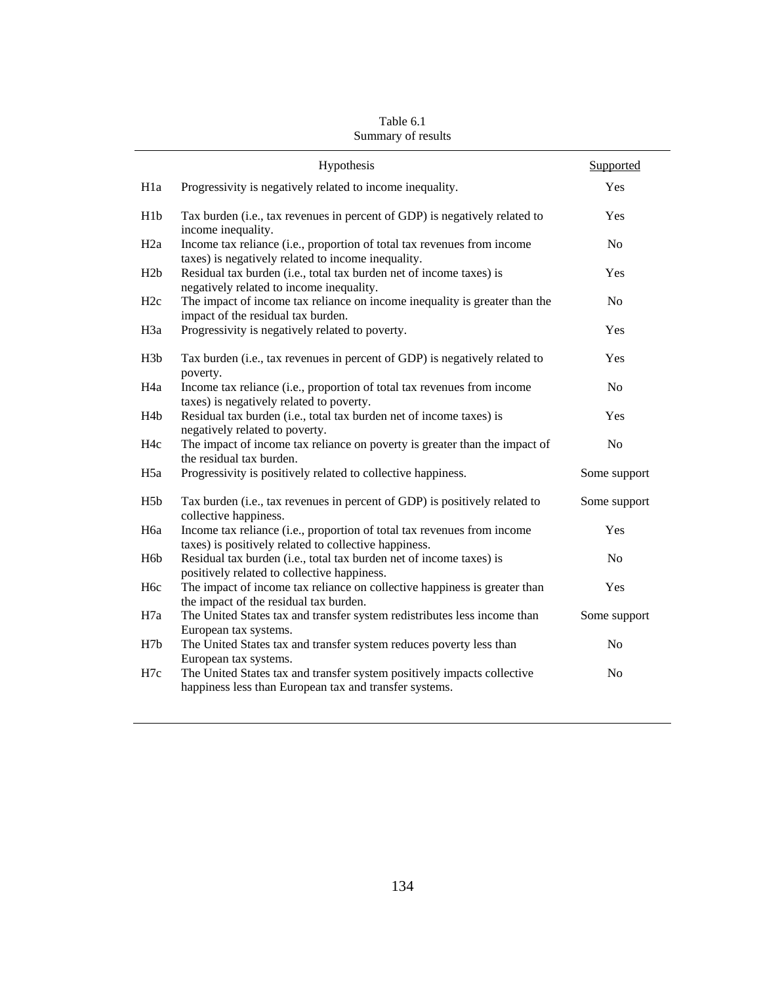|                  | Hypothesis                                                                                                                        | Supported      |
|------------------|-----------------------------------------------------------------------------------------------------------------------------------|----------------|
| H <sub>1</sub> a | Progressivity is negatively related to income inequality.                                                                         | Yes            |
| H <sub>1</sub> b | Tax burden (i.e., tax revenues in percent of GDP) is negatively related to<br>income inequality.                                  | Yes            |
| H <sub>2a</sub>  | Income tax reliance (i.e., proportion of total tax revenues from income<br>taxes) is negatively related to income inequality.     | N <sub>o</sub> |
| H2b              | Residual tax burden (i.e., total tax burden net of income taxes) is<br>negatively related to income inequality.                   | Yes            |
| H <sub>2c</sub>  | The impact of income tax reliance on income inequality is greater than the<br>impact of the residual tax burden.                  | N <sub>o</sub> |
| H <sub>3</sub> a | Progressivity is negatively related to poverty.                                                                                   | Yes            |
| H <sub>3</sub> b | Tax burden (i.e., tax revenues in percent of GDP) is negatively related to<br>poverty.                                            | Yes            |
| H <sub>4a</sub>  | Income tax reliance (i.e., proportion of total tax revenues from income<br>taxes) is negatively related to poverty.               | N <sub>0</sub> |
| H <sub>4</sub> b | Residual tax burden (i.e., total tax burden net of income taxes) is<br>negatively related to poverty.                             | Yes            |
| H <sub>4c</sub>  | The impact of income tax reliance on poverty is greater than the impact of<br>the residual tax burden.                            | N <sub>o</sub> |
| H <sub>5a</sub>  | Progressivity is positively related to collective happiness.                                                                      | Some support   |
| H <sub>5</sub> b | Tax burden (i.e., tax revenues in percent of GDP) is positively related to<br>collective happiness.                               | Some support   |
| H <sub>6a</sub>  | Income tax reliance (i.e., proportion of total tax revenues from income<br>taxes) is positively related to collective happiness.  | Yes            |
| H <sub>6</sub> b | Residual tax burden (i.e., total tax burden net of income taxes) is<br>positively related to collective happiness.                | N <sub>o</sub> |
| H <sub>6c</sub>  | The impact of income tax reliance on collective happiness is greater than<br>the impact of the residual tax burden.               | Yes            |
| H7a              | The United States tax and transfer system redistributes less income than<br>European tax systems.                                 | Some support   |
| H7b              | The United States tax and transfer system reduces poverty less than<br>European tax systems.                                      | N <sub>o</sub> |
| H7c              | The United States tax and transfer system positively impacts collective<br>happiness less than European tax and transfer systems. | No             |

Table 6.1 Summary of results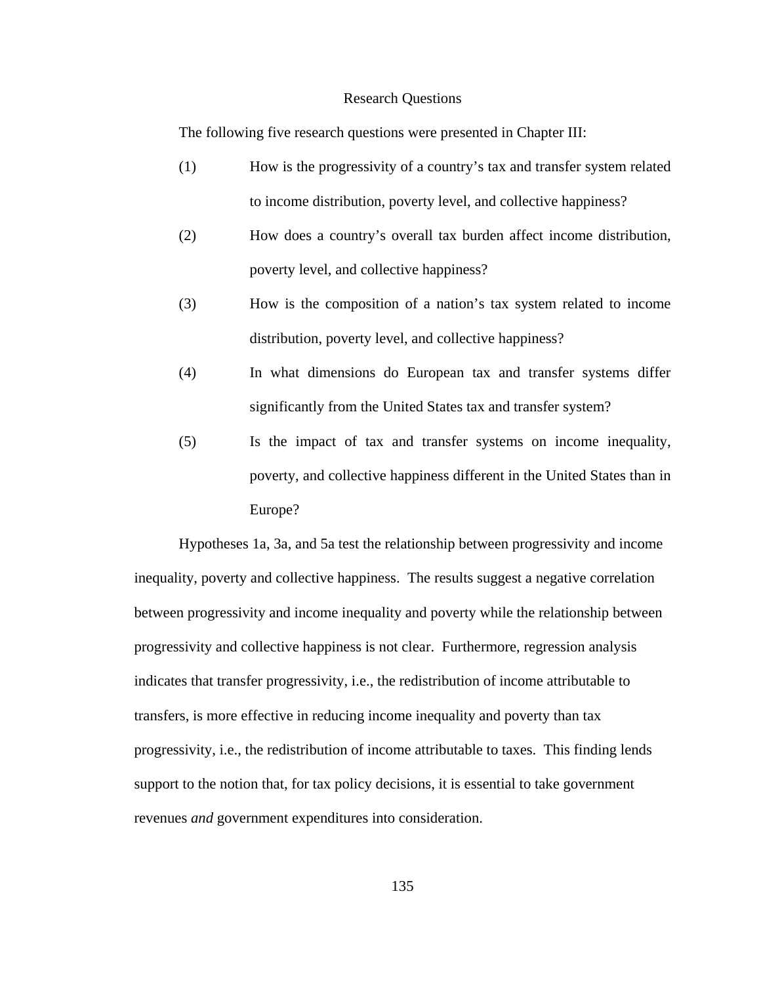#### Research Questions

The following five research questions were presented in Chapter III:

- (1) How is the progressivity of a country's tax and transfer system related to income distribution, poverty level, and collective happiness?
- (2) How does a country's overall tax burden affect income distribution, poverty level, and collective happiness?
- (3) How is the composition of a nation's tax system related to income distribution, poverty level, and collective happiness?
- (4) In what dimensions do European tax and transfer systems differ significantly from the United States tax and transfer system?
- (5) Is the impact of tax and transfer systems on income inequality, poverty, and collective happiness different in the United States than in Europe?

Hypotheses 1a, 3a, and 5a test the relationship between progressivity and income inequality, poverty and collective happiness. The results suggest a negative correlation between progressivity and income inequality and poverty while the relationship between progressivity and collective happiness is not clear. Furthermore, regression analysis indicates that transfer progressivity, i.e., the redistribution of income attributable to transfers, is more effective in reducing income inequality and poverty than tax progressivity, i.e., the redistribution of income attributable to taxes. This finding lends support to the notion that, for tax policy decisions, it is essential to take government revenues *and* government expenditures into consideration.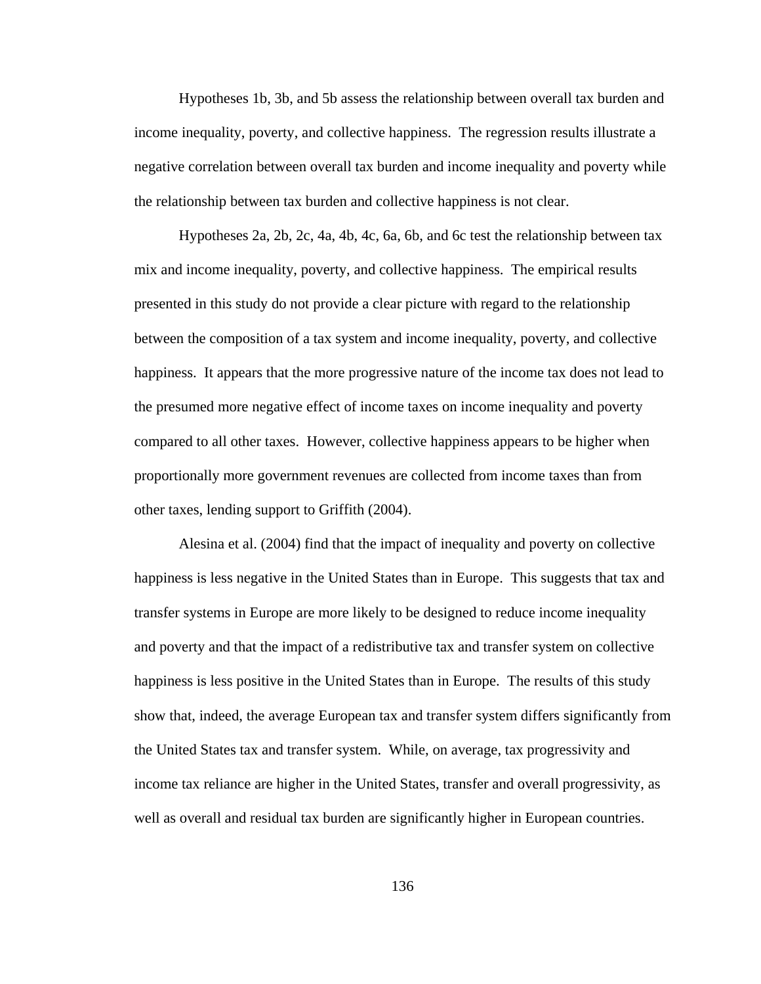Hypotheses 1b, 3b, and 5b assess the relationship between overall tax burden and income inequality, poverty, and collective happiness. The regression results illustrate a negative correlation between overall tax burden and income inequality and poverty while the relationship between tax burden and collective happiness is not clear.

Hypotheses 2a, 2b, 2c, 4a, 4b, 4c, 6a, 6b, and 6c test the relationship between tax mix and income inequality, poverty, and collective happiness. The empirical results presented in this study do not provide a clear picture with regard to the relationship between the composition of a tax system and income inequality, poverty, and collective happiness. It appears that the more progressive nature of the income tax does not lead to the presumed more negative effect of income taxes on income inequality and poverty compared to all other taxes. However, collective happiness appears to be higher when proportionally more government revenues are collected from income taxes than from other taxes, lending support to Griffith (2004).

Alesina et al. (2004) find that the impact of inequality and poverty on collective happiness is less negative in the United States than in Europe. This suggests that tax and transfer systems in Europe are more likely to be designed to reduce income inequality and poverty and that the impact of a redistributive tax and transfer system on collective happiness is less positive in the United States than in Europe. The results of this study show that, indeed, the average European tax and transfer system differs significantly from the United States tax and transfer system. While, on average, tax progressivity and income tax reliance are higher in the United States, transfer and overall progressivity, as well as overall and residual tax burden are significantly higher in European countries.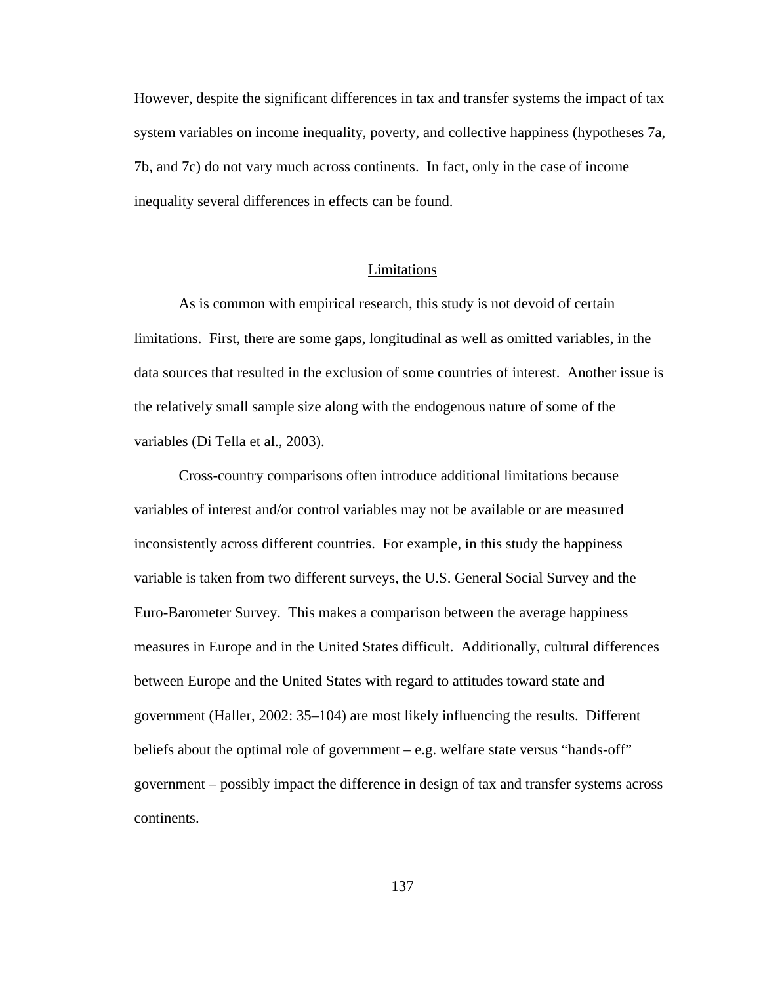However, despite the significant differences in tax and transfer systems the impact of tax system variables on income inequality, poverty, and collective happiness (hypotheses 7a, 7b, and 7c) do not vary much across continents. In fact, only in the case of income inequality several differences in effects can be found.

## Limitations

As is common with empirical research, this study is not devoid of certain limitations. First, there are some gaps, longitudinal as well as omitted variables, in the data sources that resulted in the exclusion of some countries of interest. Another issue is the relatively small sample size along with the endogenous nature of some of the variables (Di Tella et al., 2003).

Cross-country comparisons often introduce additional limitations because variables of interest and/or control variables may not be available or are measured inconsistently across different countries. For example, in this study the happiness variable is taken from two different surveys, the U.S. General Social Survey and the Euro-Barometer Survey. This makes a comparison between the average happiness measures in Europe and in the United States difficult. Additionally, cultural differences between Europe and the United States with regard to attitudes toward state and government (Haller, 2002: 35–104) are most likely influencing the results. Different beliefs about the optimal role of government – e.g. welfare state versus "hands-off" government – possibly impact the difference in design of tax and transfer systems across continents.

137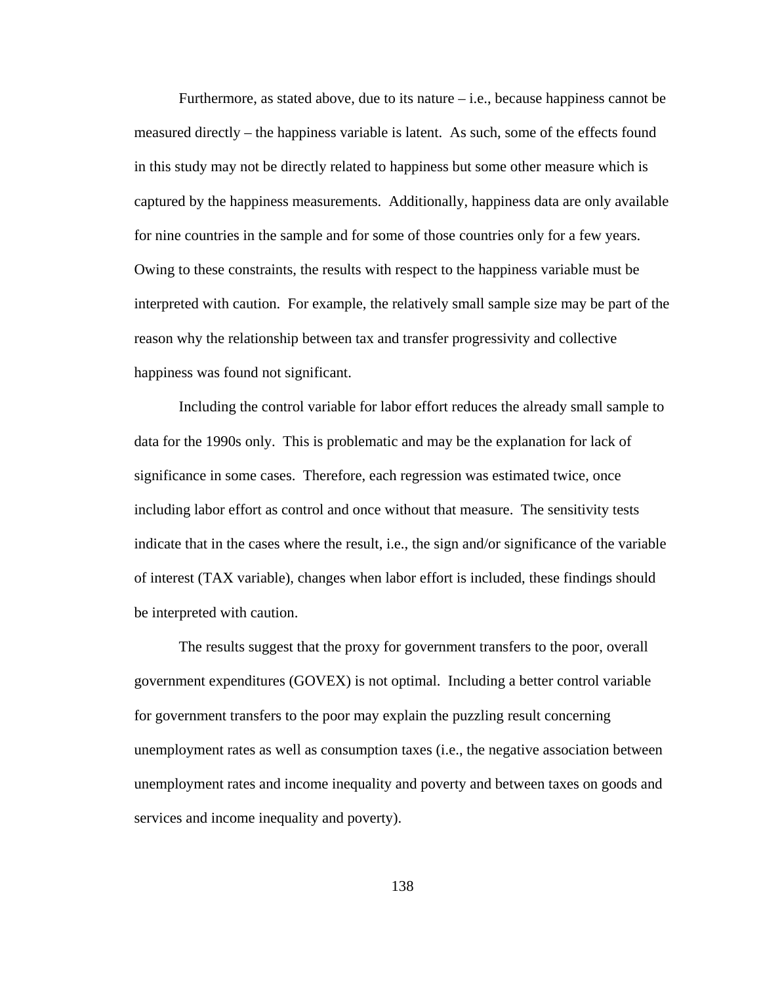Furthermore, as stated above, due to its nature  $-i.e.,$  because happiness cannot be measured directly – the happiness variable is latent. As such, some of the effects found in this study may not be directly related to happiness but some other measure which is captured by the happiness measurements. Additionally, happiness data are only available for nine countries in the sample and for some of those countries only for a few years. Owing to these constraints, the results with respect to the happiness variable must be interpreted with caution. For example, the relatively small sample size may be part of the reason why the relationship between tax and transfer progressivity and collective happiness was found not significant.

Including the control variable for labor effort reduces the already small sample to data for the 1990s only. This is problematic and may be the explanation for lack of significance in some cases. Therefore, each regression was estimated twice, once including labor effort as control and once without that measure. The sensitivity tests indicate that in the cases where the result, i.e., the sign and/or significance of the variable of interest (TAX variable), changes when labor effort is included, these findings should be interpreted with caution.

The results suggest that the proxy for government transfers to the poor, overall government expenditures (GOVEX) is not optimal. Including a better control variable for government transfers to the poor may explain the puzzling result concerning unemployment rates as well as consumption taxes (i.e., the negative association between unemployment rates and income inequality and poverty and between taxes on goods and services and income inequality and poverty).

138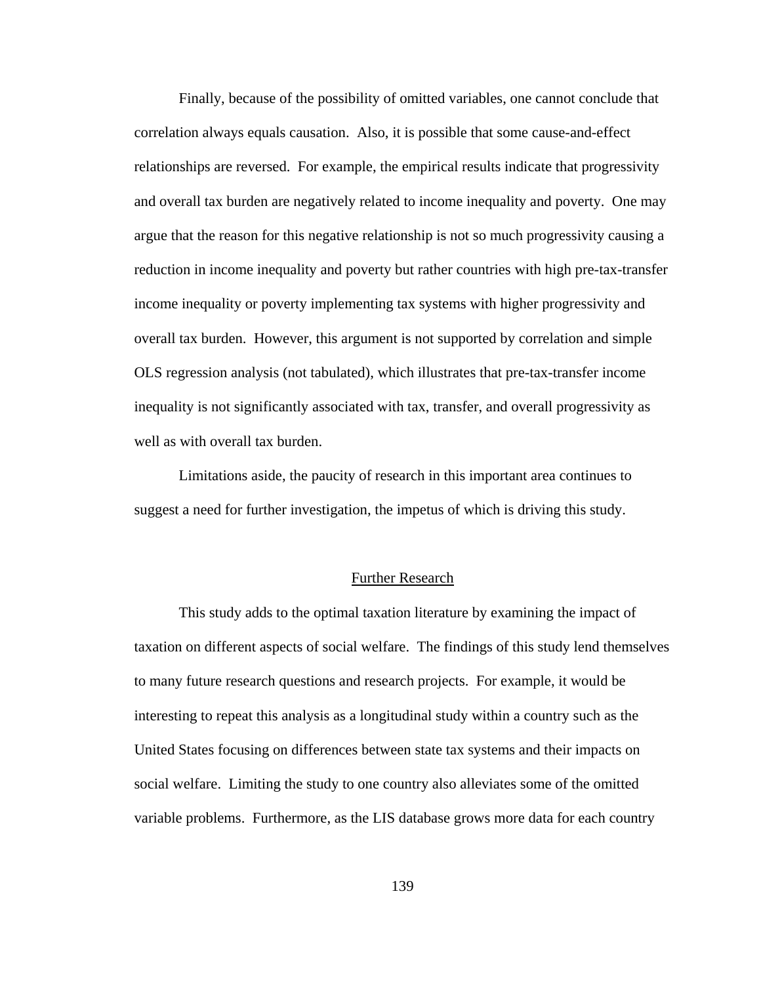Finally, because of the possibility of omitted variables, one cannot conclude that correlation always equals causation. Also, it is possible that some cause-and-effect relationships are reversed. For example, the empirical results indicate that progressivity and overall tax burden are negatively related to income inequality and poverty. One may argue that the reason for this negative relationship is not so much progressivity causing a reduction in income inequality and poverty but rather countries with high pre-tax-transfer income inequality or poverty implementing tax systems with higher progressivity and overall tax burden. However, this argument is not supported by correlation and simple OLS regression analysis (not tabulated), which illustrates that pre-tax-transfer income inequality is not significantly associated with tax, transfer, and overall progressivity as well as with overall tax burden.

Limitations aside, the paucity of research in this important area continues to suggest a need for further investigation, the impetus of which is driving this study.

### Further Research

This study adds to the optimal taxation literature by examining the impact of taxation on different aspects of social welfare. The findings of this study lend themselves to many future research questions and research projects. For example, it would be interesting to repeat this analysis as a longitudinal study within a country such as the United States focusing on differences between state tax systems and their impacts on social welfare. Limiting the study to one country also alleviates some of the omitted variable problems. Furthermore, as the LIS database grows more data for each country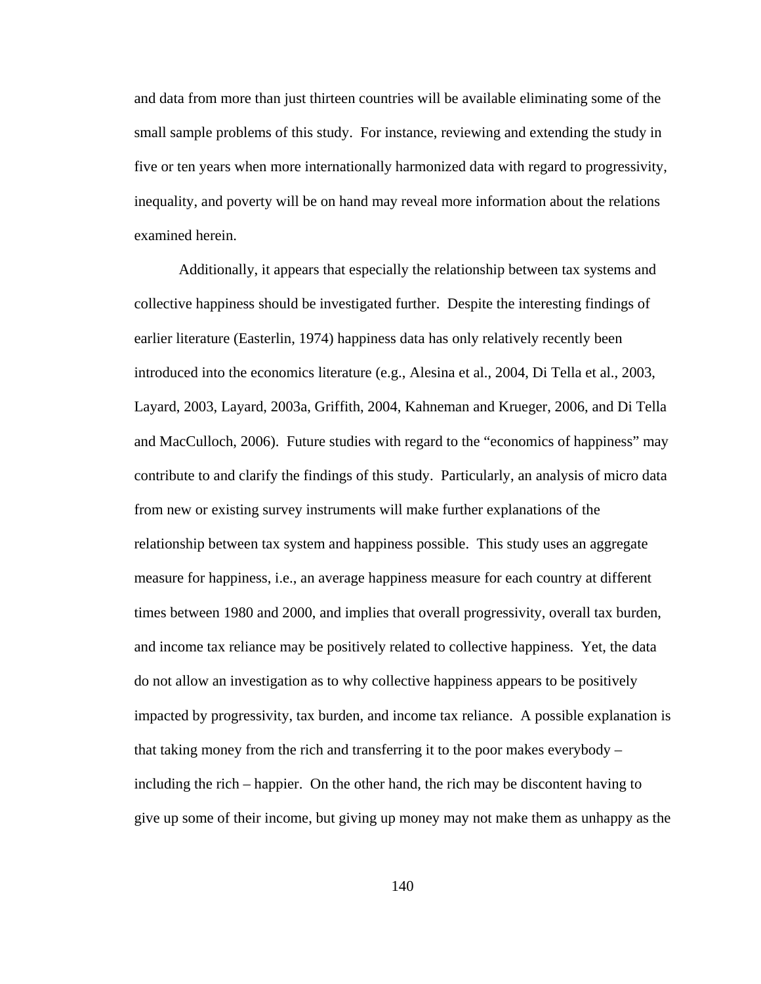and data from more than just thirteen countries will be available eliminating some of the small sample problems of this study. For instance, reviewing and extending the study in five or ten years when more internationally harmonized data with regard to progressivity, inequality, and poverty will be on hand may reveal more information about the relations examined herein.

Additionally, it appears that especially the relationship between tax systems and collective happiness should be investigated further. Despite the interesting findings of earlier literature (Easterlin, 1974) happiness data has only relatively recently been introduced into the economics literature (e.g., Alesina et al., 2004, Di Tella et al., 2003, Layard, 2003, Layard, 2003a, Griffith, 2004, Kahneman and Krueger, 2006, and Di Tella and MacCulloch, 2006). Future studies with regard to the "economics of happiness" may contribute to and clarify the findings of this study. Particularly, an analysis of micro data from new or existing survey instruments will make further explanations of the relationship between tax system and happiness possible. This study uses an aggregate measure for happiness, i.e., an average happiness measure for each country at different times between 1980 and 2000, and implies that overall progressivity, overall tax burden, and income tax reliance may be positively related to collective happiness. Yet, the data do not allow an investigation as to why collective happiness appears to be positively impacted by progressivity, tax burden, and income tax reliance. A possible explanation is that taking money from the rich and transferring it to the poor makes everybody – including the rich – happier. On the other hand, the rich may be discontent having to give up some of their income, but giving up money may not make them as unhappy as the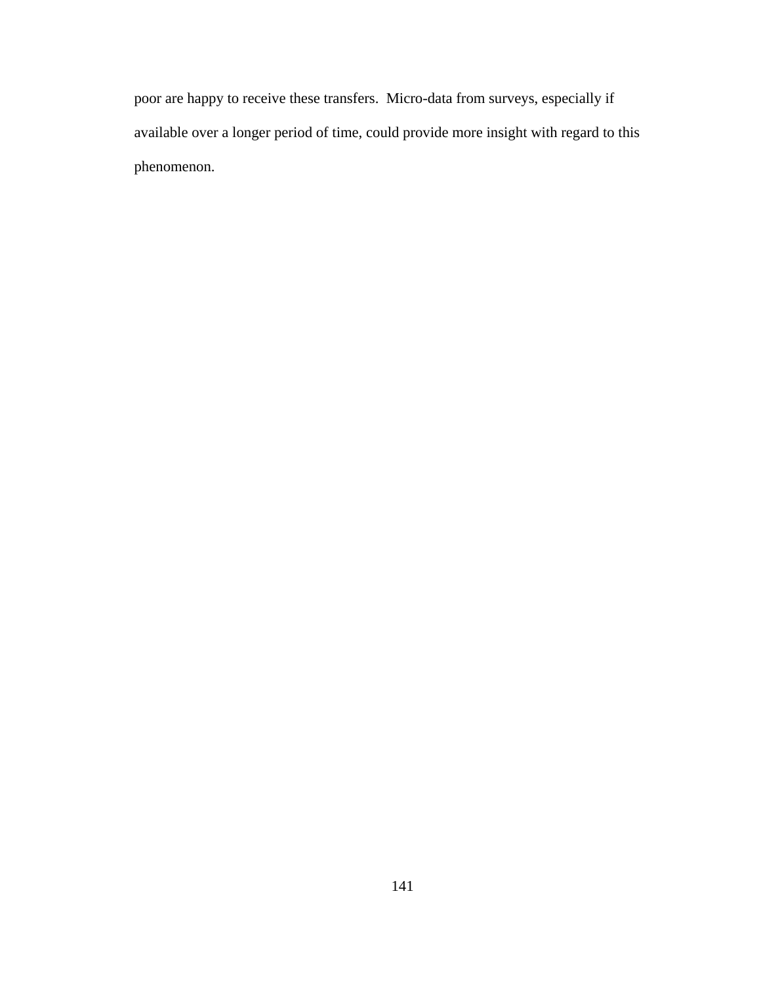poor are happy to receive these transfers. Micro-data from surveys, especially if available over a longer period of time, could provide more insight with regard to this phenomenon.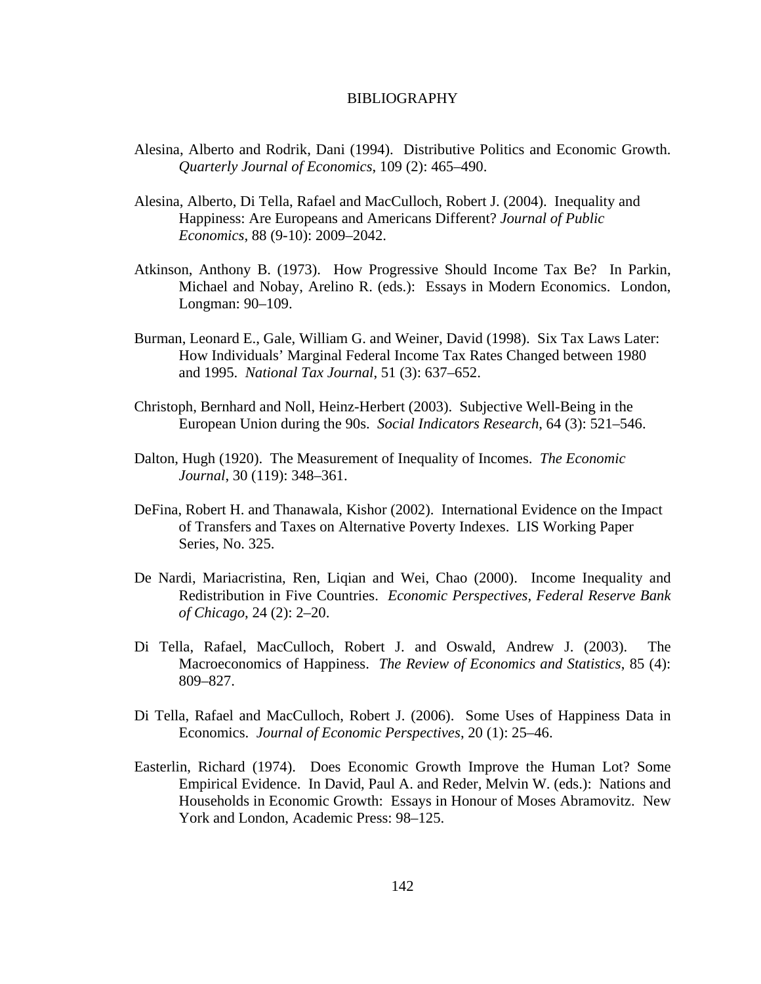#### BIBLIOGRAPHY

- Alesina, Alberto and Rodrik, Dani (1994). Distributive Politics and Economic Growth. *Quarterly Journal of Economics*, 109 (2): 465–490.
- Alesina, Alberto, Di Tella, Rafael and MacCulloch, Robert J. (2004). Inequality and Happiness: Are Europeans and Americans Different? *Journal of Public Economics*, 88 (9-10): 2009–2042.
- Atkinson, Anthony B. (1973). How Progressive Should Income Tax Be? In Parkin, Michael and Nobay, Arelino R. (eds.): Essays in Modern Economics. London, Longman: 90–109.
- Burman, Leonard E., Gale, William G. and Weiner, David (1998). Six Tax Laws Later: How Individuals' Marginal Federal Income Tax Rates Changed between 1980 and 1995. *National Tax Journal*, 51 (3): 637–652.
- Christoph, Bernhard and Noll, Heinz-Herbert (2003). Subjective Well-Being in the European Union during the 90s. *Social Indicators Research*, 64 (3): 521–546.
- Dalton, Hugh (1920). The Measurement of Inequality of Incomes. *The Economic Journal*, 30 (119): 348–361.
- DeFina, Robert H. and Thanawala, Kishor (2002). International Evidence on the Impact of Transfers and Taxes on Alternative Poverty Indexes. LIS Working Paper Series, No. 325.
- De Nardi, Mariacristina, Ren, Liqian and Wei, Chao (2000). Income Inequality and Redistribution in Five Countries. *Economic Perspectives, Federal Reserve Bank of Chicago*, 24 (2): 2–20.
- Di Tella, Rafael, MacCulloch, Robert J. and Oswald, Andrew J. (2003). The Macroeconomics of Happiness. *The Review of Economics and Statistics*, 85 (4): 809–827.
- Di Tella, Rafael and MacCulloch, Robert J. (2006). Some Uses of Happiness Data in Economics. *Journal of Economic Perspectives*, 20 (1): 25–46.
- Easterlin, Richard (1974). Does Economic Growth Improve the Human Lot? Some Empirical Evidence. In David, Paul A. and Reder, Melvin W. (eds.): Nations and Households in Economic Growth: Essays in Honour of Moses Abramovitz. New York and London, Academic Press: 98–125.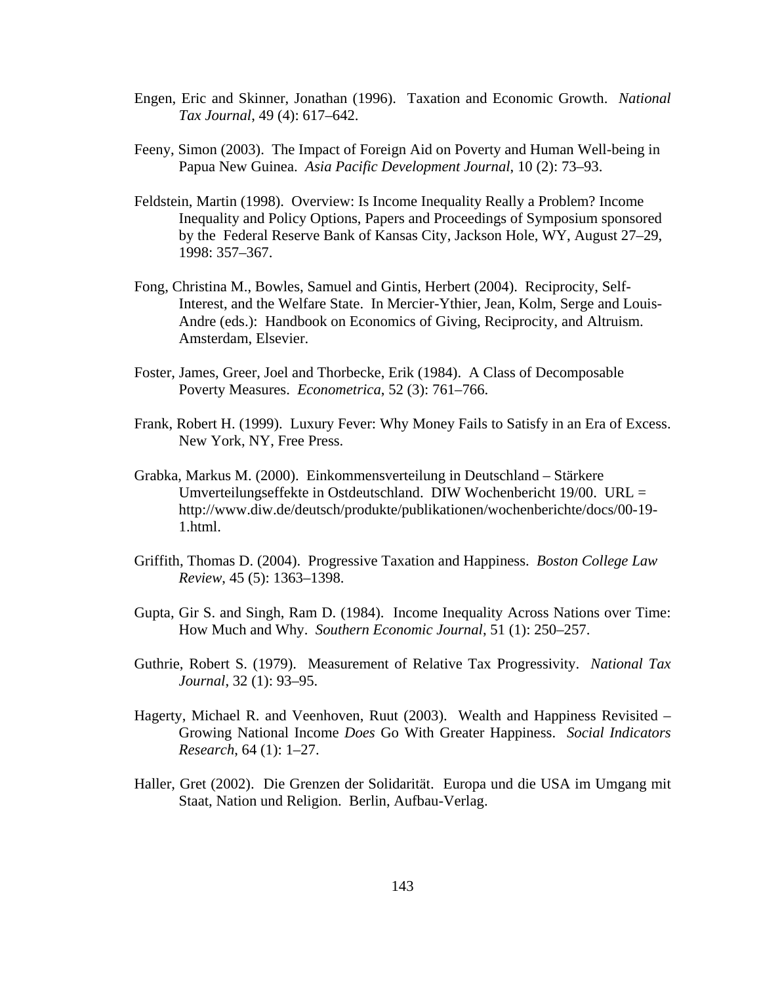- Engen, Eric and Skinner, Jonathan (1996). Taxation and Economic Growth. *National Tax Journal*, 49 (4): 617–642.
- Feeny, Simon (2003). The Impact of Foreign Aid on Poverty and Human Well-being in Papua New Guinea. *Asia Pacific Development Journal*, 10 (2): 73–93.
- Feldstein, Martin (1998). Overview: Is Income Inequality Really a Problem? Income Inequality and Policy Options, Papers and Proceedings of Symposium sponsored by the Federal Reserve Bank of Kansas City, Jackson Hole, WY, August 27–29, 1998: 357–367.
- Fong, Christina M., Bowles, Samuel and Gintis, Herbert (2004). Reciprocity, Self-Interest, and the Welfare State. In Mercier-Ythier, Jean, Kolm, Serge and Louis-Andre (eds.): Handbook on Economics of Giving, Reciprocity, and Altruism. Amsterdam, Elsevier.
- Foster, James, Greer, Joel and Thorbecke, Erik (1984). A Class of Decomposable Poverty Measures. *Econometrica*, 52 (3): 761–766.
- Frank, Robert H. (1999). Luxury Fever: Why Money Fails to Satisfy in an Era of Excess. New York, NY, Free Press.
- Grabka, Markus M. (2000). Einkommensverteilung in Deutschland Stärkere Umverteilungseffekte in Ostdeutschland. DIW Wochenbericht 19/00. URL = http://www.diw.de/deutsch/produkte/publikationen/wochenberichte/docs/00-19- 1.html.
- Griffith, Thomas D. (2004). Progressive Taxation and Happiness. *Boston College Law Review*, 45 (5): 1363–1398.
- Gupta, Gir S. and Singh, Ram D. (1984). Income Inequality Across Nations over Time: How Much and Why. *Southern Economic Journal*, 51 (1): 250–257.
- Guthrie, Robert S. (1979). Measurement of Relative Tax Progressivity. *National Tax Journal*, 32 (1): 93–95.
- Hagerty, Michael R. and Veenhoven, Ruut (2003). Wealth and Happiness Revisited Growing National Income *Does* Go With Greater Happiness. *Social Indicators Research*, 64 (1): 1–27.
- Haller, Gret (2002). Die Grenzen der Solidarität. Europa und die USA im Umgang mit Staat, Nation und Religion. Berlin, Aufbau-Verlag.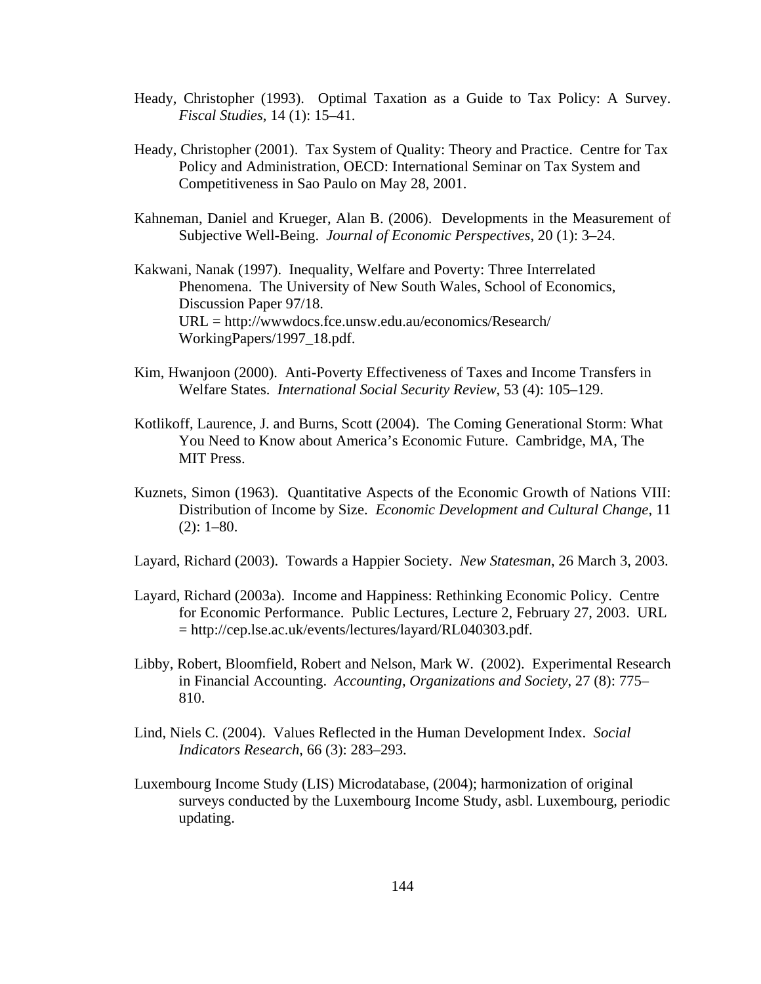- Heady, Christopher (1993). Optimal Taxation as a Guide to Tax Policy: A Survey. *Fiscal Studies*, 14 (1): 15–41.
- Heady, Christopher (2001). Tax System of Quality: Theory and Practice. Centre for Tax Policy and Administration, OECD: International Seminar on Tax System and Competitiveness in Sao Paulo on May 28, 2001.
- Kahneman, Daniel and Krueger, Alan B. (2006). Developments in the Measurement of Subjective Well-Being. *Journal of Economic Perspectives*, 20 (1): 3–24.

Kakwani, Nanak (1997). Inequality, Welfare and Poverty: Three Interrelated Phenomena. The University of New South Wales, School of Economics, Discussion Paper 97/18. URL = http://wwwdocs.fce.unsw.edu.au/economics/Research/ WorkingPapers/1997\_18.pdf.

- Kim, Hwanjoon (2000). Anti-Poverty Effectiveness of Taxes and Income Transfers in Welfare States. *International Social Security Review*, 53 (4): 105–129.
- Kotlikoff, Laurence, J. and Burns, Scott (2004). The Coming Generational Storm: What You Need to Know about America's Economic Future. Cambridge, MA, The MIT Press.
- Kuznets, Simon (1963). Quantitative Aspects of the Economic Growth of Nations VIII: Distribution of Income by Size. *Economic Development and Cultural Change*, 11  $(2): 1-80.$
- Layard, Richard (2003). Towards a Happier Society. *New Statesman*, 26 March 3, 2003.
- Layard, Richard (2003a). Income and Happiness: Rethinking Economic Policy. Centre for Economic Performance. Public Lectures, Lecture 2, February 27, 2003. URL = http://cep.lse.ac.uk/events/lectures/layard/RL040303.pdf.
- Libby, Robert, Bloomfield, Robert and Nelson, Mark W. (2002). Experimental Research in Financial Accounting. *Accounting, Organizations and Society*, 27 (8): 775– 810.
- Lind, Niels C. (2004). Values Reflected in the Human Development Index. *Social Indicators Research*, 66 (3): 283–293.
- Luxembourg Income Study (LIS) Microdatabase, (2004); harmonization of original surveys conducted by the Luxembourg Income Study, asbl. Luxembourg, periodic updating.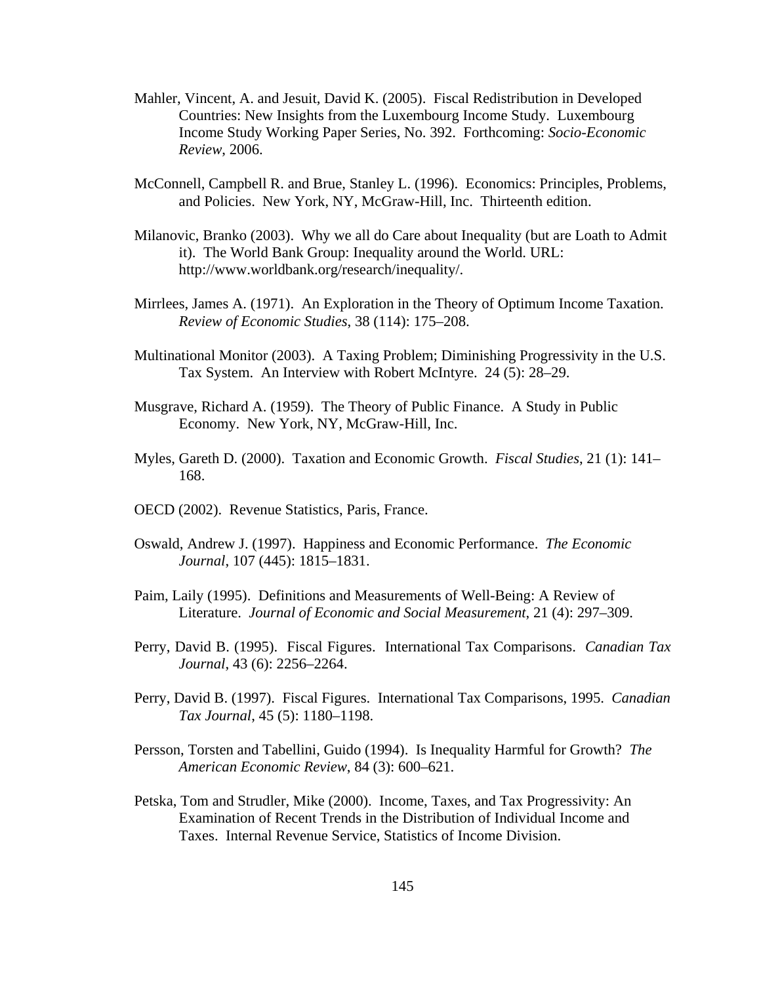- Mahler, Vincent, A. and Jesuit, David K. (2005). Fiscal Redistribution in Developed Countries: New Insights from the Luxembourg Income Study. Luxembourg Income Study Working Paper Series, No. 392. Forthcoming: *Socio-Economic Review*, 2006.
- McConnell, Campbell R. and Brue, Stanley L. (1996). Economics: Principles, Problems, and Policies. New York, NY, McGraw-Hill, Inc. Thirteenth edition.
- Milanovic, Branko (2003). Why we all do Care about Inequality (but are Loath to Admit it). The World Bank Group: Inequality around the World. URL: http://www.worldbank.org/research/inequality/.
- Mirrlees, James A. (1971). An Exploration in the Theory of Optimum Income Taxation. *Review of Economic Studies*, 38 (114): 175–208.
- Multinational Monitor (2003). A Taxing Problem; Diminishing Progressivity in the U.S. Tax System. An Interview with Robert McIntyre. 24 (5): 28–29.
- Musgrave, Richard A. (1959). The Theory of Public Finance. A Study in Public Economy. New York, NY, McGraw-Hill, Inc.
- Myles, Gareth D. (2000). Taxation and Economic Growth. *Fiscal Studies*, 21 (1): 141– 168.
- OECD (2002). Revenue Statistics, Paris, France.
- Oswald, Andrew J. (1997). Happiness and Economic Performance. *The Economic Journal*, 107 (445): 1815–1831.
- Paim, Laily (1995). Definitions and Measurements of Well-Being: A Review of Literature. *Journal of Economic and Social Measurement*, 21 (4): 297–309.
- Perry, David B. (1995). Fiscal Figures. International Tax Comparisons. *Canadian Tax Journal*, 43 (6): 2256–2264.
- Perry, David B. (1997). Fiscal Figures. International Tax Comparisons, 1995. *Canadian Tax Journal*, 45 (5): 1180–1198.
- Persson, Torsten and Tabellini, Guido (1994). Is Inequality Harmful for Growth? *The American Economic Review*, 84 (3): 600–621.
- Petska, Tom and Strudler, Mike (2000). Income, Taxes, and Tax Progressivity: An Examination of Recent Trends in the Distribution of Individual Income and Taxes. Internal Revenue Service, Statistics of Income Division.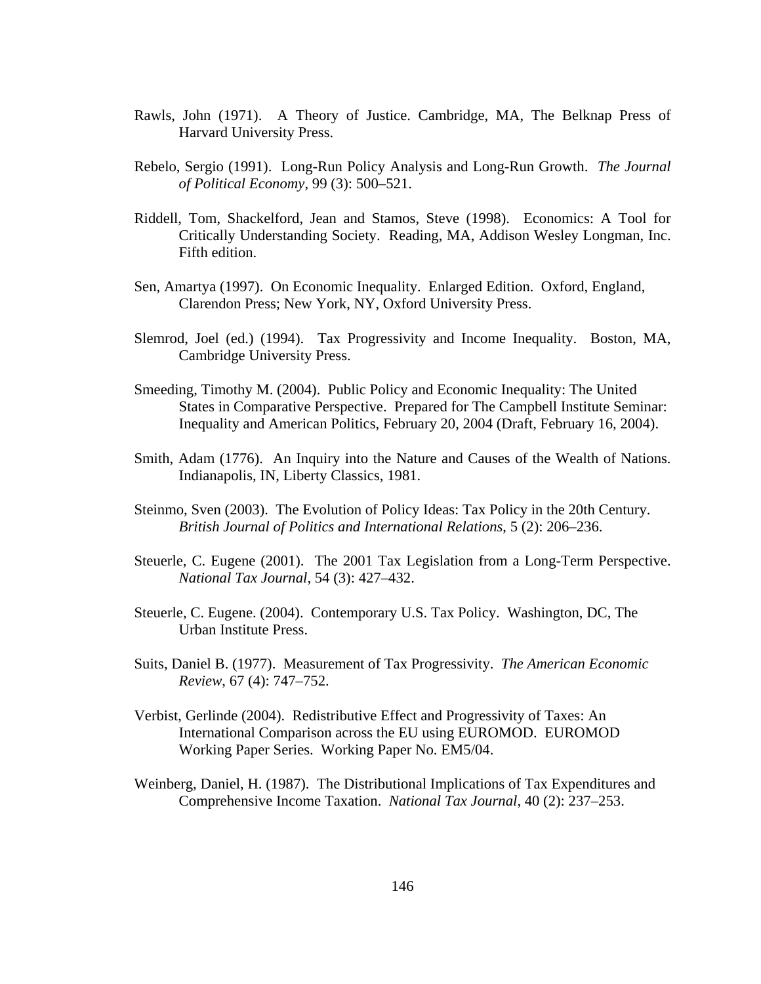- Rawls, John (1971). A Theory of Justice. Cambridge, MA, The Belknap Press of Harvard University Press.
- Rebelo, Sergio (1991). Long-Run Policy Analysis and Long-Run Growth. *The Journal of Political Economy*, 99 (3): 500–521.
- Riddell, Tom, Shackelford, Jean and Stamos, Steve (1998). Economics: A Tool for Critically Understanding Society. Reading, MA, Addison Wesley Longman, Inc. Fifth edition.
- Sen, Amartya (1997). On Economic Inequality. Enlarged Edition. Oxford, England, Clarendon Press; New York, NY, Oxford University Press.
- Slemrod, Joel (ed.) (1994). Tax Progressivity and Income Inequality. Boston, MA, Cambridge University Press.
- Smeeding, Timothy M. (2004). Public Policy and Economic Inequality: The United States in Comparative Perspective. Prepared for The Campbell Institute Seminar: Inequality and American Politics, February 20, 2004 (Draft, February 16, 2004).
- Smith, Adam (1776). An Inquiry into the Nature and Causes of the Wealth of Nations. Indianapolis, IN, Liberty Classics, 1981.
- Steinmo, Sven (2003). The Evolution of Policy Ideas: Tax Policy in the 20th Century. *British Journal of Politics and International Relations*, 5 (2): 206–236.
- Steuerle, C. Eugene (2001). The 2001 Tax Legislation from a Long-Term Perspective. *National Tax Journal*, 54 (3): 427–432.
- Steuerle, C. Eugene. (2004). Contemporary U.S. Tax Policy. Washington, DC, The Urban Institute Press.
- Suits, Daniel B. (1977). Measurement of Tax Progressivity. *The American Economic Review*, 67 (4): 747–752.
- Verbist, Gerlinde (2004). Redistributive Effect and Progressivity of Taxes: An International Comparison across the EU using EUROMOD. EUROMOD Working Paper Series. Working Paper No. EM5/04.
- Weinberg, Daniel, H. (1987). The Distributional Implications of Tax Expenditures and Comprehensive Income Taxation. *National Tax Journal*, 40 (2): 237–253.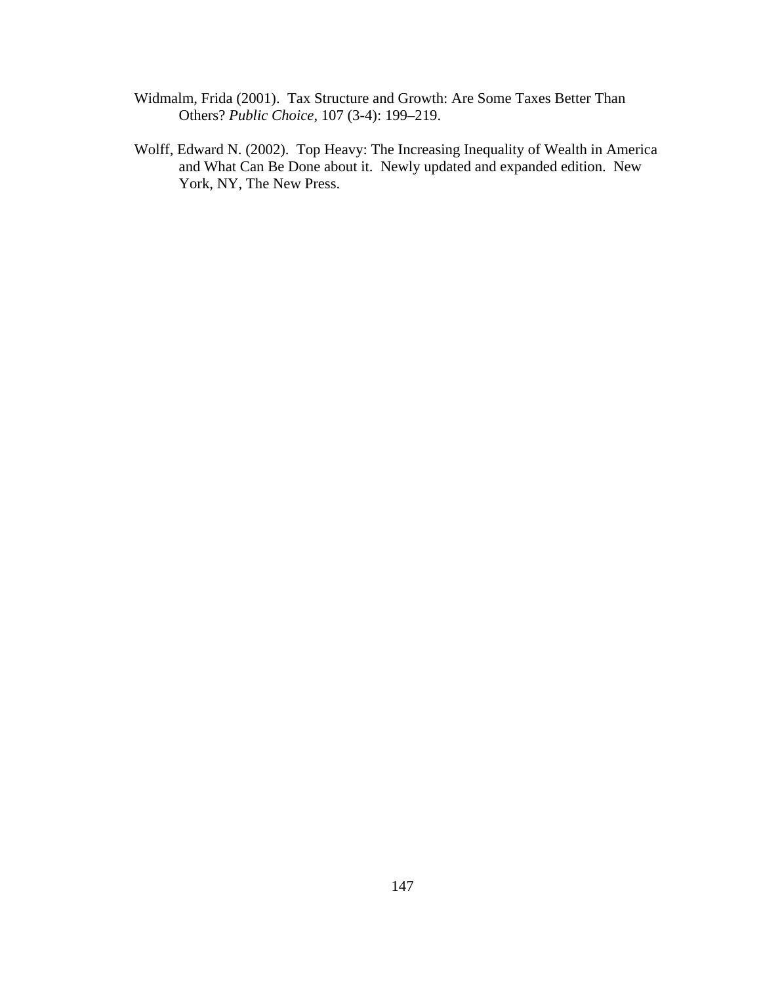- Widmalm, Frida (2001). Tax Structure and Growth: Are Some Taxes Better Than Others? *Public Choice*, 107 (3-4): 199–219.
- Wolff, Edward N. (2002). Top Heavy: The Increasing Inequality of Wealth in America and What Can Be Done about it. Newly updated and expanded edition. New York, NY, The New Press.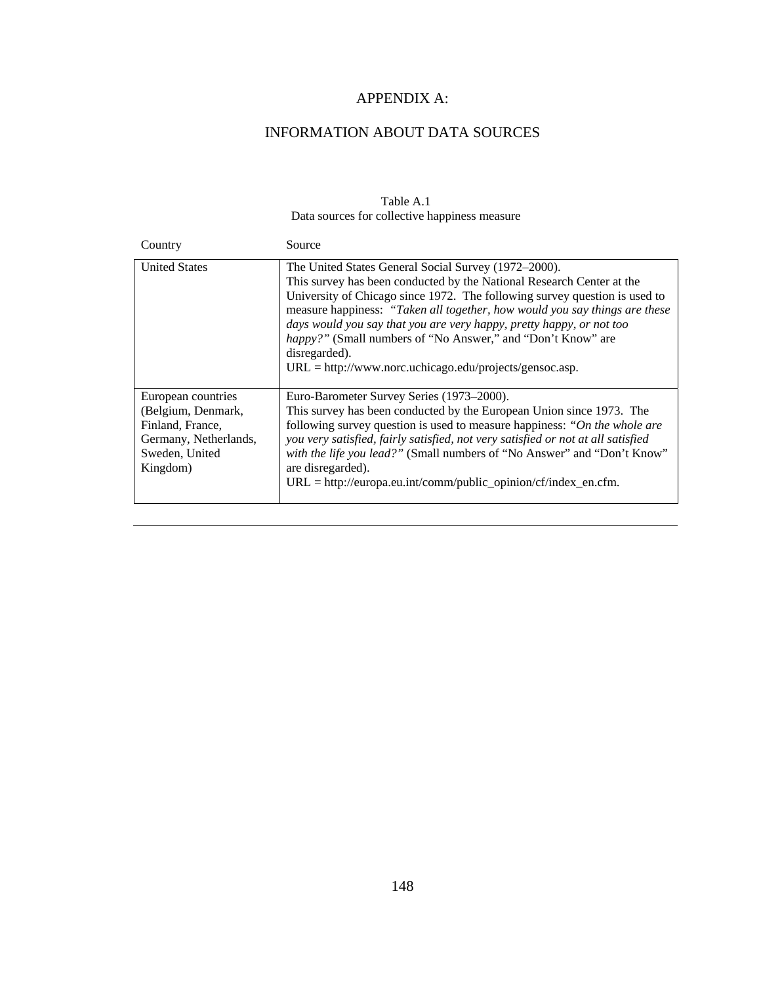# APPENDIX A:

# INFORMATION ABOUT DATA SOURCES

## Table A.1 Data sources for collective happiness measure

| Country                                                                                                             | Source                                                                                                                                                                                                                                                                                                                                                                                                                                                                                                                |
|---------------------------------------------------------------------------------------------------------------------|-----------------------------------------------------------------------------------------------------------------------------------------------------------------------------------------------------------------------------------------------------------------------------------------------------------------------------------------------------------------------------------------------------------------------------------------------------------------------------------------------------------------------|
| <b>United States</b>                                                                                                | The United States General Social Survey (1972–2000).<br>This survey has been conducted by the National Research Center at the<br>University of Chicago since 1972. The following survey question is used to<br>measure happiness: "Taken all together, how would you say things are these<br>days would you say that you are very happy, pretty happy, or not too<br>happy?" (Small numbers of "No Answer," and "Don't Know" are<br>disregarded).<br>$URL = \frac{http://www.norc.uchicago.edu/projects/gensoc.asp.}$ |
| European countries<br>(Belgium, Denmark,<br>Finland, France,<br>Germany, Netherlands,<br>Sweden, United<br>Kingdom) | Euro-Barometer Survey Series (1973–2000).<br>This survey has been conducted by the European Union since 1973. The<br>following survey question is used to measure happiness: "On the whole are<br>you very satisfied, fairly satisfied, not very satisfied or not at all satisfied<br>with the life you lead?" (Small numbers of "No Answer" and "Don't Know"<br>are disregarded).<br>$URL = http://europa.eu.int/comm/public\_opinion/cf/index_en.cfm.$                                                              |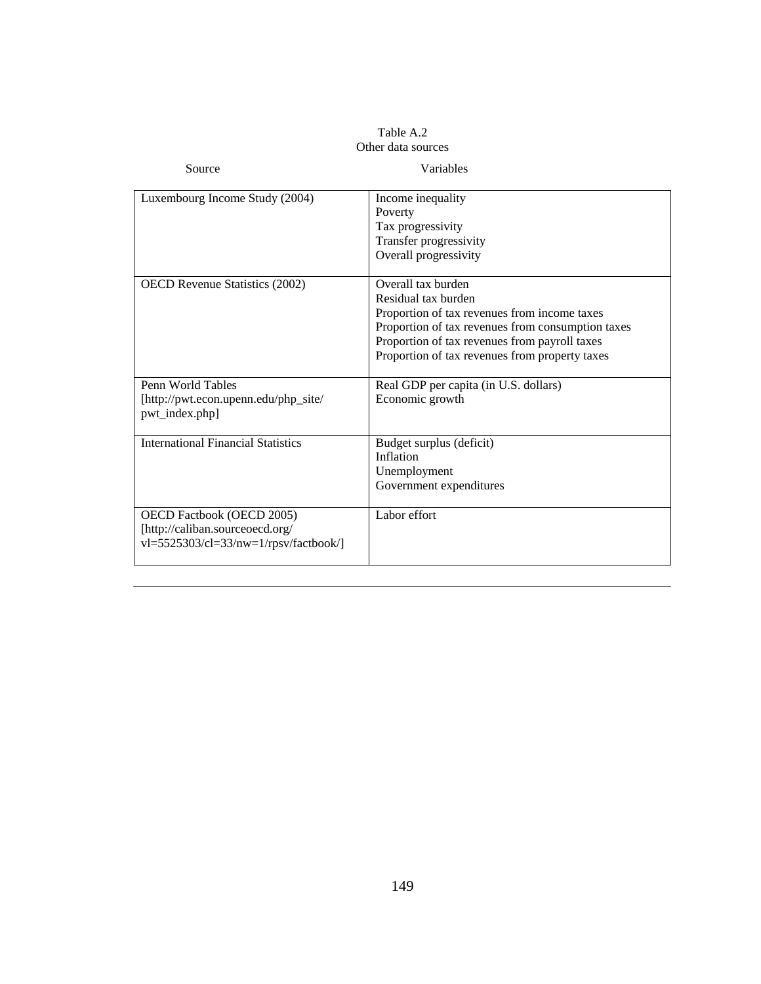#### Table A.2 Other data sources

| Source                                                                                                  | Variables                                                                                                                                                                                                                                         |
|---------------------------------------------------------------------------------------------------------|---------------------------------------------------------------------------------------------------------------------------------------------------------------------------------------------------------------------------------------------------|
| Luxembourg Income Study (2004)                                                                          | Income inequality<br>Poverty<br>Tax progressivity<br>Transfer progressivity<br>Overall progressivity                                                                                                                                              |
| <b>OECD</b> Revenue Statistics (2002)                                                                   | Overall tax burden<br>Residual tax burden<br>Proportion of tax revenues from income taxes<br>Proportion of tax revenues from consumption taxes<br>Proportion of tax revenues from payroll taxes<br>Proportion of tax revenues from property taxes |
| Penn World Tables<br>[http://pwt.econ.upenn.edu/php_site/<br>pwt_index.php]                             | Real GDP per capita (in U.S. dollars)<br>Economic growth                                                                                                                                                                                          |
| <b>International Financial Statistics</b>                                                               | Budget surplus (deficit)<br>Inflation<br>Unemployment<br>Government expenditures                                                                                                                                                                  |
| OECD Factbook (OECD 2005)<br>[http://caliban.sourceoecd.org/<br>$vl=5525303/cl=33/nw=1/rpsv/factbook/l$ | Labor effort                                                                                                                                                                                                                                      |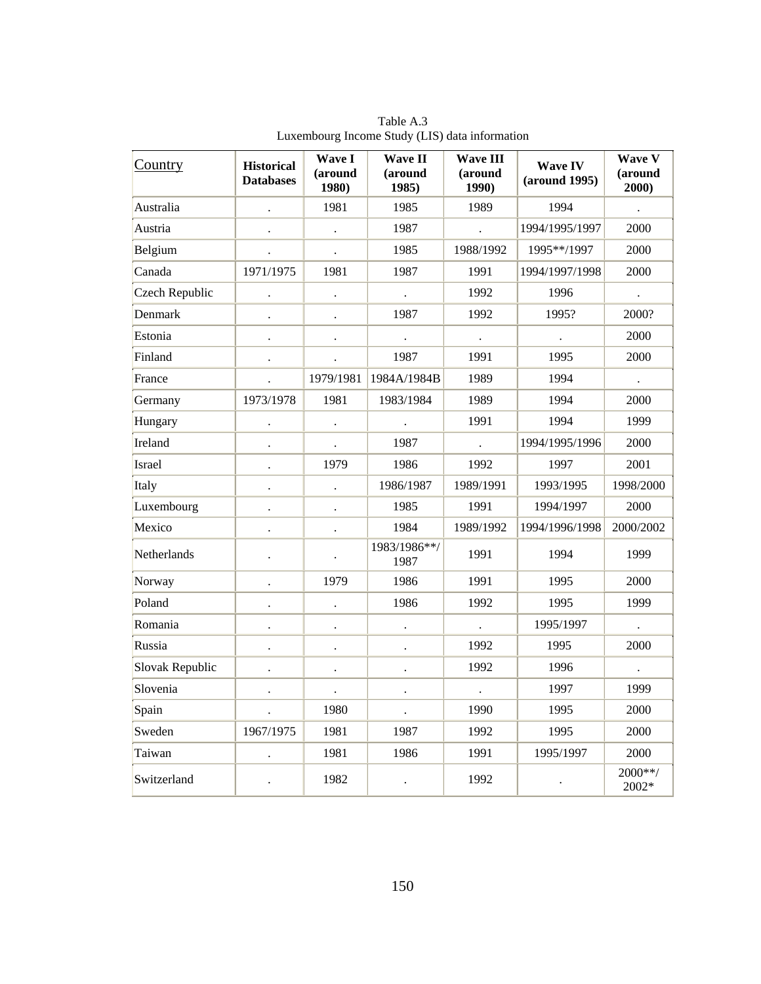| Country         | <b>Historical</b><br><b>Databases</b> | Wave I<br>(around<br>1980) | <b>Wave II</b><br>(around<br>1985) | <b>Wave III</b><br>(around<br>1990) | <b>Wave IV</b><br>(around 1995) | Wave V<br>(around<br>2000) |
|-----------------|---------------------------------------|----------------------------|------------------------------------|-------------------------------------|---------------------------------|----------------------------|
| Australia       |                                       | 1981                       | 1985                               | 1989                                | 1994                            |                            |
| Austria         |                                       | $\ddot{\phantom{1}}$       | 1987                               |                                     | 1994/1995/1997                  | 2000                       |
| Belgium         |                                       |                            | 1985                               | 1988/1992                           | 1995**/1997                     | 2000                       |
| Canada          | 1971/1975                             | 1981                       | 1987                               | 1991                                | 1994/1997/1998                  | 2000                       |
| Czech Republic  |                                       |                            |                                    | 1992                                | 1996                            |                            |
| Denmark         |                                       |                            | 1987                               | 1992                                | 1995?                           | 2000?                      |
| Estonia         |                                       |                            |                                    | $\ddot{\phantom{a}}$                |                                 | 2000                       |
| Finland         |                                       |                            | 1987                               | 1991                                | 1995                            | 2000                       |
| France          |                                       | 1979/1981                  | 1984A/1984B                        | 1989                                | 1994                            |                            |
| Germany         | 1973/1978                             | 1981                       | 1983/1984                          | 1989                                | 1994                            | 2000                       |
| Hungary         |                                       |                            |                                    | 1991                                | 1994                            | 1999                       |
| Ireland         | $\ddot{\phantom{0}}$                  |                            | 1987                               | $\ddot{\phantom{a}}$                | 1994/1995/1996                  | 2000                       |
| Israel          |                                       | 1979                       | 1986                               | 1992                                | 1997                            | 2001                       |
| Italy           | $\ddot{\phantom{0}}$                  |                            | 1986/1987                          | 1989/1991                           | 1993/1995                       | 1998/2000                  |
| Luxembourg      | $\bullet$                             | $\bullet$                  | 1985                               | 1991                                | 1994/1997                       | 2000                       |
| Mexico          | $\ddot{\phantom{0}}$                  | $\bullet$                  | 1984                               | 1989/1992                           | 1994/1996/1998                  | 2000/2002                  |
| Netherlands     |                                       |                            | 1983/1986**/<br>1987               | 1991                                | 1994                            | 1999                       |
| Norway          | $\ddot{\phantom{0}}$                  | 1979                       | 1986                               | 1991                                | 1995                            | 2000                       |
| Poland          |                                       |                            | 1986                               | 1992                                | 1995                            | 1999                       |
| Romania         | $\ddot{\phantom{0}}$                  | $\cdot$                    |                                    |                                     | 1995/1997                       |                            |
| Russia          |                                       |                            |                                    | 1992                                | 1995                            | 2000                       |
| Slovak Republic | $\ddot{\phantom{0}}$                  | $\ddot{\phantom{0}}$       |                                    | 1992                                | 1996                            |                            |
| Slovenia        |                                       | $\ddot{\phantom{a}}$       |                                    | $\ddot{\phantom{a}}$                | 1997                            | 1999                       |
| Spain           |                                       | 1980                       |                                    | 1990                                | 1995                            | 2000                       |
| Sweden          | 1967/1975                             | 1981                       | 1987                               | 1992                                | 1995                            | 2000                       |
| Taiwan          |                                       | 1981                       | 1986                               | 1991                                | 1995/1997                       | 2000                       |
| Switzerland     |                                       | 1982                       | $\cdot$                            | 1992                                |                                 | 2000**/<br>2002*           |

Table A.3 Luxembourg Income Study (LIS) data information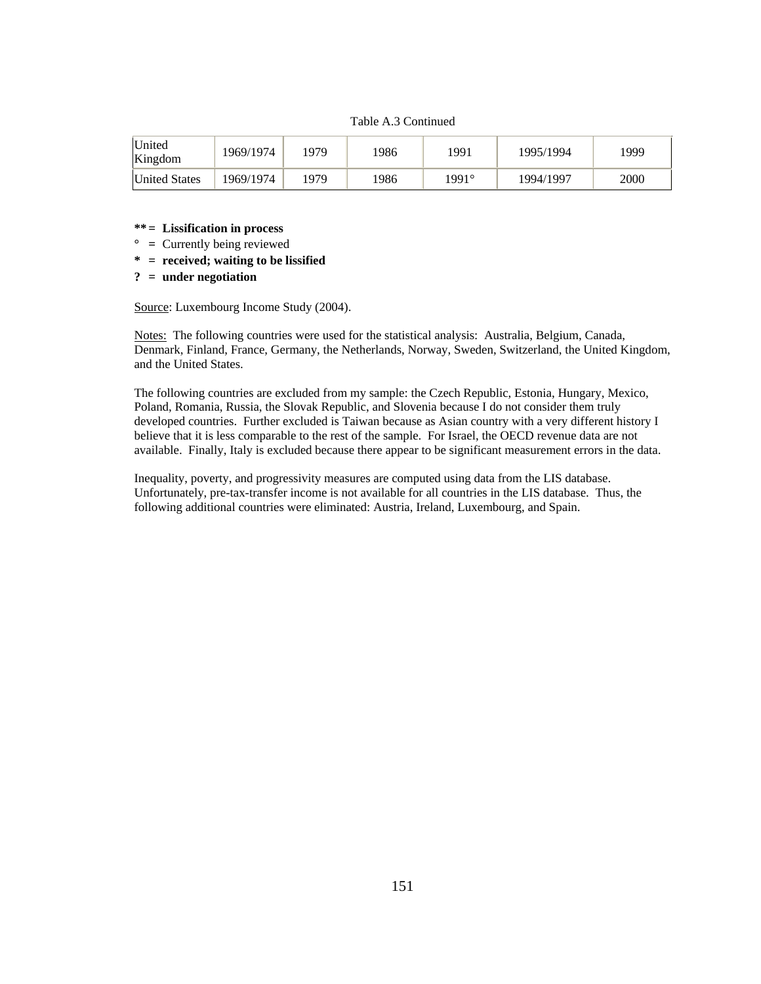#### Table A.3 Continued

| <b>United</b><br>Kingdom | 1969/1974 | 1979 | 1986 | '991  | 1995/1994 | 999  |
|--------------------------|-----------|------|------|-------|-----------|------|
| <b>United States</b>     | 1969/1974 | 1979 | 1986 | 1991° | 1994/1997 | 2000 |

#### **\*\* = Lissification in process**

- **° =** Currently being reviewed
- **\* = received; waiting to be lissified**

#### **? = under negotiation**

Source: Luxembourg Income Study (2004).

Notes: The following countries were used for the statistical analysis: Australia, Belgium, Canada, Denmark, Finland, France, Germany, the Netherlands, Norway, Sweden, Switzerland, the United Kingdom, and the United States.

The following countries are excluded from my sample: the Czech Republic, Estonia, Hungary, Mexico, Poland, Romania, Russia, the Slovak Republic, and Slovenia because I do not consider them truly developed countries. Further excluded is Taiwan because as Asian country with a very different history I believe that it is less comparable to the rest of the sample. For Israel, the OECD revenue data are not available. Finally, Italy is excluded because there appear to be significant measurement errors in the data.

Inequality, poverty, and progressivity measures are computed using data from the LIS database. Unfortunately, pre-tax-transfer income is not available for all countries in the LIS database. Thus, the following additional countries were eliminated: Austria, Ireland, Luxembourg, and Spain.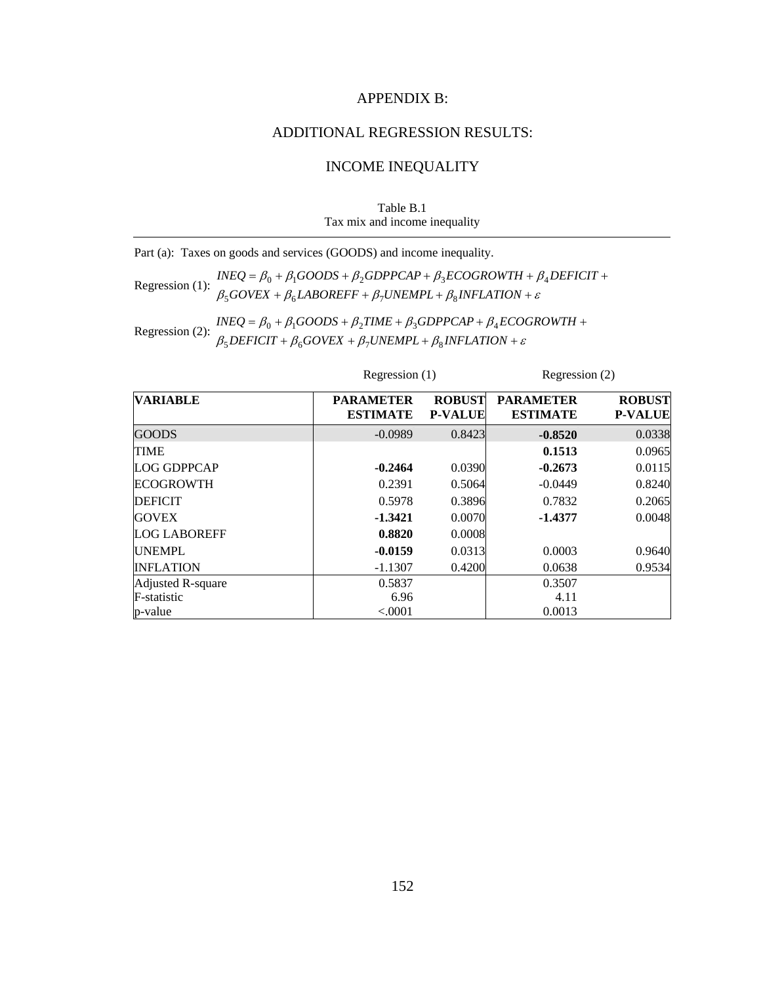### APPENDIX B:

# ADDITIONAL REGRESSION RESULTS:

# INCOME INEQUALITY

Table B.1 Tax mix and income inequality

Part (a): Taxes on goods and services (GOODS) and income inequality.

Regression (1):  $INEQ = \beta_0 + \beta_1 GOODS + \beta_2 GDPPCAP + \beta_3 ECOGROWTH + \beta_3 BQOVEX + \beta_4 LABOREFF + \beta_7 UNEMPL + \beta_8 INFLATION + \varepsilon$ +  $\beta_6$ *LABOREFF* +  $\beta_7$ *UNEMPL* +  $\beta_8$ *INFLATION* +  $=\beta_0 + \beta_1 GOODS + \beta_2 GDPPCAP + \beta_3 ECOGROWTH + \beta_4 DEFICIT +$  $GOVEX + \beta_6 LABOREFF + \beta_7 UNEMPL + \beta_8 INFLATION$  $INEQ = \beta_0 + \beta_1 GOODS + \beta_2 GDPPCAP + \beta_3 ECOGROWTH + \beta_4 DEFICIT$  $500$ vea +  $p_6$ ladunei t +  $p_7$ unemi l +  $p_8$  $0 + p_1$ 000DS +  $p_2$ 0DFFCAF +  $p_3$ ECOONOWIH +  $p_4$ 

Regression (2):  $INEQ = \beta_0 + \beta_1 GOODS + \beta_2 TIME + \beta_3 GDPPCAP + \beta_4 ECOQ$ <br> $\beta_5 DEFICT + \beta_6 GOVEX + \beta_7 UNEMP + \beta_8 INFLATION + \varepsilon$ +  $\beta_6 GOVEX + \beta_7 UNEMPL + \beta_8 INFLATION +$  $= \beta_0 + \beta_1 GOODS + \beta_2 TIME + \beta_3 GDPPCAP + \beta_4 ECOGROWTH +$  $DEFICIT + \beta_6 GOVEX + \beta_7 UNEMPL + \beta_8 INFLATION$  $INEQ = \beta_0 + \beta_1 GOODS + \beta_2 TIME + \beta_3 GDPPCAP + \beta_4 ECOGROWTH$  $5$ *DEFICII* +  $p_6$ GOVEA +  $p_7$ ONEMFL+  $p_8$  $0 + p_1$ OOODS +  $p_2$ TIME +  $p_3$ ODFFCAF +  $p_4$ 

| <b>VARIABLE</b>     | <b>PARAMETER</b><br><b>ESTIMATE</b> | <b>ROBUST</b><br><b>P-VALUE</b> | <b>PARAMETER</b><br><b>ESTIMATE</b> | <b>ROBUST</b><br><b>P-VALUE</b> |
|---------------------|-------------------------------------|---------------------------------|-------------------------------------|---------------------------------|
| <b>GOODS</b>        | $-0.0989$                           | 0.8423                          | $-0.8520$                           | 0.0338                          |
| <b>TIME</b>         |                                     |                                 | 0.1513                              | 0.0965                          |
| <b>LOG GDPPCAP</b>  | $-0.2464$                           | 0.0390                          | $-0.2673$                           | 0.0115                          |
| <b>ECOGROWTH</b>    | 0.2391                              | 0.5064                          | $-0.0449$                           | 0.8240                          |
| <b>DEFICIT</b>      | 0.5978                              | 0.3896                          | 0.7832                              | 0.2065                          |
| <b>GOVEX</b>        | $-1.3421$                           | 0.0070                          | $-1.4377$                           | 0.0048                          |
| <b>LOG LABOREFF</b> | 0.8820                              | 0.0008                          |                                     |                                 |
| <b>UNEMPL</b>       | $-0.0159$                           | 0.0313                          | 0.0003                              | 0.9640                          |
| <b>INFLATION</b>    | $-1.1307$                           | 0.4200                          | 0.0638                              | 0.9534                          |
| Adjusted R-square   | 0.5837                              |                                 | 0.3507                              |                                 |
| F-statistic         | 6.96                                |                                 | 4.11                                |                                 |
| p-value             | ${<}0001$                           |                                 | 0.0013                              |                                 |

Regression (1) Regression (2)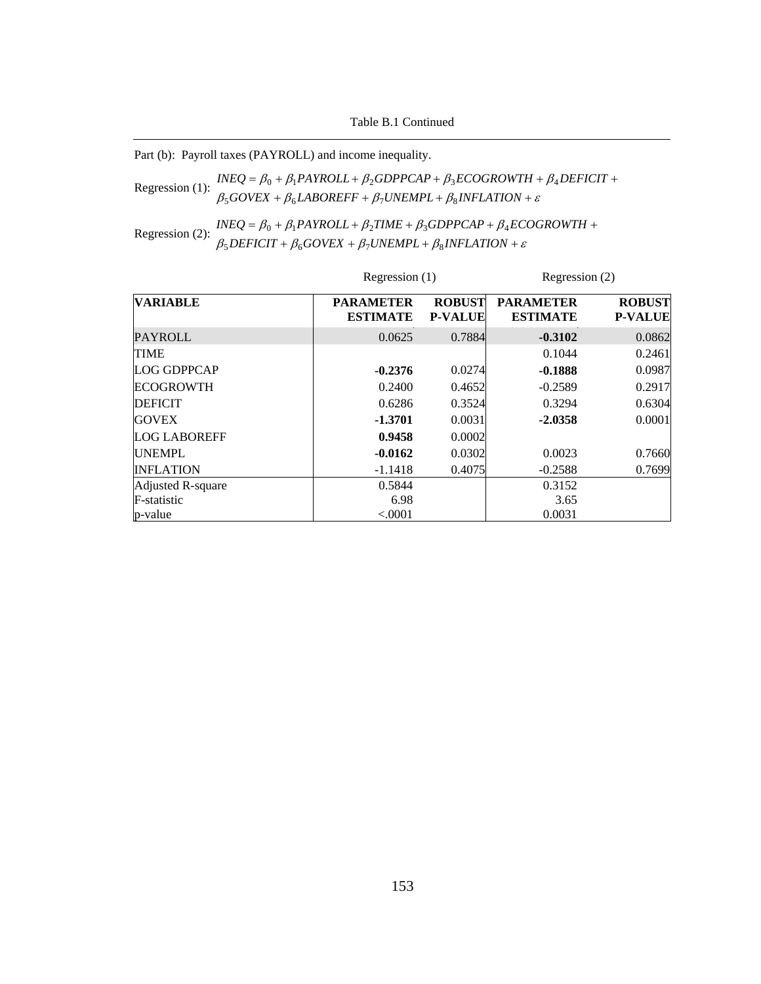Table B.1 Continued

Part (b): Payroll taxes (PAYROLL) and income inequality.

Regression (1):  $INEQ = \beta_0 + \beta_1 PAYROLL + \beta_2 GDPPCAP + \beta_3 ECOGROWTH + \beta_4 PAYROLL + \beta_5 GOWEX + \beta_6 LABOREFF + \beta_7 UNEMPL + \beta_8 INFLATION + \varepsilon$ +  $\beta_6$ *LABOREFF* +  $\beta_7$ *UNEMPL* +  $\beta_8$ *INFLATION* +  $= \beta_0 + \beta_1 PAYROLL + \beta_2 GDPPCAP + \beta_3 ECOGROWTH + \beta_4 DEFICIT +$  $GOVEX + \beta_6 LABOREFF + \beta_7 UNEMPL + \beta_8 INFLATION$  $INEQ = \beta_0 + \beta_1 PAYROLL + \beta_2 GDPPCAP + \beta_3 ECOGROWTH + \beta_4 DEFICIT$  $500$ VEA +  $\mu_6$ LADOKETT +  $\mu_7$ OIVEMITL+  $\mu_8$  $0 + p_1$ FAINULL+ $p_2$ UDFFCAF+ $p_3$ LCOUNOWI $n + p_4$ 

Regression (2):  $INEQ = \beta_0 + \beta_1 PAYROLL + \beta_2 TIME + \beta_3 GDPPCAP + \beta_4 EC$ <br> $\beta_5 DEFICT + \beta_6 GOVEX + \beta_7 UNEMPL + \beta_8 INFLATION + \varepsilon$ +  $\beta_6 GOVEX + \beta_7 UNEMPL + \beta_8 INFLATION +$  $= \beta_0 + \beta_1 PAYROLL + \beta_2 TIME + \beta_3 GDPPCAP + \beta_4 ECOGROWTH +$  $DEFICIT + \beta_6 GOVEX + \beta_7 UNEMPL + \beta_8 INFLATION$  $INEQ = \beta_0 + \beta_1 PAYROLL + \beta_2 TIME + \beta_3 GDPPCAP + \beta_4 ECOGROWTH$  $5$ *DEFICII* +  $p_6$ *GOVEA* +  $p_7$ *OINEMFL* +  $p_8$  $0 + p_1$ FAINULL +  $p_2$ IIME +  $p_3$ UDFFCAF +  $p_4$ 

|                     | Regression (1)                      |                                 | Regression (2)                      |                                 |  |
|---------------------|-------------------------------------|---------------------------------|-------------------------------------|---------------------------------|--|
| <b>VARIABLE</b>     | <b>PARAMETER</b><br><b>ESTIMATE</b> | <b>ROBUST</b><br><b>P-VALUE</b> | <b>PARAMETER</b><br><b>ESTIMATE</b> | <b>ROBUST</b><br><b>P-VALUE</b> |  |
| PAYROLL             | 0.0625                              | 0.7884                          | $-0.3102$                           | 0.0862                          |  |
| <b>TIME</b>         |                                     |                                 | 0.1044                              | 0.2461                          |  |
| <b>LOG GDPPCAP</b>  | $-0.2376$                           | 0.0274                          | $-0.1888$                           | 0.0987                          |  |
| <b>ECOGROWTH</b>    | 0.2400                              | 0.4652                          | $-0.2589$                           | 0.2917                          |  |
| <b>DEFICIT</b>      | 0.6286                              | 0.3524                          | 0.3294                              | 0.6304                          |  |
| <b>GOVEX</b>        | $-1.3701$                           | 0.0031                          | $-2.0358$                           | 0.0001                          |  |
| <b>LOG LABOREFF</b> | 0.9458                              | 0.0002                          |                                     |                                 |  |
| <b>UNEMPL</b>       | $-0.0162$                           | 0.0302                          | 0.0023                              | 0.7660                          |  |
| <b>INFLATION</b>    | $-1.1418$                           | 0.4075                          | $-0.2588$                           | 0.7699                          |  |
| Adjusted R-square   | 0.5844                              |                                 | 0.3152                              |                                 |  |
| F-statistic         | 6.98                                |                                 | 3.65                                |                                 |  |
| p-value             | < .0001                             |                                 | 0.0031                              |                                 |  |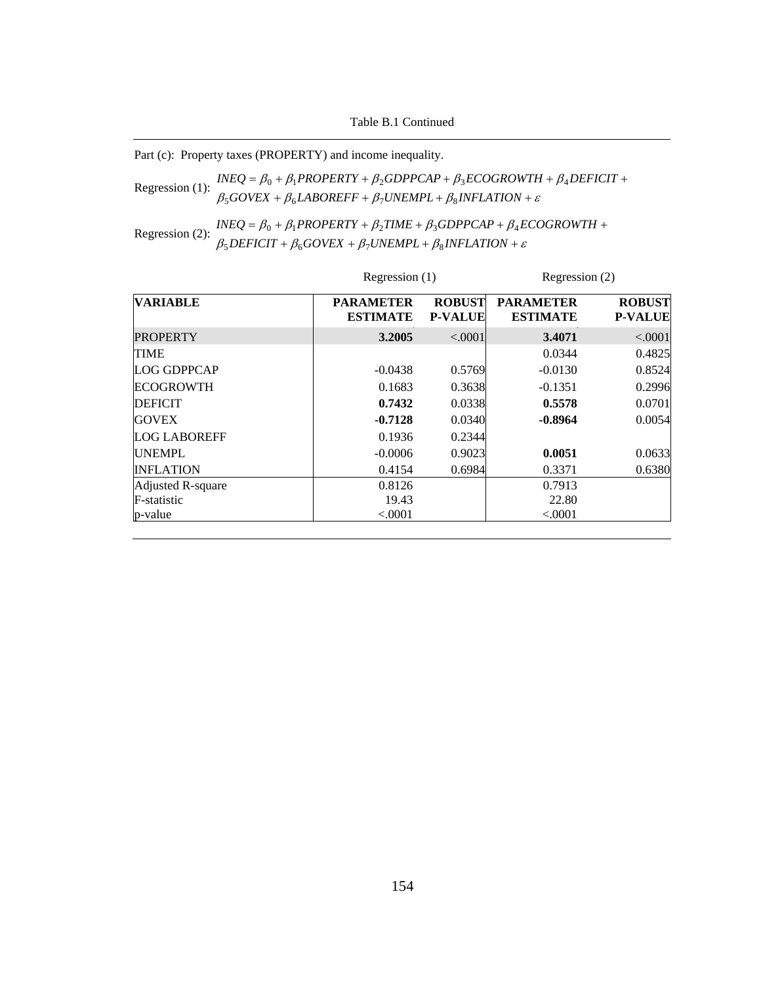Table B.1 Continued

Part (c): Property taxes (PROPERTY) and income inequality.

Regression (1):  $\frac{n \leq \epsilon}{\beta_5 GoveX + \beta_6 LABOREFF + \beta_7 UNEMPL + \beta_8 INFLATION + \epsilon}$  $INEQ = \beta_0 + \beta_1 PROPERTY + \beta_2 GDPPCAP + \beta_3 ECOGROWTH + \beta_4 DEFICIT +$ 

Regression (2):  $INEQ = \beta_0 + \beta_1 PROPERTIES + \beta_2 TIME + \beta_3 GDPPCA + \beta_4 E$ <br> $\beta_5 DEFICT + \beta_6 GOVEX + \beta_7 UNEMP + \beta_8 INFLATION + \varepsilon$ +  $\beta_6 GOVEX + \beta_7 UNEMPL + \beta_8 INFLATION +$  $= \beta_0 + \beta_1 PROPERTY + \beta_2 TIME + \beta_3 GDPPCAP + \beta_4 ECOGROWTH +$  $DEFICIT + \beta_6 GOVEX + \beta_7 UNEMPL + \beta_8 INFLATION$  $INEQ = \beta_0 + \beta_1 PROPERTIES + \beta_2 TIME + \beta_3 GDPPCAP + \beta_4 ECOGROWTH$  $5$ *DEFICII* +  $p_6$ *GOVEA* +  $p_7$ *OINEMFL* +  $p_8$  $0 + p_1$ FNUFENIT +  $p_2$ HNE +  $p_3$ UDFFCAF +  $p_4$ 

|                     |                                     | Regression $(1)$<br>Regression (2) |                                     |                                 |
|---------------------|-------------------------------------|------------------------------------|-------------------------------------|---------------------------------|
| <b>VARIABLE</b>     | <b>PARAMETER</b><br><b>ESTIMATE</b> | <b>ROBUST</b><br><b>P-VALUE</b>    | <b>PARAMETER</b><br><b>ESTIMATE</b> | <b>ROBUST</b><br><b>P-VALUE</b> |
| <b>PROPERTY</b>     | 3.2005                              | < .0001                            | 3.4071                              | < .0001                         |
| <b>TIME</b>         |                                     |                                    | 0.0344                              | 0.4825                          |
| LOG GDPPCAP         | $-0.0438$                           | 0.5769                             | $-0.0130$                           | 0.8524                          |
| <b>ECOGROWTH</b>    | 0.1683                              | 0.3638                             | $-0.1351$                           | 0.2996                          |
| <b>DEFICIT</b>      | 0.7432                              | 0.0338                             | 0.5578                              | 0.0701                          |
| <b>GOVEX</b>        | $-0.7128$                           | 0.0340                             | $-0.8964$                           | 0.0054                          |
| <b>LOG LABOREFF</b> | 0.1936                              | 0.2344                             |                                     |                                 |
| <b>UNEMPL</b>       | $-0.0006$                           | 0.9023                             | 0.0051                              | 0.0633                          |
| <b>INFLATION</b>    | 0.4154                              | 0.6984                             | 0.3371                              | 0.6380                          |
| Adjusted R-square   | 0.8126                              |                                    | 0.7913                              |                                 |
| F-statistic         | 19.43                               |                                    | 22.80                               |                                 |
| p-value             | < 0.0001                            |                                    | < .0001                             |                                 |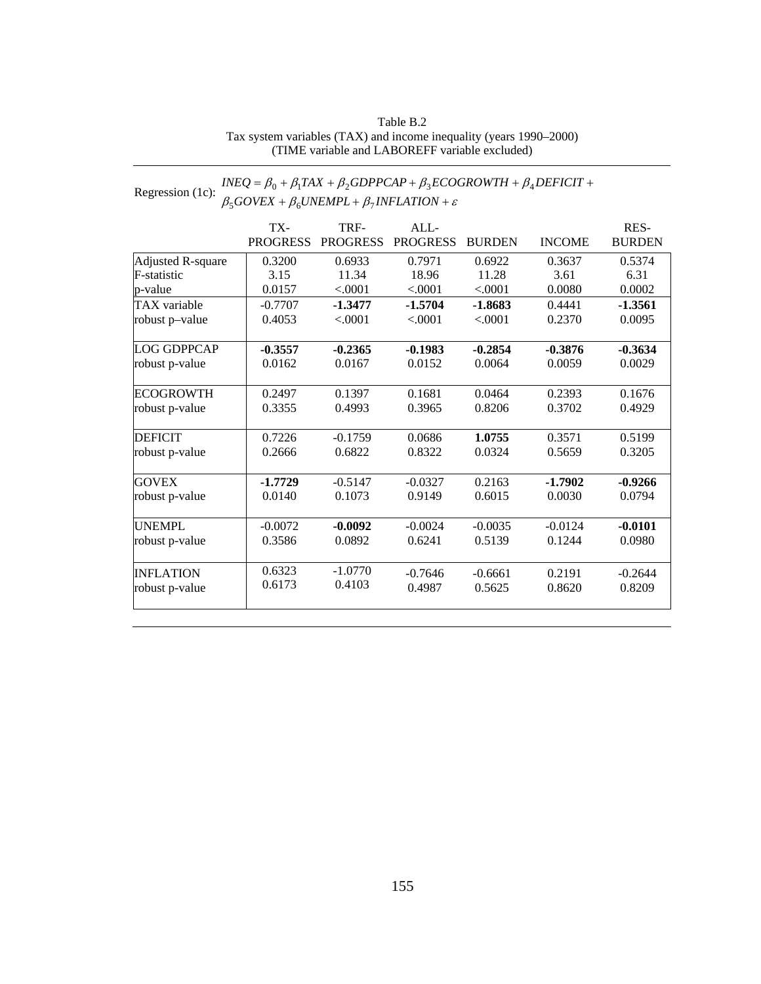#### Table B.2 Tax system variables (TAX) and income inequality (years 1990–2000) (TIME variable and LABOREFF variable excluded)

#### Regression (1c):  $\frac{INEQ = \beta_0 + \beta_1 TAX + \beta_2 GDPPCAP + \beta_3 ECOGROWTH + \beta_4}{\beta_5 GOVEX + \beta_6 UNEMPL + \beta_1 INFLATION + \varepsilon}$ +  $\beta_6$ UNEMPL +  $\beta_7$ INFLATION +  $= \beta_0 + \beta_1 TAX + \beta_2 GDPPCAP + \beta_3 ECOGROWTH + \beta_4 DEFICIT +$  $GOVEX + \beta_6 UNEMPL + \beta_7 INFLATION$  $INEQ = \beta_0 + \beta_1 TAX + \beta_2 GDPPCAP + \beta_3 ECOGROWTH + \beta_4 DEFICIT$  $5$ UUVEA +  $p_6$ UNEMITL+ $p_7$  $0 + p_1 I A A + p_2 O D I T C A T + p_3 E C O O N O W I H + p_4$

|                     | TX-             | TRF-            | ALL             |               |               | RES-          |
|---------------------|-----------------|-----------------|-----------------|---------------|---------------|---------------|
|                     | <b>PROGRESS</b> | <b>PROGRESS</b> | <b>PROGRESS</b> | <b>BURDEN</b> | <b>INCOME</b> | <b>BURDEN</b> |
| Adjusted R-square   | 0.3200          | 0.6933          | 0.7971          | 0.6922        | 0.3637        | 0.5374        |
| <b>F</b> -statistic | 3.15            | 11.34           | 18.96           | 11.28         | 3.61          | 6.31          |
| p-value             | 0.0157          | < .0001         | < .0001         | < .0001       | 0.0080        | 0.0002        |
| <b>TAX</b> variable | $-0.7707$       | $-1.3477$       | $-1.5704$       | $-1.8683$     | 0.4441        | $-1.3561$     |
| robust p-value      | 0.4053          | < .0001         | < .0001         | < .0001       | 0.2370        | 0.0095        |
| <b>LOG GDPPCAP</b>  | $-0.3557$       | $-0.2365$       | $-0.1983$       | $-0.2854$     | $-0.3876$     | $-0.3634$     |
| robust p-value      | 0.0162          | 0.0167          | 0.0152          | 0.0064        | 0.0059        | 0.0029        |
| <b>ECOGROWTH</b>    | 0.2497          | 0.1397          | 0.1681          | 0.0464        | 0.2393        | 0.1676        |
| robust p-value      | 0.3355          | 0.4993          | 0.3965          | 0.8206        | 0.3702        | 0.4929        |
| <b>DEFICIT</b>      | 0.7226          | $-0.1759$       | 0.0686          | 1.0755        | 0.3571        | 0.5199        |
| robust p-value      | 0.2666          | 0.6822          | 0.8322          | 0.0324        | 0.5659        | 0.3205        |
| <b>GOVEX</b>        | $-1.7729$       | $-0.5147$       | $-0.0327$       | 0.2163        | $-1.7902$     | $-0.9266$     |
| robust p-value      | 0.0140          | 0.1073          | 0.9149          | 0.6015        | 0.0030        | 0.0794        |
| <b>UNEMPL</b>       | $-0.0072$       | $-0.0092$       | $-0.0024$       | $-0.0035$     | $-0.0124$     | $-0.0101$     |
| robust p-value      | 0.3586          | 0.0892          | 0.6241          | 0.5139        | 0.1244        | 0.0980        |
| <b>INFLATION</b>    | 0.6323          | $-1.0770$       | $-0.7646$       | $-0.6661$     | 0.2191        | $-0.2644$     |
| robust p-value      | 0.6173          | 0.4103          | 0.4987          | 0.5625        | 0.8620        | 0.8209        |
|                     |                 |                 |                 |               |               |               |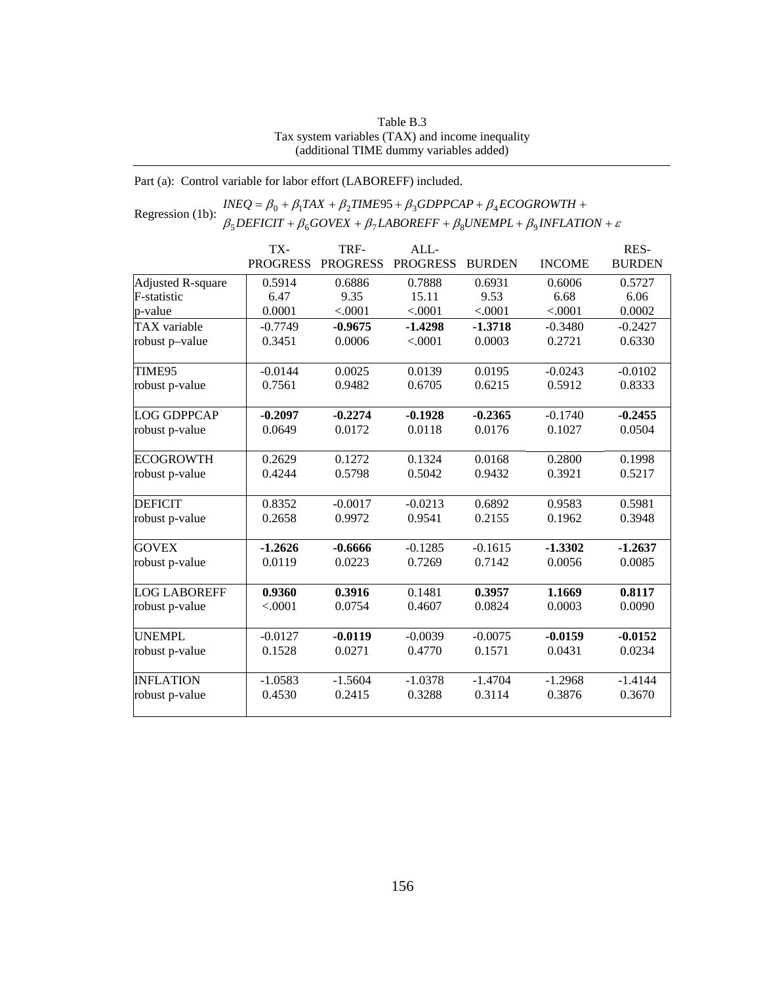#### Table B.3 Tax system variables (TAX) and income inequality (additional TIME dummy variables added)

Part (a): Control variable for labor effort (LABOREFF) included.

Regression (1b):  $\frac{INEQ}{\beta_0} = \beta_0 + \beta_1 TAX + \beta_2 TIME95 + \beta_3 GDPPCAP + \beta_4 ECOGROWTH +$ <br>Regression (1b):  $\beta_5 DEFICT + \beta_6 GOVEX + \beta_7 LABOREFF + \beta_8 UNEMPL + \beta_9 INFLATION + \varepsilon$  $+\beta_6 GOVEX + \beta_7 LABOREFF + \beta_8 UNEMPL + \beta_9 INFLATION +$  $= \beta_0 + \beta_1 TAX + \beta_2 TIME95 + \beta_3 GDPPCAP + \beta_4 ECOGROWTH +$  $DEFICIT + \beta_6 GOVEX + \beta_7 LABOREFF + \beta_8 UNEMPL + \beta_9 INFLATION$  $INEQ = \beta_0 + \beta_1 TAX + \beta_2 TIME95 + \beta_3 GDPPCAP + \beta_4 ECOGROWTH$  $5$ DEFICII +  $p_6$ OOVEA +  $p_7$ LADOKEFF +  $p_8$ ONEMFL +  $p_9$  $\beta_0 + \beta_1 TAX + \beta_2 TIME95 + \beta_3 GDPPCAP + \beta_4$ 

|                     | TX-             | TRF-            | ALL             |               |               | RES-          |
|---------------------|-----------------|-----------------|-----------------|---------------|---------------|---------------|
|                     | <b>PROGRESS</b> | <b>PROGRESS</b> | <b>PROGRESS</b> | <b>BURDEN</b> | <b>INCOME</b> | <b>BURDEN</b> |
| Adjusted R-square   | 0.5914          | 0.6886          | 0.7888          | 0.6931        | 0.6006        | 0.5727        |
| F-statistic         | 6.47            | 9.35            | 15.11           | 9.53          | 6.68          | 6.06          |
| p-value             | 0.0001          | < .0001         | < .0001         | < .0001       | < .0001       | 0.0002        |
| TAX variable        | $-0.7749$       | $-0.9675$       | $-1.4298$       | $-1.3718$     | $-0.3480$     | $-0.2427$     |
| robust p-value      | 0.3451          | 0.0006          | < .0001         | 0.0003        | 0.2721        | 0.6330        |
| TIME95              | $-0.0144$       | 0.0025          | 0.0139          | 0.0195        | $-0.0243$     | $-0.0102$     |
| robust p-value      | 0.7561          | 0.9482          | 0.6705          | 0.6215        | 0.5912        | 0.8333        |
| <b>LOG GDPPCAP</b>  | $-0.2097$       | $-0.2274$       | $-0.1928$       | $-0.2365$     | $-0.1740$     | $-0.2455$     |
| robust p-value      | 0.0649          | 0.0172          | 0.0118          | 0.0176        | 0.1027        | 0.0504        |
| <b>ECOGROWTH</b>    | 0.2629          | 0.1272          | 0.1324          | 0.0168        | 0.2800        | 0.1998        |
| robust p-value      | 0.4244          | 0.5798          | 0.5042          | 0.9432        | 0.3921        | 0.5217        |
| <b>DEFICIT</b>      | 0.8352          | $-0.0017$       | $-0.0213$       | 0.6892        | 0.9583        | 0.5981        |
| robust p-value      | 0.2658          | 0.9972          | 0.9541          | 0.2155        | 0.1962        | 0.3948        |
| <b>GOVEX</b>        | $-1.2626$       | $-0.6666$       | $-0.1285$       | $-0.1615$     | $-1.3302$     | $-1.2637$     |
| robust p-value      | 0.0119          | 0.0223          | 0.7269          | 0.7142        | 0.0056        | 0.0085        |
| <b>LOG LABOREFF</b> | 0.9360          | 0.3916          | 0.1481          | 0.3957        | 1.1669        | 0.8117        |
| robust p-value      | < .0001         | 0.0754          | 0.4607          | 0.0824        | 0.0003        | 0.0090        |
| <b>UNEMPL</b>       | $-0.0127$       | $-0.0119$       | $-0.0039$       | $-0.0075$     | $-0.0159$     | $-0.0152$     |
| robust p-value      | 0.1528          | 0.0271          | 0.4770          | 0.1571        | 0.0431        | 0.0234        |
| <b>INFLATION</b>    | $-1.0583$       | $-1.5604$       | $-1.0378$       | $-1.4704$     | $-1.2968$     | $-1.4144$     |
| robust p-value      | 0.4530          | 0.2415          | 0.3288          | 0.3114        | 0.3876        | 0.3670        |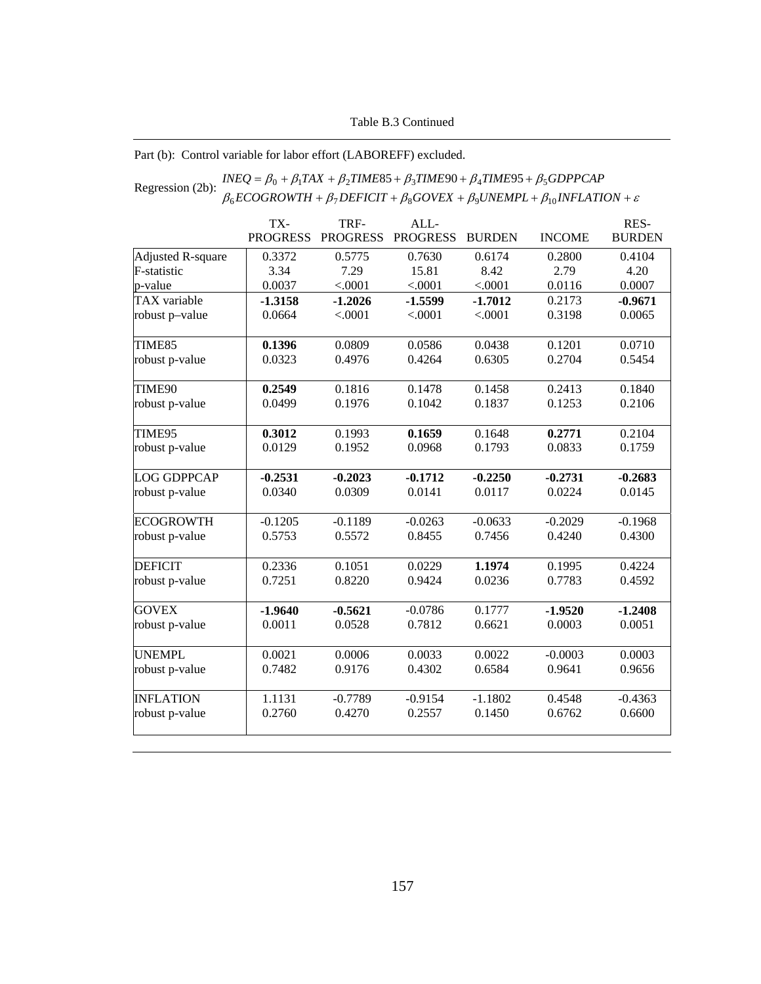### Table B.3 Continued

### Part (b): Control variable for labor effort (LABOREFF) excluded.

#### Regression (2b):  $\frac{INEQ = \beta_0 + \beta_1 TAX + \beta_2 TIME85 + \beta_3 TIME90 + \beta_4 TIME95 + \beta_5 GDPPCAP}{\beta_6 ECOGROWTH + \beta_7 DEFLCT + \beta_8 GOVEX + \beta_9 UNEMPL + \beta_{10} INFLATION + \varepsilon}$ +  $\beta_7$  DEFICIT +  $\beta_8$  GOVEX +  $\beta_9$ UNEMPL +  $\beta_{10}$ INFLATION +  $=\beta_0 + \beta_1 TAX + \beta_2 TIME85 + \beta_3 TIME90 + \beta_4 TIME95 +$  $ECOGROWTH + \beta_7 DEFICT + \beta_8 GOVEX + \beta_9 UNEMPL + \beta_{10} INFLATION$  $INEQ = \beta_0 + \beta_1 TAX + \beta_2 TIME85 + \beta_3 TIME90 + \beta_4 TIME95 + \beta_5 GDPPCAP$  $_{6}$ ECOONOWIH +  $_{p_7}$ DEFICH +  $_{p_8}$ OOVEA +  $_{p_9}$ ONEMFL +  $_{p_{10}}$  $\beta_0 + \beta_1 TAX + \beta_2 TIME85 + \beta_3 TIME90 + \beta_4 TIME95 + \beta_5$

|                    | TX-             | TRF-            | ALL-            |               |               | RES-          |
|--------------------|-----------------|-----------------|-----------------|---------------|---------------|---------------|
|                    | <b>PROGRESS</b> | <b>PROGRESS</b> | <b>PROGRESS</b> | <b>BURDEN</b> | <b>INCOME</b> | <b>BURDEN</b> |
| Adjusted R-square  | 0.3372          | 0.5775          | 0.7630          | 0.6174        | 0.2800        | 0.4104        |
| F-statistic        | 3.34            | 7.29            | 15.81           | 8.42          | 2.79          | 4.20          |
| p-value            | 0.0037          | < .0001         | < .0001         | < .0001       | 0.0116        | 0.0007        |
| TAX variable       | $-1.3158$       | $-1.2026$       | $-1.5599$       | $-1.7012$     | 0.2173        | $-0.9671$     |
| robust p-value     | 0.0664          | < .0001         | < .0001         | < .0001       | 0.3198        | 0.0065        |
| TIME85             | 0.1396          | 0.0809          | 0.0586          | 0.0438        | 0.1201        | 0.0710        |
| robust p-value     | 0.0323          | 0.4976          | 0.4264          | 0.6305        | 0.2704        | 0.5454        |
| TIME90             | 0.2549          | 0.1816          | 0.1478          | 0.1458        | 0.2413        | 0.1840        |
| robust p-value     | 0.0499          | 0.1976          | 0.1042          | 0.1837        | 0.1253        | 0.2106        |
| TIME95             | 0.3012          | 0.1993          | 0.1659          | 0.1648        | 0.2771        | 0.2104        |
| robust p-value     | 0.0129          | 0.1952          | 0.0968          | 0.1793        | 0.0833        | 0.1759        |
| <b>LOG GDPPCAP</b> | $-0.2531$       | $-0.2023$       | $-0.1712$       | $-0.2250$     | $-0.2731$     | $-0.2683$     |
| robust p-value     | 0.0340          | 0.0309          | 0.0141          | 0.0117        | 0.0224        | 0.0145        |
| <b>ECOGROWTH</b>   | $-0.1205$       | $-0.1189$       | $-0.0263$       | $-0.0633$     | $-0.2029$     | $-0.1968$     |
| robust p-value     | 0.5753          | 0.5572          | 0.8455          | 0.7456        | 0.4240        | 0.4300        |
| <b>DEFICIT</b>     | 0.2336          | 0.1051          | 0.0229          | 1.1974        | 0.1995        | 0.4224        |
| robust p-value     | 0.7251          | 0.8220          | 0.9424          | 0.0236        | 0.7783        | 0.4592        |
| <b>GOVEX</b>       | $-1.9640$       | $-0.5621$       | $-0.0786$       | 0.1777        | $-1.9520$     | $-1.2408$     |
| robust p-value     | 0.0011          | 0.0528          | 0.7812          | 0.6621        | 0.0003        | 0.0051        |
| <b>UNEMPL</b>      | 0.0021          | 0.0006          | 0.0033          | 0.0022        | $-0.0003$     | 0.0003        |
| robust p-value     | 0.7482          | 0.9176          | 0.4302          | 0.6584        | 0.9641        | 0.9656        |
| <b>INFLATION</b>   | 1.1131          | $-0.7789$       | $-0.9154$       | $-1.1802$     | 0.4548        | $-0.4363$     |
| robust p-value     | 0.2760          | 0.4270          | 0.2557          | 0.1450        | 0.6762        | 0.6600        |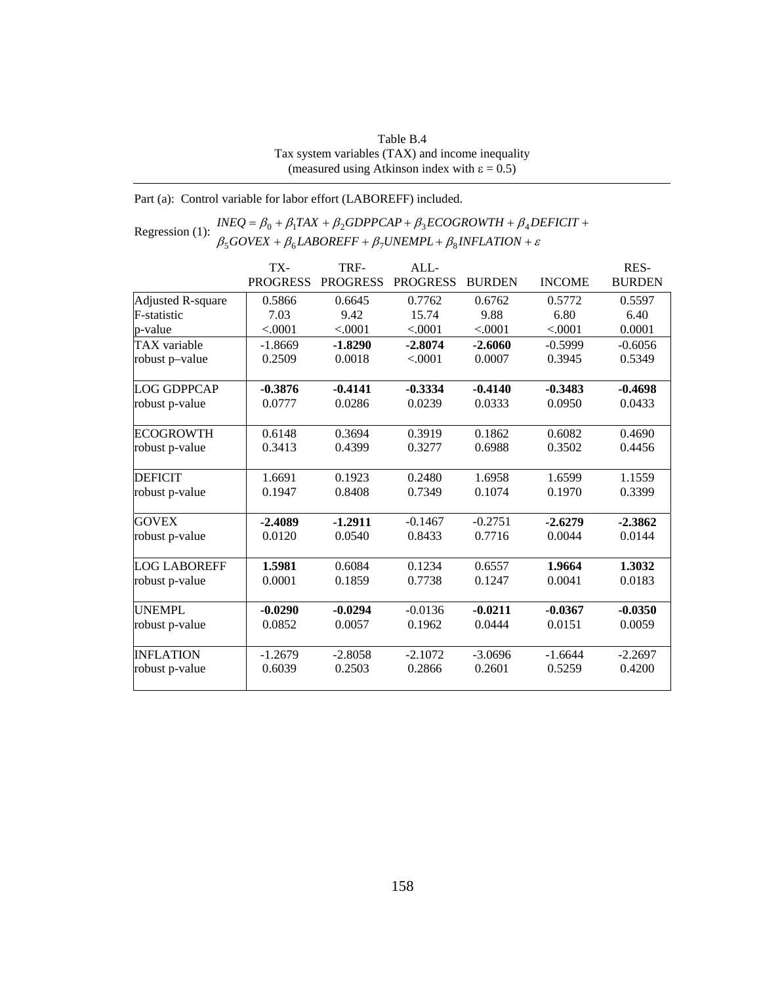| Table B.4                                              |
|--------------------------------------------------------|
| Tax system variables (TAX) and income inequality       |
| (measured using Atkinson index with $\epsilon = 0.5$ ) |

Part (a): Control variable for labor effort (LABOREFF) included.

Regression (1):  $INEQ = \beta_0 + \beta_1 TAX + \beta_2 GDPPCAP + \beta_3 ECOGROWTH + \beta_4 D \beta_5 GOVEX + \beta_6 LABOREFF + \beta_7 UNEMPL + \beta_8 INFLATION + \varepsilon$  $+ \beta_6 LABOREFF + \beta_7 UNEMPL + \beta_8 INFLATION +$  $=\beta_0 + \beta_1 TAX + \beta_2 GDPPCAP + \beta_3 ECOGROWTH + \beta_4 DEFICIT +$  $GOVEX + \beta_6 LABOREFF + \beta_7 UNEMPL + \beta_8 INFLATION$  $INEQ = \beta_0 + \beta_1 TAX + \beta_2 GDPPCAP + \beta_3 ECOGROWTH + \beta_4 DEFICIT$  $500$ VEA +  $\mu_6$ LADOKEFF +  $\mu_7$ OIVEMFL+  $\mu_8$  $0 + p_1 I A A + p_2 O D I I C A I + p_3 E CO O N O W I I I + p_4$ 

|                     | TX-             | TRF-            | ALL             |               |               | RES-          |
|---------------------|-----------------|-----------------|-----------------|---------------|---------------|---------------|
|                     | <b>PROGRESS</b> | <b>PROGRESS</b> | <b>PROGRESS</b> | <b>BURDEN</b> | <b>INCOME</b> | <b>BURDEN</b> |
| Adjusted R-square   | 0.5866          | 0.6645          | 0.7762          | 0.6762        | 0.5772        | 0.5597        |
| F-statistic         | 7.03            | 9.42            | 15.74           | 9.88          | 6.80          | 6.40          |
| p-value             | < .0001         | < .0001         | < .0001         | < .0001       | < .0001       | 0.0001        |
| TAX variable        | $-1.8669$       | $-1.8290$       | $-2.8074$       | $-2.6060$     | $-0.5999$     | $-0.6056$     |
| robust p-value      | 0.2509          | 0.0018          | < .0001         | 0.0007        | 0.3945        | 0.5349        |
| <b>LOG GDPPCAP</b>  | $-0.3876$       | $-0.4141$       | $-0.3334$       | $-0.4140$     | $-0.3483$     | $-0.4698$     |
| robust p-value      | 0.0777          | 0.0286          | 0.0239          | 0.0333        | 0.0950        | 0.0433        |
| <b>ECOGROWTH</b>    | 0.6148          | 0.3694          | 0.3919          | 0.1862        | 0.6082        | 0.4690        |
| robust p-value      | 0.3413          | 0.4399          | 0.3277          | 0.6988        | 0.3502        | 0.4456        |
| <b>DEFICIT</b>      | 1.6691          | 0.1923          | 0.2480          | 1.6958        | 1.6599        | 1.1559        |
| robust p-value      | 0.1947          | 0.8408          | 0.7349          | 0.1074        | 0.1970        | 0.3399        |
| <b>GOVEX</b>        | $-2.4089$       | $-1.2911$       | $-0.1467$       | $-0.2751$     | $-2.6279$     | $-2.3862$     |
| robust p-value      | 0.0120          | 0.0540          | 0.8433          | 0.7716        | 0.0044        | 0.0144        |
| <b>LOG LABOREFF</b> | 1.5981          | 0.6084          | 0.1234          | 0.6557        | 1.9664        | 1.3032        |
| robust p-value      | 0.0001          | 0.1859          | 0.7738          | 0.1247        | 0.0041        | 0.0183        |
| <b>UNEMPL</b>       | $-0.0290$       | $-0.0294$       | $-0.0136$       | $-0.0211$     | $-0.0367$     | $-0.0350$     |
| robust p-value      | 0.0852          | 0.0057          | 0.1962          | 0.0444        | 0.0151        | 0.0059        |
| <b>INFLATION</b>    | $-1.2679$       | $-2.8058$       | $-2.1072$       | $-3.0696$     | $-1.6644$     | $-2.2697$     |
| robust p-value      | 0.6039          | 0.2503          | 0.2866          | 0.2601        | 0.5259        | 0.4200        |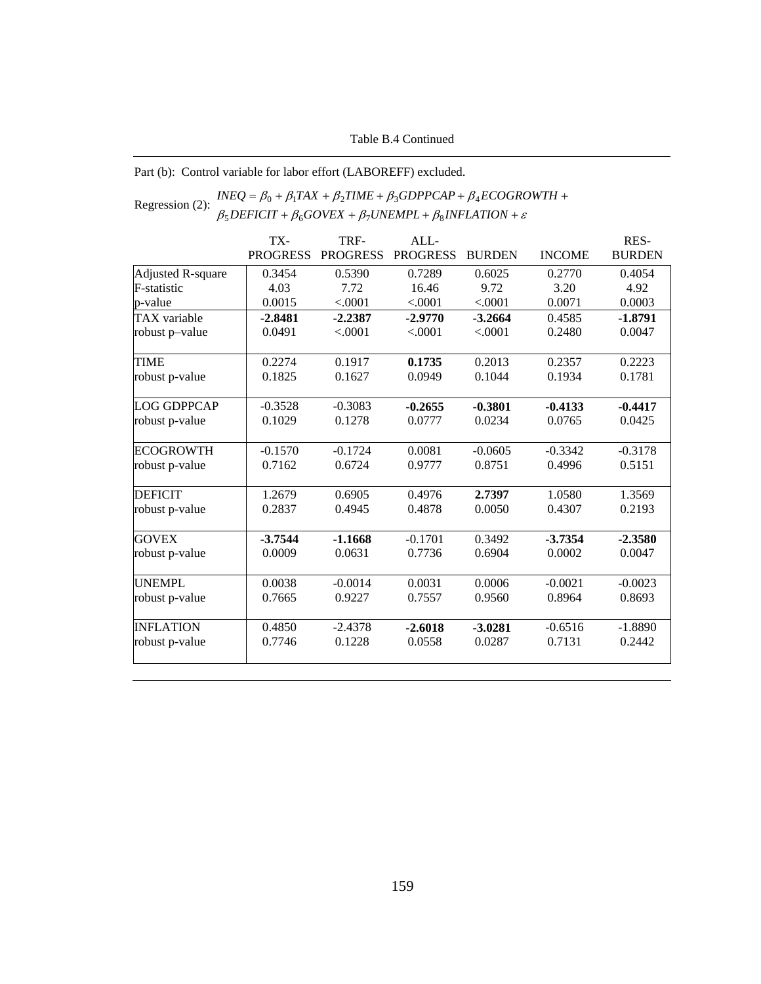### Table B.4 Continued

Part (b): Control variable for labor effort (LABOREFF) excluded.

#### Regression (2):  $INEQ = \beta_0 + \beta_1 TAX + \beta_2 TIME + \beta_3 GDPPCAP + \beta_4 ECOGRC$ <br> $\beta_5 DEFICIT + \beta_6 GOVEX + \beta_7 UNEMPL + \beta_8 INFLATION + \varepsilon$  $+\beta_6 GOVEX + \beta_7 UNEMPL + \beta_8 INFLATION +$  $=\beta_0 + \beta_1 TAX + \beta_2 TIME + \beta_3 GDPPCAP + \beta_4 ECOGROWTH +$  $DEFICIT + \beta_6 GOVEX + \beta_7 UNEMPL + \beta_8 INFLATION$  $INEQ = \beta_0 + \beta_1 TAX + \beta_2 TIME + \beta_3 GDPPCAP + \beta_4 ECOGROWTH$  $5$ DEFICII +  $p_6$ GOVEA +  $p_7$ ONEMFL+  $p_8$  $0 + p_1 I A \Lambda + p_2 I I W L + p_3 O D F T C A T + p_4$

|                          | TX-             | TRF-            | ALL-            |               |               | RES-          |
|--------------------------|-----------------|-----------------|-----------------|---------------|---------------|---------------|
|                          | <b>PROGRESS</b> | <b>PROGRESS</b> | <b>PROGRESS</b> | <b>BURDEN</b> | <b>INCOME</b> | <b>BURDEN</b> |
| <b>Adjusted R-square</b> | 0.3454          | 0.5390          | 0.7289          | 0.6025        | 0.2770        | 0.4054        |
| F-statistic              | 4.03            | 7.72            | 16.46           | 9.72          | 3.20          | 4.92          |
| p-value                  | 0.0015          | < .0001         | < .0001         | < .0001       | 0.0071        | 0.0003        |
| <b>TAX</b> variable      | $-2.8481$       | $-2.2387$       | $-2.9770$       | $-3.2664$     | 0.4585        | $-1.8791$     |
| robust p-value           | 0.0491          | < .0001         | < .0001         | < .0001       | 0.2480        | 0.0047        |
| <b>TIME</b>              | 0.2274          | 0.1917          | 0.1735          | 0.2013        | 0.2357        | 0.2223        |
| robust p-value           | 0.1825          | 0.1627          | 0.0949          | 0.1044        | 0.1934        | 0.1781        |
| <b>LOG GDPPCAP</b>       | $-0.3528$       | $-0.3083$       | $-0.2655$       | $-0.3801$     | $-0.4133$     | $-0.4417$     |
| robust p-value           | 0.1029          | 0.1278          | 0.0777          | 0.0234        | 0.0765        | 0.0425        |
| <b>ECOGROWTH</b>         | $-0.1570$       | $-0.1724$       | 0.0081          | $-0.0605$     | $-0.3342$     | $-0.3178$     |
| robust p-value           | 0.7162          | 0.6724          | 0.9777          | 0.8751        | 0.4996        | 0.5151        |
| <b>DEFICIT</b>           | 1.2679          | 0.6905          | 0.4976          | 2.7397        | 1.0580        | 1.3569        |
| robust p-value           | 0.2837          | 0.4945          | 0.4878          | 0.0050        | 0.4307        | 0.2193        |
| <b>GOVEX</b>             | $-3.7544$       | $-1.1668$       | $-0.1701$       | 0.3492        | $-3.7354$     | $-2.3580$     |
| robust p-value           | 0.0009          | 0.0631          | 0.7736          | 0.6904        | 0.0002        | 0.0047        |
| <b>UNEMPL</b>            | 0.0038          | $-0.0014$       | 0.0031          | 0.0006        | $-0.0021$     | $-0.0023$     |
| robust p-value           | 0.7665          | 0.9227          | 0.7557          | 0.9560        | 0.8964        | 0.8693        |
| <b>INFLATION</b>         | 0.4850          | $-2.4378$       | $-2.6018$       | $-3.0281$     | $-0.6516$     | $-1.8890$     |
| robust p-value           | 0.7746          | 0.1228          | 0.0558          | 0.0287        | 0.7131        | 0.2442        |
|                          |                 |                 |                 |               |               |               |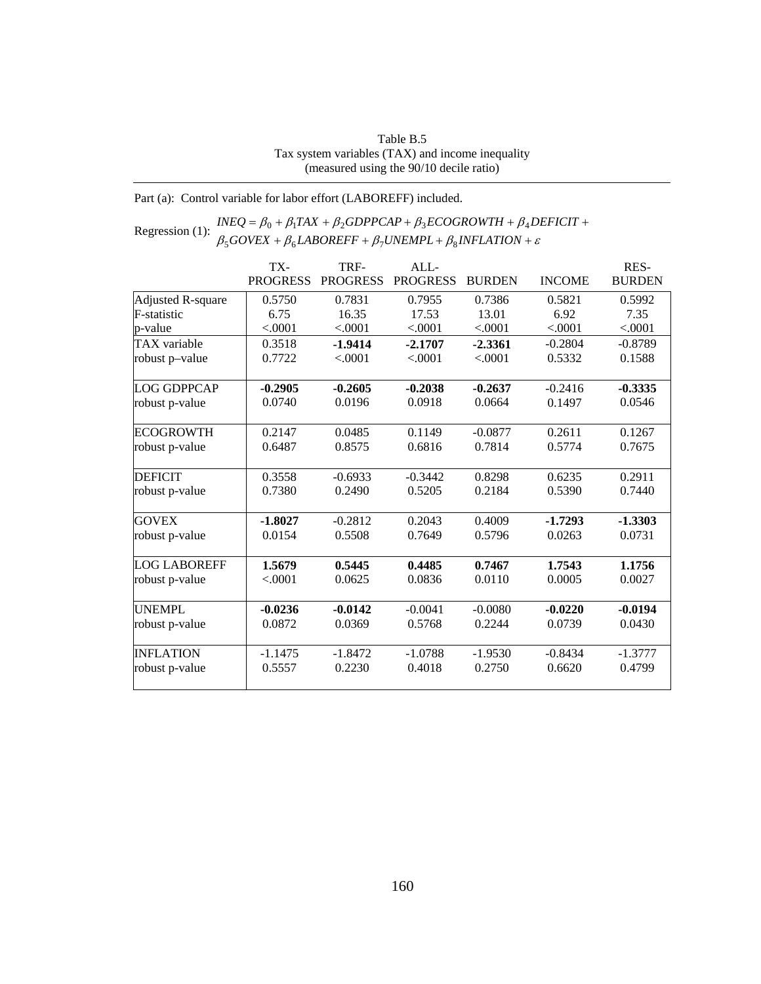| Table B.5                                        |
|--------------------------------------------------|
| Tax system variables (TAX) and income inequality |
| (measured using the 90/10 decile ratio)          |

Part (a): Control variable for labor effort (LABOREFF) included.

Regression (1):  $INEQ = \beta_0 + \beta_1 TAX + \beta_2 GDPPCAP + \beta_3 ECOGROWTH + \beta_4 D \beta_5 GOVEX + \beta_6 LABOREFF + \beta_7 UNEMPL + \beta_8 INFLATION + \varepsilon$  $+ \beta_6 LABOREFF + \beta_7 UNEMPL + \beta_8 INFLATION +$  $=\beta_0 + \beta_1 TAX + \beta_2 GDPPCAP + \beta_3 ECOGROWTH + \beta_4 DEFICIT +$  $GOVEX + \beta_6 LABOREFF + \beta_7 UNEMPL + \beta_8 INFLATION$  $INEQ = \beta_0 + \beta_1 TAX + \beta_2 GDPPCAP + \beta_3 ECOGROWTH + \beta_4 DEFICIT$  $500$ VEA +  $\mu_6$ LADOKETT +  $\mu_7$ OIVEMITL+  $\mu_8$  $0 + p_1 I A A + p_2 O D I T C A T + p_3 E C O O N O W I H + p_4$ 

|                     | TX-             | TRF-            | ALL             |               |               | RES-          |
|---------------------|-----------------|-----------------|-----------------|---------------|---------------|---------------|
|                     | <b>PROGRESS</b> | <b>PROGRESS</b> | <b>PROGRESS</b> | <b>BURDEN</b> | <b>INCOME</b> | <b>BURDEN</b> |
| Adjusted R-square   | 0.5750          | 0.7831          | 0.7955          | 0.7386        | 0.5821        | 0.5992        |
| <b>F-statistic</b>  | 6.75            | 16.35           | 17.53           | 13.01         | 6.92          | 7.35          |
| p-value             | < .0001         | < .0001         | < .0001         | < .0001       | < .0001       | < .0001       |
| TAX variable        | 0.3518          | $-1.9414$       | $-2.1707$       | $-2.3361$     | $-0.2804$     | $-0.8789$     |
| robust p-value      | 0.7722          | < .0001         | < .0001         | < .0001       | 0.5332        | 0.1588        |
| <b>LOG GDPPCAP</b>  | $-0.2905$       | $-0.2605$       | $-0.2038$       | $-0.2637$     | $-0.2416$     | $-0.3335$     |
| robust p-value      | 0.0740          | 0.0196          | 0.0918          | 0.0664        | 0.1497        | 0.0546        |
| <b>ECOGROWTH</b>    | 0.2147          | 0.0485          | 0.1149          | $-0.0877$     | 0.2611        | 0.1267        |
| robust p-value      | 0.6487          | 0.8575          | 0.6816          | 0.7814        | 0.5774        | 0.7675        |
| <b>DEFICIT</b>      | 0.3558          | $-0.6933$       | $-0.3442$       | 0.8298        | 0.6235        | 0.2911        |
| robust p-value      | 0.7380          | 0.2490          | 0.5205          | 0.2184        | 0.5390        | 0.7440        |
| <b>GOVEX</b>        | $-1.8027$       | $-0.2812$       | 0.2043          | 0.4009        | $-1.7293$     | $-1.3303$     |
| robust p-value      | 0.0154          | 0.5508          | 0.7649          | 0.5796        | 0.0263        | 0.0731        |
| <b>LOG LABOREFF</b> | 1.5679          | 0.5445          | 0.4485          | 0.7467        | 1.7543        | 1.1756        |
| robust p-value      | < .0001         | 0.0625          | 0.0836          | 0.0110        | 0.0005        | 0.0027        |
| <b>UNEMPL</b>       | $-0.0236$       | $-0.0142$       | $-0.0041$       | $-0.0080$     | $-0.0220$     | $-0.0194$     |
| robust p-value      | 0.0872          | 0.0369          | 0.5768          | 0.2244        | 0.0739        | 0.0430        |
| <b>INFLATION</b>    | $-1.1475$       | $-1.8472$       | $-1.0788$       | $-1.9530$     | $-0.8434$     | $-1.3777$     |
| robust p-value      | 0.5557          | 0.2230          | 0.4018          | 0.2750        | 0.6620        | 0.4799        |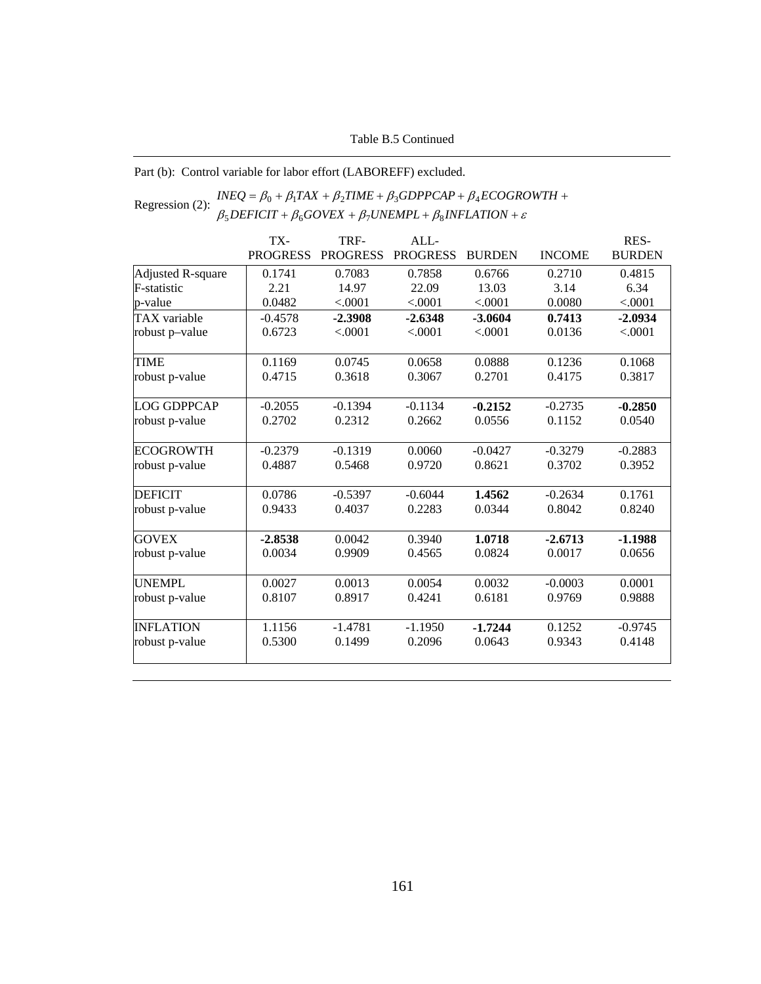Part (b): Control variable for labor effort (LABOREFF) excluded.

#### Regression (2):  $INEQ = \beta_0 + \beta_1 TAX + \beta_2 TIME + \beta_3 GDPPCAP + \beta_4 ECOGRC$ <br> $\beta_5 DEFICIT + \beta_6 GOVEX + \beta_7 UNEMPL + \beta_8 INFLATION + \varepsilon$  $+\beta_6 GOVEX + \beta_7 UNEMPL + \beta_8 INFLATION +$  $=\beta_0 + \beta_1 TAX + \beta_2 TIME + \beta_3 GDPPCAP + \beta_4 ECOGROWTH +$  $DEFICIT + \beta_6 GOVEX + \beta_7 UNEMPL + \beta_8 INFLATION$  $INEQ = \beta_0 + \beta_1 TAX + \beta_2 TIME + \beta_3 GDPPCAP + \beta_4 ECOGROWTH$  $5$ DEFICII +  $p_6$ GOVEA +  $p_7$ ONEMFL+  $p_8$  $0 + p_1 I A \Lambda + p_2 I I W L + p_3 O D F T C A T + p_4$

|                    | TX-             | TRF-            | ALL             |               |               | RES-          |
|--------------------|-----------------|-----------------|-----------------|---------------|---------------|---------------|
|                    | <b>PROGRESS</b> | <b>PROGRESS</b> | <b>PROGRESS</b> | <b>BURDEN</b> | <b>INCOME</b> | <b>BURDEN</b> |
| Adjusted R-square  | 0.1741          | 0.7083          | 0.7858          | 0.6766        | 0.2710        | 0.4815        |
| F-statistic        | 2.21            | 14.97           | 22.09           | 13.03         | 3.14          | 6.34          |
| p-value            | 0.0482          | < .0001         | < .0001         | < .0001       | 0.0080        | < .0001       |
| TAX variable       | $-0.4578$       | $-2.3908$       | $-2.6348$       | $-3.0604$     | 0.7413        | $-2.0934$     |
| robust p-value     | 0.6723          | < .0001         | < .0001         | < .0001       | 0.0136        | < .0001       |
| <b>TIME</b>        | 0.1169          | 0.0745          | 0.0658          | 0.0888        | 0.1236        | 0.1068        |
| robust p-value     | 0.4715          | 0.3618          | 0.3067          | 0.2701        | 0.4175        | 0.3817        |
| <b>LOG GDPPCAP</b> | $-0.2055$       | $-0.1394$       | $-0.1134$       | $-0.2152$     | $-0.2735$     | $-0.2850$     |
| robust p-value     | 0.2702          | 0.2312          | 0.2662          | 0.0556        | 0.1152        | 0.0540        |
| <b>ECOGROWTH</b>   | $-0.2379$       | $-0.1319$       | 0.0060          | $-0.0427$     | $-0.3279$     | $-0.2883$     |
| robust p-value     | 0.4887          | 0.5468          | 0.9720          | 0.8621        | 0.3702        | 0.3952        |
| <b>DEFICIT</b>     | 0.0786          | $-0.5397$       | $-0.6044$       | 1.4562        | $-0.2634$     | 0.1761        |
| robust p-value     | 0.9433          | 0.4037          | 0.2283          | 0.0344        | 0.8042        | 0.8240        |
| <b>GOVEX</b>       | $-2.8538$       | 0.0042          | 0.3940          | 1.0718        | $-2.6713$     | $-1.1988$     |
| robust p-value     | 0.0034          | 0.9909          | 0.4565          | 0.0824        | 0.0017        | 0.0656        |
| <b>UNEMPL</b>      | 0.0027          | 0.0013          | 0.0054          | 0.0032        | $-0.0003$     | 0.0001        |
| robust p-value     | 0.8107          | 0.8917          | 0.4241          | 0.6181        | 0.9769        | 0.9888        |
| <b>INFLATION</b>   | 1.1156          | $-1.4781$       | $-1.1950$       | $-1.7244$     | 0.1252        | $-0.9745$     |
| robust p-value     | 0.5300          | 0.1499          | 0.2096          | 0.0643        | 0.9343        | 0.4148        |
|                    |                 |                 |                 |               |               |               |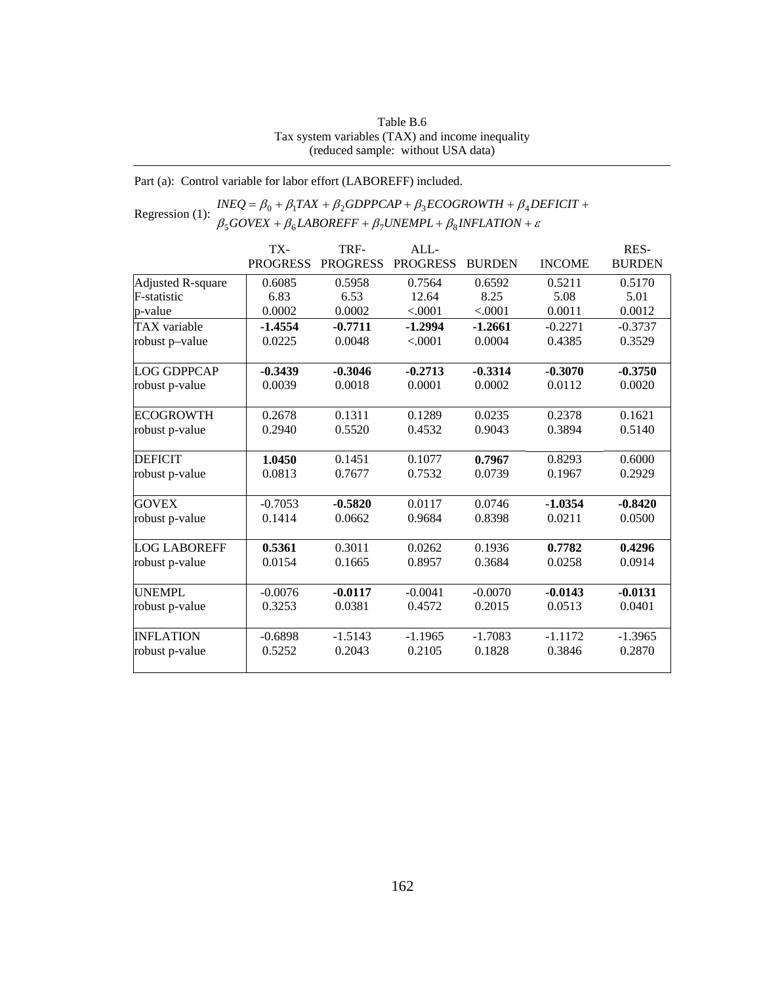#### Table B.6 Tax system variables (TAX) and income inequality (reduced sample: without USA data)

Part (a): Control variable for labor effort (LABOREFF) included.

#### Regression (1):  $INEQ = \beta_0 + \beta_1 TAX + \beta_2 GDPPCAP + \beta_3 ECOGROWTH + \beta_4 D \beta_5 GOVEX + \beta_6 LABOREFF + \beta_7 UNEMPL + \beta_8 INFLATION + \varepsilon$ +  $\beta_6$ *LABOREFF* +  $\beta_7$ *UNEMPL* +  $\beta_8$ *INFLATION* +  $= \beta_0 + \beta_1 TAX + \beta_2 GDPPCAP + \beta_3 ECOGROWTH + \beta_4 DEFICIT +$  $GOVEX + \beta_6 LABOREFF + \beta_7 UNEMPL + \beta_8 INFLATION$  $INEQ = \beta_0 + \beta_1 TAX + \beta_2 GDPPCAP + \beta_3 ECOGROWTH + \beta_4 DEFICIT$  $500$ VEA +  $\mu_6$ LADOKETT +  $\mu_7$ OIVEMITL+  $\mu_8$  $0 + p_1 I A \Lambda + p_2 O D I I C A I + p_3 L C O O N O W I H + p_4$

|                     | TX-             | TRF-            | ALL             |               |               | RES-          |
|---------------------|-----------------|-----------------|-----------------|---------------|---------------|---------------|
|                     | <b>PROGRESS</b> | <b>PROGRESS</b> | <b>PROGRESS</b> | <b>BURDEN</b> | <b>INCOME</b> | <b>BURDEN</b> |
| Adjusted R-square   | 0.6085          | 0.5958          | 0.7564          | 0.6592        | 0.5211        | 0.5170        |
| F-statistic         | 6.83            | 6.53            | 12.64           | 8.25          | 5.08          | 5.01          |
| p-value             | 0.0002          | 0.0002          | < .0001         | < .0001       | 0.0011        | 0.0012        |
| <b>TAX</b> variable | $-1.4554$       | $-0.7711$       | $-1.2994$       | $-1.2661$     | $-0.2271$     | $-0.3737$     |
| robust p-value      | 0.0225          | 0.0048          | < .0001         | 0.0004        | 0.4385        | 0.3529        |
| <b>LOG GDPPCAP</b>  | $-0.3439$       | $-0.3046$       | $-0.2713$       | $-0.3314$     | $-0.3070$     | $-0.3750$     |
| robust p-value      | 0.0039          | 0.0018          | 0.0001          | 0.0002        | 0.0112        | 0.0020        |
| <b>ECOGROWTH</b>    | 0.2678          | 0.1311          | 0.1289          | 0.0235        | 0.2378        | 0.1621        |
| robust p-value      | 0.2940          | 0.5520          | 0.4532          | 0.9043        | 0.3894        | 0.5140        |
| <b>DEFICIT</b>      | 1.0450          | 0.1451          | 0.1077          | 0.7967        | 0.8293        | 0.6000        |
| robust p-value      | 0.0813          | 0.7677          | 0.7532          | 0.0739        | 0.1967        | 0.2929        |
| <b>GOVEX</b>        | $-0.7053$       | $-0.5820$       | 0.0117          | 0.0746        | $-1.0354$     | $-0.8420$     |
| robust p-value      | 0.1414          | 0.0662          | 0.9684          | 0.8398        | 0.0211        | 0.0500        |
| <b>LOG LABOREFF</b> | 0.5361          | 0.3011          | 0.0262          | 0.1936        | 0.7782        | 0.4296        |
| robust p-value      | 0.0154          | 0.1665          | 0.8957          | 0.3684        | 0.0258        | 0.0914        |
| <b>UNEMPL</b>       | $-0.0076$       | $-0.0117$       | $-0.0041$       | $-0.0070$     | $-0.0143$     | $-0.0131$     |
| robust p-value      | 0.3253          | 0.0381          | 0.4572          | 0.2015        | 0.0513        | 0.0401        |
| <b>INFLATION</b>    | $-0.6898$       | $-1.5143$       | $-1.1965$       | $-1.7083$     | $-1.1172$     | $-1.3965$     |
| robust p-value      | 0.5252          | 0.2043          | 0.2105          | 0.1828        | 0.3846        | 0.2870        |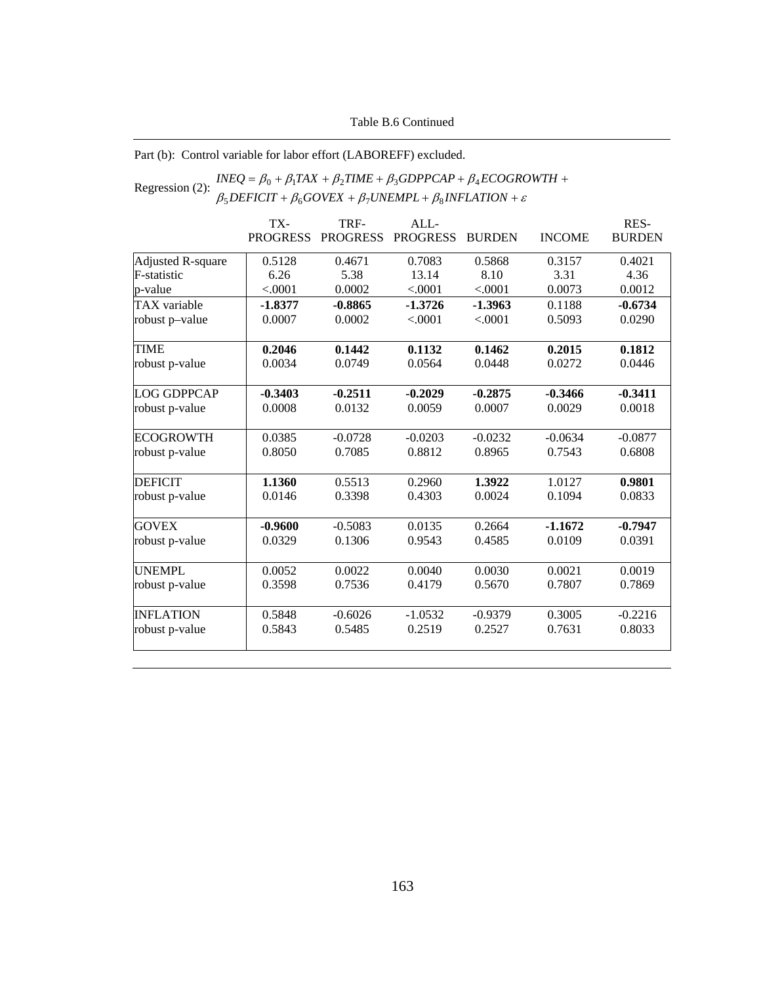### Table B.6 Continued

### Part (b): Control variable for labor effort (LABOREFF) excluded.

#### Regression (2):  $INEQ = \beta_0 + \beta_1 TAX + \beta_2 TIME + \beta_3 GDPPCAP + \beta_4 ECOGRC$ <br>  $\beta_5 DEFICT + \beta_6 GOVEX + \beta_7 UNEMPL + \beta_8 INFLATION + \varepsilon$ +  $\beta_6 GOVEX + \beta_7 UNEMPL + \beta_8 INFLATION +$  $= \beta_0 + \beta_1 TAX + \beta_2 TIME + \beta_3 GDPPCAP + \beta_4 ECOGROWTH +$  $DEFICIT + \beta_6 GOVEX + \beta_7 UNEMPL + \beta_8 INFLATION$  $INEQ = \beta_0 + \beta_1 TAX + \beta_2 TIME + \beta_3 GDPPCAP + \beta_4 ECOGROWTH$  $5$ *DEFICII* +  $p_6$ *GOVEA* +  $p_7$ *OINEMFL* +  $p_8$  $0 + p_1 I A A + p_2 I I I I E + p_3 O D I F C A F + p_4$

|                          | TX-             | TRF-            | ALL             |               |               | RES-          |
|--------------------------|-----------------|-----------------|-----------------|---------------|---------------|---------------|
|                          | <b>PROGRESS</b> | <b>PROGRESS</b> | <b>PROGRESS</b> | <b>BURDEN</b> | <b>INCOME</b> | <b>BURDEN</b> |
| <b>Adjusted R-square</b> | 0.5128          | 0.4671          | 0.7083          | 0.5868        | 0.3157        | 0.4021        |
| F-statistic              | 6.26            | 5.38            | 13.14           | 8.10          | 3.31          | 4.36          |
| p-value                  | < .0001         | 0.0002          | < .0001         | < .0001       | 0.0073        | 0.0012        |
| TAX variable             | $-1.8377$       | $-0.8865$       | $-1.3726$       | $-1.3963$     | 0.1188        | $-0.6734$     |
| robust p-value           | 0.0007          | 0.0002          | < .0001         | < .0001       | 0.5093        | 0.0290        |
| <b>TIME</b>              | 0.2046          | 0.1442          | 0.1132          | 0.1462        | 0.2015        | 0.1812        |
| robust p-value           | 0.0034          | 0.0749          | 0.0564          | 0.0448        | 0.0272        | 0.0446        |
| LOG GDPPCAP              | $-0.3403$       | $-0.2511$       | $-0.2029$       | $-0.2875$     | $-0.3466$     | $-0.3411$     |
| robust p-value           | 0.0008          | 0.0132          | 0.0059          | 0.0007        | 0.0029        | 0.0018        |
| <b>ECOGROWTH</b>         | 0.0385          | $-0.0728$       | $-0.0203$       | $-0.0232$     | $-0.0634$     | $-0.0877$     |
| robust p-value           | 0.8050          | 0.7085          | 0.8812          | 0.8965        | 0.7543        | 0.6808        |
| <b>DEFICIT</b>           | 1.1360          | 0.5513          | 0.2960          | 1.3922        | 1.0127        | 0.9801        |
| robust p-value           | 0.0146          | 0.3398          | 0.4303          | 0.0024        | 0.1094        | 0.0833        |
| <b>GOVEX</b>             | $-0.9600$       | $-0.5083$       | 0.0135          | 0.2664        | $-1.1672$     | $-0.7947$     |
| robust p-value           | 0.0329          | 0.1306          | 0.9543          | 0.4585        | 0.0109        | 0.0391        |
| <b>UNEMPL</b>            | 0.0052          | 0.0022          | 0.0040          | 0.0030        | 0.0021        | 0.0019        |
| robust p-value           | 0.3598          | 0.7536          | 0.4179          | 0.5670        | 0.7807        | 0.7869        |
| <b>INFLATION</b>         | 0.5848          | $-0.6026$       | $-1.0532$       | $-0.9379$     | 0.3005        | $-0.2216$     |
| robust p-value           | 0.5843          | 0.5485          | 0.2519          | 0.2527        | 0.7631        | 0.8033        |
|                          |                 |                 |                 |               |               |               |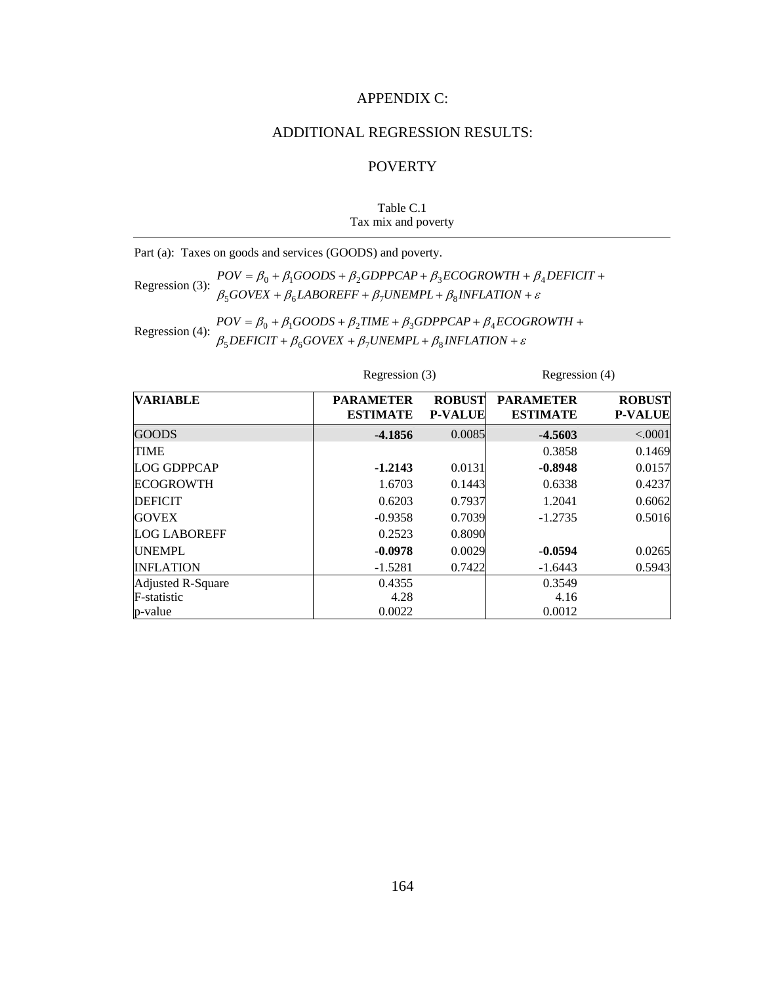# APPENDIX C:

# ADDITIONAL REGRESSION RESULTS:

# **POVERTY**

### Table C.1 Tax mix and poverty

Part (a): Taxes on goods and services (GOODS) and poverty.

Regression (3):  $POV = \beta_0 + \beta_1 GOODS + \beta_2 GDPPCAP + \beta_3 ECOGROWTH + \beta_3 BQVEX + \beta_4 LABOREFF + \beta_7 UNEMPL + \beta_8 INFLATION + \varepsilon$ +  $\beta_6$ *LABOREFF* +  $\beta_7$ *UNEMPL* +  $\beta_8$ *INFLATION* +  $=\beta_0 + \beta_1 GOODS + \beta_2 GDPPCAP + \beta_3 ECOGROWTH + \beta_4 DEFICIT +$  $GOVEX + \beta_6 LABOREFF + \beta_7 UNEMPL + \beta_8 INFLATION$  $POV = \beta_0 + \beta_1 GOODS + \beta_2 GDPPCAP + \beta_3 ECOGROWTH + \beta_4 DEFICIT$  $500$ vea +  $p_6$ ladunei t +  $p_7$ unemi l +  $p_8$  $0 + P_1$ 000DS +  $P_2$ 0DFFCAF +  $P_3$ ECOONOWIN +  $P_4$ 

Regression (4):  $POV = \beta_0 + \beta_1 GOODS + \beta_2 TIME + \beta_3 GDPPCAP + \beta_4 ECOC$ <br> $\beta_5 DEFICT + \beta_6 GOVEX + \beta_7 UNEMPL + \beta_8 INFLATION + \varepsilon$ +  $\beta_6 GOVEX + \beta_7 UNEMPL + \beta_8 INFLATION +$  $= \beta_0 + \beta_1 GOODS + \beta_2 TIME + \beta_3 GDPPCAP + \beta_4 ECOGROWTH +$  $DEFICIT + \beta_6 GOVEX + \beta_7 UNEMPL + \beta_8 INFLATION$  $POV = \beta_0 + \beta_1 GOODS + \beta_2 TIME + \beta_3 GDPPCAP + \beta_4 ECOGROWTH$  $5$ *DEFICII* +  $p_6$ GOVEA +  $p_7$ ONEMFL+  $p_8$  $0 + p_1$ OOODS +  $p_2$ TIME +  $p_3$ ODFFCAF +  $p_4$ 

| <b>VARIABLE</b>     | <b>PARAMETER</b><br><b>ESTIMATE</b> | <b>ROBUST</b><br><b>P-VALUE</b> | <b>PARAMETER</b><br><b>ESTIMATE</b> | <b>ROBUST</b><br><b>P-VALUE</b> |
|---------------------|-------------------------------------|---------------------------------|-------------------------------------|---------------------------------|
| <b>GOODS</b>        | $-4.1856$                           | 0.0085                          | $-4.5603$                           | < .0001                         |
| <b>TIME</b>         |                                     |                                 | 0.3858                              | 0.1469                          |
| <b>LOG GDPPCAP</b>  | $-1.2143$                           | 0.0131                          | $-0.8948$                           | 0.0157                          |
| <b>ECOGROWTH</b>    | 1.6703                              | 0.1443                          | 0.6338                              | 0.4237                          |
| <b>DEFICIT</b>      | 0.6203                              | 0.7937                          | 1.2041                              | 0.6062                          |
| <b>GOVEX</b>        | $-0.9358$                           | 0.7039                          | $-1.2735$                           | 0.5016                          |
| <b>LOG LABOREFF</b> | 0.2523                              | 0.8090                          |                                     |                                 |
| <b>UNEMPL</b>       | $-0.0978$                           | 0.0029                          | $-0.0594$                           | 0.0265                          |
| <b>INFLATION</b>    | $-1.5281$                           | 0.7422                          | $-1.6443$                           | 0.5943                          |
| Adjusted R-Square   | 0.4355                              |                                 | 0.3549                              |                                 |
| F-statistic         | 4.28                                |                                 | 4.16                                |                                 |
| p-value             | 0.0022                              |                                 | 0.0012                              |                                 |

Regression (3) Regression (4)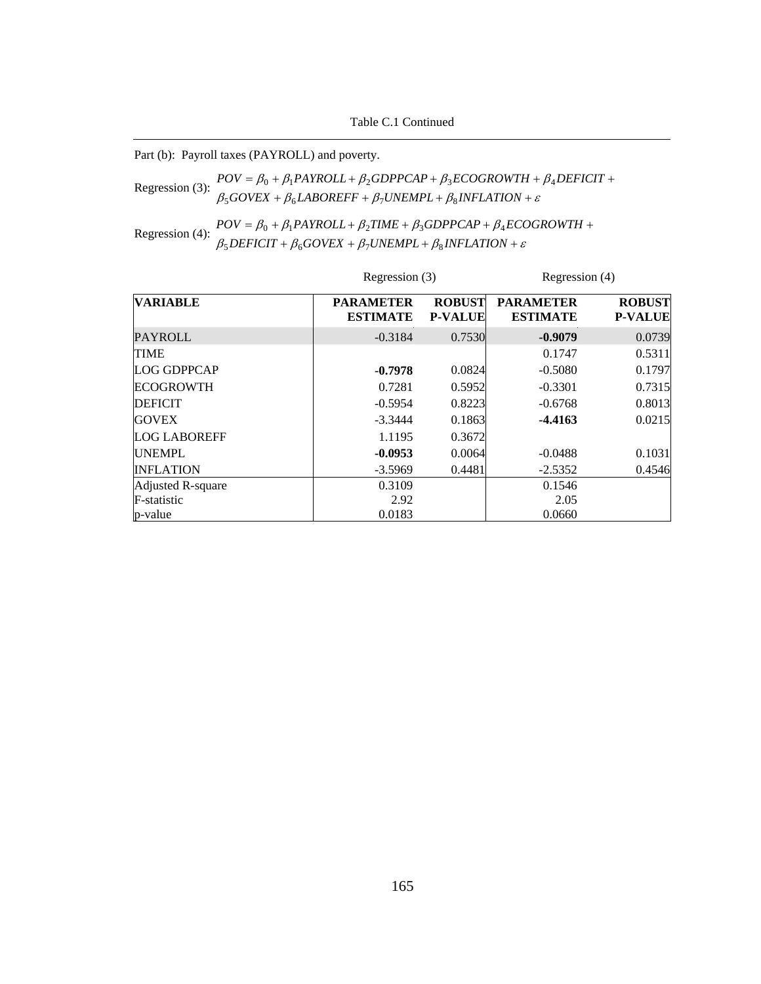Part (b): Payroll taxes (PAYROLL) and poverty.

Regression (3):  $POV = \beta_0 + \beta_1 PAYROLL + \beta_2 GDPPCAP + \beta_3 ECOGROWTH + \beta_4 PQYRQYR + \beta_5 GOVEX + \beta_6 LABOREFF + \beta_7 UNEMPL + \beta_8 INFLATION + \varepsilon$ +  $\beta_6$ *LABOREFF* +  $\beta_7$ *UNEMPL* +  $\beta_8$ *INFLATION* +  $= \beta_0 + \beta_1 PAYROLL + \beta_2 GDPPCAP + \beta_3 ECOGROWTH + \beta_4 DEFICIT +$  $GOVEX + \beta_6 LABOREFF + \beta_7 UNEMPL + \beta_8 INFLATION$  $POV = \beta_0 + \beta_1 PAYROLL + \beta_2 GDPPCAP + \beta_3 ECOGROWTH + \beta_4 DEFICIT$  $500$ VEA +  $\mu_6$ LADOKETT +  $\mu_7$ OIVEMITL+  $\mu_8$  $0 + p_1$ FAINULL+ $p_2$ UDFFCAF+ $p_3$ LCOUNOWI $n + p_4$ 

Regression (4):  $POV = \beta_0 + \beta_1 PAYROLL + \beta_2 TIME + \beta_3 GDPPCAP + \beta_4 ECC$ <br> $\beta_5 DEFICT + \beta_6 GOVEX + \beta_7 UNEMPL + \beta_8 INFLATION + \varepsilon$ +  $\beta_6 GOVEX + \beta_7 UNEMPL + \beta_8 INFLATION +$  $= \beta_0 + \beta_1 PAYROLL + \beta_2 TIME + \beta_3 GDPPCAP + \beta_4 ECOGROWTH +$  $DEFICIT + \beta_6 GOVEX + \beta_7 UNEMPL + \beta_8 INFLATION$  $POV = \beta_0 + \beta_1 PAYROLL + \beta_2 TIME + \beta_3 GDPPCAP + \beta_4 ECOGROWTH$  $5$ *DEFICII* +  $p_6$ GOVEA +  $p_7$ ONEMFL+  $p_8$  $0 + p_1$ FAINULL +  $p_2$ IIME +  $p_3$ UDFF CAF +  $p_4$ 

|                     | Regression (3)                      |                                 | Regression (4)                      |                                 |  |
|---------------------|-------------------------------------|---------------------------------|-------------------------------------|---------------------------------|--|
| <b>VARIABLE</b>     | <b>PARAMETER</b><br><b>ESTIMATE</b> | <b>ROBUST</b><br><b>P-VALUE</b> | <b>PARAMETER</b><br><b>ESTIMATE</b> | <b>ROBUST</b><br><b>P-VALUE</b> |  |
| <b>PAYROLL</b>      | $-0.3184$                           | 0.7530                          | $-0.9079$                           | 0.0739                          |  |
| <b>TIME</b>         |                                     |                                 | 0.1747                              | 0.5311                          |  |
| <b>LOG GDPPCAP</b>  | $-0.7978$                           | 0.0824                          | $-0.5080$                           | 0.1797                          |  |
| <b>ECOGROWTH</b>    | 0.7281                              | 0.5952                          | $-0.3301$                           | 0.7315                          |  |
| <b>DEFICIT</b>      | $-0.5954$                           | 0.8223                          | $-0.6768$                           | 0.8013                          |  |
| <b>GOVEX</b>        | $-3.3444$                           | 0.1863                          | $-4.4163$                           | 0.0215                          |  |
| <b>LOG LABOREFF</b> | 1.1195                              | 0.3672                          |                                     |                                 |  |
| <b>UNEMPL</b>       | $-0.0953$                           | 0.0064                          | $-0.0488$                           | 0.1031                          |  |
| <b>INFLATION</b>    | $-3.5969$                           | 0.4481                          | $-2.5352$                           | 0.4546                          |  |
| Adjusted R-square   | 0.3109                              |                                 | 0.1546                              |                                 |  |
| F-statistic         | 2.92                                |                                 | 2.05                                |                                 |  |
| p-value             | 0.0183                              |                                 | 0.0660                              |                                 |  |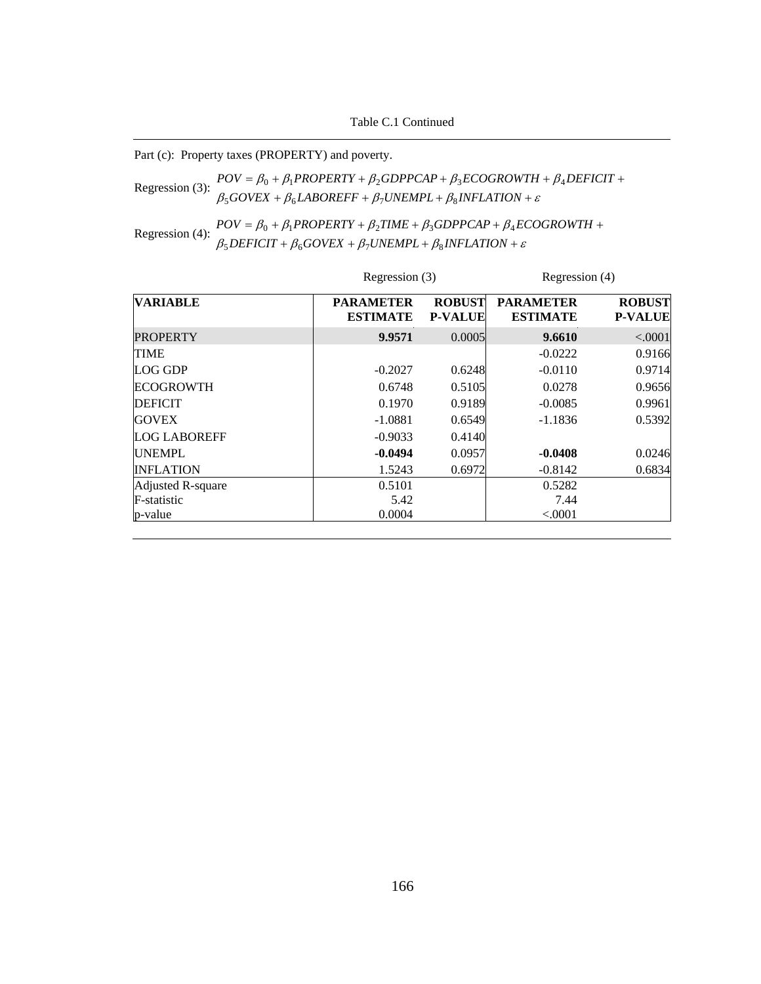Part (c): Property taxes (PROPERTY) and poverty.

Regression (3):  $\beta_5 GoveX + \beta_6 LABOREFF + \beta_7 UNEMPL + \beta_8 INFLATION + \varepsilon$  $POV = \beta_0 + \beta_1 PROPERTIES + \beta_2 GDPPCAP + \beta_3 ECOGROWTH + \beta_4 DEFICT +$ 

Regression (4):  $POV = \beta_0 + \beta_1 PROPERTIES + \beta_2 TIME + \beta_3 GDPPCA + \beta_4 EQ$ <br> $\beta_5 DEFICT + \beta_6 GOVEX + \beta_7 UNEMP + \beta_8 INFLATION + \varepsilon$ +  $\beta_6 GOVEX + \beta_7 UNEMPL + \beta_8 INFLATION +$  $= \beta_0 + \beta_1 PROPERTY + \beta_2 TIME + \beta_3 GDPPCAP + \beta_4 ECOGROWTH +$  $DEFICIT + \beta_6 GOVEX + \beta_7 UNEMPL + \beta_8 INFLATION$  $POV = \beta_0 + \beta_1 PROPERTY + \beta_2 TIME + \beta_3 GDPPCAP + \beta_4 ECOGROWTH$  $5$ *DEFICII* +  $p_6$ GOVEA +  $p_7$ ONEMFL+  $p_8$  $0 + p_1$ FNUFENII +  $p_2$ HNIE +  $p_3$ UDFFCAF +  $p_4$ 

|                     | Regression (3)                      |                                 | Regression (4)                      |                                 |  |
|---------------------|-------------------------------------|---------------------------------|-------------------------------------|---------------------------------|--|
| <b>VARIABLE</b>     | <b>PARAMETER</b><br><b>ESTIMATE</b> | <b>ROBUST</b><br><b>P-VALUE</b> | <b>PARAMETER</b><br><b>ESTIMATE</b> | <b>ROBUST</b><br><b>P-VALUE</b> |  |
| <b>PROPERTY</b>     | 9.9571                              | 0.0005                          | 9.6610                              | < .0001                         |  |
| <b>TIME</b>         |                                     |                                 | $-0.0222$                           | 0.9166                          |  |
| LOG GDP             | $-0.2027$                           | 0.6248                          | $-0.0110$                           | 0.9714                          |  |
| <b>ECOGROWTH</b>    | 0.6748                              | 0.5105                          | 0.0278                              | 0.9656                          |  |
| <b>DEFICIT</b>      | 0.1970                              | 0.9189                          | $-0.0085$                           | 0.9961                          |  |
| <b>GOVEX</b>        | $-1.0881$                           | 0.6549                          | $-1.1836$                           | 0.5392                          |  |
| <b>LOG LABOREFF</b> | $-0.9033$                           | 0.4140                          |                                     |                                 |  |
| <b>UNEMPL</b>       | $-0.0494$                           | 0.0957                          | $-0.0408$                           | 0.0246                          |  |
| <b>INFLATION</b>    | 1.5243                              | 0.6972                          | $-0.8142$                           | 0.6834                          |  |
| Adjusted R-square   | 0.5101                              |                                 | 0.5282                              |                                 |  |
| F-statistic         | 5.42                                |                                 | 7.44                                |                                 |  |
| p-value             | 0.0004                              |                                 | < .0001                             |                                 |  |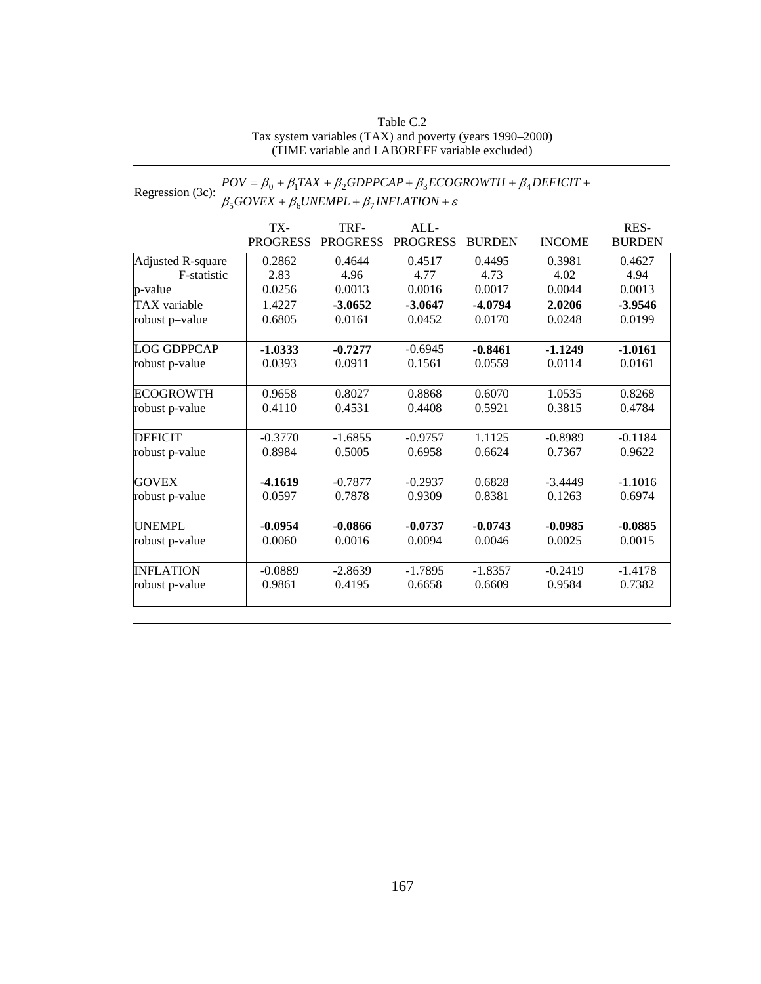#### Table C.2 Tax system variables (TAX) and poverty (years 1990–2000) (TIME variable and LABOREFF variable excluded)

#### Regression (3c):  $POV = \beta_0 + \beta_1 TAX + \beta_2 GDPPCAP + \beta_3 ECOGROWTH + \beta_4$ <br> $\beta_5 GOVEX + \beta_6 UNEMPL + \beta_7 INFLATION + \varepsilon$ +  $\beta_6 UNEMPL + \beta_7 INFLATION +$  $=\beta_0 + \beta_1 TAX + \beta_2 GDPPCAP + \beta_3 ECOGROWTH + \beta_4 DEFICIT +$  $GOVEX + \beta_6 UNEMPL + \beta_7 INFLATION$  $POV = \beta_0 + \beta_1 TAX + \beta_2 GDPPCAP + \beta_3 ECOGROWTH + \beta_4 DEFICIT$  $5$ UUVEA +  $p_6$ UNEMITL+ $p_7$  $0 + p_1 I A A + p_2 O D I T C A T + p_3 E C O O N O W I H + p_4$

|                     | TX-             | TRF-            | ALL-            |               |               | RES-          |
|---------------------|-----------------|-----------------|-----------------|---------------|---------------|---------------|
|                     | <b>PROGRESS</b> | <b>PROGRESS</b> | <b>PROGRESS</b> | <b>BURDEN</b> | <b>INCOME</b> | <b>BURDEN</b> |
| Adjusted R-square   | 0.2862          | 0.4644          | 0.4517          | 0.4495        | 0.3981        | 0.4627        |
| F-statistic         | 2.83            | 4.96            | 4.77            | 4.73          | 4.02          | 4.94          |
| p-value             | 0.0256          | 0.0013          | 0.0016          | 0.0017        | 0.0044        | 0.0013        |
| <b>TAX</b> variable | 1.4227          | $-3.0652$       | $-3.0647$       | $-4.0794$     | 2.0206        | $-3.9546$     |
| robust p-value      | 0.6805          | 0.0161          | 0.0452          | 0.0170        | 0.0248        | 0.0199        |
| <b>LOG GDPPCAP</b>  | $-1.0333$       | $-0.7277$       | $-0.6945$       | $-0.8461$     | $-1.1249$     | $-1.0161$     |
| robust p-value      | 0.0393          | 0.0911          | 0.1561          | 0.0559        | 0.0114        | 0.0161        |
| <b>ECOGROWTH</b>    | 0.9658          | 0.8027          | 0.8868          | 0.6070        | 1.0535        | 0.8268        |
| robust p-value      | 0.4110          | 0.4531          | 0.4408          | 0.5921        | 0.3815        | 0.4784        |
| <b>DEFICIT</b>      | $-0.3770$       | $-1.6855$       | $-0.9757$       | 1.1125        | $-0.8989$     | $-0.1184$     |
| robust p-value      | 0.8984          | 0.5005          | 0.6958          | 0.6624        | 0.7367        | 0.9622        |
| <b>GOVEX</b>        | $-4.1619$       | $-0.7877$       | $-0.2937$       | 0.6828        | $-3.4449$     | $-1.1016$     |
| robust p-value      | 0.0597          | 0.7878          | 0.9309          | 0.8381        | 0.1263        | 0.6974        |
| <b>UNEMPL</b>       | $-0.0954$       | $-0.0866$       | $-0.0737$       | $-0.0743$     | $-0.0985$     | $-0.0885$     |
| robust p-value      | 0.0060          | 0.0016          | 0.0094          | 0.0046        | 0.0025        | 0.0015        |
| <b>INFLATION</b>    | $-0.0889$       | $-2.8639$       | $-1.7895$       | $-1.8357$     | $-0.2419$     | $-1.4178$     |
| robust p-value      | 0.9861          | 0.4195          | 0.6658          | 0.6609        | 0.9584        | 0.7382        |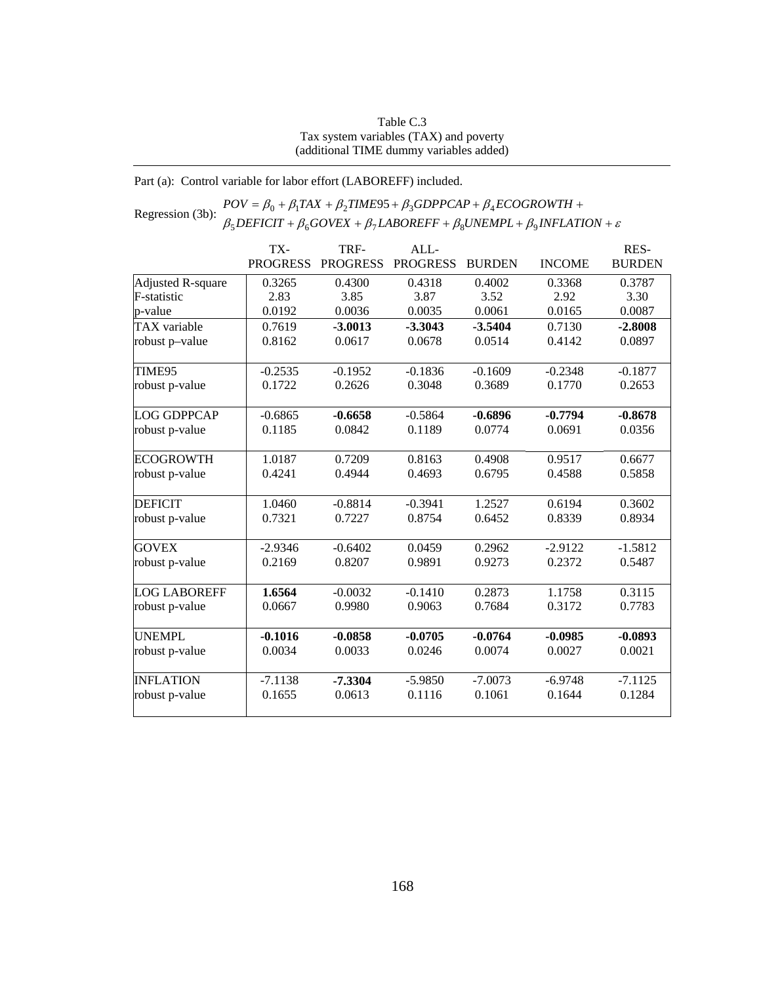#### Table C.3 Tax system variables (TAX) and poverty (additional TIME dummy variables added)

### Part (a): Control variable for labor effort (LABOREFF) included.

#### Regression (3b):  $POV = \beta_0 + \beta_1 TAX + \beta_2 TIME95 + \beta_3 GDPPCAP + \beta_4 ECOGROWTH +$ <br> $\beta_5 DEFICIT + \beta_6 GOVEX + \beta_7 LABOREFF + \beta_8 UNEMPL + \beta_9 INFLATION + \varepsilon$  $+\beta_6 GOVEX + \beta_7 LABOREFF + \beta_8 UNEMPL + \beta_9 INFLATION +$  $= \beta_0 + \beta_1 TAX + \beta_2 TIME95 + \beta_3 GDPPCAP + \beta_4 ECOGROWTH +$  $DEFICIT + \beta_6 GOVEX + \beta_7 LABOREFF + \beta_8 UNEMPL + \beta_9 INFLATION$  $POV = \beta_0 + \beta_1 TAX + \beta_2 TIME95 + \beta_3 GDPPCAP + \beta_4 ECOGROWTH$  $5$ DEFICII +  $p_6$ OOVEA +  $p_7$ LADOKEFF +  $p_8$ ONEMFL +  $p_9$  $\beta_0 + \beta_1 TAX + \beta_2 TIME95 + \beta_3 GDPPCAP + \beta_4$

|                     | TX-             | TRF-            | ALL-            |               |               | RES-          |
|---------------------|-----------------|-----------------|-----------------|---------------|---------------|---------------|
|                     | <b>PROGRESS</b> | <b>PROGRESS</b> | <b>PROGRESS</b> | <b>BURDEN</b> | <b>INCOME</b> | <b>BURDEN</b> |
| Adjusted R-square   | 0.3265          | 0.4300          | 0.4318          | 0.4002        | 0.3368        | 0.3787        |
| F-statistic         | 2.83            | 3.85            | 3.87            | 3.52          | 2.92          | 3.30          |
| p-value             | 0.0192          | 0.0036          | 0.0035          | 0.0061        | 0.0165        | 0.0087        |
| <b>TAX</b> variable | 0.7619          | $-3.0013$       | $-3.3043$       | $-3.5404$     | 0.7130        | $-2.8008$     |
| robust p-value      | 0.8162          | 0.0617          | 0.0678          | 0.0514        | 0.4142        | 0.0897        |
| TIME95              | $-0.2535$       | $-0.1952$       | $-0.1836$       | $-0.1609$     | $-0.2348$     | $-0.1877$     |
| robust p-value      | 0.1722          | 0.2626          | 0.3048          | 0.3689        | 0.1770        | 0.2653        |
| <b>LOG GDPPCAP</b>  | $-0.6865$       | $-0.6658$       | $-0.5864$       | $-0.6896$     | $-0.7794$     | $-0.8678$     |
| robust p-value      | 0.1185          | 0.0842          | 0.1189          | 0.0774        | 0.0691        | 0.0356        |
| <b>ECOGROWTH</b>    | 1.0187          | 0.7209          | 0.8163          | 0.4908        | 0.9517        | 0.6677        |
| robust p-value      | 0.4241          | 0.4944          | 0.4693          | 0.6795        | 0.4588        | 0.5858        |
| <b>DEFICIT</b>      | 1.0460          | $-0.8814$       | $-0.3941$       | 1.2527        | 0.6194        | 0.3602        |
| robust p-value      | 0.7321          | 0.7227          | 0.8754          | 0.6452        | 0.8339        | 0.8934        |
| <b>GOVEX</b>        | $-2.9346$       | $-0.6402$       | 0.0459          | 0.2962        | $-2.9122$     | $-1.5812$     |
| robust p-value      | 0.2169          | 0.8207          | 0.9891          | 0.9273        | 0.2372        | 0.5487        |
| <b>LOG LABOREFF</b> | 1.6564          | $-0.0032$       | $-0.1410$       | 0.2873        | 1.1758        | 0.3115        |
| robust p-value      | 0.0667          | 0.9980          | 0.9063          | 0.7684        | 0.3172        | 0.7783        |
| <b>UNEMPL</b>       | $-0.1016$       | $-0.0858$       | $-0.0705$       | $-0.0764$     | $-0.0985$     | $-0.0893$     |
| robust p-value      | 0.0034          | 0.0033          | 0.0246          | 0.0074        | 0.0027        | 0.0021        |
| <b>INFLATION</b>    | $-7.1138$       | $-7.3304$       | $-5.9850$       | $-7.0073$     | $-6.9748$     | $-7.1125$     |
| robust p-value      | 0.1655          | 0.0613          | 0.1116          | 0.1061        | 0.1644        | 0.1284        |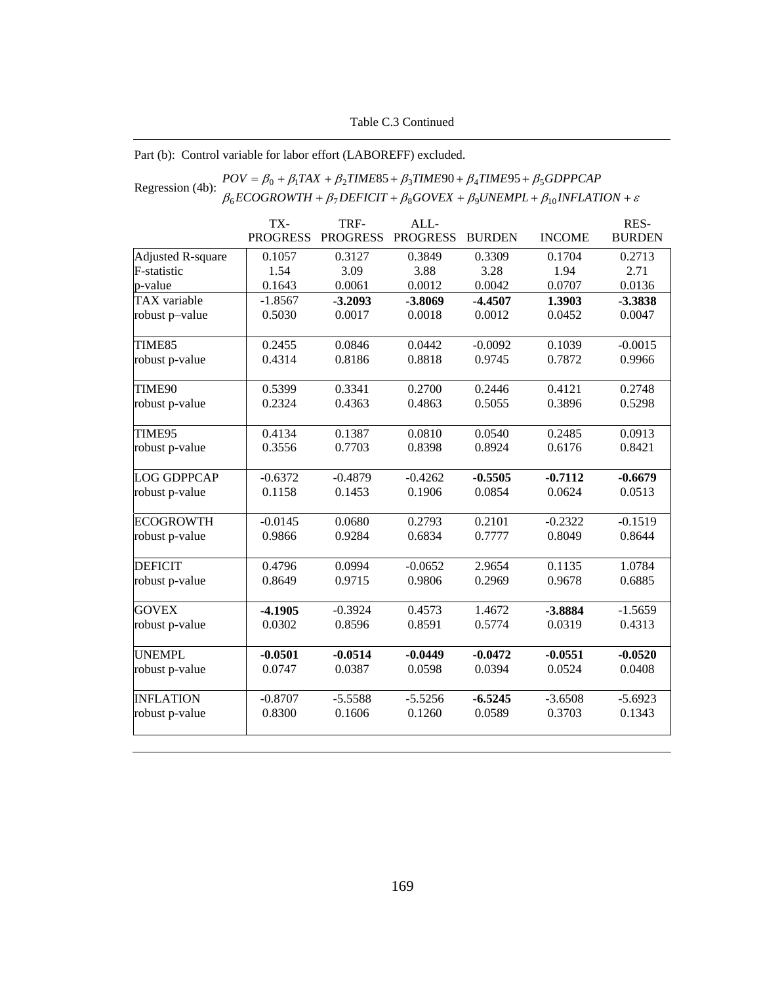## Part (b): Control variable for labor effort (LABOREFF) excluded.

### Regression (4b):  $\frac{POV = \beta_0 + \beta_1 TAX + \beta_2 TIME85 + \beta_3 TIME90 + \beta_4 TIME95 + \beta_5 GDPPCAP}{\beta_6 ECOGROWTH + \beta_7DEFCIT + \beta_8 GOVEX + \beta_9 UNEMPL + \beta_{10} INFLATION + \varepsilon}$ +  $\beta_7$  DEFICIT +  $\beta_8$  GOVEX +  $\beta_9$ UNEMPL +  $\beta_{10}$ INFLATION +  $= \beta_0 + \beta_1 TAX + \beta_2 TIME85 + \beta_3 TIME90 + \beta_4 TIME95 +$  $ECOGROWTH + \beta_7 DEFICT + \beta_8 GOVEX + \beta_9 UNEMPL + \beta_{10} INFLATION$  $POV = \beta_0 + \beta_1 TAX + \beta_2 TIME85 + \beta_3 TIME90 + \beta_4 TIME95 + \beta_5 GDPPCAP$  $_{6}$ ECOONOWIH +  $_{p_7}$ DEFICH +  $_{p_8}$ OOVEA +  $_{p_9}$ ONEMFL +  $_{p_{10}}$  $\beta_0 + \beta_1 TAX + \beta_2 TIME85 + \beta_3 TIME90 + \beta_4 TIME95 + \beta_5$

|                     | TX-             | TRF-            | ALL-            |               |               | RES-          |
|---------------------|-----------------|-----------------|-----------------|---------------|---------------|---------------|
|                     | <b>PROGRESS</b> | <b>PROGRESS</b> | <b>PROGRESS</b> | <b>BURDEN</b> | <b>INCOME</b> | <b>BURDEN</b> |
| Adjusted R-square   | 0.1057          | 0.3127          | 0.3849          | 0.3309        | 0.1704        | 0.2713        |
| F-statistic         | 1.54            | 3.09            | 3.88            | 3.28          | 1.94          | 2.71          |
| p-value             | 0.1643          | 0.0061          | 0.0012          | 0.0042        | 0.0707        | 0.0136        |
| <b>TAX</b> variable | $-1.8567$       | $-3.2093$       | $-3.8069$       | $-4.4507$     | 1.3903        | $-3.3838$     |
| robust p-value      | 0.5030          | 0.0017          | 0.0018          | 0.0012        | 0.0452        | 0.0047        |
| TIME85              | 0.2455          | 0.0846          | 0.0442          | $-0.0092$     | 0.1039        | $-0.0015$     |
| robust p-value      | 0.4314          | 0.8186          | 0.8818          | 0.9745        | 0.7872        | 0.9966        |
| TIME90              | 0.5399          | 0.3341          | 0.2700          | 0.2446        | 0.4121        | 0.2748        |
| robust p-value      | 0.2324          | 0.4363          | 0.4863          | 0.5055        | 0.3896        | 0.5298        |
| TIME95              | 0.4134          | 0.1387          | 0.0810          | 0.0540        | 0.2485        | 0.0913        |
| robust p-value      | 0.3556          | 0.7703          | 0.8398          | 0.8924        | 0.6176        | 0.8421        |
| <b>LOG GDPPCAP</b>  | $-0.6372$       | $-0.4879$       | $-0.4262$       | $-0.5505$     | $-0.7112$     | $-0.6679$     |
| robust p-value      | 0.1158          | 0.1453          | 0.1906          | 0.0854        | 0.0624        | 0.0513        |
| <b>ECOGROWTH</b>    | $-0.0145$       | 0.0680          | 0.2793          | 0.2101        | $-0.2322$     | $-0.1519$     |
| robust p-value      | 0.9866          | 0.9284          | 0.6834          | 0.7777        | 0.8049        | 0.8644        |
| <b>DEFICIT</b>      | 0.4796          | 0.0994          | $-0.0652$       | 2.9654        | 0.1135        | 1.0784        |
| robust p-value      | 0.8649          | 0.9715          | 0.9806          | 0.2969        | 0.9678        | 0.6885        |
| <b>GOVEX</b>        | $-4.1905$       | $-0.3924$       | 0.4573          | 1.4672        | -3.8884       | $-1.5659$     |
| robust p-value      | 0.0302          | 0.8596          | 0.8591          | 0.5774        | 0.0319        | 0.4313        |
| <b>UNEMPL</b>       | $-0.0501$       | $-0.0514$       | $-0.0449$       | $-0.0472$     | $-0.0551$     | $-0.0520$     |
| robust p-value      | 0.0747          | 0.0387          | 0.0598          | 0.0394        | 0.0524        | 0.0408        |
| <b>INFLATION</b>    | $-0.8707$       | $-5.5588$       | $-5.5256$       | $-6.5245$     | $-3.6508$     | $-5.6923$     |
| robust p-value      | 0.8300          | 0.1606          | 0.1260          | 0.0589        | 0.3703        | 0.1343        |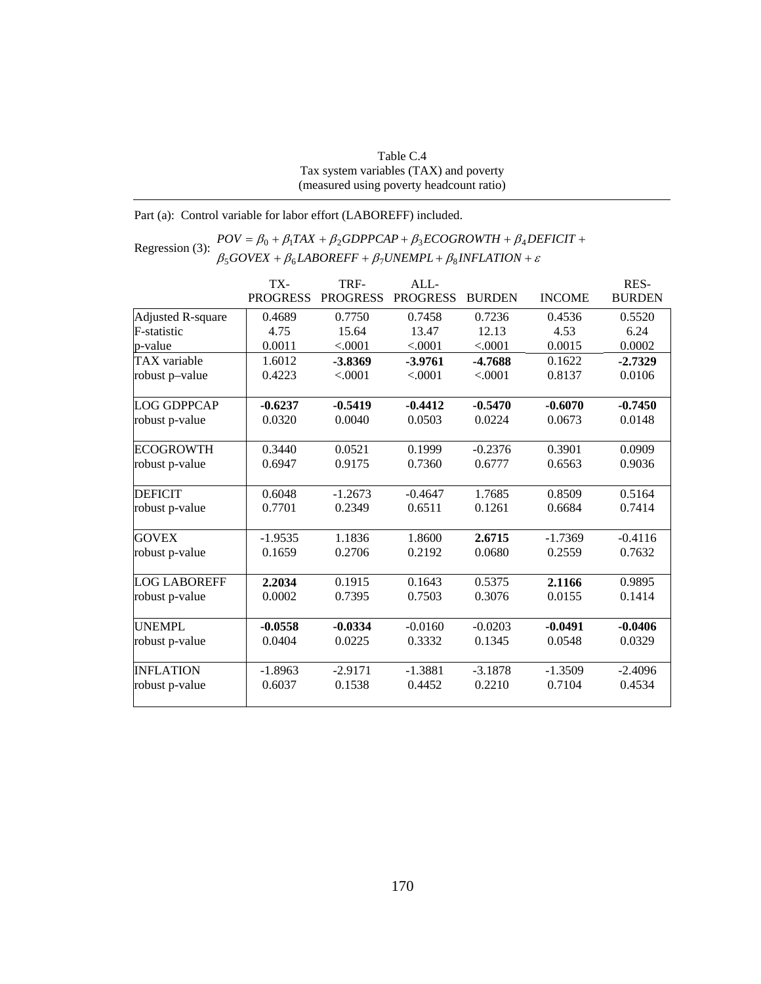| Table C.4                                |
|------------------------------------------|
| Tax system variables (TAX) and poverty   |
| (measured using poverty headcount ratio) |

Part (a): Control variable for labor effort (LABOREFF) included.

### Regression (3):  $POV = \beta_0 + \beta_1 TAX + \beta_2 GDPPCAP + \beta_3 ECOGROWTH + \beta_4 DE \beta_5 GOVEX + \beta_6 LABOREFF + \beta_7 UNEMPLL + \beta_8 INFLATION + \varepsilon$  $+ \beta_6 LABOREFF + \beta_7 UNEMPL + \beta_8 INFLATION +$  $=\beta_0 + \beta_1 TAX + \beta_2 GDPPCAP + \beta_3 ECOGROWTH + \beta_4 DEFICIT +$  $GOVEX + \beta_6 LABOREFF + \beta_7 UNEMPL + \beta_8 INFLATION$  $POV = \beta_0 + \beta_1 TAX + \beta_2 GDPPCAP + \beta_3 ECOGROWTH + \beta_4 DEFICIT$  $500$ VEA +  $\mu_6$ LADOKETT +  $\mu_7$ OIVEMITL+  $\mu_8$  $0 + p_1 I A \Lambda + p_2 O D I T C A I + p_3 E C O O N O W I H + p_4$

|                          | TX-<br><b>PROGRESS</b> | TRF-<br><b>PROGRESS</b> | ALL<br><b>PROGRESS</b> | <b>BURDEN</b> | <b>INCOME</b> | RES-<br><b>BURDEN</b> |
|--------------------------|------------------------|-------------------------|------------------------|---------------|---------------|-----------------------|
| <b>Adjusted R-square</b> | 0.4689                 | 0.7750                  | 0.7458                 | 0.7236        | 0.4536        | 0.5520                |
| <b>F-statistic</b>       | 4.75                   | 15.64                   | 13.47                  | 12.13         | 4.53          | 6.24                  |
| p-value                  | 0.0011                 | < .0001                 | < .0001                | < .0001       | 0.0015        | 0.0002                |
| <b>TAX</b> variable      | 1.6012                 | $-3.8369$               | $-3.9761$              | $-4.7688$     | 0.1622        | $-2.7329$             |
| robust p-value           | 0.4223                 | < .0001                 | < .0001                | < .0001       | 0.8137        | 0.0106                |
| <b>LOG GDPPCAP</b>       | $-0.6237$              | $-0.5419$               | $-0.4412$              | $-0.5470$     | $-0.6070$     | $-0.7450$             |
| robust p-value           | 0.0320                 | 0.0040                  | 0.0503                 | 0.0224        | 0.0673        | 0.0148                |
| <b>ECOGROWTH</b>         | 0.3440                 | 0.0521                  | 0.1999                 | $-0.2376$     | 0.3901        | 0.0909                |
| robust p-value           | 0.6947                 | 0.9175                  | 0.7360                 | 0.6777        | 0.6563        | 0.9036                |
| <b>DEFICIT</b>           | 0.6048                 | $-1.2673$               | $-0.4647$              | 1.7685        | 0.8509        | 0.5164                |
| robust p-value           | 0.7701                 | 0.2349                  | 0.6511                 | 0.1261        | 0.6684        | 0.7414                |
| <b>GOVEX</b>             | $-1.9535$              | 1.1836                  | 1.8600                 | 2.6715        | $-1.7369$     | $-0.4116$             |
| robust p-value           | 0.1659                 | 0.2706                  | 0.2192                 | 0.0680        | 0.2559        | 0.7632                |
| <b>LOG LABOREFF</b>      | 2.2034                 | 0.1915                  | 0.1643                 | 0.5375        | 2.1166        | 0.9895                |
| robust p-value           | 0.0002                 | 0.7395                  | 0.7503                 | 0.3076        | 0.0155        | 0.1414                |
| <b>UNEMPL</b>            | $-0.0558$              | $-0.0334$               | $-0.0160$              | $-0.0203$     | $-0.0491$     | $-0.0406$             |
| robust p-value           | 0.0404                 | 0.0225                  | 0.3332                 | 0.1345        | 0.0548        | 0.0329                |
| <b>INFLATION</b>         | $-1.8963$              | $-2.9171$               | $-1.3881$              | $-3.1878$     | $-1.3509$     | $-2.4096$             |
| robust p-value           | 0.6037                 | 0.1538                  | 0.4452                 | 0.2210        | 0.7104        | 0.4534                |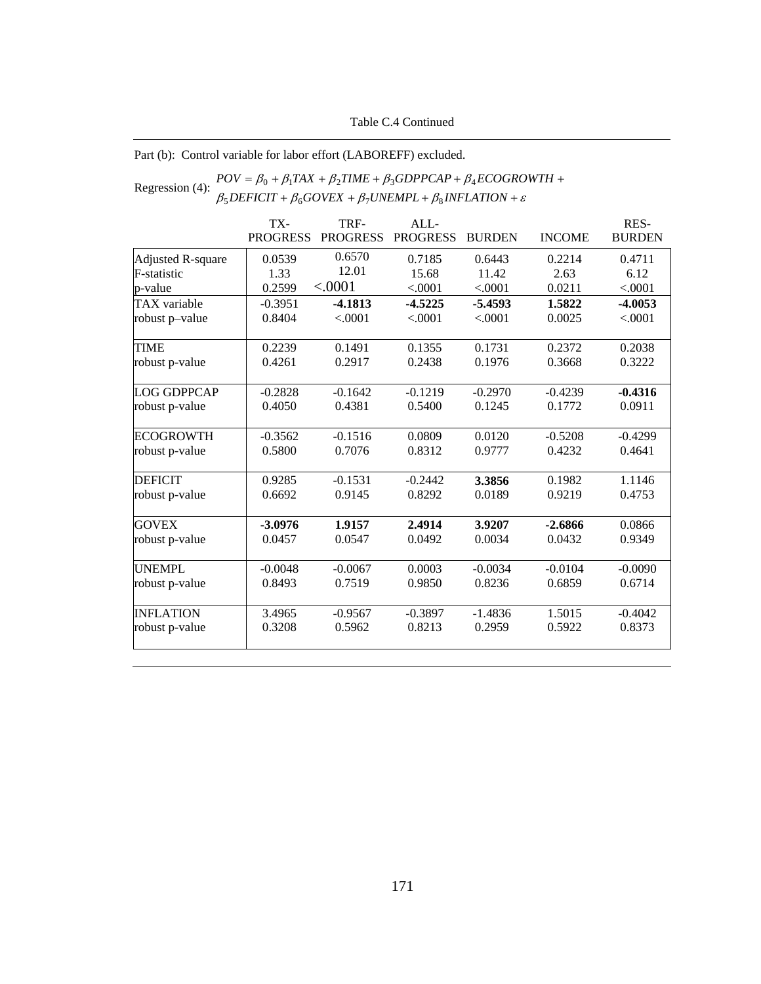## Table C.4 Continued

# Part (b): Control variable for labor effort (LABOREFF) excluded.

### Regression (4):  $POV = \beta_0 + \beta_1 TAX + \beta_2 TIME + \beta_3 GDPPCAP + \beta_4 ECOGRO$ <br> $\beta_5 DEFICT + \beta_6 GOVEX + \beta_7 UNEMPL + \beta_8 INFLATION + \varepsilon$ +  $\beta_6 GOVEX + \beta_7 UNEMPL + \beta_8 INFLATION +$  $= \beta_0 + \beta_1 TAX + \beta_2 TIME + \beta_3 GDPPCAP + \beta_4 ECOGROWTH +$  $DEFICIT + \beta_6 GOVEX + \beta_7 UNEMPL + \beta_8 INFLATION$  $POV = \beta_0 + \beta_1 TAX + \beta_2 TIME + \beta_3 GDPPCAP + \beta_4 ECOGROWTH$  $5$ *DEFICII* +  $p_6$ GOVEA +  $p_7$ ONEMFL+  $p_8$  $0 + p_1 I A A + p_2 I I M E + p_3 O D I T C A I + p_4$

|                          | TX-             | TRF-            | ALL-            |               |               | RES-          |
|--------------------------|-----------------|-----------------|-----------------|---------------|---------------|---------------|
|                          | <b>PROGRESS</b> | <b>PROGRESS</b> | <b>PROGRESS</b> | <b>BURDEN</b> | <b>INCOME</b> | <b>BURDEN</b> |
| <b>Adjusted R-square</b> | 0.0539          | 0.6570          | 0.7185          | 0.6443        | 0.2214        | 0.4711        |
| F-statistic              | 1.33            | 12.01           | 15.68           | 11.42         | 2.63          | 6.12          |
| p-value                  | 0.2599          | < .0001         | < .0001         | < .0001       | 0.0211        | < .0001       |
| TAX variable             | $-0.3951$       | $-4.1813$       | $-4.5225$       | $-5.4593$     | 1.5822        | $-4.0053$     |
| robust p-value           | 0.8404          | < .0001         | < .0001         | < .0001       | 0.0025        | < .0001       |
| <b>TIME</b>              | 0.2239          | 0.1491          | 0.1355          | 0.1731        | 0.2372        | 0.2038        |
| robust p-value           | 0.4261          | 0.2917          | 0.2438          | 0.1976        | 0.3668        | 0.3222        |
| LOG GDPPCAP              | $-0.2828$       | $-0.1642$       | $-0.1219$       | $-0.2970$     | $-0.4239$     | $-0.4316$     |
| robust p-value           | 0.4050          | 0.4381          | 0.5400          | 0.1245        | 0.1772        | 0.0911        |
| <b>ECOGROWTH</b>         | $-0.3562$       | $-0.1516$       | 0.0809          | 0.0120        | $-0.5208$     | $-0.4299$     |
| robust p-value           | 0.5800          | 0.7076          | 0.8312          | 0.9777        | 0.4232        | 0.4641        |
| <b>DEFICIT</b>           | 0.9285          | $-0.1531$       | $-0.2442$       | 3.3856        | 0.1982        | 1.1146        |
| robust p-value           | 0.6692          | 0.9145          | 0.8292          | 0.0189        | 0.9219        | 0.4753        |
| <b>GOVEX</b>             | $-3.0976$       | 1.9157          | 2.4914          | 3.9207        | $-2.6866$     | 0.0866        |
| robust p-value           | 0.0457          | 0.0547          | 0.0492          | 0.0034        | 0.0432        | 0.9349        |
| <b>UNEMPL</b>            | $-0.0048$       | $-0.0067$       | 0.0003          | $-0.0034$     | $-0.0104$     | $-0.0090$     |
| robust p-value           | 0.8493          | 0.7519          | 0.9850          | 0.8236        | 0.6859        | 0.6714        |
| <b>INFLATION</b>         | 3.4965          | $-0.9567$       | $-0.3897$       | $-1.4836$     | 1.5015        | $-0.4042$     |
| robust p-value           | 0.3208          | 0.5962          | 0.8213          | 0.2959        | 0.5922        | 0.8373        |
|                          |                 |                 |                 |               |               |               |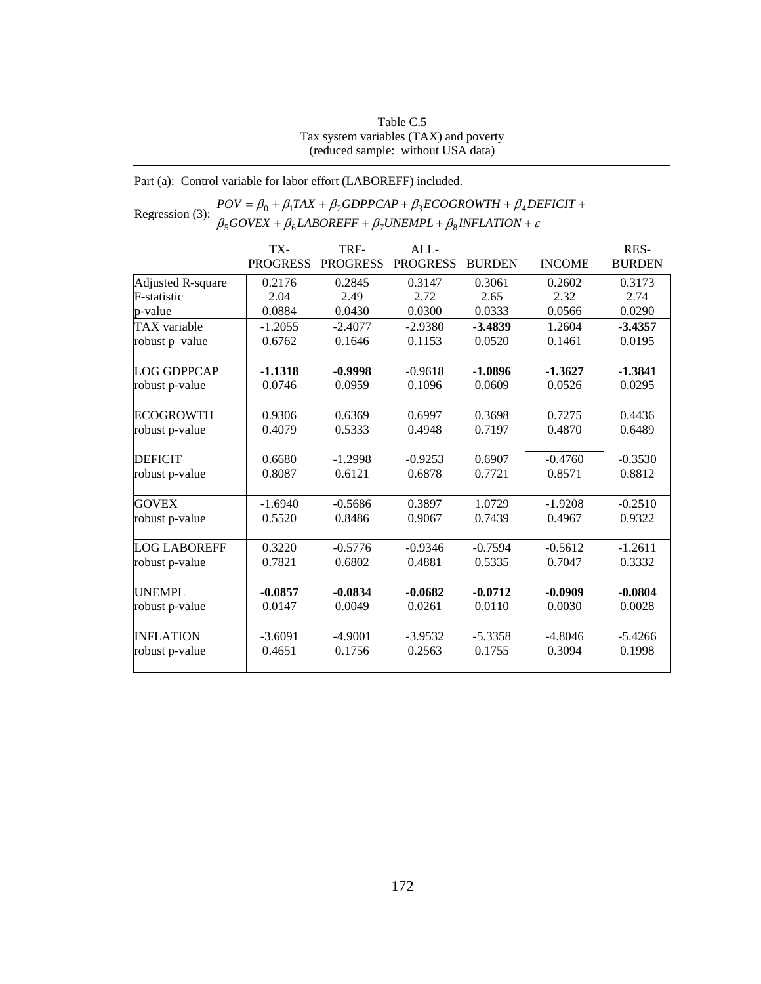## Table C.5 Tax system variables (TAX) and poverty (reduced sample: without USA data)

## Part (a): Control variable for labor effort (LABOREFF) included.

# Regression (3):  $POV = \beta_0 + \beta_1 TAX + \beta_2 GDPPCAP + \beta_3 ECOGROWTH + \beta_4 DEFICT + \beta_5 GOVEX + \beta_6 LABOREFF + \beta_7 UNEMPL + \beta_8 INFLATION + \varepsilon$  $\beta_5 GOVEX + \beta_6 LABOREFF + \beta_7 UNEMPL + \beta_8 INFLATION +$

|                     | TX-             | TRF-            | ALL             |               |               | RES-          |
|---------------------|-----------------|-----------------|-----------------|---------------|---------------|---------------|
|                     | <b>PROGRESS</b> | <b>PROGRESS</b> | <b>PROGRESS</b> | <b>BURDEN</b> | <b>INCOME</b> | <b>BURDEN</b> |
| Adjusted R-square   | 0.2176          | 0.2845          | 0.3147          | 0.3061        | 0.2602        | 0.3173        |
| F-statistic         | 2.04            | 2.49            | 2.72            | 2.65          | 2.32          | 2.74          |
| p-value             | 0.0884          | 0.0430          | 0.0300          | 0.0333        | 0.0566        | 0.0290        |
| <b>TAX</b> variable | $-1.2055$       | $-2.4077$       | $-2.9380$       | $-3.4839$     | 1.2604        | $-3.4357$     |
| robust p-value      | 0.6762          | 0.1646          | 0.1153          | 0.0520        | 0.1461        | 0.0195        |
| LOG GDPPCAP         | $-1.1318$       | $-0.9998$       | $-0.9618$       | $-1.0896$     | $-1.3627$     | $-1.3841$     |
| robust p-value      | 0.0746          | 0.0959          | 0.1096          | 0.0609        | 0.0526        | 0.0295        |
| <b>ECOGROWTH</b>    | 0.9306          | 0.6369          | 0.6997          | 0.3698        | 0.7275        | 0.4436        |
| robust p-value      | 0.4079          | 0.5333          | 0.4948          | 0.7197        | 0.4870        | 0.6489        |
| <b>DEFICIT</b>      | 0.6680          | $-1.2998$       | $-0.9253$       | 0.6907        | $-0.4760$     | $-0.3530$     |
| robust p-value      | 0.8087          | 0.6121          | 0.6878          | 0.7721        | 0.8571        | 0.8812        |
| <b>GOVEX</b>        | $-1.6940$       | $-0.5686$       | 0.3897          | 1.0729        | $-1.9208$     | $-0.2510$     |
| robust p-value      | 0.5520          | 0.8486          | 0.9067          | 0.7439        | 0.4967        | 0.9322        |
| <b>LOG LABOREFF</b> | 0.3220          | $-0.5776$       | $-0.9346$       | $-0.7594$     | $-0.5612$     | $-1.2611$     |
| robust p-value      | 0.7821          | 0.6802          | 0.4881          | 0.5335        | 0.7047        | 0.3332        |
| <b>UNEMPL</b>       | $-0.0857$       | $-0.0834$       | $-0.0682$       | $-0.0712$     | $-0.0909$     | $-0.0804$     |
| robust p-value      | 0.0147          | 0.0049          | 0.0261          | 0.0110        | 0.0030        | 0.0028        |
| <b>INFLATION</b>    | $-3.6091$       | $-4.9001$       | $-3.9532$       | $-5.3358$     | $-4.8046$     | $-5.4266$     |
| robust p-value      | 0.4651          | 0.1756          | 0.2563          | 0.1755        | 0.3094        | 0.1998        |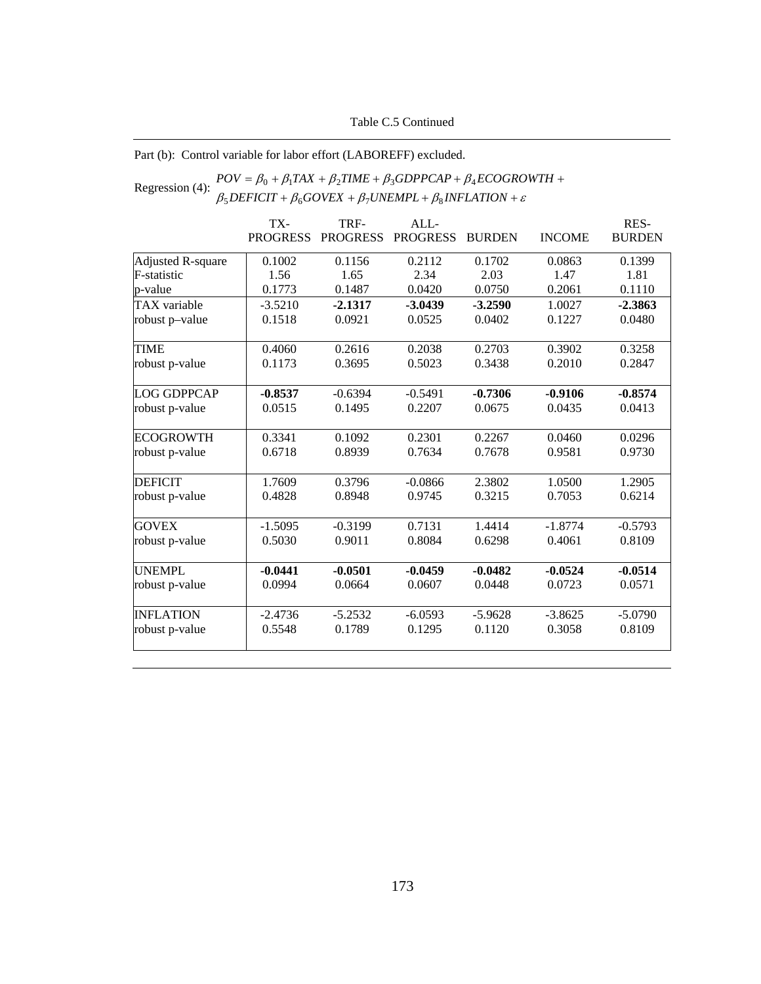## Table C.5 Continued

## Part (b): Control variable for labor effort (LABOREFF) excluded.

### Regression (4):  $POV = \beta_0 + \beta_1 TAX + \beta_2 TIME + \beta_3 GDPPCAP + \beta_4 ECOGRO$ <br> $\beta_5 DEFICT + \beta_6 GOVEX + \beta_7 UNEMPL + \beta_8 INFLATION + \varepsilon$ +  $\beta_6 GOVEX + \beta_7 UNEMPL + \beta_8 INFLATION +$  $= \beta_0 + \beta_1 TAX + \beta_2 TIME + \beta_3 GDPPCAP + \beta_4 ECOGROWTH +$  $DEFICIT + \beta_6 GOVEX + \beta_7 UNEMPL + \beta_8 INFLATION$  $POV = \beta_0 + \beta_1 TAX + \beta_2 TIME + \beta_3 GDPPCAP + \beta_4 ECOGROWTH$  $5$ *DEFICII* +  $p_6$ GOVEA +  $p_7$ ONEMFL+  $p_8$  $0 + p_1 I A A + p_2 I I M E + p_3 O D I T C A I + p_4$

|                          | TX-             | TRF-            | ALL             |               |               | RES-          |
|--------------------------|-----------------|-----------------|-----------------|---------------|---------------|---------------|
|                          | <b>PROGRESS</b> | <b>PROGRESS</b> | <b>PROGRESS</b> | <b>BURDEN</b> | <b>INCOME</b> | <b>BURDEN</b> |
| <b>Adjusted R-square</b> | 0.1002          | 0.1156          | 0.2112          | 0.1702        | 0.0863        | 0.1399        |
| F-statistic              | 1.56            | 1.65            | 2.34            | 2.03          | 1.47          | 1.81          |
| p-value                  | 0.1773          | 0.1487          | 0.0420          | 0.0750        | 0.2061        | 0.1110        |
| TAX variable             | $-3.5210$       | $-2.1317$       | $-3.0439$       | $-3.2590$     | 1.0027        | $-2.3863$     |
| robust p-value           | 0.1518          | 0.0921          | 0.0525          | 0.0402        | 0.1227        | 0.0480        |
| <b>TIME</b>              | 0.4060          | 0.2616          | 0.2038          | 0.2703        | 0.3902        | 0.3258        |
| robust p-value           | 0.1173          | 0.3695          | 0.5023          | 0.3438        | 0.2010        | 0.2847        |
| <b>LOG GDPPCAP</b>       | $-0.8537$       | $-0.6394$       | $-0.5491$       | $-0.7306$     | $-0.9106$     | $-0.8574$     |
| robust p-value           | 0.0515          | 0.1495          | 0.2207          | 0.0675        | 0.0435        | 0.0413        |
| <b>ECOGROWTH</b>         | 0.3341          | 0.1092          | 0.2301          | 0.2267        | 0.0460        | 0.0296        |
| robust p-value           | 0.6718          | 0.8939          | 0.7634          | 0.7678        | 0.9581        | 0.9730        |
| <b>DEFICIT</b>           | 1.7609          | 0.3796          | $-0.0866$       | 2.3802        | 1.0500        | 1.2905        |
| robust p-value           | 0.4828          | 0.8948          | 0.9745          | 0.3215        | 0.7053        | 0.6214        |
| <b>GOVEX</b>             | $-1.5095$       | $-0.3199$       | 0.7131          | 1.4414        | $-1.8774$     | $-0.5793$     |
| robust p-value           | 0.5030          | 0.9011          | 0.8084          | 0.6298        | 0.4061        | 0.8109        |
| <b>UNEMPL</b>            | $-0.0441$       | $-0.0501$       | $-0.0459$       | $-0.0482$     | $-0.0524$     | $-0.0514$     |
| robust p-value           | 0.0994          | 0.0664          | 0.0607          | 0.0448        | 0.0723        | 0.0571        |
| <b>INFLATION</b>         | $-2.4736$       | $-5.2532$       | $-6.0593$       | $-5.9628$     | $-3.8625$     | $-5.0790$     |
| robust p-value           | 0.5548          | 0.1789          | 0.1295          | 0.1120        | 0.3058        | 0.8109        |
|                          |                 |                 |                 |               |               |               |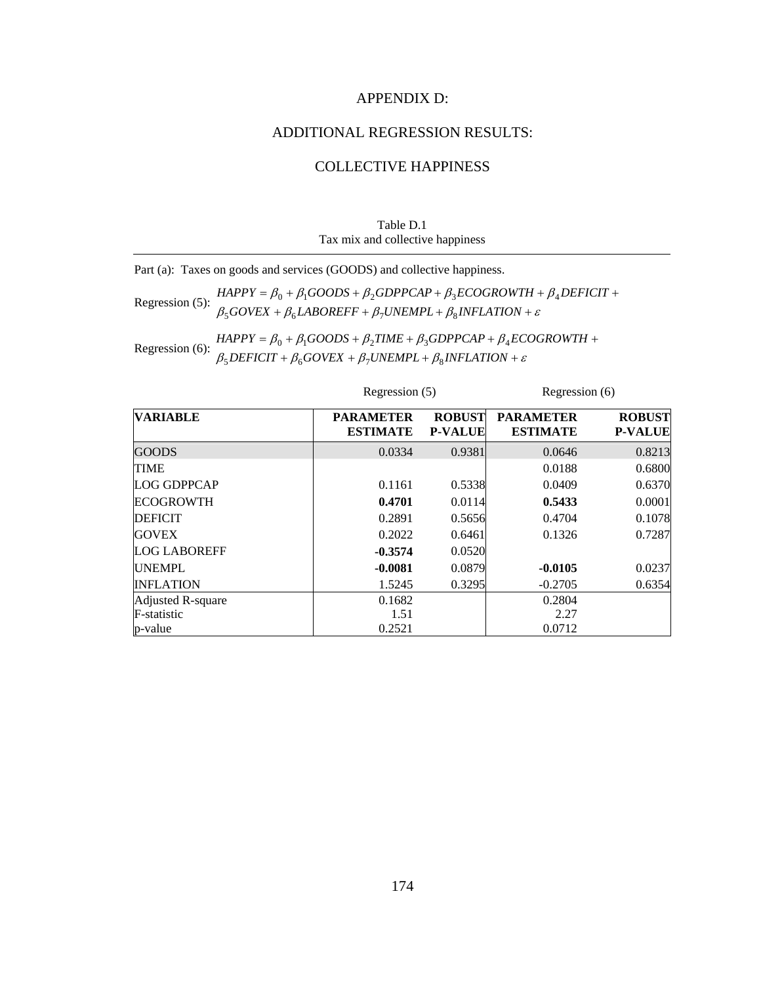## APPENDIX D:

## ADDITIONAL REGRESSION RESULTS:

## COLLECTIVE HAPPINESS

| Table D.1                        |
|----------------------------------|
| Tax mix and collective happiness |

Part (a): Taxes on goods and services (GOODS) and collective happiness.

Regression (5):  $HAPPY = \beta_0 + \beta_1 GOODS + \beta_2 GDPPCAP + \beta_3 ECOGROWTH + \beta_4 BQNEX + \beta_4 LABOREFF + \beta_7 UNEMPL + \beta_8 INFLATION + \varepsilon$ +  $\beta_6$ *LABOREFF* +  $\beta_7$ *UNEMPL* +  $\beta_8$ *INFLATION* +  $= \beta_0 + \beta_1 GOODS + \beta_2 GDPPCAP + \beta_3 ECOGROWTH + \beta_4 DEFICIT +$  $GOVEX + \beta_6 LABOREFF + \beta_7 UNEMPL + \beta_8 INFLATION$  $HAPPY = \beta_0 + \beta_1 GOODS + \beta_2 GDPPCAP + \beta_3 ECOGROWTH + \beta_4 DEFICIT$  $500$ VEA +  $p_6$ LADORETT +  $p_7$ ONEMI L +  $p_8$  $0 + p_1$ 000DS +  $p_2$ 0DFFCAF +  $p_3$ ECOONOWI $H + p_4$ 

Regression (6):  $HAPPY = \beta_0 + \beta_1 GOODS + \beta_2 TIME + \beta_3 GDPPCAP + \beta_4 EC$ <br> $\beta_5 DEFICT + \beta_6 GOVEX + \beta_7 UNEMPL + \beta_8 INFLATION + \varepsilon$ +  $\beta_6 GOVEX + \beta_7 UNEMPL + \beta_8 INFLATION +$  $= \beta_0 + \beta_1 GOODS + \beta_2 TIME + \beta_3 GDPPCAP + \beta_4 ECOGROWTH +$  $DEFICIT + \beta_6 GOVEX + \beta_7 UNEMPL + \beta_8 INFLATION$  $HAPPY = \beta_0 + \beta_1 GOODS + \beta_2 TIME + \beta_3 GDPPCAP + \beta_4 ECOGROWTH$  $5$ *DEFICII* +  $p_6$ *GOVEA* +  $p_7$ *OINEMFL* +  $p_8$  $0 + P_1$ OOODS +  $P_2$ TIME +  $P_3$ ODFFCAF +  $P_4$ 

|                     | Regression (5)                      |                                 | Regression (6)                      |                                 |  |
|---------------------|-------------------------------------|---------------------------------|-------------------------------------|---------------------------------|--|
| <b>VARIABLE</b>     | <b>PARAMETER</b><br><b>ESTIMATE</b> | <b>ROBUST</b><br><b>P-VALUE</b> | <b>PARAMETER</b><br><b>ESTIMATE</b> | <b>ROBUST</b><br><b>P-VALUE</b> |  |
| <b>GOODS</b>        | 0.0334                              | 0.9381                          | 0.0646                              | 0.8213                          |  |
| <b>TIME</b>         |                                     |                                 | 0.0188                              | 0.6800                          |  |
| LOG GDPPCAP         | 0.1161                              | 0.5338                          | 0.0409                              | 0.6370                          |  |
| <b>ECOGROWTH</b>    | 0.4701                              | 0.0114                          | 0.5433                              | 0.0001                          |  |
| <b>DEFICIT</b>      | 0.2891                              | 0.5656                          | 0.4704                              | 0.1078                          |  |
| <b>GOVEX</b>        | 0.2022                              | 0.6461                          | 0.1326                              | 0.7287                          |  |
| <b>LOG LABOREFF</b> | $-0.3574$                           | 0.0520                          |                                     |                                 |  |
| <b>UNEMPL</b>       | $-0.0081$                           | 0.0879                          | $-0.0105$                           | 0.0237                          |  |
| <b>INFLATION</b>    | 1.5245                              | 0.3295                          | $-0.2705$                           | 0.6354                          |  |
| Adjusted R-square   | 0.1682                              |                                 | 0.2804                              |                                 |  |
| F-statistic         | 1.51                                |                                 | 2.27                                |                                 |  |
| p-value             | 0.2521                              |                                 | 0.0712                              |                                 |  |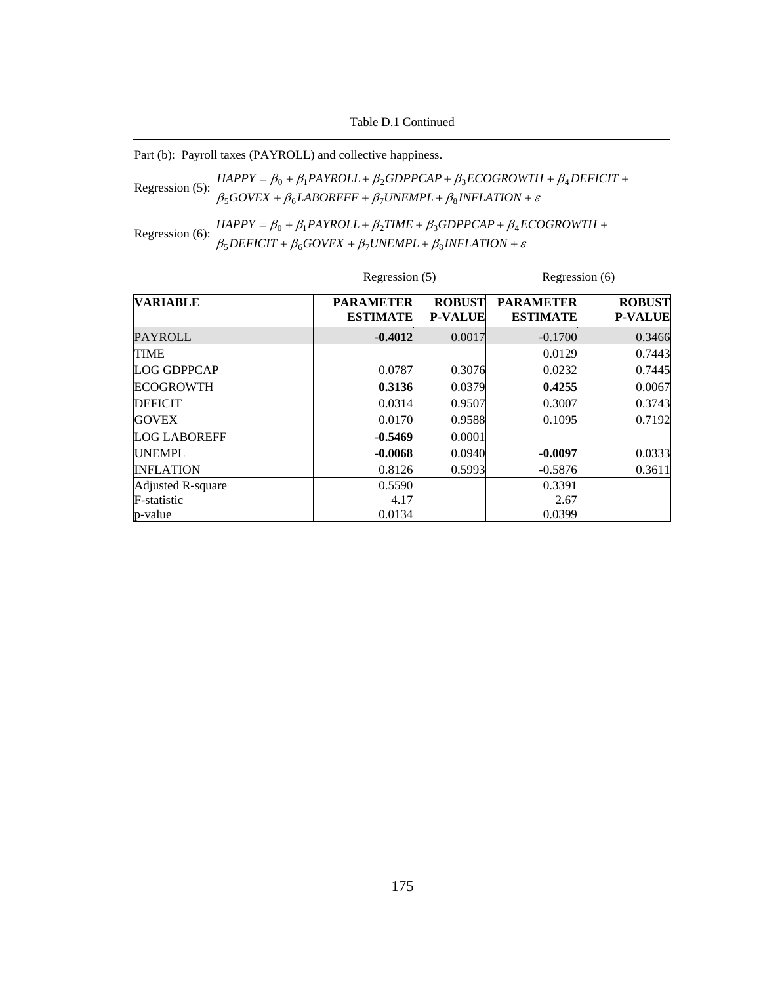Table D.1 Continued

Part (b): Payroll taxes (PAYROLL) and collective happiness.

Regression (5):  $\beta_5 GOVEX + \beta_6 LABOREFF + \beta_7 UNEMPL + \beta_8 INFLATION + \varepsilon$  $HAPPY = \beta_0 + \beta_1 PAYROLL + \beta_2 GDPPCAP + \beta_3 ECOGROWTH + \beta_4 DEFICT +$ 

Regression (6):  $HAPPY = \beta_0 + \beta_1 PAYROLL + \beta_2 TIME + \beta_3 GDPPCAP + \beta_4 E$ <br> $\beta_5 DEFICT + \beta_6 GOVEX + \beta_7 UNEMPL + \beta_8 INFLATION + \varepsilon$ +  $\beta_6 GOVEX + \beta_7 UNEMPL + \beta_8 INFLATION +$  $= \beta_0 + \beta_1 PAYROLL + \beta_2 TIME + \beta_3 GDPPCAP + \beta_4 ECOGROWTH +$  $DEFICIT + \beta_6 GOVEX + \beta_7 UNEMPL + \beta_8 INFLATION$  $HAPPY = \beta_0 + \beta_1 PAYROLL + \beta_2 TIME + \beta_3 GDPPCAP + \beta_4 ECOGROWTH$  $5$ *DEFICII* +  $p_6$ GOVEA +  $p_7$ ONEMFL+  $p_8$  $0 + p_1$ FAINULL+ $p_2$ IIME +  $p_3$ UDFFCAF +  $p_4$ 

|                     | Regression (5)                      |                                 | Regression (6)                      |                                 |  |
|---------------------|-------------------------------------|---------------------------------|-------------------------------------|---------------------------------|--|
| <b>VARIABLE</b>     | <b>PARAMETER</b><br><b>ESTIMATE</b> | <b>ROBUST</b><br><b>P-VALUE</b> | <b>PARAMETER</b><br><b>ESTIMATE</b> | <b>ROBUST</b><br><b>P-VALUE</b> |  |
| <b>PAYROLL</b>      | $-0.4012$                           | 0.0017                          | $-0.1700$                           | 0.3466                          |  |
| <b>TIME</b>         |                                     |                                 | 0.0129                              | 0.7443                          |  |
| <b>LOG GDPPCAP</b>  | 0.0787                              | 0.3076                          | 0.0232                              | 0.7445                          |  |
| <b>ECOGROWTH</b>    | 0.3136                              | 0.0379                          | 0.4255                              | 0.0067                          |  |
| <b>DEFICIT</b>      | 0.0314                              | 0.9507                          | 0.3007                              | 0.3743                          |  |
| <b>GOVEX</b>        | 0.0170                              | 0.9588                          | 0.1095                              | 0.7192                          |  |
| <b>LOG LABOREFF</b> | $-0.5469$                           | 0.0001                          |                                     |                                 |  |
| <b>UNEMPL</b>       | $-0.0068$                           | 0.0940                          | $-0.0097$                           | 0.0333                          |  |
| <b>INFLATION</b>    | 0.8126                              | 0.5993                          | $-0.5876$                           | 0.3611                          |  |
| Adjusted R-square   | 0.5590                              |                                 | 0.3391                              |                                 |  |
| F-statistic         | 4.17                                |                                 | 2.67                                |                                 |  |
| p-value             | 0.0134                              |                                 | 0.0399                              |                                 |  |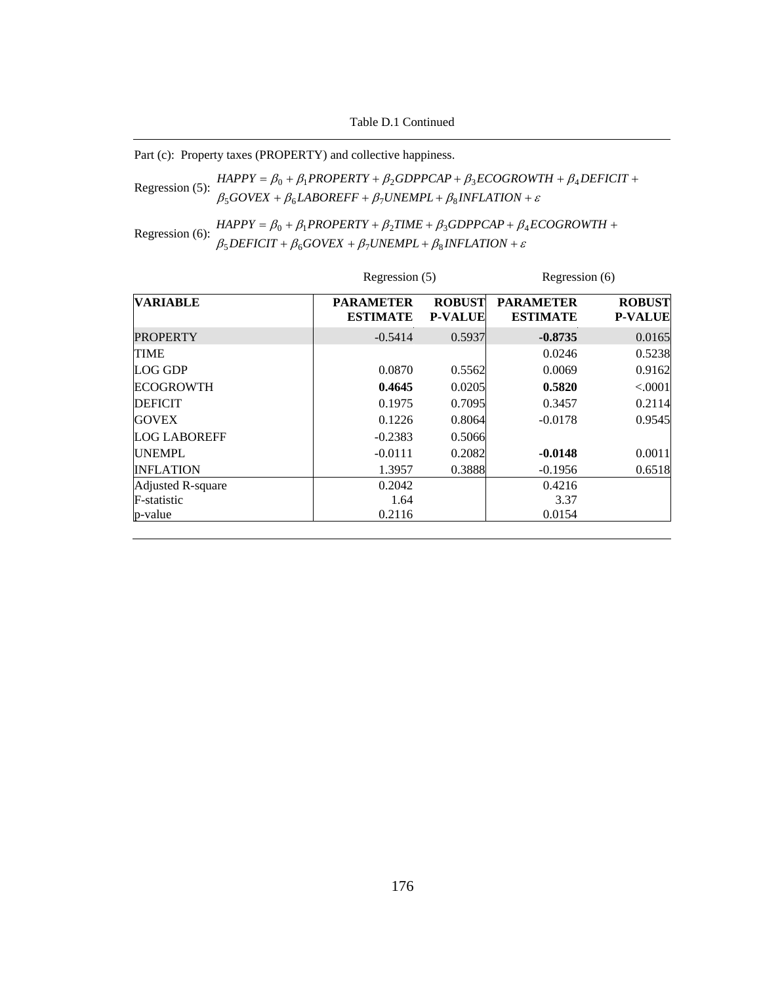Table D.1 Continued

Part (c): Property taxes (PROPERTY) and collective happiness.

Regression (5):  $\frac{\beta_0 + \beta_1 \dots \beta_{n-1}}{\beta_5 GoveX + \beta_6 LABOREF + \beta_7 UNEMPL + \beta_8 INFLATION + \varepsilon}$  $HAPPY = \beta_0 + \beta_1 PROPERTY + \beta_2 GDPPCAP + \beta_3 ECOGROWTH + \beta_4 DEFICT +$ 

Regression (6):  $\beta_5$  *B B*<sub>1</sub>  $\beta_1$  *PROPERTY* +  $\beta_2$ *TIME* +  $\beta_3$ *GDPPCAP* +  $\beta_4$ *ECOGROWTH* +  $\beta_5$ *DEFICIT* +  $\beta_6$ *GOVEX* +  $\beta_7$ *UNEMPL* +  $\beta_8$ *INFLATION* + *ε*  $\beta_5$ DEFICIT +  $\beta_6$ GOVEX +  $\beta_7$ UNEMPL +  $\beta_8$ INFLATION +

|                     | Regression (5)                      |                                 | Regression (6)                      |                                 |  |
|---------------------|-------------------------------------|---------------------------------|-------------------------------------|---------------------------------|--|
| <b>VARIABLE</b>     | <b>PARAMETER</b><br><b>ESTIMATE</b> | <b>ROBUST</b><br><b>P-VALUE</b> | <b>PARAMETER</b><br><b>ESTIMATE</b> | <b>ROBUST</b><br><b>P-VALUE</b> |  |
| <b>PROPERTY</b>     | $-0.5414$                           | 0.5937                          | $-0.8735$                           | 0.0165                          |  |
| <b>TIME</b>         |                                     |                                 | 0.0246                              | 0.5238                          |  |
| <b>LOG GDP</b>      | 0.0870                              | 0.5562                          | 0.0069                              | 0.9162                          |  |
| <b>ECOGROWTH</b>    | 0.4645                              | 0.0205                          | 0.5820                              | < .0001                         |  |
| <b>DEFICIT</b>      | 0.1975                              | 0.7095                          | 0.3457                              | 0.2114                          |  |
| <b>GOVEX</b>        | 0.1226                              | 0.8064                          | $-0.0178$                           | 0.9545                          |  |
| <b>LOG LABOREFF</b> | $-0.2383$                           | 0.5066                          |                                     |                                 |  |
| <b>UNEMPL</b>       | $-0.0111$                           | 0.2082                          | $-0.0148$                           | 0.0011                          |  |
| <b>INFLATION</b>    | 1.3957                              | 0.3888                          | $-0.1956$                           | 0.6518                          |  |
| Adjusted R-square   | 0.2042                              |                                 | 0.4216                              |                                 |  |
| F-statistic         | 1.64                                |                                 | 3.37                                |                                 |  |
| p-value             | 0.2116                              |                                 | 0.0154                              |                                 |  |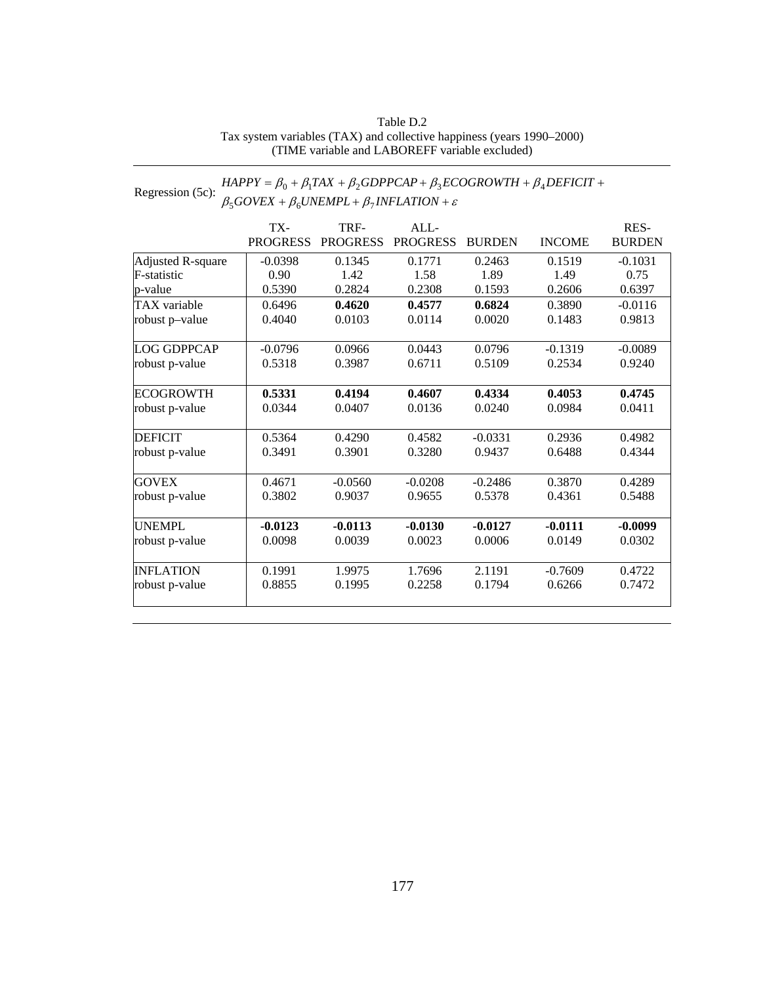## Table D.2 Tax system variables (TAX) and collective happiness (years 1990–2000) (TIME variable and LABOREFF variable excluded)

### Regression (5c):  $HAPPY = \beta_0 + \beta_1 TAX + \beta_2 GDPPCAP + \beta_3 ECOGROWTH + \beta_4\n\beta_5 GOVEX + \beta_6 UNEMPL + \beta_7 INFLATION + \varepsilon$ +  $\beta_6$ UNEMPL +  $\beta_7$ INFLATION +  $= \beta_0 + \beta_1 TAX + \beta_2 GDPPCAP + \beta_3 ECOGROWTH + \beta_4 DEFICIT +$  $GOVEX + \beta_6 UNEMPL + \beta_7 INFLATION$  $HAPPY = \beta_0 + \beta_1 TAX + \beta_2 GDPPCAP + \beta_3 ECOGROWTH + \beta_4 DEFICIT$  $5$ UUVEA +  $p_6$ UNEMITL+ $p_7$  $0 + p_1 I A A + p_2 O D I T C A T + p_3 E C O O N O W I H + p_4$

|                     | TX-             | TRF-            | ALL             |               |               | RES-          |
|---------------------|-----------------|-----------------|-----------------|---------------|---------------|---------------|
|                     | <b>PROGRESS</b> | <b>PROGRESS</b> | <b>PROGRESS</b> | <b>BURDEN</b> | <b>INCOME</b> | <b>BURDEN</b> |
| Adjusted R-square   | $-0.0398$       | 0.1345          | 0.1771          | 0.2463        | 0.1519        | $-0.1031$     |
| F-statistic         | 0.90            | 1.42            | 1.58            | 1.89          | 1.49          | 0.75          |
| p-value             | 0.5390          | 0.2824          | 0.2308          | 0.1593        | 0.2606        | 0.6397        |
| <b>TAX</b> variable | 0.6496          | 0.4620          | 0.4577          | 0.6824        | 0.3890        | $-0.0116$     |
| robust p-value      | 0.4040          | 0.0103          | 0.0114          | 0.0020        | 0.1483        | 0.9813        |
| LOG GDPPCAP         | $-0.0796$       | 0.0966          | 0.0443          | 0.0796        | $-0.1319$     | $-0.0089$     |
| robust p-value      | 0.5318          | 0.3987          | 0.6711          | 0.5109        | 0.2534        | 0.9240        |
| <b>ECOGROWTH</b>    | 0.5331          | 0.4194          | 0.4607          | 0.4334        | 0.4053        | 0.4745        |
| robust p-value      | 0.0344          | 0.0407          | 0.0136          | 0.0240        | 0.0984        | 0.0411        |
| <b>DEFICIT</b>      | 0.5364          | 0.4290          | 0.4582          | $-0.0331$     | 0.2936        | 0.4982        |
| robust p-value      | 0.3491          | 0.3901          | 0.3280          | 0.9437        | 0.6488        | 0.4344        |
| <b>GOVEX</b>        | 0.4671          | $-0.0560$       | $-0.0208$       | $-0.2486$     | 0.3870        | 0.4289        |
| robust p-value      | 0.3802          | 0.9037          | 0.9655          | 0.5378        | 0.4361        | 0.5488        |
| <b>UNEMPL</b>       | $-0.0123$       | $-0.0113$       | $-0.0130$       | $-0.0127$     | $-0.0111$     | $-0.0099$     |
| robust p-value      | 0.0098          | 0.0039          | 0.0023          | 0.0006        | 0.0149        | 0.0302        |
| <b>INFLATION</b>    | 0.1991          | 1.9975          | 1.7696          | 2.1191        | $-0.7609$     | 0.4722        |
| robust p-value      | 0.8855          | 0.1995          | 0.2258          | 0.1794        | 0.6266        | 0.7472        |
|                     |                 |                 |                 |               |               |               |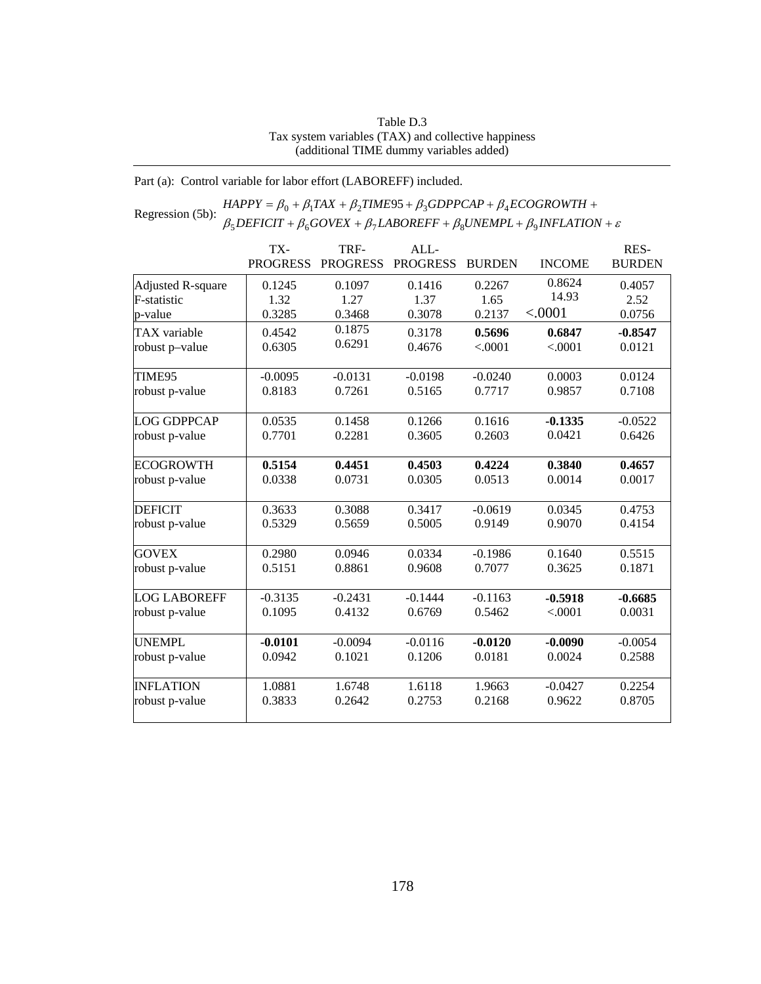## Table D.3 Tax system variables (TAX) and collective happiness (additional TIME dummy variables added)

Part (a): Control variable for labor effort (LABOREFF) included.

### Regression (5b):  $HAPPY = \beta_0 + \beta_1 TAX + \beta_2 TIME95 + \beta_3 GDPPCAP + \beta_4 ECOGROWTH +$ <br>Regression (5b):  $\beta_5 DEFICIT + \beta_6 GOVEX + \beta_7 LABOREFF + \beta_8 UNEMPL + \beta_9 INFLATION + \varepsilon$  $+\beta_6 GOVEX + \beta_7 LABOREFF + \beta_8 UNEMPL + \beta_9 INFLATION +$  $= \beta_0 + \beta_1 TAX + \beta_2 TIME95 + \beta_3 GDPPCAP + \beta_4 ECOGROWTH +$  $DEFICIT + \beta_6 GOVEX + \beta_7 LABOREFF + \beta_8 UNEMPL + \beta_9 INFLATION$  $HAPPY = \beta_0 + \beta_1 TAX + \beta_2 TIME95 + \beta_3 GDPPCAP + \beta_4 ECOGROWTH$  $5$ DEFICII +  $p_6$ OOVEA +  $p_7$ LADOKEFF +  $p_8$ ONEMFL +  $p_9$  $\beta_0 + \beta_1 TAX + \beta_2 TIME95 + \beta_3 GDPPCAP + \beta_4$

|                     | TX-<br><b>PROGRESS</b> | TRF-<br><b>PROGRESS</b> | ALL<br><b>PROGRESS</b> | <b>BURDEN</b> | <b>INCOME</b> | RES-<br><b>BURDEN</b> |
|---------------------|------------------------|-------------------------|------------------------|---------------|---------------|-----------------------|
|                     |                        |                         |                        |               |               |                       |
| Adjusted R-square   | 0.1245                 | 0.1097                  | 0.1416                 | 0.2267        | 0.8624        | 0.4057                |
| F-statistic         | 1.32                   | 1.27                    | 1.37                   | 1.65          | 14.93         | 2.52                  |
| p-value             | 0.3285                 | 0.3468                  | 0.3078                 | 0.2137        | < .0001       | 0.0756                |
| TAX variable        | 0.4542                 | 0.1875                  | 0.3178                 | 0.5696        | 0.6847        | $-0.8547$             |
| robust p-value      | 0.6305                 | 0.6291                  | 0.4676                 | < .0001       | < .0001       | 0.0121                |
| TIME95              | $-0.0095$              | $-0.0131$               | $-0.0198$              | $-0.0240$     | 0.0003        | 0.0124                |
| robust p-value      | 0.8183                 | 0.7261                  | 0.5165                 | 0.7717        | 0.9857        | 0.7108                |
| <b>LOG GDPPCAP</b>  | 0.0535                 | 0.1458                  | 0.1266                 | 0.1616        | $-0.1335$     | $-0.0522$             |
| robust p-value      | 0.7701                 | 0.2281                  | 0.3605                 | 0.2603        | 0.0421        | 0.6426                |
| <b>ECOGROWTH</b>    | 0.5154                 | 0.4451                  | 0.4503                 | 0.4224        | 0.3840        | 0.4657                |
| robust p-value      | 0.0338                 | 0.0731                  | 0.0305                 | 0.0513        | 0.0014        | 0.0017                |
| <b>DEFICIT</b>      | 0.3633                 | 0.3088                  | 0.3417                 | $-0.0619$     | 0.0345        | 0.4753                |
| robust p-value      | 0.5329                 | 0.5659                  | 0.5005                 | 0.9149        | 0.9070        | 0.4154                |
| <b>GOVEX</b>        | 0.2980                 | 0.0946                  | 0.0334                 | $-0.1986$     | 0.1640        | 0.5515                |
| robust p-value      | 0.5151                 | 0.8861                  | 0.9608                 | 0.7077        | 0.3625        | 0.1871                |
| <b>LOG LABOREFF</b> | $-0.3135$              | $-0.2431$               | $-0.1444$              | $-0.1163$     | $-0.5918$     | $-0.6685$             |
| robust p-value      | 0.1095                 | 0.4132                  | 0.6769                 | 0.5462        | < .0001       | 0.0031                |
| <b>UNEMPL</b>       | $-0.0101$              | $-0.0094$               | $-0.0116$              | $-0.0120$     | $-0.0090$     | $-0.0054$             |
| robust p-value      | 0.0942                 | 0.1021                  | 0.1206                 | 0.0181        | 0.0024        | 0.2588                |
| <b>INFLATION</b>    | 1.0881                 | 1.6748                  | 1.6118                 | 1.9663        | $-0.0427$     | 0.2254                |
| robust p-value      | 0.3833                 | 0.2642                  | 0.2753                 | 0.2168        | 0.9622        | 0.8705                |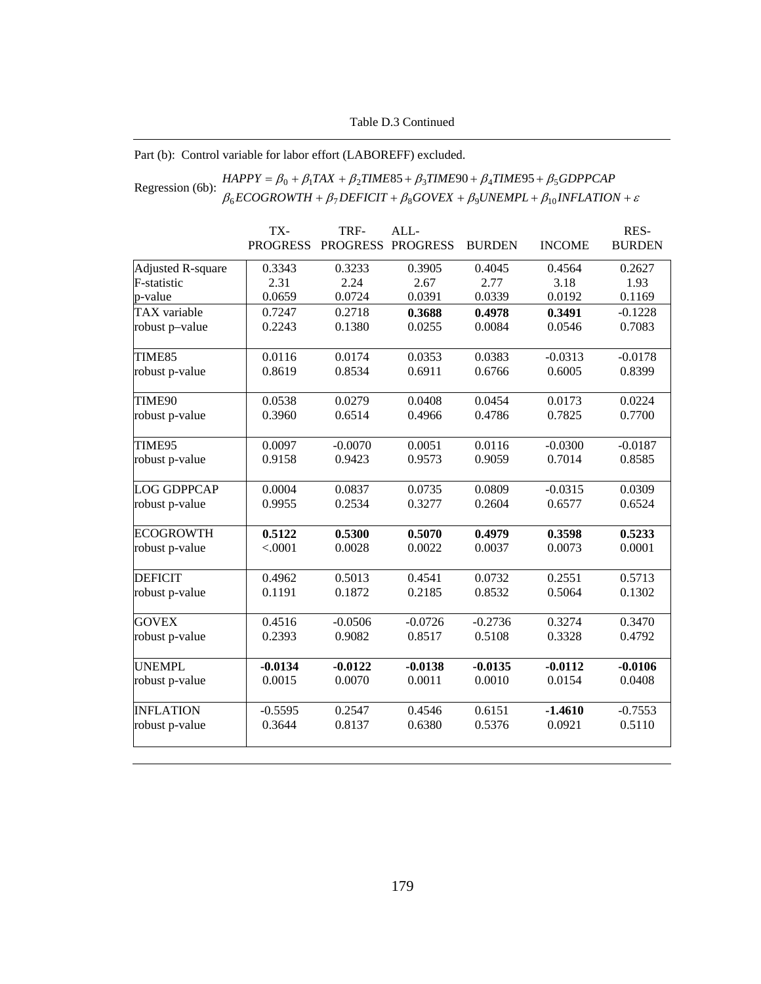## Part (b): Control variable for labor effort (LABOREFF) excluded.

### Regression (6b):  $HAPPY = \beta_0 + \beta_1 TAX + \beta_2 TIME85 + \beta_3 TIME90 + \beta_4 TIME95 + \beta_5 GDPPCAP$ <br>Regression (6b):  $\beta_6 ECOGROWTH + \beta_7 DEFICIT + \beta_8 GOVEX + \beta_9 UNEMPL + \beta_{10} INFLATION + \varepsilon$ +  $\beta_7$  DEFICIT +  $\beta_8$  GOVEX +  $\beta_9$ UNEMPL +  $\beta_{10}$ INFLATION +  $=\beta_0 + \beta_1 TAX + \beta_2 TIME85 + \beta_3 TIME90 + \beta_4 TIME95 +$  $ECOGROWTH + \beta_7 DEFICT + \beta_8 GOVEX + \beta_9 UNEMPL + \beta_{10} INFLATION$  $HAPPY = \beta_0 + \beta_1 TAX + \beta_2 TIME85 + \beta_3 TIME90 + \beta_4 TIME95 + \beta_5 GDPPCAP$  $_{6}$ ECOONOWIH +  $_{p_7}$ DEFICH +  $_{p_8}$ OOVEA +  $_{p_9}$ ONEMFL +  $_{p_{10}}$  $\beta_0 + \beta_1 TAX + \beta_2 TIME85 + \beta_3 TIME90 + \beta_4 TIME95 + \beta_5$

|                          | TX-             | TRF-            | ALL-            |               |               | RES-          |
|--------------------------|-----------------|-----------------|-----------------|---------------|---------------|---------------|
|                          | <b>PROGRESS</b> | <b>PROGRESS</b> | <b>PROGRESS</b> | <b>BURDEN</b> | <b>INCOME</b> | <b>BURDEN</b> |
| <b>Adjusted R-square</b> | 0.3343          | 0.3233          | 0.3905          | 0.4045        | 0.4564        | 0.2627        |
| F-statistic              | 2.31            | 2.24            | 2.67            | 2.77          | 3.18          | 1.93          |
| p-value                  | 0.0659          | 0.0724          | 0.0391          | 0.0339        | 0.0192        | 0.1169        |
| TAX variable             | 0.7247          | 0.2718          | 0.3688          | 0.4978        | 0.3491        | $-0.1228$     |
| robust p-value           | 0.2243          | 0.1380          | 0.0255          | 0.0084        | 0.0546        | 0.7083        |
| TIME85                   | 0.0116          | 0.0174          | 0.0353          | 0.0383        | $-0.0313$     | $-0.0178$     |
| robust p-value           | 0.8619          | 0.8534          | 0.6911          | 0.6766        | 0.6005        | 0.8399        |
| TIME90                   | 0.0538          | 0.0279          | 0.0408          | 0.0454        | 0.0173        | 0.0224        |
| robust p-value           | 0.3960          | 0.6514          | 0.4966          | 0.4786        | 0.7825        | 0.7700        |
| TIME95                   | 0.0097          | $-0.0070$       | 0.0051          | 0.0116        | $-0.0300$     | $-0.0187$     |
| robust p-value           | 0.9158          | 0.9423          | 0.9573          | 0.9059        | 0.7014        | 0.8585        |
| <b>LOG GDPPCAP</b>       | 0.0004          | 0.0837          | 0.0735          | 0.0809        | $-0.0315$     | 0.0309        |
| robust p-value           | 0.9955          | 0.2534          | 0.3277          | 0.2604        | 0.6577        | 0.6524        |
| <b>ECOGROWTH</b>         | 0.5122          | 0.5300          | 0.5070          | 0.4979        | 0.3598        | 0.5233        |
| robust p-value           | < .0001         | 0.0028          | 0.0022          | 0.0037        | 0.0073        | 0.0001        |
| <b>DEFICIT</b>           | 0.4962          | 0.5013          | 0.4541          | 0.0732        | 0.2551        | 0.5713        |
| robust p-value           | 0.1191          | 0.1872          | 0.2185          | 0.8532        | 0.5064        | 0.1302        |
| <b>GOVEX</b>             | 0.4516          | $-0.0506$       | $-0.0726$       | $-0.2736$     | 0.3274        | 0.3470        |
| robust p-value           | 0.2393          | 0.9082          | 0.8517          | 0.5108        | 0.3328        | 0.4792        |
| <b>UNEMPL</b>            | $-0.0134$       | $-0.0122$       | $-0.0138$       | $-0.0135$     | $-0.0112$     | $-0.0106$     |
| robust p-value           | 0.0015          | 0.0070          | 0.0011          | 0.0010        | 0.0154        | 0.0408        |
| <b>INFLATION</b>         | $-0.5595$       | 0.2547          | 0.4546          | 0.6151        | $-1.4610$     | $-0.7553$     |
| robust p-value           | 0.3644          | 0.8137          | 0.6380          | 0.5376        | 0.0921        | 0.5110        |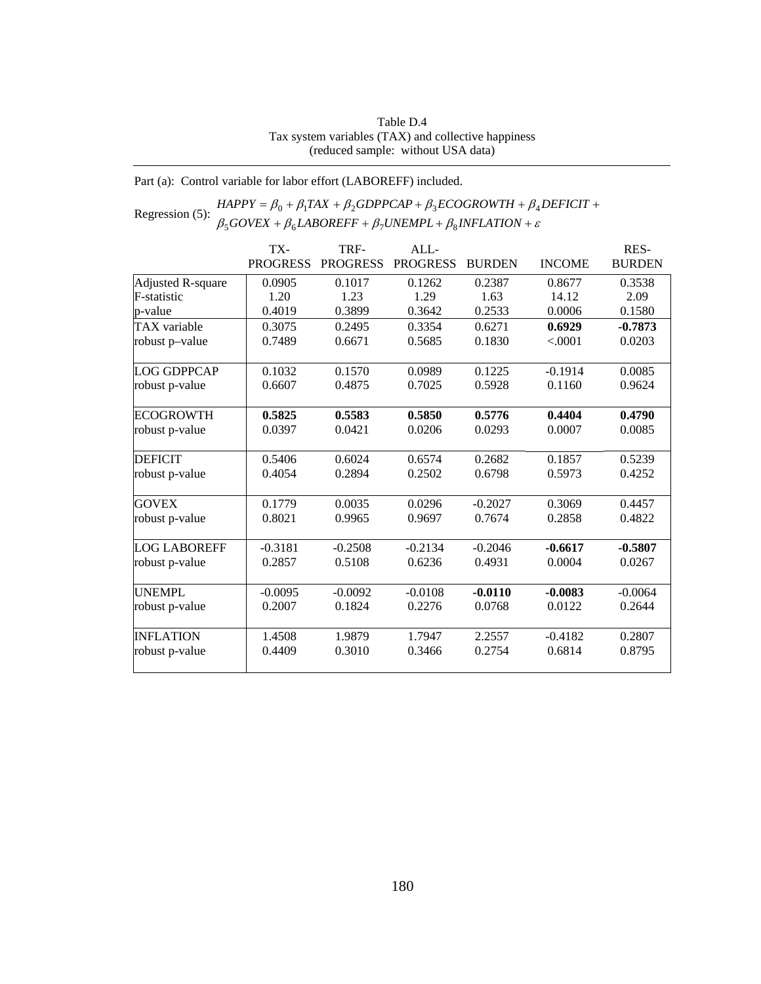## Table D.4 Tax system variables (TAX) and collective happiness (reduced sample: without USA data)

Part (a): Control variable for labor effort (LABOREFF) included.

### Regression (5):  $HAPPY = \beta_0 + \beta_1 TAX + \beta_2 GDPPCAP + \beta_3 ECOGROWTH + \beta_4$ <br> $\beta_5 GOVEX + \beta_6 LABOREFF + \beta_7 UNEMPL + \beta_8 INFLATION + \varepsilon$ +  $\beta_6$ *LABOREFF* +  $\beta_7$ *UNEMPL* +  $\beta_8$ *INFLATION* +  $= \beta_0 + \beta_1 TAX + \beta_2 GDPPCAP + \beta_3 ECOGROWTH + \beta_4 DEFICIT +$  $GOVEX + \beta_6 LABOREFF + \beta_7 UNEMPL + \beta_8 INFLATION$  $HAPPY = \beta_0 + \beta_1 TAX + \beta_2 GDPPCAP + \beta_3 ECOGROWTH + \beta_4 DEFICIT$  $500$ VEA +  $\mu_6$ LADOKETT +  $\mu_7$ OIVEMITL+  $\mu_8$  $0 + p_1 I A \Lambda + p_2 O D I I C A I + p_3 L C O O N O W I H + p_4$

|                     | TX-             | TRF-            | ALL             |               |               | RES-          |
|---------------------|-----------------|-----------------|-----------------|---------------|---------------|---------------|
|                     | <b>PROGRESS</b> | <b>PROGRESS</b> | <b>PROGRESS</b> | <b>BURDEN</b> | <b>INCOME</b> | <b>BURDEN</b> |
| Adjusted R-square   | 0.0905          | 0.1017          | 0.1262          | 0.2387        | 0.8677        | 0.3538        |
| F-statistic         | 1.20            | 1.23            | 1.29            | 1.63          | 14.12         | 2.09          |
| p-value             | 0.4019          | 0.3899          | 0.3642          | 0.2533        | 0.0006        | 0.1580        |
| <b>TAX</b> variable | 0.3075          | 0.2495          | 0.3354          | 0.6271        | 0.6929        | $-0.7873$     |
| robust p-value      | 0.7489          | 0.6671          | 0.5685          | 0.1830        | < .0001       | 0.0203        |
| <b>LOG GDPPCAP</b>  | 0.1032          | 0.1570          | 0.0989          | 0.1225        | $-0.1914$     | 0.0085        |
| robust p-value      | 0.6607          | 0.4875          | 0.7025          | 0.5928        | 0.1160        | 0.9624        |
| <b>ECOGROWTH</b>    | 0.5825          | 0.5583          | 0.5850          | 0.5776        | 0.4404        | 0.4790        |
| robust p-value      | 0.0397          | 0.0421          | 0.0206          | 0.0293        | 0.0007        | 0.0085        |
| <b>DEFICIT</b>      | 0.5406          | 0.6024          | 0.6574          | 0.2682        | 0.1857        | 0.5239        |
| robust p-value      | 0.4054          | 0.2894          | 0.2502          | 0.6798        | 0.5973        | 0.4252        |
| <b>GOVEX</b>        | 0.1779          | 0.0035          | 0.0296          | $-0.2027$     | 0.3069        | 0.4457        |
| robust p-value      | 0.8021          | 0.9965          | 0.9697          | 0.7674        | 0.2858        | 0.4822        |
| <b>LOG LABOREFF</b> | $-0.3181$       | $-0.2508$       | $-0.2134$       | $-0.2046$     | $-0.6617$     | $-0.5807$     |
| robust p-value      | 0.2857          | 0.5108          | 0.6236          | 0.4931        | 0.0004        | 0.0267        |
| <b>UNEMPL</b>       | $-0.0095$       | $-0.0092$       | $-0.0108$       | $-0.0110$     | $-0.0083$     | $-0.0064$     |
| robust p-value      | 0.2007          | 0.1824          | 0.2276          | 0.0768        | 0.0122        | 0.2644        |
| <b>INFLATION</b>    | 1.4508          | 1.9879          | 1.7947          | 2.2557        | $-0.4182$     | 0.2807        |
| robust p-value      | 0.4409          | 0.3010          | 0.3466          | 0.2754        | 0.6814        | 0.8795        |